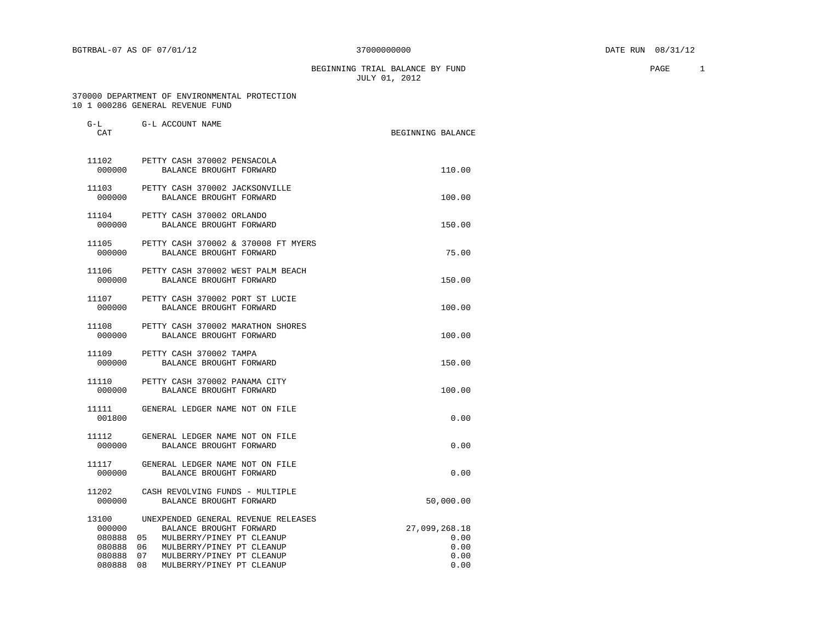BEGINNING TRIAL BALANCE BY FUND **PAGE** 2 JULY 01, 2012

| CAT                                           |                                                                                                                                                                         | BEGINNING BALANCE                     |
|-----------------------------------------------|-------------------------------------------------------------------------------------------------------------------------------------------------------------------------|---------------------------------------|
| 11102<br>000000                               | PETTY CASH 370002 PENSACOLA<br>BALANCE BROUGHT FORWARD                                                                                                                  | 110.00                                |
| 000000                                        | 11103 PETTY CASH 370002 JACKSONVILLE<br>BALANCE BROUGHT FORWARD                                                                                                         | 100.00                                |
| 11104<br>000000                               | PETTY CASH 370002 ORLANDO<br>BALANCE BROUGHT FORWARD                                                                                                                    | 150.00                                |
| 000000                                        | 11105 PETTY CASH 370002 & 370008 FT MYERS<br>BALANCE BROUGHT FORWARD                                                                                                    | 75.00                                 |
| 000000                                        | 11106 PETTY CASH 370002 WEST PALM BEACH<br>BALANCE BROUGHT FORWARD                                                                                                      | 150.00                                |
| 11107<br>000000                               | PETTY CASH 370002 PORT ST LUCIE<br>BALANCE BROUGHT FORWARD                                                                                                              | 100.00                                |
| 11108<br>000000                               | PETTY CASH 370002 MARATHON SHORES<br>BALANCE BROUGHT FORWARD                                                                                                            | 100.00                                |
| 000000                                        | 11109 PETTY CASH 370002 TAMPA<br>BALANCE BROUGHT FORWARD                                                                                                                | 150.00                                |
| 11110<br>000000                               | PETTY CASH 370002 PANAMA CITY<br>BALANCE BROUGHT FORWARD                                                                                                                | 100.00                                |
| 11111<br>001800                               | GENERAL LEDGER NAME NOT ON FILE                                                                                                                                         | 0.00                                  |
| 000000                                        | 11112 GENERAL LEDGER NAME NOT ON FILE<br>BALANCE BROUGHT FORWARD                                                                                                        | 0.00                                  |
| 11117<br>000000                               | GENERAL LEDGER NAME NOT ON FILE<br>BALANCE BROUGHT FORWARD                                                                                                              | 0.00                                  |
| 11202<br>000000                               | CASH REVOLVING FUNDS - MULTIPLE<br>BALANCE BROUGHT FORWARD                                                                                                              | 50,000.00                             |
| 13100<br>000000<br>080888<br>080888<br>080888 | UNEXPENDED GENERAL REVENUE RELEASES<br>BALANCE BROUGHT FORWARD<br>05<br>MULBERRY/PINEY PT CLEANUP<br>MULBERRY/PINEY PT CLEANUP<br>06<br>MULBERRY/PINEY PT CLEANUP<br>07 | 27,099,268.18<br>0.00<br>0.00<br>0.00 |
| 080888                                        | 08<br>MULBERRY/PINEY PT CLEANUP                                                                                                                                         | 0.00                                  |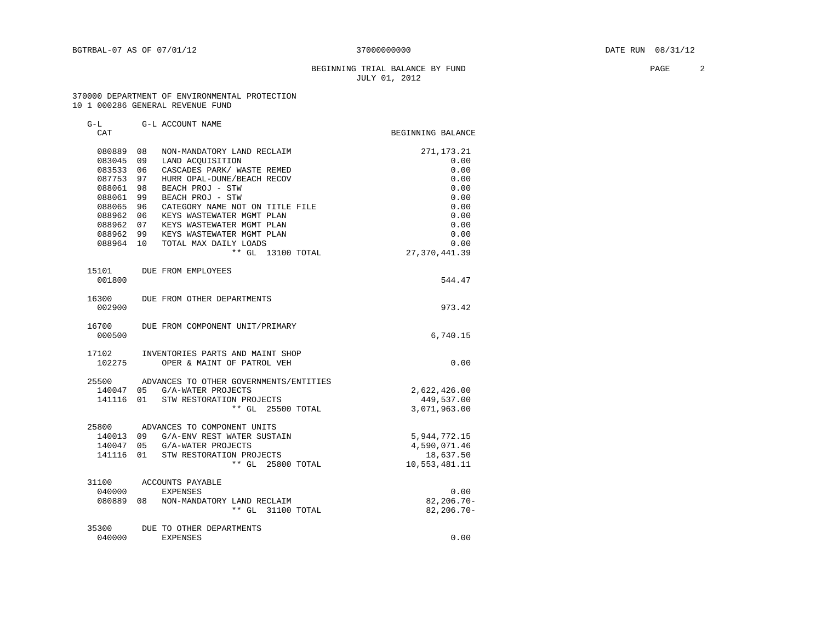# BEGINNING TRIAL BALANCE BY FUND **EXAMPLE 2** JULY 01, 2012

| $G-L$<br>CAT     | G-L ACCOUNT NAME                                          | BEGINNING BALANCE                |
|------------------|-----------------------------------------------------------|----------------------------------|
|                  |                                                           |                                  |
| 080889 08        | NON-MANDATORY LAND RECLAIM                                | 271, 173. 21                     |
| 083045           | 09<br>LAND ACOUISITION                                    | 0.00                             |
| 083533           | 06<br>CASCADES PARK/ WASTE REMED                          | 0.00                             |
| 087753           | 97<br>HURR OPAL-DUNE/BEACH RECOV<br>98                    | 0.00                             |
| 088061<br>088061 | BEACH PROJ - STW<br>99<br>BEACH PROJ - STW                | 0.00<br>0.00                     |
| 088065           | - 96<br>CATEGORY NAME NOT ON TITLE FILE                   | 0.00                             |
| 088962           | 06<br>KEYS WASTEWATER MGMT PLAN                           | 0.00                             |
| 088962           | KEYS WASTEWATER MGMT PLAN<br>07                           | 0.00                             |
| 088962 99        | KEYS WASTEWATER MGMT PLAN                                 | 0.00                             |
| 088964           | 10<br>TOTAL MAX DAILY LOADS                               | 0.00                             |
|                  | ** GL 13100 TOTAL                                         | 27, 370, 441.39                  |
| 15101            | DUE FROM EMPLOYEES                                        |                                  |
| 001800           |                                                           | 544.47                           |
| 16300            | DUE FROM OTHER DEPARTMENTS                                |                                  |
| 002900           |                                                           | 973.42                           |
| 16700<br>000500  | DUE FROM COMPONENT UNIT/PRIMARY                           | 6,740.15                         |
|                  |                                                           |                                  |
| 17102            | INVENTORIES PARTS AND MAINT SHOP                          |                                  |
| 102275           | OPER & MAINT OF PATROL VEH                                | 0.00                             |
|                  | 25500 ADVANCES TO OTHER GOVERNMENTS/ENTITIES              |                                  |
| 140047 05        | G/A-WATER PROJECTS<br>141116 01 STW RESTORATION PROJECTS  | 2,622,426.00<br>449,537.00       |
|                  | ** GL 25500 TOTAL                                         | 3,071,963.00                     |
| 25800            | ADVANCES TO COMPONENT UNITS                               |                                  |
| 140013 09        | G/A-ENV REST WATER SUSTAIN                                | 5,944,772.15                     |
|                  | 140047 05 G/A-WATER PROJECTS                              | 4,590,071.46                     |
| 141116           | 01 STW RESTORATION PROJECTS                               | 18,637.50                        |
|                  | ** GL 25800 TOTAL                                         | 10,553,481.11                    |
| 31100            | ACCOUNTS PAYABLE                                          |                                  |
| 040000           | EXPENSES                                                  | 0.00                             |
|                  | 080889 08 NON-MANDATORY LAND RECLAIM<br>** GL 31100 TOTAL | $82, 206.70 -$<br>$82, 206.70 -$ |
|                  |                                                           |                                  |
| 35300<br>040000  | DUE TO OTHER DEPARTMENTS<br><b>EXPENSES</b>               | 0.00                             |
|                  |                                                           |                                  |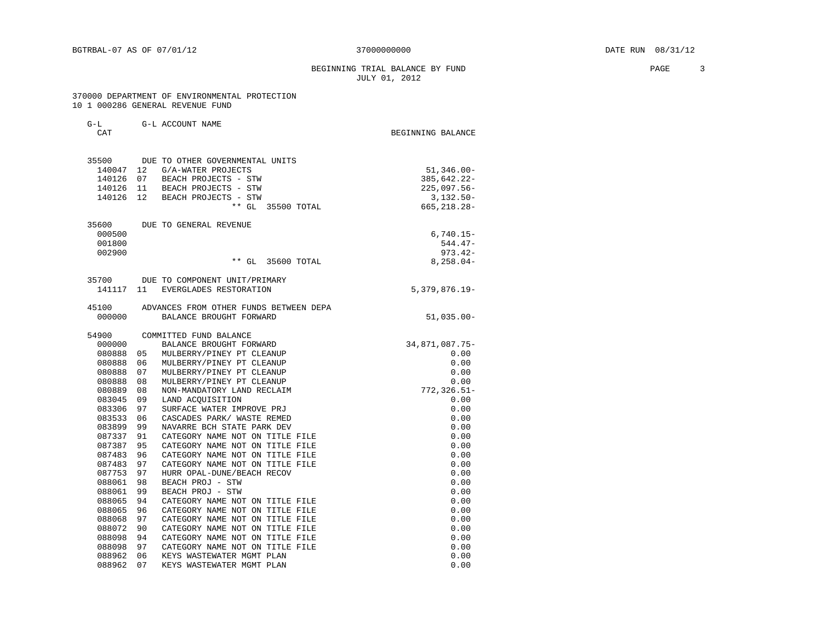# BEGINNING TRIAL BALANCE BY FUND **PAGE** 3 JULY 01, 2012

| CAT              |          |                                                               | BEGINNING BALANCE |
|------------------|----------|---------------------------------------------------------------|-------------------|
| 35500            |          | DUE TO OTHER GOVERNMENTAL UNITS                               |                   |
| 140047           | 12       | G/A-WATER PROJECTS                                            | $51,346.00 -$     |
| 140126           | 07       | BEACH PROJECTS - STW                                          | 385,642.22-       |
| 140126           | 11       | BEACH PROJECTS - STW                                          | $225,097.56 -$    |
| 140126           | 12       | BEACH PROJECTS - STW                                          | $3,132.50-$       |
|                  |          | $***$ GL<br>35500 TOTAL                                       | 665, 218.28-      |
| 35600            |          | DUE TO GENERAL REVENUE                                        |                   |
| 000500           |          |                                                               | $6,740.15-$       |
| 001800           |          |                                                               | $544.47-$         |
| 002900           |          |                                                               | $973.42 -$        |
|                  |          | $***$ GL<br>35600 TOTAL                                       | $8,258.04-$       |
| 35700            |          | DUE TO COMPONENT UNIT/PRIMARY                                 |                   |
| 141117           | 11       | EVERGLADES RESTORATION                                        | $5,379,876.19-$   |
| 45100            |          | ADVANCES FROM OTHER FUNDS BETWEEN DEPA                        |                   |
| 000000           |          | BALANCE BROUGHT FORWARD                                       | $51,035.00 -$     |
| 54900            |          | COMMITTED FUND BALANCE                                        |                   |
| 000000           |          | BALANCE BROUGHT FORWARD                                       | 34,871,087.75-    |
| 080888           | 05       | MULBERRY/PINEY PT CLEANUP                                     | 0.00              |
| 080888           | 06       | MULBERRY/PINEY PT CLEANUP                                     | 0.00              |
| 080888           | 07       | MULBERRY/PINEY PT CLEANUP                                     | 0.00              |
| 080888           | 08       | MULBERRY/PINEY PT CLEANUP                                     | 0.00              |
| 080889           | 08       | NON-MANDATORY LAND RECLAIM                                    | $772, 326.51 -$   |
| 083045           | 09       | LAND ACOUISITION                                              | 0.00              |
| 083306           | 97       | SURFACE WATER IMPROVE PRJ                                     | 0.00              |
| 083533           | 06       | CASCADES PARK/ WASTE REMED                                    | 0.00              |
| 083899           | 99       | NAVARRE BCH STATE PARK DEV                                    | 0.00              |
| 087337           | 91       | CATEGORY NAME NOT ON TITLE FILE                               | 0.00              |
| 087387           | 95       | CATEGORY NAME NOT ON TITLE FILE                               | 0.00              |
| 087483           | 96<br>97 | CATEGORY NAME NOT ON TITLE FILE                               | 0.00              |
| 087483<br>087753 | 97       | CATEGORY NAME NOT ON TITLE FILE<br>HURR OPAL-DUNE/BEACH RECOV | 0.00              |
|                  | 98       |                                                               | 0.00              |
| 088061<br>088061 | 99       | BEACH PROJ - STW<br>BEACH PROJ - STW                          | 0.00<br>0.00      |
| 088065           | 94       | CATEGORY NAME NOT ON TITLE FILE                               | 0.00              |
| 088065           | 96       | CATEGORY NAME NOT ON TITLE FILE                               | 0.00              |
| 088068           | 97       | CATEGORY NAME NOT ON TITLE FILE                               | 0.00              |
| 088072           | 90       | CATEGORY NAME NOT ON TITLE FILE                               | 0.00              |
| 088098           | 94       | CATEGORY NAME NOT ON TITLE FILE                               | 0.00              |
| 088098           |          |                                                               |                   |
|                  |          |                                                               |                   |
| 088962           | 97<br>06 | CATEGORY NAME NOT ON TITLE FILE<br>KEYS WASTEWATER MGMT PLAN  | 0.00<br>0.00      |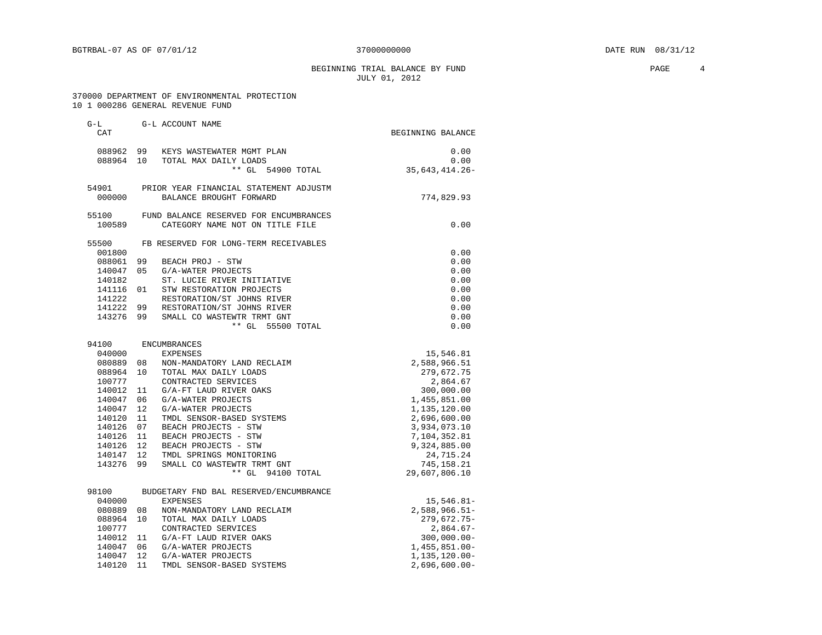# BEGINNING TRIAL BALANCE BY FUND **PAGE** 4 JULY 01, 2012

| $G-L$     |    | G-L ACCOUNT NAME                       |                   |
|-----------|----|----------------------------------------|-------------------|
| CAT       |    |                                        | BEGINNING BALANCE |
|           |    | 088962 99 KEYS WASTEWATER MGMT PLAN    | 0.00              |
| 088964 10 |    | TOTAL MAX DAILY LOADS                  | 0.00              |
|           |    | ** GL 54900 TOTAL                      | 35,643,414.26-    |
|           |    |                                        |                   |
| 54901     |    | PRIOR YEAR FINANCIAL STATEMENT ADJUSTM |                   |
| 000000    |    | BALANCE BROUGHT FORWARD                | 774,829.93        |
| 55100     |    | FUND BALANCE RESERVED FOR ENCUMBRANCES |                   |
| 100589    |    | CATEGORY NAME NOT ON TITLE FILE        | 0.00              |
| 55500     |    | FB RESERVED FOR LONG-TERM RECEIVABLES  |                   |
| 001800    |    |                                        | 0.00              |
| 088061    | 99 | BEACH PROJ - STW                       | 0.00              |
| 140047    | 05 | G/A-WATER PROJECTS                     | 0.00              |
| 140182    |    | ST. LUCIE RIVER INITIATIVE             | 0.00              |
| 141116    | 01 | STW RESTORATION PROJECTS               | 0.00              |
| 141222    |    | RESTORATION/ST JOHNS RIVER             | 0.00              |
| 141222    | 99 | RESTORATION/ST JOHNS RIVER             | 0.00              |
| 143276    | 99 | SMALL CO WASTEWTR TRMT GNT             | 0.00              |
|           |    | $***$ GL<br>55500 TOTAL                | 0.00              |
| 94100     |    | <b>ENCUMBRANCES</b>                    |                   |
| 040000    |    | <b>EXPENSES</b>                        | 15,546.81         |
| 080889    | 08 | NON-MANDATORY LAND RECLAIM             | 2,588,966.51      |
| 088964    | 10 | TOTAL MAX DAILY LOADS                  | 279,672.75        |
| 100777    |    | CONTRACTED SERVICES                    | 2,864.67          |
| 140012    | 11 | G/A-FT LAUD RIVER OAKS                 | 300,000.00        |
| 140047    | 06 | G/A-WATER PROJECTS                     | 1,455,851.00      |
| 140047    | 12 | G/A-WATER PROJECTS                     |                   |
|           | 11 |                                        | 1,135,120.00      |
| 140120    | 07 | TMDL SENSOR-BASED SYSTEMS              | 2,696,600.00      |
| 140126    |    | BEACH PROJECTS - STW                   | 3,934,073.10      |
| 140126    | 11 | BEACH PROJECTS - STW                   | 7,104,352.81      |
| 140126    | 12 | BEACH PROJECTS - STW                   | 9,324,885.00      |
| 140147    | 12 | TMDL SPRINGS MONITORING                | 24,715.24         |
| 143276    | 99 | SMALL CO WASTEWTR TRMT GNT             | 745,158.21        |
|           |    | $***$ GL<br>94100 TOTAL                | 29,607,806.10     |
| 98100     |    | BUDGETARY FND BAL RESERVED/ENCUMBRANCE |                   |
| 040000    |    | <b>EXPENSES</b>                        | $15,546.81-$      |
| 080889    | 08 | NON-MANDATORY LAND RECLAIM             | $2,588,966.51-$   |
| 088964    | 10 | TOTAL MAX DAILY LOADS                  | 279,672.75-       |
| 100777    |    | CONTRACTED SERVICES                    | $2,864.67-$       |
| 140012    | 11 | G/A-FT LAUD RIVER OAKS                 | $300,000.00 -$    |
| 140047    | 06 | G/A-WATER PROJECTS                     | $1,455,851.00 -$  |
| 140047    | 12 | G/A-WATER PROJECTS                     | 1,135,120.00-     |
| 140120    | 11 | TMDL SENSOR-BASED SYSTEMS              | $2,696,600.00 -$  |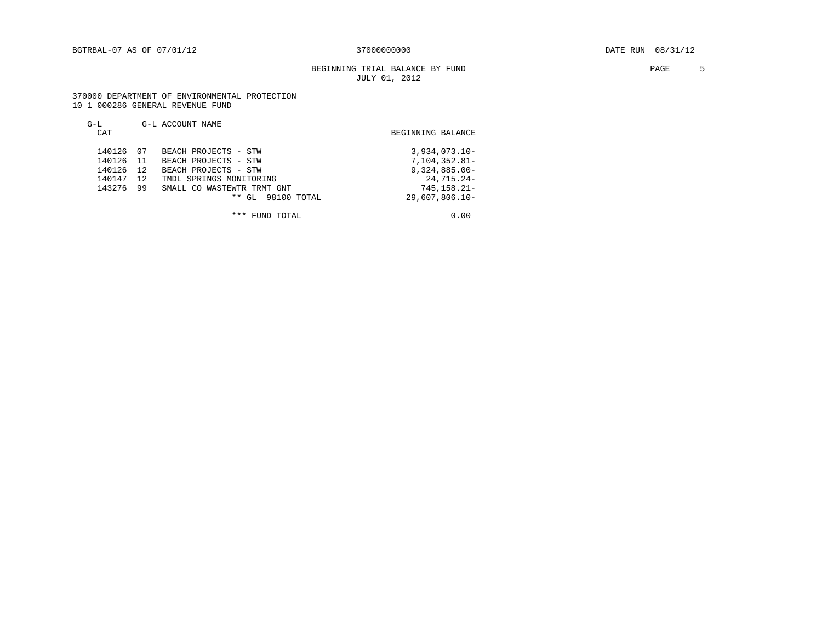# BEGINNING TRIAL BALANCE BY FUND **PAGE** 5 JULY 01, 2012

 370000 DEPARTMENT OF ENVIRONMENTAL PROTECTION 10 1 000286 GENERAL REVENUE FUND

| CAT                                                                                                                                                                                                                                        | BEGINNING BALANCE                                                                                          |
|--------------------------------------------------------------------------------------------------------------------------------------------------------------------------------------------------------------------------------------------|------------------------------------------------------------------------------------------------------------|
| 140126<br>BEACH PROJECTS - STW<br>07<br>140126<br>11<br>BEACH PROJECTS - STW<br>140126<br>12<br>BEACH PROJECTS - STW<br>140147<br>12<br>TMDL SPRINGS MONITORING<br>143276<br>99<br>SMALL CO WASTEWTR TRMT GNT<br>98100 TOTAL<br>* *<br>GL. | $3,934,073.10-$<br>7,104,352.81-<br>$9,324,885.00 -$<br>24,715.24-<br>$745, 158.21 -$<br>$29.607.806.10 -$ |

\*\*\* FUND TOTAL 0.00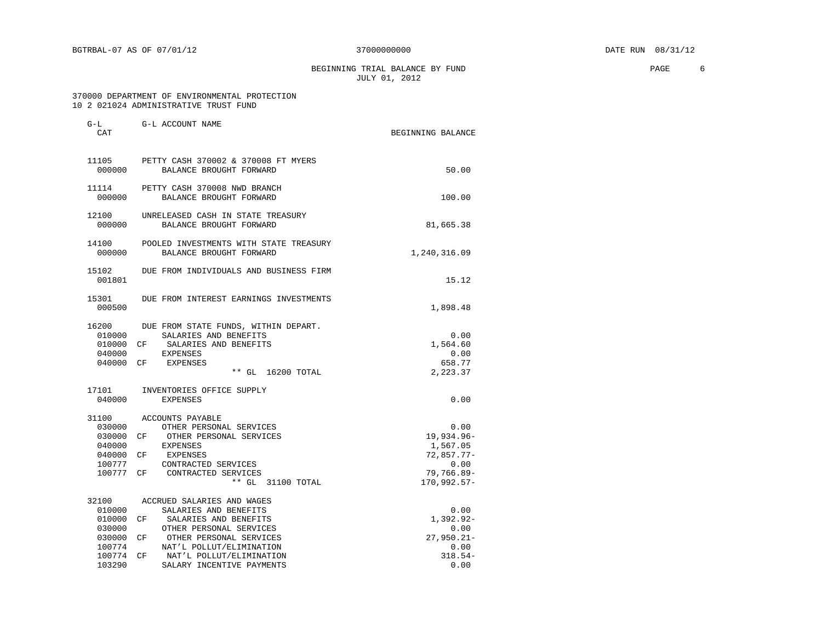BEGINNING TRIAL BALANCE BY FUND **EXAMPLE 1999** PAGE 6 JULY 01, 2012

### 370000 DEPARTMENT OF ENVIRONMENTAL PROTECTION 10 2 021024 ADMINISTRATIVE TRUST FUND

| $G-L$<br>CAT                                                                | G-L ACCOUNT NAME                                                                                                                                                                                                                                      | BEGINNING BALANCE                                                                        |
|-----------------------------------------------------------------------------|-------------------------------------------------------------------------------------------------------------------------------------------------------------------------------------------------------------------------------------------------------|------------------------------------------------------------------------------------------|
| 11105<br>000000                                                             | PETTY CASH 370002 & 370008 FT MYERS<br>BALANCE BROUGHT FORWARD                                                                                                                                                                                        | 50.00                                                                                    |
| 11114<br>000000                                                             | PETTY CASH 370008 NWD BRANCH<br>BALANCE BROUGHT FORWARD                                                                                                                                                                                               | 100.00                                                                                   |
| 12100<br>000000                                                             | UNRELEASED CASH IN STATE TREASURY<br>BALANCE BROUGHT FORWARD                                                                                                                                                                                          | 81,665.38                                                                                |
| 14100<br>000000                                                             | POOLED INVESTMENTS WITH STATE TREASURY<br>BALANCE BROUGHT FORWARD                                                                                                                                                                                     | 1,240,316.09                                                                             |
| 15102<br>001801                                                             | DUE FROM INDIVIDUALS AND BUSINESS FIRM                                                                                                                                                                                                                | 15.12                                                                                    |
| 15301<br>000500                                                             | DUE FROM INTEREST EARNINGS INVESTMENTS                                                                                                                                                                                                                | 1,898.48                                                                                 |
| 16200<br>010000<br>010000 CF<br>040000<br>040000 CF                         | DUE FROM STATE FUNDS, WITHIN DEPART.<br>SALARIES AND BENEFITS<br>SALARIES AND BENEFITS<br><b>EXPENSES</b><br>EXPENSES<br>** GL 16200 TOTAL                                                                                                            | 0.00<br>1,564.60<br>0.00<br>658.77<br>2,223.37                                           |
| 17101<br>040000                                                             | INVENTORIES OFFICE SUPPLY<br><b>EXPENSES</b>                                                                                                                                                                                                          | 0.00                                                                                     |
| 31100<br>030000<br>030000 CF<br>040000<br>040000 CF<br>100777<br>100777 CF  | ACCOUNTS PAYABLE<br>OTHER PERSONAL SERVICES<br>OTHER PERSONAL SERVICES<br><b>EXPENSES</b><br>EXPENSES<br>CONTRACTED SERVICES<br>CONTRACTED SERVICES<br>** GL 31100 TOTAL                                                                              | 0.00<br>19,934.96-<br>1,567.05<br>$72,857.77-$<br>0.00<br>$79,766.89 -$<br>$170,992.57-$ |
| 32100<br>010000<br>010000<br>030000<br>030000<br>100774<br>100774<br>103290 | ACCRUED SALARIES AND WAGES<br>SALARIES AND BENEFITS<br>SALARIES AND BENEFITS<br>CF<br>OTHER PERSONAL SERVICES<br>OTHER PERSONAL SERVICES<br>CF<br>NAT'L POLLUT/ELIMINATION<br>NAT'L POLLUT/ELIMINATION<br>CF <sup></sup><br>SALARY INCENTIVE PAYMENTS | 0.00<br>1,392.92-<br>0.00<br>$27,950.21 -$<br>0.00<br>$318.54-$<br>0.00                  |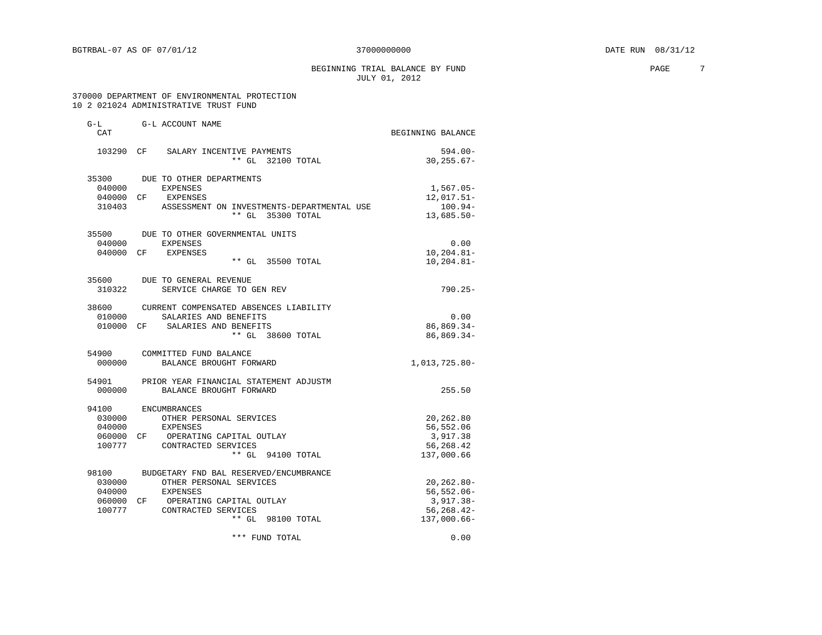# BEGINNING TRIAL BALANCE BY FUND **PAGE** 7 JULY 01, 2012

### 370000 DEPARTMENT OF ENVIRONMENTAL PROTECTION 10 2 021024 ADMINISTRATIVE TRUST FUND

| $G-L$<br>CAT                                     | G-L ACCOUNT NAME                                                                                                                                             | BEGINNING BALANCE                                                              |
|--------------------------------------------------|--------------------------------------------------------------------------------------------------------------------------------------------------------------|--------------------------------------------------------------------------------|
|                                                  | 103290 CF SALARY INCENTIVE PAYMENTS<br>** GL 32100 TOTAL                                                                                                     | $594.00 -$<br>$30, 255.67 -$                                                   |
| 040000<br>040000 CF<br>310403                    | 35300 DUE TO OTHER DEPARTMENTS<br>EXPENSES<br>EXPENSES<br>ASSESSMENT ON INVESTMENTS-DEPARTMENTAL USE<br>** GL 35300 TOTAL                                    | $1,567.05 -$<br>$12,017.51-$<br>$100.94-$<br>$13,685.50 -$                     |
| 040000                                           | 35500 DUE TO OTHER GOVERNMENTAL UNITS<br><b>EXPENSES</b><br>040000 CF EXPENSES<br>** GL 35500 TOTAL                                                          | 0.00<br>$10, 204.81 -$<br>$10, 204.81 -$                                       |
| 310322                                           | 35600 DUE TO GENERAL REVENUE<br>SERVICE CHARGE TO GEN REV                                                                                                    | $790.25 -$                                                                     |
| 010000                                           | 38600 CURRENT COMPENSATED ABSENCES LIABILITY<br>SALARIES AND BENEFITS<br>010000 CF SALARIES AND BENEFITS<br>** GL 38600 TOTAL                                | 0.00<br>$86,869.34-$<br>$86,869.34-$                                           |
| 54900<br>000000                                  | COMMITTED FUND BALANCE<br>BALANCE BROUGHT FORWARD                                                                                                            | 1,013,725.80-                                                                  |
| 54901<br>000000                                  | PRIOR YEAR FINANCIAL STATEMENT ADJUSTM<br>BALANCE BROUGHT FORWARD                                                                                            | 255.50                                                                         |
| 94100<br>030000<br>040000<br>060000 CF<br>100777 | <b>ENCUMBRANCES</b><br>OTHER PERSONAL SERVICES<br><b>EXPENSES</b><br>OPERATING CAPITAL OUTLAY<br>CONTRACTED SERVICES<br>** GL 94100 TOTAL                    | 20,262.80<br>56,552.06<br>3,917.38<br>56,268.42<br>137,000.66                  |
| 98100<br>030000<br>040000<br>060000 CF<br>100777 | BUDGETARY FND BAL RESERVED/ENCUMBRANCE<br>OTHER PERSONAL SERVICES<br><b>EXPENSES</b><br>OPERATING CAPITAL OUTLAY<br>CONTRACTED SERVICES<br>** GL 98100 TOTAL | $20, 262.80 -$<br>$56, 552.06 -$<br>3,917.38-<br>$56, 268.42 -$<br>137,000.66- |
|                                                  | *** FUND TOTAL                                                                                                                                               | 0.00                                                                           |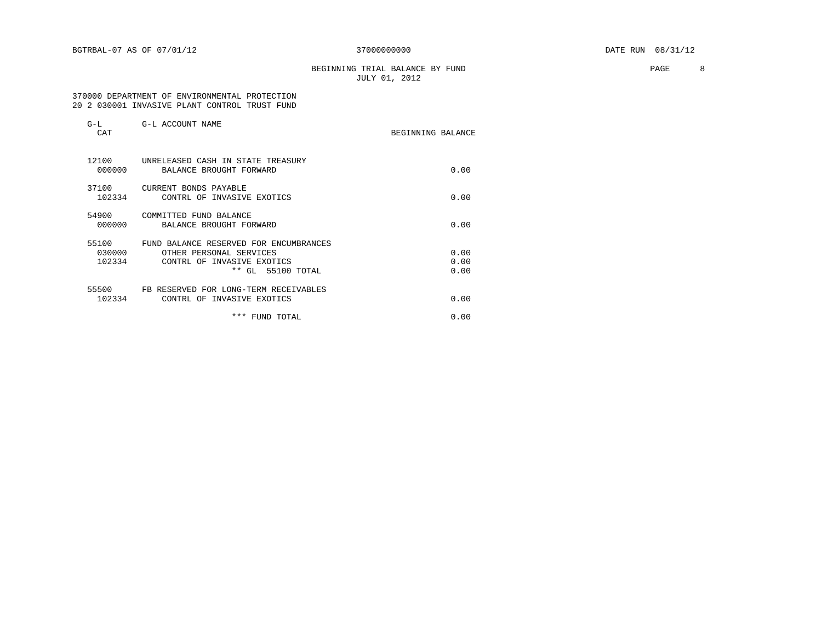# BEGINNING TRIAL BALANCE BY FUND **PAGE 8** JULY 01, 2012

 370000 DEPARTMENT OF ENVIRONMENTAL PROTECTION 20 2 030001 INVASIVE PLANT CONTROL TRUST FUND

| $G-L$<br>CAT              | G-L ACCOUNT NAME                                                                                                         | BEGINNING BALANCE    |
|---------------------------|--------------------------------------------------------------------------------------------------------------------------|----------------------|
| 12100<br>000000           | UNRELEASED CASH IN STATE TREASURY<br>BALANCE BROUGHT FORWARD                                                             | 0.00                 |
| 37100<br>102334           | CURRENT BONDS PAYABLE<br>CONTRL OF INVASIVE EXOTICS                                                                      | 0.00                 |
| 54900<br>000000           | COMMITTED FUND BALANCE<br>BALANCE BROUGHT FORWARD                                                                        | 0.00                 |
| 55100<br>030000<br>102334 | FUND BALANCE RESERVED FOR ENCUMBRANCES<br>OTHER PERSONAL SERVICES<br>CONTRL OF INVASIVE EXOTICS<br>* *<br>GL 55100 TOTAL | 0.00<br>0.00<br>0.00 |
| 55500<br>102334           | FB RESERVED FOR LONG-TERM RECEIVABLES<br>INVASIVE EXOTICS<br>CONTRL OF                                                   | 0.00                 |
|                           | *** FUND TOTAL                                                                                                           | 0.00                 |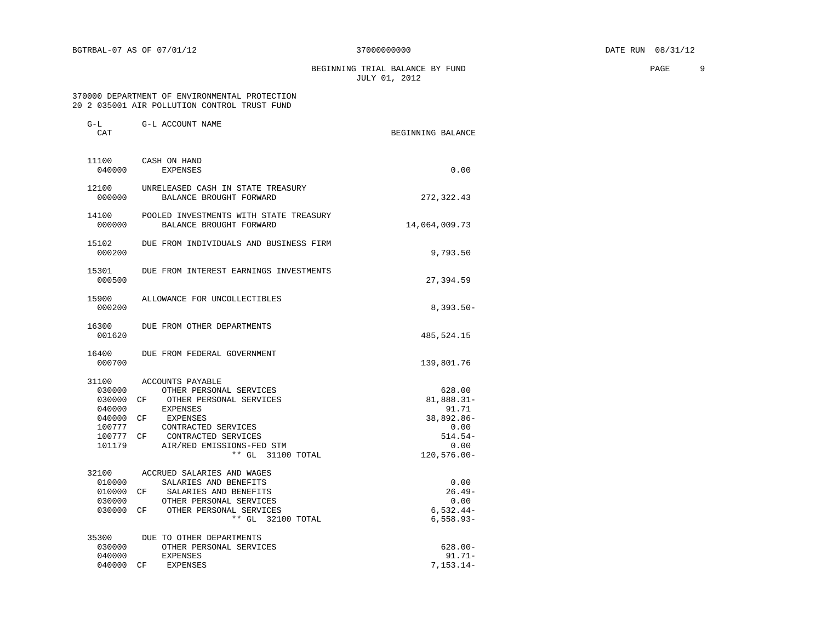BEGINNING TRIAL BALANCE BY FUND **EXAMPLE 19** PAGE 9 JULY 01, 2012

# 370000 DEPARTMENT OF ENVIRONMENTAL PROTECTION 20 2 035001 AIR POLLUTION CONTROL TRUST FUND

| $G-L$<br>CAT                                                                   | G-L ACCOUNT NAME                                                                                                                                                                                                  | BEGINNING BALANCE                                                                         |
|--------------------------------------------------------------------------------|-------------------------------------------------------------------------------------------------------------------------------------------------------------------------------------------------------------------|-------------------------------------------------------------------------------------------|
| 11100<br>040000                                                                | CASH ON HAND<br><b>EXPENSES</b>                                                                                                                                                                                   | 0.00                                                                                      |
| 12100<br>000000                                                                | UNRELEASED CASH IN STATE TREASURY<br>BALANCE BROUGHT FORWARD                                                                                                                                                      | 272,322.43                                                                                |
| 14100<br>000000                                                                | POOLED INVESTMENTS WITH STATE TREASURY<br>BALANCE BROUGHT FORWARD                                                                                                                                                 | 14,064,009.73                                                                             |
| 15102<br>000200                                                                | DUE FROM INDIVIDUALS AND BUSINESS FIRM                                                                                                                                                                            | 9,793.50                                                                                  |
| 15301<br>000500                                                                | DUE FROM INTEREST EARNINGS INVESTMENTS                                                                                                                                                                            | 27,394.59                                                                                 |
| 15900<br>000200                                                                | ALLOWANCE FOR UNCOLLECTIBLES                                                                                                                                                                                      | $8,393.50 -$                                                                              |
| 16300<br>001620                                                                | DUE FROM OTHER DEPARTMENTS                                                                                                                                                                                        | 485,524.15                                                                                |
| 16400<br>000700                                                                | DUE FROM FEDERAL GOVERNMENT                                                                                                                                                                                       | 139,801.76                                                                                |
| 31100<br>030000<br>030000<br>040000<br>040000<br>100777<br>100777 CF<br>101179 | ACCOUNTS PAYABLE<br>OTHER PERSONAL SERVICES<br>CF<br>OTHER PERSONAL SERVICES<br><b>EXPENSES</b><br>EXPENSES<br>СF<br>CONTRACTED SERVICES<br>CONTRACTED SERVICES<br>AIR/RED EMISSIONS-FED STM<br>** GL 31100 TOTAL | 628.00<br>$81,888.31-$<br>91.71<br>38,892.86-<br>0.00<br>$514.54-$<br>0.00<br>120,576.00- |
| 32100<br>010000<br>010000 CF<br>030000<br>030000                               | ACCRUED SALARIES AND WAGES<br>SALARIES AND BENEFITS<br>SALARIES AND BENEFITS<br>OTHER PERSONAL SERVICES<br>CF<br>OTHER PERSONAL SERVICES<br>** GL 32100 TOTAL                                                     | 0.00<br>$26.49-$<br>0.00<br>$6,532.44-$<br>$6,558.93-$                                    |
| 35300<br>030000<br>040000<br>040000                                            | DUE TO OTHER DEPARTMENTS<br>OTHER PERSONAL SERVICES<br><b>EXPENSES</b><br>СF<br><b>EXPENSES</b>                                                                                                                   | $628.00 -$<br>$91.71 -$<br>$7, 153.14 -$                                                  |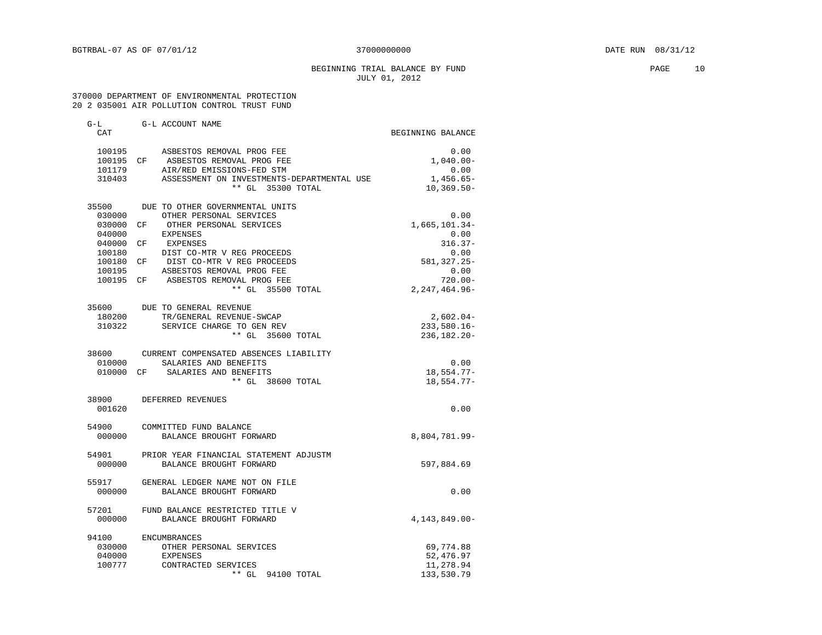# BEGINNING TRIAL BALANCE BY FUND **EXAMPLE 10** PAGE 10 JULY 01, 2012

# 370000 DEPARTMENT OF ENVIRONMENTAL PROTECTION 20 2 035001 AIR POLLUTION CONTROL TRUST FUND

| $G-L$  |        | G-L ACCOUNT NAME                             |                    |
|--------|--------|----------------------------------------------|--------------------|
| CAT    |        |                                              | BEGINNING BALANCE  |
|        |        | 100195 ASBESTOS REMOVAL PROG FEE             | 0.00               |
|        |        | 100195 CF ASBESTOS REMOVAL PROG FEE          | $1,040.00 -$       |
| 101179 |        | AIR/RED EMISSIONS-FED STM                    | 0.00               |
| 310403 |        | ASSESSMENT ON INVESTMENTS-DEPARTMENTAL USE   | $1,456.65-$        |
|        |        | ** GL 35300 TOTAL                            | $10, 369.50 -$     |
|        |        | 35500 DUE TO OTHER GOVERNMENTAL UNITS        |                    |
| 030000 |        | OTHER PERSONAL SERVICES                      | 0.00               |
| 030000 |        | CF OTHER PERSONAL SERVICES                   | 1,665,101.34-      |
| 040000 |        | EXPENSES                                     | 0.00               |
| 040000 |        | CF EXPENSES                                  | $316.37-$          |
| 100180 |        | DIST CO-MTR V REG PROCEEDS                   | 0.00               |
|        |        | 100180 CF DIST CO-MTR V REG PROCEEDS         | $581,327.25 -$     |
| 100195 |        | ASBESTOS REMOVAL PROG FEE                    | 0.00               |
| 100195 |        | CF ASBESTOS REMOVAL PROG FEE                 | $720.00 -$         |
|        |        | ** GL 35500 TOTAL                            | $2, 247, 464.96 -$ |
|        |        | 35600 DUE TO GENERAL REVENUE                 |                    |
| 180200 |        | TR/GENERAL REVENUE-SWCAP                     | $2,602.04-$        |
| 310322 |        | SERVICE CHARGE TO GEN REV                    | $233,580.16 -$     |
|        |        | ** GL 35600 TOTAL                            | $236, 182.20 -$    |
|        |        | 38600 CURRENT COMPENSATED ABSENCES LIABILITY |                    |
| 010000 |        | SALARIES AND BENEFITS                        | 0.00               |
|        |        | 010000 CF SALARIES AND BENEFITS              | 18,554.77-         |
|        |        | ** GL 38600 TOTAL                            | 18,554.77-         |
| 38900  |        | DEFERRED REVENUES                            |                    |
| 001620 |        |                                              | 0.00               |
|        |        | 54900 COMMITTED FUND BALANCE                 |                    |
| 000000 |        | BALANCE BROUGHT FORWARD                      | 8,804,781.99-      |
| 54901  |        | PRIOR YEAR FINANCIAL STATEMENT ADJUSTM       |                    |
|        | 000000 | BALANCE BROUGHT FORWARD                      | 597,884.69         |
| 55917  |        | GENERAL LEDGER NAME NOT ON FILE              |                    |
| 000000 |        | BALANCE BROUGHT FORWARD                      | 0.00               |
| 57201  |        | FUND BALANCE RESTRICTED TITLE V              |                    |
| 000000 |        | BALANCE BROUGHT FORWARD                      | $4,143,849.00-$    |
| 94100  |        | ENCUMBRANCES                                 |                    |
| 030000 |        | OTHER PERSONAL SERVICES                      | 69,774.88          |
| 040000 |        | EXPENSES                                     | 52,476.97          |
| 100777 |        | CONTRACTED SERVICES                          | 11,278.94          |
|        |        | $**$ GL<br>94100 TOTAL                       | 133,530.79         |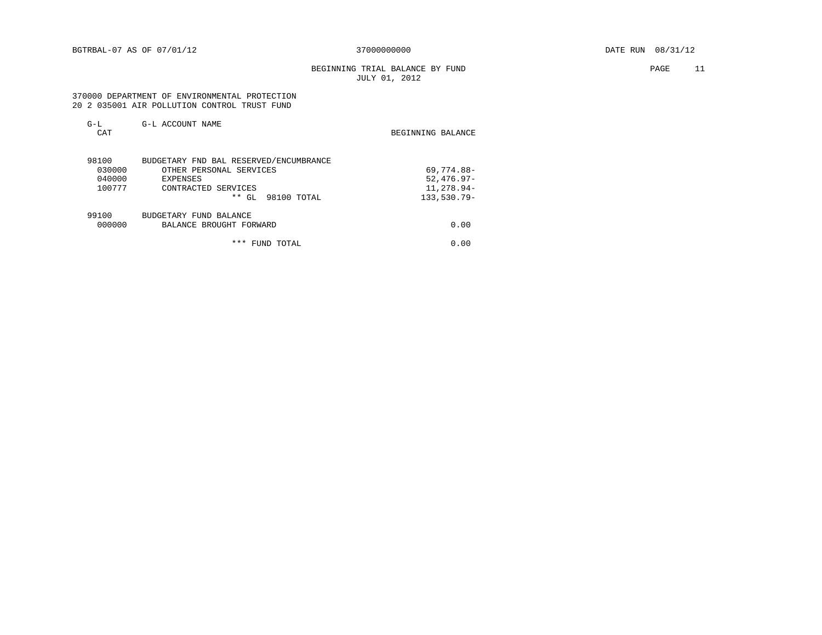# BEGINNING TRIAL BALANCE BY FUND PAGE 11 JULY 01, 2012

### 370000 DEPARTMENT OF ENVIRONMENTAL PROTECTION 20 2 035001 AIR POLLUTION CONTROL TRUST FUND

| $G-L$<br>CAT | G-L ACCOUNT NAME                       | BEGINNING BALANCE |
|--------------|----------------------------------------|-------------------|
| 98100        | BUDGETARY FND BAL RESERVED/ENCUMBRANCE |                   |
| 030000       | OTHER PERSONAL SERVICES                | 69,774.88-        |
| 040000       | <b>EXPENSES</b>                        | $52.476.97 -$     |
| 100777       | CONTRACTED SERVICES                    | $11,278.94-$      |
|              | $**$ GL<br>98100 TOTAL                 | $133,530.79-$     |
| 99100        | BUDGETARY FUND BALANCE                 |                   |
| 000000       | BALANCE BROUGHT FORWARD                | 0.00              |
|              | * * *<br>FUND TOTAL                    | 0.00              |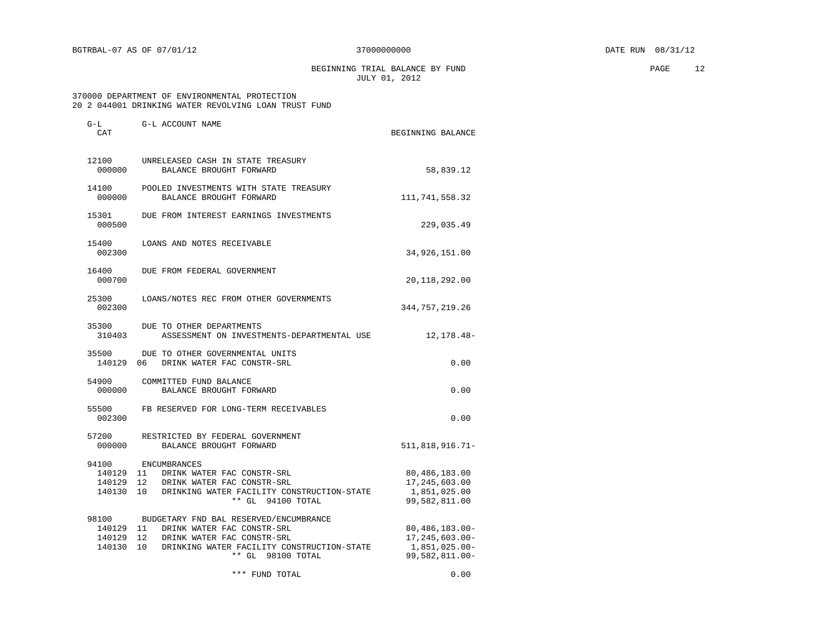BEGINNING TRIAL BALANCE BY FUND **EXAMPLE 12** PAGE 12 JULY 01, 2012

 370000 DEPARTMENT OF ENVIRONMENTAL PROTECTION 20 2 044001 DRINKING WATER REVOLVING LOAN TRUST FUND

| CAT                                       |                                                                                                                                                                                                           | BEGINNING BALANCE                                                           |
|-------------------------------------------|-----------------------------------------------------------------------------------------------------------------------------------------------------------------------------------------------------------|-----------------------------------------------------------------------------|
| 12100<br>000000                           | UNRELEASED CASH IN STATE TREASURY<br>BALANCE BROUGHT FORWARD                                                                                                                                              | 58,839.12                                                                   |
| 14100<br>000000                           | POOLED INVESTMENTS WITH STATE TREASURY<br>BALANCE BROUGHT FORWARD                                                                                                                                         | 111, 741, 558.32                                                            |
| 15301<br>000500                           | DUE FROM INTEREST EARNINGS INVESTMENTS                                                                                                                                                                    | 229,035.49                                                                  |
| 15400<br>002300                           | LOANS AND NOTES RECEIVABLE                                                                                                                                                                                | 34,926,151.00                                                               |
| 16400<br>000700                           | DUE FROM FEDERAL GOVERNMENT                                                                                                                                                                               | 20,118,292.00                                                               |
| 25300<br>002300                           | LOANS/NOTES REC FROM OTHER GOVERNMENTS                                                                                                                                                                    | 344, 757, 219.26                                                            |
| 35300<br>310403                           | DUE TO OTHER DEPARTMENTS<br>ASSESSMENT ON INVESTMENTS-DEPARTMENTAL USE                                                                                                                                    | 12, 178. 48-                                                                |
| 35500<br>140129 06                        | DUE TO OTHER GOVERNMENTAL UNITS<br>DRINK WATER FAC CONSTR-SRL                                                                                                                                             | 0.00                                                                        |
| 54900<br>000000                           | COMMITTED FUND BALANCE<br>BALANCE BROUGHT FORWARD                                                                                                                                                         | 0.00                                                                        |
| 55500<br>002300                           | FB RESERVED FOR LONG-TERM RECEIVABLES                                                                                                                                                                     | 0.00                                                                        |
| 57200<br>000000                           | RESTRICTED BY FEDERAL GOVERNMENT<br>BALANCE BROUGHT FORWARD                                                                                                                                               | 511,818,916.71-                                                             |
| 94100<br>140129 11<br>140129 12<br>140130 | ENCUMBRANCES<br>DRINK WATER FAC CONSTR-SRL<br>DRINK WATER FAC CONSTR-SRL<br>10<br>DRINKING WATER FACILITY CONSTRUCTION-STATE<br>** GL 94100 TOTAL                                                         | 80,486,183.00<br>17,245,603.00<br>1,851,025.00<br>99,582,811.00             |
|                                           | 98100 BUDGETARY FND BAL RESERVED/ENCUMBRANCE<br>140129 11 DRINK WATER FAC CONSTR-SRL<br>140129 12 DRINK WATER FAC CONSTR-SRL<br>140130 10 DRINKING WATER FACILITY CONSTRUCTION-STATE<br>** GL 98100 TOTAL | $80,486,183.00 -$<br>$17, 245, 603.00 -$<br>1,851,025.00-<br>99,582,811.00- |
|                                           | *** FUND TOTAL                                                                                                                                                                                            | 0.00                                                                        |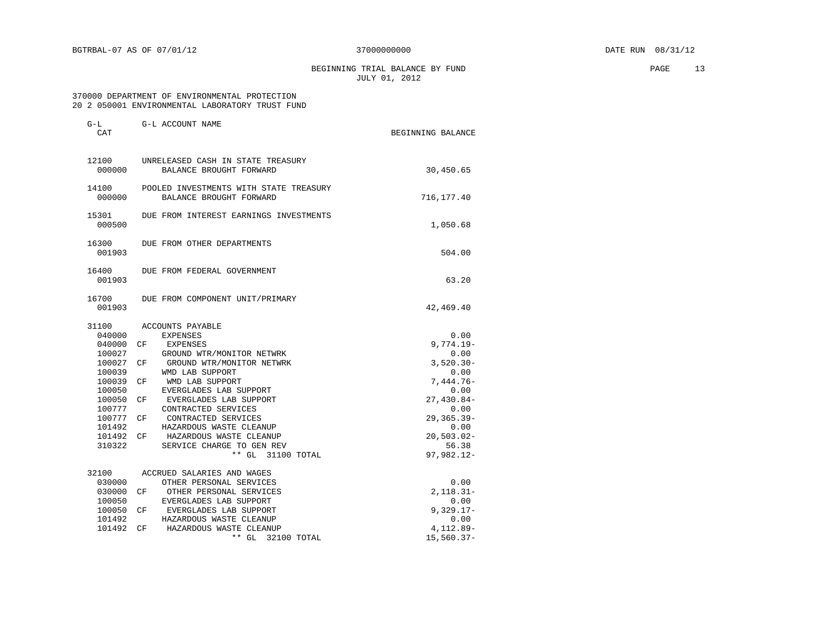BEGINNING TRIAL BALANCE BY FUND **PAGE** 13 JULY 01, 2012

# 370000 DEPARTMENT OF ENVIRONMENTAL PROTECTION 20 2 050001 ENVIRONMENTAL LABORATORY TRUST FUND

| $G-L$<br>CAT    | G-L ACCOUNT NAME                                                  | BEGINNING BALANCE   |
|-----------------|-------------------------------------------------------------------|---------------------|
| 12100<br>000000 | UNRELEASED CASH IN STATE TREASURY<br>BALANCE BROUGHT FORWARD      | 30,450.65           |
| 14100<br>000000 | POOLED INVESTMENTS WITH STATE TREASURY<br>BALANCE BROUGHT FORWARD | 716,177.40          |
| 15301<br>000500 | DUE FROM INTEREST EARNINGS INVESTMENTS                            | 1,050.68            |
| 16300<br>001903 | DUE FROM OTHER DEPARTMENTS                                        | 504.00              |
| 16400<br>001903 | DUE FROM FEDERAL GOVERNMENT                                       | 63.20               |
| 16700<br>001903 | DUE FROM COMPONENT UNIT/PRIMARY                                   | 42,469.40           |
| 31100           | ACCOUNTS PAYABLE                                                  |                     |
| 040000          | EXPENSES                                                          | 0.00                |
| 040000 CF       | EXPENSES                                                          | $9,774.19-$         |
| 100027          | GROUND WTR/MONITOR NETWRK                                         | 0.00                |
| 100027 CF       | GROUND WTR/MONITOR NETWRK                                         | $3,520.30-$         |
| 100039          | WMD LAB SUPPORT                                                   | 0.00                |
| 100039 CF       | WMD LAB SUPPORT                                                   | $7,444.76-$         |
| 100050          | EVERGLADES LAB SUPPORT                                            | 0.00                |
| 100050          | EVERGLADES LAB SUPPORT<br>CF <sup></sup>                          | $27,430.84-$        |
| 100777          | CONTRACTED SERVICES                                               | 0.00                |
| 100777 CF       | CONTRACTED SERVICES                                               | $29, 365.39 -$      |
| 101492          | HAZARDOUS WASTE CLEANUP                                           | 0.00                |
| 101492 CF       | HAZARDOUS WASTE CLEANUP                                           | $20,503.02 -$       |
| 310322          | SERVICE CHARGE TO GEN REV<br>** GL 31100 TOTAL                    | 56.38<br>97,982.12- |
|                 |                                                                   |                     |
| 32100           | ACCRUED SALARIES AND WAGES                                        |                     |
| 030000          | OTHER PERSONAL SERVICES                                           | 0.00                |
| 030000 CF       | OTHER PERSONAL SERVICES                                           | $2,118.31-$         |
| 100050          | EVERGLADES LAB SUPPORT                                            | 0.00                |
| 100050 CF       | EVERGLADES LAB SUPPORT                                            | $9,329.17-$         |
| 101492          | HAZARDOUS WASTE CLEANUP                                           | 0.00                |
| 101492          | HAZARDOUS WASTE CLEANUP<br>CF                                     | 4,112.89-           |
|                 | ** GL 32100 TOTAL                                                 | $15,560.37-$        |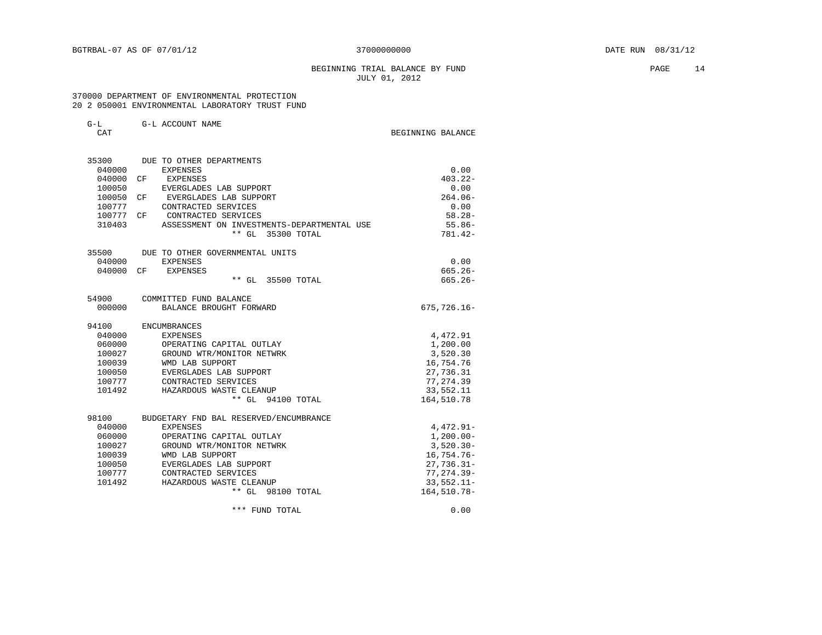# BEGINNING TRIAL BALANCE BY FUND **PAGE** 14 JULY 01, 2012

 370000 DEPARTMENT OF ENVIRONMENTAL PROTECTION 20 2 050001 ENVIRONMENTAL LABORATORY TRUST FUND

| $G-L$<br>CAT | G-L ACCOUNT NAME                           | BEGINNING BALANCE |
|--------------|--------------------------------------------|-------------------|
|              | 35300 DUE TO OTHER DEPARTMENTS             |                   |
| 040000       | EXPENSES                                   | 0.00              |
| 040000       | <b>EXPENSES</b><br>CF                      | $403.22 -$        |
| 100050       | EVERGLADES LAB SUPPORT                     | 0.00              |
| 100050 CF    | EVERGLADES LAB SUPPORT                     | $264.06-$         |
| 100777       | CONTRACTED SERVICES                        | 0.00              |
| 100777 CF    | CONTRACTED SERVICES                        | $58.28 -$         |
| 310403       | ASSESSMENT ON INVESTMENTS-DEPARTMENTAL USE | 55.86-            |
|              | ** GL 35300 TOTAL                          | 781.42-           |
|              | 35500 DUE TO OTHER GOVERNMENTAL UNITS      |                   |
| 040000       | <b>EXPENSES</b>                            | 0.00              |
| 040000       | CF.<br>EXPENSES                            | $665.26 -$        |
|              | ** GL 35500 TOTAL                          | $665.26 -$        |
| 54900        | COMMITTED FUND BALANCE                     |                   |
| 000000       | BALANCE BROUGHT FORWARD                    | $675, 726.16 -$   |
| 94100        | ENCUMBRANCES                               |                   |
| 040000       | EXPENSES                                   | 4,472.91          |
| 060000       | OPERATING CAPITAL OUTLAY                   | 1,200.00          |
| 100027       | GROUND WTR/MONITOR NETWRK                  | 3,520.30          |
| 100039       | WMD LAB SUPPORT                            | 16,754.76         |
| 100050       | EVERGLADES LAB SUPPORT                     | 27,736.31         |
| 100777       | CONTRACTED SERVICES                        | 77, 274.39        |
| 101492       | HAZARDOUS WASTE CLEANUP                    | 33,552.11         |
|              | ** GL 94100 TOTAL                          | 164,510.78        |
| 98100        | BUDGETARY FND BAL RESERVED/ENCUMBRANCE     |                   |
| 040000       | <b>EXPENSES</b>                            | 4,472.91-         |
| 060000       | OPERATING CAPITAL OUTLAY                   | $1,200.00-$       |
| 100027       | GROUND WTR/MONITOR NETWRK                  | $3,520.30-$       |
| 100039       | WMD LAB SUPPORT                            | $16,754.76-$      |
| 100050       | EVERGLADES LAB SUPPORT                     | $27,736.31 -$     |
| 100777       | CONTRACTED SERVICES                        | $77, 274.39 -$    |
| 101492       | HAZARDOUS WASTE CLEANUP                    | $33,552.11-$      |
|              | ** GL 98100 TOTAL                          | 164,510.78-       |

\*\*\* FUND TOTAL 0.00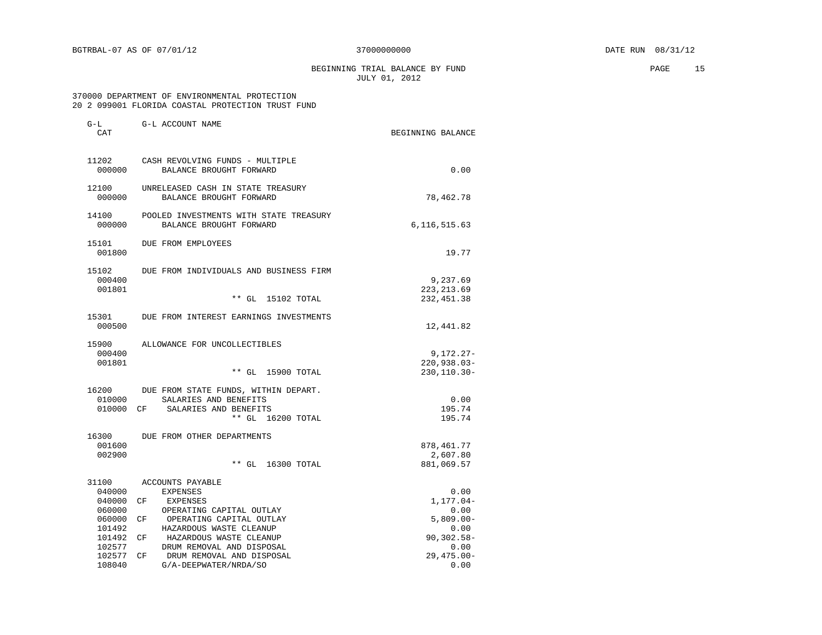BEGINNING TRIAL BALANCE BY FUND **PAGE 15** JULY 01, 2012

### 370000 DEPARTMENT OF ENVIRONMENTAL PROTECTION 20 2 099001 FLORIDA COASTAL PROTECTION TRUST FUND

| CAT                                                                                   |                                                                                                                                                                                                                                                  | BEGINNING BALANCE                                                                     |
|---------------------------------------------------------------------------------------|--------------------------------------------------------------------------------------------------------------------------------------------------------------------------------------------------------------------------------------------------|---------------------------------------------------------------------------------------|
| 11202<br>000000                                                                       | CASH REVOLVING FUNDS - MULTIPLE<br>BALANCE BROUGHT FORWARD                                                                                                                                                                                       | 0.00                                                                                  |
| 12100<br>000000                                                                       | UNRELEASED CASH IN STATE TREASURY<br>BALANCE BROUGHT FORWARD                                                                                                                                                                                     | 78,462.78                                                                             |
| 14100<br>000000                                                                       | POOLED INVESTMENTS WITH STATE TREASURY<br>BALANCE BROUGHT FORWARD                                                                                                                                                                                | 6,116,515.63                                                                          |
| 15101<br>001800                                                                       | DUE FROM EMPLOYEES                                                                                                                                                                                                                               | 19.77                                                                                 |
| 15102<br>000400<br>001801                                                             | DUE FROM INDIVIDUALS AND BUSINESS FIRM<br>$**$ GL<br>15102 TOTAL                                                                                                                                                                                 | 9,237.69<br>223, 213.69<br>232, 451.38                                                |
| 15301<br>000500                                                                       | DUE FROM INTEREST EARNINGS INVESTMENTS                                                                                                                                                                                                           | 12,441.82                                                                             |
| 15900<br>000400<br>001801                                                             | ALLOWANCE FOR UNCOLLECTIBLES<br>** GL 15900 TOTAL                                                                                                                                                                                                | $9,172.27 -$<br>$220,938.03-$<br>$230, 110.30 -$                                      |
| 010000                                                                                | 16200 DUE FROM STATE FUNDS, WITHIN DEPART.<br>SALARIES AND BENEFITS<br>010000 CF SALARIES AND BENEFITS<br>** GL 16200 TOTAL                                                                                                                      | 0.00<br>195.74<br>195.74                                                              |
| 16300<br>001600<br>002900                                                             | DUE FROM OTHER DEPARTMENTS<br>** GL 16300 TOTAL                                                                                                                                                                                                  | 878, 461. 77<br>2,607.80<br>881,069.57                                                |
| 31100<br>040000<br>040000<br>060000<br>060000<br>101492<br>101492<br>102577<br>102577 | ACCOUNTS PAYABLE<br><b>EXPENSES</b><br>CF<br>EXPENSES<br>OPERATING CAPITAL OUTLAY<br>OPERATING CAPITAL OUTLAY<br>CF<br>HAZARDOUS WASTE CLEANUP<br>HAZARDOUS WASTE CLEANUP<br>CF.<br>DRUM REMOVAL AND DISPOSAL<br>CF<br>DRUM REMOVAL AND DISPOSAL | 0.00<br>1,177.04-<br>0.00<br>$5,809.00 -$<br>0.00<br>90,302.58-<br>0.00<br>29,475.00- |
| 108040                                                                                | G/A-DEEPWATER/NRDA/SO                                                                                                                                                                                                                            | 0.00                                                                                  |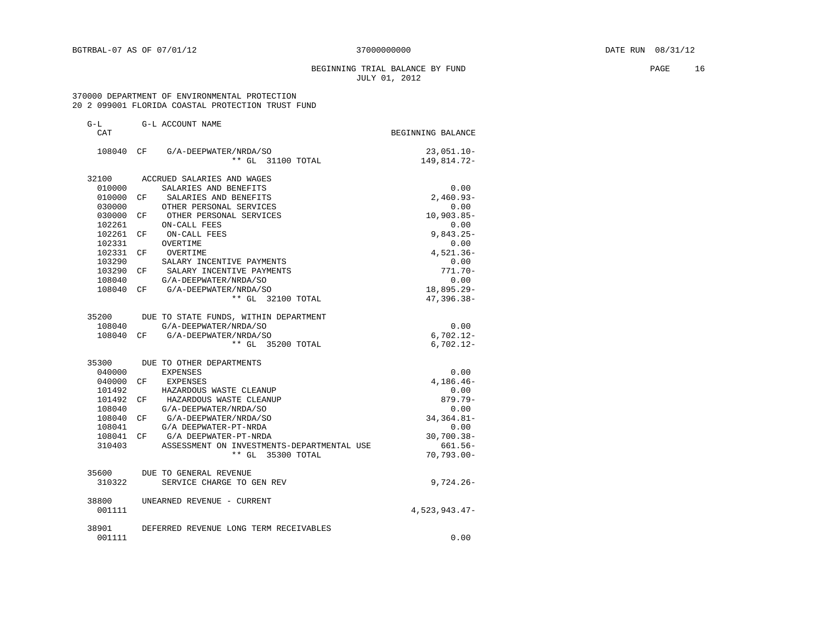# BEGINNING TRIAL BALANCE BY FUND **PAGE** 16 JULY 01, 2012

### 370000 DEPARTMENT OF ENVIRONMENTAL PROTECTION 20 2 099001 FLORIDA COASTAL PROTECTION TRUST FUND

| $G-L$<br>CAT     | G-L ACCOUNT NAME                                                    | BEGINNING BALANCE            |
|------------------|---------------------------------------------------------------------|------------------------------|
|                  |                                                                     |                              |
|                  | 108040 CF G/A-DEEPWATER/NRDA/SO<br>** GL 31100 TOTAL                | $23,051.10 -$<br>149,814.72- |
| 32100            | ACCRUED SALARIES AND WAGES                                          |                              |
| 010000           | SALARIES AND BENEFITS                                               | 0.00                         |
| 010000           | SALARIES AND BENEFITS<br>CF                                         | $2,460.93-$                  |
| 030000           | OTHER PERSONAL SERVICES                                             | 0.00                         |
| 030000           | OTHER PERSONAL SERVICES<br>CF                                       | $10,903.85-$                 |
| 102261           | ON-CALL FEES                                                        | 0.00                         |
| 102261           | ON-CALL FEES<br>CF                                                  | $9,843.25-$                  |
| 102331           | OVERTIME                                                            | 0.00                         |
| 102331 CF        | OVERTIME                                                            | 4,521.36-                    |
| 103290           | SALARY INCENTIVE PAYMENTS                                           | 0.00                         |
| 103290           | SALARY INCENTIVE PAYMENTS<br>CF                                     | $771.70 -$                   |
| 108040           | G/A-DEEPWATER/NRDA/SO                                               | 0.00                         |
| 108040           | CF<br>G/A-DEEPWATER/NRDA/SO                                         | 18,895.29-                   |
|                  | ** GL 32100 TOTAL                                                   | 47,396.38-                   |
| 35200            | DUE TO STATE FUNDS, WITHIN DEPARTMENT                               |                              |
| 108040           | G/A-DEEPWATER/NRDA/SO                                               | 0.00                         |
| 108040 CF        | G/A-DEEPWATER/NRDA/SO                                               | $6,702.12 -$                 |
|                  | ** GL 35200 TOTAL                                                   | $6,702.12 -$                 |
| 35300            | DUE TO OTHER DEPARTMENTS                                            |                              |
| 040000           | <b>EXPENSES</b>                                                     | 0.00                         |
| 040000           | CF<br>EXPENSES                                                      | $4,186.46-$                  |
| 101492           | HAZARDOUS WASTE CLEANUP                                             | 0.00                         |
| 101492           | HAZARDOUS WASTE CLEANUP<br>CF                                       | $879.79 -$                   |
| 108040           | G/A-DEEPWATER/NRDA/SO                                               | 0.00                         |
| 108040           | G/A-DEEPWATER/NRDA/SO<br>CF                                         | $34, 364.81 -$               |
| 108041           | G/A DEEPWATER-PT-NRDA<br>CF                                         | 0.00<br>$30,700.38 -$        |
| 108041<br>310403 | G/A DEEPWATER-PT-NRDA<br>ASSESSMENT ON INVESTMENTS-DEPARTMENTAL USE | 661.56-                      |
|                  | ** GL 35300 TOTAL                                                   | $70,793.00 -$                |
| 35600            | DUE TO GENERAL REVENUE                                              |                              |
| 310322           | SERVICE CHARGE TO GEN REV                                           | $9,724.26 -$                 |
| 38800            | UNEARNED REVENUE - CURRENT                                          |                              |
| 001111           |                                                                     | $4,523,943.47-$              |
| 38901            | DEFERRED REVENUE LONG TERM RECEIVABLES                              |                              |
| 001111           |                                                                     | 0.00                         |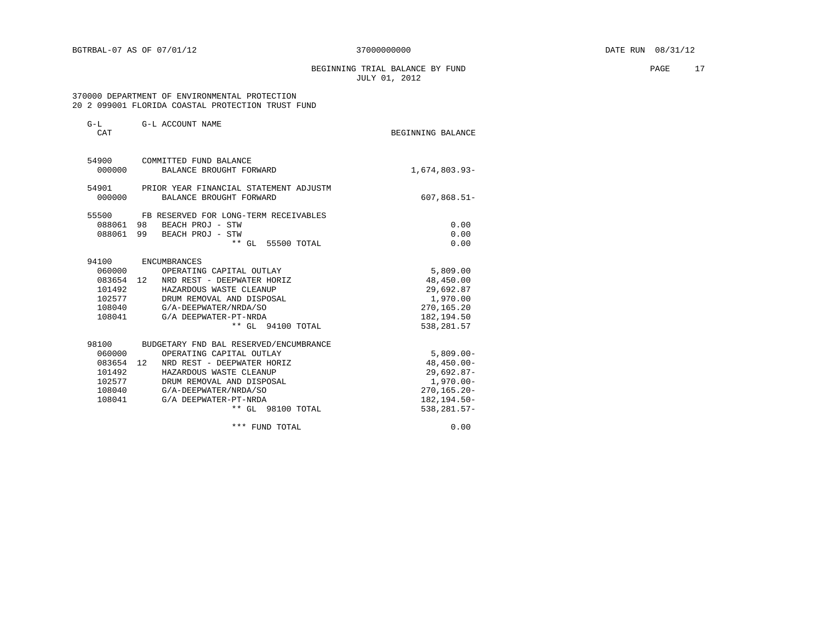BEGINNING TRIAL BALANCE BY FUND **EXAMPLE 17** PAGE 17 JULY 01, 2012

 370000 DEPARTMENT OF ENVIRONMENTAL PROTECTION 20 2 099001 FLORIDA COASTAL PROTECTION TRUST FUND

| $G-L$<br>CAT                                                         | G-L ACCOUNT NAME                                                                                                                                                                                                                | BEGINNING BALANCE                                                                                                 |
|----------------------------------------------------------------------|---------------------------------------------------------------------------------------------------------------------------------------------------------------------------------------------------------------------------------|-------------------------------------------------------------------------------------------------------------------|
| 54900<br>000000                                                      | COMMITTED FUND BALANCE<br>BALANCE BROUGHT FORWARD                                                                                                                                                                               | 1,674,803.93-                                                                                                     |
| 54901<br>000000                                                      | PRIOR YEAR FINANCIAL STATEMENT ADJUSTM<br>BALANCE BROUGHT FORWARD                                                                                                                                                               | $607,868.51-$                                                                                                     |
| 55500                                                                | FB RESERVED FOR LONG-TERM RECEIVABLES<br>088061 98 BEACH PROJ - STW<br>088061 99 BEACH PROJ - STW<br>** GL 55500 TOTAL                                                                                                          | 0.00<br>0.00<br>0.00                                                                                              |
| 94100<br>101492<br>102577<br>108041                                  | ENCUMBRANCES<br>060000 OPERATING CAPITAL OUTLAY<br>083654 12 NRD REST - DEEPWATER HORIZ<br>HAZARDOUS WASTE CLEANUP<br>DRUM REMOVAL AND DISPOSAL<br>108040 G/A-DEEPWATER/NRDA/SO<br>G/A DEEPWATER-PT-NRDA<br>** GL 94100 TOTAL   | 5,809.00<br>48,450.00<br>29,692.87<br>1,970.00<br>270, 165. 20<br>182,194.50<br>538,281.57                        |
| 98100<br>060000<br>083654 12<br>101492<br>102577<br>108040<br>108041 | BUDGETARY FND BAL RESERVED/ENCUMBRANCE<br>OPERATING CAPITAL OUTLAY<br>NRD REST - DEEPWATER HORIZ<br>HAZARDOUS WASTE CLEANUP<br>DRUM REMOVAL AND DISPOSAL<br>G/A-DEEPWATER/NRDA/SO<br>G/A DEEPWATER-PT-NRDA<br>** GL 98100 TOTAL | $5,809.00 -$<br>$48, 450.00 -$<br>$29,692.87-$<br>$1,970.00 -$<br>$270, 165.20 -$<br>182, 194.50-<br>538, 281.57- |
|                                                                      | *** FUND TOTAL                                                                                                                                                                                                                  | 0.00                                                                                                              |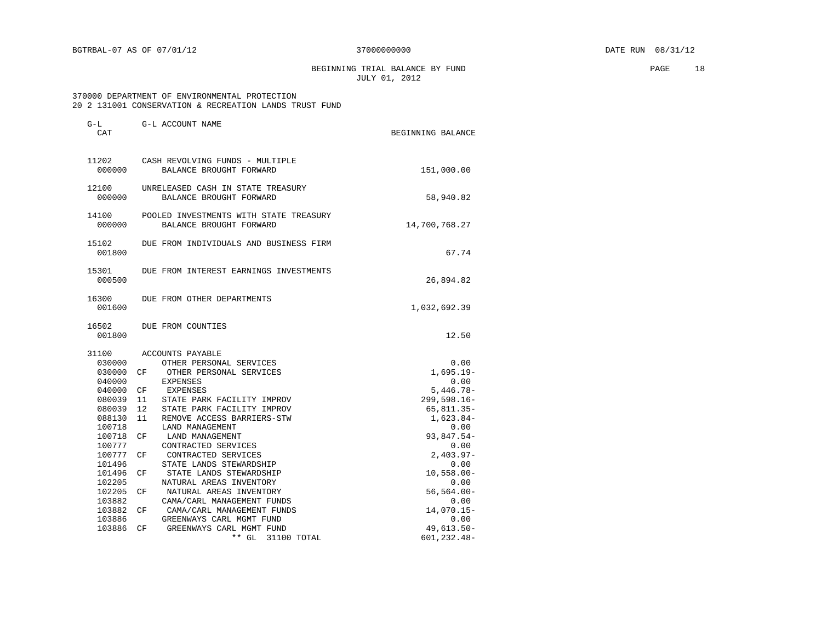BEGINNING TRIAL BALANCE BY FUND **PAGE** 18 JULY 01, 2012

 370000 DEPARTMENT OF ENVIRONMENTAL PROTECTION 20 2 131001 CONSERVATION & RECREATION LANDS TRUST FUND

| G-L<br>CAT      |    | G-L ACCOUNT NAME                                                  | BEGINNING BALANCE |
|-----------------|----|-------------------------------------------------------------------|-------------------|
| 11202<br>000000 |    | CASH REVOLVING FUNDS - MULTIPLE<br>BALANCE BROUGHT FORWARD        | 151,000.00        |
| 12100<br>000000 |    | UNRELEASED CASH IN STATE TREASURY<br>BALANCE BROUGHT FORWARD      | 58,940.82         |
| 14100<br>000000 |    | POOLED INVESTMENTS WITH STATE TREASURY<br>BALANCE BROUGHT FORWARD | 14,700,768.27     |
| 15102<br>001800 |    | DUE FROM INDIVIDUALS AND BUSINESS FIRM                            | 67.74             |
| 15301<br>000500 |    | DUE FROM INTEREST EARNINGS INVESTMENTS                            | 26,894.82         |
| 16300<br>001600 |    | DUE FROM OTHER DEPARTMENTS                                        | 1,032,692.39      |
| 16502<br>001800 |    | DUE FROM COUNTIES                                                 | 12.50             |
| 31100           |    | <b>ACCOUNTS PAYABLE</b>                                           |                   |
| 030000          |    | OTHER PERSONAL SERVICES                                           | 0.00              |
| 030000          | CF | OTHER PERSONAL SERVICES                                           | $1,695.19-$       |
| 040000          |    | <b>EXPENSES</b>                                                   | 0.00              |
| 040000          | CF | EXPENSES                                                          | $5,446.78-$       |
| 080039          | 11 | STATE PARK FACILITY IMPROV                                        | 299,598.16-       |
| 080039          | 12 | STATE PARK FACILITY IMPROV                                        | $65, 811.35 -$    |
| 088130          | 11 | REMOVE ACCESS BARRIERS-STW                                        | $1,623.84-$       |
| 100718          |    | LAND MANAGEMENT                                                   | 0.00              |
| 100718          | CF | LAND MANAGEMENT                                                   | 93,847.54-        |
| 100777          |    | CONTRACTED SERVICES                                               | 0.00              |
| 100777          | СF | CONTRACTED SERVICES                                               | $2,403.97-$       |
| 101496          |    | STATE LANDS STEWARDSHIP                                           | 0.00              |
| 101496          | СF | STATE LANDS STEWARDSHIP                                           | $10,558.00 -$     |
| 102205          |    | NATURAL AREAS INVENTORY                                           | 0.00              |
| 102205          | CF | NATURAL AREAS INVENTORY                                           | $56, 564.00 -$    |
| 103882          |    | CAMA/CARL MANAGEMENT FUNDS                                        | 0.00              |
| 103882          | CF | CAMA/CARL MANAGEMENT FUNDS                                        | 14,070.15-        |
| 103886          |    | GREENWAYS CARL MGMT FUND                                          | 0.00              |
| 103886          | CF | GREENWAYS CARL MGMT FUND                                          | 49,613.50-        |
|                 |    | $**$ GL<br>31100 TOTAL                                            | 601,232.48-       |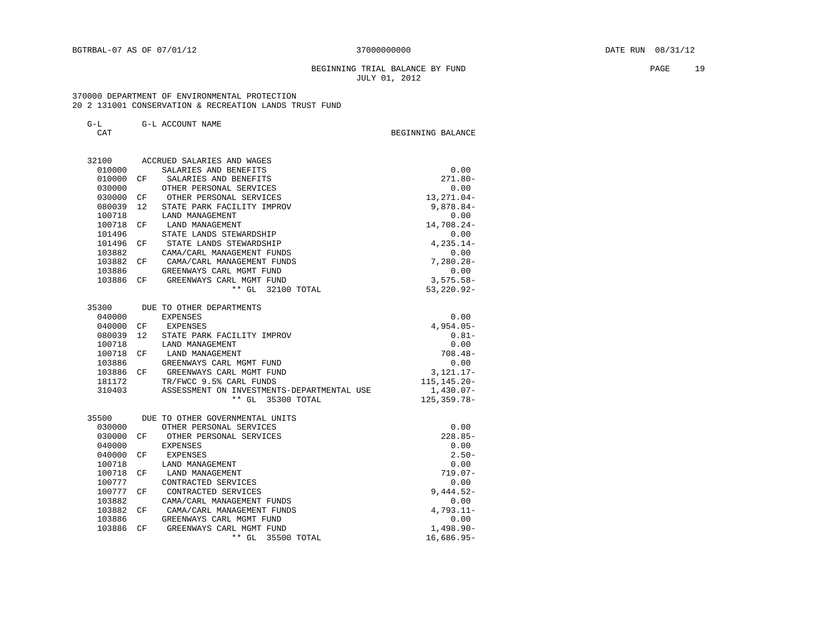# BEGINNING TRIAL BALANCE BY FUND **PAGE** 19 JULY 01, 2012

### 370000 DEPARTMENT OF ENVIRONMENTAL PROTECTION 20 2 131001 CONSERVATION & RECREATION LANDS TRUST FUND

| $1 - 1$ |  | G-L ACCOUNT NAME |  |
|---------|--|------------------|--|
|---------|--|------------------|--|

| 32100     |                   | ACCRUED SALARIES AND WAGES                 |                 |
|-----------|-------------------|--------------------------------------------|-----------------|
| 010000    |                   | SALARIES AND BENEFITS                      | 0.00            |
| 010000    | CF                | SALARIES AND BENEFITS                      | $271.80 -$      |
| 030000    |                   | OTHER PERSONAL SERVICES                    | 0.00            |
| 030000    | CF                | OTHER PERSONAL SERVICES                    | 13, 271.04-     |
| 080039    | 12                | STATE PARK FACILITY IMPROV                 | $9,878.84-$     |
| 100718    |                   | LAND MANAGEMENT                            | 0.00            |
| 100718    | CF                | LAND MANAGEMENT                            | 14,708.24-      |
| 101496    |                   | STATE LANDS STEWARDSHIP                    | 0.00            |
| 101496    | CF                | STATE LANDS STEWARDSHIP                    | $4, 235.14 -$   |
| 103882    |                   | CAMA/CARL MANAGEMENT FUNDS                 | 0.00            |
| 103882    | CF                | CAMA/CARL MANAGEMENT FUNDS                 | 7,280.28-       |
| 103886    |                   | GREENWAYS CARL MGMT FUND                   | 0.00            |
| 103886    | CF                | GREENWAYS CARL MGMT FUND                   | $3,575.58-$     |
|           |                   | ** GL 32100 TOTAL                          | $53, 220.92 -$  |
| 35300     |                   | DUE TO OTHER DEPARTMENTS                   |                 |
| 040000    |                   | EXPENSES                                   | 0.00            |
| 040000    | СF                | EXPENSES                                   | $4,954.05-$     |
| 080039    | $12 \overline{ }$ | STATE PARK FACILITY IMPROV                 | $0.81 -$        |
| 100718    |                   | LAND MANAGEMENT                            | 0.00            |
| 100718    | CF                | LAND MANAGEMENT                            | $708.48 -$      |
| 103886    |                   | GREENWAYS CARL MGMT FUND                   | 0.00            |
| 103886 CF |                   | GREENWAYS CARL MGMT FUND                   | $3,121.17-$     |
| 181172    |                   | TR/FWCC 9.5% CARL FUNDS                    | 115, 145. 20-   |
| 310403    |                   | ASSESSMENT ON INVESTMENTS-DEPARTMENTAL USE | $1,430.07-$     |
|           |                   | $**$ GL<br>35300 TOTAL                     | $125, 359.78 -$ |
| 35500     |                   | DUE TO OTHER GOVERNMENTAL UNITS            |                 |
| 030000    |                   | OTHER PERSONAL SERVICES                    | 0.00            |
| 030000    | CF                | OTHER PERSONAL SERVICES                    | $228.85-$       |
| 040000    |                   | <b>EXPENSES</b>                            | 0.00            |
| 040000    | CF                | EXPENSES                                   | $2.50 -$        |
| 100718    |                   | LAND MANAGEMENT                            | 0.00            |
| 100718    | CF                | LAND MANAGEMENT                            | $719.07 -$      |
| 100777    |                   | CONTRACTED SERVICES                        | 0.00            |
| 100777    | CF                | CONTRACTED SERVICES                        | $9,444.52-$     |
| 103882    |                   | CAMA/CARL MANAGEMENT FUNDS                 | 0.00            |
| 103882    | CF.               | CAMA/CARL MANAGEMENT FUNDS                 | $4.793.11 -$    |
| 103886    |                   | GREENWAYS CARL MGMT FUND                   | 0.00            |
| 103886    | CF                | GREENWAYS CARL MGMT FUND                   | $1,498.90 -$    |
|           |                   | $**$ GL<br>35500 TOTAL                     | $16,686.95-$    |
|           |                   |                                            |                 |

CAT BEGINNING BALANCE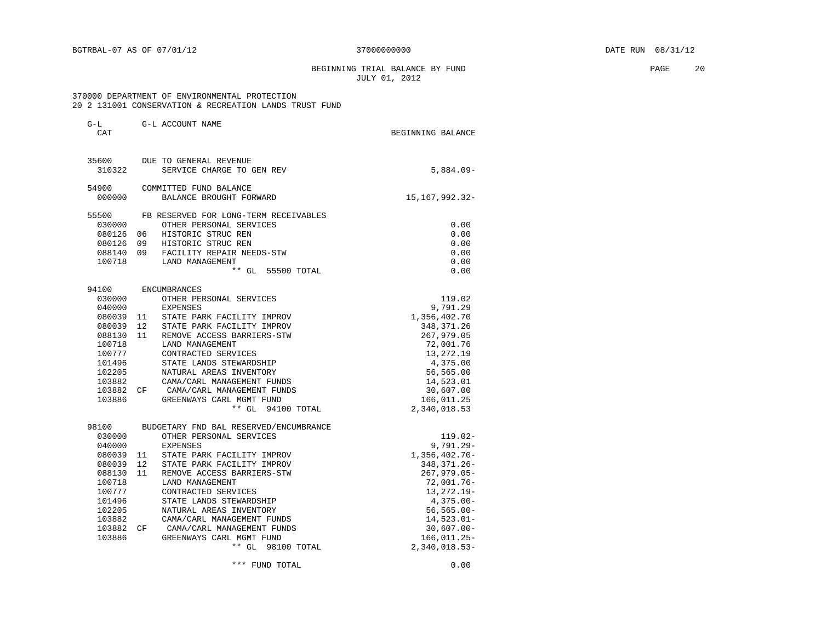BEGINNING TRIAL BALANCE BY FUND **PAGE** 20 JULY 01, 2012

 370000 DEPARTMENT OF ENVIRONMENTAL PROTECTION 20 2 131001 CONSERVATION & RECREATION LANDS TRUST FUND

| $G-L$<br>CAT |    | G-L ACCOUNT NAME                       | BEGINNING BALANCE |
|--------------|----|----------------------------------------|-------------------|
| 35600        |    | DUE TO GENERAL REVENUE                 |                   |
| 310322       |    | SERVICE CHARGE TO GEN REV              | $5,884.09-$       |
| 54900        |    | COMMITTED FUND BALANCE                 |                   |
| 000000       |    | BALANCE BROUGHT FORWARD                | 15,167,992.32-    |
| 55500        |    | FB RESERVED FOR LONG-TERM RECEIVABLES  |                   |
| 030000       |    | OTHER PERSONAL SERVICES                | 0.00              |
| 080126       | 06 | HISTORIC STRUC REN                     | 0.00              |
| 080126       |    | 09 HISTORIC STRUC REN                  | 0.00              |
| 088140       | 09 | FACILITY REPAIR NEEDS-STW              | 0.00              |
| 100718       |    | LAND MANAGEMENT                        | 0.00              |
|              |    | ** GL 55500 TOTAL                      | 0.00              |
| 94100        |    | ENCUMBRANCES                           |                   |
| 030000       |    | OTHER PERSONAL SERVICES                | 119.02            |
| 040000       |    | <b>EXPENSES</b>                        | 9,791.29          |
| 080039       | 11 | STATE PARK FACILITY IMPROV             | 1,356,402.70      |
| 080039       | 12 | STATE PARK FACILITY IMPROV             | 348, 371.26       |
| 088130       | 11 | REMOVE ACCESS BARRIERS-STW             | 267,979.05        |
| 100718       |    | LAND MANAGEMENT                        | 72,001.76         |
| 100777       |    | CONTRACTED SERVICES                    | 13,272.19         |
| 101496       |    | STATE LANDS STEWARDSHIP                | 4,375.00          |
| 102205       |    | NATURAL AREAS INVENTORY                | 56,565.00         |
| 103882       |    | CAMA/CARL MANAGEMENT FUNDS             | 14,523.01         |
| 103882 CF    |    | CAMA/CARL MANAGEMENT FUNDS             | 30,607.00         |
| 103886       |    | GREENWAYS CARL MGMT FUND               | 166,011.25        |
|              |    | ** GL 94100 TOTAL                      | 2,340,018.53      |
| 98100        |    | BUDGETARY FND BAL RESERVED/ENCUMBRANCE |                   |
| 030000       |    | OTHER PERSONAL SERVICES                | $119.02 -$        |
| 040000       |    | <b>EXPENSES</b>                        | $9.791.29 -$      |
| 080039       | 11 | STATE PARK FACILITY IMPROV             | $1,356,402.70-$   |
| 080039       | 12 | STATE PARK FACILITY IMPROV             | 348, 371. 26-     |
| 088130       | 11 | REMOVE ACCESS BARRIERS-STW             | $267,979.05 -$    |
| 100718       |    | LAND MANAGEMENT                        | 72,001.76-        |
| 100777       |    | CONTRACTED SERVICES                    | 13, 272. 19-      |
| 101496       |    | STATE LANDS STEWARDSHIP                | $4,375.00 -$      |
| 102205       |    | NATURAL AREAS INVENTORY                | $56, 565.00 -$    |
| 103882       |    | CAMA/CARL MANAGEMENT FUNDS             | $14,523.01-$      |
| 103882 CF    |    | CAMA/CARL MANAGEMENT FUNDS             | $30,607.00 -$     |
| 103886       |    | GREENWAYS CARL MGMT FUND               | 166,011.25-       |
|              |    | ** GL<br>98100 TOTAL                   | 2,340,018.53-     |
|              |    |                                        |                   |

\*\*\* FUND TOTAL 0.00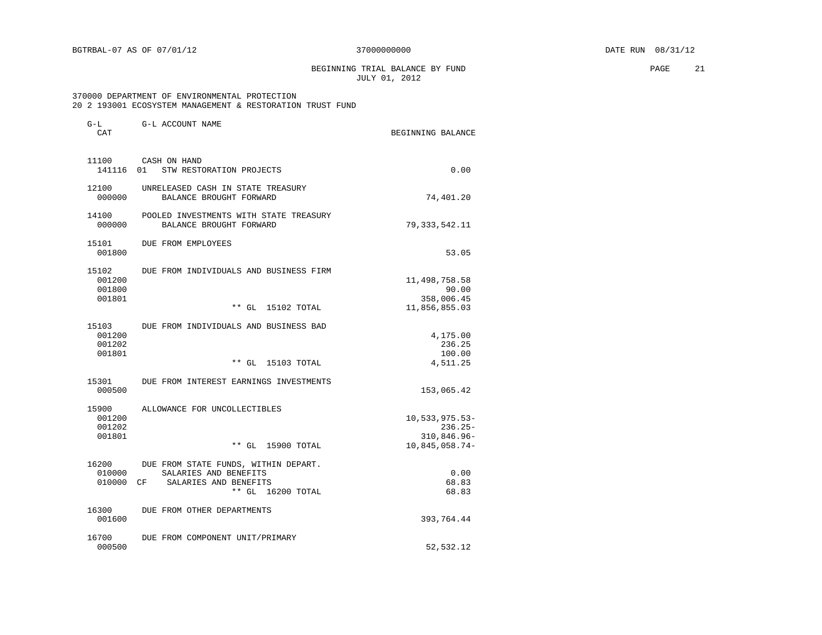BEGINNING TRIAL BALANCE BY FUND **EXAMPLE 21** JULY 01, 2012

| CAT                                           |                                                                                                                      | BEGINNING BALANCE                                                             |
|-----------------------------------------------|----------------------------------------------------------------------------------------------------------------------|-------------------------------------------------------------------------------|
| 11100<br>141116                               | CASH ON HAND<br>01<br>STW RESTORATION PROJECTS                                                                       | 0.00                                                                          |
| 12100<br>000000                               | UNRELEASED CASH IN STATE TREASURY<br>BALANCE BROUGHT FORWARD                                                         | 74,401.20                                                                     |
| 14100<br>000000                               | POOLED INVESTMENTS WITH STATE TREASURY<br>BALANCE BROUGHT FORWARD                                                    | 79, 333, 542.11                                                               |
| 15101<br>001800                               | DUE FROM EMPLOYEES                                                                                                   | 53.05                                                                         |
| 15102<br>001200<br>001800<br>001801           | DUE FROM INDIVIDUALS AND BUSINESS FIRM<br>$**$ GL<br>15102 TOTAL                                                     | 11,498,758.58<br>90.00<br>358,006.45<br>11,856,855.03                         |
| 15103<br>001200<br>001202<br>001801           | DUE FROM INDIVIDUALS AND BUSINESS BAD                                                                                | 4,175.00<br>236.25<br>100.00                                                  |
| 15301                                         | $**$ GL<br>15103 TOTAL<br>DUE FROM INTEREST EARNINGS INVESTMENTS                                                     | 4,511.25                                                                      |
| 000500<br>15900<br>001200<br>001202<br>001801 | ALLOWANCE FOR UNCOLLECTIBLES<br>$**$ GL<br>15900 TOTAL                                                               | 153,065.42<br>10,533,975.53-<br>$236.25-$<br>$310,846.96 -$<br>10,845,058.74- |
| 16200<br>010000<br>010000                     | DUE FROM STATE FUNDS, WITHIN DEPART.<br>SALARIES AND BENEFITS<br>SALARIES AND BENEFITS<br>СF<br>** GL<br>16200 TOTAL | 0.00<br>68.83<br>68.83                                                        |
| 16300<br>001600                               | DUE FROM OTHER DEPARTMENTS                                                                                           | 393,764.44                                                                    |
| 16700<br>000500                               | DUE FROM COMPONENT UNIT/PRIMARY                                                                                      | 52,532.12                                                                     |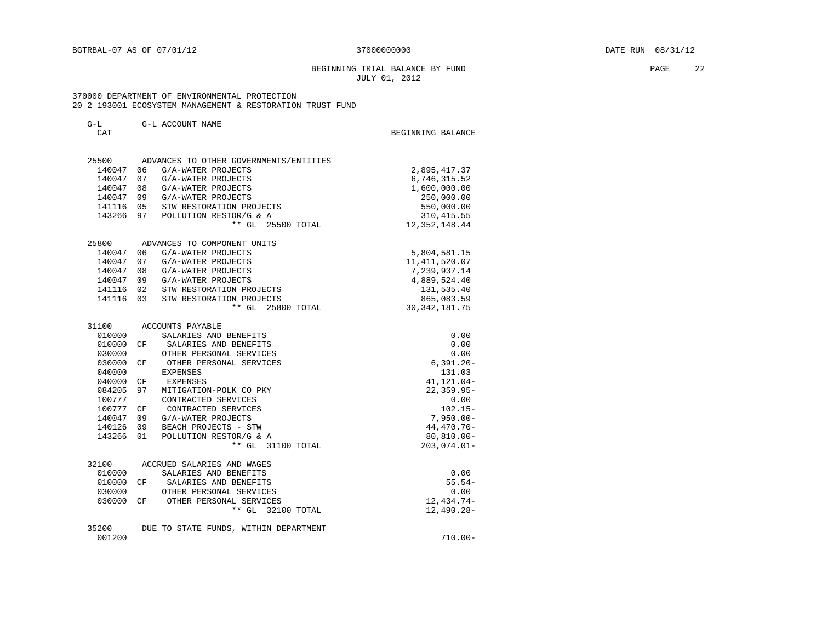# BEGINNING TRIAL BALANCE BY FUND **EXAMPLE 22** 22 JULY 01, 2012

| CAT    |    |                                        | BEGINNING BALANCE |
|--------|----|----------------------------------------|-------------------|
| 25500  |    | ADVANCES TO OTHER GOVERNMENTS/ENTITIES |                   |
| 140047 | 06 | G/A-WATER PROJECTS                     | 2,895,417.37      |
| 140047 | 07 | G/A-WATER PROJECTS                     | 6,746,315.52      |
| 140047 | 08 | G/A-WATER PROJECTS                     | 1,600,000.00      |
| 140047 |    | 09 G/A-WATER PROJECTS                  | 250,000.00        |
| 141116 | 05 | STW RESTORATION PROJECTS               | 550,000.00        |
| 143266 | 97 | POLLUTION RESTOR/G & A                 | 310, 415.55       |
|        |    | ** GL 25500 TOTAL                      | 12, 352, 148.44   |
| 25800  |    | ADVANCES TO COMPONENT UNITS            |                   |
| 140047 | 06 | G/A-WATER PROJECTS                     | 5,804,581.15      |
| 140047 | 07 | G/A-WATER PROJECTS                     | 11, 411, 520.07   |
| 140047 | 08 | G/A-WATER PROJECTS                     | 7,239,937.14      |
| 140047 | 09 | G/A-WATER PROJECTS                     | 4,889,524.40      |
| 141116 | 02 | STW RESTORATION PROJECTS               | 131,535.40        |
| 141116 | 03 | STW RESTORATION PROJECTS               | 865,083.59        |
|        |    | ** GL 25800 TOTAL                      | 30, 342, 181. 75  |
| 31100  |    | ACCOUNTS PAYABLE                       |                   |
| 010000 |    | SALARIES AND BENEFITS                  | 0.00              |
| 010000 | CF | SALARIES AND BENEFITS                  | 0.00              |
| 030000 |    | OTHER PERSONAL SERVICES                | 0.00              |
| 030000 | СF | OTHER PERSONAL SERVICES                | $6, 391.20 -$     |
| 040000 |    | EXPENSES                               | 131.03            |
| 040000 | CF | EXPENSES                               | 41,121.04-        |
| 084205 | 97 | MITIGATION-POLK CO PKY                 | $22, 359.95 -$    |
| 100777 |    | CONTRACTED SERVICES                    | 0.00              |
| 100777 | CF | CONTRACTED SERVICES                    | $102.15-$         |
| 140047 | 09 | G/A-WATER PROJECTS                     | $7,950.00 -$      |
| 140126 | 09 | BEACH PROJECTS - STW                   | $44,470.70-$      |
| 143266 | 01 | POLLUTION RESTOR/G & A                 | $80, 810.00 -$    |
|        |    | ** GL 31100 TOTAL                      | $203,074.01 -$    |
| 32100  |    | ACCRUED SALARIES AND WAGES             |                   |
| 010000 |    | SALARIES AND BENEFITS                  | 0.00              |
| 010000 | CF | SALARIES AND BENEFITS                  | $55.54-$          |
| 030000 |    | OTHER PERSONAL SERVICES                | 0.00              |
| 030000 | CF | OTHER PERSONAL SERVICES                | 12, 434.74-       |
|        |    | ** GL 32100 TOTAL                      | $12,490.28-$      |
| 35200  |    | DUE TO STATE FUNDS, WITHIN DEPARTMENT  |                   |
| 001200 |    |                                        | $710.00 -$        |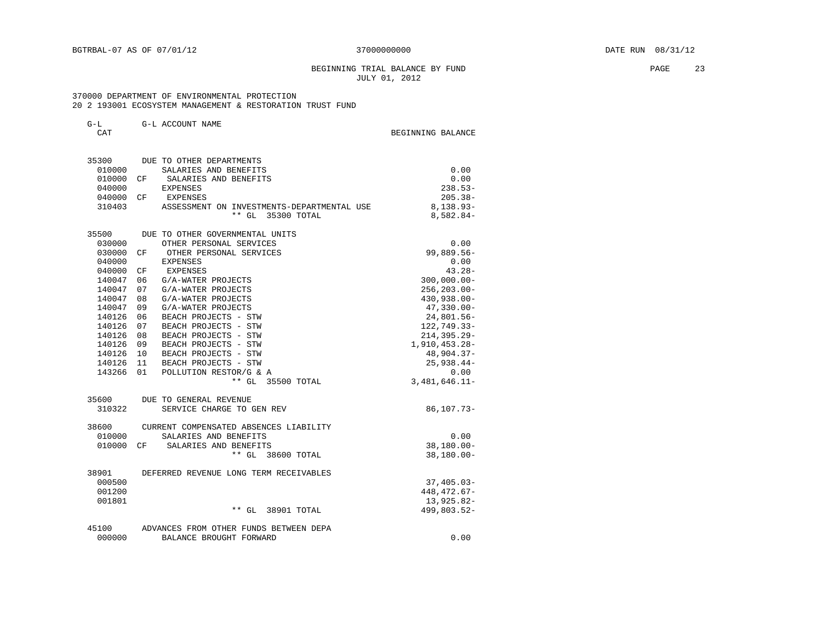# BEGINNING TRIAL BALANCE BY FUND **PAGE** 23 JULY 01, 2012

| ں ی<br>CAT |     | G H UCCOON TALIE                           | BEGINNING BALANCE |
|------------|-----|--------------------------------------------|-------------------|
| 35300      |     | DUE TO OTHER DEPARTMENTS                   |                   |
| 010000     |     | SALARIES AND BENEFITS                      | 0.00              |
| 010000     | CF. | SALARIES AND BENEFITS                      | 0.00              |
| 040000     |     | <b>EXPENSES</b>                            | $238.53-$         |
| 040000     | CF  | EXPENSES                                   | $205.38 -$        |
| 310403     |     | ASSESSMENT ON INVESTMENTS-DEPARTMENTAL USE | $8,138.93-$       |
|            |     | $***$ GL<br>35300 TOTAL                    | $8,582.84-$       |
| 35500      |     | DUE TO OTHER GOVERNMENTAL UNITS            |                   |
| 030000     |     | OTHER PERSONAL SERVICES                    | 0.00              |
| 030000     | СF  | OTHER PERSONAL SERVICES                    | 99,889.56-        |
| 040000     |     | <b>EXPENSES</b>                            | 0.00              |
| 040000     | CF  | EXPENSES                                   | $43.28 -$         |
| 140047     | 06  | G/A-WATER PROJECTS                         | $300,000.00 -$    |
| 140047     | 07  | G/A-WATER PROJECTS                         | $256, 203.00 -$   |
| 140047     | 08  | G/A-WATER PROJECTS                         | 430,938.00-       |
| 140047     | 09  | G/A-WATER PROJECTS                         | $47,330.00 -$     |
| 140126     | 06  | BEACH PROJECTS - STW                       | $24,801.56 -$     |
| 140126     | 07  | BEACH PROJECTS - STW                       | 122,749.33-       |
| 140126     | 08  | BEACH PROJECTS - STW                       | $214, 395.29 -$   |
| 140126     | 09  | BEACH PROJECTS - STW                       | 1,910,453.28-     |
| 140126     | 10  | BEACH PROJECTS - STW                       | $48,904.37-$      |
| 140126     | 11  | BEACH PROJECTS - STW                       | $25,938.44-$      |
| 143266     | 01  | POLLUTION RESTOR/G & A                     | 0.00              |
|            |     | ** GL 35500 TOTAL                          | $3,481,646.11-$   |
| 35600      |     | DUE TO GENERAL REVENUE                     |                   |
| 310322     |     | SERVICE CHARGE TO GEN REV                  | $86, 107.73 -$    |
| 38600      |     | CURRENT COMPENSATED ABSENCES LIABILITY     |                   |
| 010000     |     | SALARIES AND BENEFITS                      | 0.00              |
| 010000     | CF  | SALARIES AND BENEFITS                      | $38, 180.00 -$    |
|            |     | $***$ GL<br>38600 TOTAL                    | $38, 180.00 -$    |
| 38901      |     | DEFERRED REVENUE LONG TERM RECEIVABLES     |                   |
| 000500     |     |                                            | $37,405.03-$      |
| 001200     |     |                                            | 448, 472. 67-     |
| 001801     |     |                                            | 13,925.82-        |
|            |     | ** GL<br>38901 TOTAL                       | 499,803.52-       |
| 45100      |     | ADVANCES FROM OTHER FUNDS BETWEEN DEPA     |                   |
| 000000     |     | BALANCE BROUGHT FORWARD                    | 0.00              |
|            |     |                                            |                   |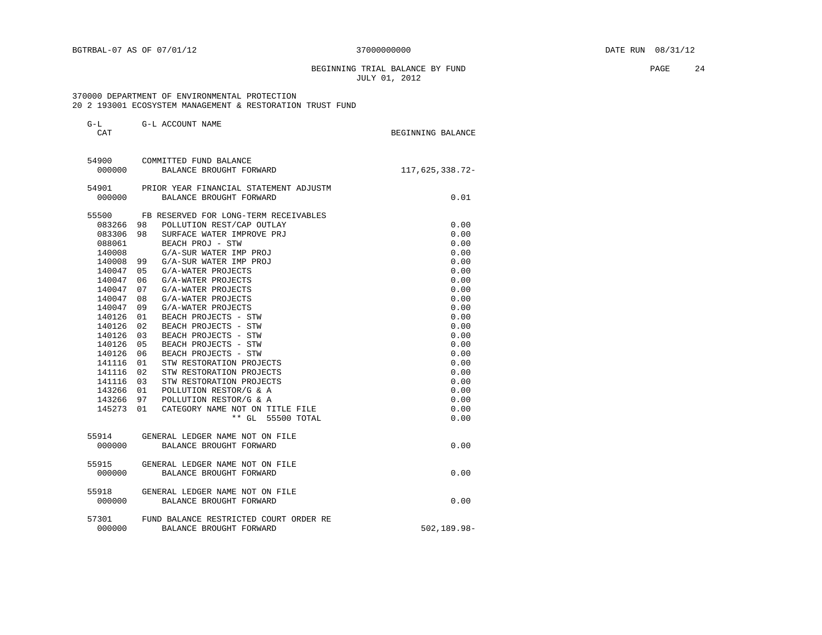BEGINNING TRIAL BALANCE BY FUND **PAGE** 24 JULY 01, 2012

| $G-L$<br>CAT | G-L ACCOUNT NAME                       | BEGINNING BALANCE |
|--------------|----------------------------------------|-------------------|
| 54900        | COMMITTED FUND BALANCE                 |                   |
| 000000       | BALANCE BROUGHT FORWARD                | 117,625,338.72-   |
| 54901        | PRIOR YEAR FINANCIAL STATEMENT ADJUSTM |                   |
| 000000       | BALANCE BROUGHT FORWARD                | 0.01              |
| 55500        | FB RESERVED FOR LONG-TERM RECEIVABLES  |                   |
| 083266       | POLLUTION REST/CAP OUTLAY<br>98        | 0.00              |
| 083306 98    | SURFACE WATER IMPROVE PRJ              | 0.00              |
| 088061       | BEACH PROJ - STW                       | 0.00              |
| 140008       | G/A-SUR WATER IMP PROJ                 | 0.00              |
| 140008       | 99<br>G/A-SUR WATER IMP PROJ           | 0.00              |
| 140047       | G/A-WATER PROJECTS<br>05               | 0.00              |
| 140047       | 06<br>G/A-WATER PROJECTS               | 0.00              |
| 140047       | 07<br>G/A-WATER PROJECTS               | 0.00              |
| 140047       | 08<br>G/A-WATER PROJECTS               | 0.00              |
| 140047       | 09<br>G/A-WATER PROJECTS               | 0.00              |
| 140126       | 01<br>BEACH PROJECTS - STW             | 0.00              |
| 140126       | 02<br>BEACH PROJECTS - STW             | 0.00              |
| 140126       | 03<br>BEACH PROJECTS - STW             | 0.00              |
| 140126       | 0.5<br>BEACH PROJECTS - STW            | 0.00              |
| 140126       | 06<br>BEACH PROJECTS - STW             | 0.00              |
| 141116       | 01<br>STW RESTORATION PROJECTS         | 0.00              |
| 141116       | 02<br>STW RESTORATION PROJECTS         | 0.00              |
| 141116       | STW RESTORATION PROJECTS<br>03         | 0.00              |
| 143266       | 01<br>POLLUTION RESTOR/G & A           | 0.00              |
| 143266       | POLLUTION RESTOR/G & A<br>97           | 0.00              |
| 145273       | 01<br>CATEGORY NAME NOT ON TITLE FILE  | 0.00              |
|              | ** GL 55500 TOTAL                      | 0.00              |
| 55914        | GENERAL LEDGER NAME NOT ON FILE        |                   |
| 000000       | BALANCE BROUGHT FORWARD                | 0.00              |
| 55915        | GENERAL LEDGER NAME NOT ON FILE        |                   |
| 000000       | BALANCE BROUGHT FORWARD                | 0.00              |
| 55918        | GENERAL LEDGER NAME NOT ON FILE        |                   |
| 000000       | BALANCE BROUGHT FORWARD                | 0.00              |
| 57301        | FUND BALANCE RESTRICTED COURT ORDER RE |                   |
| 000000       | BALANCE BROUGHT FORWARD                | 502,189.98-       |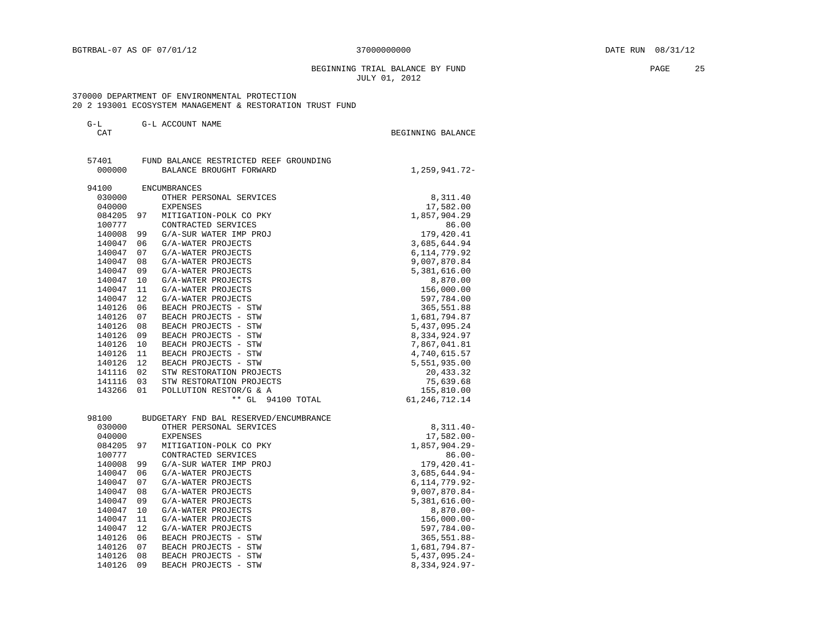BEGINNING TRIAL BALANCE BY FUND **PAGE 25** JULY 01, 2012

| $G-L$<br>CAT |    | G-L ACCOUNT NAME                       | BEGINNING BALANCE |
|--------------|----|----------------------------------------|-------------------|
| 57401        |    | FUND BALANCE RESTRICTED REEF GROUNDING |                   |
| 000000       |    | BALANCE BROUGHT FORWARD                | 1,259,941.72-     |
| 94100        |    | <b>ENCUMBRANCES</b>                    |                   |
| 030000       |    | OTHER PERSONAL SERVICES                | 8,311.40          |
| 040000       |    | EXPENSES                               | 17,582.00         |
| 084205       | 97 | MITIGATION-POLK CO PKY                 | 1,857,904.29      |
| 100777       |    | CONTRACTED SERVICES                    | 86.00             |
| 140008       | 99 | G/A-SUR WATER IMP PROJ                 | 179,420.41        |
| 140047       | 06 | G/A-WATER PROJECTS                     | 3,685,644.94      |
| 140047       | 07 | G/A-WATER PROJECTS                     | 6, 114, 779.92    |
| 140047       | 08 | G/A-WATER PROJECTS                     | 9,007,870.84      |
| 140047       | 09 | G/A-WATER PROJECTS                     | 5,381,616.00      |
| 140047       | 10 | G/A-WATER PROJECTS                     | 8,870.00          |
| 140047       | 11 | G/A-WATER PROJECTS                     | 156,000.00        |
| 140047       | 12 | G/A-WATER PROJECTS                     | 597,784.00        |
| 140126       | 06 | BEACH PROJECTS - STW                   | 365,551.88        |
| 140126       | 07 | BEACH PROJECTS - STW                   | 1,681,794.87      |
| 140126       | 08 | BEACH PROJECTS - STW                   | 5,437,095.24      |
| 140126       | 09 | BEACH PROJECTS - STW                   | 8,334,924.97      |
| 140126       | 10 | BEACH PROJECTS - STW                   | 7,867,041.81      |
| 140126       | 11 | BEACH PROJECTS - STW                   | 4,740,615.57      |
| 140126       | 12 | BEACH PROJECTS - STW                   | 5,551,935.00      |
| 141116       | 02 | STW RESTORATION PROJECTS               | 20,433.32         |
| 141116       | 03 | STW RESTORATION PROJECTS               | 75,639.68         |
| 143266       | 01 | POLLUTION RESTOR/G & A                 | 155,810.00        |
|              |    | ** GL 94100 TOTAL                      | 61, 246, 712. 14  |

| 98100  |    | BUDGETARY FND BAL RESERVED/ENCUMBRANCE |                    |
|--------|----|----------------------------------------|--------------------|
| 030000 |    | OTHER PERSONAL SERVICES                | $8,311.40-$        |
| 040000 |    | EXPENSES                               | 17,582.00-         |
| 084205 | 97 | MITIGATION-POLK CO PKY                 | $1,857,904.29-$    |
| 100777 |    | CONTRACTED SERVICES                    | $86.00 -$          |
| 140008 | 99 | G/A-SUR WATER IMP PROJ                 | $179,420.41-$      |
| 140047 | 06 | G/A-WATER PROJECTS                     | $3,685,644.94-$    |
| 140047 | 07 | G/A-WATER PROJECTS                     | $6, 114, 779.92 -$ |
| 140047 | 08 | G/A-WATER PROJECTS                     | $9,007,870.84-$    |
| 140047 | 09 | G/A-WATER PROJECTS                     | $5,381,616.00 -$   |
| 140047 | 10 | G/A-WATER PROJECTS                     | $8,870.00 -$       |
| 140047 | 11 | G/A-WATER PROJECTS                     | $156,000.00 -$     |
| 140047 | 12 | G/A-WATER PROJECTS                     | $597,784.00 -$     |
| 140126 | 06 | BEACH PROJECTS - STW                   | $365,551.88 -$     |
| 140126 | 07 | BEACH PROJECTS - STW                   | 1,681,794.87-      |
| 140126 | 08 | BEACH PROJECTS - STW                   | $5,437,095.24-$    |
| 140126 | 09 | BEACH PROJECTS - STW                   | $8,334,924.97-$    |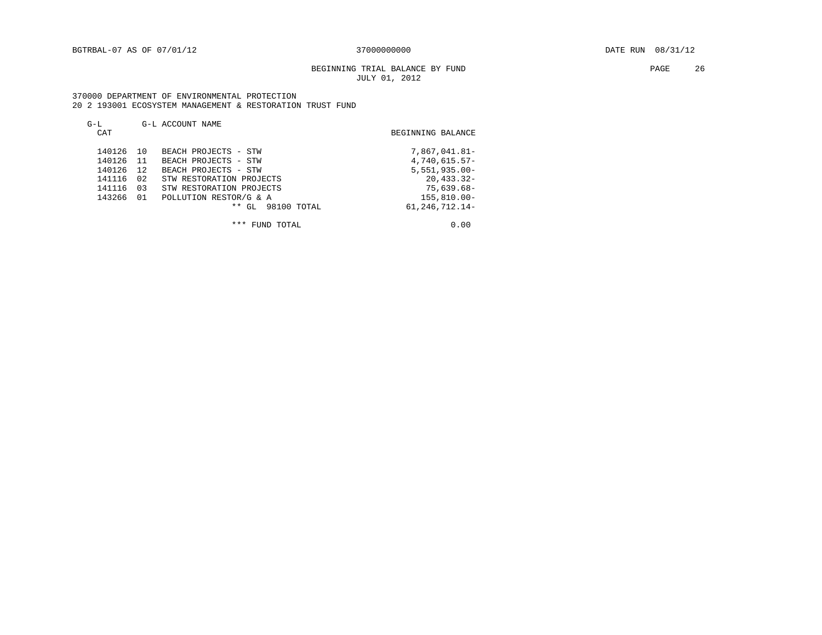# BEGINNING TRIAL BALANCE BY FUND **EXAMPLE 26** 26 JULY 01, 2012

 370000 DEPARTMENT OF ENVIRONMENTAL PROTECTION 20 2 193001 ECOSYSTEM MANAGEMENT & RESTORATION TRUST FUND

| $G-L$  |     | G-L ACCOUNT NAME           |                   |
|--------|-----|----------------------------|-------------------|
| CAT    |     |                            | BEGINNING BALANCE |
| 140126 | 1 N | BEACH PROJECTS - STW       | 7,867,041.81-     |
| 140126 | -11 | BEACH PROJECTS - STW       | 4,740,615.57-     |
| 140126 | 12  | BEACH PROJECTS - STW       | $5,551,935.00 -$  |
| 141116 | 02  | STW RESTORATION PROJECTS   | $20, 433.32 -$    |
| 141116 | 03  | STW RESTORATION PROJECTS   | $75,639.68-$      |
| 143266 | 01  | POLLUTION RESTOR/G & A     | $155.810.00 -$    |
|        |     | $***$<br>GL<br>98100 TOTAL | 61, 246, 712. 14- |

\*\*\* FUND TOTAL 0.00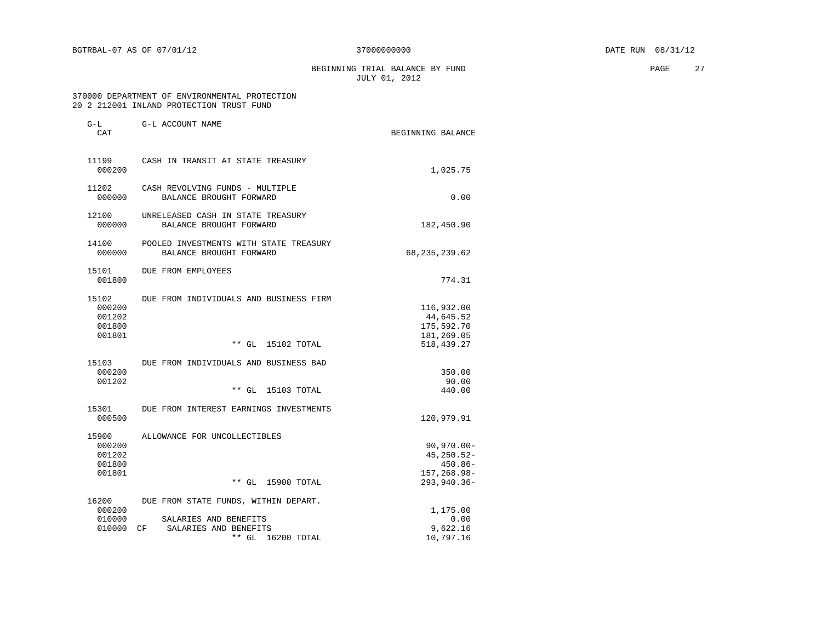BEGINNING TRIAL BALANCE BY FUND **PAGE** 27 JULY 01, 2012

| $G-L$<br>CAT                                  | G-L ACCOUNT NAME                                                                                                        | BEGINNING BALANCE                                                               |
|-----------------------------------------------|-------------------------------------------------------------------------------------------------------------------------|---------------------------------------------------------------------------------|
| 11199<br>000200                               | CASH IN TRANSIT AT STATE TREASURY                                                                                       | 1,025.75                                                                        |
| 11202<br>000000                               | CASH REVOLVING FUNDS - MULTIPLE<br>BALANCE BROUGHT FORWARD                                                              | 0.00                                                                            |
| 12100<br>000000                               | UNRELEASED CASH IN STATE TREASURY<br>BALANCE BROUGHT FORWARD                                                            | 182,450.90                                                                      |
| 14100<br>000000                               | POOLED INVESTMENTS WITH STATE TREASURY<br>BALANCE BROUGHT FORWARD                                                       | 68, 235, 239.62                                                                 |
| 15101<br>001800                               | DUE FROM EMPLOYEES                                                                                                      | 774.31                                                                          |
| 15102<br>000200<br>001202<br>001800<br>001801 | DUE FROM INDIVIDUALS AND BUSINESS FIRM<br>$**$ GL<br>15102 TOTAL                                                        | 116,932.00<br>44,645.52<br>175,592.70<br>181,269.05<br>518,439.27               |
| 15103<br>000200<br>001202                     | DUE FROM INDIVIDUALS AND BUSINESS BAD<br>** GL<br>15103 TOTAL                                                           | 350.00<br>90.00<br>440.00                                                       |
| 15301<br>000500                               | DUE FROM INTEREST EARNINGS INVESTMENTS                                                                                  | 120,979.91                                                                      |
| 15900<br>000200<br>001202<br>001800<br>001801 | ALLOWANCE FOR UNCOLLECTIBLES<br>$***$ GL<br>15900 TOTAL                                                                 | $90, 970.00 -$<br>45, 250. 52-<br>$450.86 -$<br>157, 268.98-<br>$293, 940.36 -$ |
| 16200<br>000200<br>010000<br>010000           | DUE FROM STATE FUNDS, WITHIN DEPART.<br>SALARIES AND BENEFITS<br>CF<br>SALARIES AND BENEFITS<br>$***$ GL<br>16200 TOTAL | 1,175.00<br>0.00<br>9,622.16<br>10,797.16                                       |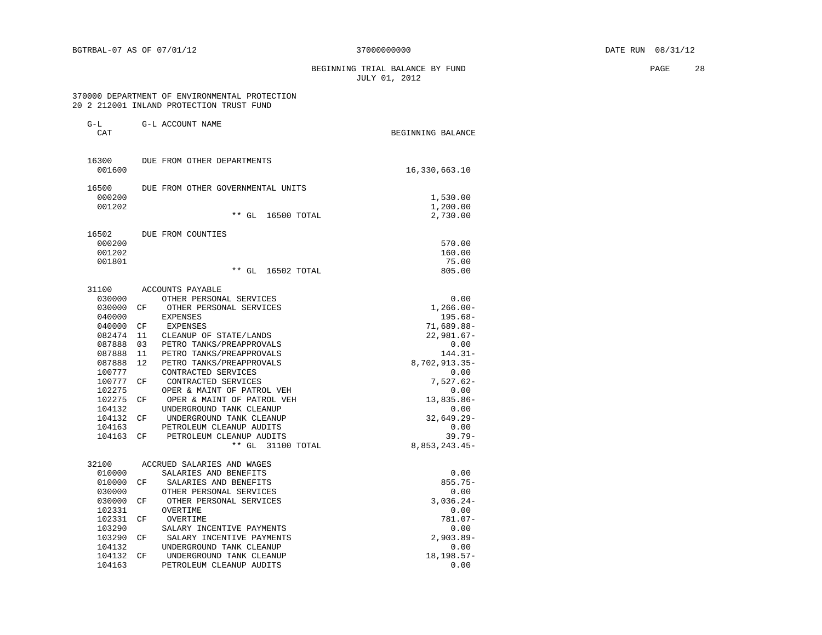BEGINNING TRIAL BALANCE BY FUND **PAGE** 28 JULY 01, 2012

| $G-L$<br>CAT    |    | G-L ACCOUNT NAME                  | BEGINNING BALANCE |
|-----------------|----|-----------------------------------|-------------------|
| 16300<br>001600 |    | DUE FROM OTHER DEPARTMENTS        | 16,330,663.10     |
| 16500<br>000200 |    | DUE FROM OTHER GOVERNMENTAL UNITS | 1,530.00          |
| 001202          |    |                                   | 1,200.00          |
|                 |    | ** GL<br>16500 TOTAL              | 2,730.00          |
| 16502           |    | DUE FROM COUNTIES                 |                   |
| 000200          |    |                                   | 570.00            |
| 001202          |    |                                   | 160.00            |
| 001801          |    |                                   | 75.00             |
|                 |    | $***$ GL<br>16502 TOTAL           | 805.00            |
| 31100           |    | ACCOUNTS PAYABLE                  |                   |
| 030000          |    | OTHER PERSONAL SERVICES           | 0.00              |
| 030000          | CF | OTHER PERSONAL SERVICES           | $1,266.00 -$      |
| 040000          |    | <b>EXPENSES</b>                   | $195.68-$         |
| 040000          | CF | EXPENSES                          | 71,689.88-        |
| 082474          | 11 | CLEANUP OF STATE/LANDS            | $22,981.67-$      |
| 087888          | 03 | PETRO TANKS/PREAPPROVALS          | 0.00              |
| 087888          | 11 | PETRO TANKS/PREAPPROVALS          | $144.31-$         |
| 087888          | 12 | PETRO TANKS/PREAPPROVALS          | 8,702,913.35-     |
| 100777          |    | CONTRACTED SERVICES               | 0.00              |
| 100777          | СF | CONTRACTED SERVICES               | $7,527.62-$       |
| 102275          |    | OPER & MAINT OF PATROL VEH        | 0.00              |
| 102275          | CF | OPER & MAINT OF PATROL VEH        | 13,835.86-        |
| 104132          |    | UNDERGROUND TANK CLEANUP          | 0.00              |
| 104132          | CF | UNDERGROUND TANK CLEANUP          | $32,649.29 -$     |
| 104163          |    | PETROLEUM CLEANUP AUDITS          | 0.00              |
| 104163          | CF | PETROLEUM CLEANUP AUDITS          | $39.79 -$         |
|                 |    | $***$ GL<br>31100 TOTAL           | 8,853,243.45-     |
| 32100           |    | ACCRUED SALARIES AND WAGES        |                   |
| 010000          |    | SALARIES AND BENEFITS             | 0.00              |
| 010000          | CF | SALARIES AND BENEFITS             | $855.75 -$        |
| 030000          |    | OTHER PERSONAL SERVICES           | 0.00              |
| 030000          | СF | OTHER PERSONAL SERVICES           | $3,036.24-$       |
| 102331          |    | OVERTIME                          | 0.00              |
| 102331          | СF | OVERTIME                          | 781.07-           |
| 103290          |    | SALARY INCENTIVE PAYMENTS         | 0.00              |
| 103290          | CF | SALARY INCENTIVE PAYMENTS         | $2,903.89-$       |
| 104132          |    | UNDERGROUND TANK CLEANUP          | 0.00              |
| 104132          | CF | UNDERGROUND TANK CLEANUP          | 18,198.57-        |
| 104163          |    | PETROLEUM CLEANUP AUDITS          | 0.00              |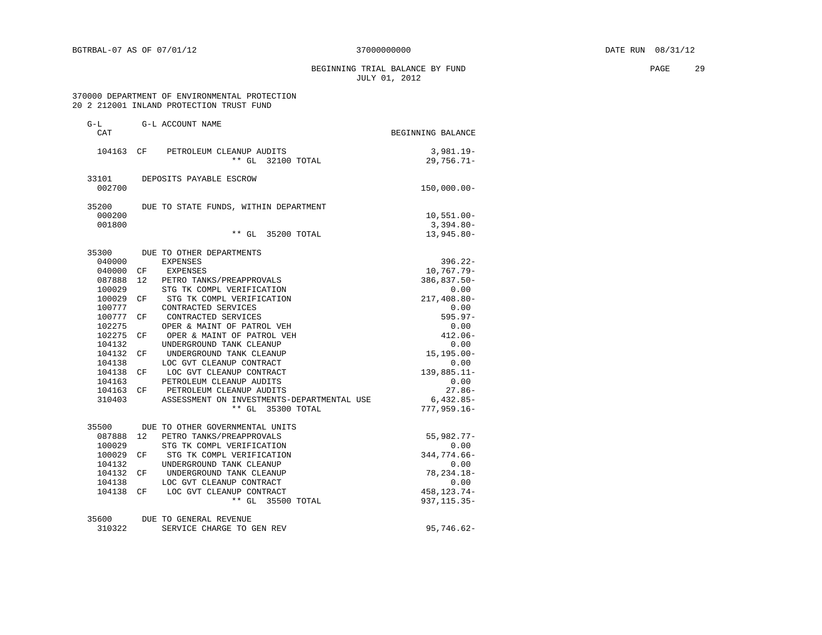# BEGINNING TRIAL BALANCE BY FUND **EXAMPLE 29** PAGE 29 JULY 01, 2012

| $G-L$<br>CAT     | G-L ACCOUNT NAME                                             | BEGINNING BALANCE            |
|------------------|--------------------------------------------------------------|------------------------------|
|                  |                                                              |                              |
|                  | 104163 CF PETROLEUM CLEANUP AUDITS<br>** GL 32100 TOTAL      | $3,981.19 -$<br>$29,756.71-$ |
| 33101            | DEPOSITS PAYABLE ESCROW                                      |                              |
| 002700           |                                                              | $150,000.00 -$               |
| 35200            | DUE TO STATE FUNDS, WITHIN DEPARTMENT                        |                              |
| 000200           |                                                              | $10,551.00 -$                |
| 001800           |                                                              | $3,394.80 -$                 |
|                  | ** GL 35200 TOTAL                                            | $13,945.80 -$                |
| 35300            | DUE TO OTHER DEPARTMENTS                                     |                              |
| 040000           | <b>EXPENSES</b>                                              | $396.22 -$                   |
| 040000           | CF<br>EXPENSES                                               | 10,767.79-                   |
| 087888           | 12<br>PETRO TANKS/PREAPPROVALS                               | 386,837.50-                  |
| 100029           | STG TK COMPL VERIFICATION                                    | 0.00                         |
| 100029           | STG TK COMPL VERIFICATION<br>СF                              | 217,408.80-                  |
| 100777           | CONTRACTED SERVICES                                          | 0.00                         |
| 100777           | CONTRACTED SERVICES<br>СF                                    | $595.97-$                    |
| 102275           | OPER & MAINT OF PATROL VEH                                   | 0.00                         |
| 102275<br>104132 | OPER & MAINT OF PATROL VEH<br>CF<br>UNDERGROUND TANK CLEANUP | $412.06-$<br>0.00            |
| 104132           | UNDERGROUND TANK CLEANUP<br>CF                               | $15, 195.00 -$               |
| 104138           | LOC GVT CLEANUP CONTRACT                                     | 0.00                         |
| 104138           | LOC GVT CLEANUP CONTRACT<br>CF                               | 139,885.11-                  |
| 104163           | PETROLEUM CLEANUP AUDITS                                     | 0.00                         |
| 104163 CF        | PETROLEUM CLEANUP AUDITS                                     | $27.86-$                     |
| 310403           | ASSESSMENT ON INVESTMENTS-DEPARTMENTAL USE                   | $6,432.85-$                  |
|                  | ** GL 35300 TOTAL                                            | 777,959.16-                  |
| 35500            | DUE TO OTHER GOVERNMENTAL UNITS                              |                              |
| 087888           | 12<br>PETRO TANKS/PREAPPROVALS                               | $55,982.77-$                 |
| 100029           | STG TK COMPL VERIFICATION                                    | 0.00                         |
| 100029           | STG TK COMPL VERIFICATION<br>СF                              | 344,774.66-                  |
| 104132           | UNDERGROUND TANK CLEANUP                                     | 0.00                         |
| 104132 CF        | UNDERGROUND TANK CLEANUP                                     | 78, 234. 18-                 |
| 104138           | LOC GVT CLEANUP CONTRACT                                     | 0.00                         |
| 104138 CF        | LOC GVT CLEANUP CONTRACT                                     | 458, 123. 74 -               |
|                  | ** GL 35500 TOTAL                                            | $937, 115.35 -$              |
| 35600            | DUE TO GENERAL REVENUE                                       |                              |
| 310322           | SERVICE CHARGE TO GEN REV                                    | $95,746.62 -$                |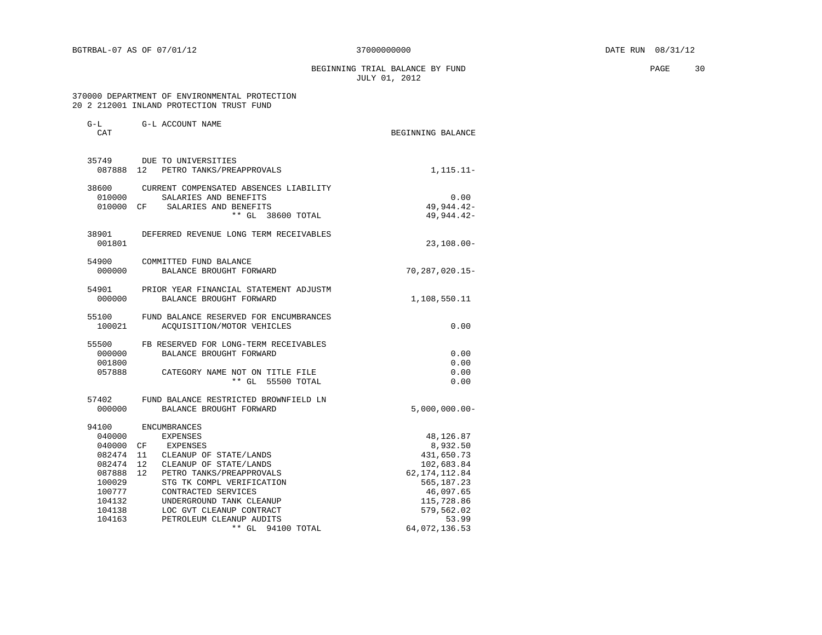BEGINNING TRIAL BALANCE BY FUND **PAGE** 30 JULY 01, 2012

| CAT              |                                                             | BEGINNING BALANCE        |
|------------------|-------------------------------------------------------------|--------------------------|
|                  | 35749 DUE TO UNIVERSITIES                                   |                          |
| 087888           | 12<br>PETRO TANKS/PREAPPROVALS                              | $1,115.11-$              |
| 38600            | CURRENT COMPENSATED ABSENCES LIABILITY                      |                          |
| 010000           | SALARIES AND BENEFITS                                       | 0.00                     |
| 010000           | SALARIES AND BENEFITS<br>CF                                 | 49, 944. 42-             |
|                  | ** GL 38600 TOTAL                                           | 49,944.42-               |
| 38901            | DEFERRED REVENUE LONG TERM RECEIVABLES                      |                          |
| 001801           |                                                             | $23, 108.00 -$           |
| 54900            | COMMITTED FUND BALANCE                                      |                          |
| 000000           | BALANCE BROUGHT FORWARD                                     | 70,287,020.15-           |
| 54901            | PRIOR YEAR FINANCIAL STATEMENT ADJUSTM                      |                          |
| 000000           | BALANCE BROUGHT FORWARD                                     | 1,108,550.11             |
| 55100            | FUND BALANCE RESERVED FOR ENCUMBRANCES                      |                          |
| 100021           | ACQUISITION/MOTOR VEHICLES                                  | 0.00                     |
| 55500            | FB RESERVED FOR LONG-TERM RECEIVABLES                       |                          |
| 000000           | BALANCE BROUGHT FORWARD                                     | 0.00                     |
| 001800           |                                                             | 0.00                     |
| 057888           | CATEGORY NAME NOT ON TITLE FILE                             | 0.00                     |
|                  | $***$ GL<br>55500 TOTAL                                     | 0.00                     |
| 57402            | FUND BALANCE RESTRICTED BROWNFIELD LN                       |                          |
| 000000           | BALANCE BROUGHT FORWARD                                     | $5,000,000.00$ -         |
| 94100            | <b>ENCUMBRANCES</b>                                         |                          |
| 040000           | <b>EXPENSES</b>                                             | 48,126.87                |
| 040000           | CF<br>EXPENSES                                              | 8,932.50                 |
| 082474           | 11<br>CLEANUP OF STATE/LANDS                                | 431,650.73               |
| 082474           | 12<br>CLEANUP OF STATE/LANDS                                | 102,683.84               |
| 087888<br>100029 | 12<br>PETRO TANKS/PREAPPROVALS<br>STG TK COMPL VERIFICATION | 62, 174, 112.84          |
| 100777           | CONTRACTED SERVICES                                         | 565, 187.23<br>46,097.65 |
| 104132           | UNDERGROUND TANK CLEANUP                                    | 115,728.86               |
| 104138           | LOC GVT CLEANUP CONTRACT                                    | 579,562.02               |
| 104163           | PETROLEUM CLEANUP AUDITS                                    | 53.99                    |
|                  | $**$ GL<br>94100 TOTAL                                      | 64,072,136.53            |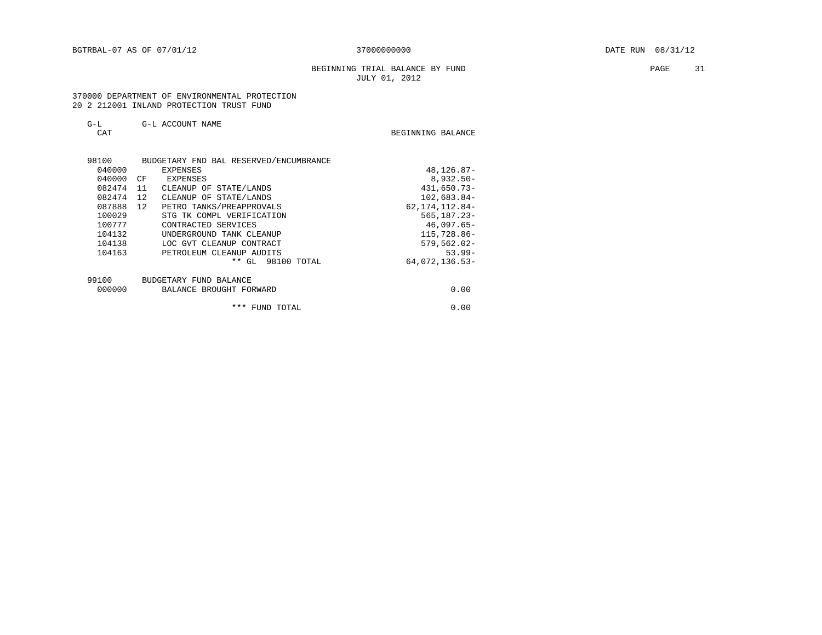# BEGINNING TRIAL BALANCE BY FUND **PAGE** 31 JULY 01, 2012

 370000 DEPARTMENT OF ENVIRONMENTAL PROTECTION 20 2 212001 INLAND PROTECTION TRUST FUND

| G-L ACCOUNT NAME | $G-L$ |  |  |  |
|------------------|-------|--|--|--|
|------------------|-------|--|--|--|

BEGINNING BALANCE

| 98100  | BUDGETARY FND BAL RESERVED/ENCUMBRANCE |                  |
|--------|----------------------------------------|------------------|
| 040000 | <b>EXPENSES</b>                        | 48, 126.87-      |
| 040000 | CF<br>EXPENSES                         | $8,932.50 -$     |
| 082474 | 11<br>CLEANUP OF STATE/LANDS           | 431,650.73-      |
| 082474 | 12.<br>CLEANUP OF STATE/LANDS          | $102,683.84-$    |
| 087888 | 12<br>PETRO TANKS/PREAPPROVALS         | 62, 174, 112.84- |
| 100029 | STG TK COMPL VERIFICATION              | $565, 187.23 -$  |
| 100777 | CONTRACTED SERVICES                    | $46,097.65-$     |
| 104132 | UNDERGROUND TANK CLEANUP               | 115,728.86-      |
| 104138 | LOC GVT CLEANUP CONTRACT               | $579, 562.02 -$  |
| 104163 | PETROLEUM CLEANUP AUDITS               | $53.99 -$        |
|        | $**$ GL<br>98100 TOTAL                 | $64.072.136.53-$ |
| 99100  | BUDGETARY FUND BALANCE                 |                  |
| 000000 | BALANCE BROUGHT FORWARD                | 0.00             |
|        | ***<br>FUND TOTAL                      | 0.00             |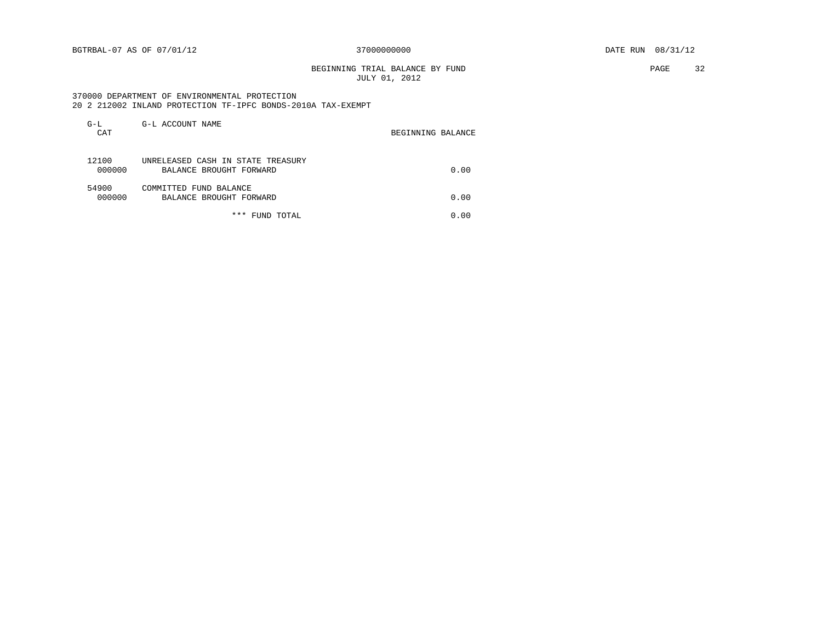BEGINNING TRIAL BALANCE BY FUND **EXAMPLE 20** S2 JULY 01, 2012

 370000 DEPARTMENT OF ENVIRONMENTAL PROTECTION 20 2 212002 INLAND PROTECTION TF-IPFC BONDS-2010A TAX-EXEMPT

| G-L<br>CAT      | G-L ACCOUNT NAME                                             | BEGINNING BALANCE |
|-----------------|--------------------------------------------------------------|-------------------|
| 12100<br>000000 | UNRELEASED CASH IN STATE TREASURY<br>BALANCE BROUGHT FORWARD | 0.00              |
| 54900<br>000000 | COMMITTED FUND BALANCE<br>BALANCE BROUGHT FORWARD            | 0.00              |
|                 | * * *<br>FUND TOTAL                                          | 0.00              |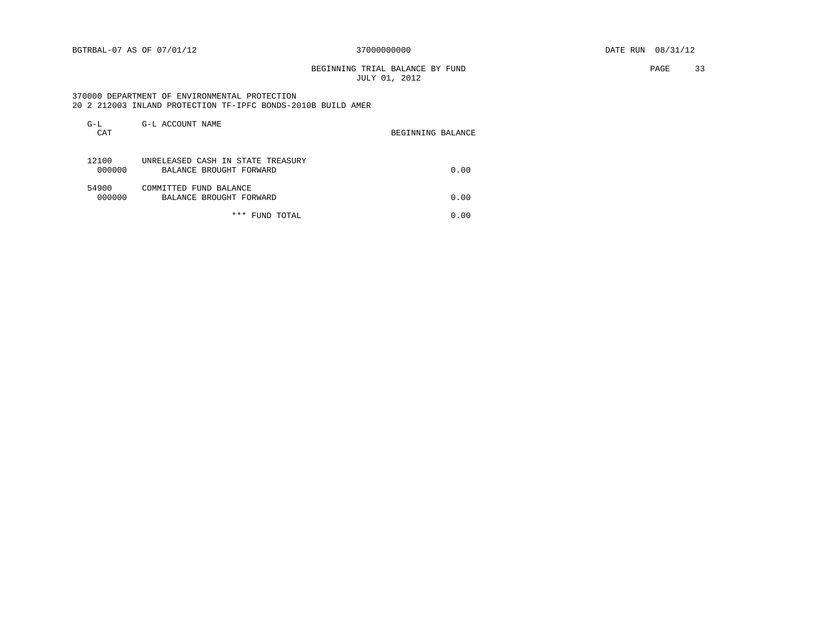BEGINNING TRIAL BALANCE BY FUND **EXAMPLE 1999** PAGE 33 JULY 01, 2012

 370000 DEPARTMENT OF ENVIRONMENTAL PROTECTION 20 2 212003 INLAND PROTECTION TF-IPFC BONDS-2010B BUILD AMER

| $G-L$<br>CAT    | G-L ACCOUNT NAME                                             | BEGINNING BALANCE |
|-----------------|--------------------------------------------------------------|-------------------|
| 12100<br>000000 | UNRELEASED CASH IN STATE TREASURY<br>BALANCE BROUGHT FORWARD | 0.00              |
| 54900<br>000000 | COMMITTED FUND BALANCE<br>BALANCE BROUGHT FORWARD            | 0.00              |
|                 | ***<br>FUND TOTAL                                            | 0.00              |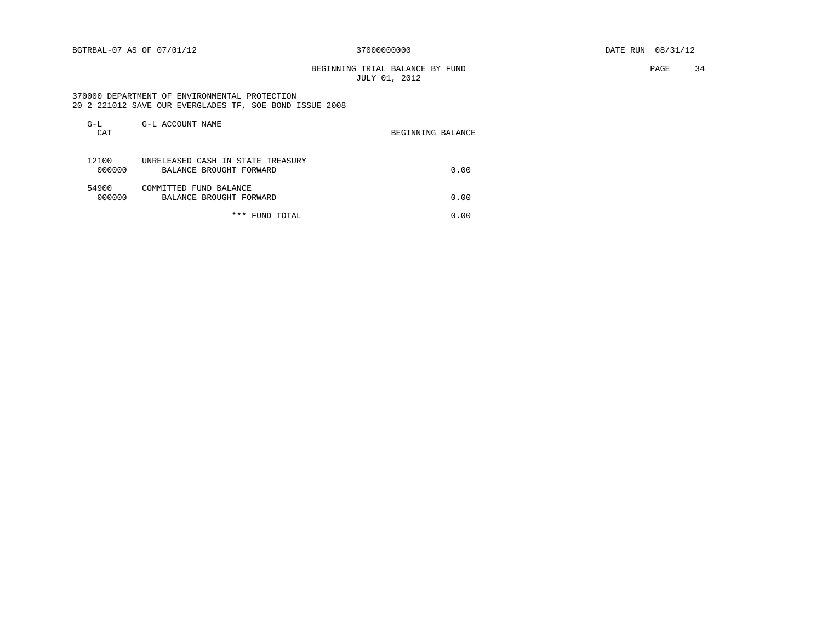BEGINNING TRIAL BALANCE BY FUND **PAGE** 34 JULY 01, 2012

 370000 DEPARTMENT OF ENVIRONMENTAL PROTECTION 20 2 221012 SAVE OUR EVERGLADES TF, SOE BOND ISSUE 2008

| G-L<br>CAT      | G-L ACCOUNT NAME                                             | BEGINNING BALANCE |
|-----------------|--------------------------------------------------------------|-------------------|
| 12100<br>000000 | UNRELEASED CASH IN STATE TREASURY<br>BALANCE BROUGHT FORWARD | 0.00              |
| 54900<br>000000 | COMMITTED FUND BALANCE<br>BALANCE BROUGHT FORWARD            | 0.00              |
|                 | ***<br>FUND TOTAL                                            | 0.00              |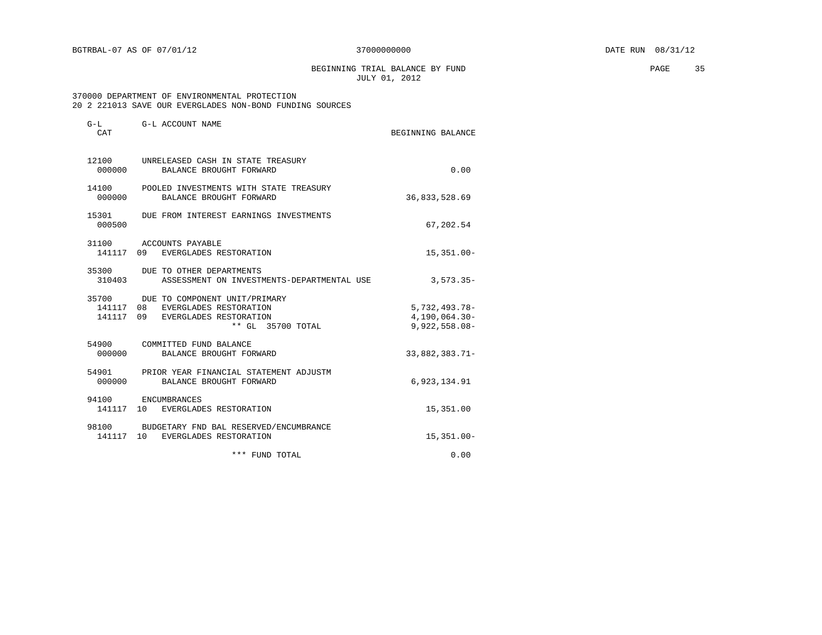BEGINNING TRIAL BALANCE BY FUND **EXAMPLE 25** PAGE 35 JULY 01, 2012

 370000 DEPARTMENT OF ENVIRONMENTAL PROTECTION 20 2 221013 SAVE OUR EVERGLADES NON-BOND FUNDING SOURCES

| $G-L$<br>CAT       | G-L ACCOUNT NAME                                                                                                                 | BEGINNING BALANCE                                    |
|--------------------|----------------------------------------------------------------------------------------------------------------------------------|------------------------------------------------------|
| 12100<br>000000    | UNRELEASED CASH IN STATE TREASURY<br>BALANCE BROUGHT FORWARD                                                                     | 0.00                                                 |
| 000000             | 14100 POOLED INVESTMENTS WITH STATE TREASURY<br>BALANCE BROUGHT FORWARD                                                          | 36,833,528.69                                        |
| 15301<br>000500    | DUE FROM INTEREST EARNINGS INVESTMENTS                                                                                           | 67,202.54                                            |
|                    | 31100 ACCOUNTS PAYABLE<br>141117 09 EVERGLADES RESTORATION                                                                       | $15,351.00 -$                                        |
| 310403             | 35300 DUE TO OTHER DEPARTMENTS<br>ASSESSMENT ON INVESTMENTS-DEPARTMENTAL USE                                                     | $3,573.35-$                                          |
|                    | 35700 DUE TO COMPONENT UNIT/PRIMARY<br>141117 08 EVERGLADES RESTORATION<br>141117 09 EVERGLADES RESTORATION<br>** GL 35700 TOTAL | 5,732,493.78-<br>$4,190,064.30-$<br>$9,922,558.08 -$ |
| 54900<br>000000    | COMMITTED FUND BALANCE<br>BALANCE BROUGHT FORWARD                                                                                | 33,882,383.71-                                       |
| 54901<br>000000    | PRIOR YEAR FINANCIAL STATEMENT ADJUSTM<br>BALANCE BROUGHT FORWARD                                                                | 6,923,134.91                                         |
| 94100              | ENCUMBRANCES<br>141117 10 EVERGLADES RESTORATION                                                                                 | 15,351.00                                            |
| 98100<br>141117 10 | BUDGETARY FND BAL RESERVED/ENCUMBRANCE<br>EVERGLADES RESTORATION                                                                 | $15,351.00 -$                                        |
|                    | *** FUND TOTAL                                                                                                                   | 0.00                                                 |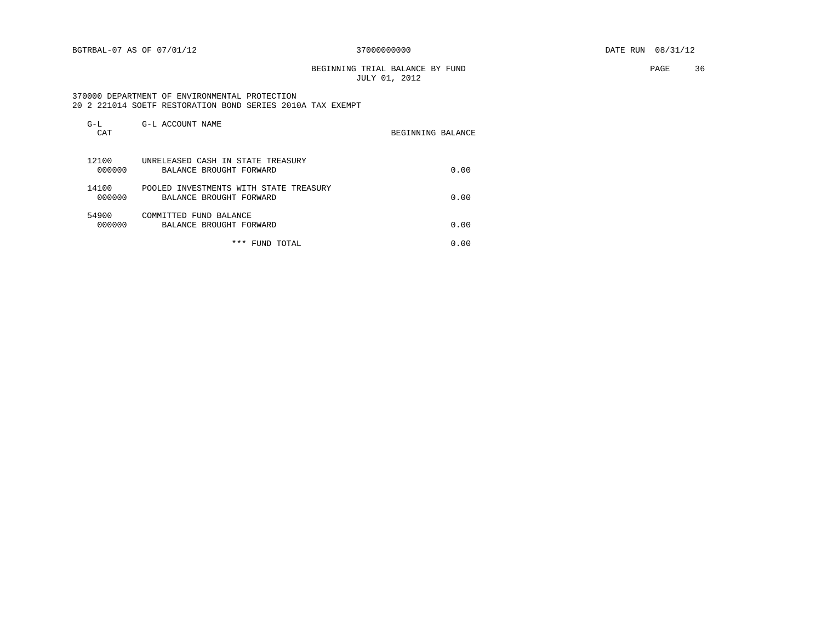# BEGINNING TRIAL BALANCE BY FUND **EXAMPLE 36** PAGE 36 JULY 01, 2012

 370000 DEPARTMENT OF ENVIRONMENTAL PROTECTION 20 2 221014 SOETF RESTORATION BOND SERIES 2010A TAX EXEMPT

| $G-L$<br>CAT    | G-L ACCOUNT NAME                                                  | BEGINNING BALANCE |
|-----------------|-------------------------------------------------------------------|-------------------|
| 12100<br>000000 | UNRELEASED CASH IN STATE TREASURY<br>BALANCE BROUGHT FORWARD      | 0.00              |
| 14100<br>000000 | POOLED INVESTMENTS WITH STATE TREASURY<br>BALANCE BROUGHT FORWARD | 0.00              |
| 54900<br>000000 | COMMITTED FUND BALANCE<br>BALANCE BROUGHT FORWARD                 | 0.00              |
|                 | * * *<br>FUND TOTAL                                               | 0.00              |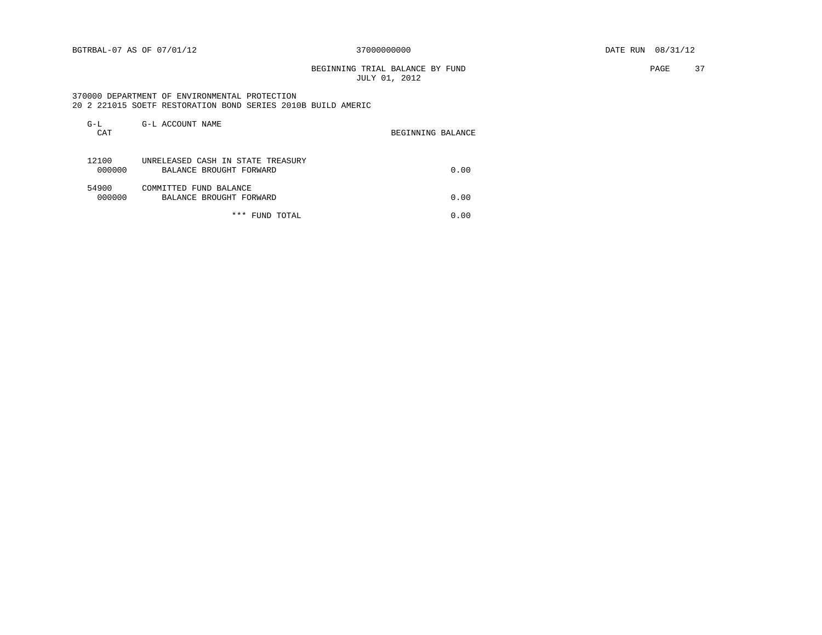BEGINNING TRIAL BALANCE BY FUND **PAGE** 37 JULY 01, 2012

 370000 DEPARTMENT OF ENVIRONMENTAL PROTECTION 20 2 221015 SOETF RESTORATION BOND SERIES 2010B BUILD AMERIC

| G-L<br>CAT      | G-L ACCOUNT NAME                                             | BEGINNING BALANCE |
|-----------------|--------------------------------------------------------------|-------------------|
| 12100<br>000000 | UNRELEASED CASH IN STATE TREASURY<br>BALANCE BROUGHT FORWARD | 0.00              |
| 54900<br>000000 | COMMITTED FUND BALANCE<br>BALANCE BROUGHT FORWARD            | 0.00              |
|                 | ***<br>FUND TOTAL                                            | 0.00              |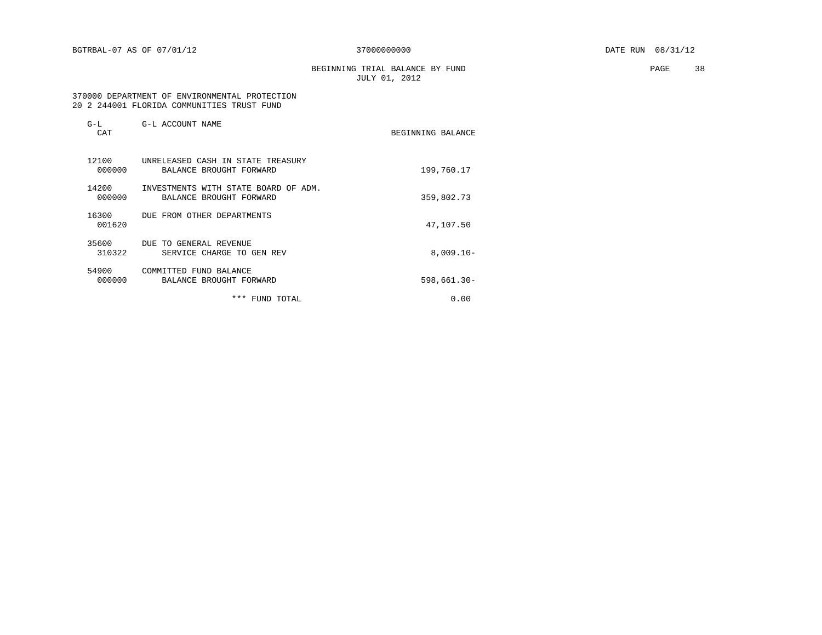BEGINNING TRIAL BALANCE BY FUND PAGE 38 JULY 01, 2012

## 370000 DEPARTMENT OF ENVIRONMENTAL PROTECTION 20 2 244001 FLORIDA COMMUNITIES TRUST FUND

| $G-L$<br>CAT    | G-L ACCOUNT NAME                                                | BEGINNING BALANCE |
|-----------------|-----------------------------------------------------------------|-------------------|
| 12100<br>000000 | UNRELEASED CASH IN STATE TREASURY<br>BALANCE BROUGHT FORWARD    | 199,760.17        |
| 14200<br>000000 | INVESTMENTS WITH STATE BOARD OF ADM.<br>BALANCE BROUGHT FORWARD | 359,802.73        |
| 16300<br>001620 | DUE FROM OTHER DEPARTMENTS                                      | 47,107.50         |
| 35600<br>310322 | DUE TO GENERAL REVENUE<br>SERVICE CHARGE TO GEN REV             | $8.009.10 -$      |
| 54900<br>000000 | COMMITTED FUND BALANCE<br>BALANCE BROUGHT FORWARD               | 598,661.30-       |
|                 | ***<br>TOTAL<br>FUND                                            | 0.00              |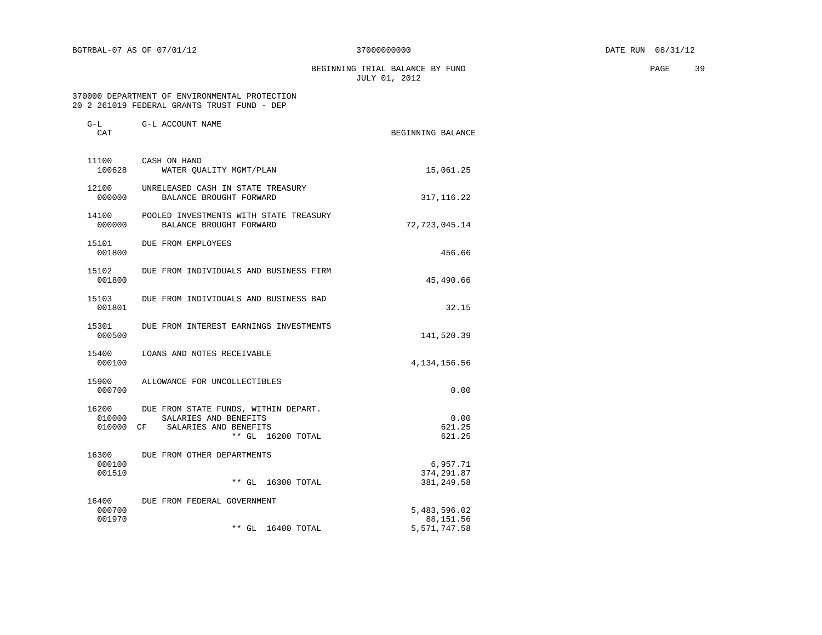BEGINNING TRIAL BALANCE BY FUND **EXAMPLE 20** PAGE 39 JULY 01, 2012

| $G-L$<br>CAT              | G-L ACCOUNT NAME                                                                                                  | BEGINNING BALANCE                           |
|---------------------------|-------------------------------------------------------------------------------------------------------------------|---------------------------------------------|
| 100628                    | 11100 CASH ON HAND<br>WATER OUALITY MGMT/PLAN                                                                     | 15,061.25                                   |
| 12100<br>000000           | UNRELEASED CASH IN STATE TREASURY<br>BALANCE BROUGHT FORWARD                                                      | 317, 116.22                                 |
| 14100<br>000000           | POOLED INVESTMENTS WITH STATE TREASURY<br>BALANCE BROUGHT FORWARD                                                 | 72, 723, 045. 14                            |
| 15101<br>001800           | DUE FROM EMPLOYEES                                                                                                | 456.66                                      |
| 15102<br>001800           | DUE FROM INDIVIDUALS AND BUSINESS FIRM                                                                            | 45,490.66                                   |
| 15103<br>001801           | DUE FROM INDIVIDUALS AND BUSINESS BAD                                                                             | 32.15                                       |
| 15301<br>000500           | DUE FROM INTEREST EARNINGS INVESTMENTS                                                                            | 141,520.39                                  |
| 15400<br>000100           | LOANS AND NOTES RECEIVABLE                                                                                        | 4, 134, 156. 56                             |
| 15900<br>000700           | ALLOWANCE FOR UNCOLLECTIBLES                                                                                      | 0.00                                        |
| 010000<br>010000 CF       | 16200 DUE FROM STATE FUNDS, WITHIN DEPART.<br>SALARIES AND BENEFITS<br>SALARIES AND BENEFITS<br>** GL 16200 TOTAL | 0.00<br>621.25<br>621.25                    |
| 16300<br>000100<br>001510 | DUE FROM OTHER DEPARTMENTS<br>** GL 16300 TOTAL                                                                   | 6,957.71<br>374, 291.87<br>381, 249.58      |
| 16400<br>000700<br>001970 | DUE FROM FEDERAL GOVERNMENT<br>** GL 16400 TOTAL                                                                  | 5,483,596.02<br>88,151.56<br>5, 571, 747.58 |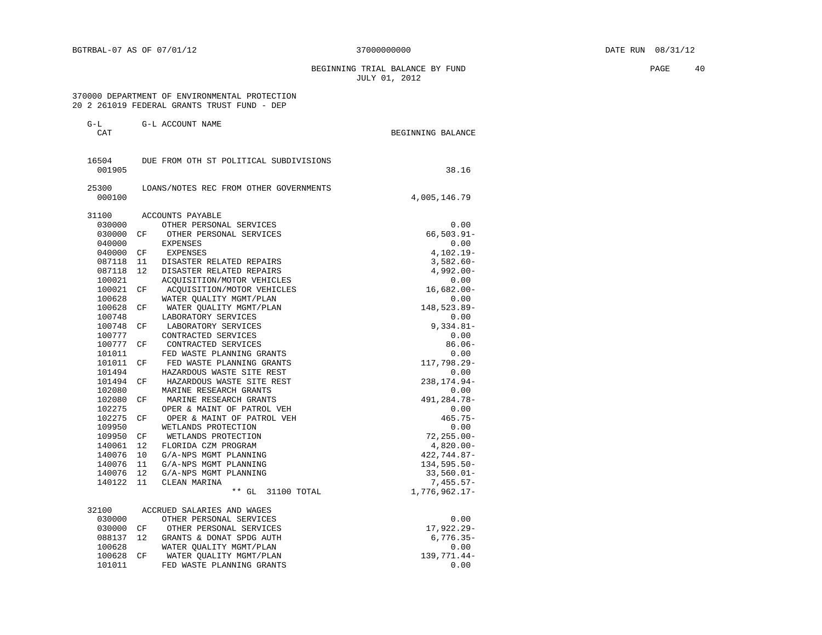BEGINNING TRIAL BALANCE BY FUND **PAGE** 40 JULY 01, 2012

| $G-L$<br>CAT    |    | G-L ACCOUNT NAME                       | BEGINNING BALANCE |
|-----------------|----|----------------------------------------|-------------------|
|                 |    |                                        |                   |
| 16504<br>001905 |    | DUE FROM OTH ST POLITICAL SUBDIVISIONS | 38.16             |
|                 |    |                                        |                   |
| 25300           |    | LOANS/NOTES REC FROM OTHER GOVERNMENTS |                   |
| 000100          |    |                                        | 4,005,146.79      |
| 31100           |    | ACCOUNTS PAYABLE                       |                   |
| 030000          |    | OTHER PERSONAL SERVICES                | 0.00              |
| 030000          | СF | OTHER PERSONAL SERVICES                | $66,503.91 -$     |
| 040000          |    | EXPENSES                               | 0.00              |
| 040000          | CF | EXPENSES                               | $4,102.19-$       |
| 087118          | 11 | DISASTER RELATED REPAIRS               | $3,582.60-$       |
| 087118          | 12 | DISASTER RELATED REPAIRS               | $4,992.00 -$      |
| 100021          |    | ACQUISITION/MOTOR VEHICLES             | 0.00              |
| 100021          | CF | ACQUISITION/MOTOR VEHICLES             | $16,682.00 -$     |
| 100628          |    | WATER OUALITY MGMT/PLAN                | 0.00              |
| 100628          | СF | WATER QUALITY MGMT/PLAN                | 148,523.89-       |
| 100748          |    | LABORATORY SERVICES                    | 0.00              |
| 100748          | CF | LABORATORY SERVICES                    | $9,334.81 -$      |
| 100777          |    | CONTRACTED SERVICES                    | 0.00              |
| 100777          | СF | CONTRACTED SERVICES                    | $86.06 -$         |
| 101011          |    | FED WASTE PLANNING GRANTS              | 0.00              |
| 101011          | СF | FED WASTE PLANNING GRANTS              | 117,798.29-       |
| 101494          |    | HAZARDOUS WASTE SITE REST              | 0.00              |
| 101494          | СF | HAZARDOUS WASTE SITE REST              | 238, 174.94-      |
| 102080          |    | MARINE RESEARCH GRANTS                 | 0.00              |
| 102080          | CF | MARINE RESEARCH GRANTS                 | 491,284.78-       |
| 102275          |    | OPER & MAINT OF PATROL VEH             | 0.00              |
| 102275          | CF | OPER & MAINT OF PATROL VEH             | $465.75-$         |
| 109950          |    | WETLANDS PROTECTION                    | 0.00              |
| 109950          | СF | WETLANDS PROTECTION                    | $72, 255.00 -$    |
| 140061          | 12 | FLORIDA CZM PROGRAM                    | $4,820.00-$       |
| 140076          | 10 | G/A-NPS MGMT PLANNING                  | 422,744.87-       |
| 140076          | 11 | G/A-NPS MGMT PLANNING                  | 134,595.50-       |
| 140076          | 12 | G/A-NPS MGMT PLANNING                  | $33,560.01 -$     |
| 140122          | 11 | CLEAN MARINA                           | $7,455.57-$       |
|                 |    | $***$ GL<br>31100 TOTAL                | 1,776,962.17-     |
| 32100           |    | ACCRUED SALARIES AND WAGES             |                   |
| 030000          |    | OTHER PERSONAL SERVICES                | 0.00              |
| 030000          | CF | OTHER PERSONAL SERVICES                | 17,922.29-        |
| 088137          | 12 | GRANTS & DONAT SPDG AUTH               | $6,776.35-$       |
| 100628          |    | WATER QUALITY MGMT/PLAN                | 0.00              |
| 100628          | СF | WATER QUALITY MGMT/PLAN                | 139,771.44-       |
| 101011          |    | FED WASTE PLANNING GRANTS              | 0.00              |
|                 |    |                                        |                   |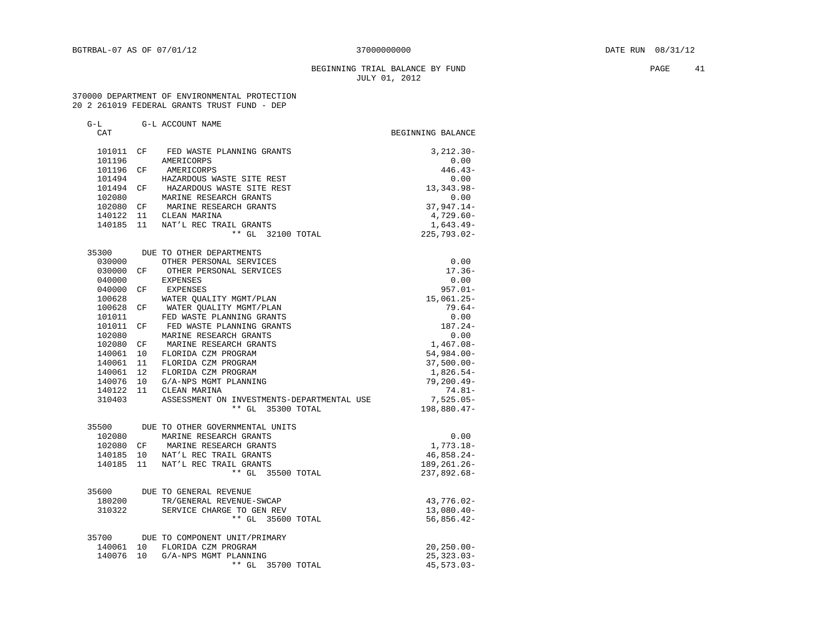# BEGINNING TRIAL BALANCE BY FUND **EXAMPLE 1** 2 ACC 21 JULY 01, 2012

| G-L       |     | G-L ACCOUNT NAME                           |                                  |
|-----------|-----|--------------------------------------------|----------------------------------|
| CAT       |     |                                            | BEGINNING BALANCE                |
|           |     | 101011 CF FED WASTE PLANNING GRANTS        | $3,212.30-$                      |
| 101196    |     | AMERICORPS                                 | 0.00                             |
| 101196    | CF  | AMERICORPS                                 | $446.43-$                        |
| 101494    |     | HAZARDOUS WASTE SITE REST                  | 0.00                             |
| 101494    | CF. | HAZARDOUS WASTE SITE REST                  | 13,343.98-                       |
| 102080    |     | MARINE RESEARCH GRANTS                     | 0.00                             |
|           |     | 102080 CF MARINE RESEARCH GRANTS           | $37,947.14-$                     |
| 140122    |     | 11 CLEAN MARINA                            | $4,729.60-$                      |
|           |     | 140185 11 NAT'L REC TRAIL GRANTS           | $1,643.49-$                      |
|           |     | ** GL 32100 TOTAL                          | $225,793.02-$                    |
|           |     |                                            |                                  |
| 35300     |     | DUE TO OTHER DEPARTMENTS                   |                                  |
| 030000    |     | OTHER PERSONAL SERVICES                    | 0.00                             |
| 030000    | CF  | OTHER PERSONAL SERVICES                    | $17.36-$                         |
| 040000    |     | EXPENSES                                   | 0.00                             |
| 040000    | CF  | EXPENSES                                   | $957.01 -$                       |
| 100628    |     | WATER QUALITY MGMT/PLAN                    | 15,061.25-                       |
| 100628    | CF  | WATER QUALITY MGMT/PLAN                    | 79.64-                           |
| 101011    |     | FED WASTE PLANNING GRANTS                  | 0.00                             |
| 101011    | CF  | FED WASTE PLANNING GRANTS                  | $187.24-$                        |
| 102080    |     | MARINE RESEARCH GRANTS                     | 0.00                             |
| 102080 CF |     | MARINE RESEARCH GRANTS                     | $1,467.08-$                      |
| 140061    |     | 10 FLORIDA CZM PROGRAM                     | $54,984.00 -$                    |
|           |     | 140061 11 FLORIDA CZM PROGRAM              | $37,500.00 -$                    |
| 140061    |     | 12 FLORIDA CZM PROGRAM                     | 1,826.54-                        |
|           |     | 140076 10 G/A-NPS MGMT PLANNING            | $79,200.49 -$                    |
| 140122    | 11  | CLEAN MARINA                               | 74.81-                           |
| 310403    |     | ASSESSMENT ON INVESTMENTS-DEPARTMENTAL USE | 7,525.05-                        |
|           |     | ** GL 35300 TOTAL                          | 198,880.47-                      |
| 35500     |     | DUE TO OTHER GOVERNMENTAL UNITS            |                                  |
| 102080    |     | MARINE RESEARCH GRANTS                     | 0.00                             |
|           |     | 102080 CF MARINE RESEARCH GRANTS           | $1,773.18-$                      |
| 140185    |     | 10 NAT'L REC TRAIL GRANTS                  | $46,858.24-$                     |
| 140185    |     | 11 NAT'L REC TRAIL GRANTS                  | 189, 261. 26-                    |
|           |     | ** GL 35500 TOTAL                          | $237,892.68-$                    |
| 35600     |     | DUE TO GENERAL REVENUE                     |                                  |
| 180200    |     | TR/GENERAL REVENUE-SWCAP                   | 43,776.02-                       |
| 310322    |     | SERVICE CHARGE TO GEN REV                  | $13,080.40-$                     |
|           |     | ** GL 35600 TOTAL                          | $56,856.42-$                     |
|           |     | 35700 DUE TO COMPONENT UNIT/PRIMARY        |                                  |
| 140061 10 |     | FLORIDA CZM PROGRAM                        |                                  |
| 140076 10 |     | G/A-NPS MGMT PLANNING                      | $20, 250.00 -$<br>$25, 323.03 -$ |
|           |     | $**$ GL<br>35700 TOTAL                     | $45,573.03-$                     |
|           |     |                                            |                                  |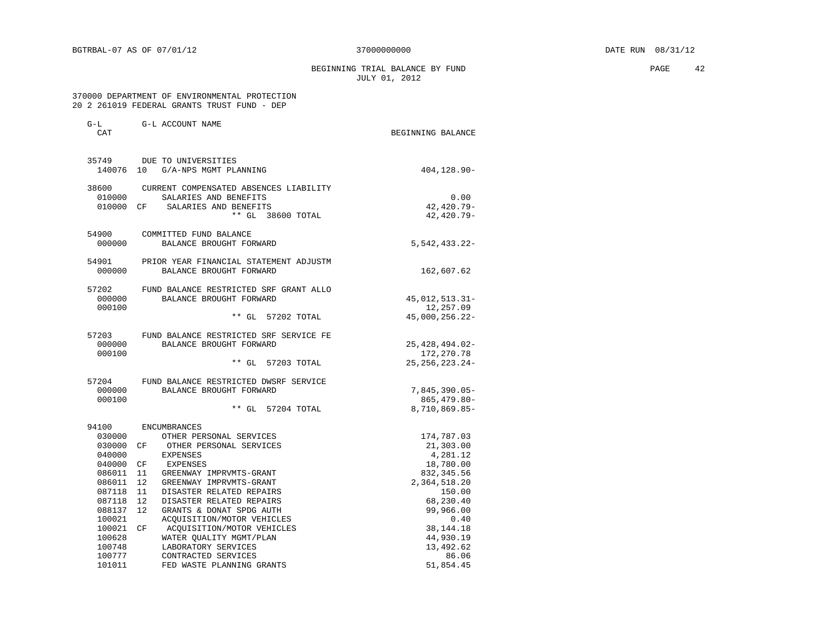BEGINNING TRIAL BALANCE BY FUND **EXAMPLE 1999** PAGE 42 JULY 01, 2012

| $G-L$<br>CAT                         | G-L ACCOUNT NAME                                                                                                                 | BEGINNING BALANCE                                   |
|--------------------------------------|----------------------------------------------------------------------------------------------------------------------------------|-----------------------------------------------------|
| 35749<br>140076                      | DUE TO UNIVERSITIES<br>G/A-NPS MGMT PLANNING<br>10 <sup>°</sup>                                                                  | $404, 128.90 -$                                     |
| 38600<br>010000<br>010000            | CURRENT COMPENSATED ABSENCES LIABILITY<br>SALARIES AND BENEFITS<br>SALARIES AND BENEFITS<br>CF<br>** GL 38600 TOTAL              | 0.00<br>$42,420.79-$<br>$42,420.79-$                |
| 54900<br>000000                      | COMMITTED FUND BALANCE<br>BALANCE BROUGHT FORWARD                                                                                | $5,542,433.22-$                                     |
| 54901<br>000000                      | PRIOR YEAR FINANCIAL STATEMENT ADJUSTM<br>BALANCE BROUGHT FORWARD                                                                | 162,607.62                                          |
| 57202<br>000000<br>000100            | FUND BALANCE RESTRICTED SRF GRANT ALLO<br>BALANCE BROUGHT FORWARD                                                                | 45, 012, 513.31-<br>12,257.09                       |
|                                      | $**$ GL<br>57202 TOTAL                                                                                                           | 45,000,256.22-                                      |
| 57203<br>000000<br>000100            | FUND BALANCE RESTRICTED SRF SERVICE FE<br>BALANCE BROUGHT FORWARD                                                                | $25,428,494.02-$<br>172, 270.78                     |
|                                      | ** GL<br>57203 TOTAL                                                                                                             | $25, 256, 223.24 -$                                 |
| 57204<br>000000<br>000100            | FUND BALANCE RESTRICTED DWSRF SERVICE<br>BALANCE BROUGHT FORWARD<br>$***$ GL<br>57204 TOTAL                                      | $7,845,390.05-$<br>$865, 479.80 -$<br>8,710,869.85- |
| 94100                                | <b>ENCUMBRANCES</b>                                                                                                              |                                                     |
| 030000<br>030000<br>040000<br>040000 | OTHER PERSONAL SERVICES<br>CF<br>OTHER PERSONAL SERVICES<br>EXPENSES<br>CF<br>EXPENSES                                           | 174,787.03<br>21,303.00<br>4,281.12<br>18,780.00    |
| 086011<br>086011                     | 11<br>GREENWAY IMPRVMTS-GRANT<br>12<br>GREENWAY IMPRVMTS-GRANT                                                                   | 832, 345.56<br>2,364,518.20                         |
| 087118<br>087118<br>088137<br>100021 | 11<br>DISASTER RELATED REPAIRS<br>12<br>DISASTER RELATED REPAIRS<br>12<br>GRANTS & DONAT SPDG AUTH<br>ACOUISITION/MOTOR VEHICLES | 150.00<br>68,230.40<br>99,966.00<br>0.40            |
| 100021<br>100628<br>100748           | ACQUISITION/MOTOR VEHICLES<br>CF<br>WATER QUALITY MGMT/PLAN<br>LABORATORY SERVICES                                               | 38, 144. 18<br>44,930.19<br>13,492.62               |
| 100777<br>101011                     | CONTRACTED SERVICES<br>FED WASTE PLANNING GRANTS                                                                                 | 86.06<br>51,854.45                                  |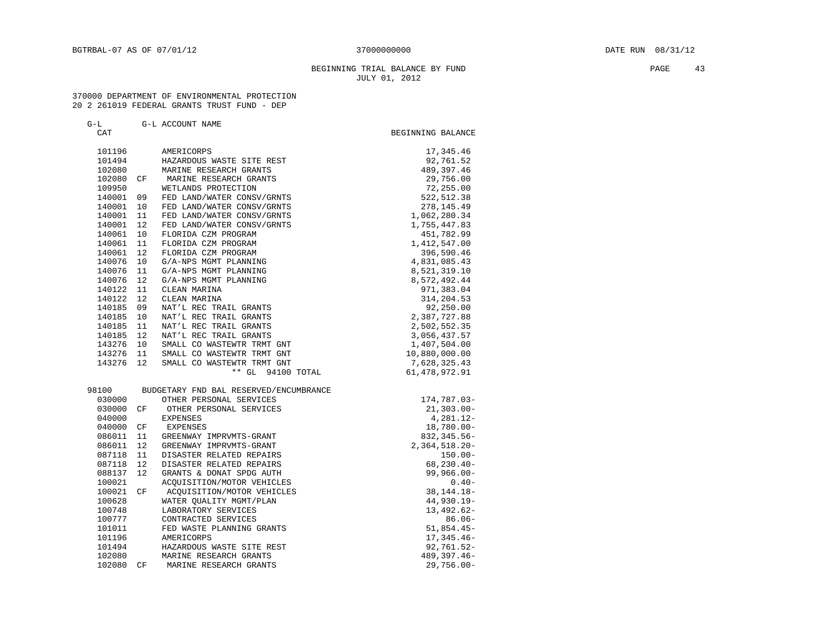#### BEGINNING TRIAL BALANCE BY FUND **PAGE** 43 JULY 01, 2012

#### 370000 DEPARTMENT OF ENVIRONMENTAL PROTECTION 20 2 261019 FEDERAL GRANTS TRUST FUND - DEP

G-L G-L ACCOUNT NAME

| CAT    |                   |                                        | BEGINNING BALANCE |                  |
|--------|-------------------|----------------------------------------|-------------------|------------------|
| 101196 |                   | AMERICORPS                             |                   | 17,345.46        |
| 101494 |                   | HAZARDOUS WASTE SITE REST              |                   | 92,761.52        |
| 102080 |                   | MARINE RESEARCH GRANTS                 |                   | 489, 397.46      |
| 102080 | CF                | MARINE RESEARCH GRANTS                 |                   | 29,756.00        |
| 109950 |                   | WETLANDS PROTECTION                    |                   | 72,255.00        |
| 140001 | 09                | FED LAND/WATER CONSV/GRNTS             |                   | 522, 512.38      |
| 140001 | 10                | FED LAND/WATER CONSV/GRNTS             |                   | 278, 145.49      |
| 140001 | 11                | FED LAND/WATER CONSV/GRNTS             |                   | 1,062,280.34     |
| 140001 | 12                | FED LAND/WATER CONSV/GRNTS             |                   | 1,755,447.83     |
| 140061 | 10                | FLORIDA CZM PROGRAM                    |                   | 451,782.99       |
| 140061 | 11                | FLORIDA CZM PROGRAM                    |                   | 1,412,547.00     |
| 140061 | 12                | FLORIDA CZM PROGRAM                    |                   | 396,590.46       |
| 140076 | 10                | G/A-NPS MGMT PLANNING                  |                   | 4,831,085.43     |
| 140076 | 11                | G/A-NPS MGMT PLANNING                  |                   | 8,521,319.10     |
| 140076 | $12 \overline{ }$ | G/A-NPS MGMT PLANNING                  |                   | 8,572,492.44     |
| 140122 | 11                | CLEAN MARINA                           |                   | 971,383.04       |
| 140122 | 12                | CLEAN MARINA                           |                   | 314, 204.53      |
| 140185 | 09                | NAT'L REC TRAIL GRANTS                 |                   | 92,250.00        |
| 140185 | 10                | NAT'L REC TRAIL GRANTS                 |                   | 2,387,727.88     |
| 140185 | 11                | NAT'L REC TRAIL GRANTS                 |                   | 2,502,552.35     |
| 140185 | 12                | NAT'L REC TRAIL GRANTS                 |                   | 3,056,437.57     |
| 143276 | 10                | SMALL CO WASTEWTR TRMT GNT             |                   | 1,407,504.00     |
| 143276 | 11                | SMALL CO WASTEWTR TRMT GNT             |                   | 10,880,000.00    |
| 143276 | 12                | SMALL CO WASTEWTR TRMT GNT             |                   | 7,628,325.43     |
|        |                   | ** GL<br>94100 TOTAL                   |                   | 61, 478, 972. 91 |
| 98100  |                   | BUDGETARY FND BAL RESERVED/ENCUMBRANCE |                   |                  |
| 030000 |                   | OTHER PERSONAL SERVICES                |                   | 174,787.03-      |
| 030000 | CF                | OTHER PERSONAL SERVICES                |                   | $21, 303.00 -$   |
| 040000 |                   | <b>EXPENSES</b>                        |                   | $4,281.12-$      |
| 040000 | CF                | EXPENSES                               |                   | $18,780.00 -$    |
| 086011 | 11                | GREENWAY IMPRVMTS-GRANT                |                   | 832, 345.56-     |
| 086011 | 12                | GREENWAY IMPRVMTS-GRANT                |                   | $2,364,518.20-$  |
| 087118 | 11                | DISASTER RELATED REPAIRS               |                   | $150.00 -$       |
| 087118 | 12                | DISASTER RELATED REPAIRS               |                   | $68, 230.40 -$   |
| 088137 | 12                | GRANTS & DONAT SPDG AUTH               |                   | $99,966.00 -$    |
| 100021 |                   | ACQUISITION/MOTOR VEHICLES             |                   | $0.40 -$         |
| 100021 | CF                | ACQUISITION/MOTOR VEHICLES             |                   | 38, 144. 18 -    |
| 100628 |                   | WATER OUALITY MGMT/PLAN                |                   | 44,930.19-       |
| 100748 |                   | LABORATORY SERVICES                    |                   | $13,492.62-$     |
| 100777 |                   | CONTRACTED SERVICES                    |                   | $86.06 -$        |
| 101011 |                   | FED WASTE PLANNING GRANTS              |                   | 51,854.45-       |
| 101196 |                   | AMERICORPS                             |                   | 17,345.46-       |

 101494 HAZARDOUS WASTE SITE REST 92,761.52- 102080 MARINE RESEARCH GRANTS 489,397.46- 102080 CF MARINE RESEARCH GRANTS 29,756.00-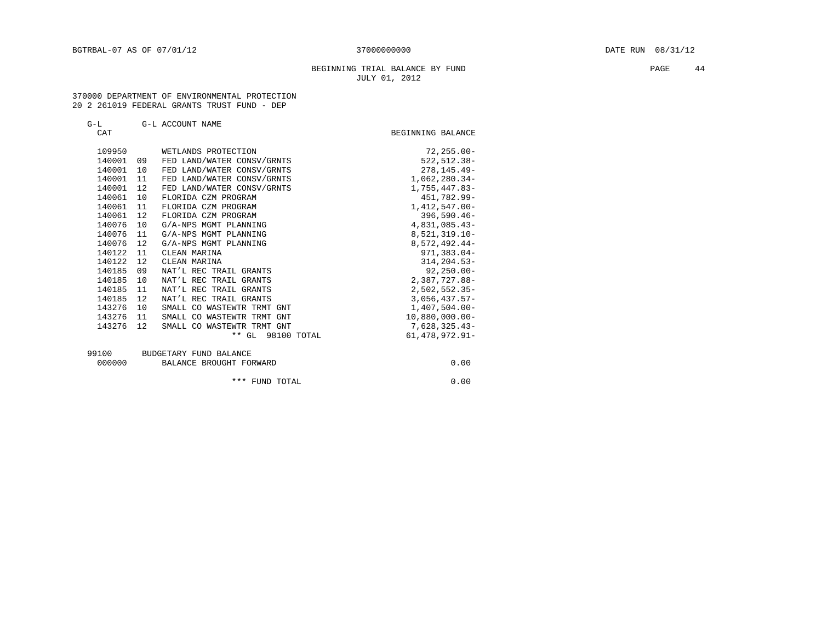## BEGINNING TRIAL BALANCE BY FUND **PAGE 44** JULY 01, 2012

| $G-L$<br>CAT |    | G-L ACCOUNT NAME           | BEGINNING BALANCE |
|--------------|----|----------------------------|-------------------|
| 109950       |    | WETLANDS PROTECTION        | $72, 255.00 -$    |
| 140001       | 09 | FED LAND/WATER CONSV/GRNTS | $522, 512.38 -$   |
| 140001       | 10 | FED LAND/WATER CONSV/GRNTS | $278, 145.49 -$   |
| 140001       | 11 | FED LAND/WATER CONSV/GRNTS | $1,062,280.34-$   |
| 140001       | 12 | FED LAND/WATER CONSV/GRNTS | $1,755,447.83-$   |
| 140061       | 10 | FLORIDA CZM PROGRAM        | 451,782.99-       |
| 140061       | 11 | FLORIDA CZM PROGRAM        | $1,412,547.00-$   |
| 140061       | 12 | FLORIDA CZM PROGRAM        | $396.590.46 -$    |
| 140076       | 10 | G/A-NPS MGMT PLANNING      | 4,831,085.43-     |
| 140076       | 11 | G/A-NPS MGMT PLANNING      | $8,521,319.10 -$  |
| 140076       | 12 | G/A-NPS MGMT PLANNING      | $8,572,492.44-$   |
| 140122       | 11 | CLEAN MARINA               | $971, 383.04 -$   |
| 140122       | 12 | CLEAN MARINA               | $314, 204.53 -$   |
| 140185       | 09 | NAT'L REC TRAIL GRANTS     | $92,250.00 -$     |
| 140185       | 10 | NAT'L REC TRAIL GRANTS     | 2,387,727.88-     |
| 140185       | 11 | NAT'L REC TRAIL GRANTS     | $2,502,552.35-$   |
| 140185       | 12 | NAT'L REC TRAIL GRANTS     | $3,056,437.57-$   |
| 143276       | 10 | SMALL CO WASTEWTR TRMT GNT | $1,407,504.00 -$  |
| 143276       | 11 | SMALL CO WASTEWTR TRMT GNT | $10,880,000.00-$  |
| 143276       | 12 | SMALL CO WASTEWTR TRMT GNT | 7,628,325.43-     |
|              |    | ** GL 98100 TOTAL          | 61, 478, 972. 91- |
| 99100        |    | BUDGETARY FUND BALANCE     |                   |
| 000000       |    | BALANCE BROUGHT FORWARD    | 0.00              |

\*\*\* FUND TOTAL 0.00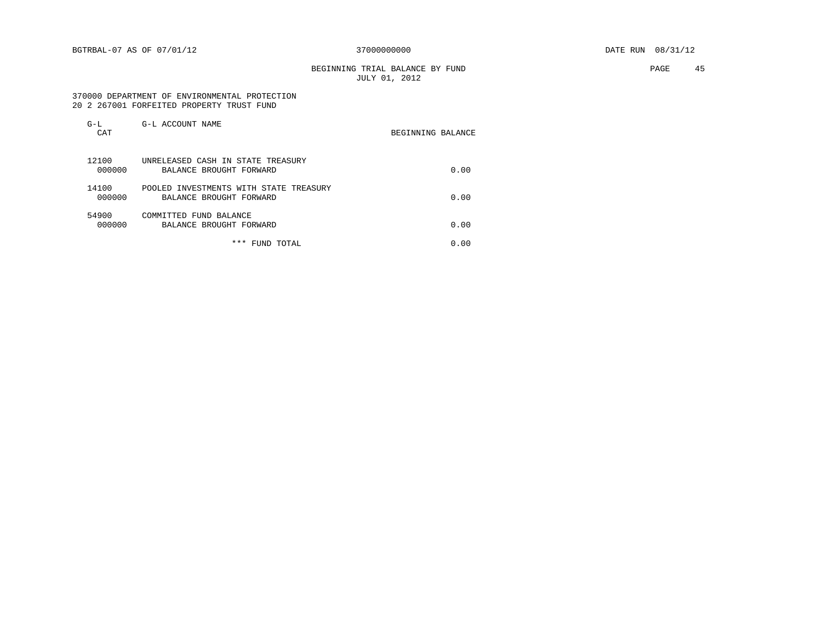BEGINNING TRIAL BALANCE BY FUND **EXAMPLE 2008** PAGE 45 JULY 01, 2012

 370000 DEPARTMENT OF ENVIRONMENTAL PROTECTION 20 2 267001 FORFEITED PROPERTY TRUST FUND

| $G-L$<br>CAT    | G-L ACCOUNT NAME                                                  | BEGINNING BALANCE |
|-----------------|-------------------------------------------------------------------|-------------------|
| 12100<br>000000 | UNRELEASED CASH IN STATE TREASURY<br>BALANCE BROUGHT FORWARD      | 0.00              |
| 14100<br>000000 | POOLED INVESTMENTS WITH STATE TREASURY<br>BALANCE BROUGHT FORWARD | 0.00              |
| 54900<br>000000 | COMMITTED FUND BALANCE<br>BALANCE BROUGHT FORWARD                 | 0.00              |
|                 | ***<br>FUND TOTAL                                                 | 0.00              |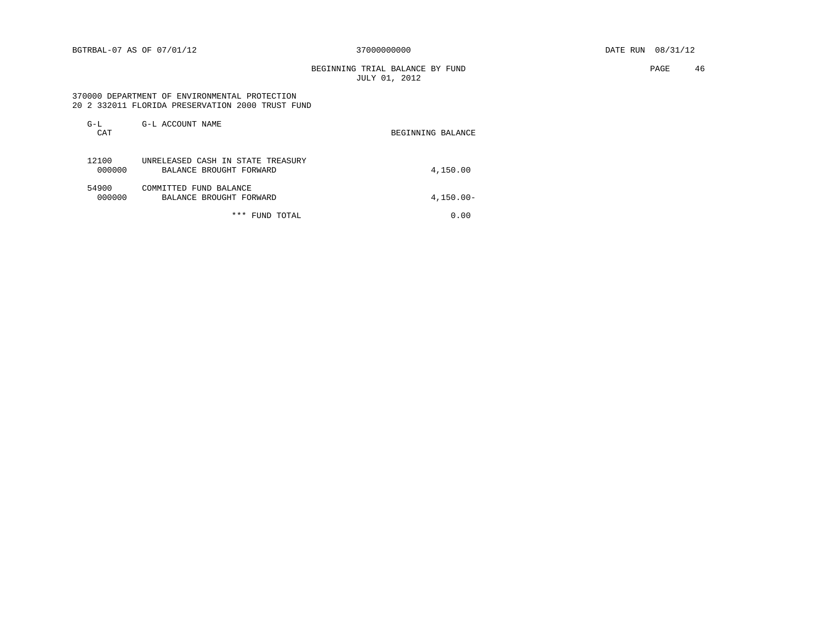BEGINNING TRIAL BALANCE BY FUND **PAGE 46** JULY 01, 2012

 370000 DEPARTMENT OF ENVIRONMENTAL PROTECTION 20 2 332011 FLORIDA PRESERVATION 2000 TRUST FUND

| $G-L$<br>CAT    | G-L ACCOUNT NAME                                             | BEGINNING BALANCE |
|-----------------|--------------------------------------------------------------|-------------------|
| 12100<br>000000 | UNRELEASED CASH IN STATE TREASURY<br>BALANCE BROUGHT FORWARD | 4,150.00          |
| 54900<br>000000 | COMMITTED FUND BALANCE<br>BALANCE BROUGHT FORWARD            | $4,150.00 -$      |
|                 | ***<br>FUND TOTAL                                            | 0.00              |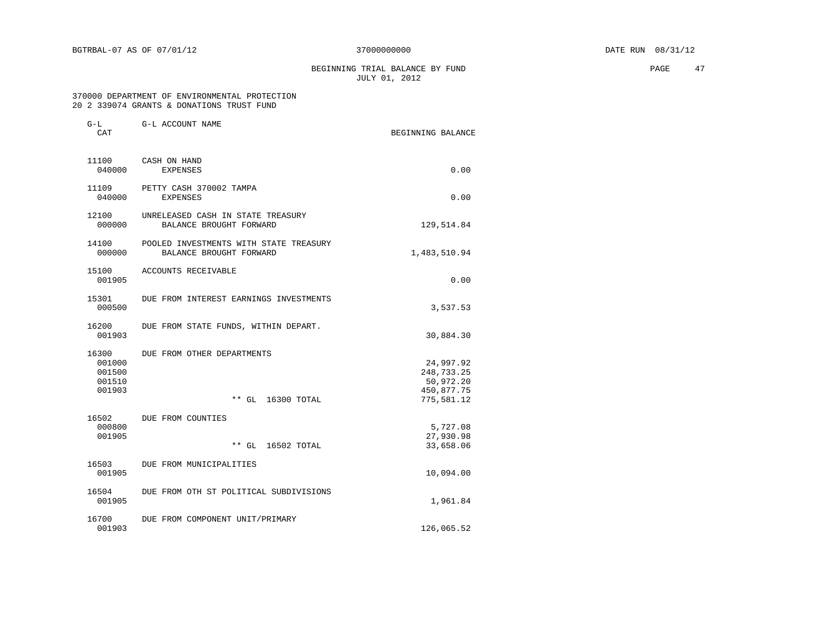BEGINNING TRIAL BALANCE BY FUND **EXAMPLE 19** PAGE 47 JULY 01, 2012

| G-L<br>CAT                                    | G-L ACCOUNT NAME                                                  | BEGINNING BALANCE                                                |
|-----------------------------------------------|-------------------------------------------------------------------|------------------------------------------------------------------|
| 11100<br>040000                               | CASH ON HAND<br><b>EXPENSES</b>                                   | 0.00                                                             |
| 11109<br>040000                               | PETTY CASH 370002 TAMPA<br><b>EXPENSES</b>                        | 0.00                                                             |
| 12100<br>000000                               | UNRELEASED CASH IN STATE TREASURY<br>BALANCE BROUGHT FORWARD      | 129,514.84                                                       |
| 14100<br>000000                               | POOLED INVESTMENTS WITH STATE TREASURY<br>BALANCE BROUGHT FORWARD | 1,483,510.94                                                     |
| 15100<br>001905                               | ACCOUNTS RECEIVABLE                                               | 0.00                                                             |
| 15301<br>000500                               | DUE FROM INTEREST EARNINGS INVESTMENTS                            | 3,537.53                                                         |
| 16200<br>001903                               | DUE FROM STATE FUNDS, WITHIN DEPART.                              | 30,884.30                                                        |
| 16300<br>001000<br>001500<br>001510<br>001903 | DUE FROM OTHER DEPARTMENTS<br>** GL 16300 TOTAL                   | 24,997.92<br>248,733.25<br>50,972.20<br>450,877.75<br>775,581.12 |
| 16502<br>000800<br>001905                     | DUE FROM COUNTIES<br>** GL 16502 TOTAL                            | 5,727.08<br>27,930.98<br>33,658.06                               |
| 16503<br>001905                               | DUE FROM MUNICIPALITIES                                           | 10,094.00                                                        |
| 16504<br>001905                               | DUE FROM OTH ST POLITICAL SUBDIVISIONS                            | 1,961.84                                                         |
| 16700<br>001903                               | DUE FROM COMPONENT UNIT/PRIMARY                                   | 126,065.52                                                       |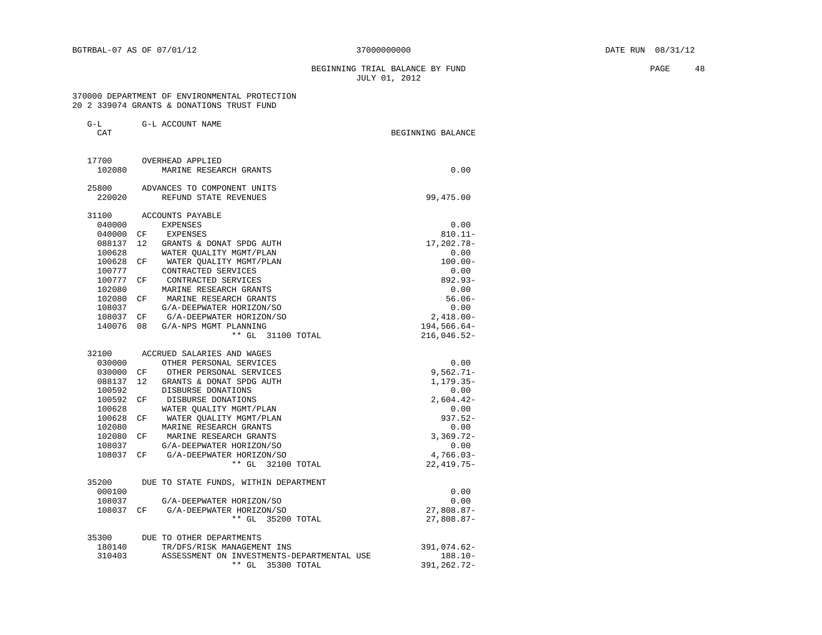G-L G-L ACCOUNT NAME

# BEGINNING TRIAL BALANCE BY FUND **PAGE** 48 JULY 01, 2012

| CAT       |                                                     | BEGINNING BALANCE           |
|-----------|-----------------------------------------------------|-----------------------------|
| 17700     | OVERHEAD APPLIED                                    |                             |
| 102080    | MARINE RESEARCH GRANTS                              | 0.00                        |
| 25800     | ADVANCES TO COMPONENT UNITS                         |                             |
| 220020    | REFUND STATE REVENUES                               | 99,475.00                   |
| 31100     | <b>ACCOUNTS PAYABLE</b>                             |                             |
| 040000    | <b>EXPENSES</b>                                     | 0.00                        |
| 040000    | CF<br>EXPENSES                                      | $810.11 -$                  |
| 088137    | GRANTS & DONAT SPDG AUTH<br>12                      | 17,202.78-                  |
| 100628    | WATER QUALITY MGMT/PLAN                             | 0.00                        |
| 100628    | СF<br>WATER OUALITY MGMT/PLAN                       | $100.00 -$                  |
| 100777    | CONTRACTED SERVICES                                 | 0.00                        |
| 100777    | CONTRACTED SERVICES<br>CF                           | $892.93-$                   |
| 102080    | MARINE RESEARCH GRANTS                              | 0.00                        |
| 102080    | MARINE RESEARCH GRANTS<br>CF                        | $56.06 -$                   |
| 108037    | G/A-DEEPWATER HORIZON/SO                            | 0.00                        |
| 108037 CF | G/A-DEEPWATER HORIZON/SO                            | $2,418.00 -$                |
| 140076    | 08<br>G/A-NPS MGMT PLANNING                         | 194,566.64-                 |
|           | ** GL 31100 TOTAL                                   | 216,046.52-                 |
| 32100     | ACCRUED SALARIES AND WAGES                          |                             |
| 030000    | OTHER PERSONAL SERVICES                             | 0.00                        |
| 030000    | OTHER PERSONAL SERVICES<br>CF                       | $9,562.71 -$                |
| 088137    | 12<br>GRANTS & DONAT SPDG AUTH                      | $1,179.35-$                 |
| 100592    | DISBURSE DONATIONS                                  | 0.00                        |
| 100592    | DISBURSE DONATIONS<br>CF                            | $2,604.42-$                 |
| 100628    | WATER OUALITY MGMT/PLAN                             | 0.00                        |
| 100628    | CF                                                  | $937.52 -$                  |
|           | WATER QUALITY MGMT/PLAN                             |                             |
| 102080    | MARINE RESEARCH GRANTS                              | 0.00                        |
| 102080    | MARINE RESEARCH GRANTS<br>CF                        | $3,369.72-$                 |
| 108037    | G/A-DEEPWATER HORIZON/SO                            | 0.00                        |
| 108037    | CF<br>G/A-DEEPWATER HORIZON/SO<br>** GL 32100 TOTAL | $4,766.03-$<br>$22,419.75-$ |
| 35200     | DUE TO STATE FUNDS, WITHIN DEPARTMENT               |                             |
| 000100    |                                                     | 0.00                        |
| 108037    |                                                     | 0.00                        |
|           | G/A-DEEPWATER HORIZON/SO                            |                             |
| 108037    | G/A-DEEPWATER HORIZON/SO<br>CF                      | $27,808.87-$                |
|           | ** GL 35200 TOTAL                                   | $27,808.87-$                |
| 35300     | DUE TO OTHER DEPARTMENTS                            |                             |
| 180140    | TR/DFS/RISK MANAGEMENT INS                          | 391,074.62-                 |
| 310403    | ASSESSMENT ON INVESTMENTS-DEPARTMENTAL USE          | $188.10 -$                  |
|           | $**$ GL<br>35300 TOTAL                              | 391,262.72-                 |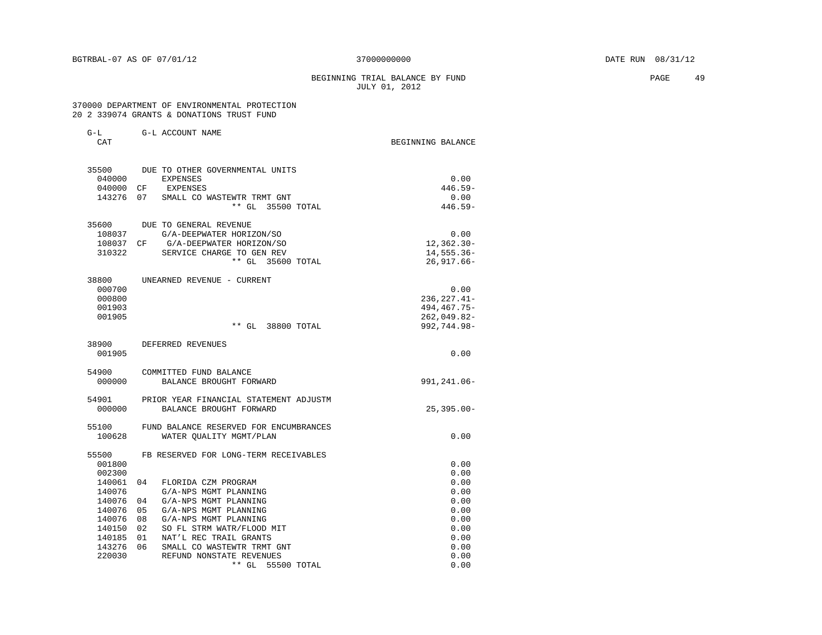#### BEGINNING TRIAL BALANCE BY FUND **PAGE 49** JULY 01, 2012

| $G-L$<br>CAT     | G-L ACCOUNT NAME                                      | BEGINNING BALANCE            |
|------------------|-------------------------------------------------------|------------------------------|
| 35500            | DUE TO OTHER GOVERNMENTAL UNITS                       |                              |
| 040000           | <b>EXPENSES</b>                                       | 0.00                         |
| 040000 CF        | EXPENSES                                              | $446.59-$                    |
| 143276           | 07<br>SMALL CO WASTEWTR TRMT GNT<br>** GL 35500 TOTAL | 0.00<br>$446.59-$            |
| 35600            | DUE TO GENERAL REVENUE                                |                              |
| 108037           | G/A-DEEPWATER HORIZON/SO                              | 0.00                         |
| 108037 CF        | G/A-DEEPWATER HORIZON/SO                              | $12, 362.30 -$               |
| 310322           | SERVICE CHARGE TO GEN REV<br>** GL 35600 TOTAL        | 14,555.36-<br>$26, 917.66 -$ |
| 38800            | UNEARNED REVENUE - CURRENT                            |                              |
| 000700           |                                                       | 0.00                         |
| 000800           |                                                       | $236, 227.41 -$              |
| 001903           |                                                       | 494, 467. 75-                |
| 001905           |                                                       | $262,049.82-$                |
|                  | ** GL 38800 TOTAL                                     | 992,744.98-                  |
| 38900<br>001905  | DEFERRED REVENUES                                     | 0.00                         |
|                  |                                                       |                              |
| 54900            | COMMITTED FUND BALANCE                                |                              |
| 000000           | BALANCE BROUGHT FORWARD                               | 991,241.06-                  |
| 54901            | PRIOR YEAR FINANCIAL STATEMENT ADJUSTM                |                              |
| 000000           | BALANCE BROUGHT FORWARD                               | $25, 395.00 -$               |
| 55100            | FUND BALANCE RESERVED FOR ENCUMBRANCES                |                              |
| 100628           | WATER QUALITY MGMT/PLAN                               | 0.00                         |
| 55500            | FB RESERVED FOR LONG-TERM RECEIVABLES                 |                              |
| 001800<br>002300 |                                                       | 0.00<br>0.00                 |
| 140061           | 04<br>FLORIDA CZM PROGRAM                             | 0.00                         |
| 140076           | G/A-NPS MGMT PLANNING                                 | 0.00                         |
| 140076           | G/A-NPS MGMT PLANNING<br>04                           | 0.00                         |
| 140076           | G/A-NPS MGMT PLANNING<br>05                           | 0.00                         |
| 140076           | G/A-NPS MGMT PLANNING<br>08                           | 0.00                         |
| 140150           | 02<br>SO FL STRM WATR/FLOOD MIT                       | 0.00                         |
| 140185           | NAT'L REC TRAIL GRANTS<br>01                          | 0.00                         |
| 143276           | SMALL CO WASTEWTR TRMT GNT<br>06                      | 0.00                         |
| 220030           | REFUND NONSTATE REVENUES                              | 0.00                         |
|                  | $**$ GL<br>55500 TOTAL                                | 0.00                         |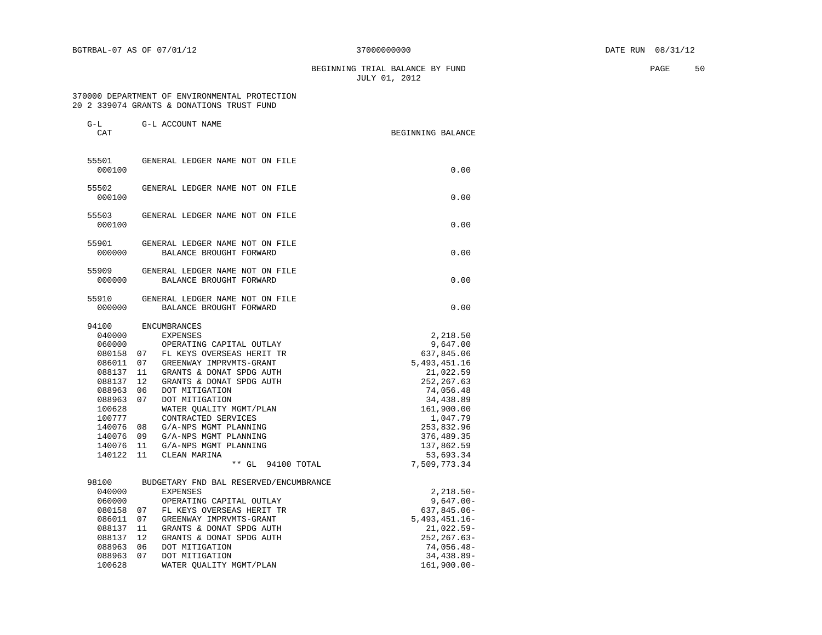BEGINNING TRIAL BALANCE BY FUND **EXAMPLE 1999** PAGE 50 JULY 01, 2012

| $G-L$<br>CAT                                                                                                                                      | G-L ACCOUNT NAME                                                                                                                                                                                                                                                                                                                                                                                                                                           | BEGINNING BALANCE                                                                                                                                                                                         |
|---------------------------------------------------------------------------------------------------------------------------------------------------|------------------------------------------------------------------------------------------------------------------------------------------------------------------------------------------------------------------------------------------------------------------------------------------------------------------------------------------------------------------------------------------------------------------------------------------------------------|-----------------------------------------------------------------------------------------------------------------------------------------------------------------------------------------------------------|
| 55501<br>000100                                                                                                                                   | GENERAL LEDGER NAME NOT ON FILE                                                                                                                                                                                                                                                                                                                                                                                                                            | 0.00                                                                                                                                                                                                      |
| 55502<br>000100                                                                                                                                   | GENERAL LEDGER NAME NOT ON FILE                                                                                                                                                                                                                                                                                                                                                                                                                            | 0.00                                                                                                                                                                                                      |
| 55503<br>000100                                                                                                                                   | GENERAL LEDGER NAME NOT ON FILE                                                                                                                                                                                                                                                                                                                                                                                                                            | 0.00                                                                                                                                                                                                      |
| 55901<br>000000                                                                                                                                   | GENERAL LEDGER NAME NOT ON FILE<br>BALANCE BROUGHT FORWARD                                                                                                                                                                                                                                                                                                                                                                                                 | 0.00                                                                                                                                                                                                      |
| 55909<br>000000                                                                                                                                   | GENERAL LEDGER NAME NOT ON FILE<br>BALANCE BROUGHT FORWARD                                                                                                                                                                                                                                                                                                                                                                                                 | 0.00                                                                                                                                                                                                      |
| 55910<br>000000                                                                                                                                   | GENERAL LEDGER NAME NOT ON FILE<br>BALANCE BROUGHT FORWARD                                                                                                                                                                                                                                                                                                                                                                                                 | 0.00                                                                                                                                                                                                      |
| 94100<br>040000<br>060000<br>080158<br>086011<br>088137<br>088137<br>088963<br>088963<br>100628<br>100777<br>140076<br>140076<br>140076<br>140122 | <b>ENCUMBRANCES</b><br><b>EXPENSES</b><br>OPERATING CAPITAL OUTLAY<br>07<br>FL KEYS OVERSEAS HERIT TR<br>GREENWAY IMPRVMTS-GRANT<br>07<br>11<br>GRANTS & DONAT SPDG AUTH<br>12<br>GRANTS & DONAT SPDG AUTH<br>06<br>DOT MITIGATION<br>07<br>DOT MITIGATION<br>WATER QUALITY MGMT/PLAN<br>CONTRACTED SERVICES<br>G/A-NPS MGMT PLANNING<br>08<br>09<br>G/A-NPS MGMT PLANNING<br>G/A-NPS MGMT PLANNING<br>11<br>11<br>CLEAN MARINA<br>$***$ GL<br>94100 TOTAL | 2,218.50<br>9,647.00<br>637,845.06<br>5,493,451.16<br>21,022.59<br>252, 267.63<br>74,056.48<br>34,438.89<br>161,900.00<br>1,047.79<br>253,832.96<br>376,489.35<br>137,862.59<br>53,693.34<br>7,509,773.34 |
| 98100<br>040000<br>060000<br>080158<br>086011<br>088137<br>088137<br>088963<br>088963<br>100628                                                   | BUDGETARY FND BAL RESERVED/ENCUMBRANCE<br><b>EXPENSES</b><br>OPERATING CAPITAL OUTLAY<br>FL KEYS OVERSEAS HERIT TR<br>07<br>07<br>GREENWAY IMPRVMTS-GRANT<br>GRANTS & DONAT SPDG AUTH<br>11<br>12<br>GRANTS & DONAT SPDG AUTH<br>06<br>DOT MITIGATION<br>07<br>DOT MITIGATION<br>WATER QUALITY MGMT/PLAN                                                                                                                                                   | $2,218.50-$<br>$9,647.00 -$<br>$637,845.06 -$<br>$5,493,451.16-$<br>$21,022.59-$<br>$252, 267.63 -$<br>74,056.48-<br>34,438.89-<br>$161,900.00 -$                                                         |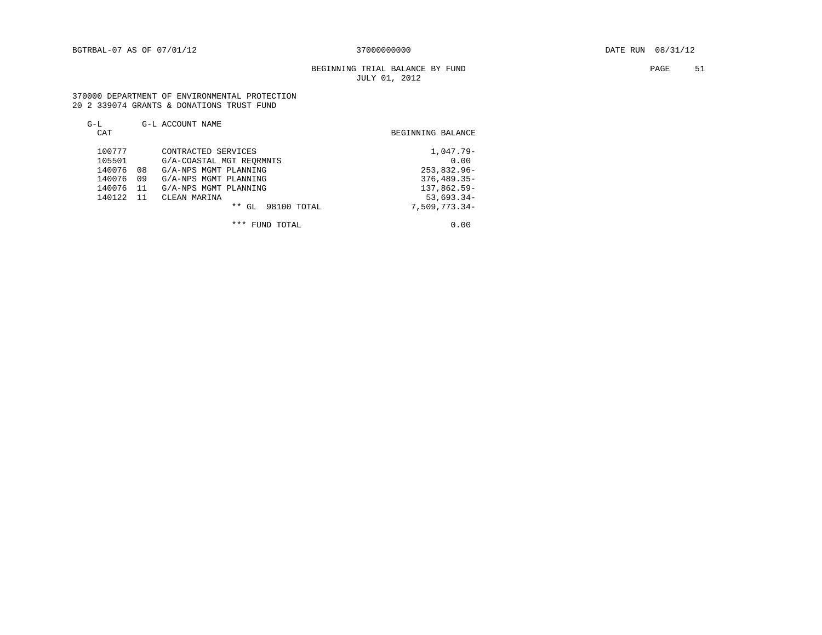# BEGINNING TRIAL BALANCE BY FUND **PAGE** 51 JULY 01, 2012

 370000 DEPARTMENT OF ENVIRONMENTAL PROTECTION 20 2 339074 GRANTS & DONATIONS TRUST FUND

| $G-L$<br>CAT                                             | G-L ACCOUNT NAME                                                                                                                                                    | BEGINNING BALANCE                                                                     |
|----------------------------------------------------------|---------------------------------------------------------------------------------------------------------------------------------------------------------------------|---------------------------------------------------------------------------------------|
| 100777<br>105501<br>140076<br>140076<br>140076<br>140122 | CONTRACTED SERVICES<br>G/A-COASTAL MGT REORMNTS<br>G/A-NPS MGMT PLANNING<br>08<br>09<br>G/A-NPS MGMT PLANNING<br>-11<br>G/A-NPS MGMT PLANNING<br>11<br>CLEAN MARINA | $1,047.79-$<br>0.00<br>$253,832.96 -$<br>$376,489.35-$<br>137,862.59-<br>$53,693.34-$ |
|                                                          | $***$<br>98100 TOTAL<br>GL.                                                                                                                                         | $7,509,773.34-$                                                                       |

\*\*\* FUND TOTAL 0.00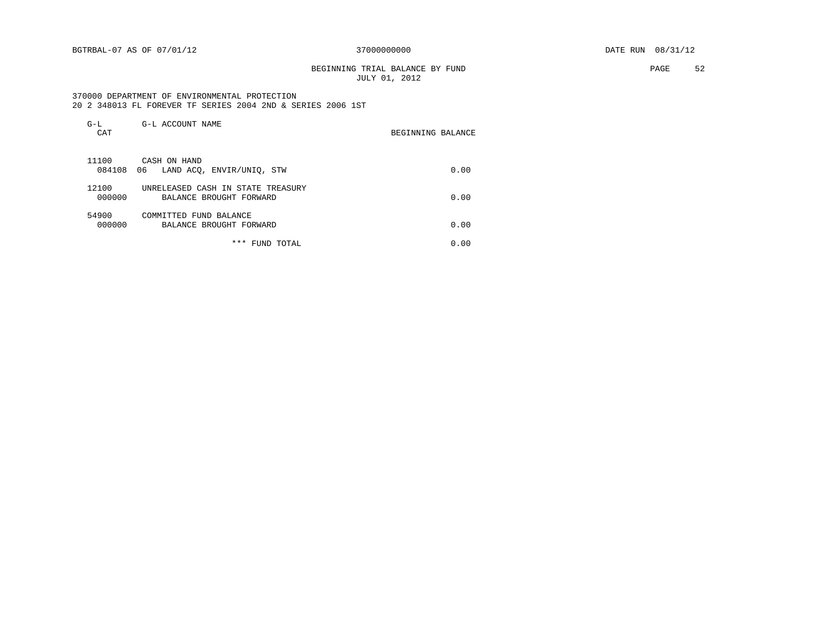BEGINNING TRIAL BALANCE BY FUND **EXAMPLE 1999** PAGE 52 JULY 01, 2012

 370000 DEPARTMENT OF ENVIRONMENTAL PROTECTION 20 2 348013 FL FOREVER TF SERIES 2004 2ND & SERIES 2006 1ST

| $G-L$<br>CAT    | G-L ACCOUNT NAME                                             | BEGINNING BALANCE |
|-----------------|--------------------------------------------------------------|-------------------|
| 11100<br>084108 | CASH ON HAND<br>06 LAND ACO, ENVIR/UNIO, STW                 | 0.00              |
| 12100<br>000000 | UNRELEASED CASH IN STATE TREASURY<br>BALANCE BROUGHT FORWARD | 0.00              |
| 54900<br>000000 | COMMITTED FUND BALANCE<br>BALANCE BROUGHT FORWARD            | 0.00              |
|                 | * * *<br>FUND TOTAL                                          | 0.00              |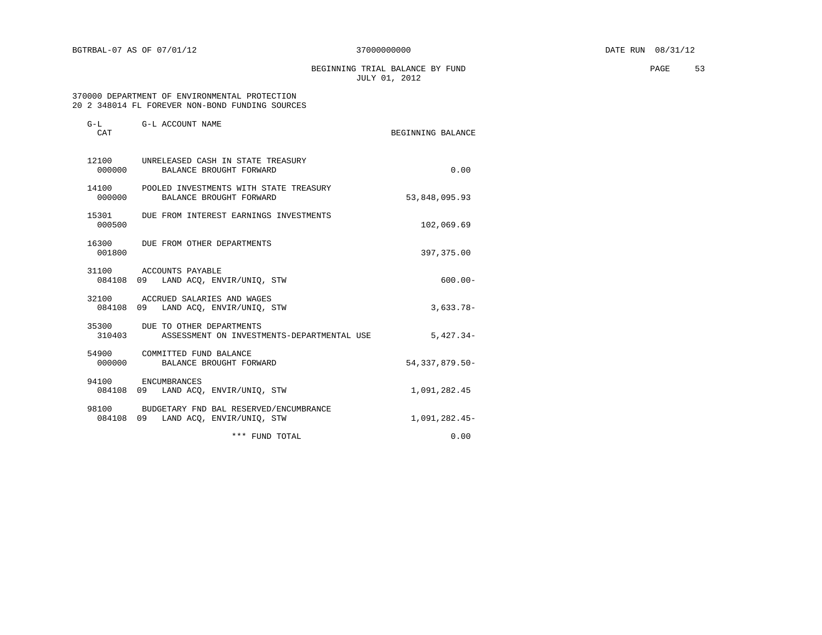BEGINNING TRIAL BALANCE BY FUND **EXAMPLE 1999** PAGE 53 JULY 01, 2012

## 370000 DEPARTMENT OF ENVIRONMENTAL PROTECTION 20 2 348014 FL FOREVER NON-BOND FUNDING SOURCES

| $G-L$<br>CAT    | G-L ACCOUNT NAME                                                              | BEGINNING BALANCE |
|-----------------|-------------------------------------------------------------------------------|-------------------|
|                 | 12100 UNRELEASED CASH IN STATE TREASURY<br>000000 BALANCE BROUGHT FORWARD     | 0.00              |
| 000000          | 14100 POOLED INVESTMENTS WITH STATE TREASURY<br>BALANCE BROUGHT FORWARD       | 53,848,095.93     |
| 15301<br>000500 | DUE FROM INTEREST EARNINGS INVESTMENTS                                        | 102,069.69        |
| 001800          | 16300 DUE FROM OTHER DEPARTMENTS                                              | 397, 375.00       |
| 31100           | ACCOUNTS PAYABLE<br>084108 09 LAND ACQ, ENVIR/UNIQ, STW                       | $600.00 -$        |
| 32100           | ACCRUED SALARIES AND WAGES<br>084108 09 LAND ACQ, ENVIR/UNIQ, STW             | $3.633.78-$       |
| 310403          | 35300 DUE TO OTHER DEPARTMENTS<br>ASSESSMENT ON INVESTMENTS-DEPARTMENTAL USE  | $5.427.34-$       |
|                 | 54900 COMMITTED FUND BALANCE<br>000000 BALANCE BROUGHT FORWARD                | 54, 337, 879.50-  |
| 94100           | ENCUMBRANCES<br>084108 09 LAND ACQ, ENVIR/UNIQ, STW                           | 1,091,282.45      |
| 98100           | BUDGETARY FND BAL RESERVED/ENCUMBRANCE<br>084108 09 LAND ACQ, ENVIR/UNIQ, STW | 1,091,282.45-     |
|                 | *** FUND TOTAL                                                                | 0.00              |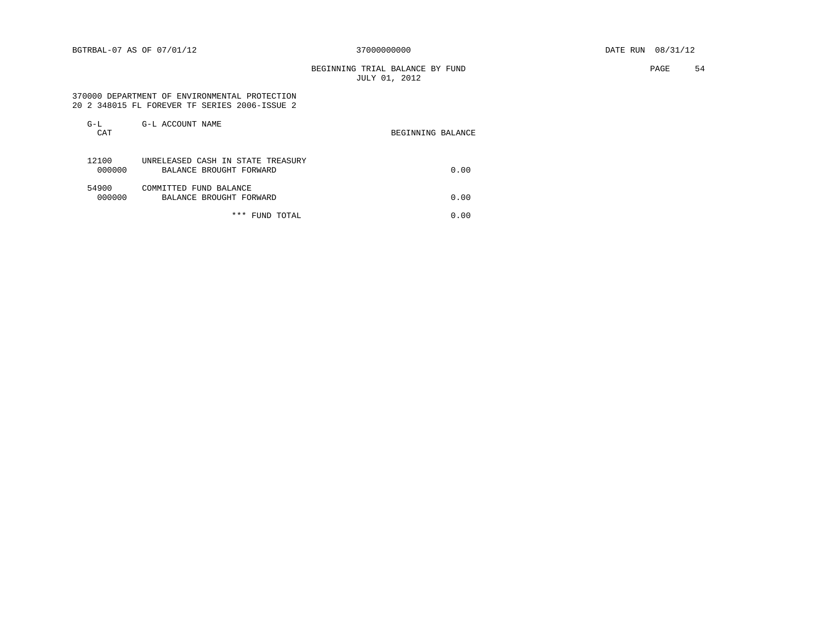BEGINNING TRIAL BALANCE BY FUND **EXAMPLE 19** PAGE 54 JULY 01, 2012

 370000 DEPARTMENT OF ENVIRONMENTAL PROTECTION 20 2 348015 FL FOREVER TF SERIES 2006-ISSUE 2

| $G-L$<br>CAT    | G-L ACCOUNT NAME                                             | BEGINNING BALANCE |
|-----------------|--------------------------------------------------------------|-------------------|
| 12100<br>000000 | UNRELEASED CASH IN STATE TREASURY<br>BALANCE BROUGHT FORWARD | 0.00              |
| 54900<br>000000 | COMMITTED FUND BALANCE<br>BALANCE BROUGHT FORWARD            | 0.00              |
|                 | *** FUND TOTAL                                               | 0.00              |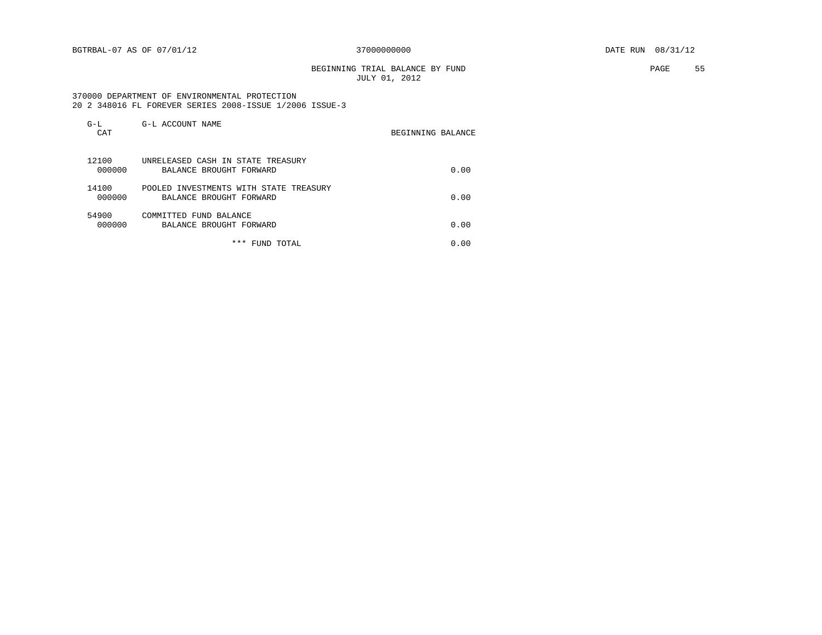BEGINNING TRIAL BALANCE BY FUND **EXAMPLE 1999** PAGE 55 JULY 01, 2012

 370000 DEPARTMENT OF ENVIRONMENTAL PROTECTION 20 2 348016 FL FOREVER SERIES 2008-ISSUE 1/2006 ISSUE-3

| $G-L$<br>CAT | G-L ACCOUNT NAME                                                            | BEGINNING BALANCE |
|--------------|-----------------------------------------------------------------------------|-------------------|
| 12100        | UNRELEASED CASH IN STATE TREASURY<br>000000<br>BALANCE BROUGHT FORWARD      | 0.00              |
| 14100        | POOLED INVESTMENTS WITH STATE TREASURY<br>000000<br>BALANCE BROUGHT FORWARD | 0.00              |
| 54900        | COMMITTED FUND BALANCE<br>000000<br>BALANCE BROUGHT FORWARD                 | 0.00              |
|              | *** FUND TOTAL                                                              | 0.00              |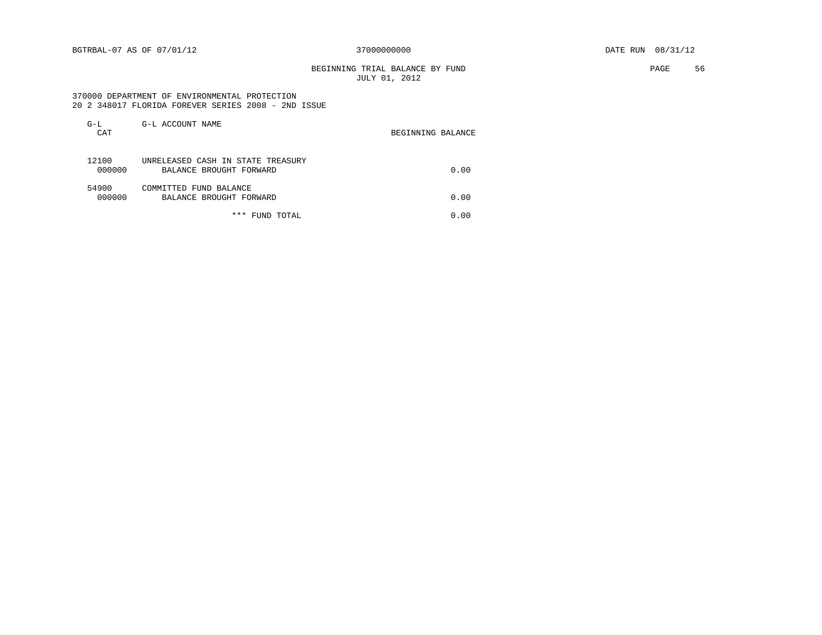BGTRBAL-07 AS OF 07/01/12 37000000000 DATE RUN 08/31/12

BEGINNING TRIAL BALANCE BY FUND **EXAMPLE 1999** PAGE 56 JULY 01, 2012

 370000 DEPARTMENT OF ENVIRONMENTAL PROTECTION 20 2 348017 FLORIDA FOREVER SERIES 2008 - 2ND ISSUE

| G-L<br>CAT      | G-L ACCOUNT NAME                                             | BEGINNING BALANCE |
|-----------------|--------------------------------------------------------------|-------------------|
| 12100<br>000000 | UNRELEASED CASH IN STATE TREASURY<br>BALANCE BROUGHT FORWARD | 0.00              |
| 54900<br>000000 | COMMITTED FUND BALANCE<br>BALANCE BROUGHT FORWARD            | 0.00              |
|                 | ***<br>FUND TOTAL                                            | 0.00              |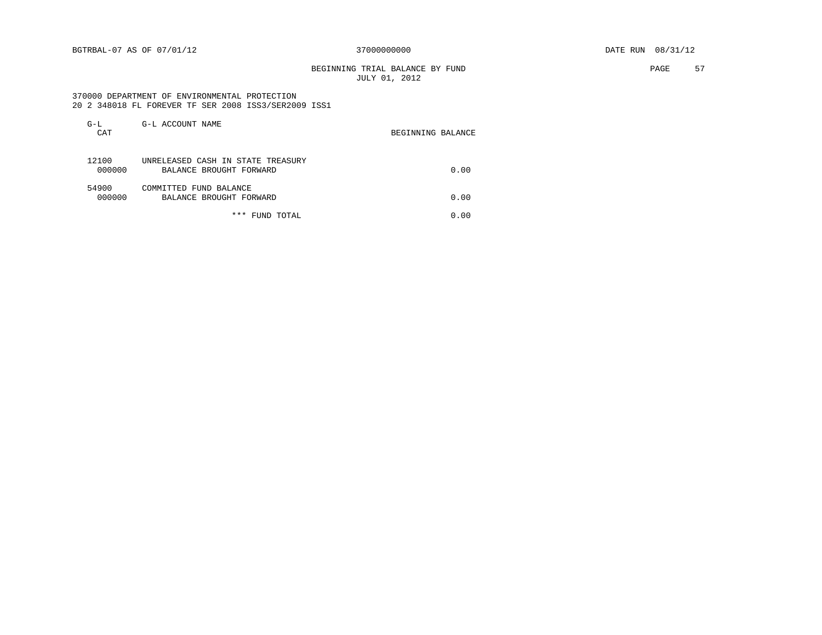BEGINNING TRIAL BALANCE BY FUND **EXAMPLE 1999** PAGE 57 JULY 01, 2012

 370000 DEPARTMENT OF ENVIRONMENTAL PROTECTION 20 2 348018 FL FOREVER TF SER 2008 ISS3/SER2009 ISS1

| G-L<br>CAT      | G-L ACCOUNT NAME                                             | BEGINNING BALANCE |
|-----------------|--------------------------------------------------------------|-------------------|
| 12100<br>000000 | UNRELEASED CASH IN STATE TREASURY<br>BALANCE BROUGHT FORWARD | 0.00              |
| 54900<br>000000 | COMMITTED FUND BALANCE<br>BALANCE BROUGHT FORWARD            | 0.00              |
|                 | * * *<br>FUND TOTAL                                          | 0.00              |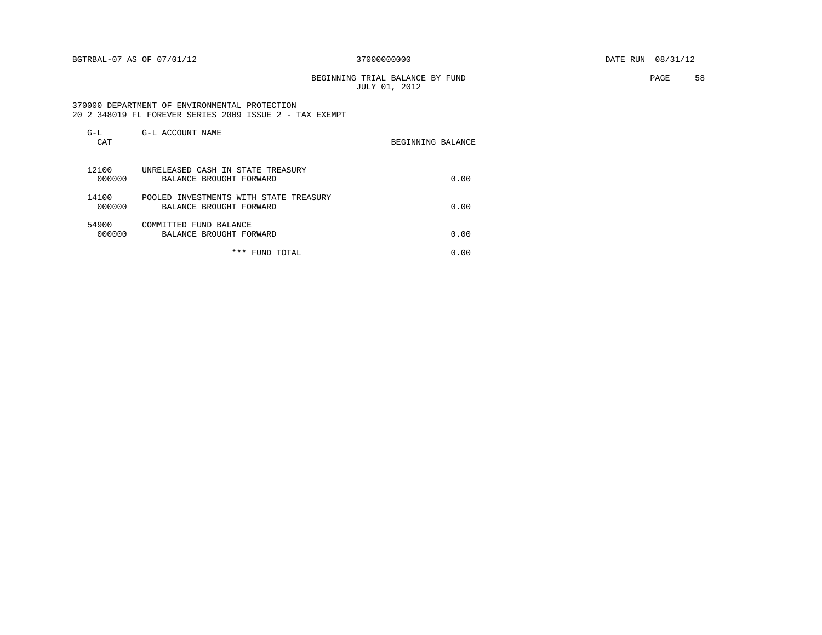BGTRBAL-07 AS OF 07/01/12 37000000000 DATE RUN 08/31/12

 BEGINNING TRIAL BALANCE BY FUND PAGE 58 JULY 01, 2012

## 370000 DEPARTMENT OF ENVIRONMENTAL PROTECTION 20 2 348019 FL FOREVER SERIES 2009 ISSUE 2 - TAX EXEMPT

| $G-L$<br>CAT    | G-L ACCOUNT NAME                                                  | BEGINNING BALANCE |
|-----------------|-------------------------------------------------------------------|-------------------|
| 12100<br>000000 | UNRELEASED CASH IN STATE TREASURY<br>BALANCE BROUGHT FORWARD      | 0.00              |
| 14100<br>000000 | POOLED INVESTMENTS WITH STATE TREASURY<br>BALANCE BROUGHT FORWARD | 0.00              |
| 54900<br>000000 | COMMITTED FUND BALANCE<br>BALANCE BROUGHT FORWARD                 | 0.00              |
|                 | ***<br>FUND TOTAL                                                 | 0.00              |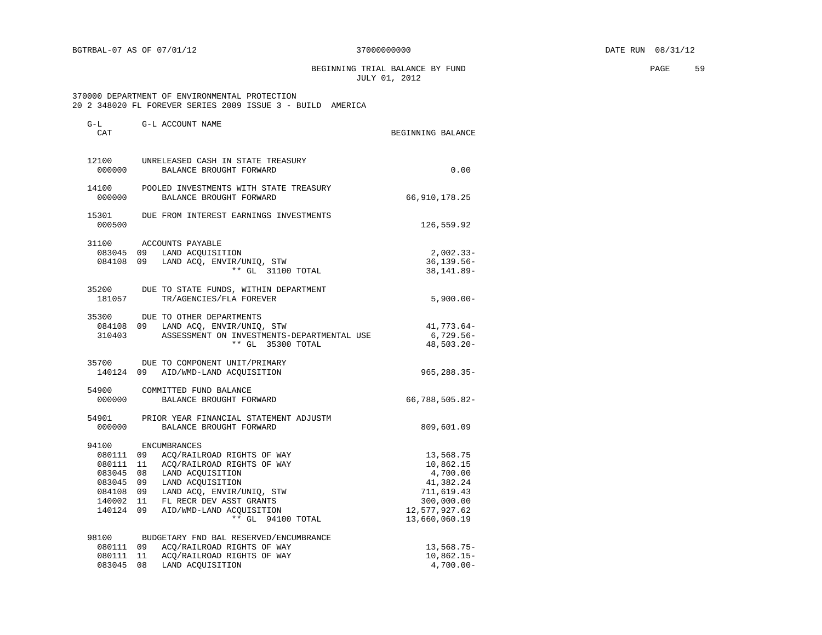BEGINNING TRIAL BALANCE BY FUND PAGE 59 JULY 01, 2012

 370000 DEPARTMENT OF ENVIRONMENTAL PROTECTION 20 2 348020 FL FOREVER SERIES 2009 ISSUE 3 - BUILD AMERICA

| $G-L$<br>CAT                                                  | G-L ACCOUNT NAME                                                                                                                                                                                                                                          | BEGINNING BALANCE                                                                                             |
|---------------------------------------------------------------|-----------------------------------------------------------------------------------------------------------------------------------------------------------------------------------------------------------------------------------------------------------|---------------------------------------------------------------------------------------------------------------|
| 12100<br>000000                                               | UNRELEASED CASH IN STATE TREASURY<br>BALANCE BROUGHT FORWARD                                                                                                                                                                                              | 0.00                                                                                                          |
| 14100<br>000000                                               | POOLED INVESTMENTS WITH STATE TREASURY<br>BALANCE BROUGHT FORWARD                                                                                                                                                                                         | 66, 910, 178.25                                                                                               |
| 15301<br>000500                                               | DUE FROM INTEREST EARNINGS INVESTMENTS                                                                                                                                                                                                                    | 126,559.92                                                                                                    |
| 31100                                                         | ACCOUNTS PAYABLE<br>083045 09 LAND ACQUISITION<br>084108 09 LAND ACQ, ENVIR/UNIQ, STW<br>** GL 31100 TOTAL                                                                                                                                                | $2,002.33-$<br>$36, 139.56 -$<br>38, 141.89-                                                                  |
| 35200<br>181057                                               | DUE TO STATE FUNDS, WITHIN DEPARTMENT<br>TR/AGENCIES/FLA FOREVER                                                                                                                                                                                          | $5,900.00-$                                                                                                   |
| 35300<br>310403                                               | DUE TO OTHER DEPARTMENTS<br>084108 09 LAND ACQ, ENVIR/UNIQ, STW<br>ASSESSMENT ON INVESTMENTS-DEPARTMENTAL USE<br>** GL 35300 TOTAL                                                                                                                        | 41,773.64-<br>6,729.56-<br>$48,503.20 -$                                                                      |
| 35700<br>140124 09                                            | DUE TO COMPONENT UNIT/PRIMARY<br>AID/WMD-LAND ACOUISITION                                                                                                                                                                                                 | $965, 288.35 -$                                                                                               |
| 54900<br>000000                                               | COMMITTED FUND BALANCE<br>BALANCE BROUGHT FORWARD                                                                                                                                                                                                         | 66,788,505.82-                                                                                                |
| 54901<br>000000                                               | PRIOR YEAR FINANCIAL STATEMENT ADJUSTM<br>BALANCE BROUGHT FORWARD                                                                                                                                                                                         | 809,601.09                                                                                                    |
| 94100<br>080111 09<br>080111 11<br>083045<br>140002<br>140124 | ENCUMBRANCES<br>ACQ/RAILROAD RIGHTS OF WAY<br>ACO/RAILROAD RIGHTS OF WAY<br>08 LAND ACQUISITION<br>083045 09 LAND ACQUISITION<br>084108 09 LAND ACQ, ENVIR/UNIQ, STW<br>11 FL RECR DEV ASST GRANTS<br>09<br>AID/WMD-LAND ACOUISITION<br>** GL 94100 TOTAL | 13,568.75<br>10,862.15<br>4,700.00<br>41,382.24<br>711,619.43<br>300,000.00<br>12,577,927.62<br>13,660,060.19 |
| 98100<br>080111 09<br>080111<br>083045                        | BUDGETARY FND BAL RESERVED/ENCUMBRANCE<br>ACO/RAILROAD RIGHTS OF WAY<br>11<br>ACO/RAILROAD RIGHTS OF WAY<br>08<br>LAND ACQUISITION                                                                                                                        | $13,568.75-$<br>$10,862.15-$<br>$4,700.00-$                                                                   |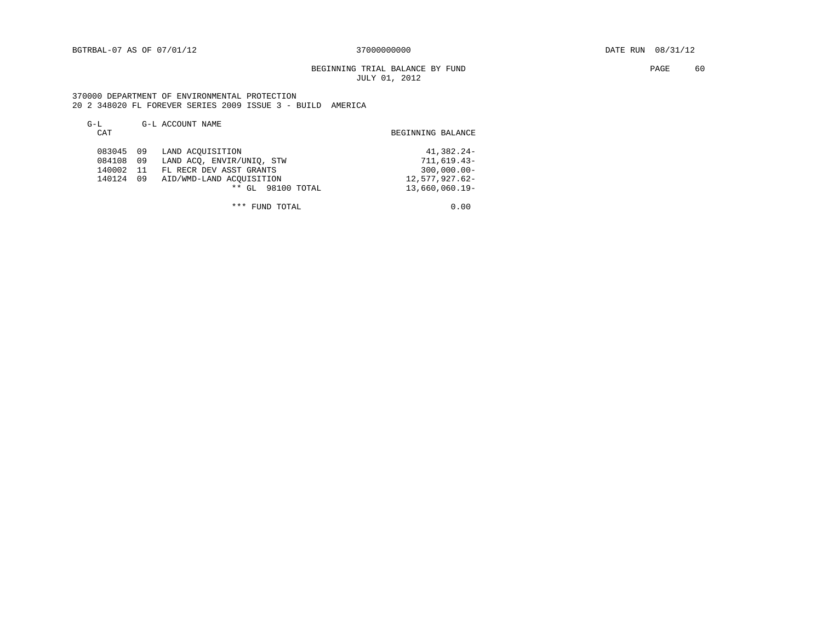# BEGINNING TRIAL BALANCE BY FUND **EXAMPLE 1999** PAGE 60 JULY 01, 2012

 370000 DEPARTMENT OF ENVIRONMENTAL PROTECTION 20 2 348020 FL FOREVER SERIES 2009 ISSUE 3 - BUILD AMERICA

| $G-L$<br>CAT                         | G-L ACCOUNT NAME                                                                                                                         | BEGINNING BALANCE                                                                                  |
|--------------------------------------|------------------------------------------------------------------------------------------------------------------------------------------|----------------------------------------------------------------------------------------------------|
| 083045<br>084108<br>140002<br>140124 | LAND ACOUISITION<br>09<br>LAND ACO, ENVIR/UNIO, STW<br>09<br>FL RECR DEV ASST GRANTS<br>-11<br>AID/WMD-LAND ACOUISITION<br>09<br>$**$ GL | $41,382.24-$<br>711,619.43-<br>$300,000.00 -$<br>12,577,927.62-<br>$13,660,060.19-$<br>98100 TOTAL |

\*\*\* FUND TOTAL 0.00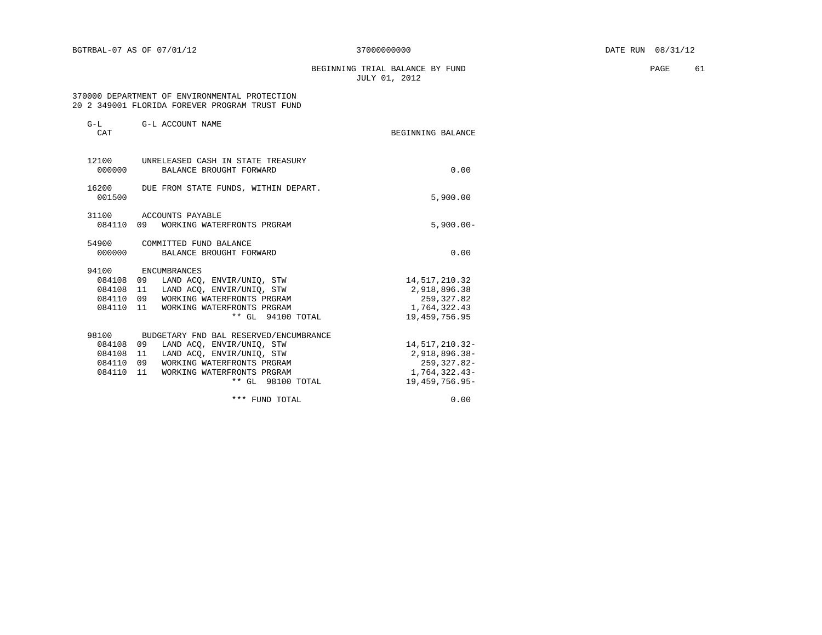BEGINNING TRIAL BALANCE BY FUND **EXAMPLE 1** PAGE 61 JULY 01, 2012

 370000 DEPARTMENT OF ENVIRONMENTAL PROTECTION 20 2 349001 FLORIDA FOREVER PROGRAM TRUST FUND

| $G-L$<br>CAT                                        | G-L ACCOUNT NAME                                                                                                                                                                                            | BEGINNING BALANCE                                                                  |
|-----------------------------------------------------|-------------------------------------------------------------------------------------------------------------------------------------------------------------------------------------------------------------|------------------------------------------------------------------------------------|
| 000000                                              | 12100 UNRELEASED CASH IN STATE TREASURY<br>BALANCE BROUGHT FORWARD                                                                                                                                          | 0.00                                                                               |
| 16200<br>001500                                     | DUE FROM STATE FUNDS, WITHIN DEPART.                                                                                                                                                                        | 5,900.00                                                                           |
| 31100<br>084110 09                                  | ACCOUNTS PAYABLE<br>WORKING WATERFRONTS PRGRAM                                                                                                                                                              | $5,900.00 -$                                                                       |
| 54900<br>000000                                     | COMMITTED FUND BALANCE<br>BALANCE BROUGHT FORWARD                                                                                                                                                           | 0.00                                                                               |
| 94100<br>084108 09<br>084108<br>084110 09<br>084110 | ENCUMBRANCES<br>LAND ACQ, ENVIR/UNIQ, STW<br>11<br>LAND ACO, ENVIR/UNIO, STW<br>WORKING WATERFRONTS PRGRAM<br>11 WORKING WATERFRONTS PRGRAM<br>** GL 94100 TOTAL                                            | 14,517,210.32<br>2,918,896.38<br>259, 327.82<br>1,764,322.43<br>19, 459, 756.95    |
| 98100<br>084108<br>084108<br>084110<br>084110       | BUDGETARY FND BAL RESERVED/ENCUMBRANCE<br>09<br>LAND ACO, ENVIR/UNIO, STW<br>LAND ACQ, ENVIR/UNIQ, STW<br>- 11<br>09<br>WORKING WATERFRONTS PRGRAM<br>11<br>WORKING WATERFRONTS PRGRAM<br>** GL 98100 TOTAL | 14,517,210.32-<br>2,918,896.38-<br>259, 327.82-<br>1,764,322.43-<br>19,459,756.95- |
|                                                     | *** FUND TOTAL                                                                                                                                                                                              | 0.00                                                                               |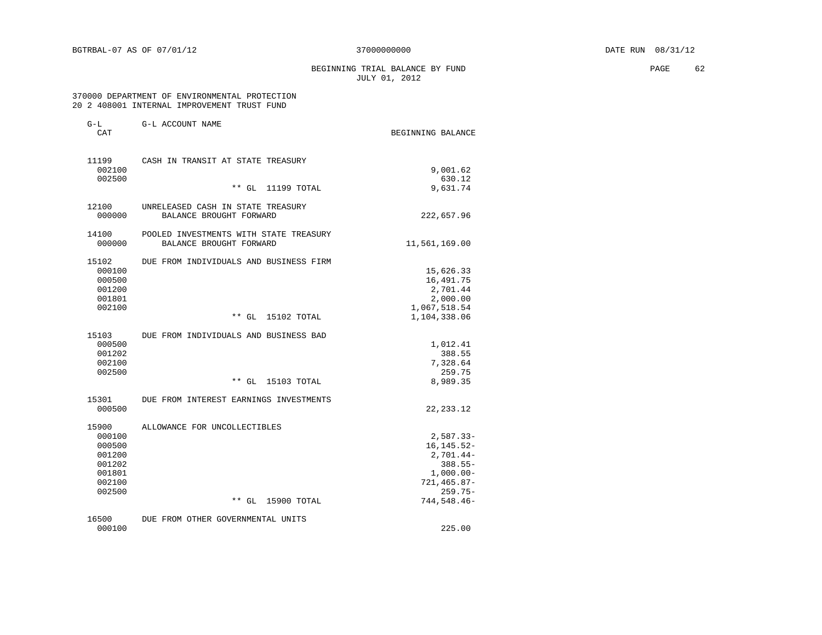BEGINNING TRIAL BALANCE BY FUND **EXAMPLE 1999** PAGE 62 JULY 01, 2012

## 370000 DEPARTMENT OF ENVIRONMENTAL PROTECTION 20 2 408001 INTERNAL IMPROVEMENT TRUST FUND

| $G-L$<br>CAT     | G-L ACCOUNT NAME                                                  | BEGINNING BALANCE             |
|------------------|-------------------------------------------------------------------|-------------------------------|
| 11199<br>002100  | CASH IN TRANSIT AT STATE TREASURY                                 | 9,001.62                      |
| 002500           |                                                                   | 630.12                        |
|                  | ** GL<br>11199 TOTAL                                              | 9,631.74                      |
| 12100<br>000000  | UNRELEASED CASH IN STATE TREASURY<br>BALANCE BROUGHT FORWARD      | 222,657.96                    |
| 14100<br>000000  | POOLED INVESTMENTS WITH STATE TREASURY<br>BALANCE BROUGHT FORWARD | 11,561,169.00                 |
| 15102            | DUE FROM INDIVIDUALS AND BUSINESS FIRM                            |                               |
| 000100           |                                                                   | 15,626.33                     |
| 000500           |                                                                   | 16, 491.75                    |
| 001200           |                                                                   | 2,701.44                      |
| 001801           |                                                                   | 2,000.00                      |
| 002100           |                                                                   | 1,067,518.54                  |
|                  | $***$ GL<br>15102 TOTAL                                           | 1,104,338.06                  |
| 15103            | DUE FROM INDIVIDUALS AND BUSINESS BAD                             |                               |
| 000500           |                                                                   | 1,012.41                      |
| 001202           |                                                                   | 388.55                        |
| 002100           |                                                                   | 7,328.64                      |
| 002500           |                                                                   | 259.75                        |
|                  | $***$ GL<br>15103 TOTAL                                           | 8,989.35                      |
| 15301            | DUE FROM INTEREST EARNINGS INVESTMENTS                            |                               |
| 000500           |                                                                   | 22, 233. 12                   |
| 15900            | ALLOWANCE FOR UNCOLLECTIBLES                                      |                               |
| 000100           |                                                                   | $2,587.33-$                   |
| 000500<br>001200 |                                                                   | $16, 145.52 -$<br>$2,701.44-$ |
| 001202           |                                                                   | $388.55 -$                    |
| 001801           |                                                                   | $1,000.00-$                   |
| 002100           |                                                                   | $721, 465.87 -$               |
| 002500           |                                                                   | $259.75-$                     |
|                  | $***$ GL<br>15900 TOTAL                                           | 744,548.46-                   |
| 16500            | DUE FROM OTHER GOVERNMENTAL UNITS                                 |                               |
| 000100           |                                                                   | 225.00                        |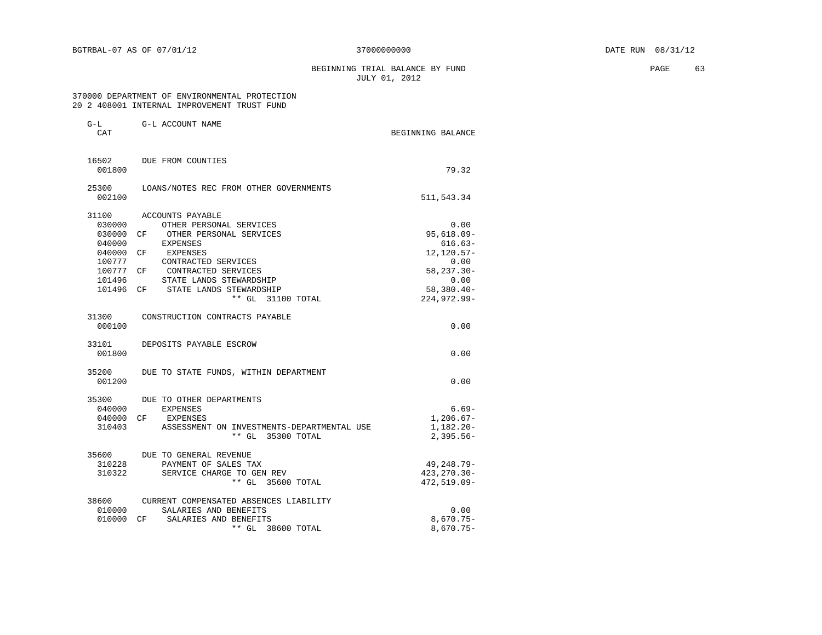BEGINNING TRIAL BALANCE BY FUND **PAGE** 63 JULY 01, 2012

## 370000 DEPARTMENT OF ENVIRONMENTAL PROTECTION 20 2 408001 INTERNAL IMPROVEMENT TRUST FUND

| G-L<br>CAT                                                                                     | G-L ACCOUNT NAME                                                                                                                                                                                                              | BEGINNING BALANCE                                                                                                     |
|------------------------------------------------------------------------------------------------|-------------------------------------------------------------------------------------------------------------------------------------------------------------------------------------------------------------------------------|-----------------------------------------------------------------------------------------------------------------------|
| 16502<br>001800                                                                                | DUE FROM COUNTIES                                                                                                                                                                                                             | 79.32                                                                                                                 |
| 25300<br>002100                                                                                | LOANS/NOTES REC FROM OTHER GOVERNMENTS                                                                                                                                                                                        | 511, 543.34                                                                                                           |
| 31100<br>030000<br>030000<br>040000<br>040000 CF<br>100777<br>100777 CF<br>101496<br>101496 CF | ACCOUNTS PAYABLE<br>OTHER PERSONAL SERVICES<br>CF<br>OTHER PERSONAL SERVICES<br>EXPENSES<br>EXPENSES<br>CONTRACTED SERVICES<br>CONTRACTED SERVICES<br>STATE LANDS STEWARDSHIP<br>STATE LANDS STEWARDSHIP<br>** GL 31100 TOTAL | 0.00<br>$95,618.09 -$<br>$616.63-$<br>$12, 120.57 -$<br>0.00<br>58,237.30-<br>0.00<br>$58,380.40 -$<br>$224,972.99 -$ |
| 31300<br>000100                                                                                | CONSTRUCTION CONTRACTS PAYABLE                                                                                                                                                                                                | 0.00                                                                                                                  |
| 33101<br>001800                                                                                | DEPOSITS PAYABLE ESCROW                                                                                                                                                                                                       | 0.00                                                                                                                  |
| 35200<br>001200                                                                                | DUE TO STATE FUNDS, WITHIN DEPARTMENT                                                                                                                                                                                         | 0.00                                                                                                                  |
| 35300<br>040000<br>040000 CF<br>310403                                                         | DUE TO OTHER DEPARTMENTS<br><b>EXPENSES</b><br>EXPENSES<br>ASSESSMENT ON INVESTMENTS-DEPARTMENTAL USE<br>** GL 35300 TOTAL                                                                                                    | $6.69-$<br>$1,206.67-$<br>$1,182.20 -$<br>$2,395.56-$                                                                 |
| 35600<br>310228<br>310322                                                                      | DUE TO GENERAL REVENUE<br>PAYMENT OF SALES TAX<br>SERVICE CHARGE TO GEN REV<br>** GL 35600 TOTAL                                                                                                                              | 49, 248. 79 -<br>423, 270. 30-<br>$472, 519.09 -$                                                                     |
| 38600<br>010000<br>010000                                                                      | CURRENT COMPENSATED ABSENCES LIABILITY<br>SALARIES AND BENEFITS<br>CF<br>SALARIES AND BENEFITS<br>** GL 38600 TOTAL                                                                                                           | 0.00<br>$8,670.75-$<br>$8,670.75-$                                                                                    |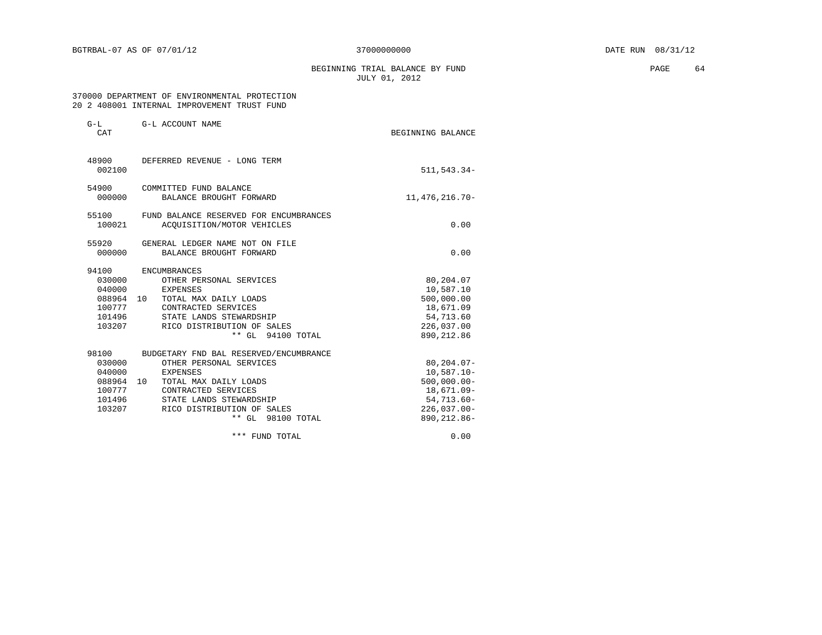BEGINNING TRIAL BALANCE BY FUND **EXAMPLE 1999** PAGE 64 JULY 01, 2012

 370000 DEPARTMENT OF ENVIRONMENTAL PROTECTION 20 2 408001 INTERNAL IMPROVEMENT TRUST FUND

| $G-L$<br>CAT                                                         | G-L ACCOUNT NAME                                                                                                                                                                                            | BEGINNING BALANCE                                                                                                      |
|----------------------------------------------------------------------|-------------------------------------------------------------------------------------------------------------------------------------------------------------------------------------------------------------|------------------------------------------------------------------------------------------------------------------------|
| 48900<br>002100                                                      | DEFERRED REVENUE - LONG TERM                                                                                                                                                                                | $511, 543.34 -$                                                                                                        |
| 54900<br>000000                                                      | COMMITTED FUND BALANCE<br>BALANCE BROUGHT FORWARD                                                                                                                                                           | 11, 476, 216.70-                                                                                                       |
| 55100<br>100021                                                      | FUND BALANCE RESERVED FOR ENCUMBRANCES<br>ACOUISITION/MOTOR VEHICLES                                                                                                                                        | 0.00                                                                                                                   |
| 55920<br>000000                                                      | GENERAL LEDGER NAME NOT ON FILE<br>BALANCE BROUGHT FORWARD                                                                                                                                                  | 0.00                                                                                                                   |
| 94100<br>030000<br>040000<br>100777<br>101496                        | <b>ENCUMBRANCES</b><br>OTHER PERSONAL SERVICES<br>EXPENSES<br>088964 10 TOTAL MAX DAILY LOADS<br>CONTRACTED SERVICES<br>STATE LANDS STEWARDSHIP<br>103207 RICO DISTRIBUTION OF SALES<br>** GL 94100 TOTAL   | 80,204.07<br>10,587.10<br>500,000.00<br>18,671.09<br>54,713.60<br>226,037.00<br>890, 212.86                            |
| 98100<br>030000<br>040000<br>088964 10<br>100777<br>101496<br>103207 | BUDGETARY FND BAL RESERVED/ENCUMBRANCE<br>OTHER PERSONAL SERVICES<br>EXPENSES<br>TOTAL MAX DAILY LOADS<br>CONTRACTED SERVICES<br>STATE LANDS STEWARDSHIP<br>RICO DISTRIBUTION OF SALES<br>** GL 98100 TOTAL | $80, 204.07 -$<br>$10,587.10 -$<br>$500,000.00$ -<br>$18,671.09 -$<br>$54, 713.60 -$<br>$226,037.00 -$<br>890, 212.86- |
|                                                                      | *** FUND TOTAL                                                                                                                                                                                              | 0.00                                                                                                                   |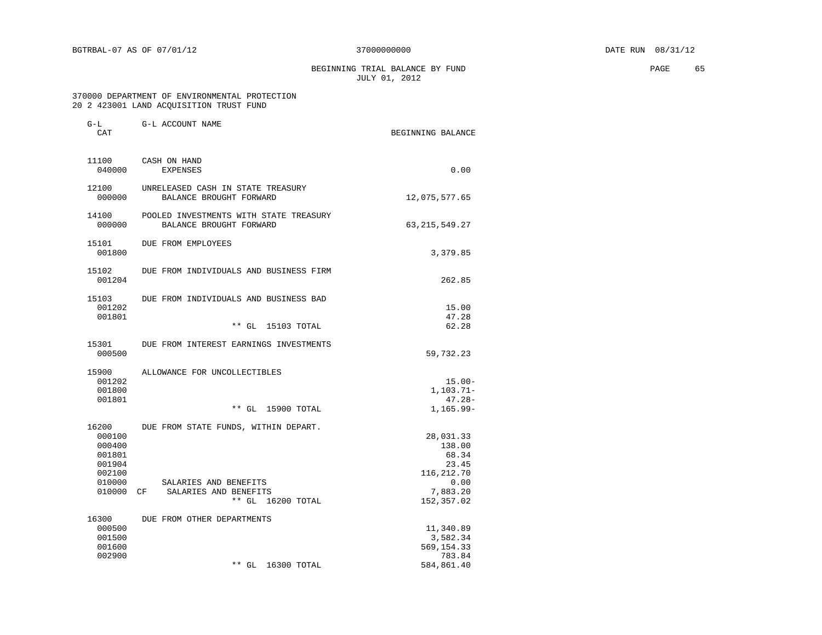BEGINNING TRIAL BALANCE BY FUND PAGE 65 JULY 01, 2012

 370000 DEPARTMENT OF ENVIRONMENTAL PROTECTION 20 2 423001 LAND ACQUISITION TRUST FUND

| G-L<br>CAT                                                                  | G-L ACCOUNT NAME                                                                                                   | BEGINNING BALANCE                                                                     |
|-----------------------------------------------------------------------------|--------------------------------------------------------------------------------------------------------------------|---------------------------------------------------------------------------------------|
| 11100<br>040000                                                             | CASH ON HAND<br><b>EXPENSES</b>                                                                                    | 0.00                                                                                  |
| 12100<br>000000                                                             | UNRELEASED CASH IN STATE TREASURY<br>BALANCE BROUGHT FORWARD                                                       | 12,075,577.65                                                                         |
| 14100<br>000000                                                             | POOLED INVESTMENTS WITH STATE TREASURY<br>BALANCE BROUGHT FORWARD                                                  | 63, 215, 549. 27                                                                      |
| 15101<br>001800                                                             | DUE FROM EMPLOYEES                                                                                                 | 3,379.85                                                                              |
| 15102<br>001204                                                             | DUE FROM INDIVIDUALS AND BUSINESS FIRM                                                                             | 262.85                                                                                |
| 15103<br>001202<br>001801                                                   | DUE FROM INDIVIDUALS AND BUSINESS BAD                                                                              | 15.00<br>47.28                                                                        |
|                                                                             | ** GL<br>15103 TOTAL                                                                                               | 62.28                                                                                 |
| 15301<br>000500                                                             | DUE FROM INTEREST EARNINGS INVESTMENTS                                                                             | 59,732.23                                                                             |
| 15900<br>001202<br>001800<br>001801                                         | ALLOWANCE FOR UNCOLLECTIBLES<br>$***$ GL<br>15900 TOTAL                                                            | $15.00 -$<br>$1, 103.71 -$<br>$47.28 -$<br>1,165.99-                                  |
| 16200<br>000100<br>000400<br>001801<br>001904<br>002100<br>010000<br>010000 | DUE FROM STATE FUNDS, WITHIN DEPART.<br>SALARIES AND BENEFITS<br>SALARIES AND BENEFITS<br>CF.<br>** GL 16200 TOTAL | 28,031.33<br>138.00<br>68.34<br>23.45<br>116,212.70<br>0.00<br>7,883.20<br>152,357.02 |
| 16300<br>000500<br>001500<br>001600<br>002900                               | DUE FROM OTHER DEPARTMENTS<br>** GL<br>16300 TOTAL                                                                 | 11,340.89<br>3,582.34<br>569, 154.33<br>783.84<br>584,861.40                          |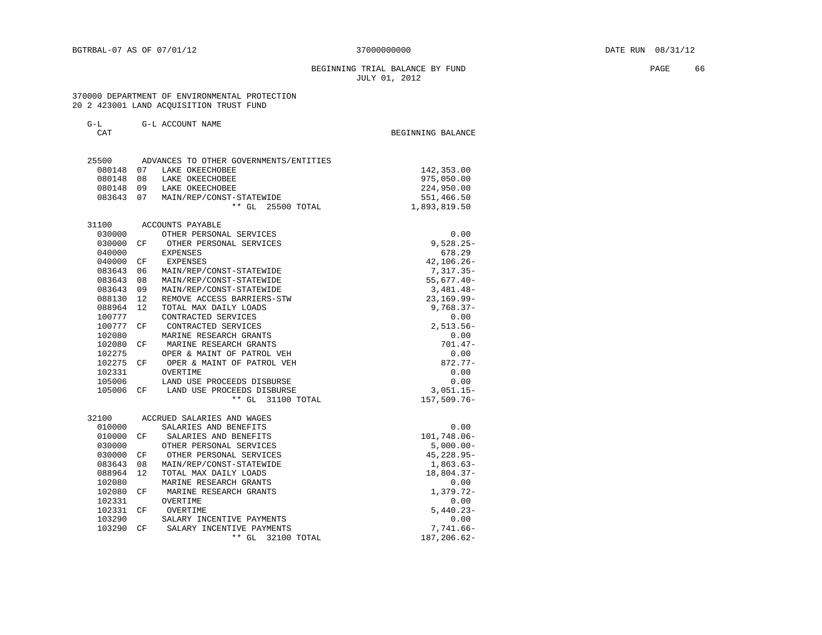## BEGINNING TRIAL BALANCE BY FUND **EXAMPLE 1999** PAGE 66 JULY 01, 2012

 370000 DEPARTMENT OF ENVIRONMENTAL PROTECTION 20 2 423001 LAND ACQUISITION TRUST FUND

| G-L<br>CAT |     | G-L ACCOUNT NAME                       | BEGINNING BALANCE |
|------------|-----|----------------------------------------|-------------------|
| 25500      |     | ADVANCES TO OTHER GOVERNMENTS/ENTITIES |                   |
| 080148     | 07  | LAKE OKEECHOBEE                        | 142,353.00        |
| 080148     | 08  | LAKE OKEECHOBEE                        | 975,050.00        |
| 080148     |     | 09 LAKE OKEECHOBEE                     | 224,950.00        |
| 083643     |     | 07 MAIN/REP/CONST-STATEWIDE            | 551,466.50        |
|            |     | ** GL 25500 TOTAL                      | 1,893,819.50      |
| 31100      |     | ACCOUNTS PAYABLE                       |                   |
| 030000     |     | OTHER PERSONAL SERVICES                | 0.00              |
| 030000     | CF  | OTHER PERSONAL SERVICES                | $9,528.25 -$      |
| 040000     |     | EXPENSES                               | 678.29            |
| 040000     | СF  | EXPENSES                               | $42, 106.26 -$    |
| 083643     |     | 06 MAIN/REP/CONST-STATEWIDE            | $7,317.35-$       |
| 083643     | 08  | MAIN/REP/CONST-STATEWIDE               | $55,677.40-$      |
| 083643     | 09  | MAIN/REP/CONST-STATEWIDE               | $3,481.48-$       |
| 088130     | 12  | REMOVE ACCESS BARRIERS-STW             | $23, 169.99 -$    |
| 088964     | 12  | TOTAL MAX DAILY LOADS                  | $9,768.37-$       |
| 100777     |     | CONTRACTED SERVICES                    | 0.00              |
| 100777     | CF  | CONTRACTED SERVICES                    | $2,513.56-$       |
| 102080     |     | MARINE RESEARCH GRANTS                 | 0.00              |
| 102080     | CF. | MARINE RESEARCH GRANTS                 | $701.47 -$        |
| 102275     |     | OPER & MAINT OF PATROL VEH             | 0.00              |
| 102275     | CF  | OPER & MAINT OF PATROL VEH             | 872.77-           |
| 102331     |     | OVERTIME                               | 0.00              |
| 105006     |     | LAND USE PROCEEDS DISBURSE             | 0.00              |
| 105006     | CF  | LAND USE PROCEEDS DISBURSE             | $3,051.15-$       |
|            |     | ** GL 31100 TOTAL                      | 157,509.76-       |
| 32100      |     | ACCRUED SALARIES AND WAGES             |                   |
| 010000     |     | SALARIES AND BENEFITS                  | 0.00              |
| 010000     | CF  | SALARIES AND BENEFITS                  | 101,748.06-       |
| 030000     |     | OTHER PERSONAL SERVICES                | $5,000.00-$       |
| 030000     |     | CF OTHER PERSONAL SERVICES             | 45, 228.95-       |
| 083643     | 08  | MAIN/REP/CONST-STATEWIDE               | $1,863.63-$       |
| 088964     | 12  | TOTAL MAX DAILY LOADS                  | 18,804.37-        |
| 102080     |     | MARINE RESEARCH GRANTS                 | 0.00              |
| 102080     | CF. | MARINE RESEARCH GRANTS                 | $1,379.72-$       |
| 102331     |     | OVERTIME                               | 0.00              |
| 102331     | CF. | OVERTIME                               | $5,440.23-$       |
| 103290     |     | SALARY INCENTIVE PAYMENTS              | 0.00              |
| 103290     | СF  | SALARY INCENTIVE PAYMENTS              | $7,741.66-$       |

103290 CF SALARY INCENTIVE PAYMENTS 7,741.66-<br>\*\* GL 32100 TOTAL 187,206.62-\*\* GL 32100 TOTAL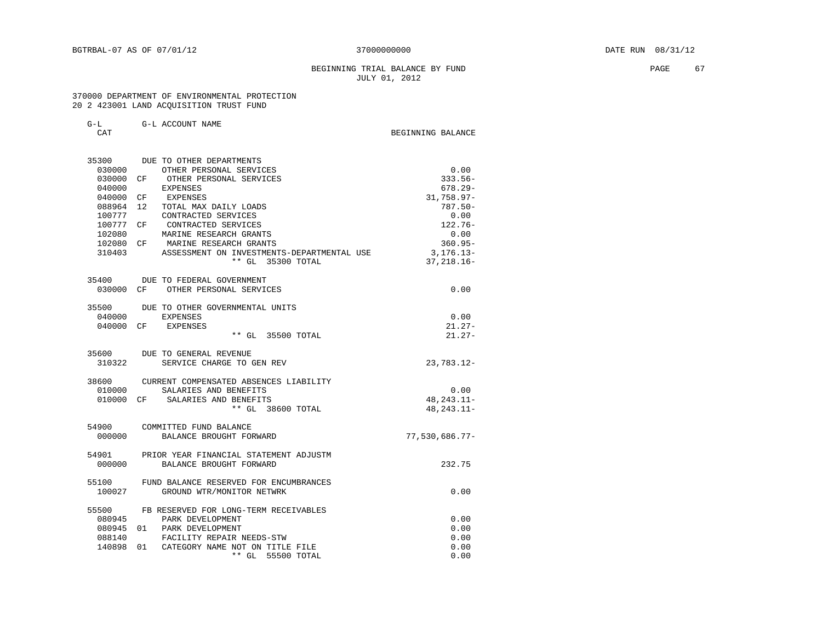## BEGINNING TRIAL BALANCE BY FUND **EXAMPLE 1999** PAGE 67 JULY 01, 2012

 370000 DEPARTMENT OF ENVIRONMENTAL PROTECTION 20 2 423001 LAND ACQUISITION TRUST FUND

| G-L ACCOUNT NAME | $G-L$ |  |  |  |
|------------------|-------|--|--|--|
|------------------|-------|--|--|--|

| <b>CAT</b> |                                              | BEGINNING BALANCE |
|------------|----------------------------------------------|-------------------|
|            | 35300 DUE TO OTHER DEPARTMENTS               |                   |
| 030000     | OTHER PERSONAL SERVICES                      | 0.00              |
| 030000     | OTHER PERSONAL SERVICES<br>CF.               | $333.56-$         |
| 040000     | <b>EXPENSES</b>                              | $678.29 -$        |
| 040000     | CF<br>EXPENSES                               | $31,758.97 -$     |
| 088964     | TOTAL MAX DAILY LOADS<br>12                  | $787.50 -$        |
| 100777     | CONTRACTED SERVICES                          | 0.00              |
| 100777     | CONTRACTED SERVICES<br>CF                    | $122.76-$         |
| 102080     | MARINE RESEARCH GRANTS                       | 0.00              |
| 102080 CF  | MARINE RESEARCH GRANTS                       | $360.95 -$        |
| 310403     | ASSESSMENT ON INVESTMENTS-DEPARTMENTAL USE   | 3,176.13-         |
|            | ** GL 35300 TOTAL                            | $37, 218.16 -$    |
|            | 35400 DUE TO FEDERAL GOVERNMENT              |                   |
|            | 030000 CF OTHER PERSONAL SERVICES            | 0.00              |
|            | 35500 DUE TO OTHER GOVERNMENTAL UNITS        |                   |
| 040000     | EXPENSES                                     | 0.00              |
|            | 040000 CF EXPENSES                           | $21.27-$          |
|            | ** GL 35500 TOTAL                            | $21.27-$          |
|            | 35600 DUE TO GENERAL REVENUE                 |                   |
| 310322     | SERVICE CHARGE TO GEN REV                    | 23,783.12-        |
|            | 38600 CURRENT COMPENSATED ABSENCES LIABILITY |                   |
|            | 010000 SALARIES AND BENEFITS                 | 0.00              |
|            | 010000 CF SALARIES AND BENEFITS              | 48, 243. 11-      |
|            | ** GL 38600 TOTAL                            | 48, 243. 11-      |
|            | 54900 COMMITTED FUND BALANCE                 |                   |
| 000000     | BALANCE BROUGHT FORWARD                      | $77,530,686.77-$  |
| 54901      | PRIOR YEAR FINANCIAL STATEMENT ADJUSTM       |                   |
| 000000     | BALANCE BROUGHT FORWARD                      | 232.75            |
| 55100      | FUND BALANCE RESERVED FOR ENCUMBRANCES       |                   |
| 100027     | GROUND WTR/MONITOR NETWRK                    | 0.00              |
| 55500      | FB RESERVED FOR LONG-TERM RECEIVABLES        |                   |
| 080945     | PARK DEVELOPMENT                             | 0.00              |
| 080945     | 01 PARK DEVELOPMENT                          | 0.00              |
| 088140     | FACILITY REPAIR NEEDS-STW                    | 0.00              |

140898 01 CATEGORY NAME NOT ON TITLE FILE 60.00

\*\* GL 55500 TOTAL 0.00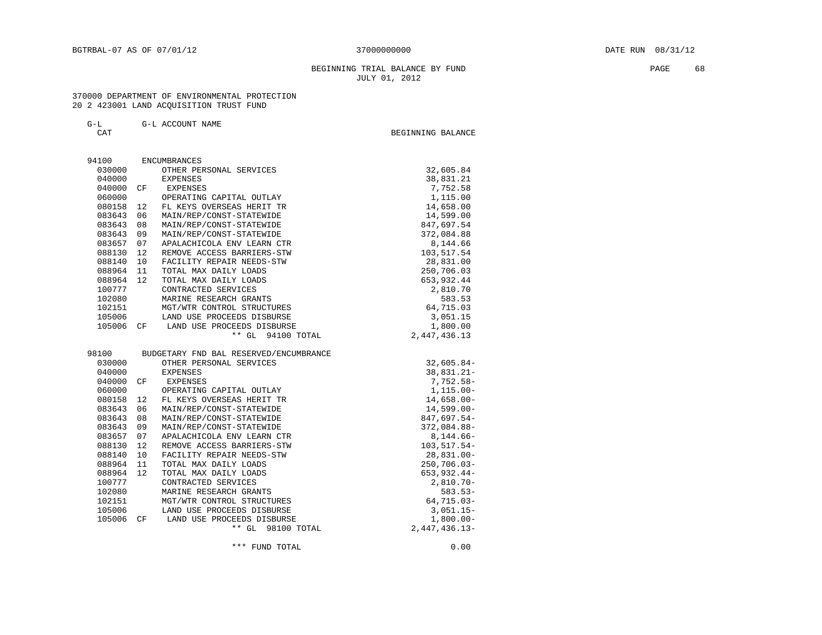## BEGINNING TRIAL BALANCE BY FUND PAGE 68 JULY 01, 2012

 370000 DEPARTMENT OF ENVIRONMENTAL PROTECTION 20 2 423001 LAND ACQUISITION TRUST FUND

G-L G-L ACCOUNT NAME

CAT BEGINNING BALANCE

| 94100  |    | <b>ENCUMBRANCES</b>                    |                |
|--------|----|----------------------------------------|----------------|
| 030000 |    | OTHER PERSONAL SERVICES                | 32,605.84      |
| 040000 |    | EXPENSES                               | 38,831.21      |
| 040000 | СF | EXPENSES                               | 7,752.58       |
| 060000 |    | OPERATING CAPITAL OUTLAY               | 1,115.00       |
| 080158 | 12 | FL KEYS OVERSEAS HERIT TR              | 14,658.00      |
| 083643 | 06 | MAIN/REP/CONST-STATEWIDE               | 14,599.00      |
| 083643 | 08 | MAIN/REP/CONST-STATEWIDE               | 847,697.54     |
| 083643 | 09 | MAIN/REP/CONST-STATEWIDE               | 372,084.88     |
| 083657 | 07 | APALACHICOLA ENV LEARN CTR             | 8,144.66       |
| 088130 | 12 | REMOVE ACCESS BARRIERS-STW             | 103,517.54     |
| 088140 | 10 | FACILITY REPAIR NEEDS-STW              | 28,831.00      |
| 088964 | 11 | TOTAL MAX DAILY LOADS                  | 250,706.03     |
| 088964 | 12 | TOTAL MAX DAILY LOADS                  | 653,932.44     |
| 100777 |    | CONTRACTED SERVICES                    | 2,810.70       |
| 102080 |    | MARINE RESEARCH GRANTS                 | 583.53         |
| 102151 |    | MGT/WTR CONTROL STRUCTURES             | 64,715.03      |
| 105006 |    | LAND USE PROCEEDS DISBURSE             | 3,051.15       |
| 105006 | CF | LAND USE PROCEEDS DISBURSE             | 1,800.00       |
|        |    | $**$ GL<br>94100 TOTAL                 | 2,447,436.13   |
|        |    |                                        |                |
| 98100  |    | BUDGETARY FND BAL RESERVED/ENCUMBRANCE |                |
| 030000 |    | OTHER PERSONAL SERVICES                | $32,605.84-$   |
| 040000 |    | <b>EXPENSES</b>                        | 38,831.21-     |
| 040000 | СF | EXPENSES                               | $7,752.58-$    |
| 060000 |    | OPERATING CAPITAL OUTLAY               | $1,115.00 -$   |
| 080158 | 12 | FL KEYS OVERSEAS HERIT TR              | $14,658.00 -$  |
| 083643 | 06 | MAIN/REP/CONST-STATEWIDE               | $14,599.00 -$  |
| 083643 | 08 | MAIN/REP/CONST-STATEWIDE               | 847,697.54-    |
| 083643 | 09 | MAIN/REP/CONST-STATEWIDE               | 372,084.88-    |
| 083657 | 07 | APALACHICOLA ENV LEARN CTR             | 8,144.66-      |
| 088130 | 12 | REMOVE ACCESS BARRIERS-STW             | 103,517.54-    |
| 088140 | 10 | FACILITY REPAIR NEEDS-STW              | 28,831.00-     |
| 088964 | 11 | TOTAL MAX DAILY LOADS                  | 250,706.03-    |
| 088964 | 12 | TOTAL MAX DAILY LOADS                  | 653,932.44-    |
| 100777 |    | CONTRACTED SERVICES                    | $2,810.70 -$   |
| 102080 |    | MARINE RESEARCH GRANTS                 | $583.53-$      |
| 102151 |    | MGT/WTR CONTROL STRUCTURES             | $64, 715.03 -$ |
| 105006 |    | LAND USE PROCEEDS DISBURSE             | $3,051.15-$    |
| 105006 | CF | LAND USE PROCEEDS DISBURSE             | $1,800.00-$    |
|        |    | ** GL 98100 TOTAL                      | 2,447,436.13-  |
|        |    |                                        |                |
|        |    | *** FUND TOTAL                         | 0.00           |
|        |    |                                        |                |
|        |    |                                        |                |
|        |    |                                        |                |
|        |    |                                        |                |
|        |    |                                        |                |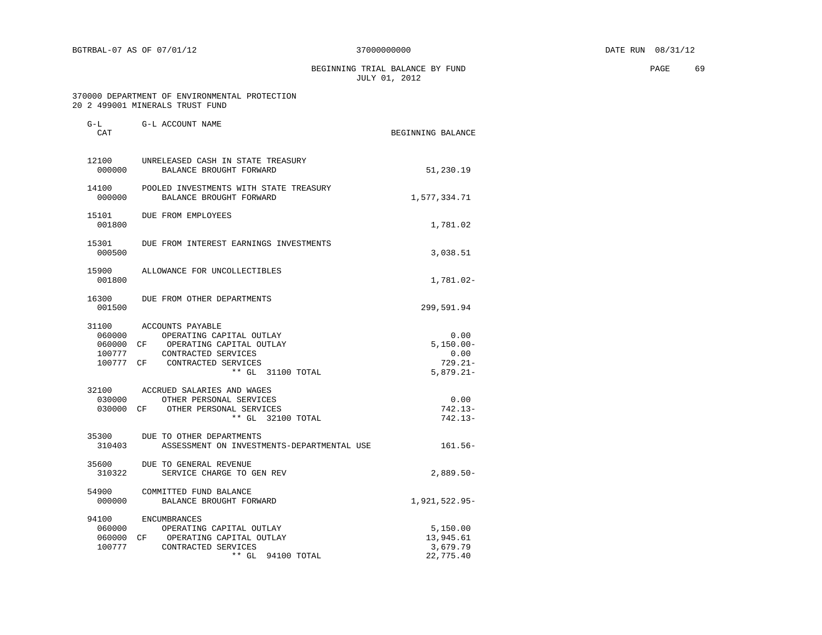BEGINNING TRIAL BALANCE BY FUND PAGE 69 JULY 01, 2012

## 370000 DEPARTMENT OF ENVIRONMENTAL PROTECTION 20 2 499001 MINERALS TRUST FUND

| G-L<br>CAT                             | G-L ACCOUNT NAME                                                                                                                                                | BEGINNING BALANCE                                          |
|----------------------------------------|-----------------------------------------------------------------------------------------------------------------------------------------------------------------|------------------------------------------------------------|
| 12100<br>000000                        | UNRELEASED CASH IN STATE TREASURY<br>BALANCE BROUGHT FORWARD                                                                                                    | 51,230.19                                                  |
| 14100<br>000000                        | POOLED INVESTMENTS WITH STATE TREASURY<br>BALANCE BROUGHT FORWARD                                                                                               | 1,577,334.71                                               |
| 15101<br>001800                        | DUE FROM EMPLOYEES                                                                                                                                              | 1,781.02                                                   |
| 15301<br>000500                        | DUE FROM INTEREST EARNINGS INVESTMENTS                                                                                                                          | 3,038.51                                                   |
| 15900<br>001800                        | ALLOWANCE FOR UNCOLLECTIBLES                                                                                                                                    | 1,781.02-                                                  |
| 16300<br>001500                        | DUE FROM OTHER DEPARTMENTS                                                                                                                                      | 299,591.94                                                 |
| 31100<br>060000<br>100777              | ACCOUNTS PAYABLE<br>OPERATING CAPITAL OUTLAY<br>060000 CF OPERATING CAPITAL OUTLAY<br>CONTRACTED SERVICES<br>100777 CF CONTRACTED SERVICES<br>** GL 31100 TOTAL | 0.00<br>$5.150.00 -$<br>0.00<br>$729.21 -$<br>$5,879.21 -$ |
| 030000                                 | 32100 ACCRUED SALARIES AND WAGES<br>OTHER PERSONAL SERVICES<br>030000 CF OTHER PERSONAL SERVICES<br>** GL 32100 TOTAL                                           | 0.00<br>$742.13-$<br>$742.13-$                             |
| 35300<br>310403                        | DUE TO OTHER DEPARTMENTS<br>ASSESSMENT ON INVESTMENTS-DEPARTMENTAL USE                                                                                          | $161.56-$                                                  |
| 35600<br>310322                        | DUE TO GENERAL REVENUE<br>SERVICE CHARGE TO GEN REV                                                                                                             | $2,889.50-$                                                |
| 54900<br>000000                        | COMMITTED FUND BALANCE<br>BALANCE BROUGHT FORWARD                                                                                                               | 1,921,522.95-                                              |
| 94100<br>060000<br>060000 CF<br>100777 | ENCUMBRANCES<br>OPERATING CAPITAL OUTLAY<br>OPERATING CAPITAL OUTLAY<br>CONTRACTED SERVICES<br>** GL<br>94100 TOTAL                                             | 5,150.00<br>13,945.61<br>3,679.79<br>22,775.40             |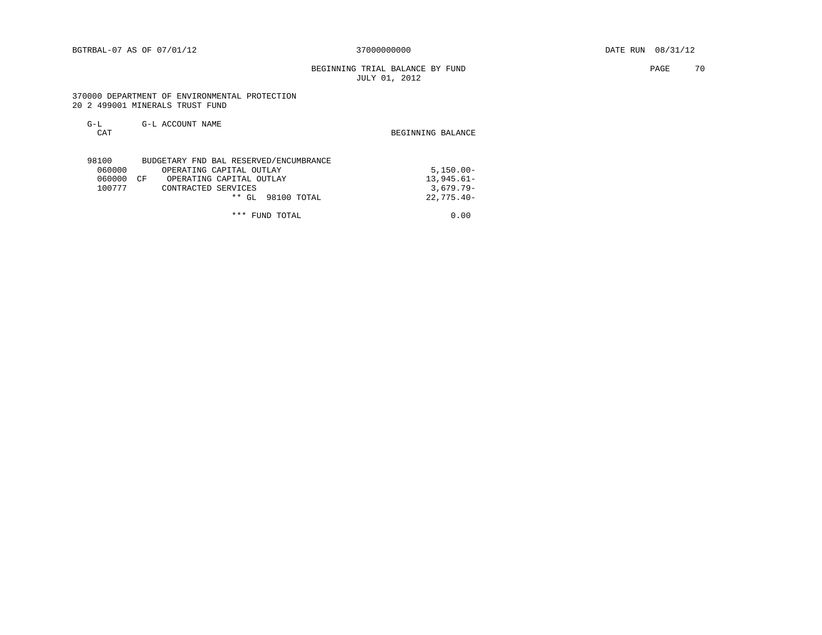# BEGINNING TRIAL BALANCE BY FUND **PAGE 70** JULY 01, 2012

 370000 DEPARTMENT OF ENVIRONMENTAL PROTECTION 20 2 499001 MINERALS TRUST FUND

| $G-L$<br>CAT                        | G-L ACCOUNT NAME                                                                                                                                    | BEGINNING BALANCE                                           |
|-------------------------------------|-----------------------------------------------------------------------------------------------------------------------------------------------------|-------------------------------------------------------------|
| 98100<br>060000<br>060000<br>100777 | BUDGETARY FND BAL RESERVED/ENCUMBRANCE<br>OPERATING CAPITAL OUTLAY<br>OPERATING CAPITAL OUTLAY<br>CΕ<br>CONTRACTED SERVICES<br>** GL<br>98100 TOTAL | $5,150.00 -$<br>$13,945.61-$<br>$3,679.79-$<br>$22,775.40-$ |

\*\*\* FUND TOTAL 0.00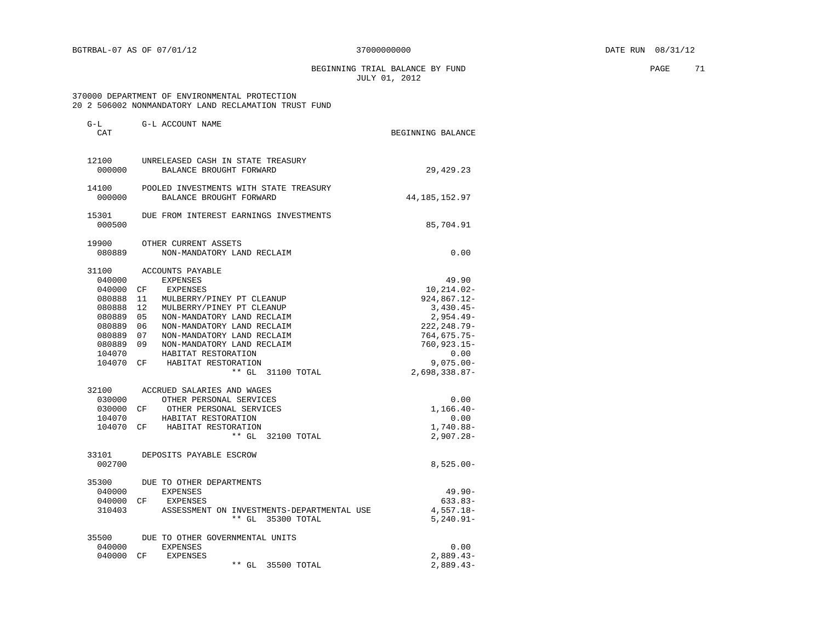G-L G-L ACCOUNT NAME

BEGINNING TRIAL BALANCE BY FUND **PAGE** 71 JULY 01, 2012

 370000 DEPARTMENT OF ENVIRONMENTAL PROTECTION 20 2 506002 NONMANDATORY LAND RECLAMATION TRUST FUND

| CAT    |                                                | BEGINNING BALANCE |
|--------|------------------------------------------------|-------------------|
| 12100  | UNRELEASED CASH IN STATE TREASURY              |                   |
| 000000 | BALANCE BROUGHT FORWARD                        | 29,429.23         |
| 14100  | POOLED INVESTMENTS WITH STATE TREASURY         |                   |
| 000000 | BALANCE BROUGHT FORWARD                        | 44, 185, 152.97   |
| 15301  | DUE FROM INTEREST EARNINGS INVESTMENTS         |                   |
| 000500 |                                                | 85,704.91         |
| 19900  | OTHER CURRENT ASSETS                           |                   |
| 080889 | NON-MANDATORY LAND RECLAIM                     | 0.00              |
| 31100  | ACCOUNTS PAYABLE                               |                   |
| 040000 | EXPENSES                                       | 49.90             |
| 040000 | CF<br>EXPENSES                                 | 10,214.02-        |
| 080888 | 11<br>MULBERRY/PINEY PT CLEANUP                | 924,867.12-       |
| 080888 | $12 \overline{ }$<br>MULBERRY/PINEY PT CLEANUP | $3,430.45-$       |
| 080889 | 05<br>NON-MANDATORY LAND RECLAIM               | $2,954.49-$       |
| 080889 | NON-MANDATORY LAND RECLAIM<br>06               | $222, 248.79 -$   |
| 080889 | 07<br>NON-MANDATORY LAND RECLAIM               | $764,675.75-$     |
| 080889 | 09<br>NON-MANDATORY LAND RECLAIM               | $760, 923.15 -$   |
| 104070 | HABITAT RESTORATION                            | 0.00              |
| 104070 | CF<br>HABITAT RESTORATION                      | $9,075.00 -$      |
|        | ** GL 31100 TOTAL                              | $2,698,338.87-$   |
| 32100  | ACCRUED SALARIES AND WAGES                     |                   |
| 030000 | OTHER PERSONAL SERVICES                        | 0.00              |
| 030000 | OTHER PERSONAL SERVICES<br>CF                  | $1,166.40-$       |
| 104070 | HABITAT RESTORATION                            | 0.00              |
| 104070 | CF.<br>HABITAT RESTORATION                     | 1,740.88-         |
|        | $**$ GL<br>32100 TOTAL                         | $2,907.28 -$      |
| 33101  | DEPOSITS PAYABLE ESCROW                        |                   |
| 002700 |                                                | $8,525.00 -$      |
| 35300  | DUE TO OTHER DEPARTMENTS                       |                   |
| 040000 | <b>EXPENSES</b>                                | $49.90 -$         |
| 040000 | CF<br>EXPENSES                                 | $633.83-$         |
| 310403 | ASSESSMENT ON INVESTMENTS-DEPARTMENTAL USE     | $4,557.18-$       |
|        | ** GL 35300 TOTAL                              | $5,240.91 -$      |
| 35500  | DUE TO OTHER GOVERNMENTAL UNITS                |                   |
| 040000 | <b>EXPENSES</b>                                | 0.00              |
| 040000 | <b>EXPENSES</b><br>CF                          | $2,889.43-$       |
|        | $**$ GL<br>35500 TOTAL                         | $2,889.43-$       |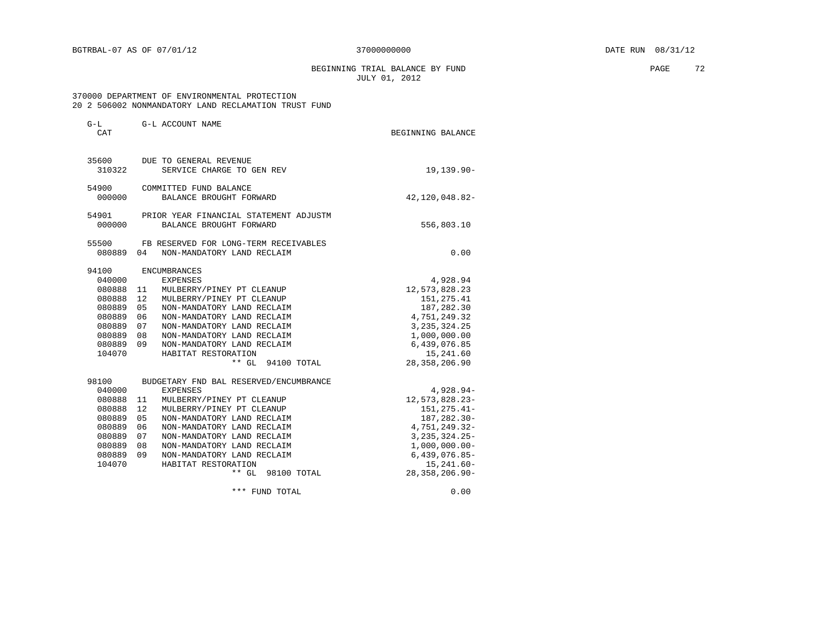G-L G-L ACCOUNT NAME

BEGINNING TRIAL BALANCE BY FUND **PAGE** 72 JULY 01, 2012

 370000 DEPARTMENT OF ENVIRONMENTAL PROTECTION 20 2 506002 NONMANDATORY LAND RECLAMATION TRUST FUND

| CAT             |                                                     | BEGINNING BALANCE  |
|-----------------|-----------------------------------------------------|--------------------|
| 35600<br>310322 | DUE TO GENERAL REVENUE<br>SERVICE CHARGE TO GEN REV | 19,139.90-         |
| 54900           | COMMITTED FUND BALANCE                              |                    |
| 000000          | BALANCE BROUGHT FORWARD                             | 42,120,048.82-     |
| 54901<br>000000 | PRIOR YEAR FINANCIAL STATEMENT ADJUSTM              |                    |
|                 | BALANCE BROUGHT FORWARD                             | 556,803.10         |
| 55500           | FB RESERVED FOR LONG-TERM RECEIVABLES               |                    |
| 080889          | 04<br>NON-MANDATORY LAND RECLAIM                    | 0.00               |
| 94100           | <b>ENCUMBRANCES</b>                                 |                    |
| 040000          | <b>EXPENSES</b>                                     | 4,928.94           |
| 080888          | 11<br>MULBERRY/PINEY PT CLEANUP                     | 12,573,828.23      |
| 080888          | 12<br>MULBERRY/PINEY PT CLEANUP                     | 151, 275.41        |
| 080889          | 05<br>NON-MANDATORY LAND RECLAIM                    | 187,282.30         |
| 080889          | 06<br>NON-MANDATORY LAND RECLAIM                    | 4,751,249.32       |
| 080889          | 07<br>NON-MANDATORY LAND RECLAIM                    | 3, 235, 324. 25    |
| 080889          | 08<br>NON-MANDATORY LAND RECLAIM                    | 1,000,000.00       |
| 080889          | 09<br>NON-MANDATORY LAND RECLAIM                    | 6,439,076.85       |
| 104070          | HABITAT RESTORATION                                 | 15,241.60          |
|                 | $**$ GL<br>94100 TOTAL                              | 28, 358, 206.90    |
| 98100           | BUDGETARY FND BAL RESERVED/ENCUMBRANCE              |                    |
| 040000          | <b>EXPENSES</b>                                     | $4,928.94-$        |
| 080888          | MULBERRY/PINEY PT CLEANUP<br>11                     | 12,573,828.23-     |
| 080888          | 12<br>MULBERRY/PINEY PT CLEANUP                     | 151, 275. 41-      |
| 080889          | 05<br>NON-MANDATORY LAND RECLAIM                    | 187, 282.30-       |
| 080889          | 06<br>NON-MANDATORY LAND RECLAIM                    | 4,751,249.32-      |
| 080889          | 07<br>NON-MANDATORY LAND RECLAIM                    | $3, 235, 324.25 -$ |
| 080889          | 08<br>NON-MANDATORY LAND RECLAIM                    | $1,000,000.00-$    |
| 080889          | NON-MANDATORY LAND RECLAIM<br>09                    | $6,439,076.85-$    |
| 104070          | HABITAT RESTORATION                                 | $15, 241.60 -$     |
|                 | $***$ GL<br>98100 TOTAL                             | 28, 358, 206.90-   |
|                 | *** FUND TOTAL                                      | 0.00               |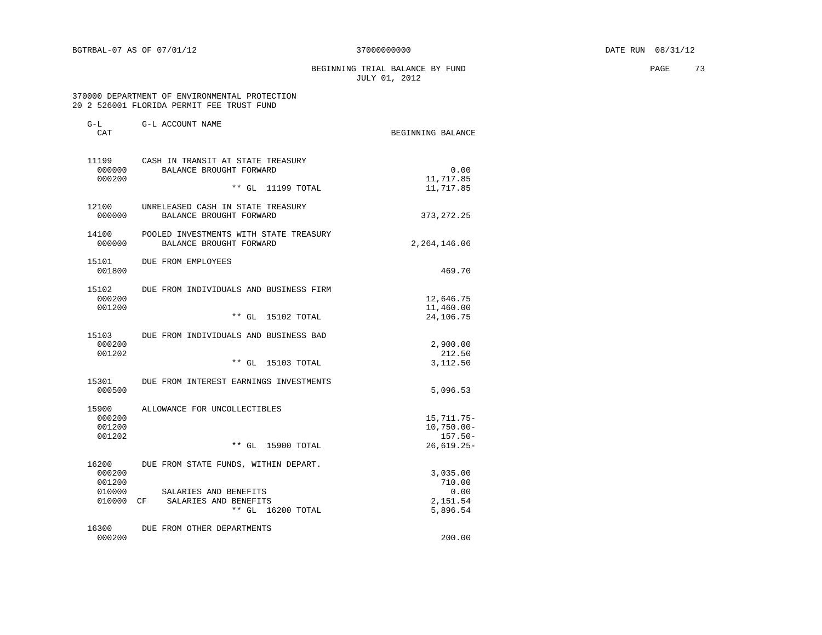BEGINNING TRIAL BALANCE BY FUND PAGE 73 JULY 01, 2012

# 370000 DEPARTMENT OF ENVIRONMENTAL PROTECTION 20 2 526001 FLORIDA PERMIT FEE TRUST FUND

| $G-L$<br>CAT                        | G-L ACCOUNT NAME                                                                       | BEGINNING BALANCE                                           |
|-------------------------------------|----------------------------------------------------------------------------------------|-------------------------------------------------------------|
| 11199<br>000000<br>000200           | CASH IN TRANSIT AT STATE TREASURY<br>BALANCE BROUGHT FORWARD<br>$**$ GL<br>11199 TOTAL | 0.00<br>11,717.85<br>11,717.85                              |
| 12100<br>000000                     | UNRELEASED CASH IN STATE TREASURY<br>BALANCE BROUGHT FORWARD                           | 373, 272. 25                                                |
| 14100<br>000000                     | POOLED INVESTMENTS WITH STATE TREASURY<br>BALANCE BROUGHT FORWARD                      | 2,264,146.06                                                |
| 15101<br>001800                     | DUE FROM EMPLOYEES                                                                     | 469.70                                                      |
| 15102<br>000200<br>001200           | DUE FROM INDIVIDUALS AND BUSINESS FIRM<br>** GL 15102 TOTAL                            | 12,646.75<br>11,460.00<br>24,106.75                         |
| 15103<br>000200<br>001202           | DUE FROM INDIVIDUALS AND BUSINESS BAD<br>** GL 15103 TOTAL                             | 2,900.00<br>212.50<br>3,112.50                              |
| 15301<br>000500                     | DUE FROM INTEREST EARNINGS INVESTMENTS                                                 | 5,096.53                                                    |
| 15900<br>000200<br>001200<br>001202 | ALLOWANCE FOR UNCOLLECTIBLES<br>** GL 15900 TOTAL                                      | $15,711.75-$<br>$10,750.00 -$<br>$157.50 -$<br>$26,619.25-$ |
| 16200<br>000200<br>001200           | DUE FROM STATE FUNDS, WITHIN DEPART.                                                   | 3,035.00<br>710.00                                          |
| 010000<br>010000                    | SALARIES AND BENEFITS<br>SALARIES AND BENEFITS<br>CF<br>** GL 16200 TOTAL              | 0.00<br>2,151.54<br>5,896.54                                |
| 16300<br>000200                     | DUE FROM OTHER DEPARTMENTS                                                             | 200.00                                                      |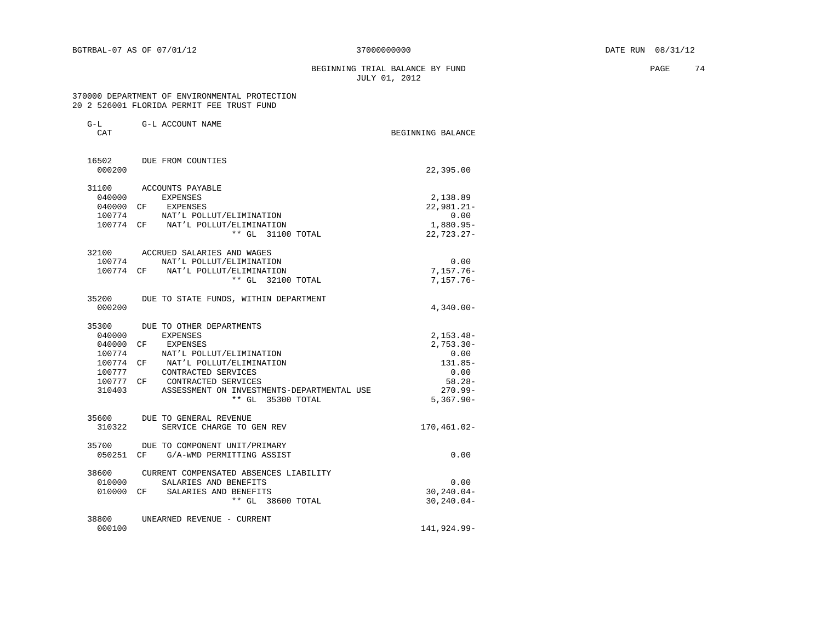# BEGINNING TRIAL BALANCE BY FUND **PAGE 74** JULY 01, 2012

 370000 DEPARTMENT OF ENVIRONMENTAL PROTECTION 20 2 526001 FLORIDA PERMIT FEE TRUST FUND

| $G-L$<br>CAT    | G-L ACCOUNT NAME                                                | BEGINNING BALANCE           |
|-----------------|-----------------------------------------------------------------|-----------------------------|
| 16502<br>000200 | DUE FROM COUNTIES                                               | 22,395.00                   |
| 31100           | ACCOUNTS PAYABLE                                                |                             |
| 040000          | EXPENSES                                                        | 2,138.89                    |
| 040000 CF       | EXPENSES                                                        | $22,981.21 -$               |
|                 | 100774 NAT'L POLLUT/ELIMINATION                                 | 0.00                        |
|                 | 100774 CF NAT'L POLLUT/ELIMINATION<br>** GL 31100 TOTAL         | 1,880.95-<br>$22, 723.27 -$ |
|                 | 32100 ACCRUED SALARIES AND WAGES                                |                             |
| 100774          | NAT'L POLLUT/ELIMINATION                                        | 0.00                        |
|                 | 100774 CF NAT'L POLLUT/ELIMINATION                              | $7,157.76 -$                |
|                 | ** GL 32100 TOTAL                                               | $7,157.76 -$                |
| 35200<br>000200 | DUE TO STATE FUNDS, WITHIN DEPARTMENT                           | $4,340.00 -$                |
|                 |                                                                 |                             |
| 35300           | DUE TO OTHER DEPARTMENTS                                        |                             |
| 040000          | <b>EXPENSES</b>                                                 | $2,153.48-$                 |
| 040000 CF       | EXPENSES                                                        | $2.753.30 -$                |
| 100774          | NAT'L POLLUT/ELIMINATION                                        | 0.00                        |
| 100774 CF       | NAT'L POLLUT/ELIMINATION                                        | $131.85-$                   |
| 100777          | CONTRACTED SERVICES                                             | 0.00                        |
| 100777 CF       | CONTRACTED SERVICES                                             | 58.28-                      |
| 310403          | ASSESSMENT ON INVESTMENTS-DEPARTMENTAL USE<br>** GL 35300 TOTAL | $270.99 -$<br>$5.367.90 -$  |
| 35600           | DUE TO GENERAL REVENUE                                          |                             |
| 310322          | SERVICE CHARGE TO GEN REV                                       | 170,461.02-                 |
| 35700           | DUE TO COMPONENT UNIT/PRIMARY                                   |                             |
|                 | 050251 CF G/A-WMD PERMITTING ASSIST                             | 0.00                        |
|                 | 38600 CURRENT COMPENSATED ABSENCES LIABILITY                    |                             |
| 010000          | SALARIES AND BENEFITS                                           | 0.00                        |
|                 | 010000 CF SALARIES AND BENEFITS                                 | $30, 240.04 -$              |
|                 | ** GL 38600 TOTAL                                               | $30, 240.04 -$              |
| 38800           | UNEARNED REVENUE - CURRENT                                      |                             |
| 000100          |                                                                 | 141,924.99-                 |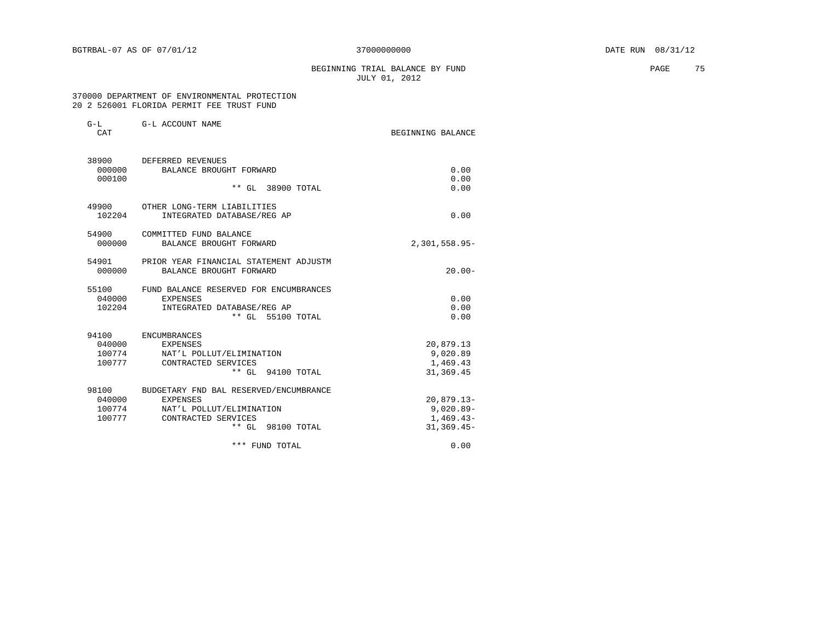# BEGINNING TRIAL BALANCE BY FUND **PAGE 75** JULY 01, 2012

 370000 DEPARTMENT OF ENVIRONMENTAL PROTECTION 20 2 526001 FLORIDA PERMIT FEE TRUST FUND

| $G-L$<br>CAT                        | G-L ACCOUNT NAME                                                                                                           | BEGINNING BALANCE                                             |
|-------------------------------------|----------------------------------------------------------------------------------------------------------------------------|---------------------------------------------------------------|
| 000000<br>000100                    | 38900 DEFERRED REVENUES<br>BALANCE BROUGHT FORWARD<br>** GL 38900 TOTAL                                                    | 0.00<br>0.00<br>0.00                                          |
| 49900<br>102204                     | OTHER LONG-TERM LIABILITIES<br>INTEGRATED DATABASE/REG AP                                                                  | 0.00                                                          |
| 54900<br>000000                     | COMMITTED FUND BALANCE<br>BALANCE BROUGHT FORWARD                                                                          | 2,301,558.95-                                                 |
| 54901<br>000000                     | PRIOR YEAR FINANCIAL STATEMENT ADJUSTM<br>BALANCE BROUGHT FORWARD                                                          | $20.00 -$                                                     |
| 040000<br>102204                    | 55100 FUND BALANCE RESERVED FOR ENCUMBRANCES<br>EXPENSES<br>INTEGRATED DATABASE/REG AP<br>** GL 55100 TOTAL                | 0.00<br>0.00<br>0.00                                          |
| 94100<br>040000                     | ENCUMBRANCES<br>EXPENSES<br>100774 NAT'L POLLUT/ELIMINATION<br>100777 CONTRACTED SERVICES<br>** GL 94100 TOTAL             | 20,879.13<br>9,020.89<br>1,469.43<br>31, 369.45               |
| 98100<br>040000<br>100774<br>100777 | BUDGETARY FND BAL RESERVED/ENCUMBRANCE<br>EXPENSES<br>NAT'L POLLUT/ELIMINATION<br>CONTRACTED SERVICES<br>** GL 98100 TOTAL | $20,879.13-$<br>$9,020.89 -$<br>$1,469.43-$<br>$31, 369.45 -$ |
|                                     | *** FUND TOTAL                                                                                                             | 0.00                                                          |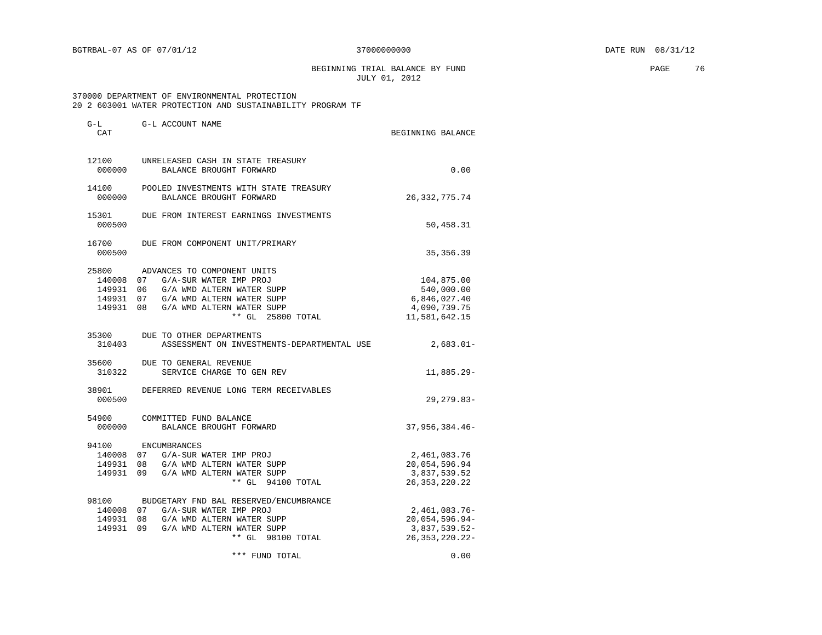BEGINNING TRIAL BALANCE BY FUND **PAGE 76** JULY 01, 2012

 370000 DEPARTMENT OF ENVIRONMENTAL PROTECTION 20 2 603001 WATER PROTECTION AND SUSTAINABILITY PROGRAM TF

| G-L<br>CAT      | G-L ACCOUNT NAME                                                                                                                                                                                          | BEGINNING BALANCE                                                           |
|-----------------|-----------------------------------------------------------------------------------------------------------------------------------------------------------------------------------------------------------|-----------------------------------------------------------------------------|
| 12100<br>000000 | UNRELEASED CASH IN STATE TREASURY<br>BALANCE BROUGHT FORWARD                                                                                                                                              | 0.00                                                                        |
| 14100<br>000000 | POOLED INVESTMENTS WITH STATE TREASURY<br>BALANCE BROUGHT FORWARD                                                                                                                                         | 26, 332, 775. 74                                                            |
| 15301<br>000500 | DUE FROM INTEREST EARNINGS INVESTMENTS                                                                                                                                                                    | 50,458.31                                                                   |
| 16700<br>000500 | DUE FROM COMPONENT UNIT/PRIMARY                                                                                                                                                                           | 35, 356.39                                                                  |
| 25800           | ADVANCES TO COMPONENT UNITS<br>140008 07 G/A-SUR WATER IMP PROJ<br>149931 06 G/A WMD ALTERN WATER SUPP<br>149931 07 G/A WMD ALTERN WATER SUPP<br>149931 08 G/A WMD ALTERN WATER SUPP<br>** GL 25800 TOTAL | 104,875.00<br>540,000.00<br>6,846,027.40<br>4,090,739.75<br>11,581,642.15   |
| 35300<br>310403 | DUE TO OTHER DEPARTMENTS<br>ASSESSMENT ON INVESTMENTS-DEPARTMENTAL USE                                                                                                                                    | $2,683.01-$                                                                 |
| 35600<br>310322 | DUE TO GENERAL REVENUE<br>SERVICE CHARGE TO GEN REV                                                                                                                                                       | 11,885.29-                                                                  |
| 38901<br>000500 | DEFERRED REVENUE LONG TERM RECEIVABLES                                                                                                                                                                    | $29, 279.83 -$                                                              |
| 54900<br>000000 | COMMITTED FUND BALANCE<br>BALANCE BROUGHT FORWARD                                                                                                                                                         | $37,956,384.46-$                                                            |
| 94100<br>149931 | ENCUMBRANCES<br>140008 07 G/A-SUR WATER IMP PROJ<br>149931 08 G/A WMD ALTERN WATER SUPP<br>09 G/A WMD ALTERN WATER SUPP<br>** GL 94100 TOTAL                                                              | 2,461,083.76<br>20,054,596.94<br>3,837,539.52<br>26, 353, 220. 22           |
|                 | 98100 BUDGETARY FND BAL RESERVED/ENCUMBRANCE<br>140008 07 G/A-SUR WATER IMP PROJ<br>149931 08 G/A WMD ALTERN WATER SUPP<br>149931 09 G/A WMD ALTERN WATER SUPP<br>$***$ GL<br>98100 TOTAL                 | $2,461,083.76-$<br>$20,054,596.94-$<br>$3,837,539.52-$<br>26, 353, 220. 22- |
|                 | *** FUND TOTAL                                                                                                                                                                                            | 0.00                                                                        |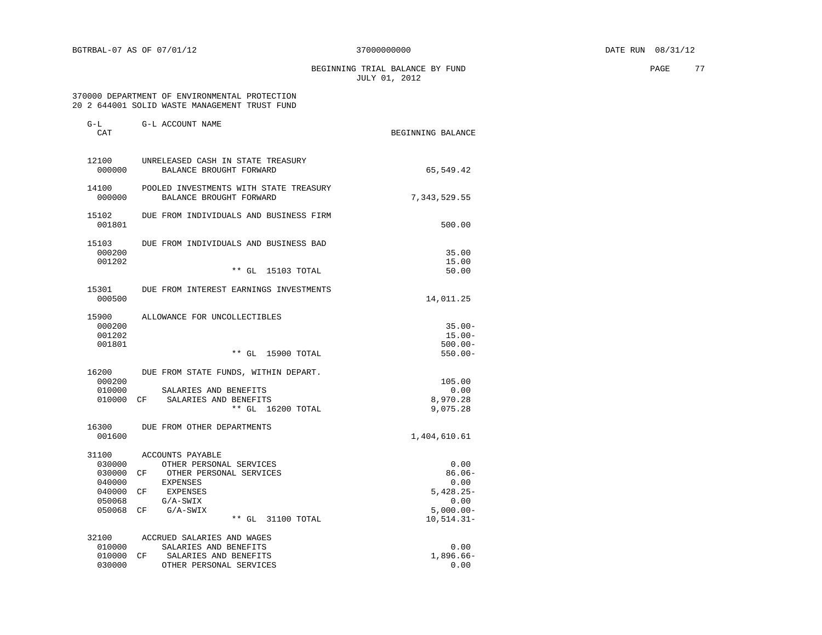BEGINNING TRIAL BALANCE BY FUND **PAGE** 77 JULY 01, 2012

# 370000 DEPARTMENT OF ENVIRONMENTAL PROTECTION 20 2 644001 SOLID WASTE MANAGEMENT TRUST FUND

| $G-L$<br>CAT                        | G-L ACCOUNT NAME                                                                | BEGINNING BALANCE                    |
|-------------------------------------|---------------------------------------------------------------------------------|--------------------------------------|
| 12100<br>000000                     | UNRELEASED CASH IN STATE TREASURY<br>BALANCE BROUGHT FORWARD                    | 65,549.42                            |
| 14100<br>000000                     | POOLED INVESTMENTS WITH STATE TREASURY<br>BALANCE BROUGHT FORWARD               | 7,343,529.55                         |
| 15102<br>001801                     | DUE FROM INDIVIDUALS AND BUSINESS FIRM                                          | 500.00                               |
| 15103<br>000200                     | DUE FROM INDIVIDUALS AND BUSINESS BAD                                           | 35.00                                |
| 001202                              | $***$ GL<br>15103 TOTAL                                                         | 15.00<br>50.00                       |
| 15301<br>000500                     | DUE FROM INTEREST EARNINGS INVESTMENTS                                          | 14,011.25                            |
| 15900<br>000200<br>001202<br>001801 | ALLOWANCE FOR UNCOLLECTIBLES                                                    | $35.00 -$<br>$15.00 -$<br>$500.00 -$ |
|                                     | ** GL 15900 TOTAL                                                               | $550.00 -$                           |
| 16200<br>000200<br>010000           | DUE FROM STATE FUNDS, WITHIN DEPART.<br>SALARIES AND BENEFITS                   | 105.00<br>0.00                       |
| 010000                              | CF.<br>SALARIES AND BENEFITS<br>** GL 16200 TOTAL                               | 8,970.28<br>9,075.28                 |
| 16300<br>001600                     | DUE FROM OTHER DEPARTMENTS                                                      | 1,404,610.61                         |
| 31100<br>030000                     | ACCOUNTS PAYABLE<br>OTHER PERSONAL SERVICES                                     | 0.00                                 |
| 030000<br>040000                    | OTHER PERSONAL SERVICES<br>CF.<br><b>EXPENSES</b>                               | $86.06 -$<br>0.00                    |
| 040000<br>050068                    | EXPENSES<br>CF.<br>$G/A-SWIX$                                                   | $5,428.25-$<br>0.00                  |
| 050068                              | G/A-SWIX<br>CF<br>$**$ GL<br>31100 TOTAL                                        | $5,000.00 -$<br>$10, 514.31 -$       |
| 32100                               | ACCRUED SALARIES AND WAGES                                                      |                                      |
| 010000<br>010000<br>030000          | SALARIES AND BENEFITS<br>SALARIES AND BENEFITS<br>CF<br>OTHER PERSONAL SERVICES | 0.00<br>$1.896.66 -$<br>0.00         |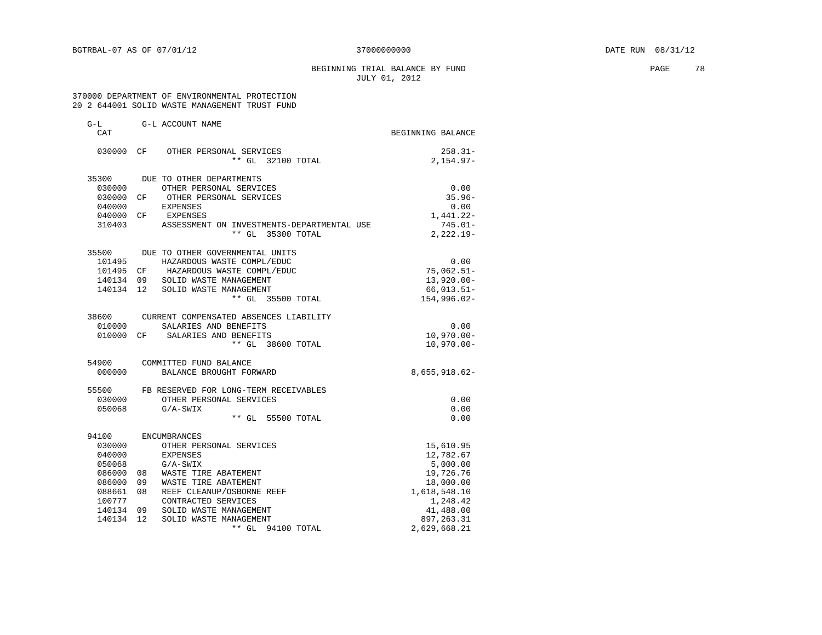# BEGINNING TRIAL BALANCE BY FUND **PAGE** 78 JULY 01, 2012

## 370000 DEPARTMENT OF ENVIRONMENTAL PROTECTION 20 2 644001 SOLID WASTE MANAGEMENT TRUST FUND

| $G-L$<br><b>CAT</b> | G-L ACCOUNT NAME                                         | BEGINNING BALANCE      |
|---------------------|----------------------------------------------------------|------------------------|
|                     |                                                          |                        |
| 030000              | CF<br>OTHER PERSONAL SERVICES<br>** GL 32100 TOTAL       | $258.31-$              |
|                     |                                                          | $2,154.97-$            |
| 35300               | DUE TO OTHER DEPARTMENTS                                 |                        |
| 030000              | OTHER PERSONAL SERVICES                                  | 0.00                   |
| 030000              | OTHER PERSONAL SERVICES<br>CF                            | $35.96 -$              |
| 040000              | <b>EXPENSES</b>                                          | 0.00                   |
| 040000              | CF<br>EXPENSES                                           | 1,441.22-              |
| 310403              | ASSESSMENT ON INVESTMENTS-DEPARTMENTAL USE               | $745.01 -$             |
|                     | ** GL 35300 TOTAL                                        | $2,222.19-$            |
| 35500               | DUE TO OTHER GOVERNMENTAL UNITS                          |                        |
| 101495              | HAZARDOUS WASTE COMPL/EDUC                               | 0.00                   |
|                     | 101495 CF HAZARDOUS WASTE COMPL/EDUC                     | $75,062.51 -$          |
| 140134 09           | SOLID WASTE MANAGEMENT                                   | $13,920.00 -$          |
| 140134 12           | SOLID WASTE MANAGEMENT                                   | $66,013.51-$           |
|                     | ** GL 35500 TOTAL                                        | 154,996.02-            |
| 38600               | CURRENT COMPENSATED ABSENCES LIABILITY                   |                        |
| 010000              | SALARIES AND BENEFITS                                    | 0.00                   |
|                     | 010000 CF SALARIES AND BENEFITS                          | $10,970.00 -$          |
|                     | ** GL 38600 TOTAL                                        | $10,970.00 -$          |
| 54900               | COMMITTED FUND BALANCE                                   |                        |
| 000000              | BALANCE BROUGHT FORWARD                                  | $8,655,918.62-$        |
|                     |                                                          |                        |
| 55500<br>030000     | FB RESERVED FOR LONG-TERM RECEIVABLES                    | 0.00                   |
| 050068              | OTHER PERSONAL SERVICES<br>$G/A-SWIX$                    | 0.00                   |
|                     | ** GL<br>55500 TOTAL                                     | 0.00                   |
|                     |                                                          |                        |
| 94100               | <b>ENCUMBRANCES</b>                                      |                        |
| 030000              | OTHER PERSONAL SERVICES                                  | 15,610.95              |
| 040000              | <b>EXPENSES</b>                                          | 12,782.67              |
| 050068              | $G/A-SWIX$                                               | 5,000.00               |
| 086000<br>086000    | 08<br>WASTE TIRE ABATEMENT<br>09<br>WASTE TIRE ABATEMENT | 19,726.76<br>18,000.00 |
| 088661              | 08<br>REEF CLEANUP/OSBORNE REEF                          | 1,618,548.10           |
| 100777              | CONTRACTED SERVICES                                      | 1,248.42               |
| 140134              | SOLID WASTE MANAGEMENT<br>09                             | 41,488.00              |
| 140134              | 12<br>SOLID WASTE MANAGEMENT                             | 897, 263.31            |
|                     | $**$ GL<br>94100 TOTAL                                   | 2,629,668.21           |
|                     |                                                          |                        |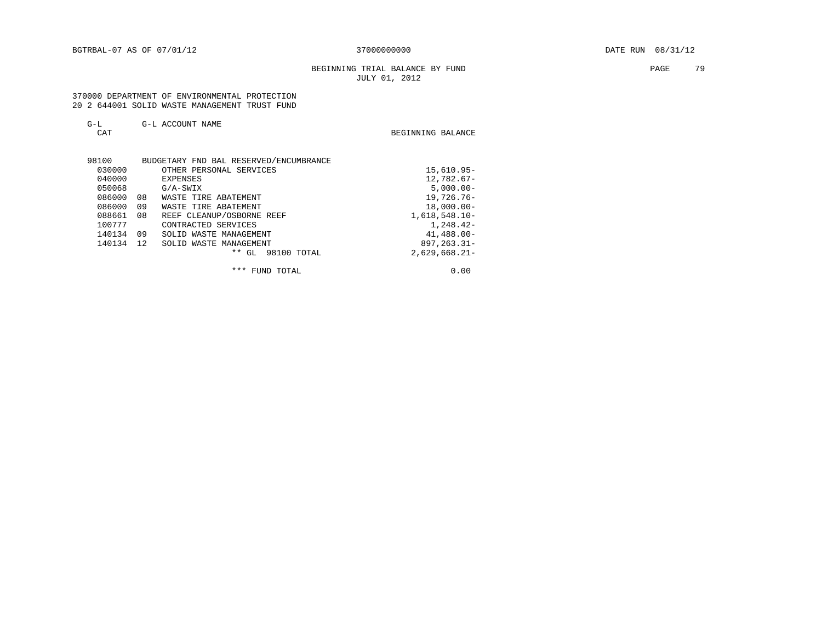# BEGINNING TRIAL BALANCE BY FUND **PAGE** 79 JULY 01, 2012

## 370000 DEPARTMENT OF ENVIRONMENTAL PROTECTION 20 2 644001 SOLID WASTE MANAGEMENT TRUST FUND

| $G-T$ | G-L ACCOUNT NAME |  |
|-------|------------------|--|
|       |                  |  |

| CAT    |                                        | BEGINNING BALANCE |
|--------|----------------------------------------|-------------------|
| 98100  | BUDGETARY FND BAL RESERVED/ENCUMBRANCE |                   |
| 030000 | OTHER PERSONAL SERVICES                | $15.610.95 -$     |
| 040000 | EXPENSES                               | 12,782.67-        |
| 050068 | $G/A-SWIX$                             | $5,000.00 -$      |
| 086000 | 08<br>WASTE TIRE ABATEMENT             | $19.726.76 -$     |
| 086000 | 09<br>WASTE TIRE ABATEMENT             | $18,000.00 -$     |
| 088661 | 08<br>REEF CLEANUP/OSBORNE REEF        | $1.618.548.10-$   |
| 100777 | CONTRACTED SERVICES                    | $1,248.42-$       |
| 140134 | 09<br>SOLID WASTE MANAGEMENT           | $41,488,00-$      |
| 140134 | 12<br>SOLID WASTE MANAGEMENT           | $897, 263.31 -$   |
|        | * *<br>GL<br>98100 TOTAL               | $2,629,668.21-$   |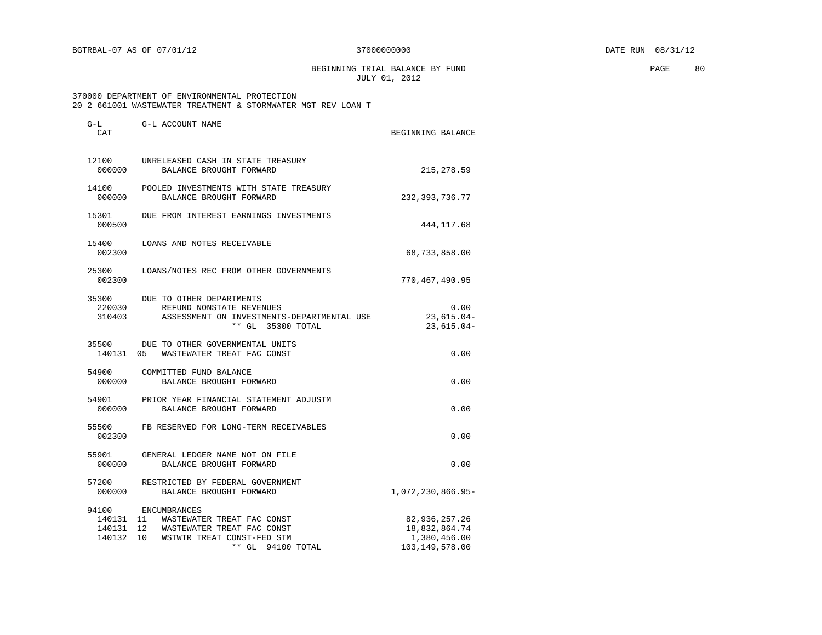BEGINNING TRIAL BALANCE BY FUND **PAGE 80** JULY 01, 2012

 370000 DEPARTMENT OF ENVIRONMENTAL PROTECTION 20 2 661001 WASTEWATER TREATMENT & STORMWATER MGT REV LOAN T

| G-L<br>CAT                   | G-L ACCOUNT NAME                                                                                                                               | BEGINNING BALANCE                                                  |
|------------------------------|------------------------------------------------------------------------------------------------------------------------------------------------|--------------------------------------------------------------------|
| 12100<br>000000              | UNRELEASED CASH IN STATE TREASURY<br>BALANCE BROUGHT FORWARD                                                                                   | 215,278.59                                                         |
| 14100<br>000000              | POOLED INVESTMENTS WITH STATE TREASURY<br>BALANCE BROUGHT FORWARD                                                                              | 232, 393, 736.77                                                   |
| 15301<br>000500              | DUE FROM INTEREST EARNINGS INVESTMENTS                                                                                                         | 444, 117.68                                                        |
| 15400<br>002300              | LOANS AND NOTES RECEIVABLE                                                                                                                     | 68,733,858.00                                                      |
| 25300<br>002300              | LOANS/NOTES REC FROM OTHER GOVERNMENTS                                                                                                         | 770,467,490.95                                                     |
| 35300<br>220030<br>310403    | DUE TO OTHER DEPARTMENTS<br>REFUND NONSTATE REVENUES<br>ASSESSMENT ON INVESTMENTS-DEPARTMENTAL USE<br>** GL 35300 TOTAL                        | 0.00<br>23,615.04-<br>$23,615.04-$                                 |
| 35500<br>140131 05           | DUE TO OTHER GOVERNMENTAL UNITS<br>WASTEWATER TREAT FAC CONST                                                                                  | 0.00                                                               |
| 54900<br>000000              | COMMITTED FUND BALANCE<br>BALANCE BROUGHT FORWARD                                                                                              | 0.00                                                               |
| 54901<br>000000              | PRIOR YEAR FINANCIAL STATEMENT ADJUSTM<br>BALANCE BROUGHT FORWARD                                                                              | 0.00                                                               |
| 55500<br>002300              | FB RESERVED FOR LONG-TERM RECEIVABLES                                                                                                          | 0.00                                                               |
| 55901<br>000000              | GENERAL LEDGER NAME NOT ON FILE<br>BALANCE BROUGHT FORWARD                                                                                     | 0.00                                                               |
| 57200<br>000000              | RESTRICTED BY FEDERAL GOVERNMENT<br>BALANCE BROUGHT FORWARD                                                                                    | 1,072,230,866.95-                                                  |
| 94100<br>140131 12<br>140132 | ENCUMBRANCES<br>140131 11 WASTEWATER TREAT FAC CONST<br>WASTEWATER TREAT FAC CONST<br>10<br>WSTWTR TREAT CONST-FED STM<br>** GL<br>94100 TOTAL | 82,936,257.26<br>18,832,864.74<br>1,380,456.00<br>103, 149, 578.00 |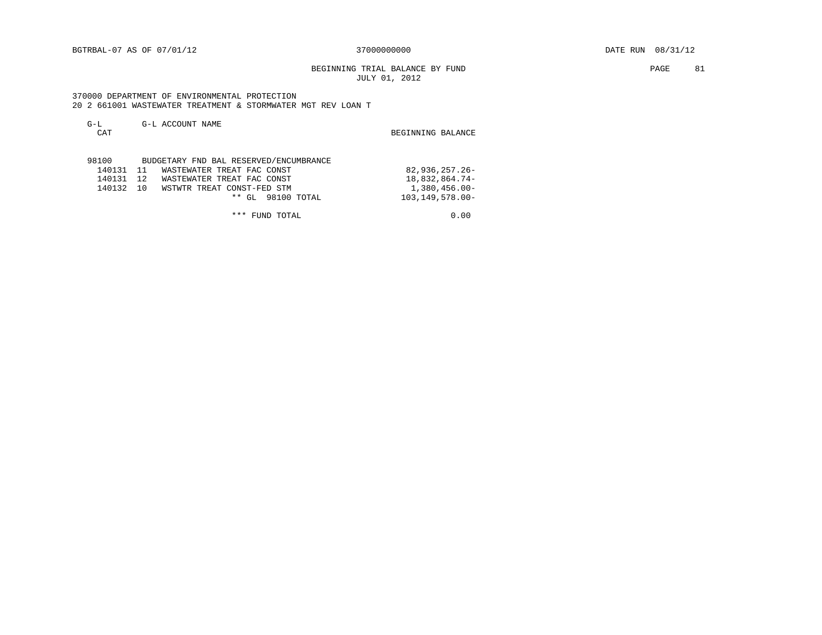BGTRBAL-07 AS OF 07/01/12 37000000000 DATE RUN 08/31/12

BEGINNING TRIAL BALANCE BY FUND **PAGE 81** JULY 01, 2012

 370000 DEPARTMENT OF ENVIRONMENTAL PROTECTION 20 2 661001 WASTEWATER TREATMENT & STORMWATER MGT REV LOAN T

| $G-L$<br><b>CAT</b> | G-L ACCOUNT NAME                       | BEGINNING BALANCE    |
|---------------------|----------------------------------------|----------------------|
| 98100               | BUDGETARY FND BAL RESERVED/ENCUMBRANCE |                      |
| 140131              | - 11<br>WASTEWATER TREAT FAC CONST     | $82,936,257.26-$     |
| 140131              | 12<br>WASTEWATER TREAT FAC CONST       | 18,832,864.74-       |
| 140132              | 10<br>WSTWTR TREAT CONST-FED STM       | $1,380,456.00 -$     |
|                     | ** GL<br>98100 TOTAL                   | $103, 149, 578.00 -$ |

\*\*\* FUND TOTAL 0.00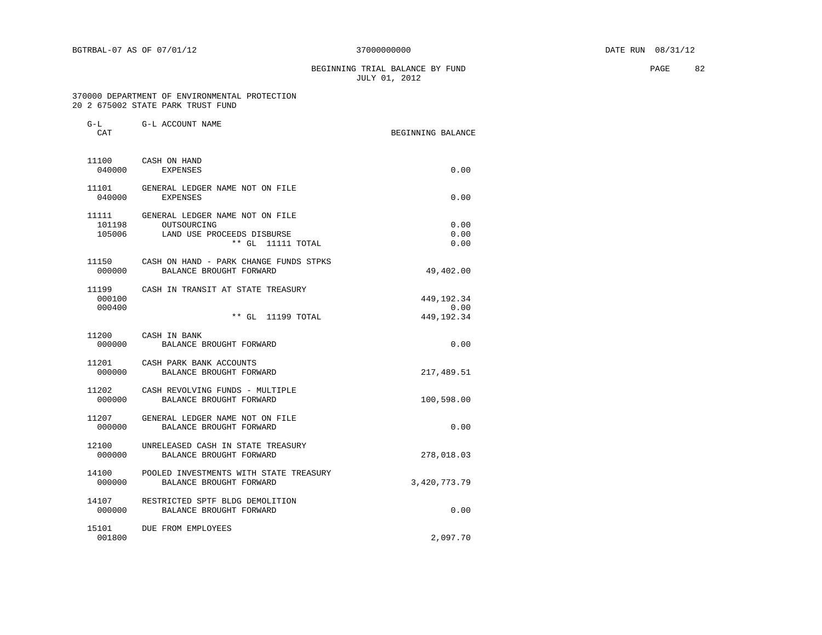BEGINNING TRIAL BALANCE BY FUND **EXAMPLE 1999** PAGE 82 JULY 01, 2012

| $G-L$<br>CAT     | G-L ACCOUNT NAME                                                                                               | BEGINNING BALANCE                    |
|------------------|----------------------------------------------------------------------------------------------------------------|--------------------------------------|
| 11100            | CASH ON HAND<br>040000 EXPENSES                                                                                | 0.00                                 |
|                  | 11101 GENERAL LEDGER NAME NOT ON FILE<br>040000 EXPENSES                                                       | 0.00                                 |
| 101198           | 11111 GENERAL LEDGER NAME NOT ON FILE<br>OUTSOURCING<br>105006 LAND USE PROCEEDS DISBURSE<br>** GL 11111 TOTAL | 0.00<br>0.00<br>0.00                 |
| 000000           | 11150 CASH ON HAND - PARK CHANGE FUNDS STPKS<br>BALANCE BROUGHT FORWARD                                        | 49,402.00                            |
| 000100<br>000400 | 11199 CASH IN TRANSIT AT STATE TREASURY<br>** GL 11199 TOTAL                                                   | 449, 192. 34<br>0.00<br>449, 192. 34 |
| 000000           | 11200 CASH IN BANK<br>BALANCE BROUGHT FORWARD                                                                  | 0.00                                 |
| 000000           | 11201 CASH PARK BANK ACCOUNTS<br>BALANCE BROUGHT FORWARD                                                       | 217,489.51                           |
| 000000           | 11202 CASH REVOLVING FUNDS - MULTIPLE<br>BALANCE BROUGHT FORWARD                                               | 100,598.00                           |
| 000000           | 11207 GENERAL LEDGER NAME NOT ON FILE<br>BALANCE BROUGHT FORWARD                                               | 0.00                                 |
| 000000           | 12100 UNRELEASED CASH IN STATE TREASURY<br>BALANCE BROUGHT FORWARD                                             | 278,018.03                           |
| 000000           | 14100 POOLED INVESTMENTS WITH STATE TREASURY<br>BALANCE BROUGHT FORWARD                                        | 3,420,773.79                         |
| 000000           | 14107 RESTRICTED SPTF BLDG DEMOLITION<br>BALANCE BROUGHT FORWARD                                               | 0.00                                 |
| 15101<br>001800  | DUE FROM EMPLOYEES                                                                                             | 2,097.70                             |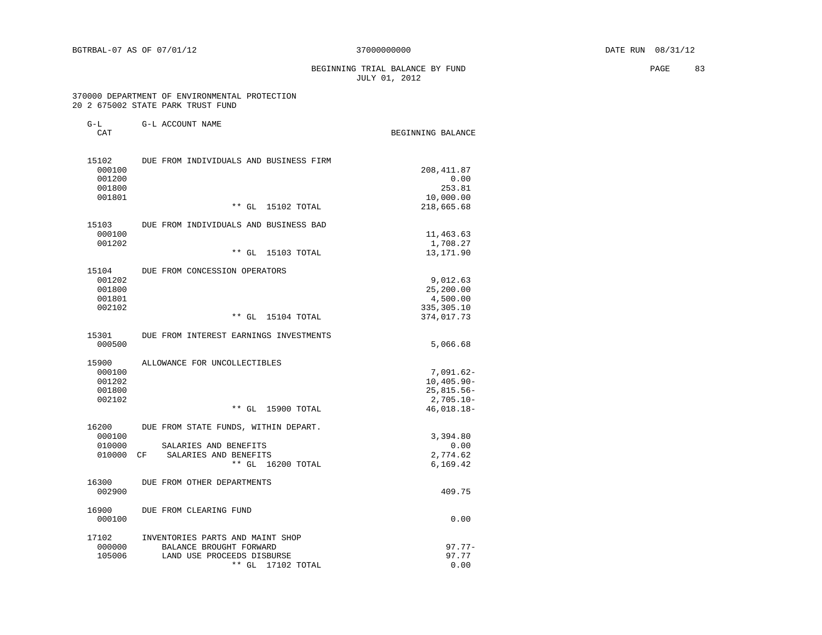# BEGINNING TRIAL BALANCE BY FUND **EXAMPLE 2008** PAGE 83 JULY 01, 2012

| $G-L$<br><b>CAT</b>                           | G-L ACCOUNT NAME                                                                                                     | BEGINNING BALANCE                                             |
|-----------------------------------------------|----------------------------------------------------------------------------------------------------------------------|---------------------------------------------------------------|
| 15102<br>000100<br>001200<br>001800<br>001801 | DUE FROM INDIVIDUALS AND BUSINESS FIRM                                                                               | 208, 411.87<br>0.00<br>253.81<br>10,000.00                    |
|                                               | $***$ GL<br>15102 TOTAL                                                                                              | 218,665.68                                                    |
| 15103<br>000100<br>001202                     | DUE FROM INDIVIDUALS AND BUSINESS BAD                                                                                | 11,463.63<br>1,708.27                                         |
|                                               | $***$ GL<br>15103 TOTAL                                                                                              | 13,171.90                                                     |
| 15104<br>001202<br>001800<br>001801<br>002102 | DUE FROM CONCESSION OPERATORS                                                                                        | 9,012.63<br>25,200.00<br>4,500.00<br>335,305.10               |
|                                               | $**$ GL<br>15104 TOTAL                                                                                               | 374,017.73                                                    |
| 15301<br>000500                               | DUE FROM INTEREST EARNINGS INVESTMENTS                                                                               | 5,066.68                                                      |
| 15900<br>000100<br>001202<br>001800<br>002102 | ALLOWANCE FOR UNCOLLECTIBLES                                                                                         | $7,091.62-$<br>$10,405.90 -$<br>$25,815.56 -$<br>$2,705.10 -$ |
|                                               | $***$ GL<br>15900 TOTAL                                                                                              | $46,018.18-$                                                  |
| 16200<br>000100<br>010000<br>010000           | DUE FROM STATE FUNDS, WITHIN DEPART.<br>SALARIES AND BENEFITS<br>SALARIES AND BENEFITS<br>CF<br>** GL 16200 TOTAL    | 3,394.80<br>0.00<br>2,774.62<br>6,169.42                      |
| 16300<br>002900                               | DUE FROM OTHER DEPARTMENTS                                                                                           | 409.75                                                        |
| 16900<br>000100                               | DUE FROM CLEARING FUND                                                                                               | 0.00                                                          |
| 17102<br>000000<br>105006                     | INVENTORIES PARTS AND MAINT SHOP<br>BALANCE BROUGHT FORWARD<br>LAND USE PROCEEDS DISBURSE<br>$***$ GL<br>17102 TOTAL | $97.77 -$<br>97.77<br>0.00                                    |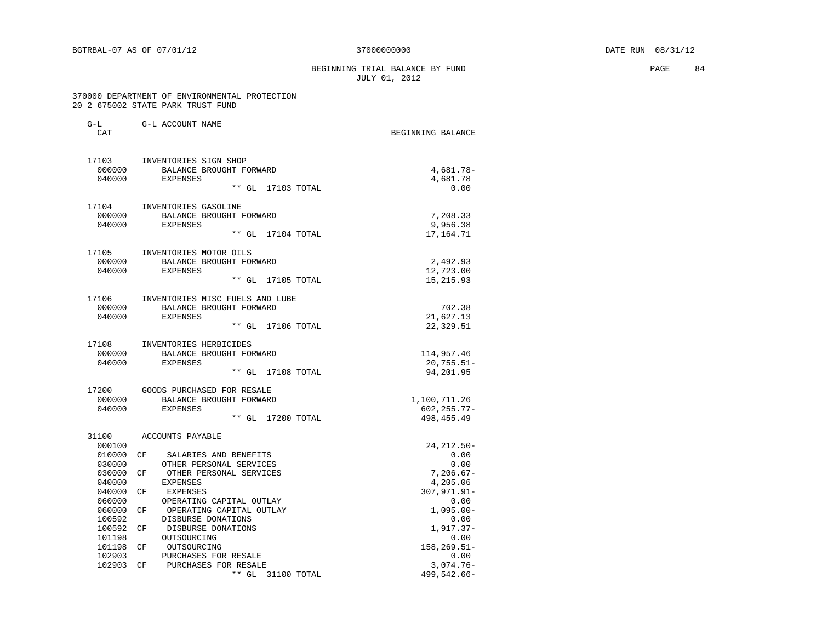# BEGINNING TRIAL BALANCE BY FUND **PAGE 84** JULY 01, 2012

| $G-L$<br>CAT     | G-L ACCOUNT NAME                                 | BEGINNING BALANCE          |
|------------------|--------------------------------------------------|----------------------------|
|                  |                                                  |                            |
| 17103            | INVENTORIES SIGN SHOP                            |                            |
| 000000           | BALANCE BROUGHT FORWARD                          | $4,681.78-$                |
| 040000           | EXPENSES                                         | 4,681.78                   |
|                  | ** GL 17103 TOTAL                                | 0.00                       |
| 17104            | INVENTORIES GASOLINE                             |                            |
| 000000           | BALANCE BROUGHT FORWARD                          | 7,208.33                   |
| 040000           | <b>EXPENSES</b>                                  | 9,956.38                   |
|                  | ** GL 17104 TOTAL                                | 17,164.71                  |
| 17105            | INVENTORIES MOTOR OILS                           |                            |
| 000000           | BALANCE BROUGHT FORWARD                          | 2,492.93                   |
| 040000           | EXPENSES                                         | 12,723.00                  |
|                  | $**$ GL<br>17105 TOTAL                           | 15, 215.93                 |
| 17106            | INVENTORIES MISC FUELS AND LUBE                  |                            |
| 000000           | BALANCE BROUGHT FORWARD                          | 702.38                     |
| 040000           | EXPENSES                                         | 21,627.13                  |
|                  | ** GL 17106 TOTAL                                | 22,329.51                  |
| 17108            | INVENTORIES HERBICIDES                           |                            |
| 000000           | BALANCE BROUGHT FORWARD                          | 114,957.46                 |
| 040000           | EXPENSES                                         | $20,755.51 -$              |
|                  | ** GL 17108 TOTAL                                | 94,201.95                  |
| 17200            | GOODS PURCHASED FOR RESALE                       |                            |
| 000000           | BALANCE BROUGHT FORWARD                          | 1,100,711.26               |
| 040000           | <b>EXPENSES</b>                                  | $602, 255.77 -$            |
|                  | ** GL 17200 TOTAL                                | 498, 455.49                |
| 31100            | ACCOUNTS PAYABLE                                 |                            |
| 000100           |                                                  | 24, 212.50-                |
| 010000           | CF<br>SALARIES AND BENEFITS                      | 0.00                       |
| 030000           | OTHER PERSONAL SERVICES                          | 0.00                       |
| 030000<br>040000 | OTHER PERSONAL SERVICES<br>СF<br><b>EXPENSES</b> | $7,206.67-$                |
| 040000           | CF<br>EXPENSES                                   | 4,205.06<br>$307,971.91 -$ |
| 060000           | OPERATING CAPITAL OUTLAY                         | 0.00                       |
| 060000           | СF<br>OPERATING CAPITAL OUTLAY                   | $1,095.00 -$               |
| 100592           | DISBURSE DONATIONS                               | 0.00                       |
| 100592           | DISBURSE DONATIONS<br>CF                         | $1,917.37-$                |
| 101198           | OUTSOURCING                                      | 0.00                       |
| 101198           | CF<br>OUTSOURCING                                | $158, 269.51 -$            |
| 102903           | PURCHASES FOR RESALE                             | 0.00                       |
| 102903           | PURCHASES FOR RESALE<br>CF                       | $3,074.76-$                |
|                  | $**$ GL<br>31100 TOTAL                           | 499,542.66-                |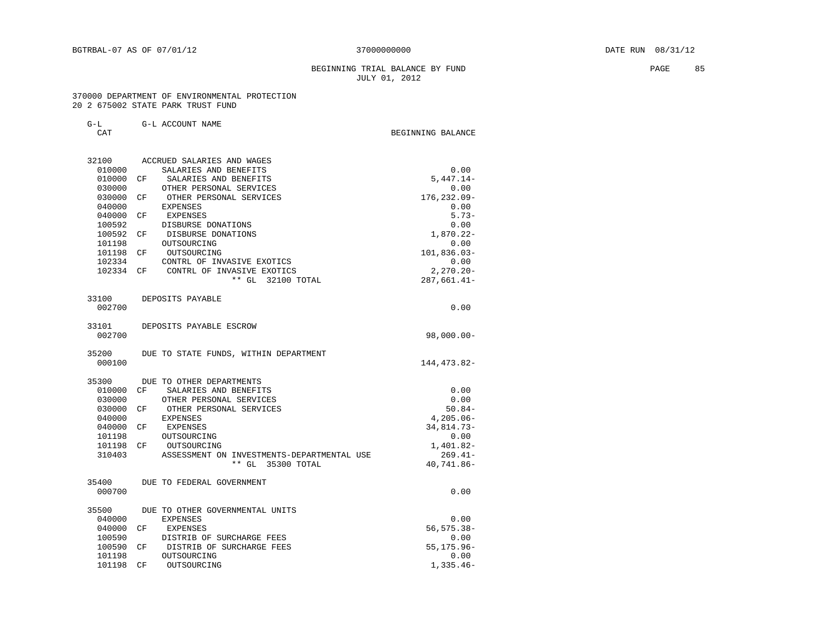G-L G-L ACCOUNT NAME

## BEGINNING TRIAL BALANCE BY FUND **EXAMPLE 1999** PAGE 85 JULY 01, 2012

| CAT    |                                            | BEGINNING BALANCE |
|--------|--------------------------------------------|-------------------|
|        |                                            |                   |
| 32100  | ACCRUED SALARIES AND WAGES                 |                   |
| 010000 | SALARIES AND BENEFITS                      | 0.00              |
| 010000 | SALARIES AND BENEFITS<br>CF                | $5,447.14-$       |
| 030000 | OTHER PERSONAL SERVICES                    | 0.00              |
| 030000 | OTHER PERSONAL SERVICES<br>СF              | 176,232.09-       |
| 040000 | <b>EXPENSES</b>                            | 0.00              |
| 040000 | CF<br>EXPENSES                             | $5.73-$           |
| 100592 | DISBURSE DONATIONS                         | 0.00              |
| 100592 | CF<br>DISBURSE DONATIONS                   | 1,870.22-         |
| 101198 | OUTSOURCING                                | 0.00              |
| 101198 | OUTSOURCING<br>СF                          | 101,836.03-       |
| 102334 | CONTRL OF INVASIVE EXOTICS                 | 0.00              |
| 102334 | CONTRL OF INVASIVE EXOTICS<br>CF           | $2,270.20 -$      |
|        | ** GL<br>32100 TOTAL                       | 287,661.41-       |
| 33100  | DEPOSITS PAYABLE                           |                   |
| 002700 |                                            | 0.00              |
| 33101  | DEPOSITS PAYABLE ESCROW                    |                   |
| 002700 |                                            | $98,000.00 -$     |
| 35200  | DUE TO STATE FUNDS, WITHIN DEPARTMENT      |                   |
| 000100 |                                            | 144,473.82-       |
| 35300  | DUE TO OTHER DEPARTMENTS                   |                   |
| 010000 | CF<br>SALARIES AND BENEFITS                | 0.00              |
| 030000 | OTHER PERSONAL SERVICES                    | 0.00              |
| 030000 | OTHER PERSONAL SERVICES<br>СF              | $50.84-$          |
| 040000 | <b>EXPENSES</b>                            | $4,205.06-$       |
| 040000 | CF<br>EXPENSES                             | 34,814.73-        |
| 101198 | OUTSOURCING                                | 0.00              |
| 101198 | OUTSOURCING<br>CF                          | 1,401.82-         |
| 310403 | ASSESSMENT ON INVESTMENTS-DEPARTMENTAL USE | $269.41-$         |
|        | ** GL 35300 TOTAL                          | 40,741.86-        |
| 35400  | DUE TO FEDERAL GOVERNMENT                  |                   |
| 000700 |                                            | 0.00              |
| 35500  | DUE TO OTHER GOVERNMENTAL UNITS            |                   |
| 040000 | <b>EXPENSES</b>                            | 0.00              |
| 040000 | EXPENSES<br>CF                             | 56,575.38-        |
| 100590 | DISTRIB OF SURCHARGE FEES                  | 0.00              |
| 100590 | DISTRIB OF SURCHARGE FEES<br>CF            | 55, 175.96-       |
| 101198 | OUTSOURCING                                | 0.00              |
| 101198 | CF<br>OUTSOURCING                          | $1,335.46-$       |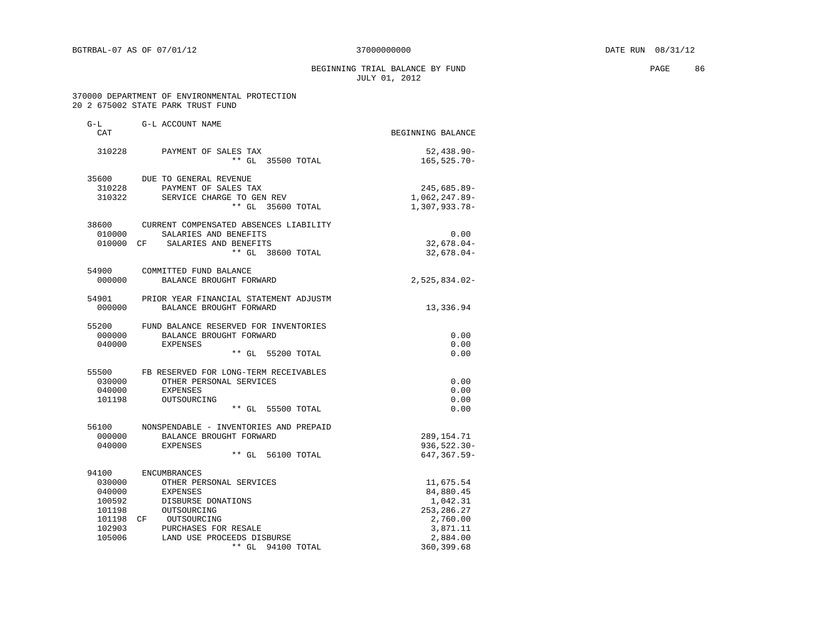# BEGINNING TRIAL BALANCE BY FUND **PAGE 86** JULY 01, 2012

| $G-L$<br><b>CAT</b> | G-L ACCOUNT NAME                              | BEGINNING BALANCE       |
|---------------------|-----------------------------------------------|-------------------------|
|                     |                                               |                         |
| 310228              | PAYMENT OF SALES TAX                          | $52,438.90 -$           |
|                     | ** GL 35500 TOTAL                             | $165, 525.70 -$         |
|                     | 35600 DUE TO GENERAL REVENUE                  |                         |
| 310228              | PAYMENT OF SALES TAX                          | $245,685.89-$           |
| 310322              | SERVICE CHARGE TO GEN REV                     | 1,062,247.89-           |
|                     | ** GL 35600 TOTAL                             | 1,307,933.78-           |
|                     | 38600 CURRENT COMPENSATED ABSENCES LIABILITY  |                         |
| 010000              | SALARIES AND BENEFITS                         | 0.00                    |
|                     | 010000 CF SALARIES AND BENEFITS               | $32,678.04-$            |
|                     | ** GL 38600 TOTAL                             | $32,678.04-$            |
| 54900               | COMMITTED FUND BALANCE                        |                         |
| 000000              | BALANCE BROUGHT FORWARD                       | $2,525,834.02-$         |
| 54901               | PRIOR YEAR FINANCIAL STATEMENT ADJUSTM        |                         |
| 000000              | BALANCE BROUGHT FORWARD                       | 13,336.94               |
|                     | 55200 FUND BALANCE RESERVED FOR INVENTORIES   |                         |
| 000000              | BALANCE BROUGHT FORWARD                       | 0.00                    |
| 040000              | EXPENSES                                      | 0.00                    |
|                     | ** GL 55200 TOTAL                             | 0.00                    |
|                     | 55500 FB RESERVED FOR LONG-TERM RECEIVABLES   |                         |
| 030000              | OTHER PERSONAL SERVICES                       | 0.00                    |
| 040000              | <b>EXPENSES</b>                               | 0.00                    |
| 101198              | OUTSOURCING                                   | 0.00                    |
|                     | ** GL 55500 TOTAL                             | 0.00                    |
| 56100               | NONSPENDABLE - INVENTORIES AND PREPAID        |                         |
| 000000              | BALANCE BROUGHT FORWARD                       | 289,154.71              |
| 040000              | <b>EXPENSES</b>                               | $936, 522.30 -$         |
|                     | ** GL 56100 TOTAL                             | $647, 367.59 -$         |
| 94100               | ENCUMBRANCES                                  |                         |
| 030000              | OTHER PERSONAL SERVICES                       | 11,675.54               |
| 040000              | <b>EXPENSES</b>                               | 84,880.45               |
| 100592<br>101198    | DISBURSE DONATIONS<br>OUTSOURCING             | 1,042.31<br>253, 286.27 |
|                     |                                               | 2,760.00                |
| 102903              | 101198 CF OUTSOURCING<br>PURCHASES FOR RESALE | 3,871.11                |
| 105006              | LAND USE PROCEEDS DISBURSE                    | 2,884.00                |
|                     | $**$ GL<br>94100 TOTAL                        | 360, 399.68             |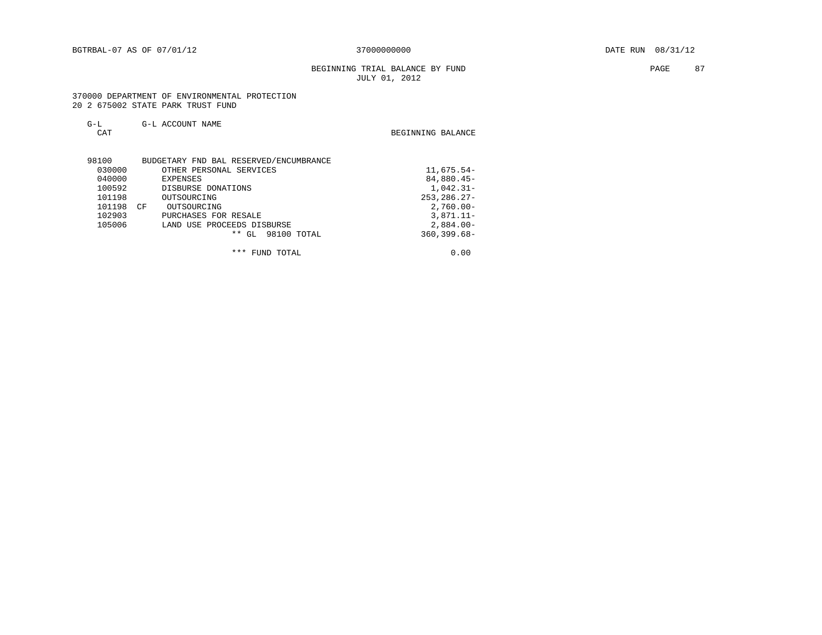# BEGINNING TRIAL BALANCE BY FUND **PAGE 87** JULY 01, 2012

| $G-L$<br><b>CAT</b> | G-L ACCOUNT NAME                       | BEGINNING BALANCE |
|---------------------|----------------------------------------|-------------------|
| 98100               | BUDGETARY FND BAL RESERVED/ENCUMBRANCE |                   |
| 030000              | OTHER PERSONAL SERVICES                | 11,675.54-        |
| 040000              | <b>EXPENSES</b>                        | 84,880.45-        |
| 100592              | DISBURSE DONATIONS                     | $1,042.31-$       |
| 101198              | OUTSOURCING                            | $253, 286.27 -$   |
| 101198              | CF<br>OUTSOURCING                      | $2.760.00 -$      |
| 102903              | PURCHASES FOR RESALE                   | $3.871.11 -$      |
| 105006              | LAND USE PROCEEDS DISBURSE             | $2,884.00-$       |
|                     | * *<br>98100 TOTAL<br>GL               | $360, 399.68 -$   |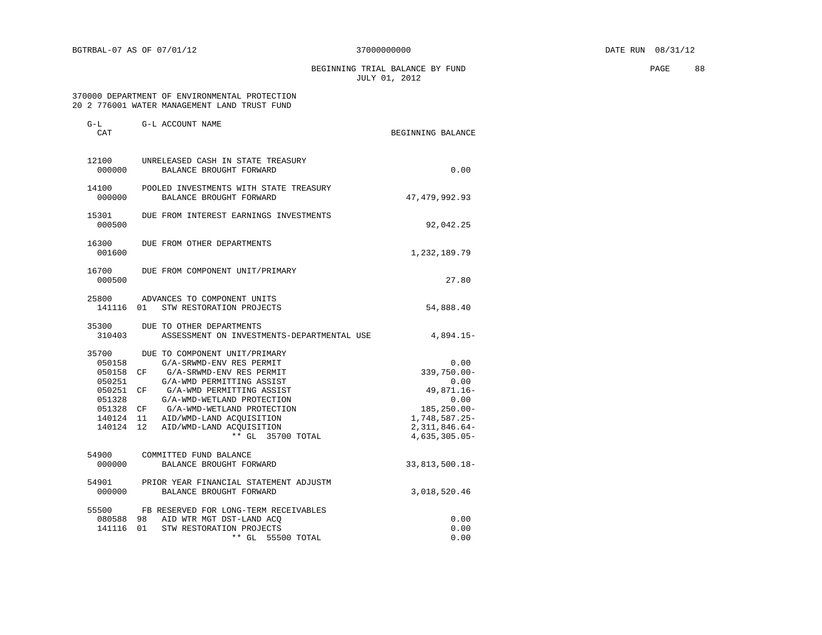BEGINNING TRIAL BALANCE BY FUND **EXAMPLE 2008** PAGE 88 JULY 01, 2012

 370000 DEPARTMENT OF ENVIRONMENTAL PROTECTION 20 2 776001 WATER MANAGEMENT LAND TRUST FUND

| $G-L$<br><b>CAT</b>                                                               | G-L ACCOUNT NAME                                                                                                                                                                                                                                                                                               | BEGINNING BALANCE                                                                                                              |
|-----------------------------------------------------------------------------------|----------------------------------------------------------------------------------------------------------------------------------------------------------------------------------------------------------------------------------------------------------------------------------------------------------------|--------------------------------------------------------------------------------------------------------------------------------|
| 12100<br>000000                                                                   | UNRELEASED CASH IN STATE TREASURY<br>BALANCE BROUGHT FORWARD                                                                                                                                                                                                                                                   | 0.00                                                                                                                           |
| 14100<br>000000                                                                   | POOLED INVESTMENTS WITH STATE TREASURY<br>BALANCE BROUGHT FORWARD                                                                                                                                                                                                                                              | 47, 479, 992.93                                                                                                                |
| 15301<br>000500                                                                   | DUE FROM INTEREST EARNINGS INVESTMENTS                                                                                                                                                                                                                                                                         | 92,042.25                                                                                                                      |
| 16300<br>001600                                                                   | DUE FROM OTHER DEPARTMENTS                                                                                                                                                                                                                                                                                     | 1,232,189.79                                                                                                                   |
| 16700<br>000500                                                                   | DUE FROM COMPONENT UNIT/PRIMARY                                                                                                                                                                                                                                                                                | 27.80                                                                                                                          |
| 25800<br>141116 01                                                                | ADVANCES TO COMPONENT UNITS<br>STW RESTORATION PROJECTS                                                                                                                                                                                                                                                        | 54,888.40                                                                                                                      |
| 35300<br>310403                                                                   | DUE TO OTHER DEPARTMENTS<br>ASSESSMENT ON INVESTMENTS-DEPARTMENTAL USE                                                                                                                                                                                                                                         | $4,894.15-$                                                                                                                    |
| 35700<br>050158<br>050158<br>050251<br>050251<br>051328<br>140124 11<br>140124 12 | DUE TO COMPONENT UNIT/PRIMARY<br>G/A-SRWMD-ENV RES PERMIT<br>G/A-SRWMD-ENV RES PERMIT<br>CF<br>G/A-WMD PERMITTING ASSIST<br>G/A-WMD PERMITTING ASSIST<br>CF<br>G/A-WMD-WETLAND PROTECTION<br>051328 CF G/A-WMD-WETLAND PROTECTION<br>AID/WMD-LAND ACOUISITION<br>AID/WMD-LAND ACOUISITION<br>** GL 35700 TOTAL | 0.00<br>$339,750.00 -$<br>0.00<br>49,871.16-<br>0.00<br>$185, 250.00 -$<br>1,748,587.25-<br>$2,311,846.64-$<br>$4,635,305.05-$ |
| 54900<br>000000                                                                   | COMMITTED FUND BALANCE<br>BALANCE BROUGHT FORWARD                                                                                                                                                                                                                                                              | 33,813,500.18-                                                                                                                 |
| 54901<br>000000                                                                   | PRIOR YEAR FINANCIAL STATEMENT ADJUSTM<br>BALANCE BROUGHT FORWARD                                                                                                                                                                                                                                              | 3,018,520.46                                                                                                                   |
| 080588<br>141116 01                                                               | 55500 FB RESERVED FOR LONG-TERM RECEIVABLES<br>98<br>AID WTR MGT DST-LAND ACO<br>STW RESTORATION PROJECTS<br>$***$ GL<br>55500 TOTAL                                                                                                                                                                           | 0.00<br>0.00<br>0.00                                                                                                           |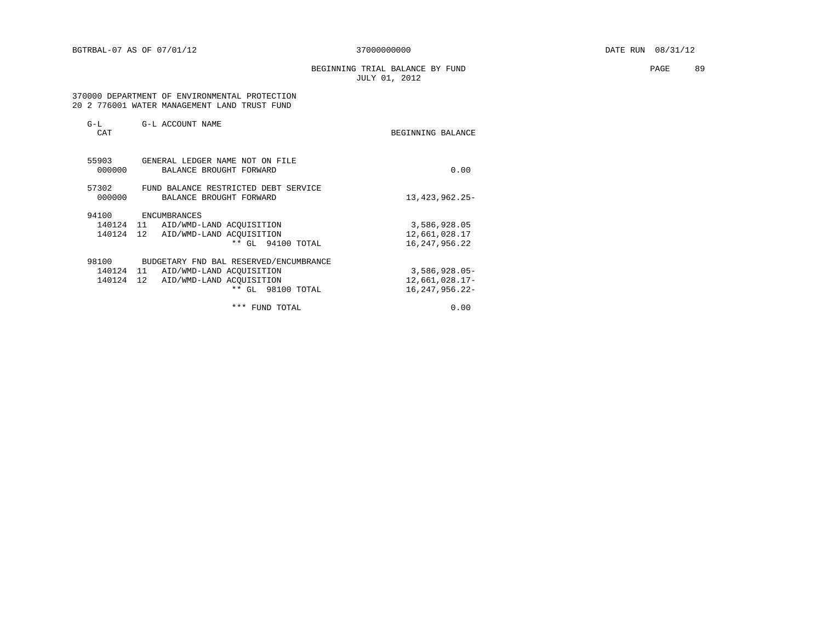BEGINNING TRIAL BALANCE BY FUND **EXAMPLE 19** PAGE 89 JULY 01, 2012

 370000 DEPARTMENT OF ENVIRONMENTAL PROTECTION 20 2 776001 WATER MANAGEMENT LAND TRUST FUND

| $G-L$<br>CAT | G-L ACCOUNT NAME                       | BEGINNING BALANCE |
|--------------|----------------------------------------|-------------------|
| 55903        | GENERAL LEDGER NAME NOT ON FILE        |                   |
| 000000       | BALANCE BROUGHT FORWARD                | 0.00              |
| 57302        | FUND BALANCE RESTRICTED DEBT SERVICE   |                   |
| 000000       | BALANCE BROUGHT FORWARD                | 13, 423, 962. 25- |
| 94100        | ENCUMBRANCES                           |                   |
|              | 140124 11 AID/WMD-LAND ACQUISITION     | 3,586,928.05      |
| 140124       | 12<br>AID/WMD-LAND ACOUISITION         | 12,661,028.17     |
|              | ** GL 94100 TOTAL                      | 16, 247, 956. 22  |
| 98100        | BUDGETARY FND BAL RESERVED/ENCUMBRANCE |                   |
| 140124 11    | AID/WMD-LAND ACOUISITION               | $3,586,928.05-$   |
| 140124       | 12<br>AID/WMD-LAND ACOUISITION         | 12,661,028.17-    |
|              | ** GL 98100 TOTAL                      | 16, 247, 956. 22- |
|              | ***<br>FUND TOTAL                      | 0.00              |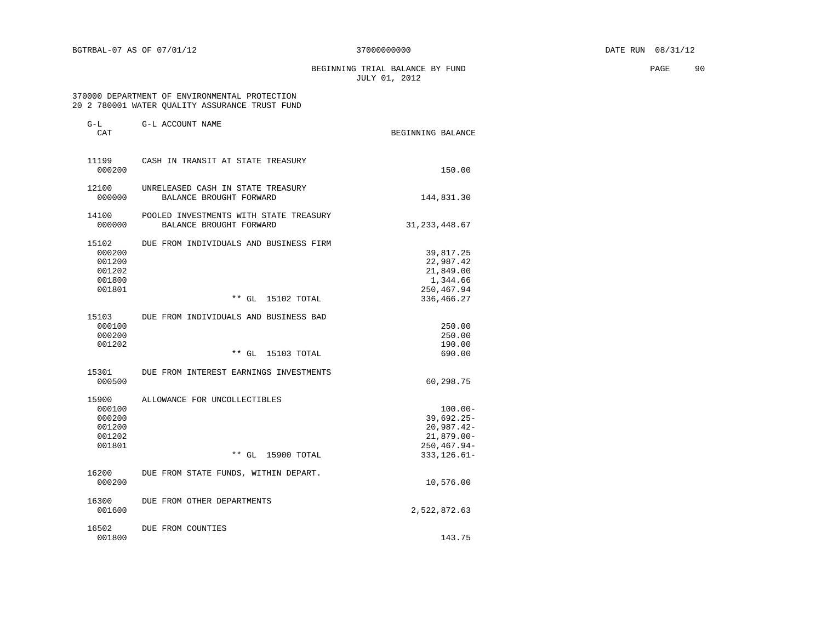BEGINNING TRIAL BALANCE BY FUND **EXAMPLE 1998** PAGE 90 JULY 01, 2012

 370000 DEPARTMENT OF ENVIRONMENTAL PROTECTION 20 2 780001 WATER QUALITY ASSURANCE TRUST FUND

| $G-L$<br>CAT                                            | G-L ACCOUNT NAME                                                  | BEGINNING BALANCE                                                                                |
|---------------------------------------------------------|-------------------------------------------------------------------|--------------------------------------------------------------------------------------------------|
| 11199<br>000200                                         | CASH IN TRANSIT AT STATE TREASURY                                 | 150.00                                                                                           |
| 12100<br>000000                                         | UNRELEASED CASH IN STATE TREASURY<br>BALANCE BROUGHT FORWARD      | 144,831.30                                                                                       |
| 14100<br>000000                                         | POOLED INVESTMENTS WITH STATE TREASURY<br>BALANCE BROUGHT FORWARD | 31, 233, 448.67                                                                                  |
| 15102<br>000200<br>001200<br>001202<br>001800<br>001801 | DUE FROM INDIVIDUALS AND BUSINESS FIRM<br>** GL<br>15102 TOTAL    | 39,817.25<br>22,987.42<br>21,849.00<br>1,344.66<br>250,467.94<br>336, 466.27                     |
| 15103<br>000100<br>000200<br>001202                     | DUE FROM INDIVIDUALS AND BUSINESS BAD<br>** GL<br>15103 TOTAL     | 250.00<br>250.00<br>190.00<br>690.00                                                             |
| 15301<br>000500                                         | DUE FROM INTEREST EARNINGS INVESTMENTS                            | 60,298.75                                                                                        |
| 15900<br>000100<br>000200<br>001200<br>001202<br>001801 | ALLOWANCE FOR UNCOLLECTIBLES<br>$**$ GL<br>15900 TOTAL            | $100.00 -$<br>$39,692.25 -$<br>$20,987.42-$<br>$21,879.00 -$<br>250, 467. 94-<br>$333, 126.61 -$ |
| 16200<br>000200                                         | DUE FROM STATE FUNDS, WITHIN DEPART.                              | 10,576.00                                                                                        |
| 16300<br>001600                                         | DUE FROM OTHER DEPARTMENTS                                        | 2,522,872.63                                                                                     |
| 16502<br>001800                                         | DUE FROM COUNTIES                                                 | 143.75                                                                                           |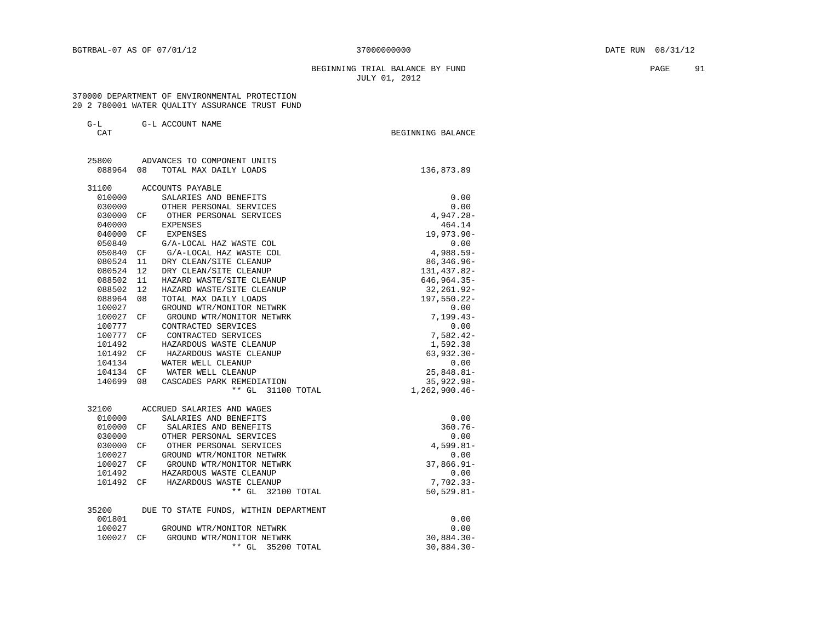# BEGINNING TRIAL BALANCE BY FUND **PAGE** 91 JULY 01, 2012

### 370000 DEPARTMENT OF ENVIRONMENTAL PROTECTION 20 2 780001 WATER QUALITY ASSURANCE TRUST FUND

| G-L<br>CAT |    | G-L ACCOUNT NAME                  | BEGINNING BALANCE |
|------------|----|-----------------------------------|-------------------|
|            |    | 25800 ADVANCES TO COMPONENT UNITS |                   |
| 088964 08  |    | TOTAL MAX DAILY LOADS             | 136,873.89        |
| 31100      |    | ACCOUNTS PAYABLE                  |                   |
| 010000     |    | SALARIES AND BENEFITS             | 0.00              |
| 030000     |    | OTHER PERSONAL SERVICES           | 0.00              |
| 030000     | CF | OTHER PERSONAL SERVICES           | $4,947.28-$       |
| 040000     |    | EXPENSES                          | 464.14            |
| 040000     | CF | EXPENSES                          | 19,973.90-        |
| 050840     |    | G/A-LOCAL HAZ WASTE COL           | 0.00              |
| 050840     | CF | G/A-LOCAL HAZ WASTE COL           | 4,988.59-         |
| 080524     | 11 | DRY CLEAN/SITE CLEANUP            | $86,346.96 -$     |
| 080524     | 12 | DRY CLEAN/SITE CLEANUP            | 131, 437.82-      |
| 088502     | 11 | HAZARD WASTE/SITE CLEANUP         | 646, 964.35-      |
| 088502     | 12 | HAZARD WASTE/SITE CLEANUP         | 32, 261.92-       |
| 088964     | 08 | TOTAL MAX DAILY LOADS             | 197,550.22-       |
| 100027     |    | GROUND WTR/MONITOR NETWRK         | 0.00              |
| 100027     | CF | GROUND WTR/MONITOR NETWRK         | $7,199.43-$       |
| 100777     |    | CONTRACTED SERVICES               | 0.00              |
| 100777     | CF | CONTRACTED SERVICES               | $7,582.42-$       |
| 101492     |    | HAZARDOUS WASTE CLEANUP           | 1,592.38          |
| 101492     | CF | HAZARDOUS WASTE CLEANUP           | $63,932.30 -$     |
| 104134     |    | WATER WELL CLEANUP                | 0.00              |
| 104134 CF  |    | WATER WELL CLEANUP                | $25,848.81-$      |
| 140699     | 08 | CASCADES PARK REMEDIATION         | $35,922.98 -$     |
|            |    | ** GL 31100 TOTAL                 | $1,262,900.46-$   |
| 32100      |    | ACCRUED SALARIES AND WAGES        |                   |
| 010000     |    | SALARIES AND BENEFITS             | 0.00              |
| 010000     | CF | SALARIES AND BENEFITS             | $360.76 -$        |
| 030000     |    | OTHER PERSONAL SERVICES           | 0.00              |
| 030000     | CF | OTHER PERSONAL SERVICES           | $4,599.81-$       |
| 100027     |    | GROUND WTR/MONITOR NETWRK         | 0.00              |
| 100027     | CF | GROUND WTR/MONITOR NETWRK         | $37,866.91 -$     |
| 101492     |    | HAZARDOUS WASTE CLEANUP           | 0.00              |
| 101492     | CF | HAZARDOUS WASTE CLEANUP           | $7,702.33-$       |
|            |    | ** GL 32100 TOTAL                 | $50, 529.81 -$    |

| 35200     | DUE TO STATE FUNDS, WITHIN DEPARTMENT |               |
|-----------|---------------------------------------|---------------|
| 001801    |                                       | 0.00          |
| 100027    | GROUND WTR/MONITOR NETWRK             | 0.00          |
| 100027 CF | GROUND WTR/MONITOR NETWRK             | $30.884.30 -$ |
|           | ** GL 35200 TOTAL                     | $30.884.30 -$ |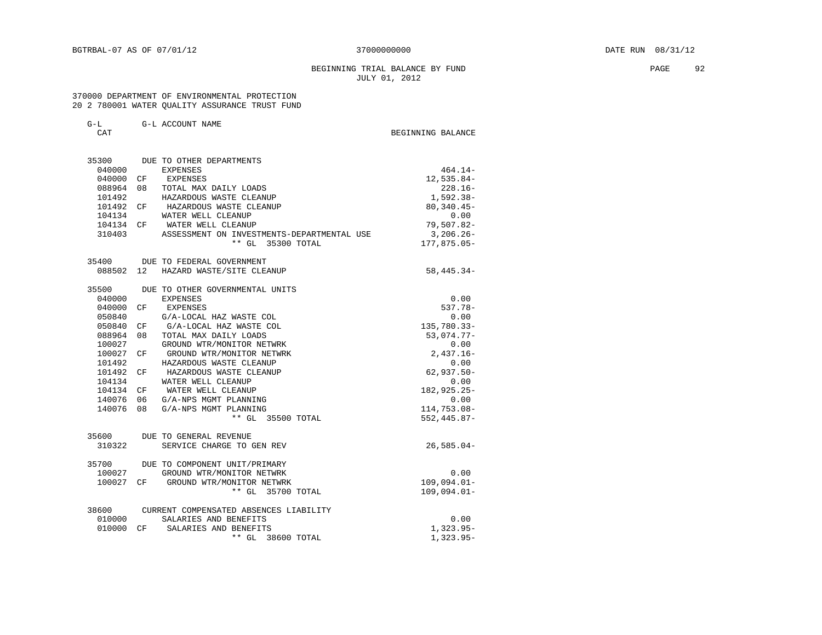### BEGINNING TRIAL BALANCE BY FUND **EXAMPLE 1998** PAGE 92 JULY 01, 2012

#### 370000 DEPARTMENT OF ENVIRONMENTAL PROTECTION 20 2 780001 WATER QUALITY ASSURANCE TRUST FUND

| G-L ACCOUNT NAME | $G-L$ |  |  |  |
|------------------|-------|--|--|--|
|------------------|-------|--|--|--|

CAT CAT CAT SERVER AND RESERVE ASSESSED. THE SERVER OF STREET AND RESERVE BALANCE

 35300 DUE TO OTHER DEPARTMENTS 040000 EXPENSES 464.14-<br>040000 CF EXPENSES 12,535.84-040000 CF EXPENSES 12,535.84-<br>088964 08 TOTAL MAX DAILY LOADS 1208.16- 088964 08 TOTAL MAX DAILY LOADS 228.16- 101492 HAZARDOUS WASTE CLEANUP 1,592.38- 101492 CF HAZARDOUS WASTE CLEANUP 0.00 104134 WATER WELL CLEANUP 0.00 104134 CF WATER WELL CLEANUP 104134 CF WATER WELL CLEANUP 310403 ASSESSMENT ON INVESTMENTS-DEPARTMENTAL USE 3,206.26-<br>+\* GL 35300 TOTAL 177.875.05- $**$  GL 35300 TOTAL 35400 DUE TO FEDERAL GOVERNMENT 088502 12 HAZARD WASTE/SITE CLEANUP 58,445.34-35500 DUE TO OTHER GOVERNMENTAL UNITS

| 35500  |     | DUE TO OIHER GOVERNMENTAL UNITS        |                 |
|--------|-----|----------------------------------------|-----------------|
| 040000 |     | EXPENSES                               | 0.00            |
| 040000 |     | CF EXPENSES                            | $537.78 -$      |
| 050840 |     | G/A-LOCAL HAZ WASTE COL                | 0.00            |
| 050840 |     | CF G/A-LOCAL HAZ WASTE COL             | 135,780.33-     |
| 088964 | 08  | TOTAL MAX DAILY LOADS                  | $53,074.77-$    |
| 100027 |     | GROUND WTR/MONITOR NETWRK              | 0.00            |
| 100027 | CF  | GROUND WTR/MONITOR NETWRK              | $2,437.16-$     |
| 101492 |     | HAZARDOUS WASTE CLEANUP                | 0.00            |
| 101492 | CF  | HAZARDOUS WASTE CLEANUP                | $62, 937.50 -$  |
| 104134 |     | WATER WELL CLEANUP                     | 0.00            |
| 104134 | CF. | WATER WELL CLEANUP                     | $182, 925.25 -$ |
| 140076 | 06  | G/A-NPS MGMT PLANNING                  | 0.00            |
| 140076 | 08  | G/A-NPS MGMT PLANNING                  | $114,753.08-$   |
|        |     | ** GL 35500 TOTAL                      | $552, 445.87 -$ |
|        |     | 35600 DUE TO GENERAL REVENUE           |                 |
| 310322 |     | SERVICE CHARGE TO GEN REV              | $26,585.04-$    |
| 35700  |     | DUE TO COMPONENT UNIT/PRIMARY          |                 |
| 100027 |     | GROUND WTR/MONITOR NETWRK              | 0.00            |
|        |     | 100027 CF GROUND WTR/MONITOR NETWRK    | $109,094.01-$   |
|        |     | $**$ GL<br>35700 TOTAL                 | $109.094.01-$   |
| 38600  |     | CURRENT COMPENSATED ABSENCES LIABILITY |                 |
| 010000 |     | SALARIES AND BENEFITS                  | 0.00            |
| 010000 | CF  | SALARIES AND BENEFITS                  | $1,323.95-$     |
|        |     | ** GL 38600 TOTAL                      | $1,323.95-$     |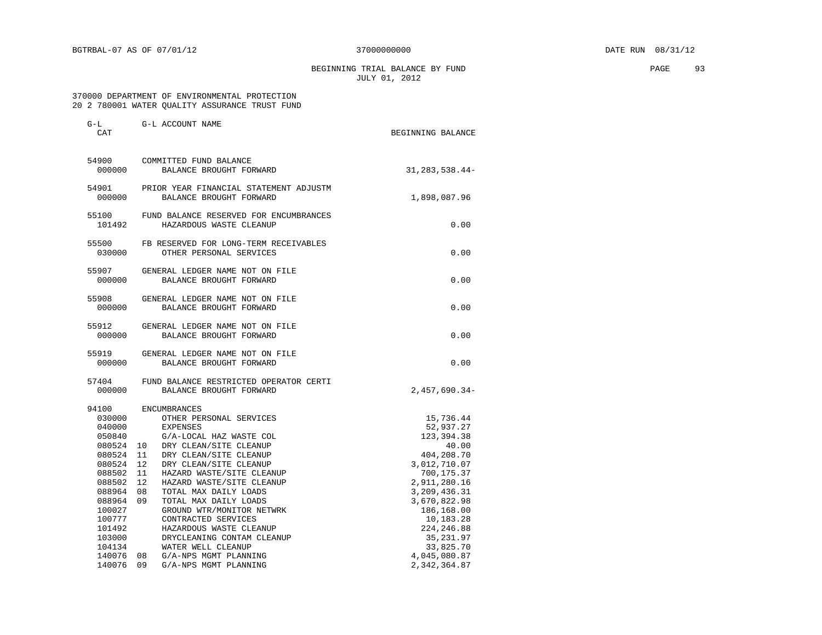BEGINNING TRIAL BALANCE BY FUND **EXAMPLE 1998** PAGE 93 JULY 01, 2012

# 370000 DEPARTMENT OF ENVIRONMENTAL PROTECTION 20 2 780001 WATER QUALITY ASSURANCE TRUST FUND

| $G-L$<br>CAT                                            | G-L ACCOUNT NAME                                                                                                                                                 | BEGINNING BALANCE                                                          |
|---------------------------------------------------------|------------------------------------------------------------------------------------------------------------------------------------------------------------------|----------------------------------------------------------------------------|
| 54900<br>000000                                         | COMMITTED FUND BALANCE<br>BALANCE BROUGHT FORWARD                                                                                                                | $31, 283, 538.44 -$                                                        |
| 54901<br>000000                                         | PRIOR YEAR FINANCIAL STATEMENT ADJUSTM<br>BALANCE BROUGHT FORWARD                                                                                                | 1,898,087.96                                                               |
| 55100<br>101492                                         | FUND BALANCE RESERVED FOR ENCUMBRANCES<br>HAZARDOUS WASTE CLEANUP                                                                                                | 0.00                                                                       |
| 55500<br>030000                                         | FB RESERVED FOR LONG-TERM RECEIVABLES<br>OTHER PERSONAL SERVICES                                                                                                 | 0.00                                                                       |
| 55907<br>000000                                         | GENERAL LEDGER NAME NOT ON FILE<br>BALANCE BROUGHT FORWARD                                                                                                       | 0.00                                                                       |
| 55908<br>000000                                         | GENERAL LEDGER NAME NOT ON FILE<br>BALANCE BROUGHT FORWARD                                                                                                       | 0.00                                                                       |
| 55912<br>000000                                         | GENERAL LEDGER NAME NOT ON FILE<br>BALANCE BROUGHT FORWARD                                                                                                       | 0.00                                                                       |
| 55919<br>000000                                         | GENERAL LEDGER NAME NOT ON FILE<br>BALANCE BROUGHT FORWARD                                                                                                       | 0.00                                                                       |
| 57404<br>000000                                         | FUND BALANCE RESTRICTED OPERATOR CERTI<br>BALANCE BROUGHT FORWARD                                                                                                | $2,457,690.34-$                                                            |
| 94100<br>030000<br>040000<br>050840<br>080524<br>080524 | ENCUMBRANCES<br>OTHER PERSONAL SERVICES<br>EXPENSES<br>G/A-LOCAL HAZ WASTE COL<br>DRY CLEAN/SITE CLEANUP<br>10<br>11<br>DRY CLEAN/SITE CLEANUP                   | 15,736.44<br>52,937.27<br>123,394.38<br>40.00<br>404,208.70                |
| 080524<br>088502<br>088502<br>088964<br>088964          | 12<br>DRY CLEAN/SITE CLEANUP<br>11<br>HAZARD WASTE/SITE CLEANUP<br>12<br>HAZARD WASTE/SITE CLEANUP<br>08<br>TOTAL MAX DAILY LOADS<br>TOTAL MAX DAILY LOADS<br>09 | 3,012,710.07<br>700,175.37<br>2,911,280.16<br>3,209,436.31<br>3,670,822.98 |
| 100027<br>100777<br>101492<br>103000<br>104134          | GROUND WTR/MONITOR NETWRK<br>CONTRACTED SERVICES<br>HAZARDOUS WASTE CLEANUP<br>DRYCLEANING CONTAM CLEANUP<br>WATER WELL CLEANUP                                  | 186,168.00<br>10,183.28<br>224, 246.88<br>35, 231.97<br>33,825.70          |
| 140076<br>140076                                        | 08<br>G/A-NPS MGMT PLANNING<br>09<br>G/A-NPS MGMT PLANNING                                                                                                       | 4,045,080.87<br>2,342,364.87                                               |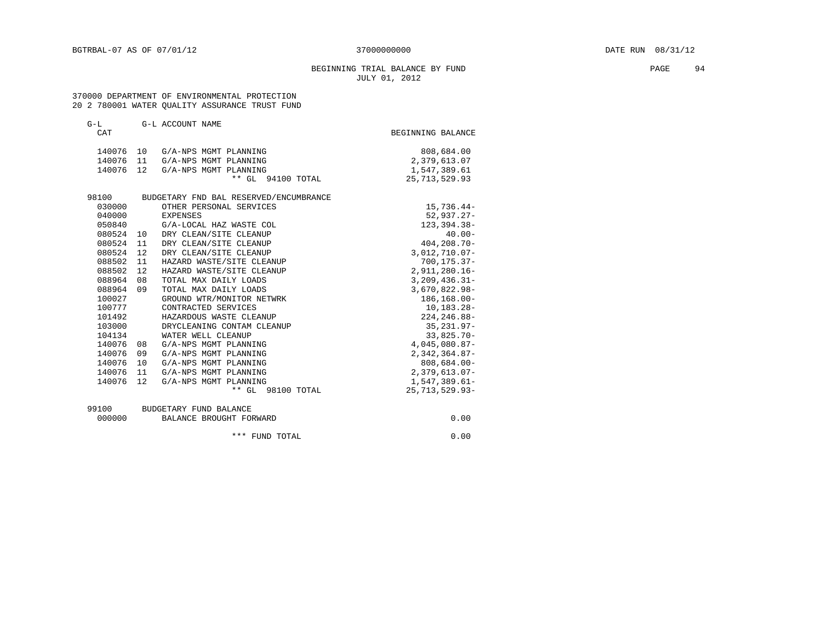# BEGINNING TRIAL BALANCE BY FUND **PAGE** 94 JULY 01, 2012

 370000 DEPARTMENT OF ENVIRONMENTAL PROTECTION 20 2 780001 WATER QUALITY ASSURANCE TRUST FUND

| $G-L$  |    | G-L ACCOUNT NAME                       |                   |                  |
|--------|----|----------------------------------------|-------------------|------------------|
| CAT    |    |                                        | BEGINNING BALANCE |                  |
| 140076 | 10 | G/A-NPS MGMT PLANNING                  |                   | 808,684.00       |
| 140076 | 11 | G/A-NPS MGMT PLANNING                  |                   | 2,379,613.07     |
| 140076 | 12 | G/A-NPS MGMT PLANNING                  |                   | 1,547,389.61     |
|        |    | ** GL 94100 TOTAL                      | 25, 713, 529.93   |                  |
|        |    |                                        |                   |                  |
| 98100  |    | BUDGETARY FND BAL RESERVED/ENCUMBRANCE |                   |                  |
| 030000 |    | OTHER PERSONAL SERVICES                |                   | 15,736.44-       |
| 040000 |    | EXPENSES                               |                   | $52.937.27 -$    |
| 050840 |    | G/A-LOCAL HAZ WASTE COL                |                   | 123, 394. 38-    |
| 080524 | 10 | DRY CLEAN/SITE CLEANUP                 |                   | $40.00 -$        |
| 080524 | 11 | DRY CLEAN/SITE CLEANUP                 |                   | $404, 208.70 -$  |
| 080524 | 12 | DRY CLEAN/SITE CLEANUP                 |                   | 3,012,710.07-    |
| 088502 | 11 | HAZARD WASTE/SITE CLEANUP              |                   | $700, 175.37 -$  |
| 088502 | 12 | HAZARD WASTE/SITE CLEANUP              |                   | 2,911,280.16-    |
| 088964 | 08 | TOTAL MAX DAILY LOADS                  |                   | $3,209,436.31-$  |
| 088964 | 09 | TOTAL MAX DAILY LOADS                  |                   | 3,670,822.98-    |
| 100027 |    | GROUND WTR/MONITOR NETWRK              |                   | 186, 168.00-     |
| 100777 |    | CONTRACTED SERVICES                    |                   | $10, 183.28 -$   |
| 101492 |    | HAZARDOUS WASTE CLEANUP                |                   | 224, 246.88-     |
| 103000 |    | DRYCLEANING CONTAM CLEANUP             |                   | $35, 231.97 -$   |
| 104134 |    | WATER WELL CLEANUP                     |                   | $33,825.70 -$    |
| 140076 | 08 | G/A-NPS MGMT PLANNING                  |                   | 4,045,080.87-    |
| 140076 | 09 | G/A-NPS MGMT PLANNING                  |                   | $2,342,364.87-$  |
| 140076 | 10 | G/A-NPS MGMT PLANNING                  |                   | $808,684.00 -$   |
| 140076 | 11 | G/A-NPS MGMT PLANNING                  |                   | $2,379,613.07-$  |
| 140076 | 12 | G/A-NPS MGMT PLANNING                  |                   | $1,547,389.61-$  |
|        |    | $**$ GL<br>98100 TOTAL                 |                   | 25, 713, 529.93- |
| 99100  |    | BUDGETARY FUND BALANCE                 |                   |                  |
| 000000 |    | BALANCE BROUGHT FORWARD                |                   | 0.00             |
|        |    | *** FUND TOTAL                         |                   | 0.00             |
|        |    |                                        |                   |                  |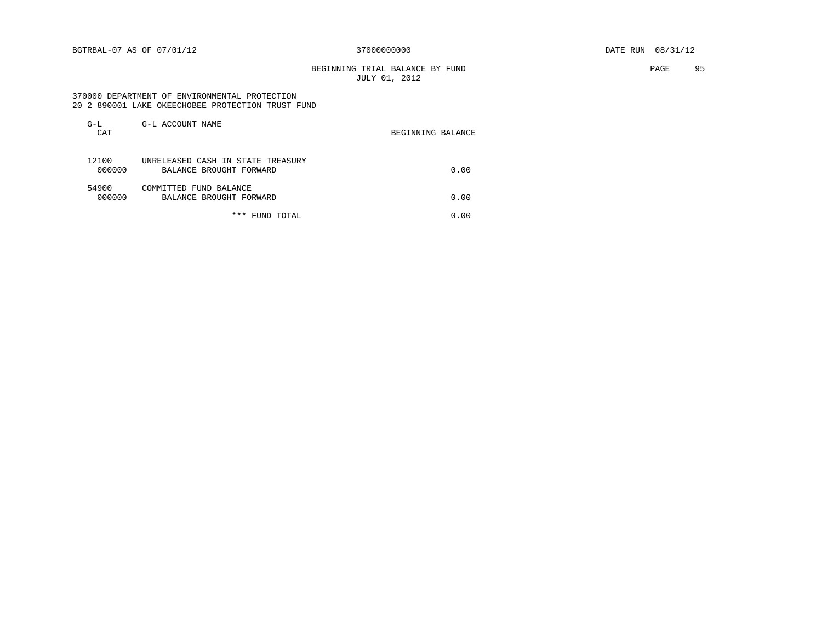BEGINNING TRIAL BALANCE BY FUND **EXAMPLE 1998** PAGE 95 JULY 01, 2012

## 370000 DEPARTMENT OF ENVIRONMENTAL PROTECTION 20 2 890001 LAKE OKEECHOBEE PROTECTION TRUST FUND

| $G-L$<br>CAT    | G-L ACCOUNT NAME                                             | BEGINNING BALANCE |
|-----------------|--------------------------------------------------------------|-------------------|
| 12100<br>000000 | UNRELEASED CASH IN STATE TREASURY<br>BALANCE BROUGHT FORWARD | 0.00              |
| 54900<br>000000 | COMMITTED FUND BALANCE<br>BALANCE BROUGHT FORWARD            | 0.00              |
|                 | * * *<br>FUND TOTAL                                          | 0.00              |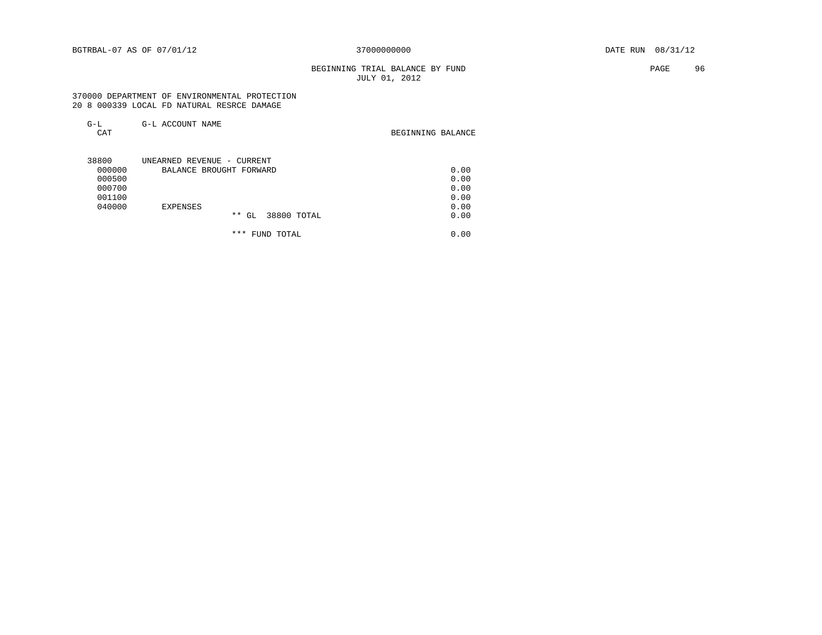# BEGINNING TRIAL BALANCE BY FUND **PAGE 96** JULY 01, 2012

 370000 DEPARTMENT OF ENVIRONMENTAL PROTECTION 20 8 000339 LOCAL FD NATURAL RESRCE DAMAGE

| $G-L$<br>CAT | G-L ACCOUNT NAME           | BEGINNING BALANCE |
|--------------|----------------------------|-------------------|
| 38800        | UNEARNED REVENUE - CURRENT |                   |
| 000000       | BALANCE BROUGHT FORWARD    | 0.00              |
| 000500       |                            | 0.00              |
| 000700       |                            | 0.00              |
| 001100       |                            | 0.00              |
| 040000       | EXPENSES                   | 0.00              |
|              | 38800 TOTAL<br>$***$<br>GL | 0.00              |
|              | ***<br>FUND TOTAL          | 0.00              |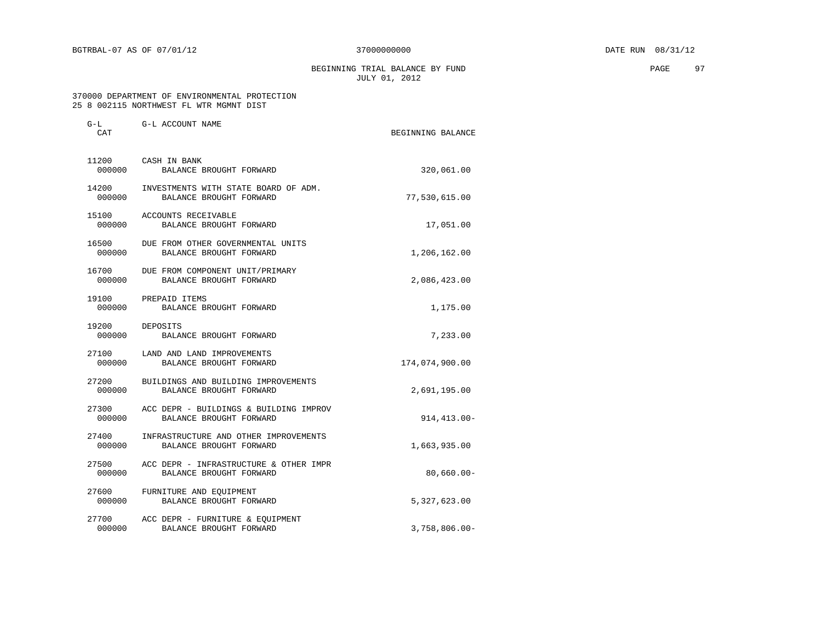BEGINNING TRIAL BALANCE BY FUND **PAGE 97** JULY 01, 2012

 370000 DEPARTMENT OF ENVIRONMENTAL PROTECTION 25 8 002115 NORTHWEST FL WTR MGMNT DIST

| G-L<br>CAT      | G-L ACCOUNT NAME                                                          | BEGINNING BALANCE |
|-----------------|---------------------------------------------------------------------------|-------------------|
| 11200<br>000000 | CASH IN BANK<br>BALANCE BROUGHT FORWARD                                   | 320,061.00        |
| 000000          | 14200 INVESTMENTS WITH STATE BOARD OF ADM.<br>BALANCE BROUGHT FORWARD     | 77,530,615.00     |
|                 | 15100 ACCOUNTS RECEIVABLE<br>000000 BALANCE BROUGHT FORWARD               | 17,051.00         |
|                 | 16500 DUE FROM OTHER GOVERNMENTAL UNITS<br>000000 BALANCE BROUGHT FORWARD | 1,206,162.00      |
| 000000          | 16700 DUE FROM COMPONENT UNIT/PRIMARY<br>BALANCE BROUGHT FORWARD          | 2,086,423.00      |
|                 | 19100 PREPAID ITEMS<br>000000 BALANCE BROUGHT FORWARD                     | 1,175.00          |
|                 | 19200 DEPOSITS<br>000000 BALANCE BROUGHT FORWARD                          | 7,233.00          |
|                 | 27100 LAND AND LAND IMPROVEMENTS<br>000000 BALANCE BROUGHT FORWARD        | 174,074,900.00    |
| 27200<br>000000 | BUILDINGS AND BUILDING IMPROVEMENTS<br>BALANCE BROUGHT FORWARD            | 2,691,195.00      |
| 000000          | 27300 ACC DEPR - BUILDINGS & BUILDING IMPROV<br>BALANCE BROUGHT FORWARD   | $914, 413.00 -$   |
| 27400<br>000000 | INFRASTRUCTURE AND OTHER IMPROVEMENTS<br>BALANCE BROUGHT FORWARD          | 1,663,935.00      |
| 27500<br>000000 | ACC DEPR - INFRASTRUCTURE & OTHER IMPR<br>BALANCE BROUGHT FORWARD         | $80,660.00 -$     |
| 000000          | 27600 FURNITURE AND EQUIPMENT<br>BALANCE BROUGHT FORWARD                  | 5,327,623.00      |
| 27700<br>000000 | ACC DEPR - FURNITURE & EQUIPMENT<br>BALANCE BROUGHT FORWARD               | $3,758,806.00 -$  |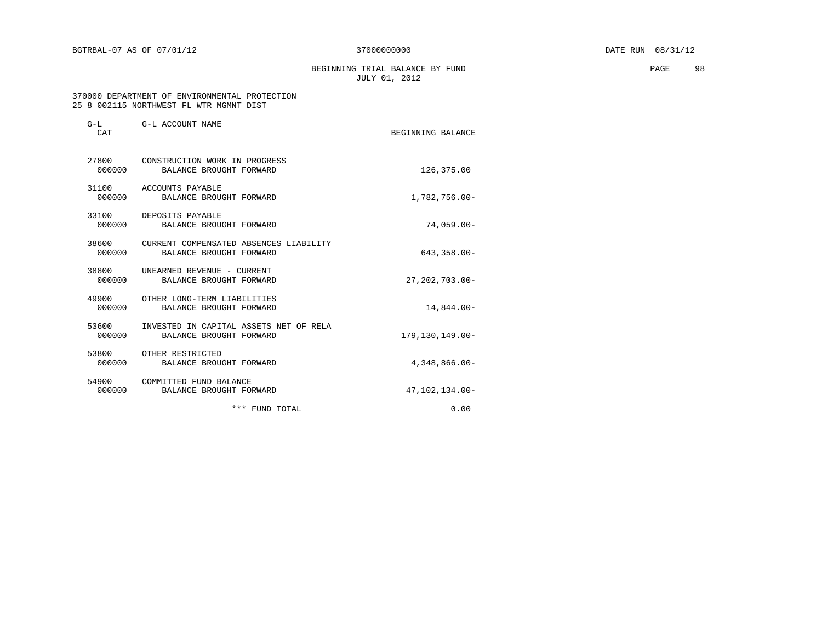BEGINNING TRIAL BALANCE BY FUND **EXAMPLE 198** PAGE 98 JULY 01, 2012

 370000 DEPARTMENT OF ENVIRONMENTAL PROTECTION 25 8 002115 NORTHWEST FL WTR MGMNT DIST

| $G-L$<br><b>CAT</b> | G-L ACCOUNT NAME                                                  | BEGINNING BALANCE   |
|---------------------|-------------------------------------------------------------------|---------------------|
| 000000 0000         | 27800 CONSTRUCTION WORK IN PROGRESS<br>BALANCE BROUGHT FORWARD    | 126,375.00          |
| 31100<br>000000     | ACCOUNTS PAYABLE<br>BALANCE BROUGHT FORWARD                       | 1,782,756.00-       |
| 000000              | 33100 DEPOSITS PAYABLE<br>BALANCE BROUGHT FORWARD                 | $74.059.00 -$       |
| 38600<br>000000     | CURRENT COMPENSATED ABSENCES LIABILITY<br>BALANCE BROUGHT FORWARD | $643,358.00 -$      |
| 38800<br>000000     | UNEARNED REVENUE - CURRENT<br>BALANCE BROUGHT FORWARD             | $27, 202, 703.00 -$ |
| 49900<br>000000     | OTHER LONG-TERM LIABILITIES<br>BALANCE BROUGHT FORWARD            | 14,844.00-          |
| 53600<br>000000     | INVESTED IN CAPITAL ASSETS NET OF RELA<br>BALANCE BROUGHT FORWARD | 179, 130, 149, 00-  |
| 53800<br>000000     | OTHER RESTRICTED<br>BALANCE BROUGHT FORWARD                       | $4,348,866.00 -$    |
| 54900<br>000000     | COMMITTED FUND BALANCE<br>BALANCE BROUGHT FORWARD                 | 47,102,134.00-      |
|                     | *** FUND TOTAL                                                    | 0.00                |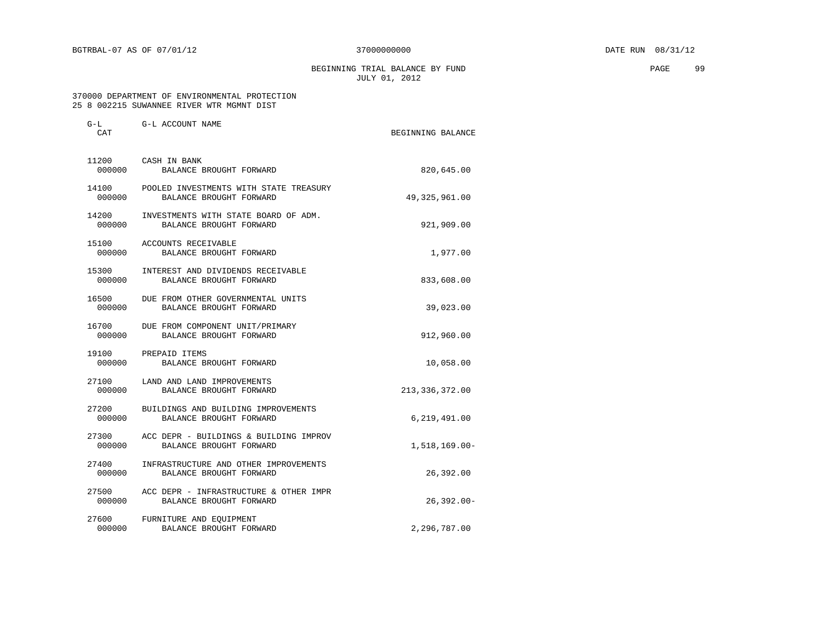BEGINNING TRIAL BALANCE BY FUND **EXAMPLE 199** PAGE 99 JULY 01, 2012

 370000 DEPARTMENT OF ENVIRONMENTAL PROTECTION 25 8 002215 SUWANNEE RIVER WTR MGMNT DIST

| $G-L$<br>CAT    | G-L ACCOUNT NAME                                                               | BEGINNING BALANCE |
|-----------------|--------------------------------------------------------------------------------|-------------------|
|                 | 11200 CASH IN BANK<br>000000 BALANCE BROUGHT FORWARD                           | 820,645.00        |
| 000000          | 14100 POOLED INVESTMENTS WITH STATE TREASURY<br>BALANCE BROUGHT FORWARD        | 49, 325, 961.00   |
|                 | 14200 INVESTMENTS WITH STATE BOARD OF ADM.<br>000000 BALANCE BROUGHT FORWARD   | 921,909.00        |
| 000000          | 15100 ACCOUNTS RECEIVABLE<br>BALANCE BROUGHT FORWARD                           | 1,977.00          |
|                 | 15300 INTEREST AND DIVIDENDS RECEIVABLE<br>000000 BALANCE BROUGHT FORWARD      | 833,608.00        |
| 000000          | 16500 DUE FROM OTHER GOVERNMENTAL UNITS<br>BALANCE BROUGHT FORWARD             | 39,023.00         |
|                 | 16700 DUE FROM COMPONENT UNIT/PRIMARY<br>000000 BALANCE BROUGHT FORWARD        | 912,960.00        |
| 000000          | 19100 PREPAID ITEMS<br>BALANCE BROUGHT FORWARD                                 | 10,058.00         |
|                 | 27100 LAND AND LAND IMPROVEMENTS<br>000000 BALANCE BROUGHT FORWARD             | 213, 336, 372.00  |
| 000000          | 27200 BUILDINGS AND BUILDING IMPROVEMENTS<br>BALANCE BROUGHT FORWARD           | 6,219,491.00      |
|                 | 27300 ACC DEPR - BUILDINGS & BUILDING IMPROV<br>000000 BALANCE BROUGHT FORWARD | 1,518,169.00-     |
| 27400           | INFRASTRUCTURE AND OTHER IMPROVEMENTS<br>000000 BALANCE BROUGHT FORWARD        | 26,392.00         |
| 000000          | 27500 ACC DEPR - INFRASTRUCTURE & OTHER IMPR<br>BALANCE BROUGHT FORWARD        | $26, 392.00 -$    |
| 27600<br>000000 | FURNITURE AND EQUIPMENT<br>BALANCE BROUGHT FORWARD                             | 2,296,787.00      |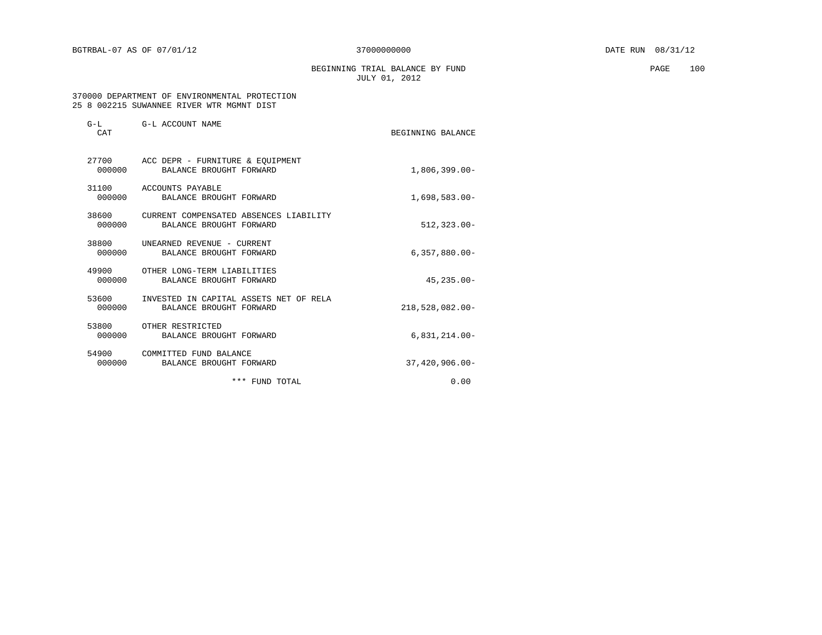BEGINNING TRIAL BALANCE BY FUND **PAGE 100** JULY 01, 2012

 370000 DEPARTMENT OF ENVIRONMENTAL PROTECTION 25 8 002215 SUWANNEE RIVER WTR MGMNT DIST

| $G-L$<br>CAT    | G-L ACCOUNT NAME                                                  | BEGINNING BALANCE |
|-----------------|-------------------------------------------------------------------|-------------------|
| 000000          | 27700 ACC DEPR - FURNITURE & EQUIPMENT<br>BALANCE BROUGHT FORWARD | $1,806,399.00 -$  |
| 000000          | 31100 ACCOUNTS PAYABLE<br>BALANCE BROUGHT FORWARD                 | $1,698,583.00-$   |
| 38600<br>000000 | CURRENT COMPENSATED ABSENCES LIABILITY<br>BALANCE BROUGHT FORWARD | $512, 323.00 -$   |
| 38800<br>000000 | UNEARNED REVENUE - CURRENT<br>BALANCE BROUGHT FORWARD             | $6,357,880.00 -$  |
| 49900<br>000000 | OTHER LONG-TERM LIABILITIES<br>BALANCE BROUGHT FORWARD            | $45, 235, 00 -$   |
| 53600<br>000000 | INVESTED IN CAPITAL ASSETS NET OF RELA<br>BALANCE BROUGHT FORWARD | 218,528,082.00-   |
| 53800<br>000000 | OTHER RESTRICTED<br>BALANCE BROUGHT FORWARD                       | $6,831,214.00-$   |
| 54900<br>000000 | COMMITTED FUND BALANCE<br>BALANCE BROUGHT FORWARD                 | $37,420,906,00 -$ |
|                 | *** FUND TOTAL                                                    | 0.00              |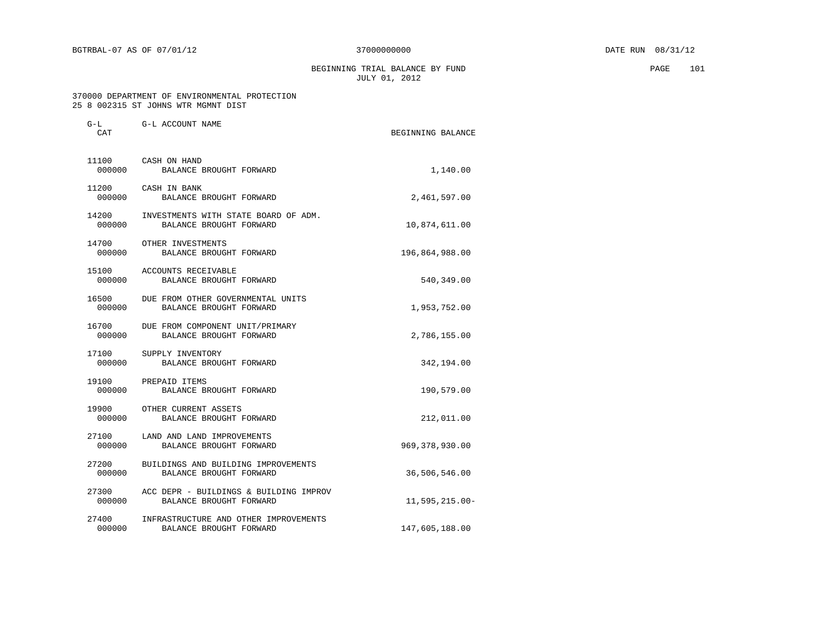BEGINNING TRIAL BALANCE BY FUND PAGE 101 JULY 01, 2012

 370000 DEPARTMENT OF ENVIRONMENTAL PROTECTION 25 8 002315 ST JOHNS WTR MGMNT DIST

| $G-L$<br><b>CAT</b> | G-L ACCOUNT NAME                                                            | BEGINNING BALANCE |
|---------------------|-----------------------------------------------------------------------------|-------------------|
| 000000              | 11100 CASH ON HAND<br>BALANCE BROUGHT FORWARD                               | 1,140.00          |
| 000000              | 11200 CASH IN BANK<br>BALANCE BROUGHT FORWARD                               | 2,461,597.00      |
| 14200<br>000000     | INVESTMENTS WITH STATE BOARD OF ADM.<br>BALANCE BROUGHT FORWARD             | 10,874,611.00     |
| 000000              | 14700 OTHER INVESTMENTS<br>BALANCE BROUGHT FORWARD                          | 196,864,988.00    |
| 000000              | 15100 ACCOUNTS RECEIVABLE<br>BALANCE BROUGHT FORWARD                        | 540,349.00        |
| 000000              | 16500 DUE FROM OTHER GOVERNMENTAL UNITS<br>BALANCE BROUGHT FORWARD          | 1,953,752.00      |
|                     | 16700 DUE FROM COMPONENT UNIT/PRIMARY<br>000000 BALANCE BROUGHT FORWARD     | 2,786,155.00      |
|                     | 17100 SUPPLY INVENTORY<br>000000 BALANCE BROUGHT FORWARD                    | 342,194.00        |
| 000000              | 19100 PREPAID ITEMS<br>BALANCE BROUGHT FORWARD                              | 190,579.00        |
| 000000              | 19900 OTHER CURRENT ASSETS<br>BALANCE BROUGHT FORWARD                       | 212,011.00        |
| 27100               | LAND AND LAND IMPROVEMENTS<br>000000 BALANCE BROUGHT FORWARD                | 969, 378, 930.00  |
|                     | 27200 BUILDINGS AND BUILDING IMPROVEMENTS<br>000000 BALANCE BROUGHT FORWARD | 36,506,546.00     |
| 27300<br>000000     | ACC DEPR - BUILDINGS & BUILDING IMPROV<br>BALANCE BROUGHT FORWARD           | 11,595,215.00-    |
| 27400<br>000000     | INFRASTRUCTURE AND OTHER IMPROVEMENTS<br>BALANCE BROUGHT FORWARD            | 147,605,188.00    |
|                     |                                                                             |                   |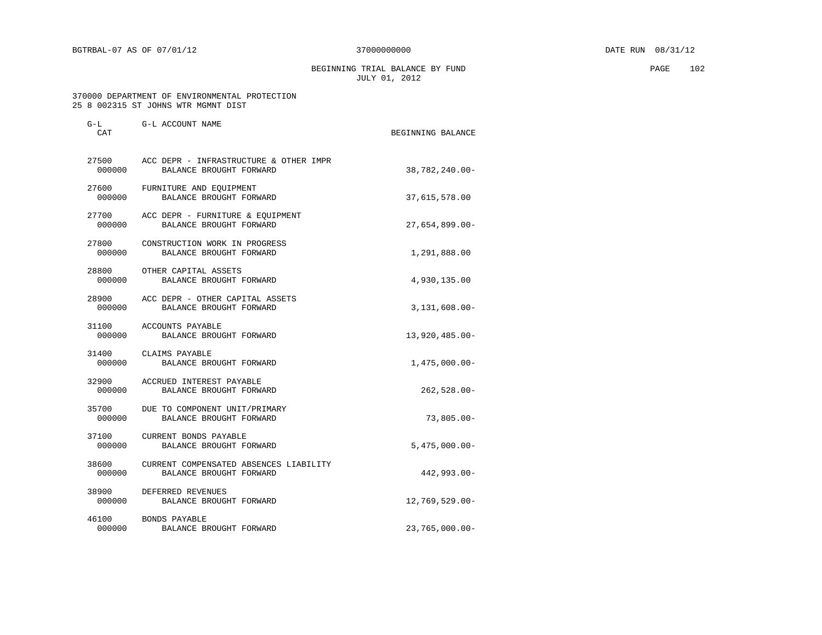BEGINNING TRIAL BALANCE BY FUND **EXAMPLE 102** JULY 01, 2012

 370000 DEPARTMENT OF ENVIRONMENTAL PROTECTION 25 8 002315 ST JOHNS WTR MGMNT DIST

| $G-L$<br>CAT | G-L ACCOUNT NAME                                                         | BEGINNING BALANCE |
|--------------|--------------------------------------------------------------------------|-------------------|
| 000000       | 27500 ACC DEPR - INFRASTRUCTURE & OTHER IMPR<br>BALANCE BROUGHT FORWARD  | 38,782,240.00-    |
| 000000       | 27600 FURNITURE AND EQUIPMENT<br>BALANCE BROUGHT FORWARD                 | 37,615,578.00     |
|              | 27700 ACC DEPR - FURNITURE & EQUIPMENT<br>000000 BALANCE BROUGHT FORWARD | $27,654,899.00 -$ |
| 000000       | 27800 CONSTRUCTION WORK IN PROGRESS<br>BALANCE BROUGHT FORWARD           | 1,291,888.00      |
|              | 28800 OTHER CAPITAL ASSETS<br>000000 BALANCE BROUGHT FORWARD             | 4,930,135.00      |
|              | 28900 ACC DEPR - OTHER CAPITAL ASSETS<br>000000 BALANCE BROUGHT FORWARD  | $3,131,608.00 -$  |
|              | 31100 ACCOUNTS PAYABLE<br>000000 BALANCE BROUGHT FORWARD                 | 13,920,485.00-    |
| 000000       | 31400 CLAIMS PAYABLE<br>BALANCE BROUGHT FORWARD                          | $1,475,000.00-$   |
|              | 32900 ACCRUED INTEREST PAYABLE<br>000000 BALANCE BROUGHT FORWARD         | $262,528.00 -$    |
| 000000       | 35700 DUE TO COMPONENT UNIT/PRIMARY<br>BALANCE BROUGHT FORWARD           | $73,805.00 -$     |
| 000000       | 37100 CURRENT BONDS PAYABLE<br>BALANCE BROUGHT FORWARD                   | $5,475,000.00$ -  |
| 000000       | 38600 CURRENT COMPENSATED ABSENCES LIABILITY<br>BALANCE BROUGHT FORWARD  | $442,993.00 -$    |
| 000000       | 38900 DEFERRED REVENUES<br>BALANCE BROUGHT FORWARD                       | $12,769,529.00 -$ |
| 000000       | 46100 BONDS PAYABLE<br>BALANCE BROUGHT FORWARD                           | $23,765,000.00 -$ |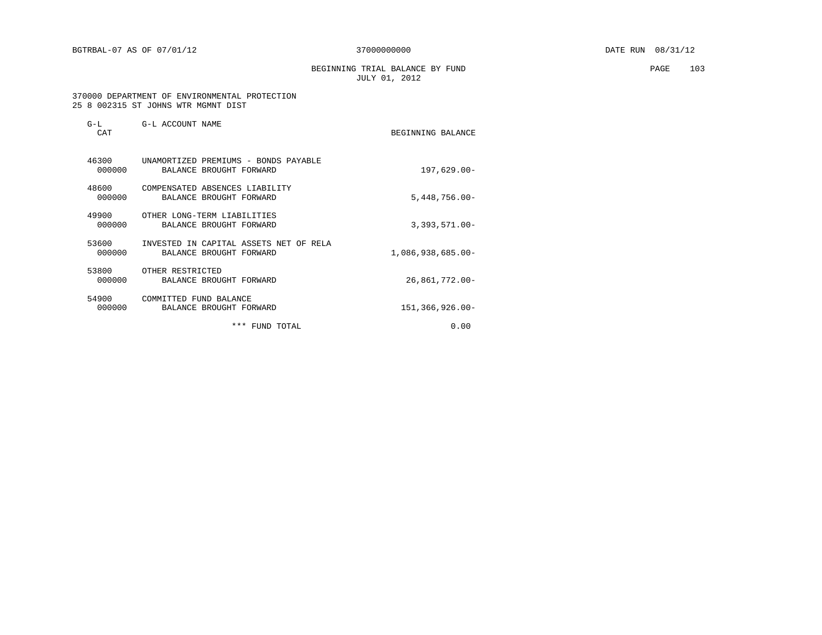BEGINNING TRIAL BALANCE BY FUND **PAGE** 103 JULY 01, 2012

 370000 DEPARTMENT OF ENVIRONMENTAL PROTECTION 25 8 002315 ST JOHNS WTR MGMNT DIST

| $G-L$<br><b>CAT</b> | G-L ACCOUNT NAME                                                     | BEGINNING BALANCE    |
|---------------------|----------------------------------------------------------------------|----------------------|
| 46300<br>000000     | UNAMORTIZED PREMIUMS - BONDS PAYABLE<br>BALANCE BROUGHT FORWARD      | $197,629.00 -$       |
| 48600<br>000000     | COMPENSATED ABSENCES LIABILITY<br>BALANCE BROUGHT FORWARD            | $5,448,756.00 -$     |
| 49900<br>000000     | OTHER LONG-TERM LIABILITIES<br>BALANCE BROUGHT FORWARD               | $3,393,571.00 -$     |
| 53600<br>000000     | IN CAPITAL ASSETS NET OF RELA<br>INVESTED<br>BALANCE BROUGHT FORWARD | $1,086,938,685.00 -$ |
| 53800<br>000000     | OTHER RESTRICTED<br>BALANCE BROUGHT FORWARD                          | 26,861,772.00-       |
| 54900<br>000000     | COMMITTED FUND BALANCE<br>BALANCE BROUGHT FORWARD                    | 151,366,926.00-      |
|                     | ***<br>FUND TOTAL                                                    | 0.00                 |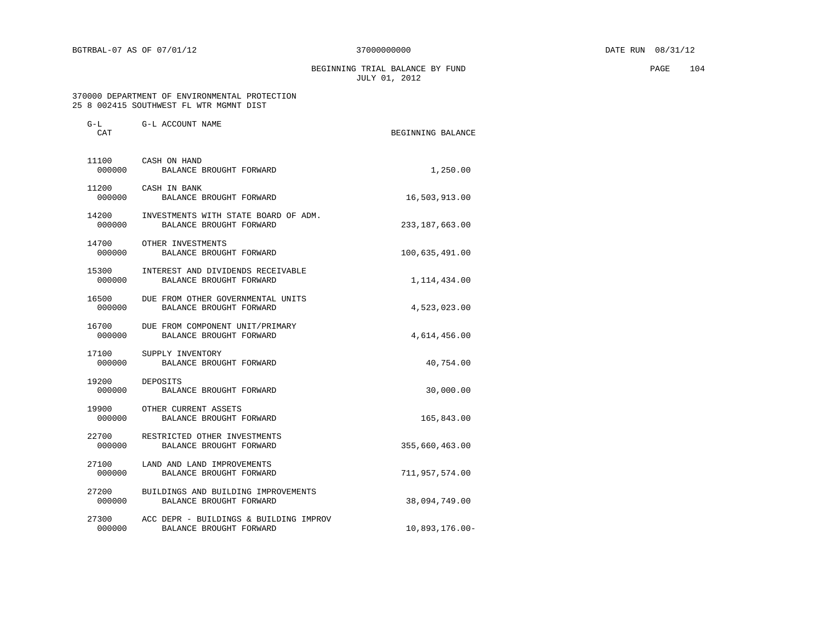BEGINNING TRIAL BALANCE BY FUND **PAGE** 104 JULY 01, 2012

 370000 DEPARTMENT OF ENVIRONMENTAL PROTECTION 25 8 002415 SOUTHWEST FL WTR MGMNT DIST

| G-L<br>CAT      | G-L ACCOUNT NAME                                                             | BEGINNING BALANCE |
|-----------------|------------------------------------------------------------------------------|-------------------|
| 11100           | CASH ON HAND<br>000000 BALANCE BROUGHT FORWARD                               | 1,250.00          |
| 000000          | 11200 CASH IN BANK<br>BALANCE BROUGHT FORWARD                                | 16,503,913.00     |
|                 | 14200 INVESTMENTS WITH STATE BOARD OF ADM.<br>000000 BALANCE BROUGHT FORWARD | 233, 187, 663.00  |
| 000000          | 14700 OTHER INVESTMENTS<br>BALANCE BROUGHT FORWARD                           | 100,635,491.00    |
| 000000          | 15300 INTEREST AND DIVIDENDS RECEIVABLE<br>BALANCE BROUGHT FORWARD           | 1,114,434.00      |
| 000000          | 16500 DUE FROM OTHER GOVERNMENTAL UNITS<br>BALANCE BROUGHT FORWARD           | 4,523,023.00      |
| 000000          | 16700 DUE FROM COMPONENT UNIT/PRIMARY<br>BALANCE BROUGHT FORWARD             | 4,614,456.00      |
| 000000          | 17100 SUPPLY INVENTORY<br>BALANCE BROUGHT FORWARD                            | 40,754.00         |
| 000000          | 19200 DEPOSITS<br>BALANCE BROUGHT FORWARD                                    | 30,000.00         |
| 000000          | 19900 OTHER CURRENT ASSETS<br>BALANCE BROUGHT FORWARD                        | 165,843.00        |
| 000000          | 22700 RESTRICTED OTHER INVESTMENTS<br>BALANCE BROUGHT FORWARD                | 355,660,463.00    |
|                 | 27100 LAND AND LAND IMPROVEMENTS<br>000000 BALANCE BROUGHT FORWARD           | 711,957,574.00    |
| 000000          | 27200 BUILDINGS AND BUILDING IMPROVEMENTS<br>BALANCE BROUGHT FORWARD         | 38,094,749.00     |
| 27300<br>000000 | ACC DEPR - BUILDINGS & BUILDING IMPROV<br>BALANCE BROUGHT FORWARD            | $10,893,176.00 -$ |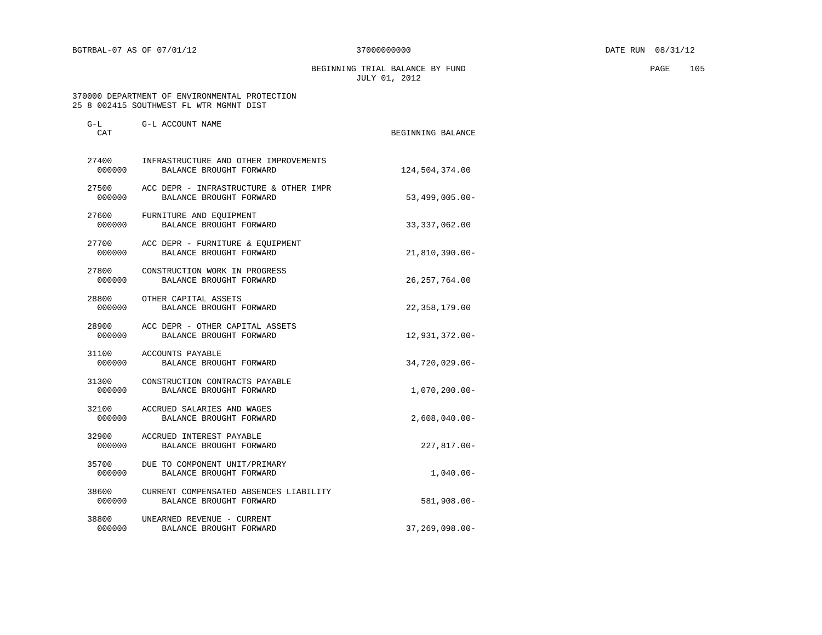BEGINNING TRIAL BALANCE BY FUND PAGE 105 JULY 01, 2012

 370000 DEPARTMENT OF ENVIRONMENTAL PROTECTION 25 8 002415 SOUTHWEST FL WTR MGMNT DIST

| G-L<br>CAT      | G-L ACCOUNT NAME                                                  | BEGINNING BALANCE   |
|-----------------|-------------------------------------------------------------------|---------------------|
| 27400<br>000000 | INFRASTRUCTURE AND OTHER IMPROVEMENTS<br>BALANCE BROUGHT FORWARD  | 124,504,374.00      |
| 27500<br>000000 | ACC DEPR - INFRASTRUCTURE & OTHER IMPR<br>BALANCE BROUGHT FORWARD | $53,499,005.00 -$   |
| 27600<br>000000 | FURNITURE AND EQUIPMENT<br>BALANCE BROUGHT FORWARD                | 33, 337, 062.00     |
| 000000          | 27700 ACC DEPR - FURNITURE & EQUIPMENT<br>BALANCE BROUGHT FORWARD | 21,810,390.00-      |
| 27800<br>000000 | CONSTRUCTION WORK IN PROGRESS<br>BALANCE BROUGHT FORWARD          | 26, 257, 764.00     |
| 28800<br>000000 | OTHER CAPITAL ASSETS<br>BALANCE BROUGHT FORWARD                   | 22,358,179.00       |
| 28900<br>000000 | ACC DEPR - OTHER CAPITAL ASSETS<br>BALANCE BROUGHT FORWARD        | 12,931,372.00-      |
| 31100<br>000000 | ACCOUNTS PAYABLE<br>BALANCE BROUGHT FORWARD                       | 34,720,029.00-      |
| 31300<br>000000 | CONSTRUCTION CONTRACTS PAYABLE<br>BALANCE BROUGHT FORWARD         | $1,070,200.00 -$    |
| 32100<br>000000 | ACCRUED SALARIES AND WAGES<br>BALANCE BROUGHT FORWARD             | $2,608,040.00 -$    |
| 32900<br>000000 | ACCRUED INTEREST PAYABLE<br>BALANCE BROUGHT FORWARD               | 227,817.00-         |
| 35700<br>000000 | DUE TO COMPONENT UNIT/PRIMARY<br>BALANCE BROUGHT FORWARD          | $1,040.00 -$        |
| 38600<br>000000 | CURRENT COMPENSATED ABSENCES LIABILITY<br>BALANCE BROUGHT FORWARD | 581,908.00-         |
| 38800<br>000000 | UNEARNED REVENUE - CURRENT<br>BALANCE BROUGHT FORWARD             | $37, 269, 098.00 -$ |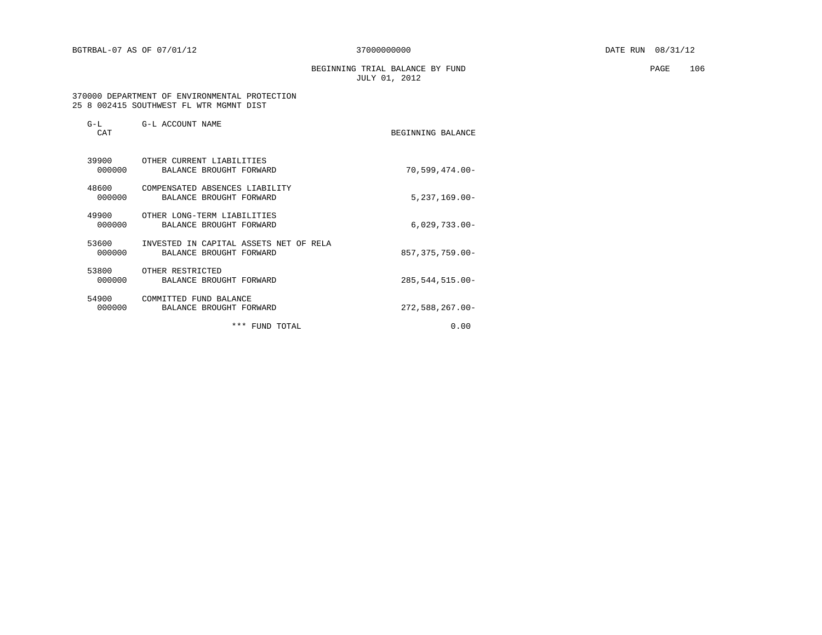BEGINNING TRIAL BALANCE BY FUND **EXAMPLE 106** PAGE 106 JULY 01, 2012

 370000 DEPARTMENT OF ENVIRONMENTAL PROTECTION 25 8 002415 SOUTHWEST FL WTR MGMNT DIST

| $G-L$<br><b>CAT</b> | G-L ACCOUNT NAME                                                  | BEGINNING BALANCE  |
|---------------------|-------------------------------------------------------------------|--------------------|
| 39900<br>000000     | OTHER CURRENT LIABILITIES<br>BALANCE BROUGHT FORWARD              | $70,599,474.00 -$  |
| 48600<br>000000     | COMPENSATED ABSENCES LIABILITY<br>BALANCE BROUGHT FORWARD         | $5, 237, 169.00 -$ |
| 49900<br>000000     | OTHER LONG-TERM LIABILITIES<br>BALANCE BROUGHT FORWARD            | $6,029,733.00-$    |
| 53600<br>000000     | INVESTED IN CAPITAL ASSETS NET OF RELA<br>BALANCE BROUGHT FORWARD | 857, 375, 759.00-  |
| 53800<br>000000     | OTHER RESTRICTED<br>BALANCE BROUGHT FORWARD                       | 285, 544, 515.00-  |
| 54900<br>000000     | COMMITTED FUND BALANCE<br>BALANCE BROUGHT FORWARD                 | $272,588,267.00 -$ |
|                     | $***$<br>FUND TOTAL                                               | 0.00               |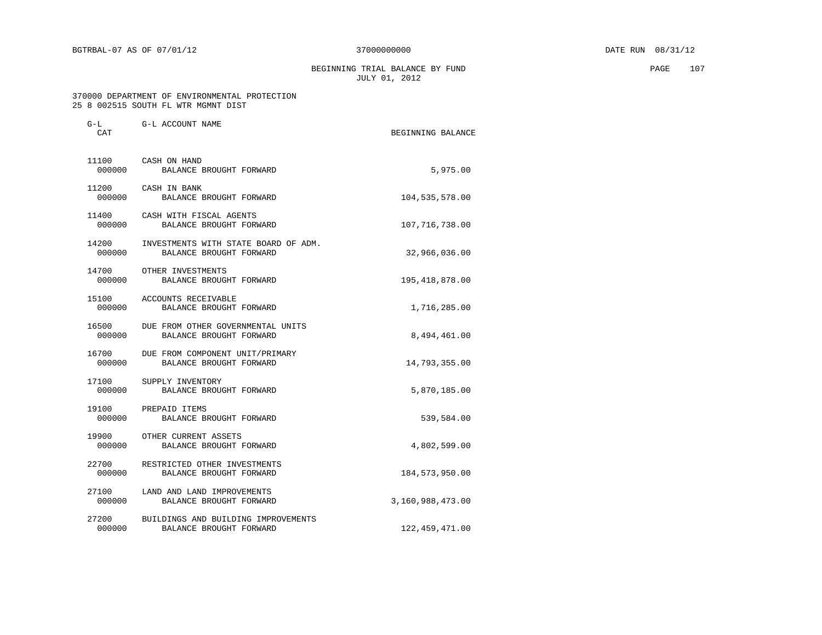BEGINNING TRIAL BALANCE BY FUND **PAGE** 107 JULY 01, 2012

 370000 DEPARTMENT OF ENVIRONMENTAL PROTECTION 25 8 002515 SOUTH FL WTR MGMNT DIST

| CAT             | G-L G-L ACCOUNT NAME                                               | BEGINNING BALANCE |
|-----------------|--------------------------------------------------------------------|-------------------|
| 000000          | 11100 CASH ON HAND<br>BALANCE BROUGHT FORWARD                      | 5,975.00          |
| 11200<br>000000 | CASH IN BANK<br>BALANCE BROUGHT FORWARD                            | 104,535,578.00    |
| 000000          | 11400 CASH WITH FISCAL AGENTS<br>BALANCE BROUGHT FORWARD           | 107, 716, 738.00  |
| 14200<br>000000 | INVESTMENTS WITH STATE BOARD OF ADM.<br>BALANCE BROUGHT FORWARD    | 32,966,036.00     |
| 14700<br>000000 | OTHER INVESTMENTS<br>BALANCE BROUGHT FORWARD                       | 195,418,878.00    |
| 15100<br>000000 | ACCOUNTS RECEIVABLE<br>BALANCE BROUGHT FORWARD                     | 1,716,285.00      |
| 000000          | 16500 DUE FROM OTHER GOVERNMENTAL UNITS<br>BALANCE BROUGHT FORWARD | 8,494,461.00      |
| 16700<br>000000 | DUE FROM COMPONENT UNIT/PRIMARY<br>BALANCE BROUGHT FORWARD         | 14,793,355.00     |
| 17100<br>000000 | SUPPLY INVENTORY<br>BALANCE BROUGHT FORWARD                        | 5,870,185.00      |
| 000000          | 19100 PREPAID ITEMS<br>BALANCE BROUGHT FORWARD                     | 539,584.00        |
| 000000          | 19900 OTHER CURRENT ASSETS<br>BALANCE BROUGHT FORWARD              | 4,802,599.00      |
| 22700<br>000000 | RESTRICTED OTHER INVESTMENTS<br>BALANCE BROUGHT FORWARD            | 184, 573, 950.00  |
| 27100<br>000000 | LAND AND LAND IMPROVEMENTS<br>BALANCE BROUGHT FORWARD              | 3,160,988,473.00  |
| 27200<br>000000 | BUILDINGS AND BUILDING IMPROVEMENTS<br>BALANCE BROUGHT FORWARD     | 122, 459, 471.00  |
|                 |                                                                    |                   |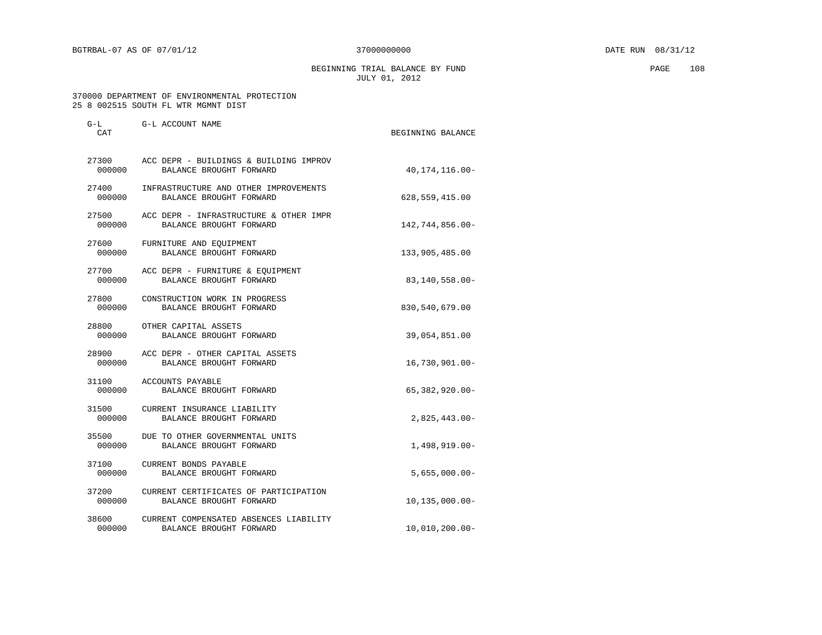BEGINNING TRIAL BALANCE BY FUND **EXAMPLE 108** PAGE 108 JULY 01, 2012

 370000 DEPARTMENT OF ENVIRONMENTAL PROTECTION 25 8 002515 SOUTH FL WTR MGMNT DIST

| G-L<br><b>CAT</b> | G-L ACCOUNT NAME                                                        | BEGINNING BALANCE   |
|-------------------|-------------------------------------------------------------------------|---------------------|
| 27300<br>000000   | ACC DEPR - BUILDINGS & BUILDING IMPROV<br>BALANCE BROUGHT FORWARD       | 40, 174, 116.00-    |
| 27400<br>000000   | INFRASTRUCTURE AND OTHER IMPROVEMENTS<br>BALANCE BROUGHT FORWARD        | 628,559,415.00      |
| 000000            | 27500 ACC DEPR - INFRASTRUCTURE & OTHER IMPR<br>BALANCE BROUGHT FORWARD | 142,744,856.00-     |
| 000000            | 27600 FURNITURE AND EQUIPMENT<br>BALANCE BROUGHT FORWARD                | 133,905,485.00      |
| 000000            | 27700 ACC DEPR - FURNITURE & EOUIPMENT<br>BALANCE BROUGHT FORWARD       | $83, 140, 558.00 -$ |
| 27800<br>000000   | CONSTRUCTION WORK IN PROGRESS<br>BALANCE BROUGHT FORWARD                | 830,540,679.00      |
| 28800<br>000000   | OTHER CAPITAL ASSETS<br>BALANCE BROUGHT FORWARD                         | 39,054,851.00       |
| 28900<br>000000   | ACC DEPR - OTHER CAPITAL ASSETS<br>BALANCE BROUGHT FORWARD              | $16,730,901.00 -$   |
| 31100<br>000000   | ACCOUNTS PAYABLE<br>BALANCE BROUGHT FORWARD                             | $65,382,920.00 -$   |
| 31500             | CURRENT INSURANCE LIABILITY<br>000000 BALANCE BROUGHT FORWARD           | $2,825,443.00-$     |
| 35500<br>000000   | DUE TO OTHER GOVERNMENTAL UNITS<br>BALANCE BROUGHT FORWARD              | $1,498,919.00 -$    |
| 37100<br>000000   | CURRENT BONDS PAYABLE<br>BALANCE BROUGHT FORWARD                        | $5,655,000.00-$     |
| 37200<br>000000   | CURRENT CERTIFICATES OF PARTICIPATION<br>BALANCE BROUGHT FORWARD        | $10, 135, 000.00 -$ |
| 38600<br>000000   | CURRENT COMPENSATED ABSENCES LIABILITY<br>BALANCE BROUGHT FORWARD       | $10,010,200.00 -$   |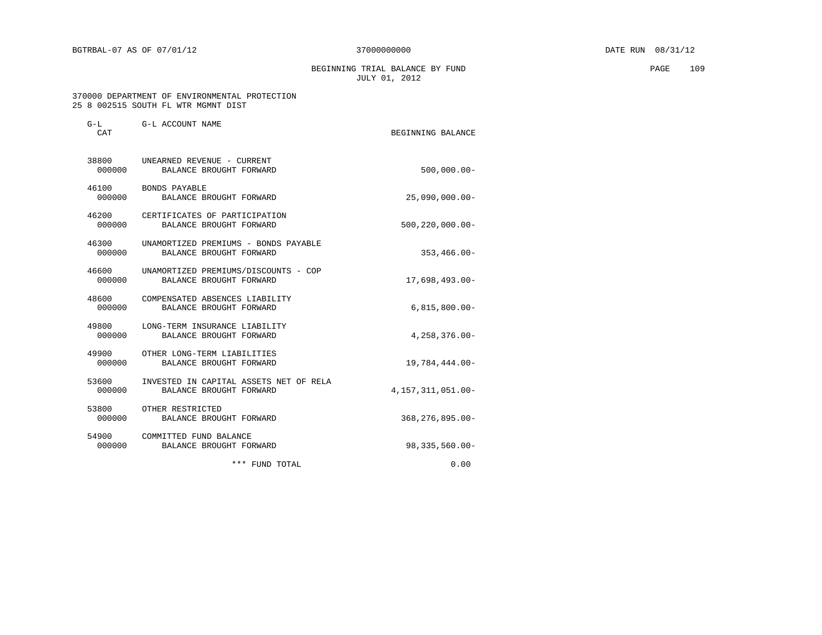BEGINNING TRIAL BALANCE BY FUND PAGE 109 JULY 01, 2012

 370000 DEPARTMENT OF ENVIRONMENTAL PROTECTION 25 8 002515 SOUTH FL WTR MGMNT DIST

| 25 8 002515 SOUTH FL WIR MGMNI DIST |                                                                   |                      |
|-------------------------------------|-------------------------------------------------------------------|----------------------|
| $G-L$<br>CAT                        | G-L ACCOUNT NAME                                                  | BEGINNING BALANCE    |
| 000000                              | 38800 UNEARNED REVENUE - CURRENT<br>BALANCE BROUGHT FORWARD       | $500,000.00 -$       |
| 000000                              | 46100 BONDS PAYABLE<br>BALANCE BROUGHT FORWARD                    | $25,090,000.00 -$    |
| 000000                              | 46200 CERTIFICATES OF PARTICIPATION<br>BALANCE BROUGHT FORWARD    | $500, 220, 000.00 -$ |
| 46300<br>000000                     | UNAMORTIZED PREMIUMS - BONDS PAYABLE<br>BALANCE BROUGHT FORWARD   | $353, 466.00 -$      |
| 46600<br>000000                     | UNAMORTIZED PREMIUMS/DISCOUNTS - COP<br>BALANCE BROUGHT FORWARD   | $17,698,493.00-$     |
| 48600<br>000000                     | COMPENSATED ABSENCES LIABILITY<br>BALANCE BROUGHT FORWARD         | $6,815,800.00 -$     |
| 000000                              | 49800 LONG-TERM INSURANCE LIABILITY<br>BALANCE BROUGHT FORWARD    | $4, 258, 376.00 -$   |
| 49900<br>000000                     | OTHER LONG-TERM LIABILITIES<br>BALANCE BROUGHT FORWARD            | 19,784,444.00-       |
| 53600<br>000000                     | INVESTED IN CAPITAL ASSETS NET OF RELA<br>BALANCE BROUGHT FORWARD | 4, 157, 311, 051.00- |
| 53800<br>000000                     | OTHER RESTRICTED<br>BALANCE BROUGHT FORWARD                       | $368, 276, 895.00 -$ |
| 000000                              | 54900 COMMITTED FUND BALANCE<br>BALANCE BROUGHT FORWARD           | $98, 335, 560.00 -$  |

\*\*\* FUND TOTAL 0.00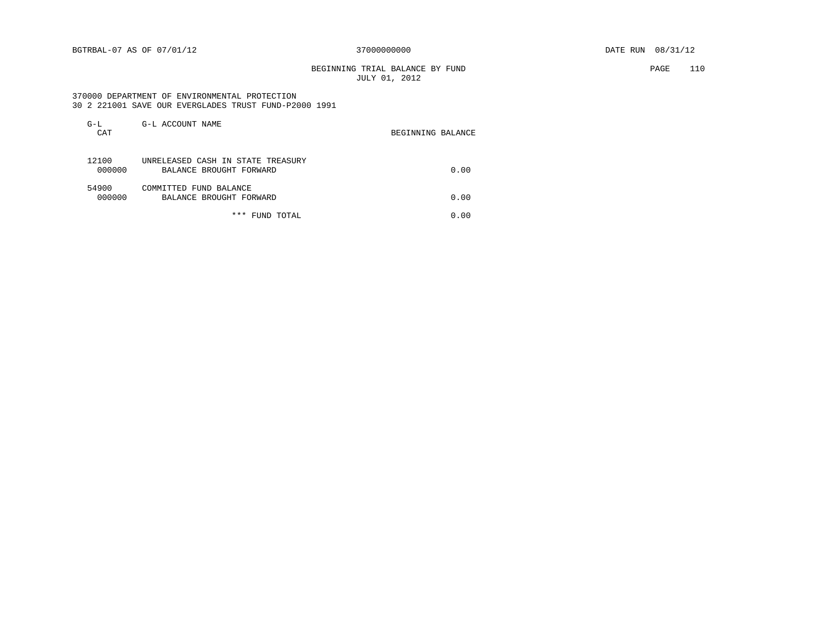# BEGINNING TRIAL BALANCE BY FUND **PAGE** 110 JULY 01, 2012

 370000 DEPARTMENT OF ENVIRONMENTAL PROTECTION 30 2 221001 SAVE OUR EVERGLADES TRUST FUND-P2000 1991

| $G-L$<br>CAT    | G-L ACCOUNT NAME                                             | BEGINNING BALANCE |
|-----------------|--------------------------------------------------------------|-------------------|
| 12100<br>000000 | UNRELEASED CASH IN STATE TREASURY<br>BALANCE BROUGHT FORWARD | 0.00              |
| 54900<br>000000 | COMMITTED FUND BALANCE<br>BALANCE BROUGHT FORWARD            | 0.00              |
|                 | ***<br>FUND TOTAL                                            | 0.00              |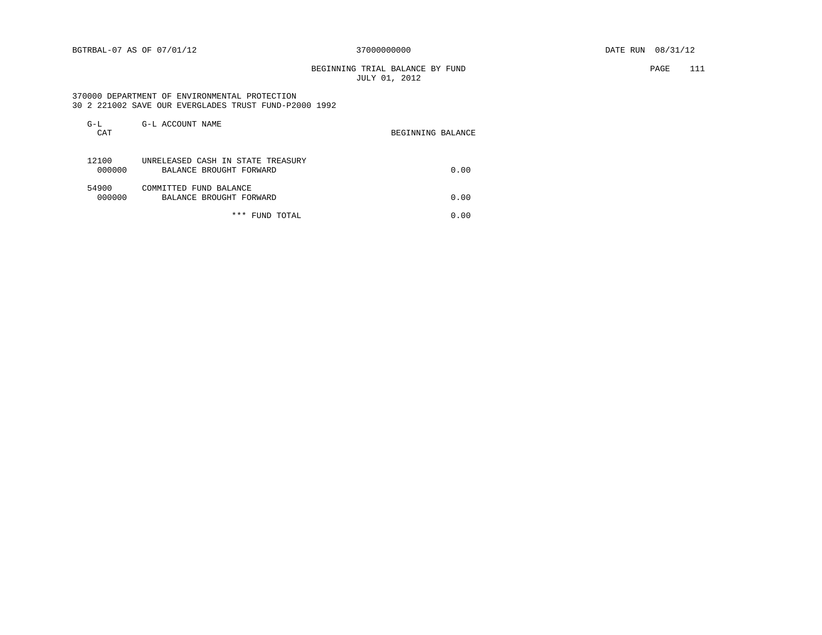# BEGINNING TRIAL BALANCE BY FUND PAGE 111 JULY 01, 2012

 370000 DEPARTMENT OF ENVIRONMENTAL PROTECTION 30 2 221002 SAVE OUR EVERGLADES TRUST FUND-P2000 1992

| $G-L$<br>CAT    | G-L ACCOUNT NAME                                             | BEGINNING BALANCE |
|-----------------|--------------------------------------------------------------|-------------------|
| 12100<br>000000 | UNRELEASED CASH IN STATE TREASURY<br>BALANCE BROUGHT FORWARD | 0.00              |
| 54900<br>000000 | COMMITTED FUND BALANCE<br>BALANCE BROUGHT FORWARD            | 0.00              |
|                 | ***<br>FUND TOTAL                                            | 0.00              |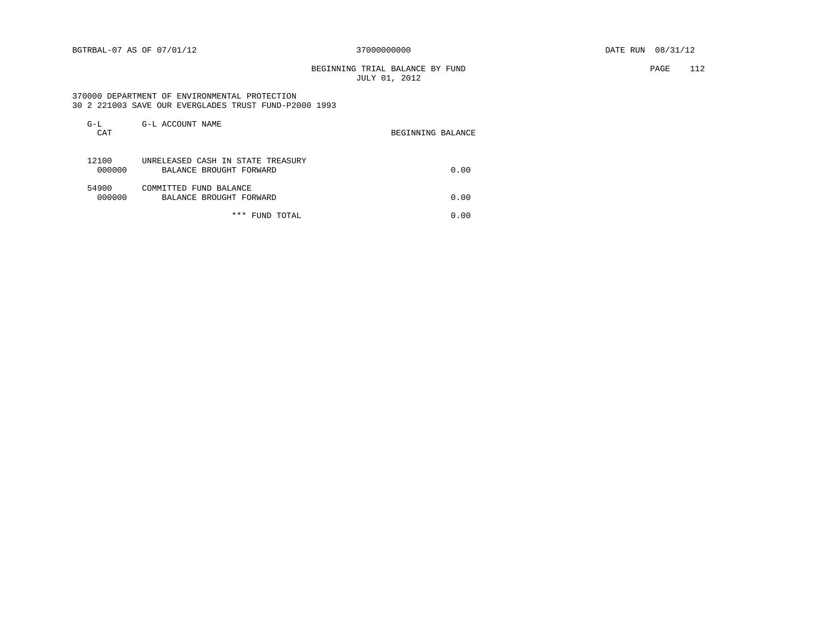# BEGINNING TRIAL BALANCE BY FUND PAGE 112 JULY 01, 2012

 370000 DEPARTMENT OF ENVIRONMENTAL PROTECTION 30 2 221003 SAVE OUR EVERGLADES TRUST FUND-P2000 1993

| $G-L$<br>CAT    | G-L ACCOUNT NAME                                             | BEGINNING BALANCE |
|-----------------|--------------------------------------------------------------|-------------------|
| 12100<br>000000 | UNRELEASED CASH IN STATE TREASURY<br>BALANCE BROUGHT FORWARD | 0.00              |
| 54900<br>000000 | COMMITTED FUND BALANCE<br>BALANCE BROUGHT FORWARD            | 0.00              |
|                 | ***<br>FUND TOTAL                                            | 0.00              |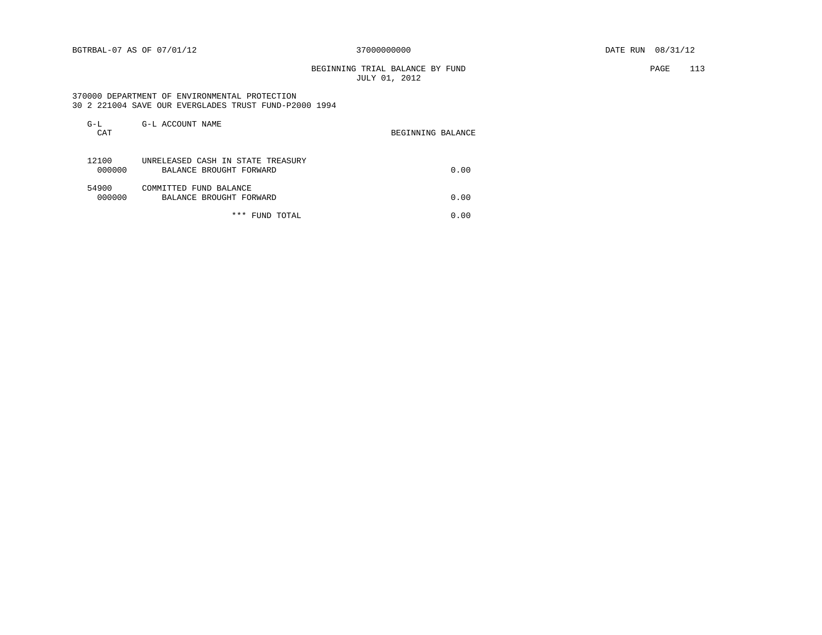# BEGINNING TRIAL BALANCE BY FUND PAGE 113 JULY 01, 2012

 370000 DEPARTMENT OF ENVIRONMENTAL PROTECTION 30 2 221004 SAVE OUR EVERGLADES TRUST FUND-P2000 1994

| $G-L$<br>CAT    | G-L ACCOUNT NAME                                             | BEGINNING BALANCE |
|-----------------|--------------------------------------------------------------|-------------------|
| 12100<br>000000 | UNRELEASED CASH IN STATE TREASURY<br>BALANCE BROUGHT FORWARD | 0.00              |
| 54900<br>000000 | COMMITTED FUND BALANCE<br>BALANCE BROUGHT FORWARD            | 0.00              |
|                 | ***<br>FUND TOTAL                                            | 0.00              |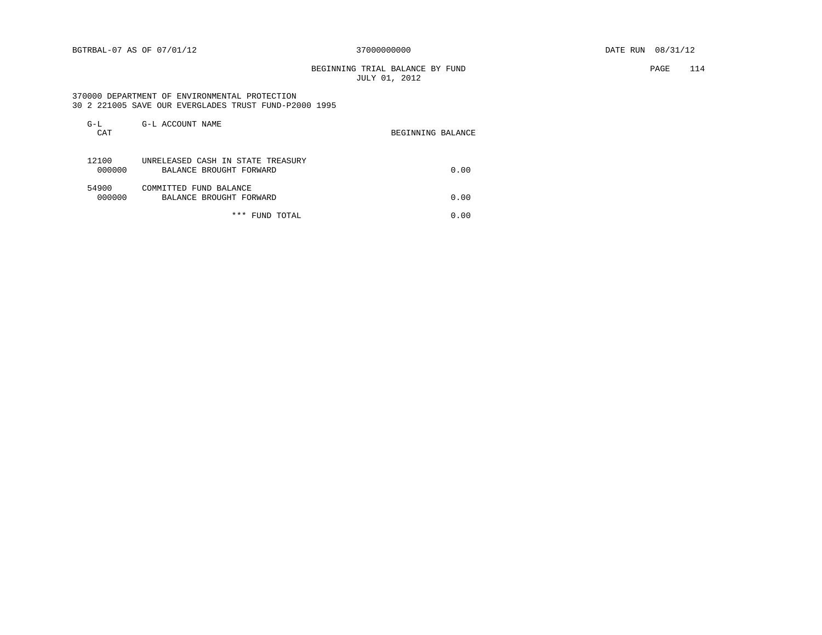# BEGINNING TRIAL BALANCE BY FUND **PAGE** 114 JULY 01, 2012

 370000 DEPARTMENT OF ENVIRONMENTAL PROTECTION 30 2 221005 SAVE OUR EVERGLADES TRUST FUND-P2000 1995

| $G-L$<br>CAT    | G-L ACCOUNT NAME                                             | BEGINNING BALANCE |
|-----------------|--------------------------------------------------------------|-------------------|
| 12100<br>000000 | UNRELEASED CASH IN STATE TREASURY<br>BALANCE BROUGHT FORWARD | 0.00              |
| 54900<br>000000 | COMMITTED FUND BALANCE<br>BALANCE BROUGHT FORWARD            | 0.00              |
|                 | ***<br>FUND TOTAL                                            | 0.00              |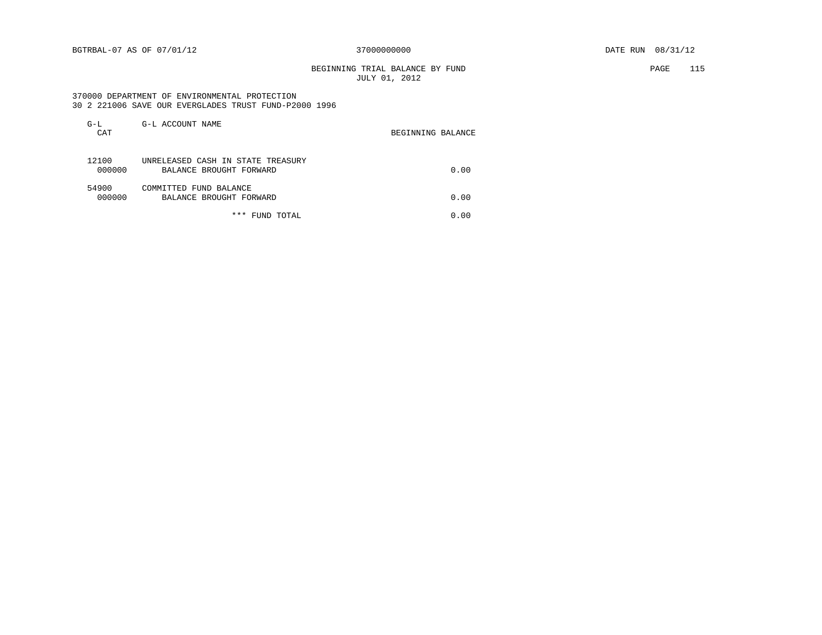# BEGINNING TRIAL BALANCE BY FUND PAGE 115 JULY 01, 2012

 370000 DEPARTMENT OF ENVIRONMENTAL PROTECTION 30 2 221006 SAVE OUR EVERGLADES TRUST FUND-P2000 1996

| $G-L$<br>CAT    | G-L ACCOUNT NAME                                             | BEGINNING BALANCE |
|-----------------|--------------------------------------------------------------|-------------------|
| 12100<br>000000 | UNRELEASED CASH IN STATE TREASURY<br>BALANCE BROUGHT FORWARD | 0.00              |
| 54900<br>000000 | COMMITTED FUND BALANCE<br>BALANCE BROUGHT FORWARD            | 0.00              |
|                 | ***<br>FUND TOTAL                                            | 0.00              |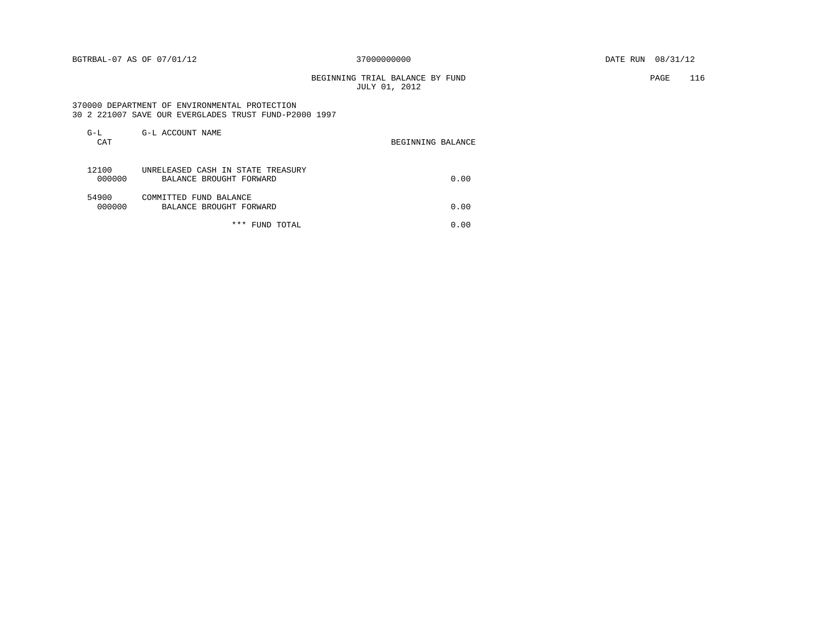BGTRBAL-07 AS OF 07/01/12 37000000000 DATE RUN 08/31/12

#### BEGINNING TRIAL BALANCE BY FUND **PAGE** 116 JULY 01, 2012

 370000 DEPARTMENT OF ENVIRONMENTAL PROTECTION 30 2 221007 SAVE OUR EVERGLADES TRUST FUND-P2000 1997

| $G-L$<br>CAT    | G-L ACCOUNT NAME                                             | BEGINNING BALANCE |
|-----------------|--------------------------------------------------------------|-------------------|
| 12100<br>000000 | UNRELEASED CASH IN STATE TREASURY<br>BALANCE BROUGHT FORWARD | 0.00              |
| 54900<br>000000 | COMMITTED FUND BALANCE<br>BALANCE BROUGHT FORWARD            | 0.00              |
|                 | * * *<br>FUND TOTAL                                          | 0.00              |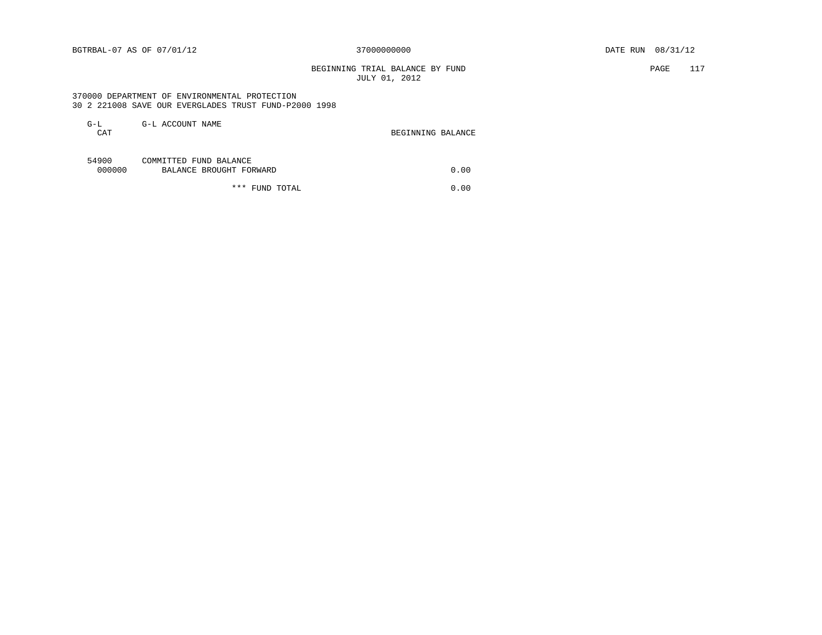# BEGINNING TRIAL BALANCE BY FUND **PAGE** 117 JULY 01, 2012

 370000 DEPARTMENT OF ENVIRONMENTAL PROTECTION 30 2 221008 SAVE OUR EVERGLADES TRUST FUND-P2000 1998

| G-L<br>CAT      | G-L ACCOUNT NAME                                  | BEGINNING BALANCE |
|-----------------|---------------------------------------------------|-------------------|
| 54900<br>000000 | COMMITTED FUND BALANCE<br>BALANCE BROUGHT FORWARD | 0.00              |

\*\*\* FUND TOTAL 0.00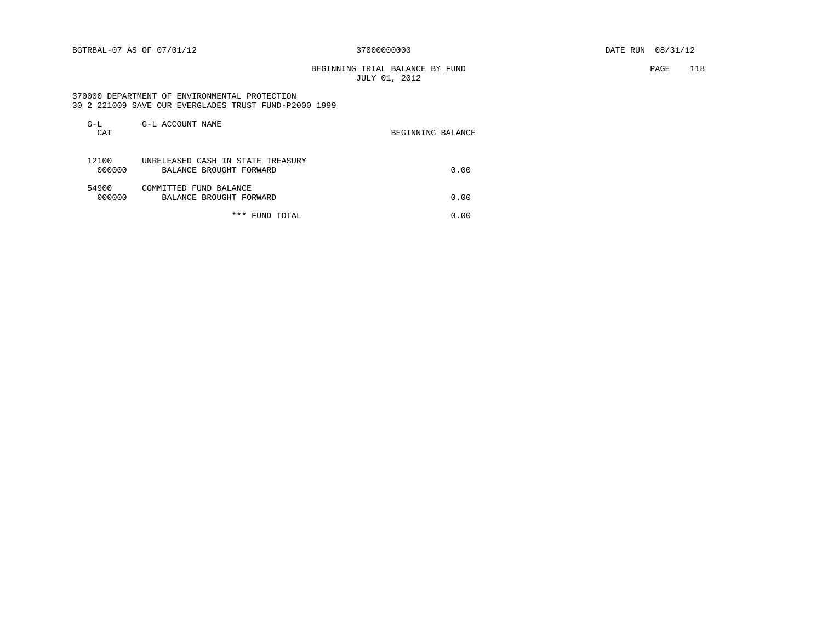# BEGINNING TRIAL BALANCE BY FUND PAGE 118 JULY 01, 2012

 370000 DEPARTMENT OF ENVIRONMENTAL PROTECTION 30 2 221009 SAVE OUR EVERGLADES TRUST FUND-P2000 1999

| $G-L$<br>CAT    | G-L ACCOUNT NAME                                             | BEGINNING BALANCE |
|-----------------|--------------------------------------------------------------|-------------------|
| 12100<br>000000 | UNRELEASED CASH IN STATE TREASURY<br>BALANCE BROUGHT FORWARD | 0.00              |
| 54900<br>000000 | COMMITTED FUND BALANCE<br>BALANCE BROUGHT FORWARD            | 0.00              |
|                 | ***<br>FUND TOTAL                                            | 0.00              |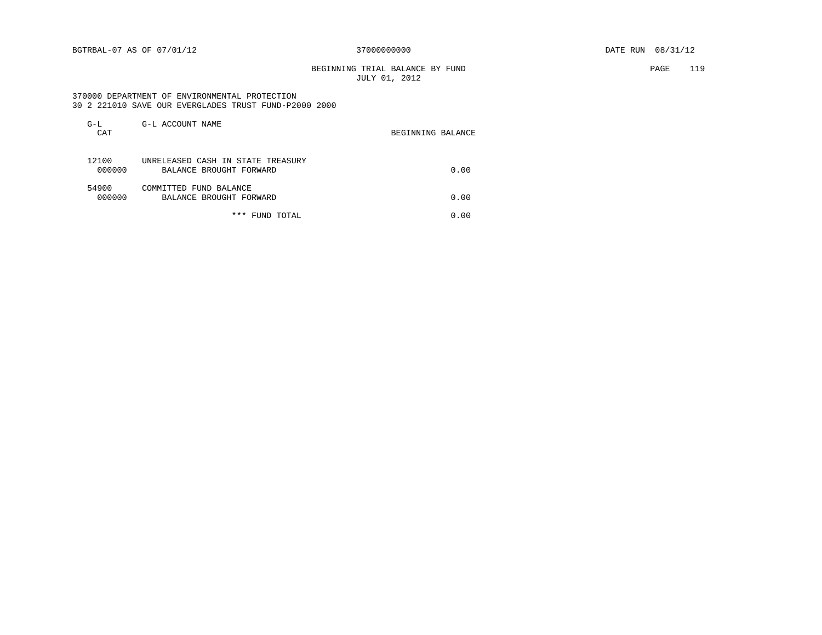# BEGINNING TRIAL BALANCE BY FUND PAGE 119 JULY 01, 2012

 370000 DEPARTMENT OF ENVIRONMENTAL PROTECTION 30 2 221010 SAVE OUR EVERGLADES TRUST FUND-P2000 2000

| $G-L$<br>CAT    | G-L ACCOUNT NAME                                             | BEGINNING BALANCE |
|-----------------|--------------------------------------------------------------|-------------------|
| 12100<br>000000 | UNRELEASED CASH IN STATE TREASURY<br>BALANCE BROUGHT FORWARD | 0.00              |
| 54900<br>000000 | COMMITTED FUND BALANCE<br>BALANCE BROUGHT FORWARD            | 0.00              |
|                 | ***<br>FUND TOTAL                                            | 0.00              |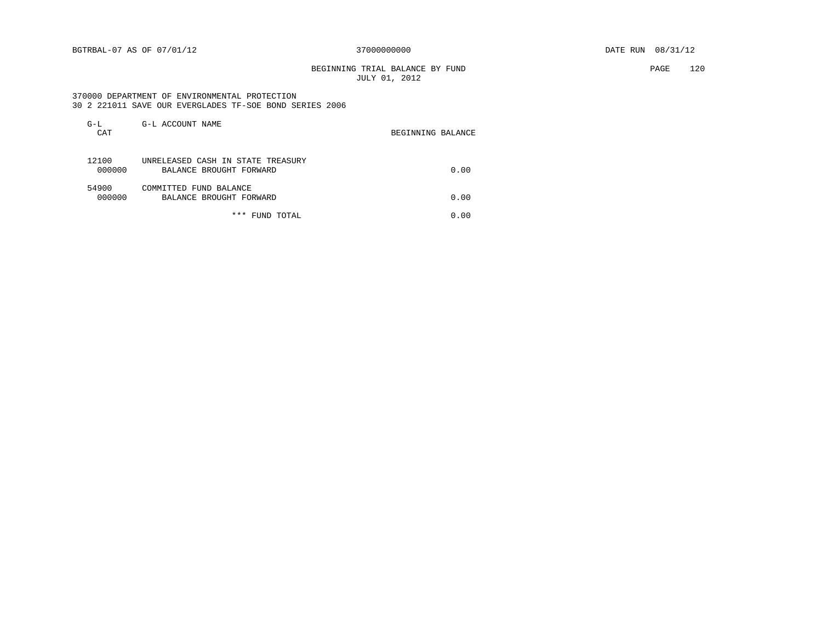# BEGINNING TRIAL BALANCE BY FUND PAGE 120 JULY 01, 2012

 370000 DEPARTMENT OF ENVIRONMENTAL PROTECTION 30 2 221011 SAVE OUR EVERGLADES TF-SOE BOND SERIES 2006

| $G-L$<br>CAT    | G-L ACCOUNT NAME                                             | BEGINNING BALANCE |
|-----------------|--------------------------------------------------------------|-------------------|
| 12100<br>000000 | UNRELEASED CASH IN STATE TREASURY<br>BALANCE BROUGHT FORWARD | 0.00              |
| 54900<br>000000 | COMMITTED FUND BALANCE<br>BALANCE BROUGHT FORWARD            | 0.00              |
|                 | ***<br>FUND TOTAL                                            | 0.00              |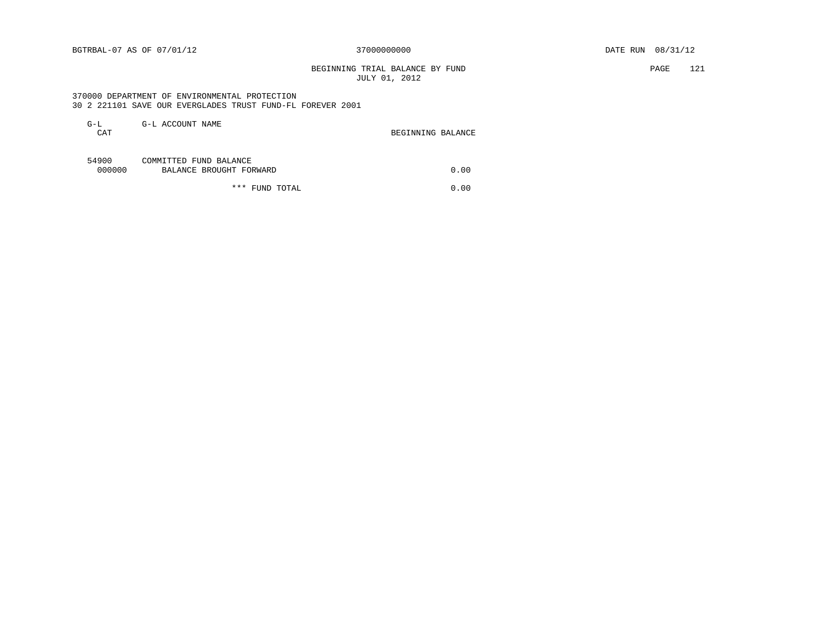BEGINNING TRIAL BALANCE BY FUND PAGE 121 JULY 01, 2012

 370000 DEPARTMENT OF ENVIRONMENTAL PROTECTION 30 2 221101 SAVE OUR EVERGLADES TRUST FUND-FL FOREVER 2001

| G-L<br>CAT      | G-L ACCOUNT NAME                                  | BEGINNING BALANCE |
|-----------------|---------------------------------------------------|-------------------|
| 54900<br>000000 | COMMITTED FUND BALANCE<br>BALANCE BROUGHT FORWARD | 0.00              |

\*\*\* FUND TOTAL 0.00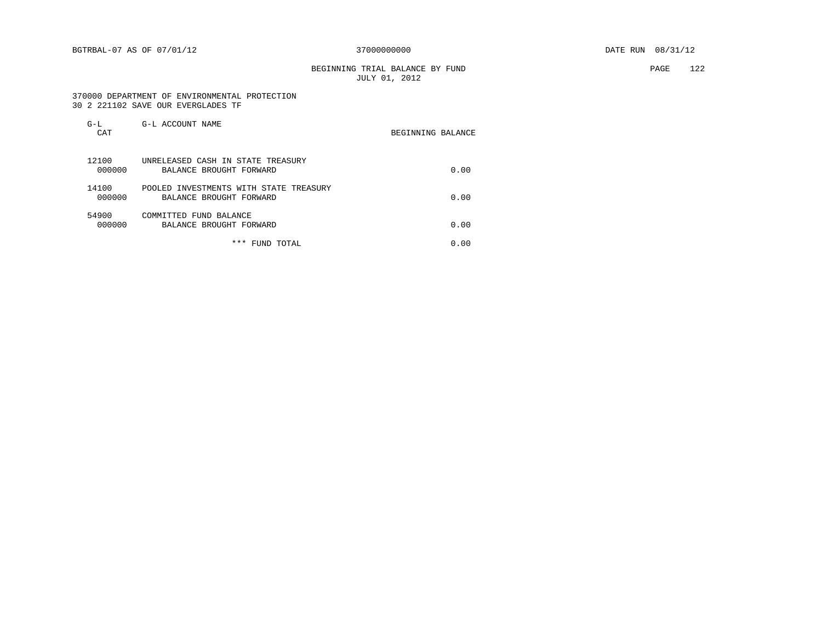BEGINNING TRIAL BALANCE BY FUND PAGE 122 JULY 01, 2012

 370000 DEPARTMENT OF ENVIRONMENTAL PROTECTION 30 2 221102 SAVE OUR EVERGLADES TF

| $G-L$<br>CAT | G-L ACCOUNT NAME                                                            | BEGINNING BALANCE |
|--------------|-----------------------------------------------------------------------------|-------------------|
| 12100        | UNRELEASED CASH IN STATE TREASURY<br>000000<br>BALANCE BROUGHT FORWARD      | 0.00              |
| 14100        | POOLED INVESTMENTS WITH STATE TREASURY<br>000000<br>BALANCE BROUGHT FORWARD | 0.00              |
| 54900        | COMMITTED FUND BALANCE<br>000000<br>BALANCE BROUGHT FORWARD                 | 0.00              |
|              | *** FUND TOTAL                                                              | 0.00              |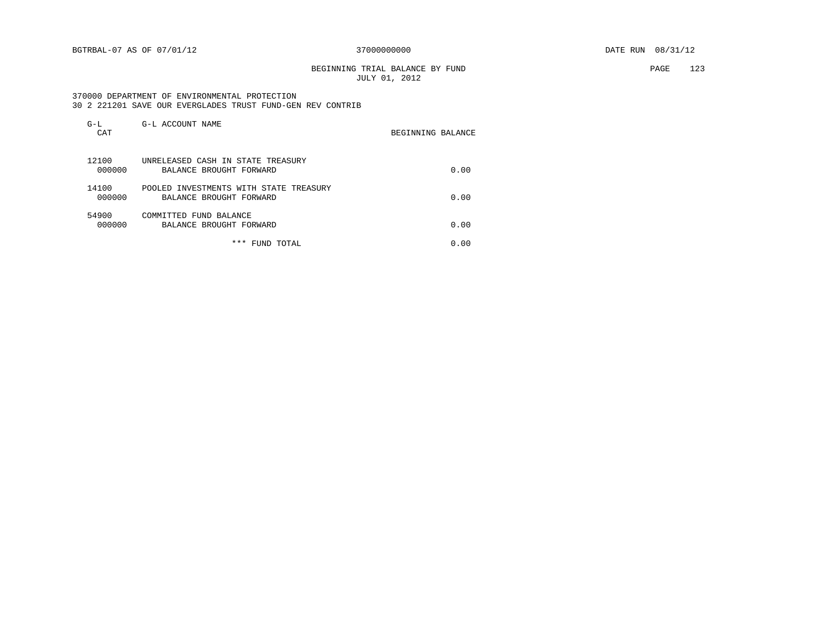BEGINNING TRIAL BALANCE BY FUND PAGE 123 JULY 01, 2012

 370000 DEPARTMENT OF ENVIRONMENTAL PROTECTION 30 2 221201 SAVE OUR EVERGLADES TRUST FUND-GEN REV CONTRIB

| $G-L$<br>CAT    | G-L ACCOUNT NAME                                                  | BEGINNING BALANCE |
|-----------------|-------------------------------------------------------------------|-------------------|
| 12100<br>000000 | UNRELEASED CASH IN STATE TREASURY<br>BALANCE BROUGHT FORWARD      | 0.00              |
| 14100<br>000000 | POOLED INVESTMENTS WITH STATE TREASURY<br>BALANCE BROUGHT FORWARD | 0.00              |
| 54900<br>000000 | COMMITTED FUND BALANCE<br>BALANCE BROUGHT FORWARD                 | 0.00              |
|                 | * * *<br>FUND TOTAL                                               | 0.00              |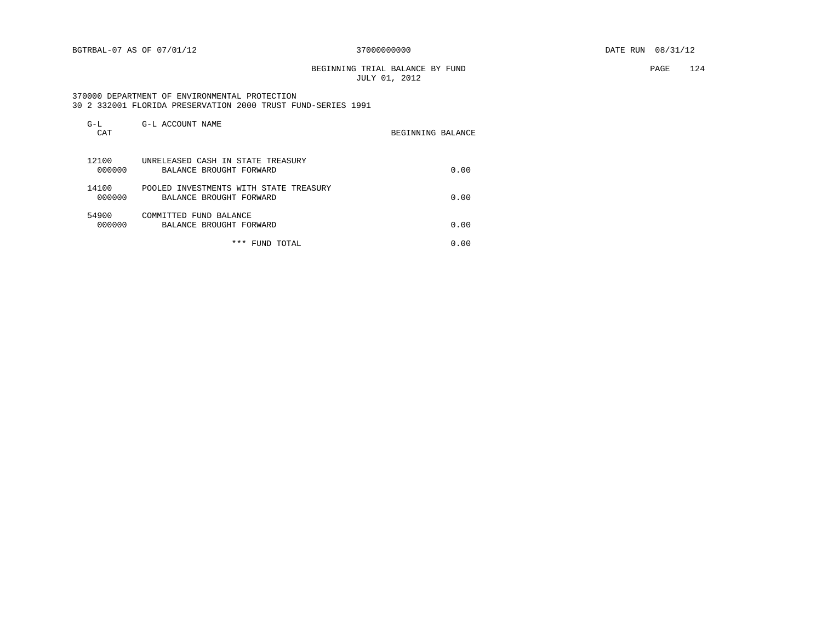BEGINNING TRIAL BALANCE BY FUND PAGE 124 JULY 01, 2012

 370000 DEPARTMENT OF ENVIRONMENTAL PROTECTION 30 2 332001 FLORIDA PRESERVATION 2000 TRUST FUND-SERIES 1991

| $G-L$<br>CAT | G-L ACCOUNT NAME                                                            | BEGINNING BALANCE |
|--------------|-----------------------------------------------------------------------------|-------------------|
| 12100        | UNRELEASED CASH IN STATE TREASURY<br>000000<br>BALANCE BROUGHT FORWARD      | 0.00              |
| 14100        | POOLED INVESTMENTS WITH STATE TREASURY<br>000000<br>BALANCE BROUGHT FORWARD | 0.00              |
| 54900        | COMMITTED FUND BALANCE<br>000000<br>BALANCE BROUGHT FORWARD                 | 0.00              |
|              | *** FUND TOTAL                                                              | 0.00              |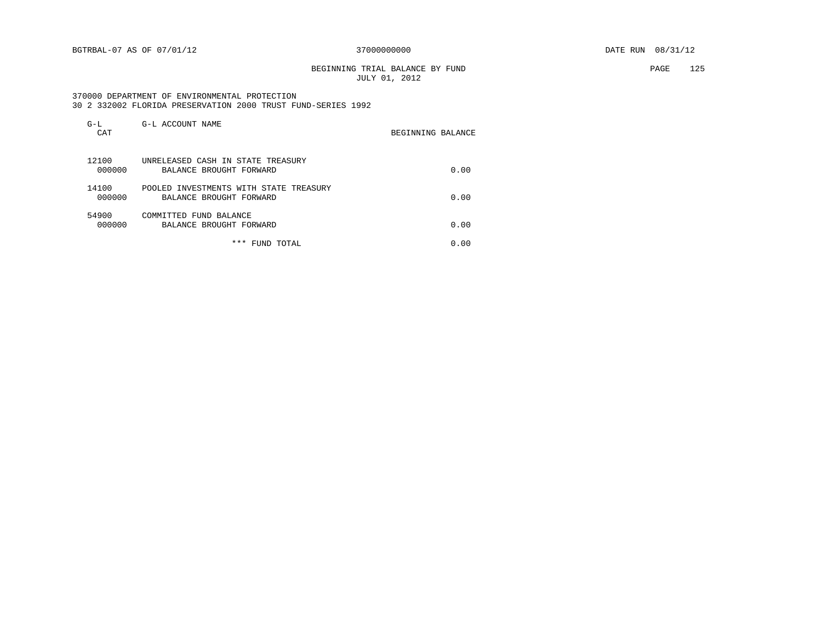BEGINNING TRIAL BALANCE BY FUND PAGE 125 JULY 01, 2012

 370000 DEPARTMENT OF ENVIRONMENTAL PROTECTION 30 2 332002 FLORIDA PRESERVATION 2000 TRUST FUND-SERIES 1992

| $G-L$<br>CAT    | G-L ACCOUNT NAME                                                  | BEGINNING BALANCE |
|-----------------|-------------------------------------------------------------------|-------------------|
| 12100<br>000000 | UNRELEASED CASH IN STATE TREASURY<br>BALANCE BROUGHT FORWARD      | 0.00              |
| 14100<br>000000 | POOLED INVESTMENTS WITH STATE TREASURY<br>BALANCE BROUGHT FORWARD | 0.00              |
| 54900<br>000000 | COMMITTED FUND BALANCE<br>BALANCE BROUGHT FORWARD                 | 0.00              |
|                 | * * *<br>FUND TOTAL                                               | 0.00              |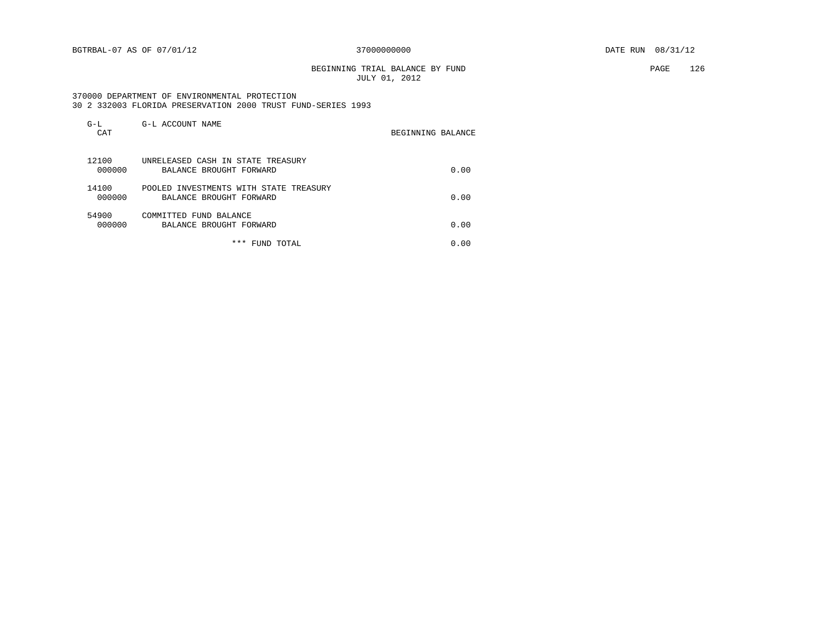BEGINNING TRIAL BALANCE BY FUND PAGE 126 JULY 01, 2012

 370000 DEPARTMENT OF ENVIRONMENTAL PROTECTION 30 2 332003 FLORIDA PRESERVATION 2000 TRUST FUND-SERIES 1993

| $G-L$<br>CAT    | G-L ACCOUNT NAME                                                  | BEGINNING BALANCE |
|-----------------|-------------------------------------------------------------------|-------------------|
| 12100<br>000000 | UNRELEASED CASH IN STATE TREASURY<br>BALANCE BROUGHT FORWARD      | 0.00              |
| 14100<br>000000 | POOLED INVESTMENTS WITH STATE TREASURY<br>BALANCE BROUGHT FORWARD | 0.00              |
| 54900<br>000000 | COMMITTED FUND BALANCE<br>BALANCE BROUGHT FORWARD                 | 0.00              |
|                 | * * *<br>FUND TOTAL                                               | 0.00              |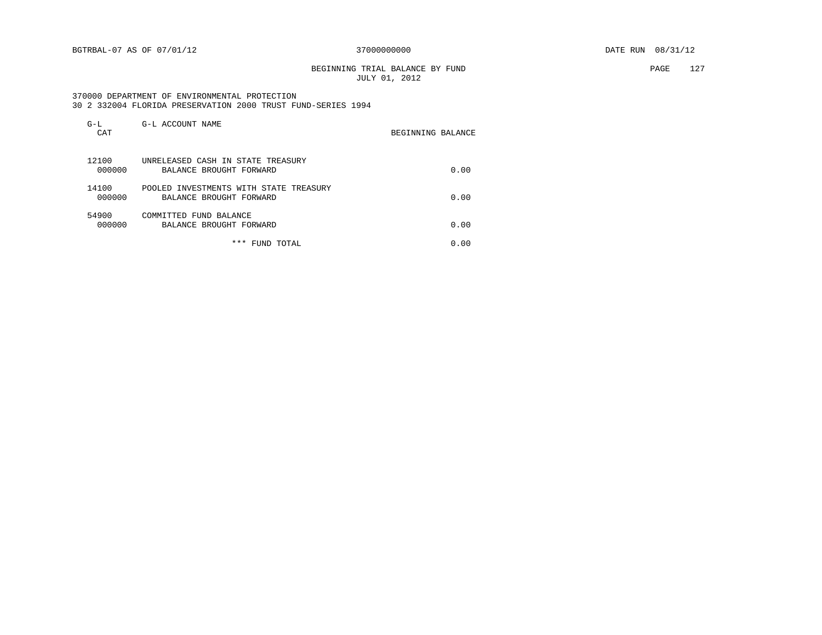BEGINNING TRIAL BALANCE BY FUND **PAGE** 127 JULY 01, 2012

 370000 DEPARTMENT OF ENVIRONMENTAL PROTECTION 30 2 332004 FLORIDA PRESERVATION 2000 TRUST FUND-SERIES 1994

| $G-L$<br>CAT | G-L ACCOUNT NAME                                                            | BEGINNING BALANCE |
|--------------|-----------------------------------------------------------------------------|-------------------|
| 12100        | UNRELEASED CASH IN STATE TREASURY<br>000000<br>BALANCE BROUGHT FORWARD      | 0.00              |
| 14100        | POOLED INVESTMENTS WITH STATE TREASURY<br>000000<br>BALANCE BROUGHT FORWARD | 0.00              |
| 54900        | COMMITTED FUND BALANCE<br>000000<br>BALANCE BROUGHT FORWARD                 | 0.00              |
|              | *** FUND TOTAL                                                              | 0.00              |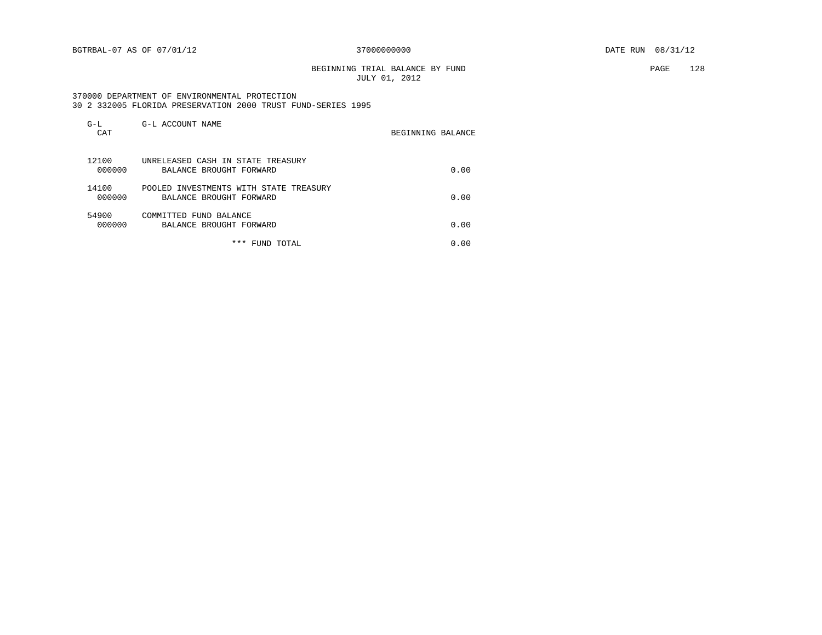BEGINNING TRIAL BALANCE BY FUND PAGE 128 JULY 01, 2012

 370000 DEPARTMENT OF ENVIRONMENTAL PROTECTION 30 2 332005 FLORIDA PRESERVATION 2000 TRUST FUND-SERIES 1995

| $G-L$<br>CAT    | G-L ACCOUNT NAME                                                  | BEGINNING BALANCE |
|-----------------|-------------------------------------------------------------------|-------------------|
| 12100<br>000000 | UNRELEASED CASH IN STATE TREASURY<br>BALANCE BROUGHT FORWARD      | 0.00              |
| 14100<br>000000 | POOLED INVESTMENTS WITH STATE TREASURY<br>BALANCE BROUGHT FORWARD | 0.00              |
| 54900<br>000000 | COMMITTED FUND BALANCE<br>BALANCE BROUGHT FORWARD                 | 0.00              |
|                 | * * *<br>FUND TOTAL                                               | 0.00              |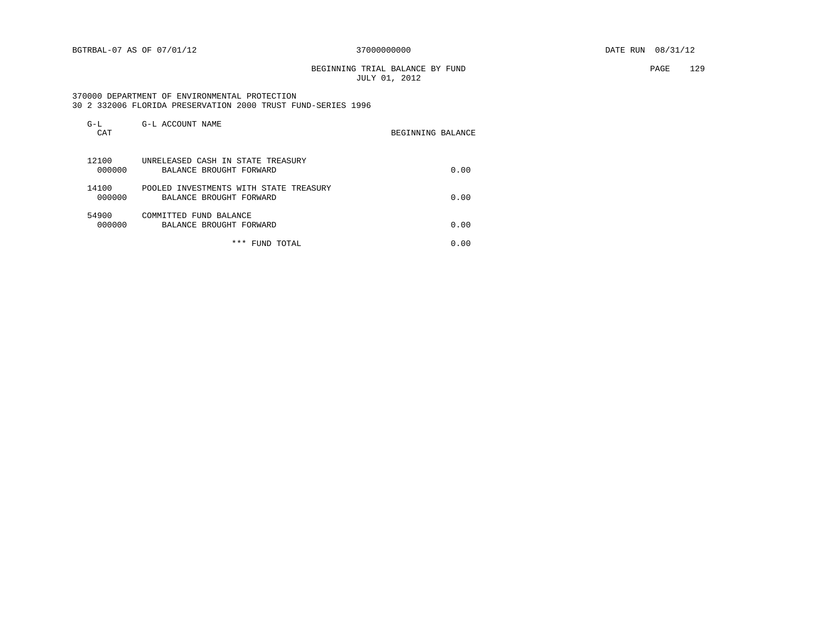BEGINNING TRIAL BALANCE BY FUND PAGE 129 JULY 01, 2012

 370000 DEPARTMENT OF ENVIRONMENTAL PROTECTION 30 2 332006 FLORIDA PRESERVATION 2000 TRUST FUND-SERIES 1996

| $G-L$<br>CAT | G-L ACCOUNT NAME                                                            | BEGINNING BALANCE |
|--------------|-----------------------------------------------------------------------------|-------------------|
| 12100        | UNRELEASED CASH IN STATE TREASURY<br>000000<br>BALANCE BROUGHT FORWARD      | 0.00              |
| 14100        | POOLED INVESTMENTS WITH STATE TREASURY<br>000000<br>BALANCE BROUGHT FORWARD | 0.00              |
| 54900        | COMMITTED FUND BALANCE<br>000000<br>BALANCE BROUGHT FORWARD                 | 0.00              |
|              | *** FUND TOTAL                                                              | 0.00              |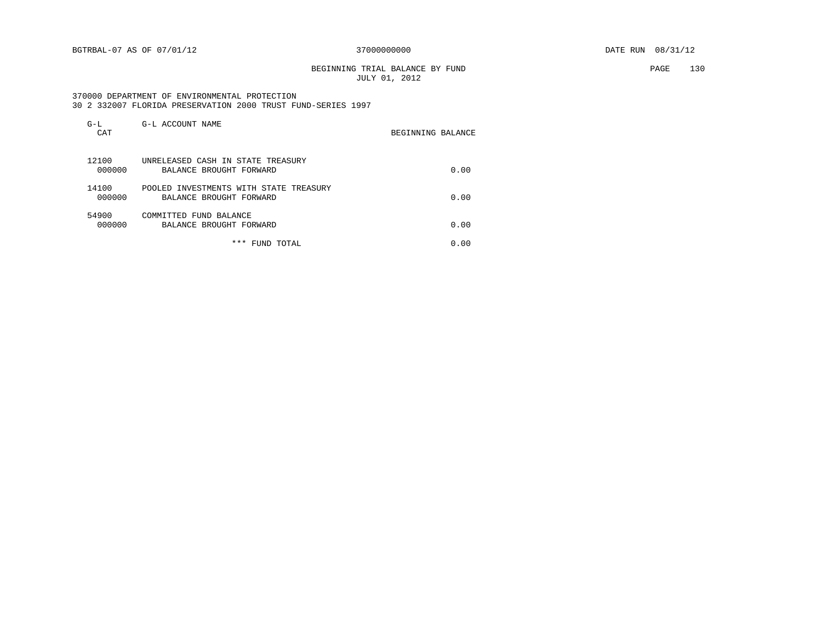BEGINNING TRIAL BALANCE BY FUND PAGE 130 JULY 01, 2012

 370000 DEPARTMENT OF ENVIRONMENTAL PROTECTION 30 2 332007 FLORIDA PRESERVATION 2000 TRUST FUND-SERIES 1997

| $G-L$<br>CAT | G-L ACCOUNT NAME                                                            | BEGINNING BALANCE |
|--------------|-----------------------------------------------------------------------------|-------------------|
| 12100        | UNRELEASED CASH IN STATE TREASURY<br>000000<br>BALANCE BROUGHT FORWARD      | 0.00              |
| 14100        | POOLED INVESTMENTS WITH STATE TREASURY<br>000000<br>BALANCE BROUGHT FORWARD | 0.00              |
| 54900        | COMMITTED FUND BALANCE<br>000000<br>BALANCE BROUGHT FORWARD                 | 0.00              |
|              | *** FUND TOTAL                                                              | 0.00              |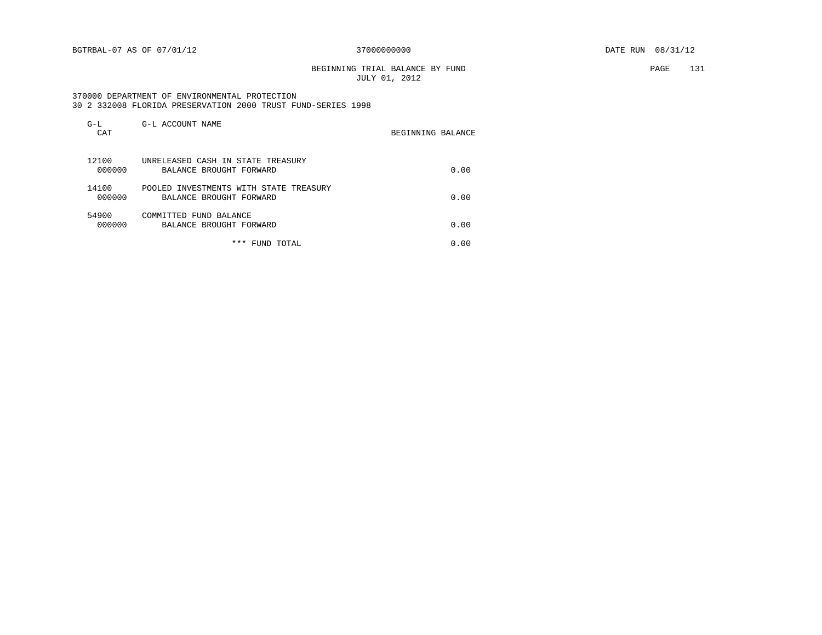BEGINNING TRIAL BALANCE BY FUND PAGE 131 JULY 01, 2012

 370000 DEPARTMENT OF ENVIRONMENTAL PROTECTION 30 2 332008 FLORIDA PRESERVATION 2000 TRUST FUND-SERIES 1998

| $G-L$<br>CAT | G-L ACCOUNT NAME                                                            | BEGINNING BALANCE |
|--------------|-----------------------------------------------------------------------------|-------------------|
| 12100        | UNRELEASED CASH IN STATE TREASURY<br>000000<br>BALANCE BROUGHT FORWARD      | 0.00              |
| 14100        | POOLED INVESTMENTS WITH STATE TREASURY<br>000000<br>BALANCE BROUGHT FORWARD | 0.00              |
| 54900        | COMMITTED FUND BALANCE<br>000000<br>BALANCE BROUGHT FORWARD                 | 0.00              |
|              | *** FUND TOTAL                                                              | 0.00              |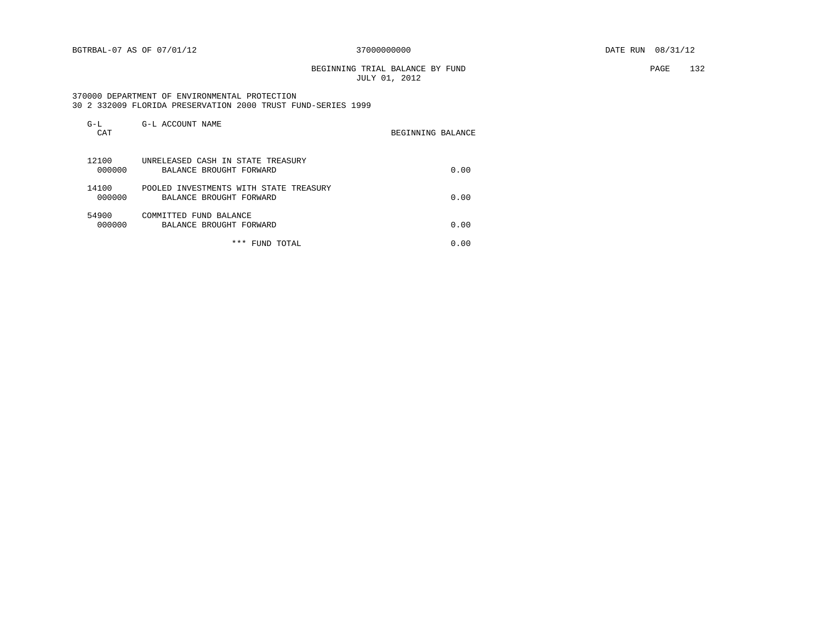BEGINNING TRIAL BALANCE BY FUND **EXAMPLE 132** JULY 01, 2012

 370000 DEPARTMENT OF ENVIRONMENTAL PROTECTION 30 2 332009 FLORIDA PRESERVATION 2000 TRUST FUND-SERIES 1999

| $G-L$<br>CAT    | G-L ACCOUNT NAME                                                  | BEGINNING BALANCE |
|-----------------|-------------------------------------------------------------------|-------------------|
| 12100<br>000000 | UNRELEASED CASH IN STATE TREASURY<br>BALANCE BROUGHT FORWARD      | 0.00              |
| 14100<br>000000 | POOLED INVESTMENTS WITH STATE TREASURY<br>BALANCE BROUGHT FORWARD | 0.00              |
| 54900<br>000000 | COMMITTED FUND BALANCE<br>BALANCE BROUGHT FORWARD                 | 0.00              |
|                 | * * *<br>FUND TOTAL                                               | 0.00              |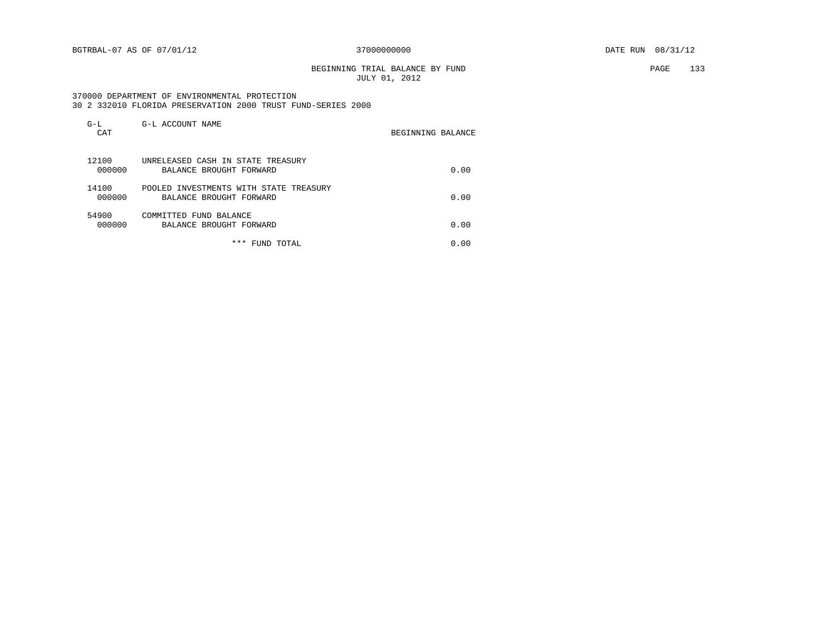BEGINNING TRIAL BALANCE BY FUND PAGE 133 JULY 01, 2012

 370000 DEPARTMENT OF ENVIRONMENTAL PROTECTION 30 2 332010 FLORIDA PRESERVATION 2000 TRUST FUND-SERIES 2000

| $G-L$<br>CAT    | G-L ACCOUNT NAME                                                  | BEGINNING BALANCE |
|-----------------|-------------------------------------------------------------------|-------------------|
| 12100<br>000000 | UNRELEASED CASH IN STATE TREASURY<br>BALANCE BROUGHT FORWARD      | 0.00              |
| 14100<br>000000 | POOLED INVESTMENTS WITH STATE TREASURY<br>BALANCE BROUGHT FORWARD | 0.00              |
| 54900<br>000000 | COMMITTED FUND BALANCE<br>BALANCE BROUGHT FORWARD                 | 0.00              |
|                 | * * *<br>FUND TOTAL                                               | 0.00              |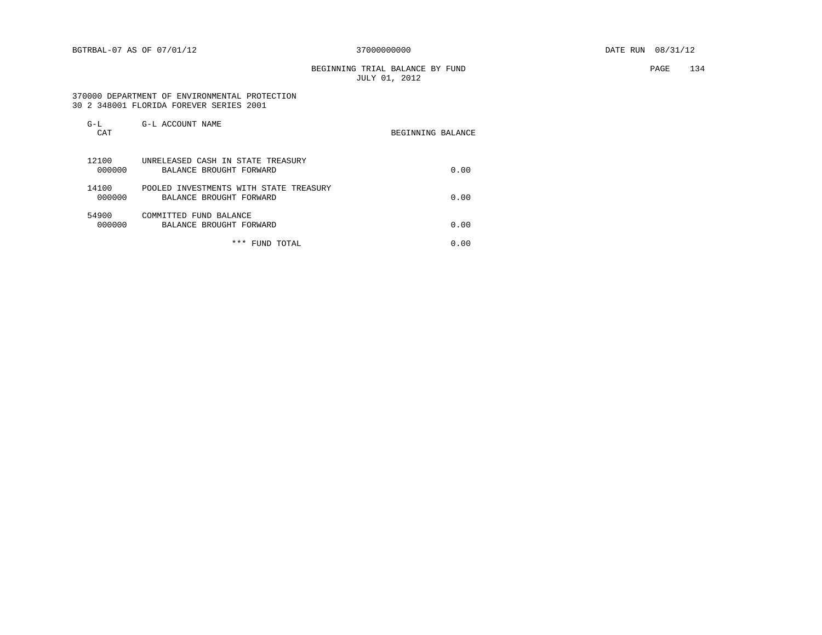BEGINNING TRIAL BALANCE BY FUND PAGE 134 JULY 01, 2012

 370000 DEPARTMENT OF ENVIRONMENTAL PROTECTION 30 2 348001 FLORIDA FOREVER SERIES 2001

| $G-L$<br>CAT    | G-L ACCOUNT NAME                                                  | BEGINNING BALANCE |
|-----------------|-------------------------------------------------------------------|-------------------|
| 12100<br>000000 | UNRELEASED CASH IN STATE TREASURY<br>BALANCE BROUGHT FORWARD      | 0.00              |
| 14100<br>000000 | POOLED INVESTMENTS WITH STATE TREASURY<br>BALANCE BROUGHT FORWARD | 0.00              |
| 54900<br>000000 | COMMITTED FUND BALANCE<br>BALANCE BROUGHT FORWARD                 | 0.00              |
|                 | * * *<br>FUND TOTAL                                               | 0.00              |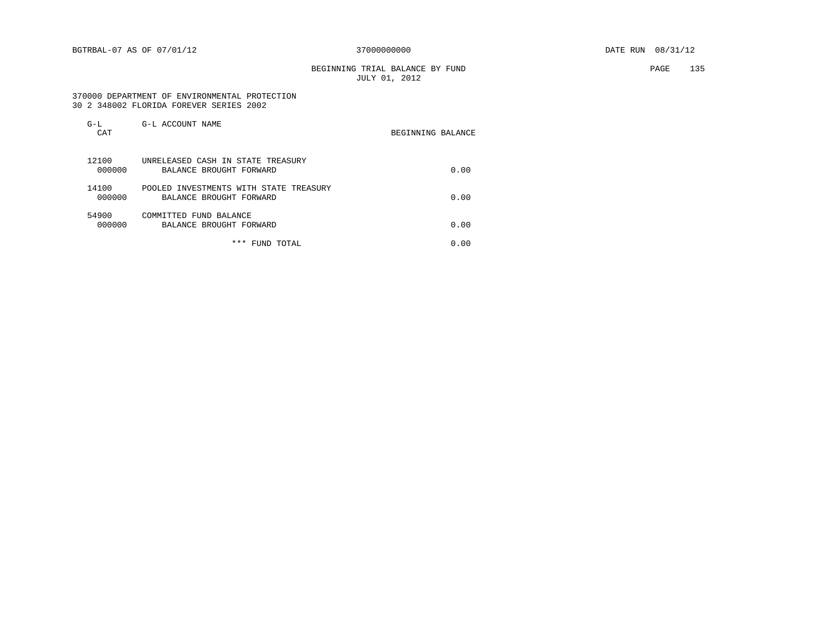BEGINNING TRIAL BALANCE BY FUND PAGE 135 JULY 01, 2012

 370000 DEPARTMENT OF ENVIRONMENTAL PROTECTION 30 2 348002 FLORIDA FOREVER SERIES 2002

| $G-L$<br>CAT    | G-L ACCOUNT NAME                                                  | BEGINNING BALANCE |
|-----------------|-------------------------------------------------------------------|-------------------|
| 12100<br>000000 | UNRELEASED CASH IN STATE TREASURY<br>BALANCE BROUGHT FORWARD      | 0.00              |
| 14100<br>000000 | POOLED INVESTMENTS WITH STATE TREASURY<br>BALANCE BROUGHT FORWARD | 0.00              |
| 54900<br>000000 | COMMITTED FUND BALANCE<br>BALANCE BROUGHT FORWARD                 | 0.00              |
|                 | * * *<br>FUND TOTAL                                               | 0.00              |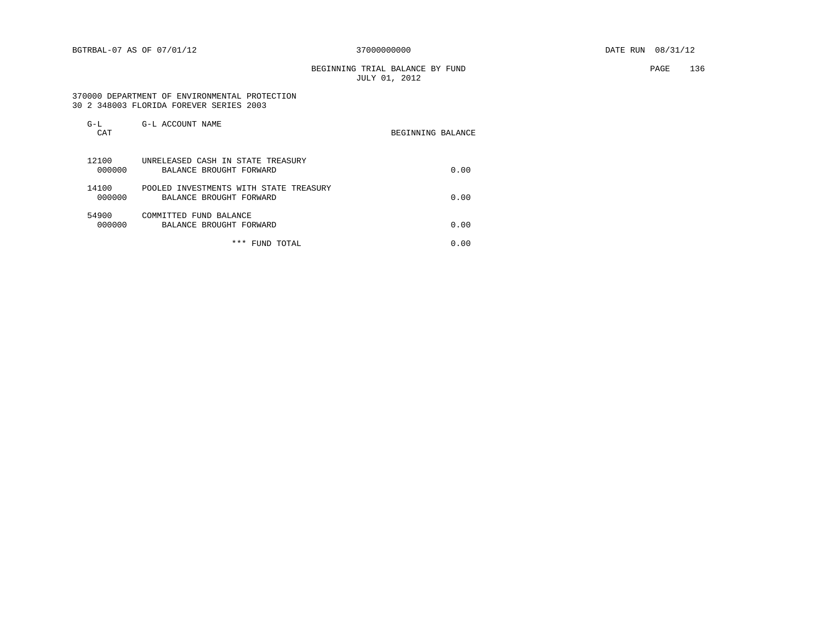BEGINNING TRIAL BALANCE BY FUND PAGE 136 JULY 01, 2012

 370000 DEPARTMENT OF ENVIRONMENTAL PROTECTION 30 2 348003 FLORIDA FOREVER SERIES 2003

| $G-L$<br>CAT    | G-L ACCOUNT NAME                                                  | BEGINNING BALANCE |
|-----------------|-------------------------------------------------------------------|-------------------|
| 12100<br>000000 | UNRELEASED CASH IN STATE TREASURY<br>BALANCE BROUGHT FORWARD      | 0.00              |
| 14100<br>000000 | POOLED INVESTMENTS WITH STATE TREASURY<br>BALANCE BROUGHT FORWARD | 0.00              |
| 54900<br>000000 | COMMITTED FUND BALANCE<br>BALANCE BROUGHT FORWARD                 | 0.00              |
|                 | * * *<br>FUND TOTAL                                               | 0.00              |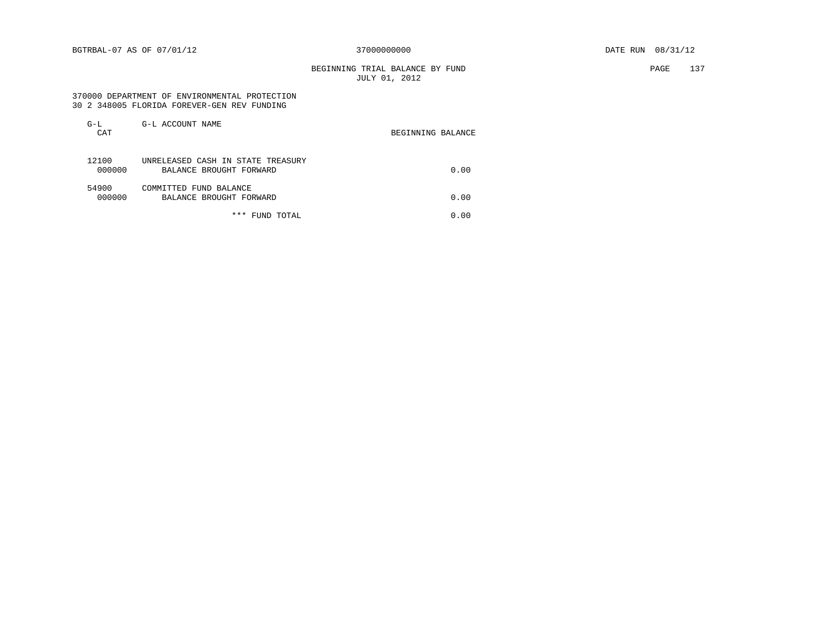BEGINNING TRIAL BALANCE BY FUND **PAGE** 137 JULY 01, 2012

#### 370000 DEPARTMENT OF ENVIRONMENTAL PROTECTION 30 2 348005 FLORIDA FOREVER-GEN REV FUNDING

| $G-L$<br>CAT    | G-L ACCOUNT NAME                                             | BEGINNING BALANCE |
|-----------------|--------------------------------------------------------------|-------------------|
| 12100<br>000000 | UNRELEASED CASH IN STATE TREASURY<br>BALANCE BROUGHT FORWARD | 0.00              |
| 54900<br>000000 | COMMITTED FUND BALANCE<br>BALANCE BROUGHT FORWARD            | 0.00              |
|                 | *** FUND TOTAL                                               | 0.00              |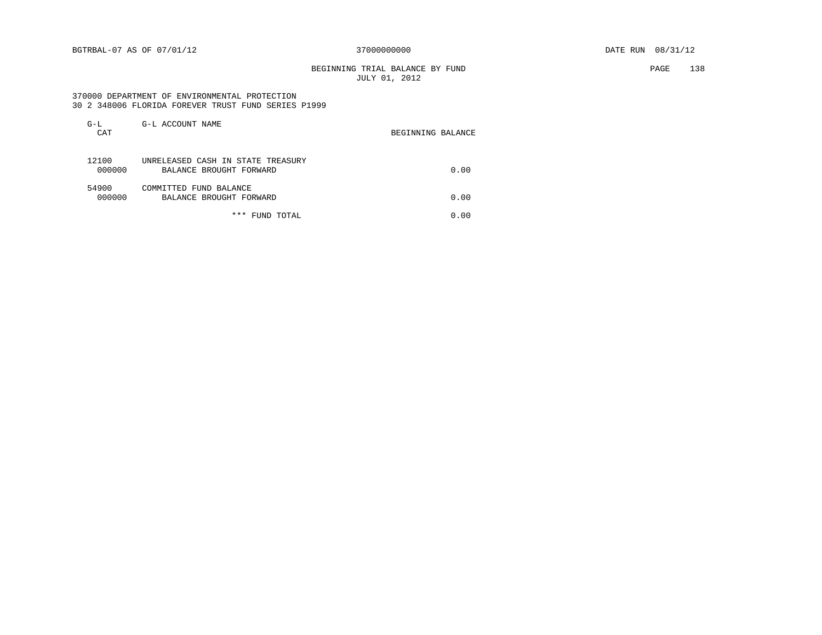BEGINNING TRIAL BALANCE BY FUND PAGE 138 JULY 01, 2012

 370000 DEPARTMENT OF ENVIRONMENTAL PROTECTION 30 2 348006 FLORIDA FOREVER TRUST FUND SERIES P1999

| G-L<br>CAT      | G-L ACCOUNT NAME                                             | BEGINNING BALANCE |
|-----------------|--------------------------------------------------------------|-------------------|
| 12100<br>000000 | UNRELEASED CASH IN STATE TREASURY<br>BALANCE BROUGHT FORWARD | 0.00              |
| 54900<br>000000 | COMMITTED FUND BALANCE<br>BALANCE BROUGHT FORWARD            | 0.00              |
|                 | * * *<br>FUND TOTAL                                          | 0.00              |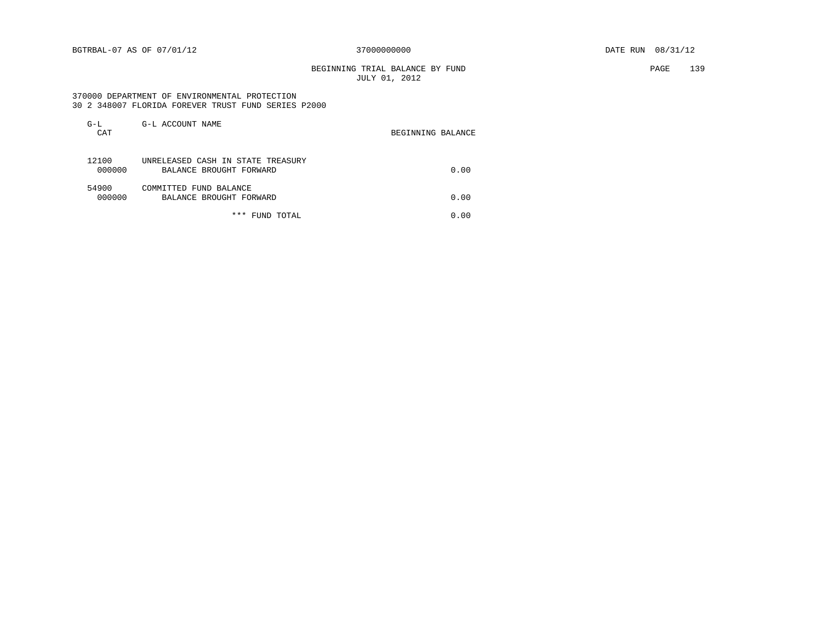BEGINNING TRIAL BALANCE BY FUND PAGE 139 JULY 01, 2012

 370000 DEPARTMENT OF ENVIRONMENTAL PROTECTION 30 2 348007 FLORIDA FOREVER TRUST FUND SERIES P2000

| $G-L$<br>CAT    | G-L ACCOUNT NAME                                             | BEGINNING BALANCE |
|-----------------|--------------------------------------------------------------|-------------------|
| 12100<br>000000 | UNRELEASED CASH IN STATE TREASURY<br>BALANCE BROUGHT FORWARD | 0.00              |
| 54900<br>000000 | COMMITTED FUND BALANCE<br>BALANCE BROUGHT FORWARD            | 0.00              |
|                 | ***<br>FUND TOTAL                                            | 0.00              |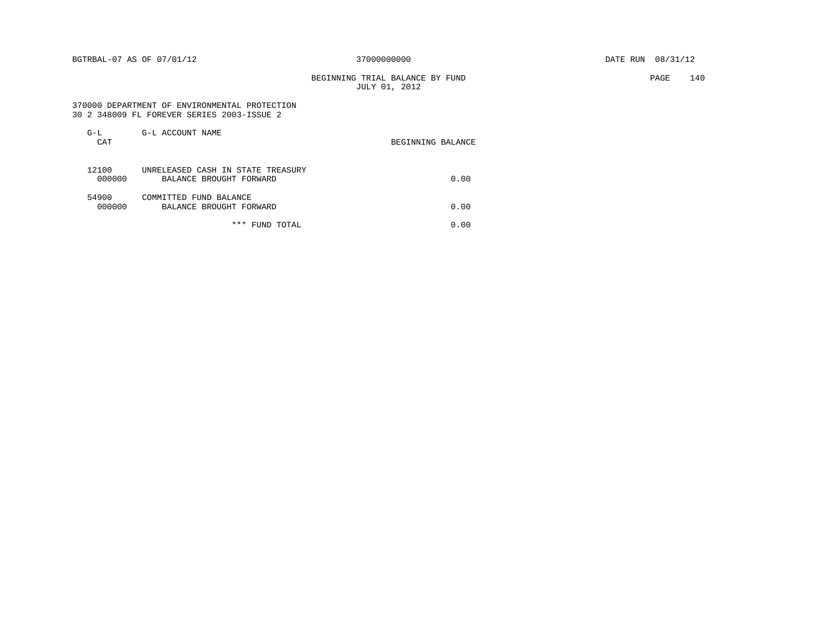BEGINNING TRIAL BALANCE BY FUND **PAGE** 140 JULY 01, 2012

# 370000 DEPARTMENT OF ENVIRONMENTAL PROTECTION 30 2 348009 FL FOREVER SERIES 2003-ISSUE 2

| $G-L$<br>CAT    | G-L ACCOUNT NAME                                             | BEGINNING BALANCE |
|-----------------|--------------------------------------------------------------|-------------------|
| 12100<br>000000 | UNRELEASED CASH IN STATE TREASURY<br>BALANCE BROUGHT FORWARD | 0.00              |
| 54900<br>000000 | COMMITTED FUND BALANCE<br>BALANCE BROUGHT FORWARD            | 0.00              |
|                 | ***<br>FUND TOTAL                                            | 0.00              |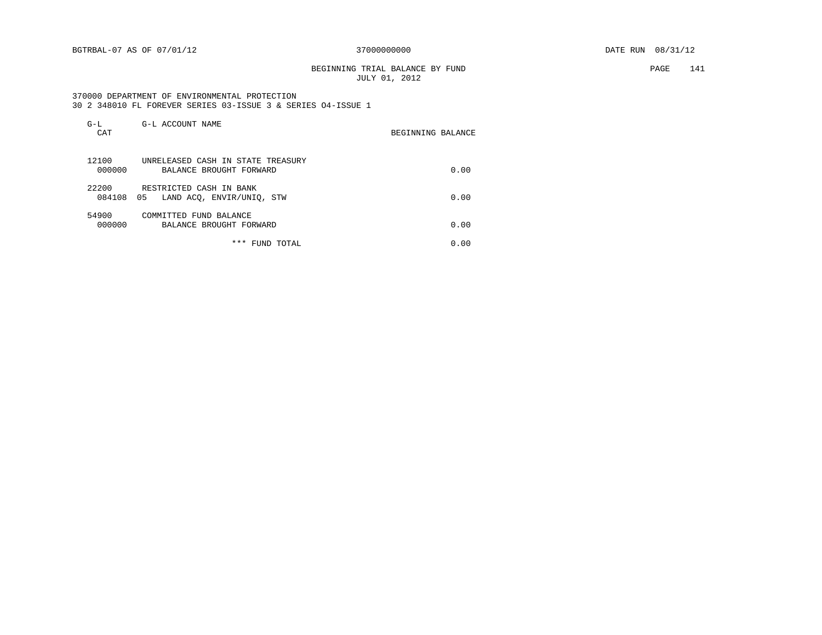BEGINNING TRIAL BALANCE BY FUND **EXAMPLE 141** JULY 01, 2012

 370000 DEPARTMENT OF ENVIRONMENTAL PROTECTION 30 2 348010 FL FOREVER SERIES 03-ISSUE 3 & SERIES O4-ISSUE 1

| $G-L$<br>CAT    | G-L ACCOUNT NAME                                             | BEGINNING BALANCE |
|-----------------|--------------------------------------------------------------|-------------------|
| 12100<br>000000 | UNRELEASED CASH IN STATE TREASURY<br>BALANCE BROUGHT FORWARD | 0.00              |
| 22200<br>084108 | RESTRICTED CASH IN BANK<br>05 LAND ACO, ENVIR/UNIO, STW      | 0.00              |
| 54900<br>000000 | COMMITTED FUND BALANCE<br>BALANCE BROUGHT FORWARD            | 0.00              |
|                 | * * *<br>FUND TOTAL                                          | 0.00              |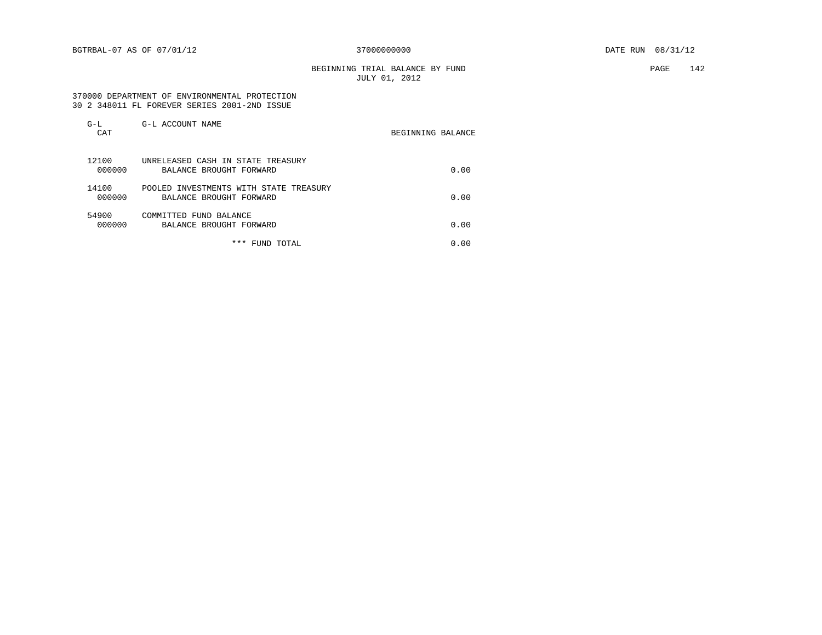BEGINNING TRIAL BALANCE BY FUND **PAGE** 142 JULY 01, 2012

#### 370000 DEPARTMENT OF ENVIRONMENTAL PROTECTION 30 2 348011 FL FOREVER SERIES 2001-2ND ISSUE

| $G-L$<br>CAT    | G-L ACCOUNT NAME                                                  | BEGINNING BALANCE |      |
|-----------------|-------------------------------------------------------------------|-------------------|------|
| 12100<br>000000 | UNRELEASED CASH IN STATE TREASURY<br>BALANCE BROUGHT FORWARD      |                   | 0.00 |
| 14100<br>000000 | POOLED INVESTMENTS WITH STATE TREASURY<br>BALANCE BROUGHT FORWARD |                   | 0.00 |
| 54900<br>000000 | COMMITTED FUND BALANCE<br>BALANCE BROUGHT FORWARD                 |                   | 0.00 |
|                 | * * *<br>FUND TOTAL                                               |                   | 0.00 |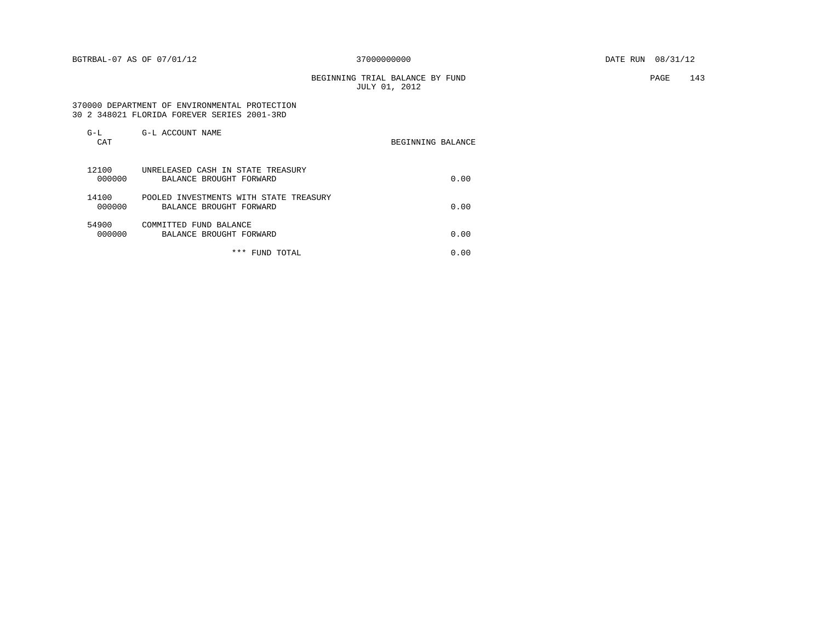BEGINNING TRIAL BALANCE BY FUND **PAGE** 143 JULY 01, 2012

# 370000 DEPARTMENT OF ENVIRONMENTAL PROTECTION 30 2 348021 FLORIDA FOREVER SERIES 2001-3RD

| $G-L$<br>CAT    | G-L ACCOUNT NAME                                                  | BEGINNING BALANCE |
|-----------------|-------------------------------------------------------------------|-------------------|
| 12100<br>000000 | UNRELEASED CASH IN STATE TREASURY<br>BALANCE BROUGHT FORWARD      | 0.00              |
| 14100<br>000000 | POOLED INVESTMENTS WITH STATE TREASURY<br>BALANCE BROUGHT FORWARD | 0.00              |
| 54900<br>000000 | COMMITTED FUND BALANCE<br>BALANCE BROUGHT FORWARD                 | 0.00              |
|                 | * * *<br>FUND TOTAL                                               | 0.00              |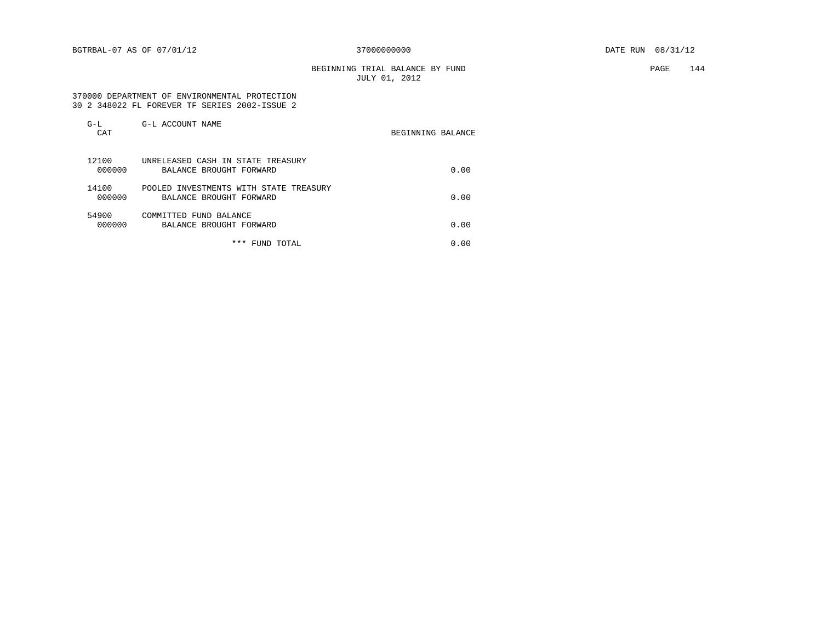BEGINNING TRIAL BALANCE BY FUND **PAGE** 144 JULY 01, 2012

 370000 DEPARTMENT OF ENVIRONMENTAL PROTECTION 30 2 348022 FL FOREVER TF SERIES 2002-ISSUE 2

| $G-L$<br>CAT    | G-L ACCOUNT NAME                                                  | BEGINNING BALANCE |
|-----------------|-------------------------------------------------------------------|-------------------|
| 12100<br>000000 | UNRELEASED CASH IN STATE TREASURY<br>BALANCE BROUGHT FORWARD      | 0.00              |
| 14100<br>000000 | POOLED INVESTMENTS WITH STATE TREASURY<br>BALANCE BROUGHT FORWARD | 0.00              |
| 54900<br>000000 | COMMITTED FUND BALANCE<br>BALANCE BROUGHT FORWARD                 | 0.00              |
|                 | * * *<br>FUND TOTAL                                               | 0.00              |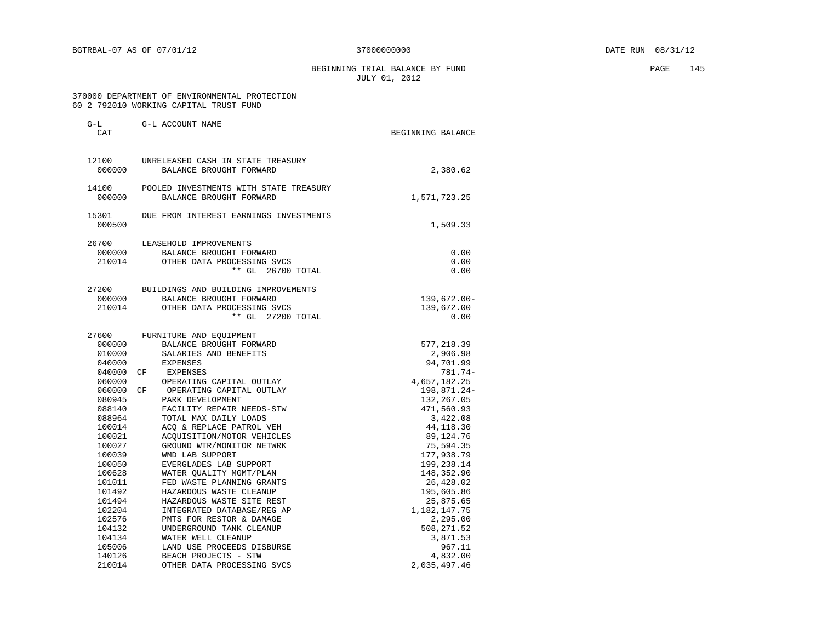BEGINNING TRIAL BALANCE BY FUND **PAGE** 145 JULY 01, 2012

## 370000 DEPARTMENT OF ENVIRONMENTAL PROTECTION 60 2 792010 WORKING CAPITAL TRUST FUND

| $G-L$<br>CAT    | G-L ACCOUNT NAME                                                  | BEGINNING BALANCE |
|-----------------|-------------------------------------------------------------------|-------------------|
|                 |                                                                   |                   |
| 12100<br>000000 | UNRELEASED CASH IN STATE TREASURY<br>BALANCE BROUGHT FORWARD      | 2,380.62          |
| 14100<br>000000 | POOLED INVESTMENTS WITH STATE TREASURY<br>BALANCE BROUGHT FORWARD | 1,571,723.25      |
| 15301<br>000500 | DUE FROM INTEREST EARNINGS INVESTMENTS                            | 1,509.33          |
| 26700           | LEASEHOLD IMPROVEMENTS                                            |                   |
| 000000          | BALANCE BROUGHT FORWARD                                           | 0.00              |
| 210014          | OTHER DATA PROCESSING SVCS                                        | 0.00              |
|                 | ** GL 26700 TOTAL                                                 | 0.00              |
| 27200           | BUILDINGS AND BUILDING IMPROVEMENTS                               |                   |
| 000000          | BALANCE BROUGHT FORWARD                                           | 139,672.00-       |
| 210014          | OTHER DATA PROCESSING SVCS                                        | 139,672.00        |
|                 | ** GL 27200 TOTAL                                                 | 0.00              |
| 27600           | FURNITURE AND EQUIPMENT                                           |                   |
| 000000          | BALANCE BROUGHT FORWARD                                           | 577,218.39        |
| 010000          | SALARIES AND BENEFITS                                             | 2,906.98          |
| 040000          | EXPENSES                                                          | 94,701.99         |
| 040000          | CF<br>EXPENSES                                                    | $781.74-$         |
| 060000          | OPERATING CAPITAL OUTLAY                                          | 4,657,182.25      |
| 060000          | OPERATING CAPITAL OUTLAY<br>CF                                    | 198,871.24-       |
| 080945          | PARK DEVELOPMENT                                                  | 132,267.05        |
| 088140          | FACILITY REPAIR NEEDS-STW                                         | 471,560.93        |
| 088964          | TOTAL MAX DAILY LOADS                                             | 3,422.08          |
| 100014          | ACQ & REPLACE PATROL VEH                                          | 44, 118.30        |
| 100021          | ACQUISITION/MOTOR VEHICLES                                        | 89,124.76         |
| 100027          | GROUND WTR/MONITOR NETWRK                                         | 75,594.35         |
| 100039          | WMD LAB SUPPORT                                                   | 177,938.79        |
| 100050          | EVERGLADES LAB SUPPORT                                            | 199,238.14        |
| 100628          | WATER QUALITY MGMT/PLAN                                           | 148,352.90        |
| 101011          | FED WASTE PLANNING GRANTS                                         | 26,428.02         |
| 101492          | HAZARDOUS WASTE CLEANUP                                           | 195,605.86        |
| 101494          | HAZARDOUS WASTE SITE REST                                         | 25,875.65         |
| 102204          | INTEGRATED DATABASE/REG AP                                        | 1,182,147.75      |
| 102576          | PMTS FOR RESTOR & DAMAGE                                          | 2,295.00          |
| 104132          | UNDERGROUND TANK CLEANUP                                          | 508, 271.52       |
| 104134          | WATER WELL CLEANUP                                                | 3,871.53          |
| 105006          | LAND USE PROCEEDS DISBURSE<br>BEACH PROJECTS - STW                | 967.11            |
| 140126          |                                                                   | 4,832.00          |
| 210014          | OTHER DATA PROCESSING SVCS                                        | 2,035,497.46      |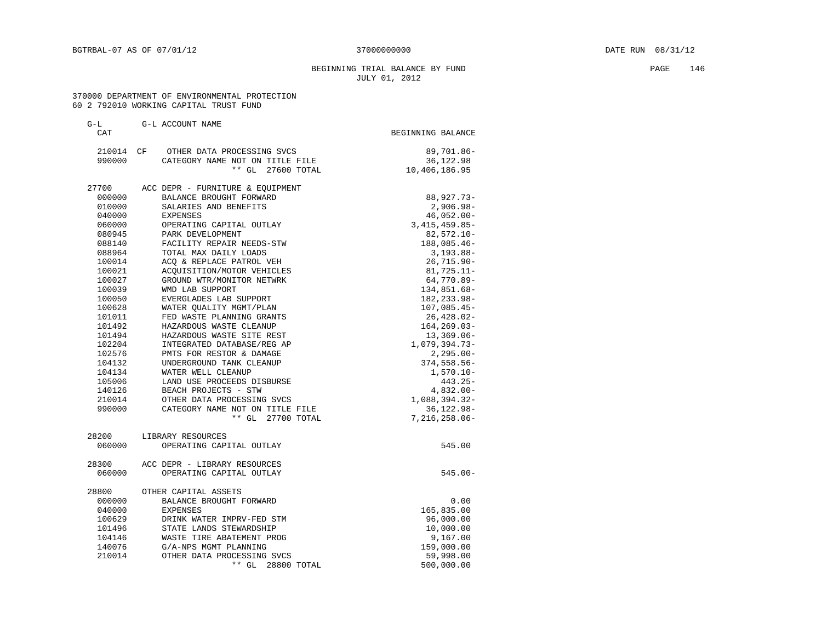# BEGINNING TRIAL BALANCE BY FUND **PAGE** 146 JULY 01, 2012

#### 370000 DEPARTMENT OF ENVIRONMENTAL PROTECTION 60 2 792010 WORKING CAPITAL TRUST FUND

| $G-L$<br>CAT | G-L ACCOUNT NAME                 | BEGINNING BALANCE |
|--------------|----------------------------------|-------------------|
| 210014 CF    | OTHER DATA PROCESSING SVCS       | 89,701.86-        |
| 990000       | CATEGORY NAME NOT ON TITLE FILE  | 36,122.98         |
|              | $***$ GL<br>27600 TOTAL          | 10,406,186.95     |
| 27700        | ACC DEPR - FURNITURE & EQUIPMENT |                   |
| 000000       | BALANCE BROUGHT FORWARD          | $88,927.73-$      |
| 010000       | SALARIES AND BENEFITS            | $2,906.98 -$      |
| 040000       | <b>EXPENSES</b>                  | $46,052.00 -$     |
| 060000       | OPERATING CAPITAL OUTLAY         | $3,415,459.85-$   |
| 080945       | PARK DEVELOPMENT                 | $82,572.10 -$     |
| 088140       | FACILITY REPAIR NEEDS-STW        | 188,085.46-       |
| 088964       | TOTAL MAX DAILY LOADS            | $3,193.88-$       |
| 100014       | ACO & REPLACE PATROL VEH         | $26, 715.90 -$    |
| 100021       | ACOUISITION/MOTOR VEHICLES       | $81,725.11-$      |
| 100027       | GROUND WTR/MONITOR NETWRK        | 64,770.89-        |
| 100039       | WMD LAB SUPPORT                  | 134,851.68-       |
| 100050       | EVERGLADES LAB SUPPORT           | 182, 233.98-      |
| 100628       | WATER QUALITY MGMT/PLAN          | $107,085.45-$     |
| 101011       | FED WASTE PLANNING GRANTS        | $26,428.02-$      |
| 101492       | HAZARDOUS WASTE CLEANUP          | $164, 269.03 -$   |
| 101494       | HAZARDOUS WASTE SITE REST        | $13,369.06 -$     |
| 102204       | INTEGRATED DATABASE/REG AP       | $1,079,394.73-$   |
| 102576       | PMTS FOR RESTOR & DAMAGE         | $2,295.00-$       |
| 104132       | UNDERGROUND TANK CLEANUP         | 374,558.56-       |
| 104134       | WATER WELL CLEANUP               | $1,570.10 -$      |
| 105006       | LAND USE PROCEEDS DISBURSE       | $443.25 -$        |
| 140126       | BEACH PROJECTS - STW             | $4,832.00-$       |
| 210014       | OTHER DATA PROCESSING SVCS       | 1,088,394.32-     |
| 990000       | CATEGORY NAME NOT ON TITLE FILE  | 36, 122.98-       |
|              | ** GL 27700 TOTAL                | $7,216,258.06 -$  |
| 28200        | LIBRARY RESOURCES                |                   |
| 060000       | OPERATING CAPITAL OUTLAY         | 545.00            |
| 28300        | ACC DEPR - LIBRARY RESOURCES     |                   |
| 060000       | OPERATING CAPITAL OUTLAY         | $545.00 -$        |
| 28800        | OTHER CAPITAL ASSETS             |                   |
| 000000       | BALANCE BROUGHT FORWARD          | 0.00              |
| 040000       | <b>EXPENSES</b>                  | 165,835.00        |
| 100629       | DRINK WATER IMPRV-FED STM        | 96,000.00         |
| 101496       | STATE LANDS STEWARDSHIP          | 10,000.00         |
| 104146       | WASTE TIRE ABATEMENT PROG        | 9,167.00          |
| 140076       | G/A-NPS MGMT PLANNING            | 159,000.00        |
| 210014       | OTHER DATA PROCESSING SVCS       | 59,998.00         |
|              | $**$ GL<br>28800 TOTAL           | 500,000.00        |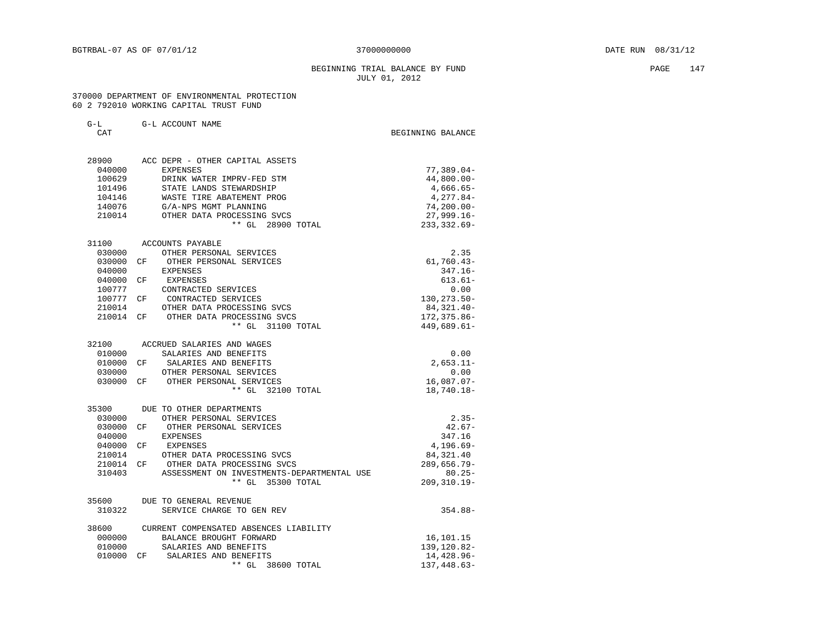## BEGINNING TRIAL BALANCE BY FUND **EXAMPLE 147** JULY 01, 2012

#### 370000 DEPARTMENT OF ENVIRONMENTAL PROTECTION 60 2 792010 WORKING CAPITAL TRUST FUND

| $G-L$<br>CAT | G-L ACCOUNT NAME                                                | BEGINNING BALANCE             |
|--------------|-----------------------------------------------------------------|-------------------------------|
| 28900        | ACC DEPR - OTHER CAPITAL ASSETS                                 |                               |
| 040000       | <b>EXPENSES</b>                                                 | $77,389.04-$                  |
| 100629       | DRINK WATER IMPRV-FED STM                                       | $44,800.00-$                  |
| 101496       | STATE LANDS STEWARDSHIP                                         | 4,666.65-                     |
| 104146       | WASTE TIRE ABATEMENT PROG<br>G/A-NPS MGMT PLANNING              | 4,277.84-                     |
| 140076       |                                                                 | $74, 200.00 -$                |
|              | 210014 OTHER DATA PROCESSING SVCS<br>** GL 28900 TOTAL          | $27,999.16 -$<br>233, 332.69- |
| 31100        | ACCOUNTS PAYABLE                                                |                               |
| 030000       | OTHER PERSONAL SERVICES                                         | 2.35                          |
| 030000 CF    | OTHER PERSONAL SERVICES                                         | $61,760.43-$                  |
| 040000       | <b>EXPENSES</b>                                                 | $347.16-$                     |
| 040000       | CF<br>EXPENSES                                                  | $613.61 -$                    |
| 100777       | CONTRACTED SERVICES                                             | 0.00                          |
| 100777 CF    | CONTRACTED SERVICES                                             | 130, 273.50-                  |
| 210014       | OTHER DATA PROCESSING SVCS                                      | 84,321.40-                    |
| 210014 CF    | OTHER DATA PROCESSING SVCS<br>$***$ GL<br>31100 TOTAL           | 172,375.86-<br>$449,689.61-$  |
|              |                                                                 |                               |
| 32100        | ACCRUED SALARIES AND WAGES                                      |                               |
| 010000       | SALARIES AND BENEFITS                                           | 0.00                          |
| 010000 CF    | SALARIES AND BENEFITS                                           | $2,653.11-$                   |
| 030000       | OTHER PERSONAL SERVICES                                         | 0.00                          |
| 030000 CF    | OTHER PERSONAL SERVICES<br>** GL 32100 TOTAL                    | $16,087.07 -$<br>18,740.18-   |
|              |                                                                 |                               |
| 35300        | DUE TO OTHER DEPARTMENTS                                        |                               |
| 030000       | OTHER PERSONAL SERVICES                                         | $2.35-$                       |
| 030000       | OTHER PERSONAL SERVICES<br>CF                                   | $42.67-$                      |
| 040000       | <b>EXPENSES</b>                                                 | 347.16                        |
| 040000 CF    | EXPENSES                                                        | $4, 196.69 -$                 |
| 210014       | OTHER DATA PROCESSING SVCS                                      | 84,321.40                     |
| 210014 CF    | OTHER DATA PROCESSING SVCS                                      | 289,656.79-                   |
| 310403       | ASSESSMENT ON INVESTMENTS-DEPARTMENTAL USE<br>** GL 35300 TOTAL | $80.25 -$<br>209, 310.19-     |
| 35600        | DUE TO GENERAL REVENUE                                          |                               |
| 310322       | SERVICE CHARGE TO GEN REV                                       | $354.88 -$                    |
| 38600        | CURRENT COMPENSATED ABSENCES LIABILITY                          |                               |
| 000000       | BALANCE BROUGHT FORWARD                                         | 16,101.15                     |
| 010000       | SALARIES AND BENEFITS                                           | 139, 120.82-                  |

010000 CF SALARIES AND BENEFITS 14,428.96-<br>\*\* GL 38600 TOTAL 137,448.63-\*\* GL 38600 TOTAL 137,448.63-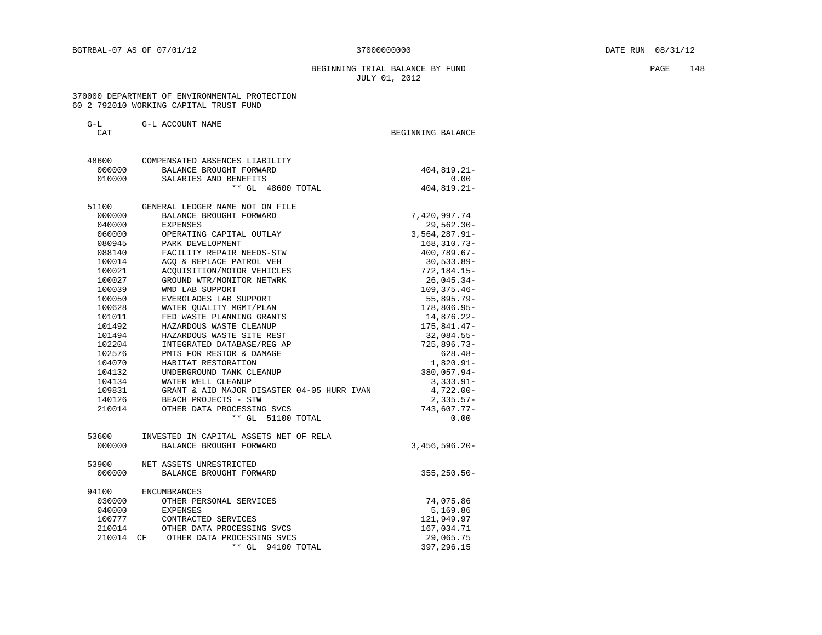# BEGINNING TRIAL BALANCE BY FUND **EXAMPLE 148** JULY 01, 2012

#### 370000 DEPARTMENT OF ENVIRONMENTAL PROTECTION 60 2 792010 WORKING CAPITAL TRUST FUND

| G-L<br>CAT | G-L ACCOUNT NAME                           | BEGINNING BALANCE |
|------------|--------------------------------------------|-------------------|
|            |                                            |                   |
| 48600      | COMPENSATED ABSENCES LIABILITY             |                   |
| 000000     | BALANCE BROUGHT FORWARD                    | $404, 819.21 -$   |
| 010000     | SALARIES AND BENEFITS                      | 0.00              |
|            | ** GL 48600 TOTAL                          | 404,819.21-       |
| 51100      | GENERAL LEDGER NAME NOT ON FILE            |                   |
| 000000     | BALANCE BROUGHT FORWARD                    | 7,420,997.74      |
| 040000     | EXPENSES                                   | $29,562.30 -$     |
| 060000     | OPERATING CAPITAL OUTLAY                   | $3,564,287.91-$   |
| 080945     | PARK DEVELOPMENT                           | $168, 310.73 -$   |
| 088140     | FACILITY REPAIR NEEDS-STW                  | 400,789.67-       |
| 100014     | ACO & REPLACE PATROL VEH                   | $30,533.89 -$     |
| 100021     | ACQUISITION/MOTOR VEHICLES                 | $772, 184.15 -$   |
| 100027     | GROUND WTR/MONITOR NETWRK                  | 26,045.34-        |
| 100039     | WMD LAB SUPPORT                            | 109, 375. 46-     |
| 100050     | EVERGLADES LAB SUPPORT                     | 55,895.79-        |
| 100628     | WATER QUALITY MGMT/PLAN                    | 178,806.95-       |
| 101011     | FED WASTE PLANNING GRANTS                  | 14,876.22-        |
| 101492     | HAZARDOUS WASTE CLEANUP                    | $175,841.47-$     |
| 101494     | HAZARDOUS WASTE SITE REST                  | 32,084.55-        |
| 102204     | INTEGRATED DATABASE/REG AP                 | $725,896.73-$     |
| 102576     | PMTS FOR RESTOR & DAMAGE                   | 628.48-           |
| 104070     | HABITAT RESTORATION                        | $1,820.91 -$      |
| 104132     | UNDERGROUND TANK CLEANUP                   | $380,057.94 -$    |
| 104134     | UNDERGROUP<br>WATER WELL CLEANUP           | $3,333.91-$       |
| 109831     | GRANT & AID MAJOR DISASTER 04-05 HURR IVAN | $4,722.00-$       |
| 140126     | BEACH PROJECTS - STW                       | $2,335.57-$       |
| 210014     | OTHER DATA PROCESSING SVCS                 | 743,607.77-       |
|            | ** GL 51100 TOTAL                          | 0.00              |
| 53600      | INVESTED IN CAPITAL ASSETS NET OF RELA     |                   |
| 000000     | BALANCE BROUGHT FORWARD                    | $3,456,596.20 -$  |
| 53900      | NET ASSETS UNRESTRICTED                    |                   |
| 000000     | BALANCE BROUGHT FORWARD                    | $355, 250.50 -$   |
| 94100      | <b>ENCUMBRANCES</b>                        |                   |
| 030000     | OTHER PERSONAL SERVICES                    | 74,075.86         |
| 040000     | EXPENSES                                   | 5,169.86          |
| 100777     | CONTRACTED SERVICES                        | 121,949.97        |
| 210014     | OTHER DATA PROCESSING SVCS                 | 167,034.71        |
| 210014 CF  | OTHER DATA PROCESSING SVCS                 | 29,065.75         |
|            | $**$ GL<br>94100 TOTAL                     | 397,296.15        |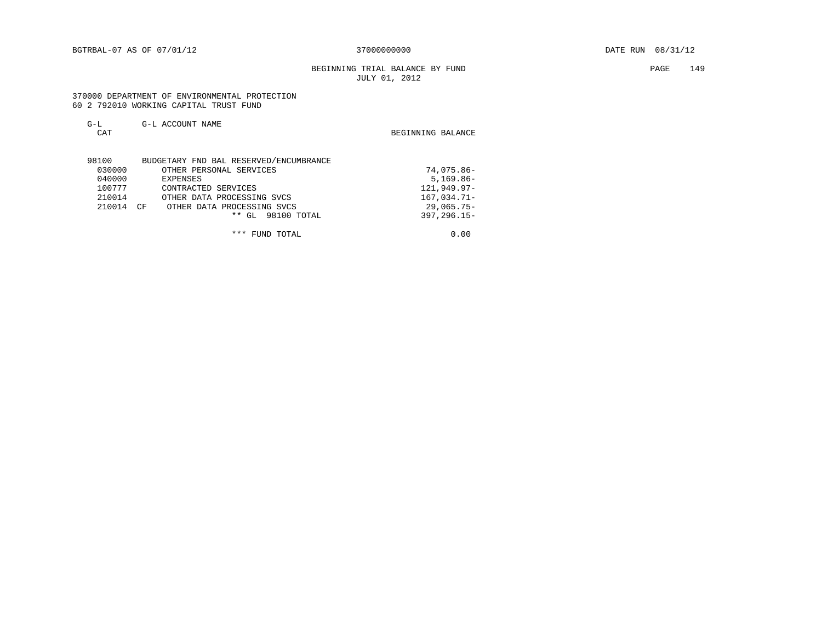# BEGINNING TRIAL BALANCE BY FUND **EXAMPLE 149** PAGE 149 JULY 01, 2012

 370000 DEPARTMENT OF ENVIRONMENTAL PROTECTION 60 2 792010 WORKING CAPITAL TRUST FUND

| $G-L$<br>CAT | G-L ACCOUNT NAME                       | BEGINNING BALANCE |
|--------------|----------------------------------------|-------------------|
| 98100        | BUDGETARY FND BAL RESERVED/ENCUMBRANCE |                   |
| 030000       | OTHER PERSONAL SERVICES                | 74,075.86-        |
| 040000       | <b>EXPENSES</b>                        | $5,169.86 -$      |
| 100777       | CONTRACTED SERVICES                    | $121,949.97-$     |
| 210014       | OTHER DATA PROCESSING SVCS             | $167,034.71-$     |
| 210014       | CF<br>OTHER DATA PROCESSING SVCS       | $29,065.75-$      |
|              | 98100 TOTAL<br>$**$ GL                 | $397, 296.15 -$   |
|              | ***<br>FUND TOTAL                      | 0.00              |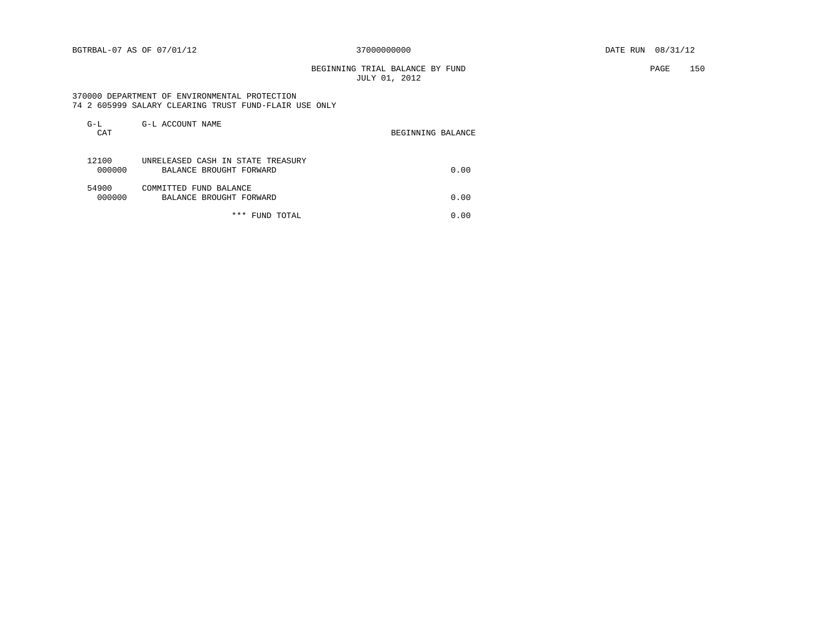# BEGINNING TRIAL BALANCE BY FUND PAGE 150 JULY 01, 2012

 370000 DEPARTMENT OF ENVIRONMENTAL PROTECTION 74 2 605999 SALARY CLEARING TRUST FUND-FLAIR USE ONLY

| $G-L$<br>CAT    | G-L ACCOUNT NAME                                             | BEGINNING BALANCE |
|-----------------|--------------------------------------------------------------|-------------------|
| 12100<br>000000 | UNRELEASED CASH IN STATE TREASURY<br>BALANCE BROUGHT FORWARD | 0.00              |
| 54900<br>000000 | COMMITTED FUND BALANCE<br>BALANCE BROUGHT FORWARD            | 0.00              |
|                 | ***<br>FUND TOTAL                                            | 0.00              |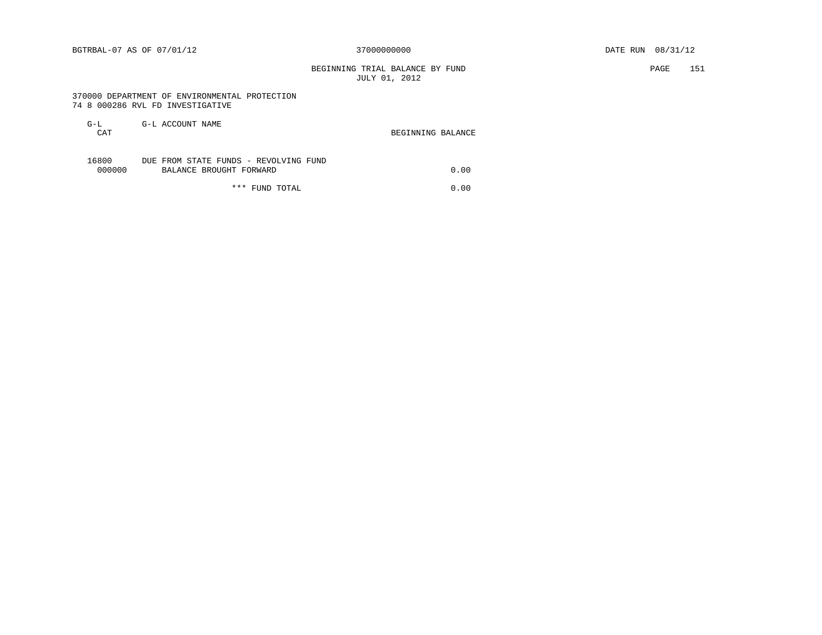# BEGINNING TRIAL BALANCE BY FUND PAGE 151 JULY 01, 2012

 370000 DEPARTMENT OF ENVIRONMENTAL PROTECTION 74 8 000286 RVL FD INVESTIGATIVE

| G-L<br>CAT      | G-L ACCOUNT NAME                                                 | BEGINNING BALANCE |
|-----------------|------------------------------------------------------------------|-------------------|
| 16800<br>000000 | DUE FROM STATE FUNDS - REVOLVING FUND<br>BALANCE BROUGHT FORWARD | 0.00              |
|                 | *** FUND TOTAL                                                   | 0.00              |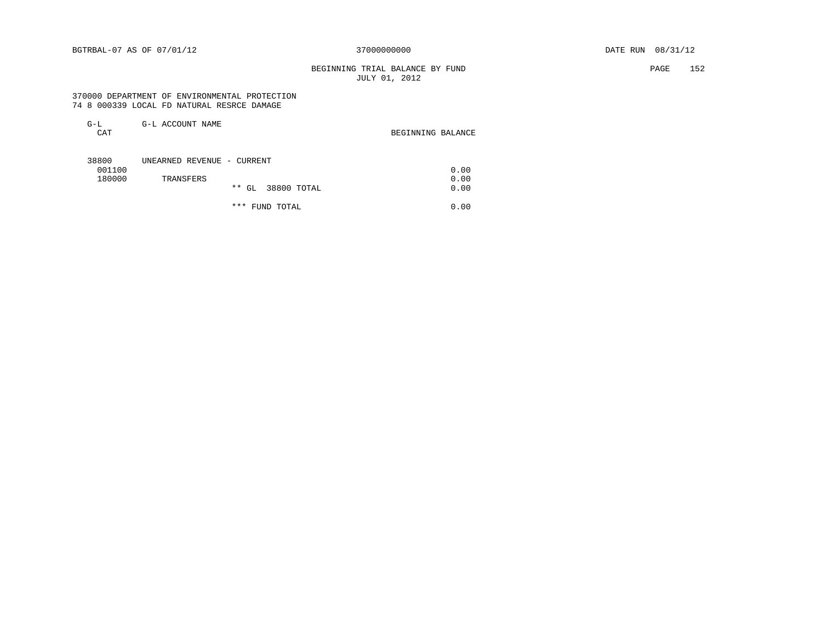# BEGINNING TRIAL BALANCE BY FUND PAGE 152 JULY 01, 2012

 370000 DEPARTMENT OF ENVIRONMENTAL PROTECTION 74 8 000339 LOCAL FD NATURAL RESRCE DAMAGE

| G-L<br>CAT | G-L ACCOUNT NAME           | BEGINNING BALANCE |
|------------|----------------------------|-------------------|
| 38800      | UNEARNED REVENUE - CURRENT |                   |
| 001100     |                            | 0.00              |
| 180000     | TRANSFERS                  | 0.00              |
|            | 38800 TOTAL<br>** GL       | 0.00              |

\*\*\* FUND TOTAL 0.00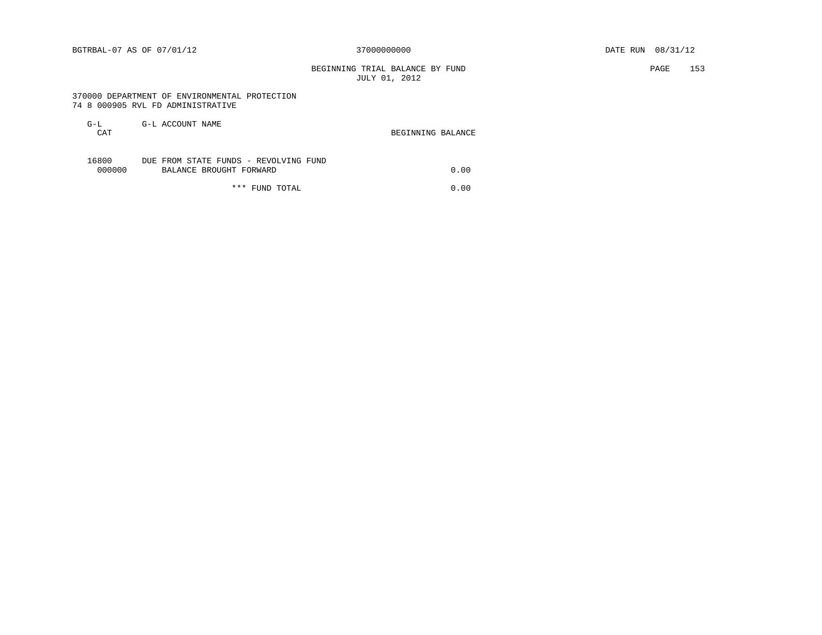BEGINNING TRIAL BALANCE BY FUND PAGE 153 JULY 01, 2012

 370000 DEPARTMENT OF ENVIRONMENTAL PROTECTION 74 8 000905 RVL FD ADMINISTRATIVE

| G-L<br>CAT      | G-L ACCOUNT NAME                                                 | BEGINNING BALANCE |
|-----------------|------------------------------------------------------------------|-------------------|
| 16800<br>000000 | DUE FROM STATE FUNDS - REVOLVING FUND<br>BALANCE BROUGHT FORWARD | 0.00              |
|                 | *** FUND TOTAL                                                   | 0.00              |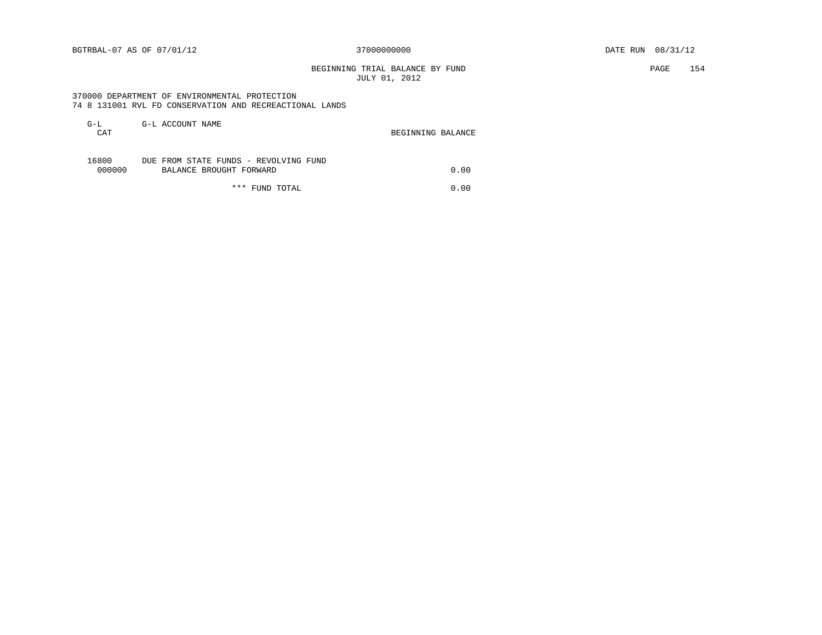BEGINNING TRIAL BALANCE BY FUND PAGE 154 JULY 01, 2012

 370000 DEPARTMENT OF ENVIRONMENTAL PROTECTION 74 8 131001 RVL FD CONSERVATION AND RECREACTIONAL LANDS

| $G-L$<br>CAT    | G-L ACCOUNT NAME                                                 | BEGINNING BALANCE |
|-----------------|------------------------------------------------------------------|-------------------|
| 16800<br>000000 | DUE FROM STATE FUNDS - REVOLVING FUND<br>BALANCE BROUGHT FORWARD | 0.00              |

\*\*\* FUND TOTAL 0.00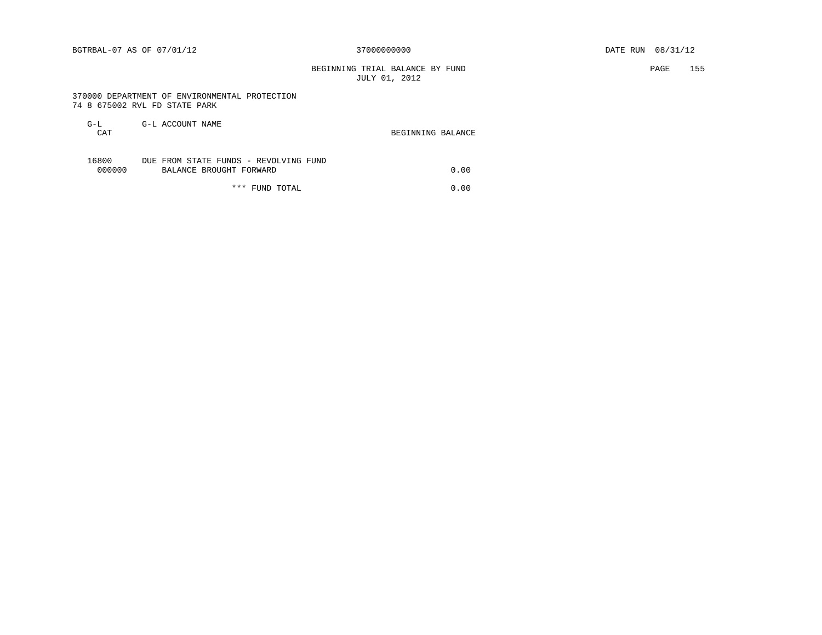BEGINNING TRIAL BALANCE BY FUND PAGE 155 JULY 01, 2012

 370000 DEPARTMENT OF ENVIRONMENTAL PROTECTION 74 8 675002 RVL FD STATE PARK

| G-L<br>CAT      | G-L ACCOUNT NAME                                                 | BEGINNING BALANCE |
|-----------------|------------------------------------------------------------------|-------------------|
| 16800<br>000000 | DUE FROM STATE FUNDS - REVOLVING FUND<br>BALANCE BROUGHT FORWARD | 0.00              |
|                 | *** FUND TOTAL                                                   | 0.00              |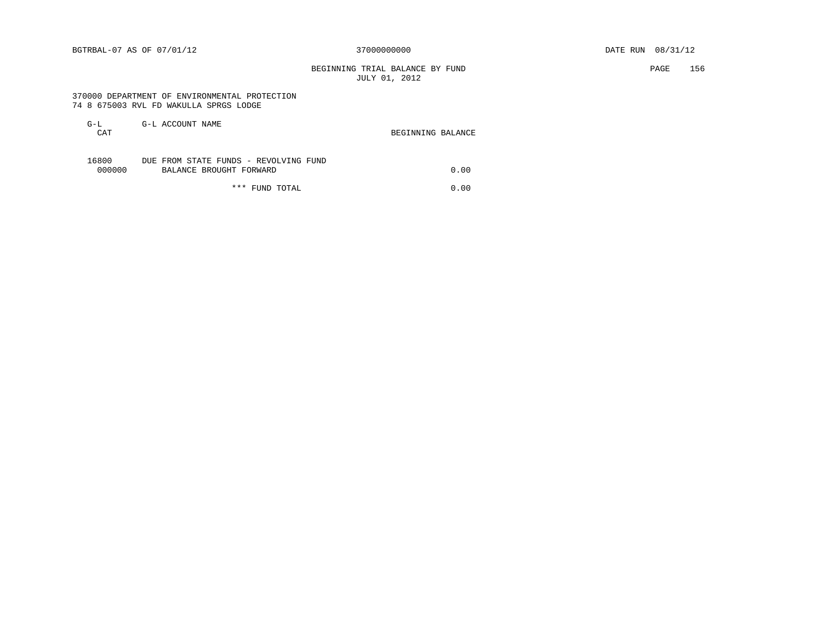# BEGINNING TRIAL BALANCE BY FUND PAGE 156 JULY 01, 2012

 370000 DEPARTMENT OF ENVIRONMENTAL PROTECTION 74 8 675003 RVL FD WAKULLA SPRGS LODGE

| G-L<br>CAT      | G-L ACCOUNT NAME                                                 | BEGINNING BALANCE |
|-----------------|------------------------------------------------------------------|-------------------|
| 16800<br>000000 | DUE FROM STATE FUNDS - REVOLVING FUND<br>BALANCE BROUGHT FORWARD | 0.00              |
|                 | *** FUND TOTAL                                                   | 0.00              |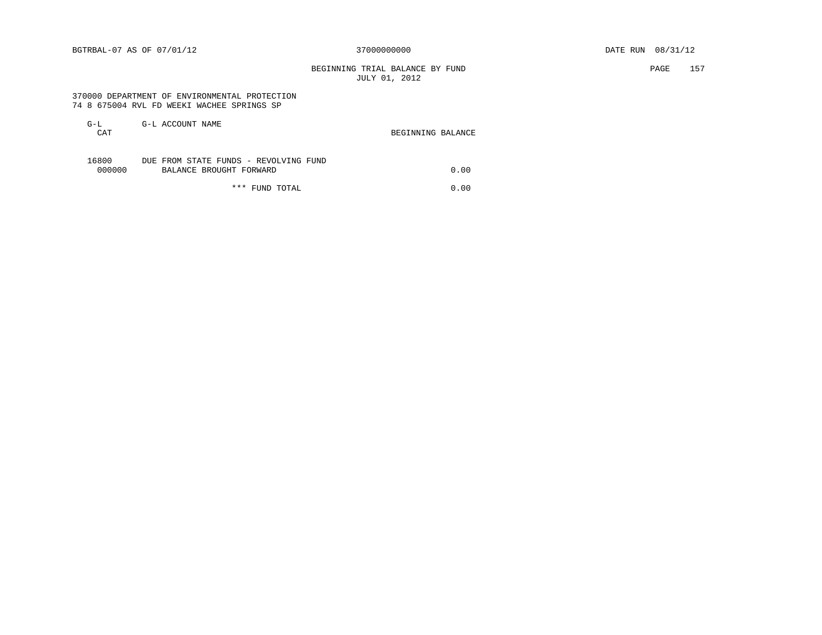BEGINNING TRIAL BALANCE BY FUND **EXAMPLE 157** JULY 01, 2012

 370000 DEPARTMENT OF ENVIRONMENTAL PROTECTION 74 8 675004 RVL FD WEEKI WACHEE SPRINGS SP

| G-L<br>CAT      | G-L ACCOUNT NAME                                                 | BEGINNING BALANCE |
|-----------------|------------------------------------------------------------------|-------------------|
| 16800<br>000000 | DUE FROM STATE FUNDS - REVOLVING FUND<br>BALANCE BROUGHT FORWARD | 0.00              |

\*\*\* FUND TOTAL 0.00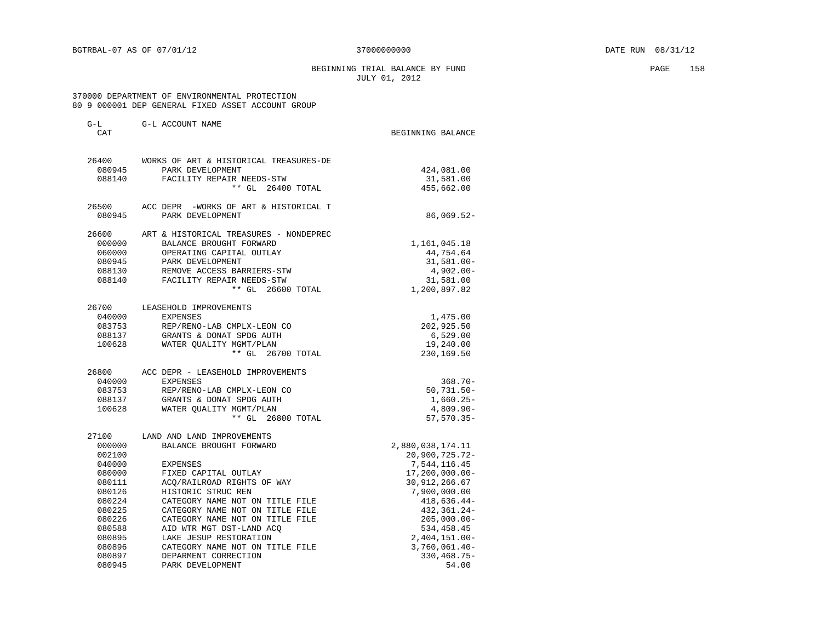# BEGINNING TRIAL BALANCE BY FUND PAGE 158 JULY 01, 2012

| $G-L$<br>CAT     | G-L ACCOUNT NAME                                        |                                     |
|------------------|---------------------------------------------------------|-------------------------------------|
|                  |                                                         | BEGINNING BALANCE                   |
| 26400            | WORKS OF ART & HISTORICAL TREASURES-DE                  |                                     |
| 080945           | PARK DEVELOPMENT                                        | 424,081.00                          |
| 088140           | FACILITY REPAIR NEEDS-STW                               | 31,581.00                           |
|                  | ** GL 26400 TOTAL                                       | 455,662.00                          |
| 26500            | ACC DEPR -WORKS OF ART & HISTORICAL T                   |                                     |
| 080945           | PARK DEVELOPMENT                                        | $86,069.52-$                        |
| 26600            | ART & HISTORICAL TREASURES - NONDEPREC                  |                                     |
| 000000           | BALANCE BROUGHT FORWARD                                 | 1,161,045.18                        |
| 060000           | OPERATING CAPITAL OUTLAY                                | 44,754.64                           |
| 080945           | PARK DEVELOPMENT                                        | $31,581.00 -$                       |
| 088130<br>088140 | REMOVE ACCESS BARRIERS-STW<br>FACILITY REPAIR NEEDS-STW | $4,902.00 -$                        |
|                  | ** GL 26600 TOTAL                                       | 31,581.00<br>1,200,897.82           |
|                  |                                                         |                                     |
| 26700            | LEASEHOLD IMPROVEMENTS                                  |                                     |
| 040000           | <b>EXPENSES</b>                                         | 1,475.00                            |
| 083753           | REP/RENO-LAB CMPLX-LEON CO                              | 202,925.50                          |
| 088137           | GRANTS & DONAT SPDG AUTH                                | 6,529.00                            |
| 100628           | WATER OUALITY MGMT/PLAN<br>** GL 26700 TOTAL            | 19,240.00<br>230,169.50             |
|                  |                                                         |                                     |
| 26800            | ACC DEPR - LEASEHOLD IMPROVEMENTS                       |                                     |
| 040000           | EXPENSES                                                | $368.70 -$                          |
| 083753           | REP/RENO-LAB CMPLX-LEON CO                              | $50,731.50 -$                       |
| 088137           | GRANTS & DONAT SPDG AUTH                                | $1,660.25-$                         |
| 100628           | WATER QUALITY MGMT/PLAN<br>** GL 26800 TOTAL            | $4,809.90 -$<br>$57, 570.35 -$      |
|                  |                                                         |                                     |
| 27100            | LAND AND LAND IMPROVEMENTS                              |                                     |
| 000000           | BALANCE BROUGHT FORWARD                                 | 2,880,038,174.11                    |
| 002100<br>040000 | EXPENSES                                                | $20,900,725.72-$                    |
| 080000           | FIXED CAPITAL OUTLAY                                    | 7,544,116.45<br>$17, 200, 000.00 -$ |
| 080111           | ACQ/RAILROAD RIGHTS OF WAY                              | 30, 912, 266.67                     |
| 080126           | HISTORIC STRUC REN                                      | 7,900,000.00                        |
| 080224           | CATEGORY NAME NOT ON TITLE FILE                         | $418,636.44-$                       |
| 080225           | CATEGORY NAME NOT ON TITLE FILE                         | 432,361.24-                         |
| 080226           | CATEGORY NAME NOT ON TITLE FILE                         | $205,000.00 -$                      |
| 080588           | AID WTR MGT DST-LAND ACQ                                | 534,458.45                          |
| 080895           | LAKE JESUP RESTORATION                                  | 2,404,151.00-                       |
| 080896           | CATEGORY NAME NOT ON TITLE FILE                         | $3,760,061.40-$                     |
| 080897           | DEPARMENT CORRECTION                                    | $330, 468.75 -$                     |
| 080945           | PARK DEVELOPMENT                                        | 54.00                               |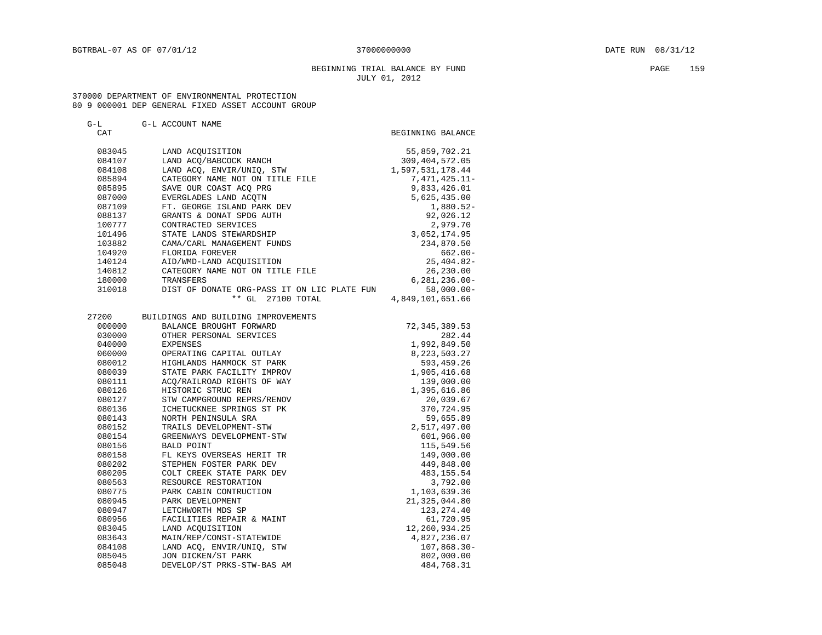# BEGINNING TRIAL BALANCE BY FUND PAGE 159 JULY 01, 2012

| $G-L$  | G-L ACCOUNT NAME                            |                    |
|--------|---------------------------------------------|--------------------|
| CAT    |                                             | BEGINNING BALANCE  |
| 083045 | LAND ACQUISITION                            | 55,859,702.21      |
| 084107 | LAND ACO/BABCOCK RANCH                      | 309, 404, 572.05   |
| 084108 | LAND ACO, ENVIR/UNIO, STW                   | 1,597,531,178.44   |
| 085894 | CATEGORY NAME NOT ON TITLE FILE             | 7,471,425.11-      |
| 085895 | SAVE OUR COAST ACO PRG                      | 9,833,426.01       |
| 087000 | EVERGLADES LAND ACOTN                       | 5,625,435.00       |
| 087109 | FT. GEORGE ISLAND PARK DEV                  | $1,880.52-$        |
| 088137 | GRANTS & DONAT SPDG AUTH                    | 92,026.12          |
| 100777 | CONTRACTED SERVICES                         | 2,979.70           |
| 101496 | STATE LANDS STEWARDSHIP                     | 3,052,174.95       |
| 103882 | CAMA/CARL MANAGEMENT FUNDS                  | 234,870.50         |
| 104920 | FLORIDA FOREVER                             | $662.00 -$         |
| 140124 | AID/WMD-LAND ACOUISITION                    | $25,404.82-$       |
| 140812 | CATEGORY NAME NOT ON TITLE FILE             | 26,230.00          |
| 180000 | TRANSFERS                                   | $6, 281, 236.00 -$ |
| 310018 | DIST OF DONATE ORG-PASS IT ON LIC PLATE FUN | $58,000.00 -$      |
|        | ** GL 27100 TOTAL                           | 4,849,101,651.66   |
| 27200  | BUILDINGS AND BUILDING IMPROVEMENTS         |                    |
| 000000 | BALANCE BROUGHT FORWARD                     | 72, 345, 389.53    |
| 030000 | OTHER PERSONAL SERVICES                     | 282.44             |
| 040000 | <b>EXPENSES</b>                             | 1,992,849.50       |
| 060000 | OPERATING CAPITAL OUTLAY                    | 8, 223, 503. 27    |
| 080012 | HIGHLANDS HAMMOCK ST PARK                   | 593, 459.26        |
| 080039 | STATE PARK FACILITY IMPROV                  | 1,905,416.68       |
| 080111 | ACQ/RAILROAD RIGHTS OF WAY                  | 139,000.00         |
| 080126 | HISTORIC STRUC REN                          | 1,395,616.86       |
| 080127 | STW CAMPGROUND REPRS/RENOV                  | 20,039.67          |
| 080136 | ICHETUCKNEE SPRINGS ST PK                   | 370,724.95         |
| 080143 | NORTH PENINSULA SRA                         | 59,655.89          |
| 080152 | TRAILS DEVELOPMENT-STW                      | 2,517,497.00       |
| 080154 | GREENWAYS DEVELOPMENT-STW                   | 601,966.00         |
| 080156 | <b>BALD POINT</b>                           | 115,549.56         |
| 080158 | FL KEYS OVERSEAS HERIT TR                   | 149,000.00         |
| 080202 | STEPHEN FOSTER PARK DEV                     | 449,848.00         |
| 080205 | COLT CREEK STATE PARK DEV                   | 483, 155.54        |
| 080563 | RESOURCE RESTORATION                        | 3,792.00           |
| 080775 | PARK CABIN CONTRUCTION                      | 1,103,639.36       |
| 080945 | PARK DEVELOPMENT                            | 21, 325, 044.80    |
| 080947 | LETCHWORTH MDS SP                           | 123, 274.40        |
| 080956 | FACILITIES REPAIR & MAINT                   | 61,720.95          |
| 083045 | LAND ACOUISITION                            | 12, 260, 934.25    |
| 083643 | MAIN/REP/CONST-STATEWIDE                    | 4,827,236.07       |
| 084108 | LAND ACQ, ENVIR/UNIQ, STW                   | $107,868.30-$      |
| 085045 | JON DICKEN/ST PARK                          | 802,000.00         |
| 085048 | DEVELOP/ST PRKS-STW-BAS AM                  | 484,768.31         |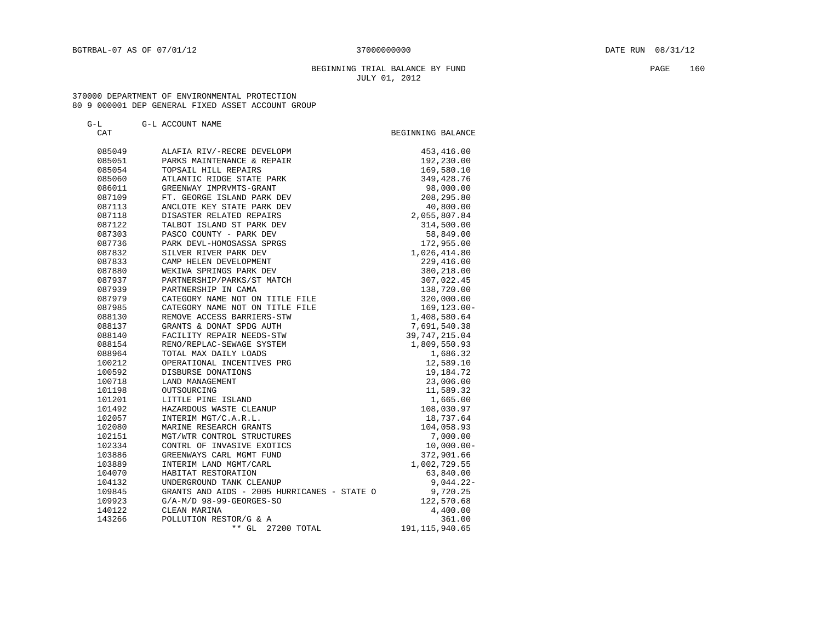G-L G-L ACCOUNT NAME

## BEGINNING TRIAL BALANCE BY FUND PAGE 160 JULY 01, 2012

| ີ      | G H TOCOON T MARR                           |                   |
|--------|---------------------------------------------|-------------------|
| CAT    |                                             | BEGINNING BALANCE |
| 085049 | ALAFIA RIV/-RECRE DEVELOPM                  | 453, 416.00       |
| 085051 | PARKS MAINTENANCE & REPAIR                  | 192,230.00        |
| 085054 | TOPSAIL HILL REPAIRS                        | 169,580.10        |
| 085060 | ATLANTIC RIDGE STATE PARK                   | 349, 428.76       |
| 086011 | GREENWAY IMPRVMTS-GRANT                     | 98,000.00         |
| 087109 | FT. GEORGE ISLAND PARK DEV                  | 208, 295.80       |
| 087113 | ANCLOTE KEY STATE PARK DEV                  | 40,800.00         |
| 087118 | DISASTER RELATED REPAIRS                    | 2,055,807.84      |
| 087122 | TALBOT ISLAND ST PARK DEV                   | 314,500.00        |
| 087303 | PASCO COUNTY - PARK DEV                     | 58,849.00         |
| 087736 | PARK DEVL-HOMOSASSA SPRGS                   | 172,955.00        |
| 087832 | SILVER RIVER PARK DEV                       | 1,026,414.80      |
| 087833 | CAMP HELEN DEVELOPMENT                      | 229,416.00        |
| 087880 | WEKIWA SPRINGS PARK DEV                     | 380,218.00        |
| 087937 | PARTNERSHIP/PARKS/ST MATCH                  | 307,022.45        |
| 087939 | PARTNERSHIP IN CAMA                         | 138,720.00        |
| 087979 | CATEGORY NAME NOT ON TITLE FILE             | 320,000.00        |
| 087985 | CATEGORY NAME NOT ON TITLE FILE             | $169, 123.00 -$   |
| 088130 | REMOVE ACCESS BARRIERS-STW                  | 1,408,580.64      |
| 088137 | GRANTS & DONAT SPDG AUTH                    | 7,691,540.38      |
| 088140 | FACILITY REPAIR NEEDS-STW                   | 39, 747, 215.04   |
| 088154 | RENO/REPLAC-SEWAGE SYSTEM                   | 1,809,550.93      |
| 088964 | TOTAL MAX DAILY LOADS                       | 1,686.32          |
| 100212 | OPERATIONAL INCENTIVES PRG                  | 12,589.10         |
| 100592 | DISBURSE DONATIONS                          | 19, 184. 72       |
| 100718 | LAND MANAGEMENT                             | 23,006.00         |
| 101198 | OUTSOURCING                                 | 11,589.32         |
| 101201 | LITTLE PINE ISLAND                          | 1,665.00          |
| 101492 | HAZARDOUS WASTE CLEANUP                     | 108,030.97        |
| 102057 | INTERIM MGT/C.A.R.L.                        | 18,737.64         |
| 102080 | MARINE RESEARCH GRANTS                      | 104,058.93        |
| 102151 | MGT/WTR CONTROL STRUCTURES                  | 7,000.00          |
| 102334 | CONTRL OF INVASIVE EXOTICS                  | $10,000.00 -$     |
| 103886 | GREENWAYS CARL MGMT FUND                    | 372,901.66        |
| 103889 | INTERIM LAND MGMT/CARL                      | 1,002,729.55      |
| 104070 | HABITAT RESTORATION                         | 63,840.00         |
| 104132 | UNDERGROUND TANK CLEANUP                    | $9,044.22-$       |
| 109845 | GRANTS AND AIDS - 2005 HURRICANES - STATE O | 9,720.25          |
| 109923 | $G/A-M/D$ 98-99-GEORGES-SO                  | 122,570.68        |
| 140122 | CLEAN MARINA                                | 4,400.00          |
| 143266 | POLLUTION RESTOR/G & A                      | 361.00            |
|        | ** GL<br>27200 TOTAL                        | 191, 115, 940.65  |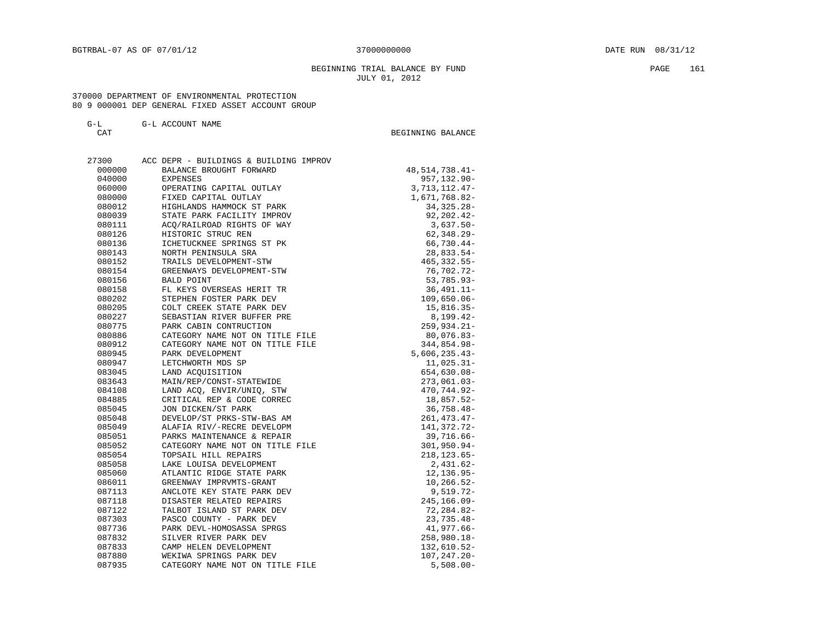# BEGINNING TRIAL BALANCE BY FUND **PAGE** 161 JULY 01, 2012

#### 370000 DEPARTMENT OF ENVIRONMENTAL PROTECTION 80 9 000001 DEP GENERAL FIXED ASSET ACCOUNT GROUP

#### G-L G-L ACCOUNT NAME

BEGINNING BALANCE

| 27300  | ACC DEPR - BUILDINGS & BUILDING IMPROV |                   |
|--------|----------------------------------------|-------------------|
| 000000 | BALANCE BROUGHT FORWARD                | 48, 514, 738. 41- |
| 040000 | <b>EXPENSES</b>                        | $957, 132.90 -$   |
| 060000 | OPERATING CAPITAL OUTLAY               | 3, 713, 112. 47-  |
| 080000 | FIXED CAPITAL OUTLAY                   | 1,671,768.82-     |
| 080012 | HIGHLANDS HAMMOCK ST PARK              | 34, 325. 28-      |
| 080039 | STATE PARK FACILITY IMPROV             | $92, 202.42 -$    |
| 080111 | ACQ/RAILROAD RIGHTS OF WAY             | $3,637.50-$       |
| 080126 | HISTORIC STRUC REN                     | $62, 348.29 -$    |
| 080136 | ICHETUCKNEE SPRINGS ST PK              | 66,730.44-        |
| 080143 | NORTH PENINSULA SRA                    | $28,833.54-$      |
| 080152 | TRAILS DEVELOPMENT-STW                 | $465, 332.55 -$   |
| 080154 | GREENWAYS DEVELOPMENT-STW              | 76,702.72-        |
| 080156 | BALD POINT                             | 53,785.93-        |
| 080158 | FL KEYS OVERSEAS HERIT TR              | $36,491.11-$      |
| 080202 | STEPHEN FOSTER PARK DEV                | $109,650.06 -$    |
| 080205 | COLT CREEK STATE PARK DEV              | $15,816.35-$      |
| 080227 | SEBASTIAN RIVER BUFFER PRE             | $8,199.42-$       |
| 080775 | PARK CABIN CONTRUCTION                 | $259, 934.21 -$   |
| 080886 | CATEGORY NAME NOT ON TITLE FILE        | $80,076.83 -$     |
| 080912 | CATEGORY NAME NOT ON TITLE FILE        | 344,854.98-       |
| 080945 | PARK DEVELOPMENT                       | $5,606,235.43-$   |
| 080947 | LETCHWORTH MDS SP                      | $11,025.31-$      |
| 083045 | LAND ACOUISITION                       | 654,630.08-       |
| 083643 | MAIN/REP/CONST-STATEWIDE               | $273,061.03-$     |
| 084108 | LAND ACQ, ENVIR/UNIQ, STW              | 470,744.92-       |
| 084885 | CRITICAL REP & CODE CORREC             | 18,857.52-        |
| 085045 | JON DICKEN/ST PARK                     | $36,758.48 -$     |
| 085048 | DEVELOP/ST PRKS-STW-BAS AM             | $261, 473.47 -$   |
| 085049 | ALAFIA RIV/-RECRE DEVELOPM             | 141,372.72-       |
| 085051 | PARKS MAINTENANCE & REPAIR             | 39,716.66-        |
| 085052 | CATEGORY NAME NOT ON TITLE FILE        | $301, 950.94 -$   |
| 085054 | TOPSAIL HILL REPAIRS                   | $218, 123.65 -$   |
| 085058 | LAKE LOUISA DEVELOPMENT                | $2,431.62-$       |
| 085060 | ATLANTIC RIDGE STATE PARK              | 12, 136.95-       |
| 086011 | GREENWAY IMPRVMTS-GRANT                | $10, 266.52 -$    |
| 087113 | ANCLOTE KEY STATE PARK DEV             | $9,519.72 -$      |
| 087118 | DISASTER RELATED REPAIRS               | $245, 166.09 -$   |
| 087122 | TALBOT ISLAND ST PARK DEV              | 72,284.82-        |
| 087303 | PASCO COUNTY - PARK DEV                | $23,735.48-$      |
| 087736 | PARK DEVL-HOMOSASSA SPRGS              | 41,977.66-        |
| 087832 | SILVER RIVER PARK DEV                  | $258,980.18 -$    |
| 087833 | CAMP HELEN DEVELOPMENT                 | $132,610.52-$     |
| 087880 | WEKIWA SPRINGS PARK DEV                | $107, 247.20 -$   |
| 087935 | CATEGORY NAME NOT ON TITLE FILE        | $5,508.00 -$      |
|        |                                        |                   |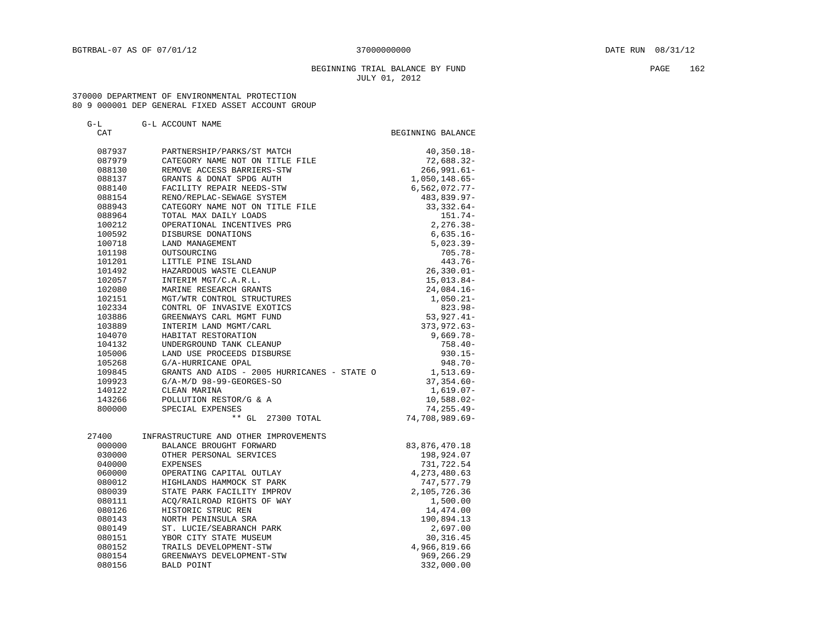# BEGINNING TRIAL BALANCE BY FUND **PAGE** 162 JULY 01, 2012

#### 370000 DEPARTMENT OF ENVIRONMENTAL PROTECTION 80 9 000001 DEP GENERAL FIXED ASSET ACCOUNT GROUP

| $G-L$  | G-L ACCOUNT NAME                            |                   |
|--------|---------------------------------------------|-------------------|
| CAT    |                                             | BEGINNING BALANCE |
| 087937 | PARTNERSHIP/PARKS/ST MATCH                  | $40, 350.18 -$    |
| 087979 | CATEGORY NAME NOT ON TITLE FILE             | $72,688.32-$      |
| 088130 | REMOVE ACCESS BARRIERS-STW                  | $266, 991.61 -$   |
| 088137 | GRANTS & DONAT SPDG AUTH                    | $1,050,148.65-$   |
| 088140 | FACILITY REPAIR NEEDS-STW                   | $6,562,072.77-$   |
| 088154 | RENO/REPLAC-SEWAGE SYSTEM                   | 483,839.97-       |
| 088943 | CATEGORY NAME NOT ON TITLE FILE             | $33,332.64-$      |
| 088964 | TOTAL MAX DAILY LOADS                       | 151.74-           |
| 100212 | OPERATIONAL INCENTIVES PRG                  | 2,276.38-         |
| 100592 | DISBURSE DONATIONS                          | $6,635.16-$       |
| 100718 | LAND MANAGEMENT                             | $5,023.39 -$      |
| 101198 | OUTSOURCING                                 | $705.78 -$        |
| 101201 | LITTLE PINE ISLAND                          | $443.76-$         |
| 101492 | HAZARDOUS WASTE CLEANUP                     | $26, 330.01 -$    |
| 102057 | INTERIM MGT/C.A.R.L.                        | 15,013.84-        |
| 102080 | MARINE RESEARCH GRANTS                      | $24,084.16-$      |
| 102151 | MGT/WTR CONTROL STRUCTURES                  | $1,050.21-$       |
| 102334 | CONTRL OF INVASIVE EXOTICS                  | $823.98 -$        |
| 103886 | GREENWAYS CARL MGMT FUND                    | $53,927.41-$      |
| 103889 | INTERIM LAND MGMT/CARL                      | $373, 972.63 -$   |
| 104070 | HABITAT RESTORATION                         | $9,669.78-$       |
| 104132 | UNDERGROUND TANK CLEANUP                    | $758.40-$         |
| 105006 | LAND USE PROCEEDS DISBURSE                  | $930.15 -$        |
| 105268 | G/A-HURRICANE OPAL                          | $948.70 -$        |
| 109845 | GRANTS AND AIDS - 2005 HURRICANES - STATE O | $1,513.69-$       |
| 109923 | G/A-M/D 98-99-GEORGES-SO                    | $37,354.60-$      |
| 140122 | CLEAN MARINA                                | $1,619.07-$       |
| 143266 | POLLUTION RESTOR/G & A                      | $10,588.02 -$     |
| 800000 | SPECIAL EXPENSES                            | $74, 255.49 -$    |
|        | ** GL 27300 TOTAL                           | 74,708,989.69-    |
| 27400  | INFRASTRUCTURE AND OTHER IMPROVEMENTS       |                   |
| 000000 | BALANCE BROUGHT FORWARD                     | 83,876,470.18     |
| 030000 | OTHER PERSONAL SERVICES                     | 198,924.07        |
| 040000 | <b>EXPENSES</b>                             | 731,722.54        |
| 060000 | OPERATING CAPITAL OUTLAY                    | 4, 273, 480.63    |
| 080012 | HIGHLANDS HAMMOCK ST PARK                   | 747,577.79        |
| 080039 | STATE PARK FACILITY IMPROV                  | 2,105,726.36      |
| 080111 | ACO/RAILROAD RIGHTS OF WAY                  | 1,500.00          |
| 080126 | HISTORIC STRUC REN                          | 14,474.00         |
| 080143 | NORTH PENINSULA SRA                         | 190,894.13        |
| 080149 | ST. LUCIE/SEABRANCH PARK                    | 2,697.00          |
| 080151 | YBOR CITY STATE MUSEUM                      | 30, 316.45        |
| 080152 | TRAILS DEVELOPMENT-STW                      | 4,966,819.66      |
| 080154 | GREENWAYS DEVELOPMENT-STW                   | 969, 266.29       |

080156 BALD POINT 332,000.00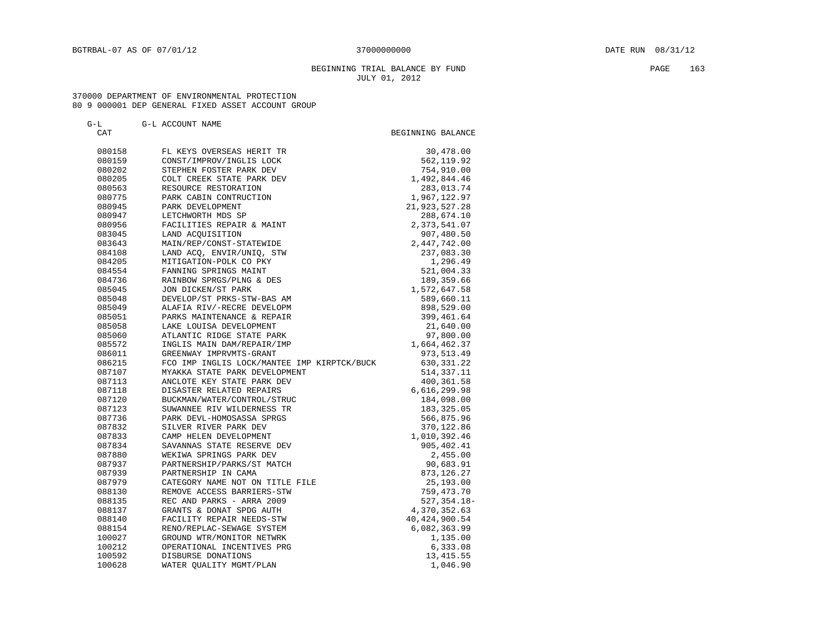G-L G-L ACCOUNT NAME

# BEGINNING TRIAL BALANCE BY FUND **PAGE** 163 JULY 01, 2012

| CAT    |                                             | BEGINNING BALANCE |
|--------|---------------------------------------------|-------------------|
| 080158 | FL KEYS OVERSEAS HERIT TR                   | 30,478.00         |
| 080159 | CONST/IMPROV/INGLIS LOCK                    | 562, 119.92       |
| 080202 | STEPHEN FOSTER PARK DEV                     | 754,910.00        |
| 080205 | COLT CREEK STATE PARK DEV                   | 1,492,844.46      |
| 080563 | RESOURCE RESTORATION                        | 283,013.74        |
| 080775 | PARK CABIN CONTRUCTION                      | 1,967,122.97      |
| 080945 | PARK DEVELOPMENT                            | 21,923,527.28     |
| 080947 | LETCHWORTH MDS SP                           | 288,674.10        |
| 080956 | FACILITIES REPAIR & MAINT                   | 2,373,541.07      |
| 083045 | LAND ACQUISITION                            | 907,480.50        |
| 083643 | MAIN/REP/CONST-STATEWIDE                    | 2,447,742.00      |
| 084108 | LAND ACO, ENVIR/UNIO, STW                   | 237,083.30        |
| 084205 | MITIGATION-POLK CO PKY                      | 1,296.49          |
| 084554 | FANNING SPRINGS MAINT                       | 521,004.33        |
| 084736 | RAINBOW SPRGS/PLNG & DES                    | 189,359.66        |
| 085045 | JON DICKEN/ST PARK                          | 1,572,647.58      |
| 085048 | DEVELOP/ST PRKS-STW-BAS AM                  | 589,660.11        |
| 085049 | ALAFIA RIV/-RECRE DEVELOPM                  | 898,529.00        |
| 085051 | PARKS MAINTENANCE & REPAIR                  | 399,461.64        |
| 085058 | LAKE LOUISA DEVELOPMENT                     | 21,640.00         |
| 085060 | ATLANTIC RIDGE STATE PARK                   | 97,800.00         |
| 085572 | INGLIS MAIN DAM/REPAIR/IMP                  | 1,664,462.37      |
| 086011 | GREENWAY IMPRVMTS-GRANT                     | 973, 513.49       |
| 086215 | FCO IMP INGLIS LOCK/MANTEE IMP KIRPTCK/BUCK | 630, 331.22       |
| 087107 | MYAKKA STATE PARK DEVELOPMENT               | 514, 337.11       |
| 087113 | ANCLOTE KEY STATE PARK DEV                  | 400,361.58        |
| 087118 | DISASTER RELATED REPAIRS                    | 6,616,299.98      |
| 087120 | BUCKMAN/WATER/CONTROL/STRUC                 | 184,098.00        |
| 087123 | SUWANNEE RIV WILDERNESS TR                  | 183, 325.05       |
| 087736 | PARK DEVL-HOMOSASSA SPRGS                   | 566,875.96        |
| 087832 | SILVER RIVER PARK DEV                       | 370,122.86        |
| 087833 | CAMP HELEN DEVELOPMENT                      | 1,010,392.46      |
| 087834 | SAVANNAS STATE RESERVE DEV                  | 905,402.41        |
| 087880 | WEKIWA SPRINGS PARK DEV                     | 2,455.00          |
| 087937 | PARTNERSHIP/PARKS/ST MATCH                  | 90,683.91         |
| 087939 | PARTNERSHIP IN CAMA                         | 873, 126.27       |
| 087979 | CATEGORY NAME NOT ON TITLE FILE             | 25,193.00         |
| 088130 | REMOVE ACCESS BARRIERS-STW                  | 759,473.70        |
| 088135 | REC AND PARKS - ARRA 2009                   | $527.354.18 -$    |
| 088137 | GRANTS & DONAT SPDG AUTH                    | 4,370,352.63      |
| 088140 | FACILITY REPAIR NEEDS-STW                   | 40, 424, 900. 54  |
| 088154 | RENO/REPLAC-SEWAGE SYSTEM                   | 6,082,363.99      |
| 100027 | GROUND WTR/MONITOR NETWRK                   | 1,135.00          |
| 100212 | OPERATIONAL INCENTIVES PRG                  | 6,333.08          |
| 100592 | DISBURSE DONATIONS                          | 13, 415.55        |
| 100628 | WATER OUALITY MGMT/PLAN                     | 1,046.90          |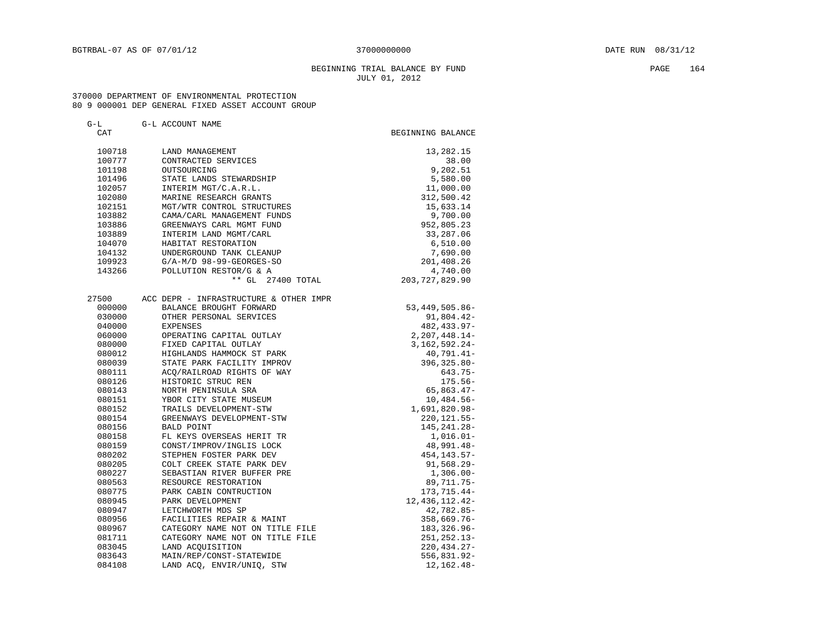## BEGINNING TRIAL BALANCE BY FUND **PAGE 164** JULY 01, 2012

| $G-L$            | G-L ACCOUNT NAME                                                   |                                |
|------------------|--------------------------------------------------------------------|--------------------------------|
| CAT              |                                                                    | BEGINNING BALANCE              |
| 100718           | LAND MANAGEMENT                                                    | 13,282.15                      |
| 100777           | CONTRACTED SERVICES                                                | 38.00                          |
| 101198           | OUTSOURCING                                                        | 9,202.51                       |
| 101496           | STATE LANDS STEWARDSHIP                                            | 5,580.00                       |
| 102057           | INTERIM MGT/C.A.R.L.                                               | 11,000.00                      |
| 102080           | MARINE RESEARCH GRANTS                                             | 312,500.42                     |
| 102151           | MGT/WTR CONTROL STRUCTURES                                         | 15,633.14                      |
| 103882           | CAMA/CARL MANAGEMENT FUNDS                                         | 9,700.00                       |
| 103886           | GREENWAYS CARL MGMT FUND                                           | 952,805.23                     |
| 103889           | INTERIM LAND MGMT/CARL                                             | 33,287.06                      |
| 104070           | HABITAT RESTORATION                                                | 6,510.00                       |
| 104132           | UNDERGROUND TANK CLEANUP                                           | 7,690.00                       |
| 109923           | G/A-M/D 98-99-GEORGES-SO                                           | 201,408.26                     |
| 143266           | POLLUTION RESTOR/G & A                                             | 4,740.00                       |
|                  | ** GL 27400 TOTAL                                                  | 203, 727, 829.90               |
| 27500            | ACC DEPR - INFRASTRUCTURE & OTHER IMPR                             |                                |
| 000000           | BALANCE BROUGHT FORWARD                                            | 53, 449, 505.86-               |
| 030000           | OTHER PERSONAL SERVICES                                            | 91,804.42-                     |
| 040000           | <b>EXPENSES</b>                                                    | 482, 433.97-                   |
| 060000           | OPERATING CAPITAL OUTLAY                                           | 2, 207, 448.14-                |
| 080000           | FIXED CAPITAL OUTLAY                                               | $3,162,592.24-$                |
| 080012           | HIGHLANDS HAMMOCK ST PARK                                          | 40,791.41-                     |
| 080039           | STATE PARK FACILITY IMPROV                                         | $396, 325.80 -$                |
| 080111           | ACO/RAILROAD RIGHTS OF WAY                                         | $643.75-$                      |
| 080126           | HISTORIC STRUC REN                                                 | $175.56-$                      |
| 080143           | NORTH PENINSULA SRA                                                | 65,863.47-                     |
| 080151           | YBOR CITY STATE MUSEUM                                             | $10,484.56-$                   |
| 080152           | TRAILS DEVELOPMENT-STW                                             | 1,691,820.98-                  |
| 080154           | GREENWAYS DEVELOPMENT-STW                                          | 220, 121.55-                   |
| 080156           | BALD POINT                                                         | 145,241.28-                    |
| 080158           | FL KEYS OVERSEAS HERIT TR                                          | $1,016.01-$                    |
| 080159           | CONST/IMPROV/INGLIS LOCK                                           | 48,991.48-                     |
| 080202           | STEPHEN FOSTER PARK DEV                                            | 454, 143. 57-                  |
| 080205           | COLT CREEK STATE PARK DEV                                          | $91,568.29 -$                  |
| 080227           | SEBASTIAN RIVER BUFFER PRE                                         | $1,306.00 -$                   |
| 080563           | RESOURCE RESTORATION                                               | 89, 711. 75-                   |
| 080775           | PARK CABIN CONTRUCTION                                             | 173,715.44-                    |
| 080945           | PARK DEVELOPMENT                                                   | 12, 436, 112. 42-              |
| 080947           | LETCHWORTH MDS SP                                                  | 42,782.85-                     |
| 080956           | FACILITIES REPAIR & MAINT                                          | $358,669.76-$                  |
| 080967<br>081711 | CATEGORY NAME NOT ON TITLE FILE<br>CATEGORY NAME NOT ON TITLE FILE | 183, 326.96-                   |
| 083045           | LAND ACOUISITION                                                   | $251, 252.13 -$                |
| 083643           | MAIN/REP/CONST-STATEWIDE                                           | $220, 434.27 -$<br>556,831.92- |
| 084108           | LAND ACQ, ENVIR/UNIQ, STW                                          | 12, 162. 48-                   |
|                  |                                                                    |                                |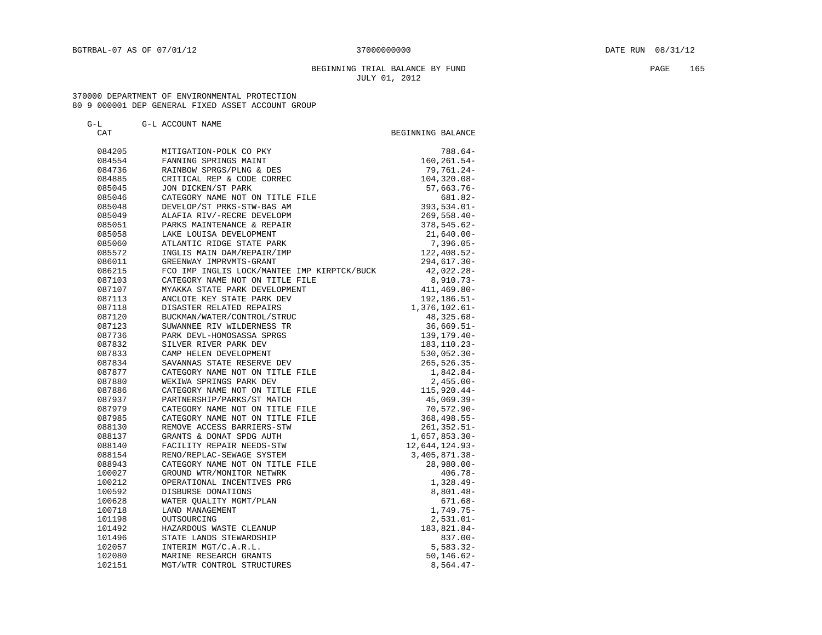# BEGINNING TRIAL BALANCE BY FUND PAGE 165 JULY 01, 2012

| $\sim$<br>$\rightarrow$ $-$ | G-L ACCOUNT<br>NAME |                   |  |
|-----------------------------|---------------------|-------------------|--|
| ጣአጥ                         |                     | BEGINNING BALANCE |  |

| 084205 | MITIGATION-POLK CO PKY                      | $788.64-$       |
|--------|---------------------------------------------|-----------------|
| 084554 | FANNING SPRINGS MAINT                       | $160, 261.54 -$ |
| 084736 | RAINBOW SPRGS/PLNG & DES                    | 79,761.24-      |
| 084885 | CRITICAL REP & CODE CORREC                  | 104,320.08-     |
| 085045 | JON DICKEN/ST PARK                          | $57,663.76 -$   |
| 085046 | CATEGORY NAME NOT ON TITLE FILE             | 681.82-         |
| 085048 | DEVELOP/ST PRKS-STW-BAS AM                  | $393, 534.01 -$ |
| 085049 | ALAFIA RIV/-RECRE DEVELOPM                  | $269,558.40-$   |
| 085051 | PARKS MAINTENANCE & REPAIR                  | $378,545.62-$   |
| 085058 | LAKE LOUISA DEVELOPMENT                     | $21,640.00 -$   |
| 085060 | ATLANTIC RIDGE STATE PARK                   | $7,396.05 -$    |
| 085572 | INGLIS MAIN DAM/REPAIR/IMP                  | 122,408.52-     |
| 086011 | GREENWAY IMPRVMTS-GRANT                     | 294,617.30-     |
| 086215 | FCO IMP INGLIS LOCK/MANTEE IMP KIRPTCK/BUCK | $42,022.28-$    |
| 087103 | CATEGORY NAME NOT ON TITLE FILE             | $8,910.73-$     |
| 087107 | MYAKKA STATE PARK DEVELOPMENT               | 411, 469.80-    |
| 087113 | ANCLOTE KEY STATE PARK DEV                  | 192, 186.51-    |
| 087118 | DISASTER RELATED REPAIRS                    | 1,376,102.61-   |
| 087120 | BUCKMAN/WATER/CONTROL/STRUC                 | 48,325.68-      |
| 087123 | SUWANNEE RIV WILDERNESS TR                  | $36,669.51-$    |
| 087736 | PARK DEVL-HOMOSASSA SPRGS                   | 139, 179. 40-   |
| 087832 | SILVER RIVER PARK DEV                       | 183, 110. 23-   |
| 087833 | CAMP HELEN DEVELOPMENT                      | $530,052.30 -$  |
| 087834 | SAVANNAS STATE RESERVE DEV                  | $265, 526.35 -$ |
| 087877 | CATEGORY NAME NOT ON TITLE FILE             | 1,842.84-       |
| 087880 | WEKIWA SPRINGS PARK DEV                     | $2,455.00 -$    |
| 087886 | CATEGORY NAME NOT ON TITLE FILE             | $115,920.44-$   |
| 087937 | PARTNERSHIP/PARKS/ST MATCH                  | $45,069.39 -$   |
| 087979 | CATEGORY NAME NOT ON TITLE FILE             | $70,572.90 -$   |
| 087985 | CATEGORY NAME NOT ON TITLE FILE             | $368, 498.55 -$ |
| 088130 | REMOVE ACCESS BARRIERS-STW                  | $261, 352.51 -$ |
| 088137 | GRANTS & DONAT SPDG AUTH                    | $1,657,853.30-$ |
| 088140 | FACILITY REPAIR NEEDS-STW                   | 12,644,124.93-  |
| 088154 | RENO/REPLAC-SEWAGE SYSTEM                   | 3,405,871.38-   |
| 088943 | CATEGORY NAME NOT ON TITLE FILE             | 28,980.00-      |
| 100027 | GROUND WTR/MONITOR NETWRK                   | $406.78 -$      |
| 100212 | OPERATIONAL INCENTIVES PRG                  | $1,328.49-$     |
| 100592 | DISBURSE DONATIONS                          | $8,801.48-$     |
| 100628 | WATER OUALITY MGMT/PLAN                     | $671.68 -$      |
| 100718 | LAND MANAGEMENT                             | $1,749.75-$     |
| 101198 | OUTSOURCING                                 | $2,531.01-$     |
| 101492 | HAZARDOUS WASTE CLEANUP                     | 183,821.84-     |
| 101496 | STATE LANDS STEWARDSHIP                     | $837.00 -$      |
| 102057 | INTERIM MGT/C.A.R.L.                        | $5,583.32-$     |
| 102080 | MARINE RESEARCH GRANTS                      | $50, 146.62 -$  |
| 102151 | MGT/WTR CONTROL STRUCTURES                  | $8,564.47-$     |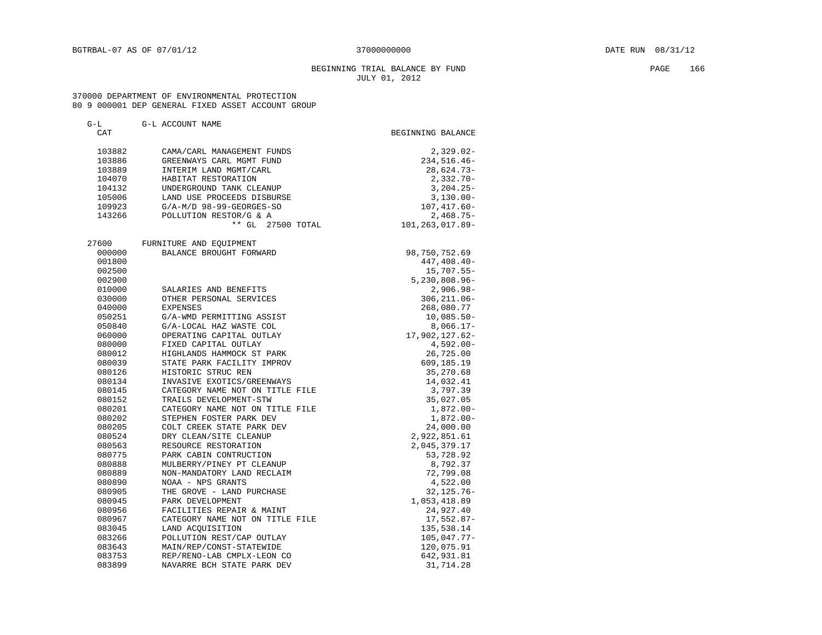# BEGINNING TRIAL BALANCE BY FUND **EXAMPLE 166** PAGE 166 JULY 01, 2012

| $G-L$            | G-L ACCOUNT NAME                                     |                   |
|------------------|------------------------------------------------------|-------------------|
| CAT              |                                                      | BEGINNING BALANCE |
|                  |                                                      |                   |
| 103882           | CAMA/CARL MANAGEMENT FUNDS                           | $2,329.02-$       |
| 103886           | GREENWAYS CARL MGMT FUND                             | 234,516.46-       |
| 103889           | INTERIM LAND MGMT/CARL                               | 28,624.73-        |
| 104070           | HABITAT RESTORATION                                  | $2,332.70-$       |
| 104132           | UNDERGROUND TANK CLEANUP                             | $3,204.25-$       |
| 105006           | LAND USE PROCEEDS DISBURSE                           | $3,130.00 -$      |
| 109923           | G/A-M/D 98-99-GEORGES-SO                             | $107,417.60-$     |
| 143266           | POLLUTION RESTOR/G & A                               | $2,468.75-$       |
|                  | ** GL 27500 TOTAL                                    | 101, 263, 017.89- |
| 27600            | FURNITURE AND EOUIPMENT                              |                   |
| 000000           | BALANCE BROUGHT FORWARD                              | 98,750,752.69     |
| 001800           |                                                      | 447,408.40-       |
| 002500           |                                                      | 15,707.55-        |
| 002900           |                                                      | $5,230,808.96 -$  |
| 010000           | SALARIES AND BENEFITS                                | $2,906.98 -$      |
| 030000           | OTHER PERSONAL SERVICES                              | $306, 211.06 -$   |
| 040000           | <b>EXPENSES</b>                                      | 268,080.77        |
| 050251           | G/A-WMD PERMITTING ASSIST                            | $10,085.50 -$     |
| 050840           | G/A-LOCAL HAZ WASTE COL                              | $8,066.17-$       |
| 060000           | OPERATING CAPITAL OUTLAY                             | 17,902,127.62-    |
| 080000           | FIXED CAPITAL OUTLAY                                 | $4,592.00 -$      |
| 080012           | HIGHLANDS HAMMOCK ST PARK                            | 26,725.00         |
| 080039           | STATE PARK FACILITY IMPROV                           | 609,185.19        |
| 080126           | HISTORIC STRUC REN                                   | 35,270.68         |
| 080134           | INVASIVE EXOTICS/GREENWAYS                           | 14,032.41         |
| 080145           | CATEGORY NAME NOT ON TITLE FILE                      | 3,797.39          |
| 080152           | TRAILS DEVELOPMENT-STW                               | 35,027.05         |
| 080201           | CATEGORY NAME NOT ON TITLE FILE                      | $1,872.00 -$      |
|                  |                                                      |                   |
| 080202<br>080205 | STEPHEN FOSTER PARK DEV<br>COLT CREEK STATE PARK DEV | $1,872.00 -$      |
|                  |                                                      | 24,000.00         |
| 080524           | DRY CLEAN/SITE CLEANUP                               | 2,922,851.61      |
| 080563           | RESOURCE RESTORATION                                 | 2,045,379.17      |
| 080775           | PARK CABIN CONTRUCTION                               | 53,728.92         |
| 080888           | MULBERRY/PINEY PT CLEANUP                            | 8,792.37          |
| 080889           | NON-MANDATORY LAND RECLAIM                           | 72,799.08         |
| 080890           | NOAA - NPS GRANTS                                    | 4,522.00          |
| 080905           | THE GROVE - LAND PURCHASE                            | $32, 125.76 -$    |
| 080945           | PARK DEVELOPMENT                                     | 1,053,418.89      |
| 080956           | FACILITIES REPAIR & MAINT                            | 24,927.40         |
| 080967           | CATEGORY NAME NOT ON TITLE FILE                      | $17,552.87-$      |
| 083045           | LAND ACOUISITION                                     | 135,538.14        |
| 083266           | POLLUTION REST/CAP OUTLAY                            | $105,047.77-$     |
| 083643           | MAIN/REP/CONST-STATEWIDE                             | 120,075.91        |
| 083753           | REP/RENO-LAB CMPLX-LEON CO                           | 642,931.81        |
| 083899           | NAVARRE BCH STATE PARK DEV                           | 31,714.28         |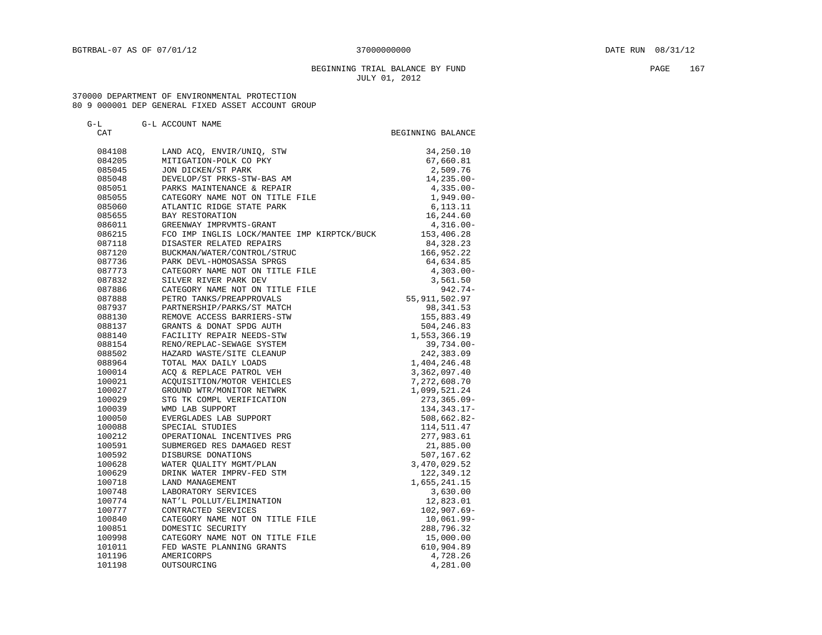G-L G-L ACCOUNT NAME

## BEGINNING TRIAL BALANCE BY FUND **PAGE** 167 JULY 01, 2012

| CAT    |                                             | BEGINNING BALANCE |
|--------|---------------------------------------------|-------------------|
| 084108 | LAND ACQ, ENVIR/UNIQ, STW                   | 34,250.10         |
| 084205 | MITIGATION-POLK CO PKY                      | 67,660.81         |
| 085045 | JON DICKEN/ST PARK                          | 2,509.76          |
| 085048 | DEVELOP/ST PRKS-STW-BAS AM                  | $14, 235.00 -$    |
| 085051 | PARKS MAINTENANCE & REPAIR                  | $4,335.00 -$      |
| 085055 | CATEGORY NAME NOT ON TITLE FILE             | $1,949.00 -$      |
| 085060 | ATLANTIC RIDGE STATE PARK                   | 6,113.11          |
| 085655 | BAY RESTORATION                             | 16,244.60         |
| 086011 | GREENWAY IMPRVMTS-GRANT                     | $4,316.00-$       |
| 086215 | FCO IMP INGLIS LOCK/MANTEE IMP KIRPTCK/BUCK | 153,406.28        |
| 087118 | DISASTER RELATED REPAIRS                    | 84, 328. 23       |
| 087120 | BUCKMAN/WATER/CONTROL/STRUC                 | 166,952.22        |
| 087736 | PARK DEVL-HOMOSASSA SPRGS                   | 64,634.85         |
| 087773 | CATEGORY NAME NOT ON TITLE FILE             | $4,303.00 -$      |
| 087832 | SILVER RIVER PARK DEV                       | 3,561.50          |
| 087886 | CATEGORY NAME NOT ON TITLE FILE             | $942.74-$         |
| 087888 | PETRO TANKS/PREAPPROVALS                    | 55, 911, 502.97   |
| 087937 | PARTNERSHIP/PARKS/ST MATCH                  | 98,341.53         |
| 088130 | REMOVE ACCESS BARRIERS-STW                  | 155,883.49        |
| 088137 | GRANTS & DONAT SPDG AUTH                    | 504,246.83        |
| 088140 | FACILITY REPAIR NEEDS-STW                   | 1,553,366.19      |
| 088154 | RENO/REPLAC-SEWAGE SYSTEM                   | 39,734.00-        |
| 088502 | HAZARD WASTE/SITE CLEANUP                   | 242,383.09        |
| 088964 | TOTAL MAX DAILY LOADS                       | 1,404,246.48      |
| 100014 | ACO & REPLACE PATROL VEH                    | 3,362,097.40      |
| 100021 | ACOUISITION/MOTOR VEHICLES                  | 7,272,608.70      |
| 100027 | GROUND WTR/MONITOR NETWRK                   | 1,099,521.24      |
| 100029 | STG TK COMPL VERIFICATION                   | $273, 365.09 -$   |
| 100039 | WMD LAB SUPPORT                             | 134, 343. 17-     |
| 100050 | EVERGLADES LAB SUPPORT                      | $508,662.82-$     |
| 100088 | SPECIAL STUDIES                             | 114,511.47        |
| 100212 | OPERATIONAL INCENTIVES PRG                  | 277,983.61        |
| 100591 | SUBMERGED RES DAMAGED REST                  | 21,885.00         |
| 100592 | DISBURSE DONATIONS                          | 507,167.62        |
| 100628 | WATER OUALITY MGMT/PLAN                     | 3,470,029.52      |
| 100629 | DRINK WATER IMPRV-FED STM                   | 122,349.12        |
| 100718 | LAND MANAGEMENT                             | 1,655,241.15      |
| 100748 | LABORATORY SERVICES                         | 3,630.00          |
| 100774 | NAT'L POLLUT/ELIMINATION                    | 12,823.01         |
| 100777 | CONTRACTED SERVICES                         | $102,907.69-$     |
| 100840 | CATEGORY NAME NOT ON TITLE FILE             | $10,061.99 -$     |
| 100851 | DOMESTIC SECURITY                           | 288,796.32        |
| 100998 | CATEGORY NAME NOT ON TITLE FILE             | 15,000.00         |
| 101011 | FED WASTE PLANNING GRANTS                   | 610,904.89        |
| 101196 | AMERICORPS                                  | 4,728.26          |
| 101198 | OUTSOURCING                                 | 4,281.00          |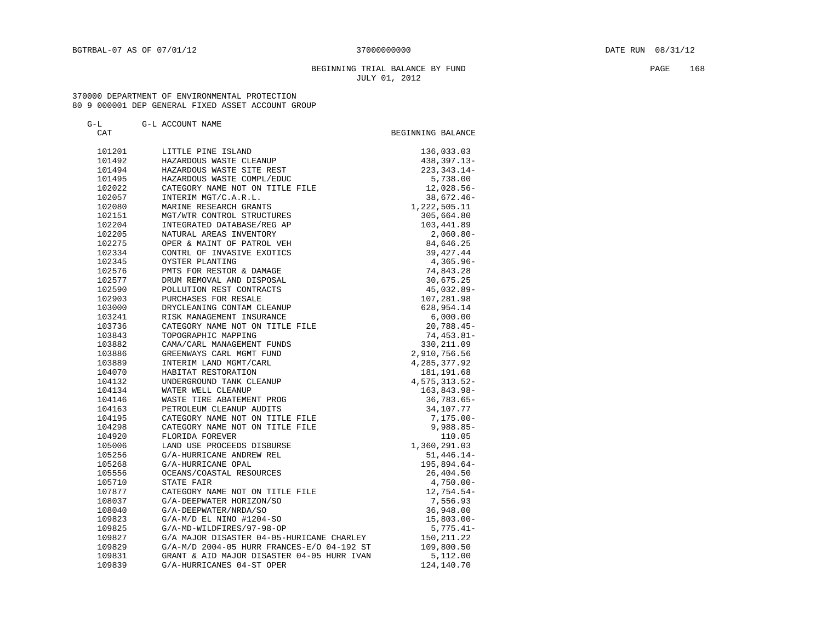# BEGINNING TRIAL BALANCE BY FUND PAGE 168 JULY 01, 2012

| $\sim$<br>$\rightarrow$ $-$ | G-L ACCOUNT<br>NAME |                   |  |
|-----------------------------|---------------------|-------------------|--|
| ጣአጥ                         |                     | BEGINNING BALANCE |  |

| 101201 | LITTLE PINE ISLAND                         | 136,033.03       |
|--------|--------------------------------------------|------------------|
| 101492 | HAZARDOUS WASTE CLEANUP                    | 438,397.13-      |
| 101494 | HAZARDOUS WASTE SITE REST                  | $223, 343.14 -$  |
| 101495 | HAZARDOUS WASTE COMPL/EDUC                 | 5,738.00         |
| 102022 | CATEGORY NAME NOT ON TITLE FILE            | $12,028.56-$     |
| 102057 | INTERIM MGT/C.A.R.L.                       | $38,672.46 -$    |
| 102080 | MARINE RESEARCH GRANTS                     | 1,222,505.11     |
| 102151 | MGT/WTR CONTROL STRUCTURES                 | 305,664.80       |
| 102204 | INTEGRATED DATABASE/REG AP                 | 103,441.89       |
| 102205 | NATURAL AREAS INVENTORY                    | $2,060.80 -$     |
| 102275 | OPER & MAINT OF PATROL VEH                 | 84,646.25        |
| 102334 | CONTRL OF INVASIVE EXOTICS                 | 39, 427. 44      |
| 102345 | OYSTER PLANTING                            | $4,365.96 -$     |
| 102576 | PMTS FOR RESTOR & DAMAGE                   | 74,843.28        |
| 102577 | DRUM REMOVAL AND DISPOSAL                  | 30,675.25        |
| 102590 | POLLUTION REST CONTRACTS                   | 45,032.89-       |
| 102903 | PURCHASES FOR RESALE                       | 107,281.98       |
| 103000 | DRYCLEANING CONTAM CLEANUP                 | 628,954.14       |
| 103241 | RISK MANAGEMENT INSURANCE                  | 6,000.00         |
| 103736 | CATEGORY NAME NOT ON TITLE FILE            | $20,788.45-$     |
| 103843 | TOPOGRAPHIC MAPPING                        | $74, 453.81 -$   |
| 103882 | CAMA/CARL MANAGEMENT FUNDS                 | 330, 211.09      |
| 103886 | GREENWAYS CARL MGMT FUND                   | 2,910,756.56     |
| 103889 | INTERIM LAND MGMT/CARL                     | 4, 285, 377.92   |
| 104070 | HABITAT RESTORATION                        | 181, 191.68      |
| 104132 | UNDERGROUND TANK CLEANUP                   | 4, 575, 313. 52- |
| 104134 | WATER WELL CLEANUP                         | 163,843.98-      |
| 104146 | WASTE TIRE ABATEMENT PROG                  | $36, 783.65 -$   |
| 104163 | PETROLEUM CLEANUP AUDITS                   | 34,107.77        |
| 104195 | CATEGORY NAME NOT ON TITLE FILE            | $7,175.00 -$     |
| 104298 | CATEGORY NAME NOT ON TITLE FILE            | $9,988.85-$      |
| 104920 | FLORIDA FOREVER                            | 110.05           |
| 105006 | LAND USE PROCEEDS DISBURSE                 | 1,360,291.03     |
| 105256 | G/A-HURRICANE ANDREW REL                   | 51,446.14-       |
| 105268 | G/A-HURRICANE OPAL                         | 195,894.64-      |
| 105556 | OCEANS/COASTAL RESOURCES                   | 26,404.50        |
| 105710 | STATE FAIR                                 | $4,750.00 -$     |
| 107877 | CATEGORY NAME NOT ON TITLE FILE            | 12,754.54-       |
| 108037 | G/A-DEEPWATER HORIZON/SO                   | 7,556.93         |
| 108040 | G/A-DEEPWATER/NRDA/SO                      | 36,948.00        |
| 109823 | $G/A-M/D$ EL NINO #1204-SO                 | $15,803.00 -$    |
| 109825 | G/A-MD-WILDFIRES/97-98-OP                  | $5,775.41-$      |
| 109827 | G/A MAJOR DISASTER 04-05-HURICANE CHARLEY  | 150, 211.22      |
| 109829 | G/A-M/D 2004-05 HURR FRANCES-E/O 04-192 ST | 109,800.50       |
| 109831 | GRANT & AID MAJOR DISASTER 04-05 HURR IVAN | 5,112.00         |
| 109839 | G/A-HURRICANES 04-ST OPER                  | 124,140.70       |
|        |                                            |                  |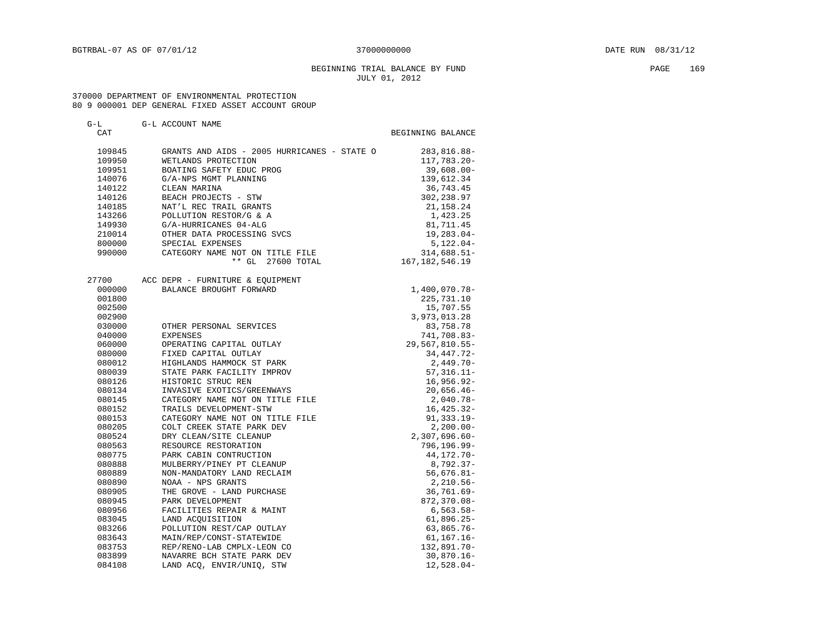## BEGINNING TRIAL BALANCE BY FUND PAGE 169 JULY 01, 2012

| $G-L$            | G-L ACCOUNT NAME                                                   |                              |
|------------------|--------------------------------------------------------------------|------------------------------|
| CAT              |                                                                    | BEGINNING BALANCE            |
|                  |                                                                    |                              |
| 109845           | GRANTS AND AIDS - 2005 HURRICANES - STATE O<br>WETLANDS PROTECTION | 283,816.88-                  |
| 109950           |                                                                    | 117,783.20-                  |
| 109951           | BOATING SAFETY EDUC PROG                                           | $39,608.00 -$                |
| 140076           | G/A-NPS MGMT PLANNING                                              | 139,612.34                   |
| 140122           | CLEAN MARINA                                                       | 36,743.45                    |
| 140126           | BEACH PROJECTS - STW                                               | 302,238.97                   |
| 140185           | NAT'L REC TRAIL GRANTS                                             | 21, 158. 24                  |
| 143266           | POLLUTION RESTOR/G & A                                             | 1,423.25<br>81,711.45        |
| 149930           | G/A-HURRICANES 04-ALG                                              |                              |
| 210014           | OTHER DATA PROCESSING SVCS                                         | 19,283.04-                   |
| 800000<br>990000 | SPECIAL EXPENSES<br>CATEGORY NAME NOT ON TITLE FILE                | $5,122.04-$<br>$314,688.51-$ |
|                  | $***$ GL                                                           |                              |
|                  | 27600 TOTAL                                                        | 167, 182, 546. 19            |
| 27700            | ACC DEPR - FURNITURE & EQUIPMENT                                   |                              |
| 000000           | BALANCE BROUGHT FORWARD                                            | 1,400,070.78-                |
| 001800           |                                                                    | 225,731.10                   |
| 002500           |                                                                    | 15,707.55                    |
| 002900           |                                                                    | 3,973,013.28                 |
| 030000           | OTHER PERSONAL SERVICES                                            | 83,758.78                    |
| 040000           | <b>EXPENSES</b>                                                    | 741,708.83-                  |
| 060000           | OPERATING CAPITAL OUTLAY                                           | 29,567,810.55-               |
| 080000           | FIXED CAPITAL OUTLAY                                               | 34, 447. 72-                 |
| 080012           | HIGHLANDS HAMMOCK ST PARK                                          | $2,449.70-$                  |
| 080039           | STATE PARK FACILITY IMPROV                                         | $57, 316.11 -$               |
| 080126           | HISTORIC STRUC REN                                                 | $16,956.92-$                 |
| 080134           | INVASIVE EXOTICS/GREENWAYS                                         | $20,656.46-$                 |
| 080145           | CATEGORY NAME NOT ON TITLE FILE                                    | $2,040.78-$                  |
| 080152           | TRAILS DEVELOPMENT-STW                                             | $16, 425.32 -$               |
| 080153           | CATEGORY NAME NOT ON TITLE FILE                                    | $91, 333.19 -$               |
| 080205           | COLT CREEK STATE PARK DEV                                          | $2,200.00-$                  |
| 080524           | DRY CLEAN/SITE CLEANUP                                             | $2,307,696.60 -$             |
| 080563           | RESOURCE RESTORATION                                               | 796,196.99-                  |
| 080775           | PARK CABIN CONTRUCTION                                             | 44,172.70-                   |
| 080888           | MULBERRY/PINEY PT CLEANUP                                          | $8,792.37-$                  |
| 080889           | NON-MANDATORY LAND RECLAIM                                         | $56,676.81-$                 |
| 080890           | NOAA - NPS GRANTS                                                  | $2,210.56-$                  |
| 080905           | THE GROVE - LAND PURCHASE                                          | $36,761.69 -$                |
| 080945           | PARK DEVELOPMENT                                                   | $872, 370.08 -$              |
| 080956           | FACILITIES REPAIR & MAINT                                          | $6, 563.58 -$                |
| 083045           | LAND ACQUISITION                                                   | $61,896.25-$                 |
| 083266           | POLLUTION REST/CAP OUTLAY                                          | $63,865.76 -$                |
| 083643           | MAIN/REP/CONST-STATEWIDE                                           | $61, 167.16 -$               |
| 083753           | REP/RENO-LAB CMPLX-LEON CO                                         | $132,891.70-$                |
| 083899           | NAVARRE BCH STATE PARK DEV                                         | $30,870.16 -$                |
| 084108           | LAND ACQ, ENVIR/UNIQ, STW                                          | $12,528.04-$                 |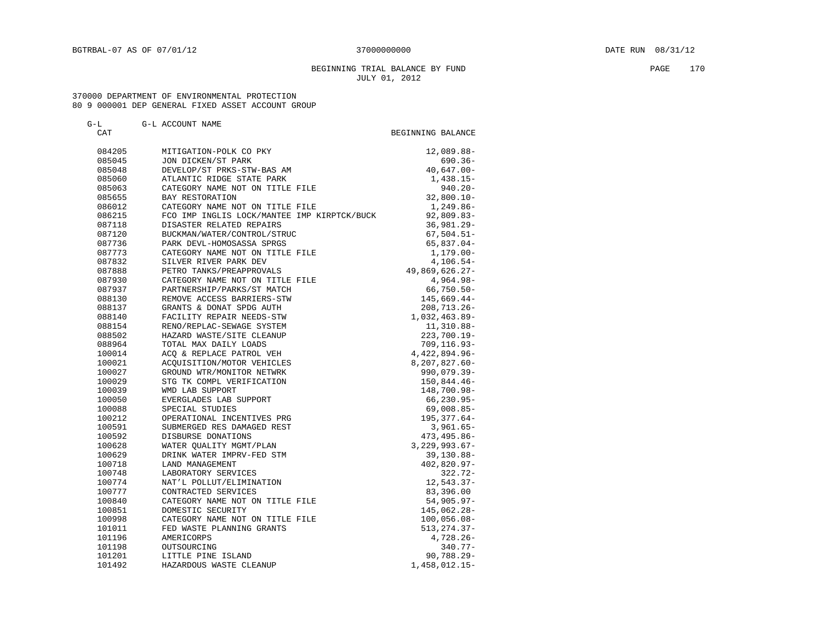## BEGINNING TRIAL BALANCE BY FUND **PAGE** 170 JULY 01, 2012

| $G-L$  | G-L ACCOUNT NAME                            |                    |
|--------|---------------------------------------------|--------------------|
| CAT    |                                             | BEGINNING BALANCE  |
| 084205 | MITIGATION-POLK CO PKY                      | 12,089.88-         |
| 085045 | JON DICKEN/ST PARK                          | $690.36 -$         |
| 085048 | DEVELOP/ST PRKS-STW-BAS AM                  | $40,647.00 -$      |
| 085060 | ATLANTIC RIDGE STATE PARK                   | $1,438.15-$        |
| 085063 | CATEGORY NAME NOT ON TITLE FILE             | $940.20 -$         |
| 085655 | BAY RESTORATION                             | $32,800.10 -$      |
| 086012 | CATEGORY NAME NOT ON TITLE FILE             | 1,249.86-          |
| 086215 | FCO IMP INGLIS LOCK/MANTEE IMP KIRPTCK/BUCK | $92,809.83 -$      |
| 087118 | DISASTER RELATED REPAIRS                    | 36,981.29-         |
| 087120 | BUCKMAN/WATER/CONTROL/STRUC                 | $67,504.51-$       |
| 087736 | PARK DEVL-HOMOSASSA SPRGS                   | 65,837.04-         |
| 087773 | CATEGORY NAME NOT ON TITLE FILE             | $1,179.00 -$       |
| 087832 | SILVER RIVER PARK DEV                       | $4, 106.54 -$      |
| 087888 | PETRO TANKS/PREAPPROVALS                    | 49,869,626.27-     |
| 087930 | CATEGORY NAME NOT ON TITLE FILE             | $4,964.98-$        |
| 087937 | PARTNERSHIP/PARKS/ST MATCH                  | $66,750.50 -$      |
| 088130 | REMOVE ACCESS BARRIERS-STW                  | 145,669.44-        |
| 088137 | GRANTS & DONAT SPDG AUTH                    | $208, 713.26 -$    |
| 088140 | FACILITY REPAIR NEEDS-STW                   | $1,032,463.89-$    |
| 088154 | RENO/REPLAC-SEWAGE SYSTEM                   | 11,310.88-         |
| 088502 | HAZARD WASTE/SITE CLEANUP                   | 223,700.19-        |
| 088964 | TOTAL MAX DAILY LOADS                       | $709, 116.93 -$    |
| 100014 | ACO & REPLACE PATROL VEH                    | 4,422,894.96-      |
| 100021 | ACQUISITION/MOTOR VEHICLES                  | $8, 207, 827.60 -$ |
| 100027 | GROUND WTR/MONITOR NETWRK                   | $990,079.39 -$     |
| 100029 | STG TK COMPL VERIFICATION                   | 150,844.46-        |
| 100039 | WMD LAB SUPPORT                             | 148,700.98-        |
| 100050 | EVERGLADES LAB SUPPORT                      | $66, 230.95 -$     |
| 100088 | SPECIAL STUDIES                             | $69,008.85 -$      |
| 100212 | OPERATIONAL INCENTIVES PRG                  | 195, 377.64-       |
| 100591 | SUBMERGED RES DAMAGED REST                  | $3,961.65-$        |
| 100592 | DISBURSE DONATIONS                          | 473, 495.86-       |
| 100628 | WATER OUALITY MGMT/PLAN                     | $3,229,993.67-$    |
| 100629 | DRINK WATER IMPRV-FED STM                   | 39,130.88-         |
| 100718 | LAND MANAGEMENT                             | 402,820.97-        |
| 100748 | LABORATORY SERVICES                         | $322.72-$          |
| 100774 | NAT'L POLLUT/ELIMINATION                    | $12,543.37-$       |
| 100777 | CONTRACTED SERVICES                         | 83,396.00          |
| 100840 | CATEGORY NAME NOT ON TITLE FILE             | $54,905.97 -$      |
| 100851 | DOMESTIC SECURITY                           | 145,062.28-        |
| 100998 | CATEGORY NAME NOT ON TITLE FILE             | $100,056.08 -$     |
| 101011 | FED WASTE PLANNING GRANTS                   | $513, 274.37 -$    |
| 101196 | AMERICORPS                                  | 4,728.26-          |
| 101198 | OUTSOURCING                                 | $340.77 -$         |
| 101201 | LITTLE PINE ISLAND                          | $90,788.29 -$      |
| 101492 | HAZARDOUS WASTE CLEANUP                     | 1,458,012.15-      |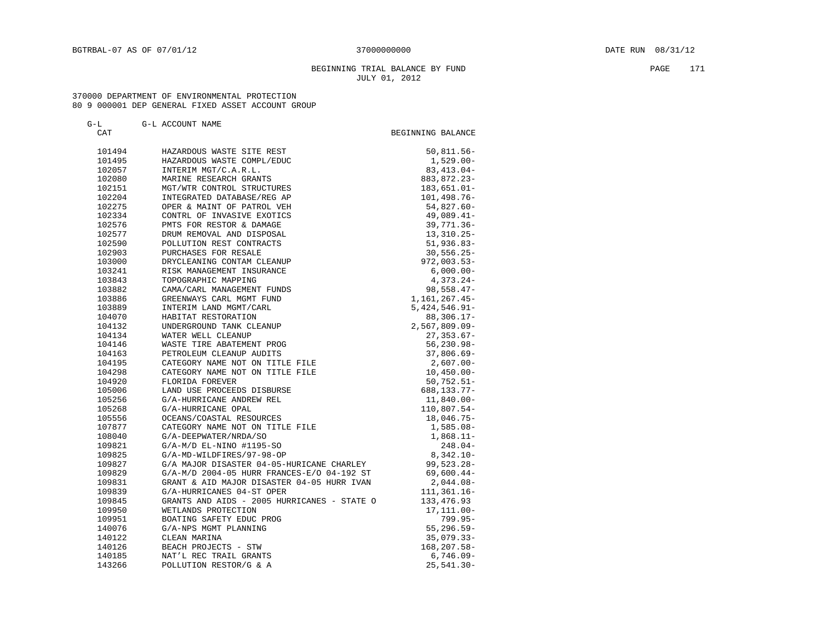G-L G-L ACCOUNT NAME

# BEGINNING TRIAL BALANCE BY FUND PAGE 171 JULY 01, 2012

| CAT    |                                             | BEGINNING BALANCE |
|--------|---------------------------------------------|-------------------|
| 101494 | HAZARDOUS WASTE SITE REST                   | $50,811.56 -$     |
| 101495 | HAZARDOUS WASTE COMPL/EDUC                  | $1,529.00-$       |
| 102057 | INTERIM MGT/C.A.R.L.                        | $83,413.04-$      |
| 102080 | MARINE RESEARCH GRANTS                      | 883,872.23-       |
| 102151 | MGT/WTR CONTROL STRUCTURES                  | 183,651.01-       |
| 102204 | INTEGRATED DATABASE/REG AP                  | 101,498.76-       |
| 102275 | OPER & MAINT OF PATROL VEH                  | $54,827.60-$      |
| 102334 | CONTRL OF INVASIVE EXOTICS                  | $49,089.41-$      |
| 102576 | PMTS FOR RESTOR & DAMAGE                    | 39,771.36-        |
| 102577 | DRUM REMOVAL AND DISPOSAL                   | $13,310.25-$      |
| 102590 | POLLUTION REST CONTRACTS                    | $51,936.83-$      |
| 102903 | PURCHASES FOR RESALE                        | $30,556.25-$      |
| 103000 | DRYCLEANING CONTAM CLEANUP                  | $972,003.53 -$    |
| 103241 | RISK MANAGEMENT INSURANCE                   | $6,000.00-$       |
| 103843 | TOPOGRAPHIC MAPPING                         | 4,373.24-         |
| 103882 | CAMA/CARL MANAGEMENT FUNDS                  | $98,558.47-$      |
| 103886 | GREENWAYS CARL MGMT FUND                    | 1,161,267.45-     |
| 103889 | INTERIM LAND MGMT/CARL                      | $5,424,546.91-$   |
| 104070 | HABITAT RESTORATION                         | $88,306.17 -$     |
| 104132 | UNDERGROUND TANK CLEANUP                    | $2,567,809.09-$   |
| 104134 | WATER WELL CLEANUP                          | $27, 353.67 -$    |
| 104146 | WASTE TIRE ABATEMENT PROG                   | $56, 230.98 -$    |
| 104163 | PETROLEUM CLEANUP AUDITS                    | $37,806.69 -$     |
| 104195 | CATEGORY NAME NOT ON TITLE FILE             | $2,607.00 -$      |
| 104298 | CATEGORY NAME NOT ON TITLE FILE             | $10,450.00 -$     |
| 104920 | FLORIDA FOREVER                             | $50,752.51 -$     |
| 105006 | LAND USE PROCEEDS DISBURSE                  | 688, 133. 77-     |
| 105256 | G/A-HURRICANE ANDREW REL                    | $11,840.00 -$     |
| 105268 | G/A-HURRICANE OPAL                          | $110,807.54-$     |
| 105556 | OCEANS/COASTAL RESOURCES                    | $18,046.75-$      |
| 107877 | CATEGORY NAME NOT ON TITLE FILE             | $1,585.08-$       |
| 108040 | G/A-DEEPWATER/NRDA/SO                       | $1,868.11-$       |
| 109821 | G/A-M/D EL-NINO #1195-SO                    | $248.04-$         |
| 109825 | G/A-MD-WILDFIRES/97-98-OP                   | $8,342.10 -$      |
| 109827 | G/A MAJOR DISASTER 04-05-HURICANE CHARLEY   | $99,523.28 -$     |
| 109829 | G/A-M/D 2004-05 HURR FRANCES-E/O 04-192 ST  | $69,600.44-$      |
| 109831 | GRANT & AID MAJOR DISASTER 04-05 HURR IVAN  | $2,044.08-$       |
| 109839 | G/A-HURRICANES 04-ST OPER                   | 111,361.16-       |
| 109845 | GRANTS AND AIDS - 2005 HURRICANES - STATE O | 133,476.93        |
| 109950 | WETLANDS PROTECTION                         | 17, 111.00-       |
| 109951 | BOATING SAFETY EDUC PROG                    | $799.95 -$        |
| 140076 | G/A-NPS MGMT PLANNING                       | $55, 296.59 -$    |
| 140122 | CLEAN MARINA                                | $35,079.33-$      |
| 140126 | BEACH PROJECTS - STW                        | 168, 207.58-      |
| 140185 | NAT'L REC TRAIL GRANTS                      | $6,746.09 -$      |
| 143266 | POLLUTION RESTOR/G & A                      | $25,541.30 -$     |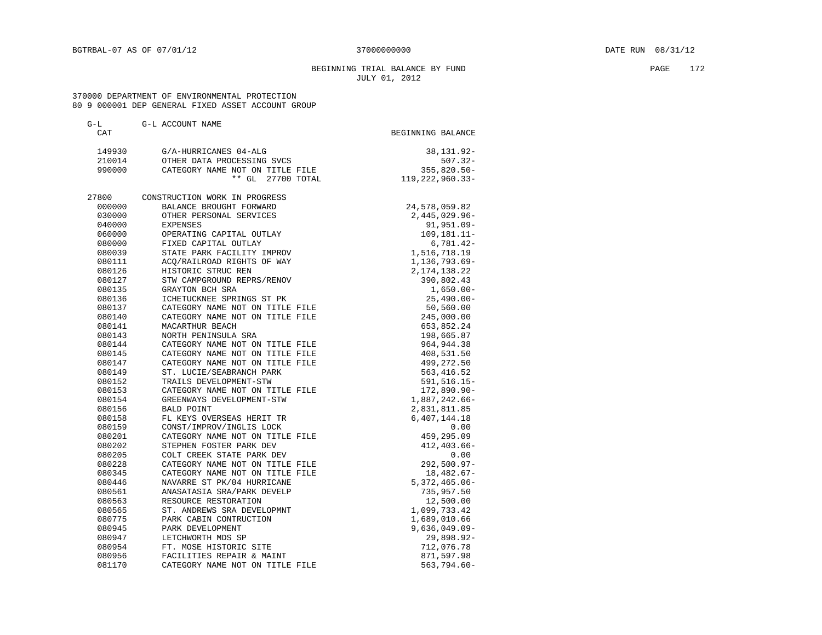# BEGINNING TRIAL BALANCE BY FUND **PAGE** 172 JULY 01, 2012

| $G-L$  | G-L ACCOUNT NAME                |                    |
|--------|---------------------------------|--------------------|
| CAT    |                                 | BEGINNING BALANCE  |
| 149930 | G/A-HURRICANES 04-ALG           | 38, 131.92-        |
| 210014 | OTHER DATA PROCESSING SVCS      | $507.32 -$         |
| 990000 | CATEGORY NAME NOT ON TITLE FILE | 355,820.50-        |
|        | ** GL 27700 TOTAL               | 119, 222, 960. 33- |
|        |                                 |                    |
| 27800  | CONSTRUCTION WORK IN PROGRESS   |                    |
| 000000 | BALANCE BROUGHT FORWARD         | 24,578,059.82      |
| 030000 | OTHER PERSONAL SERVICES         | $2,445,029.96 -$   |
| 040000 | <b>EXPENSES</b>                 | $91, 951.09 -$     |
| 060000 | OPERATING CAPITAL OUTLAY        | $109, 181.11 -$    |
| 080000 | FIXED CAPITAL OUTLAY            | $6,781.42-$        |
| 080039 | STATE PARK FACILITY IMPROV      | 1,516,718.19       |
| 080111 | ACO/RAILROAD RIGHTS OF WAY      | 1,136,793.69-      |
| 080126 | HISTORIC STRUC REN              | 2, 174, 138.22     |
| 080127 | STW CAMPGROUND REPRS/RENOV      | 390,802.43         |
| 080135 | GRAYTON BCH SRA                 | $1,650.00 -$       |
| 080136 | ICHETUCKNEE SPRINGS ST PK       | $25,490.00 -$      |
| 080137 | CATEGORY NAME NOT ON TITLE FILE | 50,560.00          |
| 080140 | CATEGORY NAME NOT ON TITLE FILE | 245,000.00         |
| 080141 | MACARTHUR BEACH                 | 653,852.24         |
| 080143 | NORTH PENINSULA SRA             | 198,665.87         |
| 080144 | CATEGORY NAME NOT ON TITLE FILE | 964, 944. 38       |
| 080145 | CATEGORY NAME NOT ON TITLE FILE | 408,531.50         |
| 080147 | CATEGORY NAME NOT ON TITLE FILE | 499,272.50         |
| 080149 | ST. LUCIE/SEABRANCH PARK        | 563, 416.52        |
| 080152 | TRAILS DEVELOPMENT-STW          | $591, 516.15 -$    |
| 080153 | CATEGORY NAME NOT ON TITLE FILE | 172,890.90-        |
| 080154 | GREENWAYS DEVELOPMENT-STW       | 1,887,242.66-      |
| 080156 | BALD POINT                      | 2,831,811.85       |
| 080158 | FL KEYS OVERSEAS HERIT TR       | 6,407,144.18       |
| 080159 | CONST/IMPROV/INGLIS LOCK        | 0.00               |
| 080201 | CATEGORY NAME NOT ON TITLE FILE | 459,295.09         |
| 080202 | STEPHEN FOSTER PARK DEV         | 412,403.66-        |
| 080205 | COLT CREEK STATE PARK DEV       | 0.00               |
| 080228 | CATEGORY NAME NOT ON TITLE FILE | 292,500.97-        |
| 080345 | CATEGORY NAME NOT ON TITLE FILE | $18,482.67-$       |
| 080446 | NAVARRE ST PK/04 HURRICANE      | $5,372,465.06-$    |
| 080561 | ANASATASIA SRA/PARK DEVELP      | 735,957.50         |
| 080563 | RESOURCE RESTORATION            | 12,500.00          |
| 080565 | ST. ANDREWS SRA DEVELOPMNT      | 1,099,733.42       |
| 080775 | PARK CABIN CONTRUCTION          | 1,689,010.66       |
| 080945 | PARK DEVELOPMENT                | $9,636,049.09 -$   |
| 080947 | LETCHWORTH MDS SP               | 29,898.92-         |
| 080954 | FT. MOSE HISTORIC SITE          | 712,076.78         |
| 080956 | FACILITIES REPAIR & MAINT       | 871,597.98         |
| 081170 | CATEGORY NAME NOT ON TITLE FILE | $563, 794.60 -$    |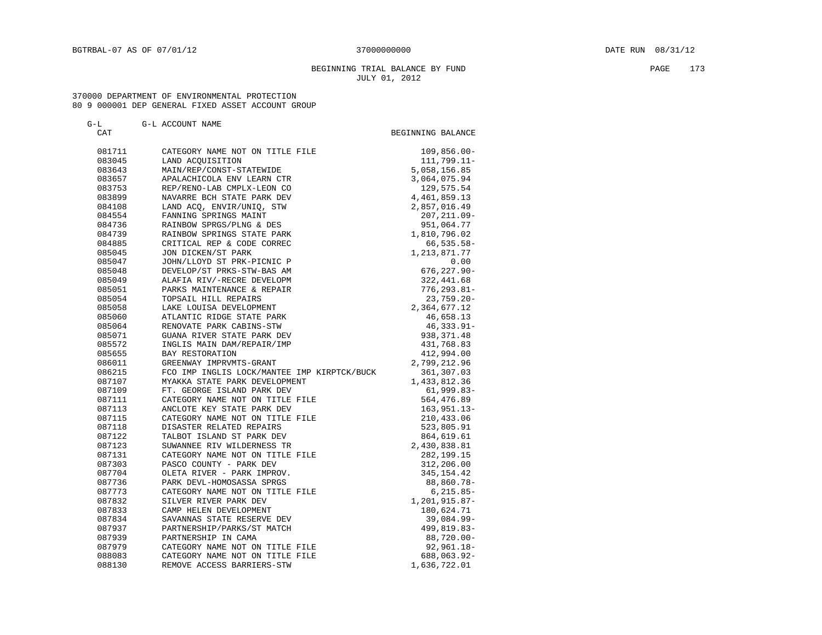G-L G-L ACCOUNT NAME

# BEGINNING TRIAL BALANCE BY FUND **PAGE** 173 JULY 01, 2012

| CAT              |                                                              | BEGINNING BALANCE              |
|------------------|--------------------------------------------------------------|--------------------------------|
| 081711           | CATEGORY NAME NOT ON TITLE FILE                              | $109,856.00 -$                 |
| 083045           | LAND ACQUISITION                                             | $111,799.11-$                  |
| 083643           | MAIN/REP/CONST-STATEWIDE                                     | 5,058,156.85                   |
| 083657           | APALACHICOLA ENV LEARN CTR                                   | 3,064,075.94                   |
| 083753           | REP/RENO-LAB CMPLX-LEON CO                                   | 129,575.54                     |
| 083899           | NAVARRE BCH STATE PARK DEV                                   | 4, 461, 859.13                 |
| 084108           | LAND ACO, ENVIR/UNIO, STW                                    | 2,857,016.49                   |
| 084554           | FANNING SPRINGS MAINT                                        | 207,211.09-                    |
| 084736           | RAINBOW SPRGS/PLNG & DES                                     | 951,064.77                     |
| 084739           | RAINBOW SPRINGS STATE PARK                                   | 1,810,796.02                   |
| 084885           | CRITICAL REP & CODE CORREC                                   | 66,535.58-                     |
| 085045           | JON DICKEN/ST PARK                                           | 1, 213, 871. 77                |
| 085047           | JOHN/LLOYD ST PRK-PICNIC P                                   | 0.00                           |
| 085048           | DEVELOP/ST PRKS-STW-BAS AM                                   | $676, 227.90 -$                |
| 085049           | ALAFIA RIV/-RECRE DEVELOPM                                   | 322,441.68                     |
| 085051           | PARKS MAINTENANCE & REPAIR                                   | $776, 293.81 -$                |
| 085054           | TOPSAIL HILL REPAIRS                                         | $23,759.20 -$                  |
| 085058           | LAKE LOUISA DEVELOPMENT                                      | 2,364,677.12                   |
| 085060           | ATLANTIC RIDGE STATE PARK                                    | 46,658.13                      |
| 085064           | RENOVATE PARK CABINS-STW                                     | $46,333.91 -$                  |
| 085071           | GUANA RIVER STATE PARK DEV                                   | 938,371.48                     |
| 085572           | INGLIS MAIN DAM/REPAIR/IMP                                   | 431,768.83                     |
| 085655           | BAY RESTORATION                                              | 412,994.00                     |
| 086011           | GREENWAY IMPRVMTS-GRANT                                      | 2,799,212.96                   |
| 086215           | FCO IMP INGLIS LOCK/MANTEE IMP KIRPTCK/BUCK                  | 361, 307.03                    |
| 087107           | MYAKKA STATE PARK DEVELOPMENT                                | 1,433,812.36                   |
| 087109           | FT. GEORGE ISLAND PARK DEV                                   | 61,999.83-                     |
| 087111           | CATEGORY NAME NOT ON TITLE FILE                              | 564,476.89                     |
| 087113           | ANCLOTE KEY STATE PARK DEV                                   | $163, 951.13 -$                |
| 087115           | CATEGORY NAME NOT ON TITLE FILE                              | 210,433.06                     |
| 087118           | DISASTER RELATED REPAIRS                                     | 523,805.91                     |
| 087122           | TALBOT ISLAND ST PARK DEV                                    | 864,619.61                     |
| 087123           | SUWANNEE RIV WILDERNESS TR                                   | 2,430,838.81                   |
| 087131           | CATEGORY NAME NOT ON TITLE FILE                              | 282, 199. 15                   |
| 087303           | PASCO COUNTY - PARK DEV                                      | 312,206.00                     |
| 087704           | OLETA RIVER - PARK IMPROV.                                   | 345, 154.42                    |
| 087736<br>087773 | PARK DEVL-HOMOSASSA SPRGS<br>CATEGORY NAME NOT ON TITLE FILE | 88,860.78-                     |
|                  | SILVER RIVER PARK DEV                                        | $6, 215.85 -$<br>1,201,915.87- |
| 087832           | CAMP HELEN DEVELOPMENT                                       |                                |
| 087833<br>087834 | SAVANNAS STATE RESERVE DEV                                   | 180,624.71<br>$39,084.99 -$    |
| 087937           | PARTNERSHIP/PARKS/ST MATCH                                   | 499,819.83-                    |
| 087939           | PARTNERSHIP IN CAMA                                          | $88,720.00 -$                  |
| 087979           | CATEGORY NAME NOT ON TITLE FILE                              | $92, 961.18 -$                 |
| 088083           | CATEGORY NAME NOT ON TITLE FILE                              | 688,063.92-                    |
| 088130           | REMOVE ACCESS BARRIERS-STW                                   | 1,636,722.01                   |
|                  |                                                              |                                |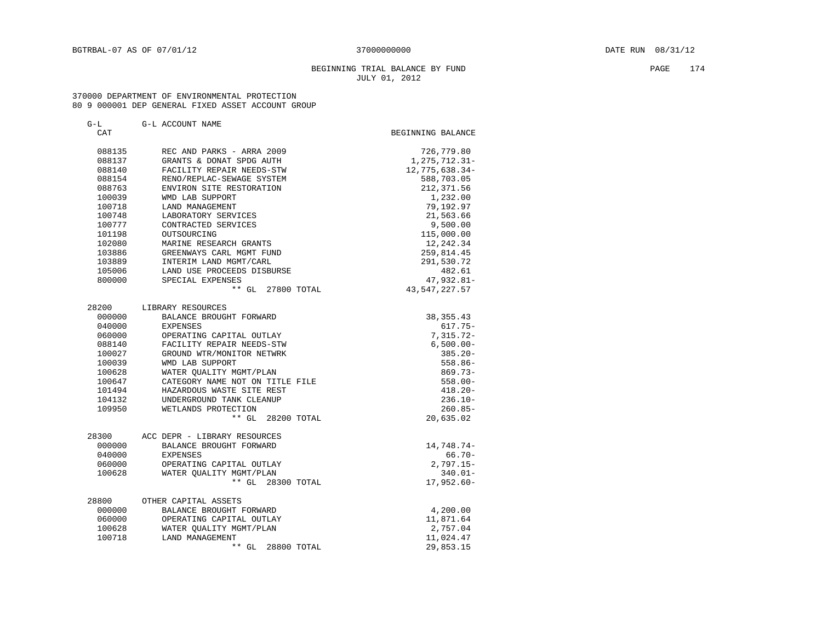# BEGINNING TRIAL BALANCE BY FUND **PAGE** 174 JULY 01, 2012

| $G-L$      | G-L ACCOUNT NAME                      |                   |
|------------|---------------------------------------|-------------------|
| <b>CAT</b> |                                       | BEGINNING BALANCE |
| 088135     | REC AND PARKS - ARRA 2009             | 726,779.80        |
| 088137     | GRANTS & DONAT SPDG AUTH              | 1, 275, 712. 31-  |
| 088140     | FACILITY REPAIR NEEDS-STW             | 12,775,638.34-    |
| 088154     | RENO/REPLAC-SEWAGE SYSTEM             | 588,703.05        |
| 088763     | ENVIRON SITE RESTORATION              | 212, 371.56       |
| 100039     | WMD LAB SUPPORT                       | 1,232.00          |
| 100718     | LAND MANAGEMENT                       | 79,192.97         |
| 100748     | LABORATORY SERVICES                   | 21,563.66         |
| 100777     | CONTRACTED SERVICES                   | 9,500.00          |
| 101198     | OUTSOURCING                           | 115,000.00        |
| 102080     | MARINE RESEARCH GRANTS                | 12,242.34         |
| 103886     | GREENWAYS CARL MGMT FUND              | 259,814.45        |
| 103889     | INTERIM LAND MGMT/CARL                | 291,530.72        |
| 105006     | LAND USE PROCEEDS DISBURSE            | 482.61            |
| 800000     | SPECIAL EXPENSES                      | 47,932.81-        |
|            | ** GL 27800 TOTAL                     | 43, 547, 227. 57  |
| 28200      | LIBRARY RESOURCES                     |                   |
| 000000     | BALANCE BROUGHT FORWARD               | 38, 355. 43       |
| 040000     | <b>EXPENSES</b>                       | $617.75-$         |
| 060000     | OPERATING CAPITAL OUTLAY              | $7,315.72-$       |
| 088140     | FACILITY REPAIR NEEDS-STW             | $6,500.00 -$      |
| 100027     | GROUND WTR/MONITOR NETWRK             | $385.20 -$        |
| 100039     | WMD LAB SUPPORT                       | $558.86-$         |
| 100628     | WATER OUALITY MGMT/PLAN               | $869.73-$         |
| 100647     | CATEGORY NAME NOT ON TITLE FILE       | $558.00 -$        |
| 101494     | HAZARDOUS WASTE SITE REST             | $418.20 -$        |
| 104132     | UNDERGROUND TANK CLEANUP              | $236.10 -$        |
| 109950     | WETLANDS PROTECTION                   | $260.85 -$        |
|            | ** GL 28200 TOTAL                     | 20,635.02         |
| 28300      | ACC DEPR - LIBRARY RESOURCES          |                   |
| 000000     | BALANCE BROUGHT FORWARD               | 14,748.74-        |
| 040000     | EXPENSES                              | $66.70 -$         |
| 060000     | OPERATING CAPITAL OUTLAY              | $2,797.15-$       |
| 100628     | WATER QUALITY MGMT/PLAN               | $340.01 -$        |
|            | ** GL 28300 TOTAL                     | 17,952.60-        |
| 28800      | OTHER CAPITAL ASSETS                  |                   |
| 000000     | BALANCE BROUGHT FORWARD               | 4,200.00          |
| 060000     | OPERATING CAPITAL OUTLAY              | 11,871.64         |
| 100628     | WATER QUALITY MGMT/PLAN               | 2,757.04          |
| 100718     | LAND MANAGEMENT                       | 11,024.47         |
|            | $^{\star\;\star\;}$ GL<br>28800 TOTAL | 29,853.15         |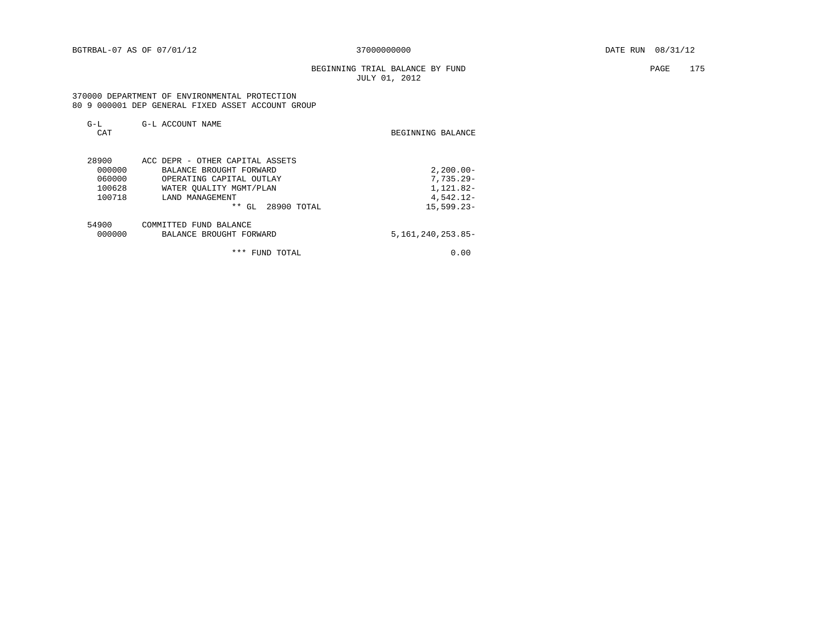# BEGINNING TRIAL BALANCE BY FUND PAGE 175 JULY 01, 2012

 370000 DEPARTMENT OF ENVIRONMENTAL PROTECTION 80 9 000001 DEP GENERAL FIXED ASSET ACCOUNT GROUP

| $G-L$<br>CAT | G-L ACCOUNT NAME                | BEGINNING BALANCE    |
|--------------|---------------------------------|----------------------|
| 28900        | ACC DEPR - OTHER CAPITAL ASSETS |                      |
| 000000       | BALANCE BROUGHT FORWARD         | $2,200.00-$          |
| 060000       | OPERATING CAPITAL OUTLAY        | $7.735.29 -$         |
| 100628       | WATER OUALITY MGMT/PLAN         | 1,121.82-            |
| 100718       | LAND MANAGEMENT                 | $4,542.12-$          |
|              | $***$<br>28900 TOTAL<br>GL.     | $15, 599.23 -$       |
| 54900        | COMMITTED FUND BALANCE          |                      |
| 000000       | BALANCE BROUGHT FORWARD         | 5, 161, 240, 253.85- |
|              |                                 |                      |

\*\*\* FUND TOTAL 0.00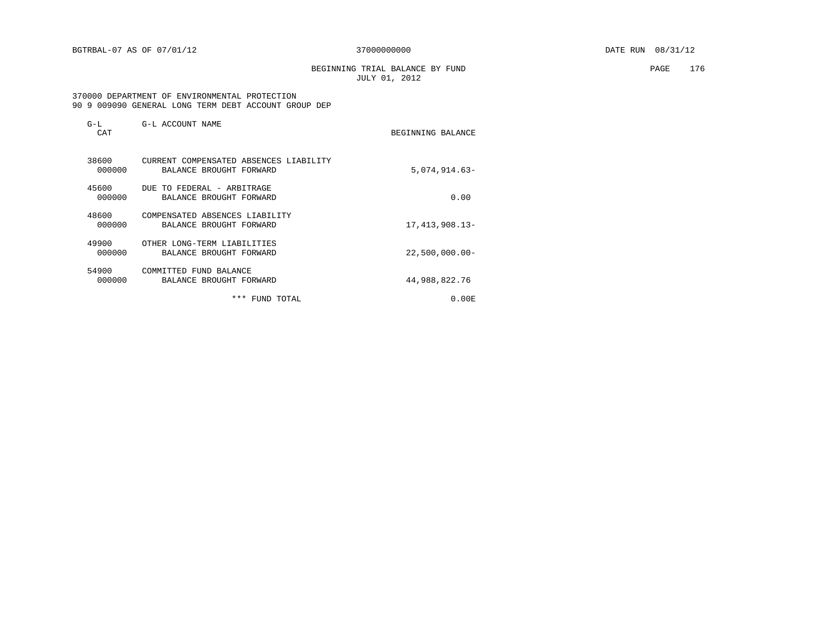BEGINNING TRIAL BALANCE BY FUND **PAGE** 176 JULY 01, 2012

 370000 DEPARTMENT OF ENVIRONMENTAL PROTECTION 90 9 009090 GENERAL LONG TERM DEBT ACCOUNT GROUP DEP

| $G-L$<br>CAT    | G-L ACCOUNT NAME                                                  | BEGINNING BALANCE |
|-----------------|-------------------------------------------------------------------|-------------------|
| 38600<br>000000 | CURRENT COMPENSATED ABSENCES LIABILITY<br>BALANCE BROUGHT FORWARD | $5,074,914.63-$   |
| 45600<br>000000 | DUE TO FEDERAL - ARBITRAGE<br>BALANCE BROUGHT FORWARD             | 0.00              |
| 48600<br>000000 | COMPENSATED ABSENCES LIABILITY<br>BALANCE BROUGHT FORWARD         | 17, 413, 908. 13- |
| 49900<br>000000 | OTHER LONG-TERM LIABILITIES<br>BALANCE BROUGHT FORWARD            | $22,500,000.00$ - |
| 54900<br>000000 | COMMITTED FUND BALANCE<br>BALANCE BROUGHT FORWARD                 | 44,988,822.76     |
|                 | ***<br>FUND TOTAL                                                 | 0.00 E            |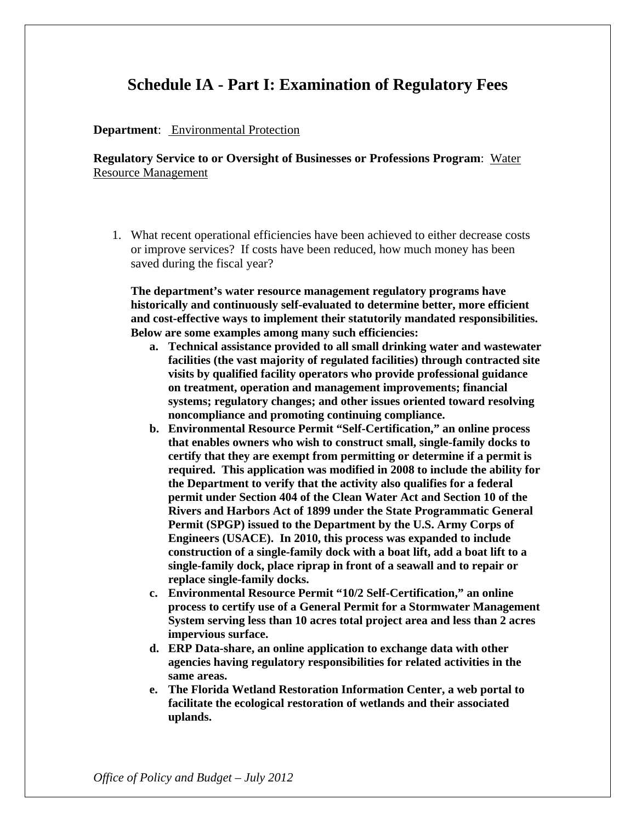# **Schedule IA - Part I: Examination of Regulatory Fees**

**Department**: Environmental Protection

**Regulatory Service to or Oversight of Businesses or Professions Program**: Water Resource Management

1. What recent operational efficiencies have been achieved to either decrease costs or improve services? If costs have been reduced, how much money has been saved during the fiscal year?

**The department's water resource management regulatory programs have historically and continuously self-evaluated to determine better, more efficient and cost-effective ways to implement their statutorily mandated responsibilities. Below are some examples among many such efficiencies:** 

- **a. Technical assistance provided to all small drinking water and wastewater facilities (the vast majority of regulated facilities) through contracted site visits by qualified facility operators who provide professional guidance on treatment, operation and management improvements; financial systems; regulatory changes; and other issues oriented toward resolving noncompliance and promoting continuing compliance.**
- **b. Environmental Resource Permit "Self-Certification," an online process that enables owners who wish to construct small, single-family docks to certify that they are exempt from permitting or determine if a permit is required. This application was modified in 2008 to include the ability for the Department to verify that the activity also qualifies for a federal permit under Section 404 of the Clean Water Act and Section 10 of the Rivers and Harbors Act of 1899 under the State Programmatic General Permit (SPGP) issued to the Department by the U.S. Army Corps of Engineers (USACE). In 2010, this process was expanded to include construction of a single-family dock with a boat lift, add a boat lift to a single-family dock, place riprap in front of a seawall and to repair or replace single-family docks.**
- **c. Environmental Resource Permit "10/2 Self-Certification," an online process to certify use of a General Permit for a Stormwater Management System serving less than 10 acres total project area and less than 2 acres impervious surface.**
- **d. ERP Data-share, an online application to exchange data with other agencies having regulatory responsibilities for related activities in the same areas.**
- **e. The Florida Wetland Restoration Information Center, a web portal to facilitate the ecological restoration of wetlands and their associated uplands.**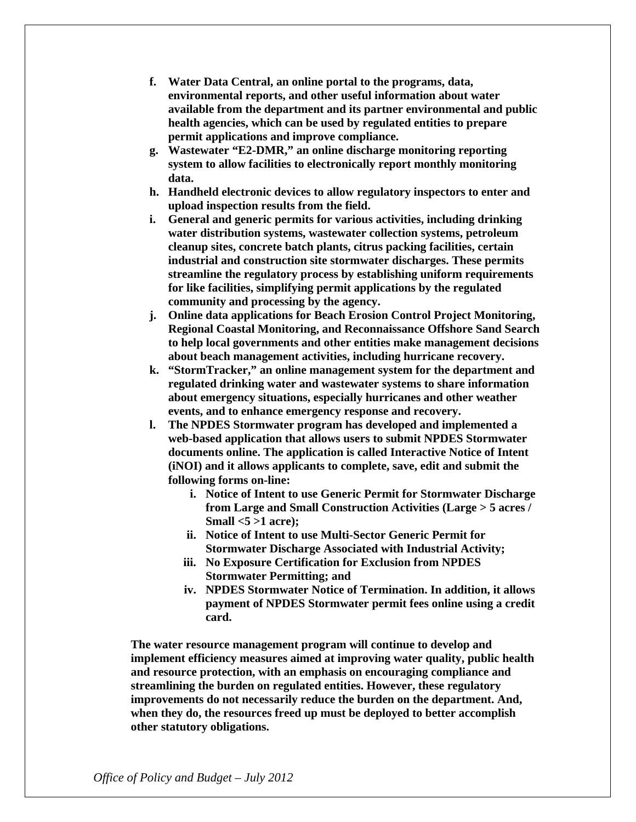- **f. Water Data Central, an online portal to the programs, data, environmental reports, and other useful information about water available from the department and its partner environmental and public health agencies, which can be used by regulated entities to prepare permit applications and improve compliance.**
- **g. Wastewater "E2-DMR," an online discharge monitoring reporting system to allow facilities to electronically report monthly monitoring data.**
- **h. Handheld electronic devices to allow regulatory inspectors to enter and upload inspection results from the field.**
- **i. General and generic permits for various activities, including drinking water distribution systems, wastewater collection systems, petroleum cleanup sites, concrete batch plants, citrus packing facilities, certain industrial and construction site stormwater discharges. These permits streamline the regulatory process by establishing uniform requirements for like facilities, simplifying permit applications by the regulated community and processing by the agency.**
- **j. Online data applications for Beach Erosion Control Project Monitoring, Regional Coastal Monitoring, and Reconnaissance Offshore Sand Search to help local governments and other entities make management decisions about beach management activities, including hurricane recovery.**
- **k. "StormTracker," an online management system for the department and regulated drinking water and wastewater systems to share information about emergency situations, especially hurricanes and other weather events, and to enhance emergency response and recovery.**
- **l. The NPDES Stormwater program has developed and implemented a web-based application that allows users to submit NPDES Stormwater documents online. The application is called Interactive Notice of Intent (iNOI) and it allows applicants to complete, save, edit and submit the following forms on-line:** 
	- **i. Notice of Intent to use Generic Permit for Stormwater Discharge from Large and Small Construction Activities (Large > 5 acres / Small <5 >1 acre);**
	- **ii. Notice of Intent to use Multi-Sector Generic Permit for Stormwater Discharge Associated with Industrial Activity;**
	- **iii. No Exposure Certification for Exclusion from NPDES Stormwater Permitting; and**
	- **iv. NPDES Stormwater Notice of Termination. In addition, it allows payment of NPDES Stormwater permit fees online using a credit card.**

**The water resource management program will continue to develop and implement efficiency measures aimed at improving water quality, public health and resource protection, with an emphasis on encouraging compliance and streamlining the burden on regulated entities. However, these regulatory improvements do not necessarily reduce the burden on the department. And, when they do, the resources freed up must be deployed to better accomplish other statutory obligations.**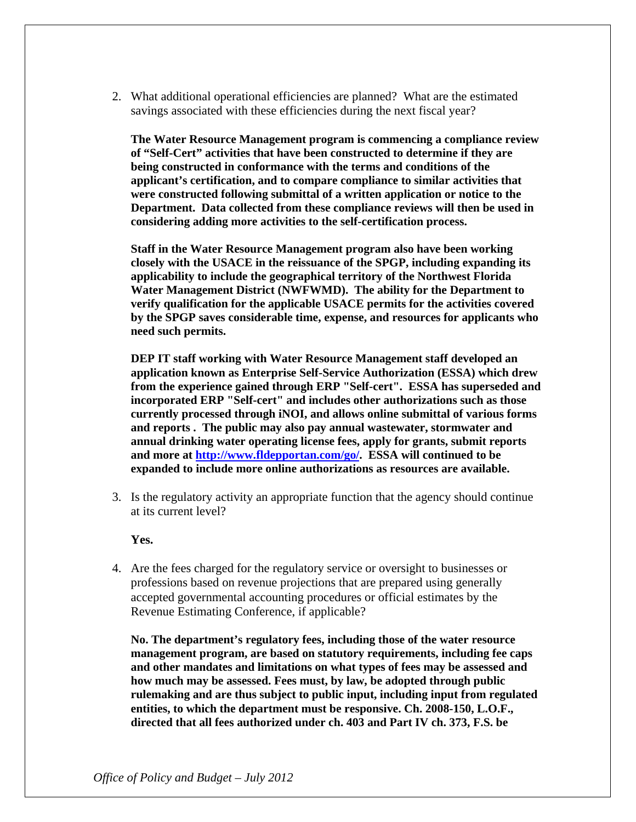2. What additional operational efficiencies are planned? What are the estimated savings associated with these efficiencies during the next fiscal year?

**The Water Resource Management program is commencing a compliance review of "Self-Cert" activities that have been constructed to determine if they are being constructed in conformance with the terms and conditions of the applicant's certification, and to compare compliance to similar activities that were constructed following submittal of a written application or notice to the Department. Data collected from these compliance reviews will then be used in considering adding more activities to the self-certification process.** 

**Staff in the Water Resource Management program also have been working closely with the USACE in the reissuance of the SPGP, including expanding its applicability to include the geographical territory of the Northwest Florida Water Management District (NWFWMD). The ability for the Department to verify qualification for the applicable USACE permits for the activities covered by the SPGP saves considerable time, expense, and resources for applicants who need such permits.** 

**DEP IT staff working with Water Resource Management staff developed an application known as Enterprise Self-Service Authorization (ESSA) which drew from the experience gained through ERP "Self-cert". ESSA has superseded and incorporated ERP "Self-cert" and includes other authorizations such as those currently processed through iNOI, and allows online submittal of various forms and reports . The public may also pay annual wastewater, stormwater and annual drinking water operating license fees, apply for grants, submit reports and more at http://www.fldepportan.com/go/. ESSA will continued to be expanded to include more online authorizations as resources are available.** 

3. Is the regulatory activity an appropriate function that the agency should continue at its current level?

**Yes.**

4. Are the fees charged for the regulatory service or oversight to businesses or professions based on revenue projections that are prepared using generally accepted governmental accounting procedures or official estimates by the Revenue Estimating Conference, if applicable?

**No. The department's regulatory fees, including those of the water resource management program, are based on statutory requirements, including fee caps and other mandates and limitations on what types of fees may be assessed and how much may be assessed. Fees must, by law, be adopted through public rulemaking and are thus subject to public input, including input from regulated entities, to which the department must be responsive. Ch. 2008-150, L.O.F., directed that all fees authorized under ch. 403 and Part IV ch. 373, F.S. be**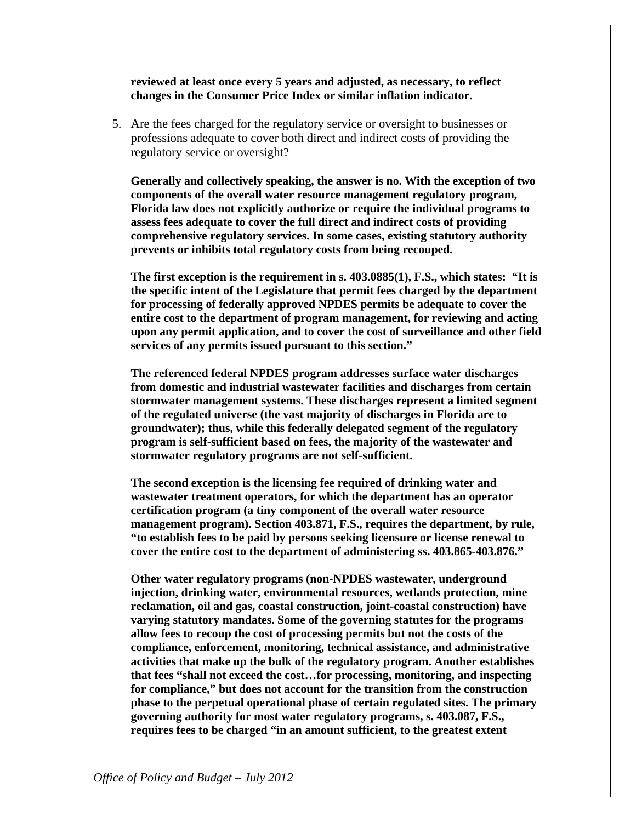**reviewed at least once every 5 years and adjusted, as necessary, to reflect changes in the Consumer Price Index or similar inflation indicator.** 

5. Are the fees charged for the regulatory service or oversight to businesses or professions adequate to cover both direct and indirect costs of providing the regulatory service or oversight?

**Generally and collectively speaking, the answer is no. With the exception of two components of the overall water resource management regulatory program, Florida law does not explicitly authorize or require the individual programs to assess fees adequate to cover the full direct and indirect costs of providing comprehensive regulatory services. In some cases, existing statutory authority prevents or inhibits total regulatory costs from being recouped.** 

**The first exception is the requirement in s. 403.0885(1), F.S., which states: "It is the specific intent of the Legislature that permit fees charged by the department for processing of federally approved NPDES permits be adequate to cover the entire cost to the department of program management, for reviewing and acting upon any permit application, and to cover the cost of surveillance and other field services of any permits issued pursuant to this section."** 

**The referenced federal NPDES program addresses surface water discharges from domestic and industrial wastewater facilities and discharges from certain stormwater management systems. These discharges represent a limited segment of the regulated universe (the vast majority of discharges in Florida are to groundwater); thus, while this federally delegated segment of the regulatory program is self-sufficient based on fees, the majority of the wastewater and stormwater regulatory programs are not self-sufficient.** 

**The second exception is the licensing fee required of drinking water and wastewater treatment operators, for which the department has an operator certification program (a tiny component of the overall water resource management program). Section 403.871, F.S., requires the department, by rule, "to establish fees to be paid by persons seeking licensure or license renewal to cover the entire cost to the department of administering ss. 403.865-403.876."** 

**Other water regulatory programs (non-NPDES wastewater, underground injection, drinking water, environmental resources, wetlands protection, mine reclamation, oil and gas, coastal construction, joint-coastal construction) have varying statutory mandates. Some of the governing statutes for the programs allow fees to recoup the cost of processing permits but not the costs of the compliance, enforcement, monitoring, technical assistance, and administrative activities that make up the bulk of the regulatory program. Another establishes that fees "shall not exceed the cost…for processing, monitoring, and inspecting for compliance," but does not account for the transition from the construction phase to the perpetual operational phase of certain regulated sites. The primary governing authority for most water regulatory programs, s. 403.087, F.S., requires fees to be charged "in an amount sufficient, to the greatest extent**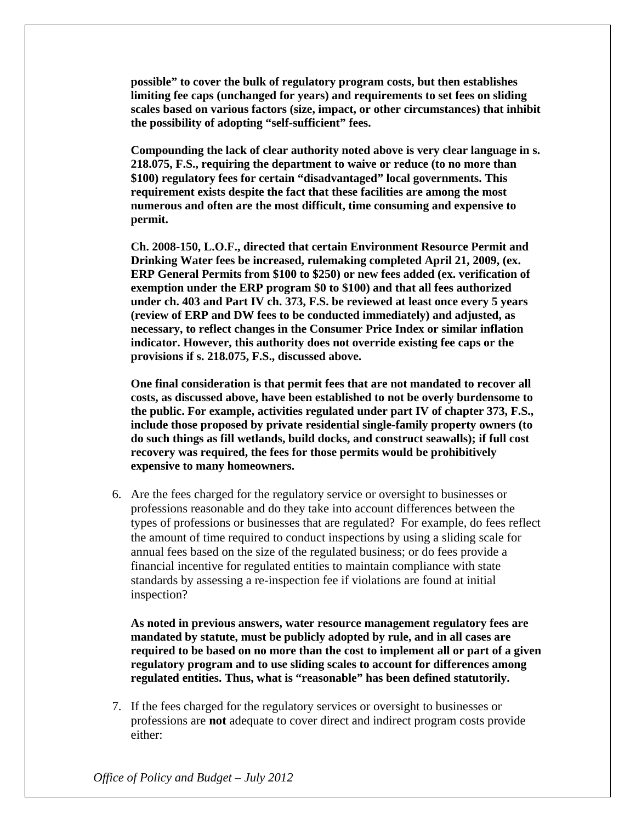**possible" to cover the bulk of regulatory program costs, but then establishes limiting fee caps (unchanged for years) and requirements to set fees on sliding scales based on various factors (size, impact, or other circumstances) that inhibit the possibility of adopting "self-sufficient" fees.** 

**Compounding the lack of clear authority noted above is very clear language in s. 218.075, F.S., requiring the department to waive or reduce (to no more than \$100) regulatory fees for certain "disadvantaged" local governments. This requirement exists despite the fact that these facilities are among the most numerous and often are the most difficult, time consuming and expensive to permit.** 

**Ch. 2008-150, L.O.F., directed that certain Environment Resource Permit and Drinking Water fees be increased, rulemaking completed April 21, 2009, (ex. ERP General Permits from \$100 to \$250) or new fees added (ex. verification of exemption under the ERP program \$0 to \$100) and that all fees authorized under ch. 403 and Part IV ch. 373, F.S. be reviewed at least once every 5 years (review of ERP and DW fees to be conducted immediately) and adjusted, as necessary, to reflect changes in the Consumer Price Index or similar inflation indicator. However, this authority does not override existing fee caps or the provisions if s. 218.075, F.S., discussed above.** 

**One final consideration is that permit fees that are not mandated to recover all costs, as discussed above, have been established to not be overly burdensome to the public. For example, activities regulated under part IV of chapter 373, F.S., include those proposed by private residential single-family property owners (to do such things as fill wetlands, build docks, and construct seawalls); if full cost recovery was required, the fees for those permits would be prohibitively expensive to many homeowners.** 

6. Are the fees charged for the regulatory service or oversight to businesses or professions reasonable and do they take into account differences between the types of professions or businesses that are regulated? For example, do fees reflect the amount of time required to conduct inspections by using a sliding scale for annual fees based on the size of the regulated business; or do fees provide a financial incentive for regulated entities to maintain compliance with state standards by assessing a re-inspection fee if violations are found at initial inspection?

**As noted in previous answers, water resource management regulatory fees are mandated by statute, must be publicly adopted by rule, and in all cases are required to be based on no more than the cost to implement all or part of a given regulatory program and to use sliding scales to account for differences among regulated entities. Thus, what is "reasonable" has been defined statutorily.** 

7. If the fees charged for the regulatory services or oversight to businesses or professions are **not** adequate to cover direct and indirect program costs provide either: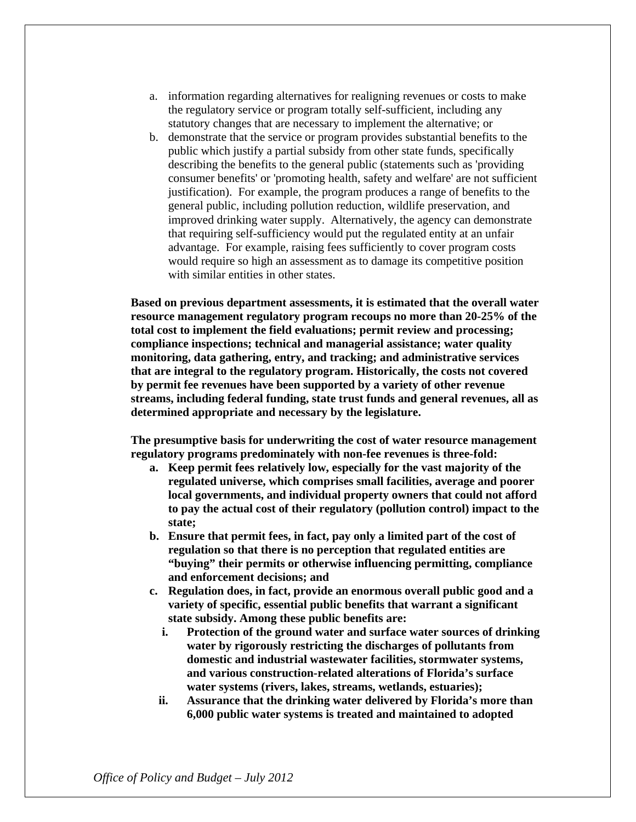- a. information regarding alternatives for realigning revenues or costs to make the regulatory service or program totally self-sufficient, including any statutory changes that are necessary to implement the alternative; or
- b. demonstrate that the service or program provides substantial benefits to the public which justify a partial subsidy from other state funds, specifically describing the benefits to the general public (statements such as 'providing consumer benefits' or 'promoting health, safety and welfare' are not sufficient justification). For example, the program produces a range of benefits to the general public, including pollution reduction, wildlife preservation, and improved drinking water supply. Alternatively, the agency can demonstrate that requiring self-sufficiency would put the regulated entity at an unfair advantage. For example, raising fees sufficiently to cover program costs would require so high an assessment as to damage its competitive position with similar entities in other states.

**Based on previous department assessments, it is estimated that the overall water resource management regulatory program recoups no more than 20-25% of the total cost to implement the field evaluations; permit review and processing; compliance inspections; technical and managerial assistance; water quality monitoring, data gathering, entry, and tracking; and administrative services that are integral to the regulatory program. Historically, the costs not covered by permit fee revenues have been supported by a variety of other revenue streams, including federal funding, state trust funds and general revenues, all as determined appropriate and necessary by the legislature.** 

**The presumptive basis for underwriting the cost of water resource management regulatory programs predominately with non-fee revenues is three-fold:** 

- **a. Keep permit fees relatively low, especially for the vast majority of the regulated universe, which comprises small facilities, average and poorer local governments, and individual property owners that could not afford to pay the actual cost of their regulatory (pollution control) impact to the state;**
- **b. Ensure that permit fees, in fact, pay only a limited part of the cost of regulation so that there is no perception that regulated entities are "buying" their permits or otherwise influencing permitting, compliance and enforcement decisions; and**
- **c. Regulation does, in fact, provide an enormous overall public good and a variety of specific, essential public benefits that warrant a significant state subsidy. Among these public benefits are:** 
	- **i. Protection of the ground water and surface water sources of drinking water by rigorously restricting the discharges of pollutants from domestic and industrial wastewater facilities, stormwater systems, and various construction-related alterations of Florida's surface water systems (rivers, lakes, streams, wetlands, estuaries);**
	- **ii. Assurance that the drinking water delivered by Florida's more than 6,000 public water systems is treated and maintained to adopted**

*Office of Policy and Budget – July 2012*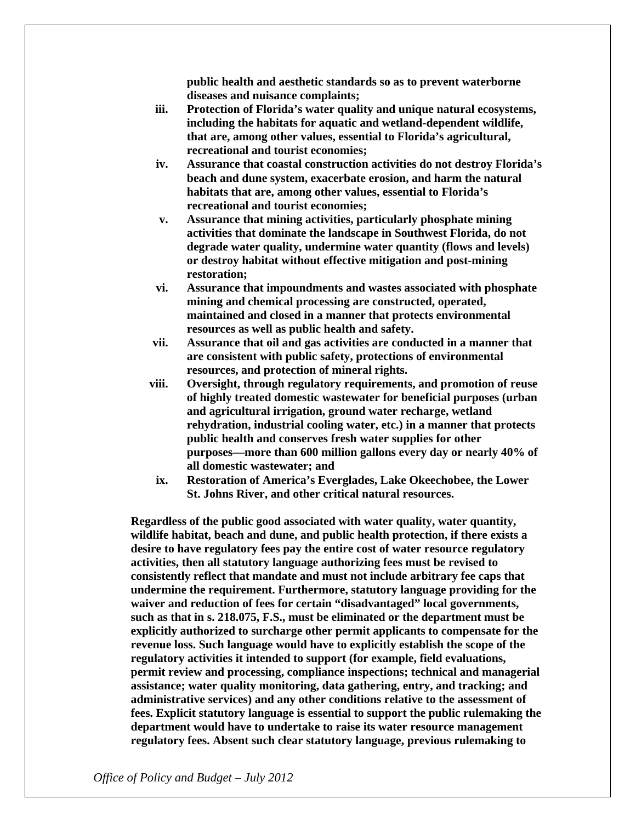**public health and aesthetic standards so as to prevent waterborne diseases and nuisance complaints;** 

- **iii. Protection of Florida's water quality and unique natural ecosystems, including the habitats for aquatic and wetland-dependent wildlife, that are, among other values, essential to Florida's agricultural, recreational and tourist economies;**
- **iv. Assurance that coastal construction activities do not destroy Florida's beach and dune system, exacerbate erosion, and harm the natural habitats that are, among other values, essential to Florida's recreational and tourist economies;**
- **v. Assurance that mining activities, particularly phosphate mining activities that dominate the landscape in Southwest Florida, do not degrade water quality, undermine water quantity (flows and levels) or destroy habitat without effective mitigation and post-mining restoration;**
- **vi. Assurance that impoundments and wastes associated with phosphate mining and chemical processing are constructed, operated, maintained and closed in a manner that protects environmental resources as well as public health and safety.**
- **vii. Assurance that oil and gas activities are conducted in a manner that are consistent with public safety, protections of environmental resources, and protection of mineral rights.**
- **viii. Oversight, through regulatory requirements, and promotion of reuse of highly treated domestic wastewater for beneficial purposes (urban and agricultural irrigation, ground water recharge, wetland rehydration, industrial cooling water, etc.) in a manner that protects public health and conserves fresh water supplies for other purposes—more than 600 million gallons every day or nearly 40% of all domestic wastewater; and**
- **ix. Restoration of America's Everglades, Lake Okeechobee, the Lower St. Johns River, and other critical natural resources.**

**Regardless of the public good associated with water quality, water quantity, wildlife habitat, beach and dune, and public health protection, if there exists a desire to have regulatory fees pay the entire cost of water resource regulatory activities, then all statutory language authorizing fees must be revised to consistently reflect that mandate and must not include arbitrary fee caps that undermine the requirement. Furthermore, statutory language providing for the waiver and reduction of fees for certain "disadvantaged" local governments, such as that in s. 218.075, F.S., must be eliminated or the department must be explicitly authorized to surcharge other permit applicants to compensate for the revenue loss. Such language would have to explicitly establish the scope of the regulatory activities it intended to support (for example, field evaluations, permit review and processing, compliance inspections; technical and managerial assistance; water quality monitoring, data gathering, entry, and tracking; and administrative services) and any other conditions relative to the assessment of fees. Explicit statutory language is essential to support the public rulemaking the department would have to undertake to raise its water resource management regulatory fees. Absent such clear statutory language, previous rulemaking to**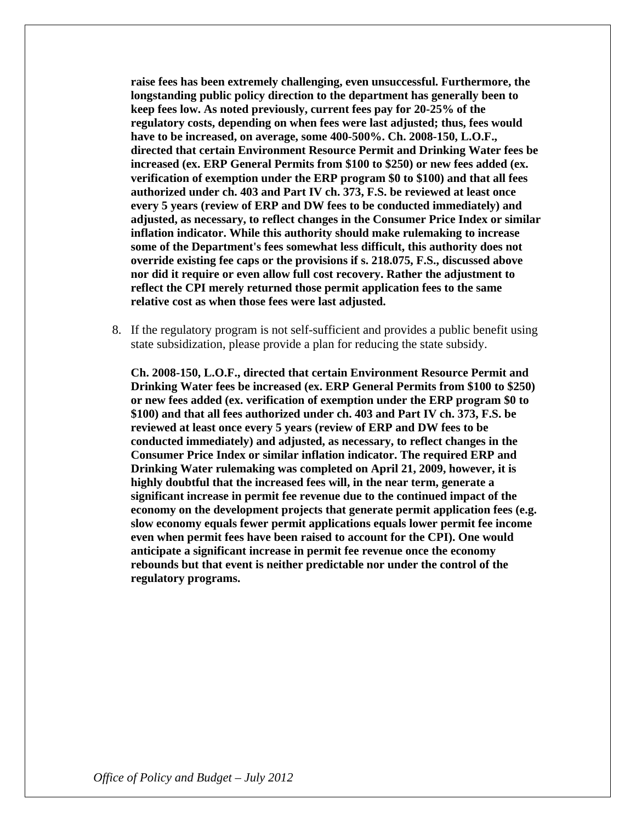**raise fees has been extremely challenging, even unsuccessful. Furthermore, the longstanding public policy direction to the department has generally been to keep fees low. As noted previously, current fees pay for 20-25% of the regulatory costs, depending on when fees were last adjusted; thus, fees would have to be increased, on average, some 400-500%. Ch. 2008-150, L.O.F., directed that certain Environment Resource Permit and Drinking Water fees be increased (ex. ERP General Permits from \$100 to \$250) or new fees added (ex. verification of exemption under the ERP program \$0 to \$100) and that all fees authorized under ch. 403 and Part IV ch. 373, F.S. be reviewed at least once every 5 years (review of ERP and DW fees to be conducted immediately) and adjusted, as necessary, to reflect changes in the Consumer Price Index or similar inflation indicator. While this authority should make rulemaking to increase some of the Department's fees somewhat less difficult, this authority does not override existing fee caps or the provisions if s. 218.075, F.S., discussed above nor did it require or even allow full cost recovery. Rather the adjustment to reflect the CPI merely returned those permit application fees to the same relative cost as when those fees were last adjusted.** 

8. If the regulatory program is not self-sufficient and provides a public benefit using state subsidization, please provide a plan for reducing the state subsidy.

**Ch. 2008-150, L.O.F., directed that certain Environment Resource Permit and Drinking Water fees be increased (ex. ERP General Permits from \$100 to \$250) or new fees added (ex. verification of exemption under the ERP program \$0 to \$100) and that all fees authorized under ch. 403 and Part IV ch. 373, F.S. be reviewed at least once every 5 years (review of ERP and DW fees to be conducted immediately) and adjusted, as necessary, to reflect changes in the Consumer Price Index or similar inflation indicator. The required ERP and Drinking Water rulemaking was completed on April 21, 2009, however, it is highly doubtful that the increased fees will, in the near term, generate a significant increase in permit fee revenue due to the continued impact of the economy on the development projects that generate permit application fees (e.g. slow economy equals fewer permit applications equals lower permit fee income even when permit fees have been raised to account for the CPI). One would anticipate a significant increase in permit fee revenue once the economy rebounds but that event is neither predictable nor under the control of the regulatory programs.**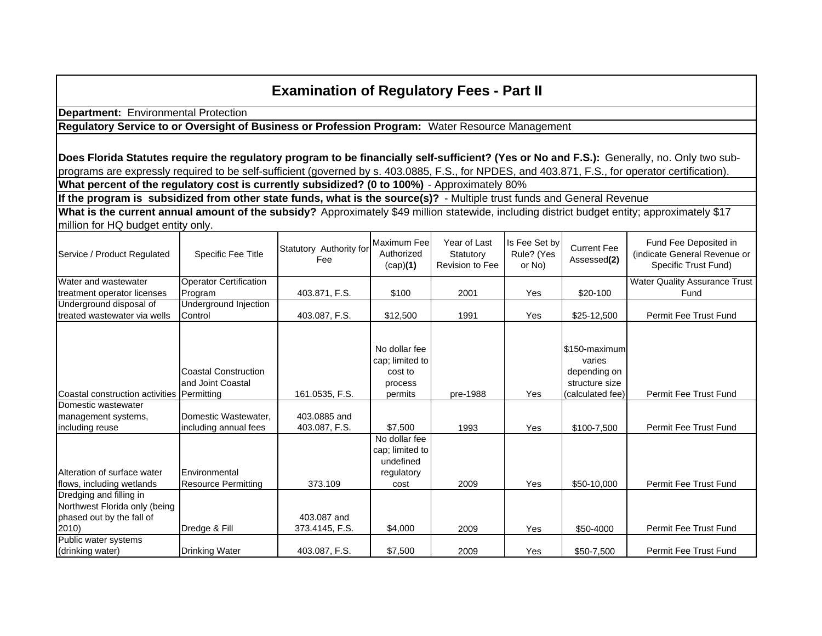## **Examination of Regulatory Fees - Part II**

**Department:** Environmental Protection

**Regulatory Service to or Oversight of Business or Profession Program:** Water Resource Management

**Does Florida Statutes require the regulatory program to be financially self-sufficient? (Yes or No and F.S.):** Generally, no. Only two subprograms are expressly required to be self-sufficient (governed by s. 403.0885, F.S., for NPDES, and 403.871, F.S., for operator certification).

**What percent of the regulatory cost is currently subsidized? (0 to 100%)** - Approximately 80%

**If the program is subsidized from other state funds, what is the source(s)?** - Multiple trust funds and General Revenue

**What is the current annual amount of the subsidy?** Approximately \$49 million statewide, including district budget entity; approximately \$17 million for HQ budget entity only.

| Service / Product Regulated                                                                    | Specific Fee Title                               | Statutory Authority for<br>Fee | Maximum Fee<br>Authorized<br>(cap)(1)                               | Year of Last<br>Statutory<br><b>Revision to Fee</b> | Is Fee Set by<br>Rule? (Yes<br>or No) | <b>Current Fee</b><br>Assessed(2)                                             | Fund Fee Deposited in<br>(indicate General Revenue or<br>Specific Trust Fund) |
|------------------------------------------------------------------------------------------------|--------------------------------------------------|--------------------------------|---------------------------------------------------------------------|-----------------------------------------------------|---------------------------------------|-------------------------------------------------------------------------------|-------------------------------------------------------------------------------|
| Water and wastewater                                                                           | <b>Operator Certification</b>                    |                                |                                                                     |                                                     |                                       |                                                                               | <b>Water Quality Assurance Trust</b>                                          |
| treatment operator licenses                                                                    | Program                                          | 403.871, F.S.                  | \$100                                                               | 2001                                                | Yes                                   | $$20-100$                                                                     | Fund                                                                          |
| Underground disposal of                                                                        | Underground Injection                            |                                |                                                                     |                                                     |                                       |                                                                               |                                                                               |
| treated wastewater via wells                                                                   | Control                                          | 403.087, F.S.                  | \$12,500                                                            | 1991                                                | Yes                                   | \$25-12,500                                                                   | <b>Permit Fee Trust Fund</b>                                                  |
| Coastal construction activities Permitting                                                     | <b>Coastal Construction</b><br>and Joint Coastal | 161.0535, F.S.                 | No dollar fee<br>cap; limited to<br>cost to<br>process<br>permits   | pre-1988                                            | Yes                                   | \$150-maximum<br>varies<br>depending on<br>structure size<br>(calculated fee) | Permit Fee Trust Fund                                                         |
| Domestic wastewater                                                                            |                                                  |                                |                                                                     |                                                     |                                       |                                                                               |                                                                               |
| management systems,                                                                            | Domestic Wastewater,                             | 403,0885 and                   |                                                                     |                                                     |                                       |                                                                               |                                                                               |
| including reuse                                                                                | including annual fees                            | 403.087, F.S.                  | \$7,500                                                             | 1993                                                | Yes                                   | \$100-7,500                                                                   | Permit Fee Trust Fund                                                         |
| Alteration of surface water<br>flows, including wetlands                                       | Environmental<br><b>Resource Permitting</b>      | 373.109                        | No dollar fee<br>cap; limited to<br>undefined<br>regulatory<br>cost | 2009                                                | Yes                                   | \$50-10,000                                                                   | Permit Fee Trust Fund                                                         |
| Dredging and filling in<br>Northwest Florida only (being<br>phased out by the fall of<br>2010) | Dredge & Fill                                    | 403.087 and<br>373.4145, F.S.  | \$4,000                                                             | 2009                                                | Yes                                   | \$50-4000                                                                     | Permit Fee Trust Fund                                                         |
| Public water systems<br>(drinking water)                                                       | <b>Drinking Water</b>                            | 403.087, F.S.                  | \$7,500                                                             | 2009                                                | Yes                                   | \$50-7,500                                                                    | Permit Fee Trust Fund                                                         |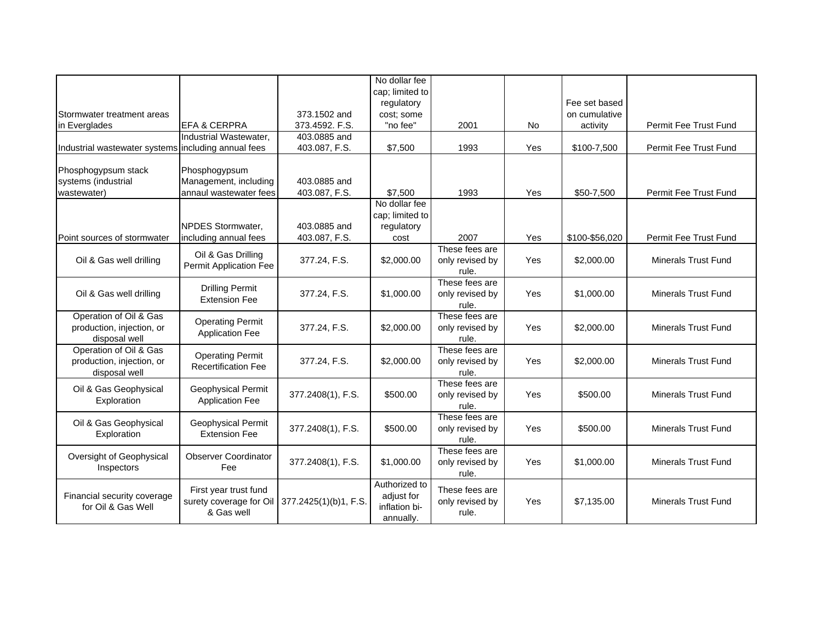|                                                                      |                                                                |                               | No dollar fee<br>cap; limited to                          |                                            |     |                |                            |
|----------------------------------------------------------------------|----------------------------------------------------------------|-------------------------------|-----------------------------------------------------------|--------------------------------------------|-----|----------------|----------------------------|
|                                                                      |                                                                |                               | regulatory                                                |                                            |     | Fee set based  |                            |
| Stormwater treatment areas                                           |                                                                | 373,1502 and                  | cost; some                                                |                                            |     | on cumulative  |                            |
| in Everglades                                                        | <b>EFA &amp; CERPRA</b>                                        | 373.4592, F.S.                | "no fee"                                                  | 2001                                       | No  | activity       | Permit Fee Trust Fund      |
|                                                                      | Industrial Wastewater.                                         | 403,0885 and                  |                                                           |                                            |     |                |                            |
| Industrial wastewater systems including annual fees                  |                                                                | 403.087, F.S.                 | \$7,500                                                   | 1993                                       | Yes | \$100-7,500    | Permit Fee Trust Fund      |
| Phosphogypsum stack                                                  | Phosphogypsum                                                  |                               |                                                           |                                            |     |                |                            |
| systems (industrial                                                  | Management, including                                          | 403.0885 and                  |                                                           | 1993                                       |     |                | Permit Fee Trust Fund      |
| wastewater)                                                          | annaul wastewater fees                                         | 403.087, F.S.                 | \$7,500<br>No dollar fee                                  |                                            | Yes | \$50-7,500     |                            |
| Point sources of stormwater                                          | <b>NPDES Stormwater.</b><br>including annual fees              | 403,0885 and<br>403.087, F.S. | cap; limited to<br>regulatory<br>cost                     | 2007                                       | Yes | \$100-\$56,020 | Permit Fee Trust Fund      |
| Oil & Gas well drilling                                              | Oil & Gas Drilling<br>Permit Application Fee                   | 377.24, F.S.                  | \$2,000.00                                                | These fees are<br>only revised by<br>rule. | Yes | \$2,000.00     | <b>Minerals Trust Fund</b> |
| Oil & Gas well drilling                                              | <b>Drilling Permit</b><br><b>Extension Fee</b>                 | 377.24, F.S.                  | \$1,000.00                                                | These fees are<br>only revised by<br>rule. | Yes | \$1,000.00     | <b>Minerals Trust Fund</b> |
| Operation of Oil & Gas<br>production, injection, or<br>disposal well | <b>Operating Permit</b><br><b>Application Fee</b>              | 377.24, F.S.                  | \$2,000.00                                                | These fees are<br>only revised by<br>rule. | Yes | \$2,000.00     | <b>Minerals Trust Fund</b> |
| Operation of Oil & Gas<br>production, injection, or<br>disposal well | <b>Operating Permit</b><br><b>Recertification Fee</b>          | 377.24, F.S.                  | \$2,000.00                                                | These fees are<br>only revised by<br>rule. | Yes | \$2,000.00     | <b>Minerals Trust Fund</b> |
| Oil & Gas Geophysical<br>Exploration                                 | Geophysical Permit<br><b>Application Fee</b>                   | 377.2408(1), F.S.             | \$500.00                                                  | These fees are<br>only revised by<br>rule. | Yes | \$500.00       | <b>Minerals Trust Fund</b> |
| Oil & Gas Geophysical<br>Exploration                                 | Geophysical Permit<br><b>Extension Fee</b>                     | 377.2408(1), F.S.             | \$500.00                                                  | These fees are<br>only revised by<br>rule. | Yes | \$500.00       | <b>Minerals Trust Fund</b> |
| Oversight of Geophysical<br>Inspectors                               | <b>Observer Coordinator</b><br>Fee                             | 377.2408(1), F.S.             | \$1,000.00                                                | These fees are<br>only revised by<br>rule. | Yes | \$1,000.00     | <b>Minerals Trust Fund</b> |
| Financial security coverage<br>for Oil & Gas Well                    | First year trust fund<br>surety coverage for Oil<br>& Gas well | 377.2425(1)(b)1, F.S.         | Authorized to<br>adjust for<br>inflation bi-<br>annually. | These fees are<br>only revised by<br>rule. | Yes | \$7.135.00     | Minerals Trust Fund        |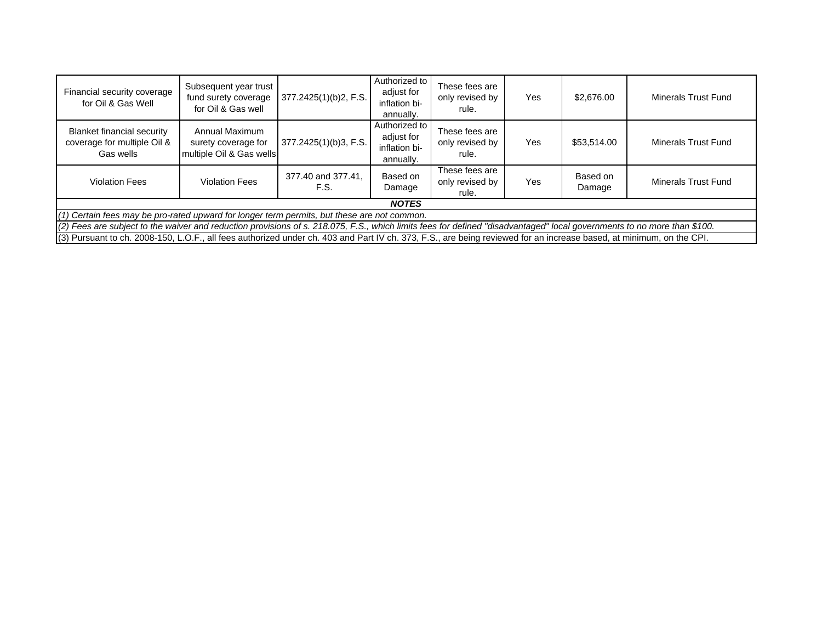| <b>Blanket financial security</b><br>coverage for multiple Oil &                                                                                                        | Annual Maximum<br>surety coverage for | 377.2425(1)(b)3, F.S.      | annually.<br>Authorized to<br>adjust for<br>inflation bi- | These fees are<br>only revised by          | Yes | \$53,514.00        | Minerals Trust Fund |  |
|-------------------------------------------------------------------------------------------------------------------------------------------------------------------------|---------------------------------------|----------------------------|-----------------------------------------------------------|--------------------------------------------|-----|--------------------|---------------------|--|
| Gas wells                                                                                                                                                               | multiple Oil & Gas wells              |                            | annually.                                                 | rule.                                      |     |                    |                     |  |
| <b>Violation Fees</b>                                                                                                                                                   | <b>Violation Fees</b>                 | 377.40 and 377.41,<br>F.S. | Based on<br>Damage                                        | These fees are<br>only revised by<br>rule. | Yes | Based on<br>Damage | Minerals Trust Fund |  |
|                                                                                                                                                                         |                                       |                            | <b>NOTES</b>                                              |                                            |     |                    |                     |  |
| $(1)$ Certain fees may be pro-rated upward for longer term permits, but these are not common.                                                                           |                                       |                            |                                                           |                                            |     |                    |                     |  |
| (2) Fees are subject to the waiver and reduction provisions of s. 218.075, F.S., which limits fees for defined "disadvantaged" local governments to no more than \$100. |                                       |                            |                                                           |                                            |     |                    |                     |  |
| (3) Pursuant to ch. 2008-150, L.O.F., all fees authorized under ch. 403 and Part IV ch. 373, F.S., are being reviewed for an increase based, at minimum, on the CPI.    |                                       |                            |                                                           |                                            |     |                    |                     |  |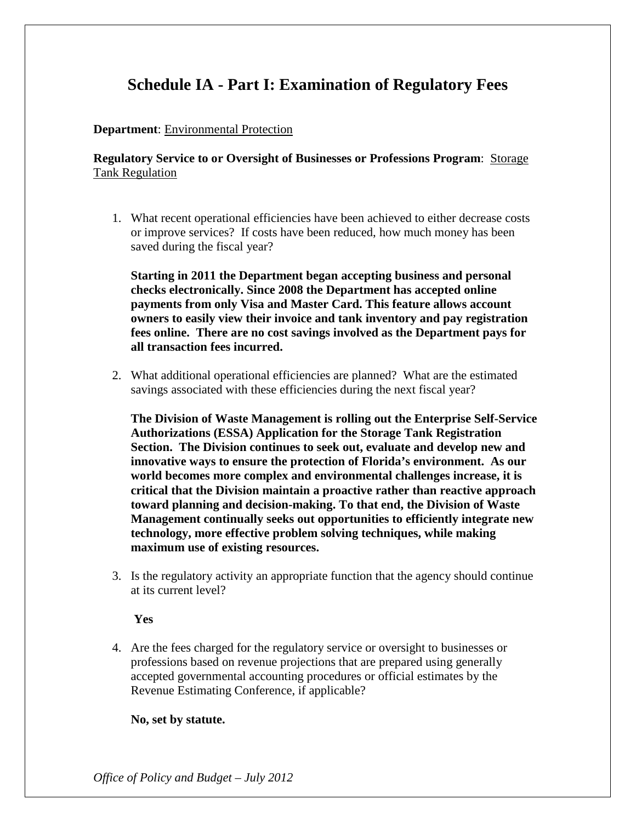## **Schedule IA - Part I: Examination of Regulatory Fees**

#### **Department**: Environmental Protection

### **Regulatory Service to or Oversight of Businesses or Professions Program**: Storage Tank Regulation

1. What recent operational efficiencies have been achieved to either decrease costs or improve services? If costs have been reduced, how much money has been saved during the fiscal year?

**Starting in 2011 the Department began accepting business and personal checks electronically. Since 2008 the Department has accepted online payments from only Visa and Master Card. This feature allows account owners to easily view their invoice and tank inventory and pay registration fees online. There are no cost savings involved as the Department pays for all transaction fees incurred.** 

2. What additional operational efficiencies are planned? What are the estimated savings associated with these efficiencies during the next fiscal year?

**The Division of Waste Management is rolling out the Enterprise Self-Service Authorizations (ESSA) Application for the Storage Tank Registration Section. The Division continues to seek out, evaluate and develop new and innovative ways to ensure the protection of Florida's environment. As our world becomes more complex and environmental challenges increase, it is critical that the Division maintain a proactive rather than reactive approach toward planning and decision-making. To that end, the Division of Waste Management continually seeks out opportunities to efficiently integrate new technology, more effective problem solving techniques, while making maximum use of existing resources.**

3. Is the regulatory activity an appropriate function that the agency should continue at its current level?

#### **Yes**

4. Are the fees charged for the regulatory service or oversight to businesses or professions based on revenue projections that are prepared using generally accepted governmental accounting procedures or official estimates by the Revenue Estimating Conference, if applicable?

**No, set by statute.**

*Office of Policy and Budget – July 2012*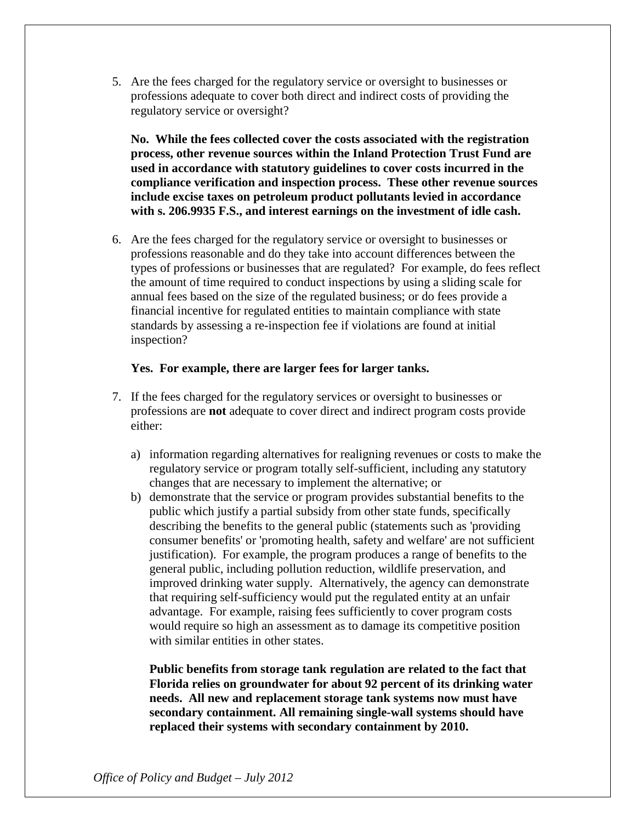5. Are the fees charged for the regulatory service or oversight to businesses or professions adequate to cover both direct and indirect costs of providing the regulatory service or oversight?

**No. While the fees collected cover the costs associated with the registration process, other revenue sources within the Inland Protection Trust Fund are used in accordance with statutory guidelines to cover costs incurred in the compliance verification and inspection process. These other revenue sources include excise taxes on petroleum product pollutants levied in accordance with s. 206.9935 F.S., and interest earnings on the investment of idle cash.**

6. Are the fees charged for the regulatory service or oversight to businesses or professions reasonable and do they take into account differences between the types of professions or businesses that are regulated? For example, do fees reflect the amount of time required to conduct inspections by using a sliding scale for annual fees based on the size of the regulated business; or do fees provide a financial incentive for regulated entities to maintain compliance with state standards by assessing a re-inspection fee if violations are found at initial inspection?

#### **Yes. For example, there are larger fees for larger tanks.**

- 7. If the fees charged for the regulatory services or oversight to businesses or professions are **not** adequate to cover direct and indirect program costs provide either:
	- a) information regarding alternatives for realigning revenues or costs to make the regulatory service or program totally self-sufficient, including any statutory changes that are necessary to implement the alternative; or
	- b) demonstrate that the service or program provides substantial benefits to the public which justify a partial subsidy from other state funds, specifically describing the benefits to the general public (statements such as 'providing consumer benefits' or 'promoting health, safety and welfare' are not sufficient justification). For example, the program produces a range of benefits to the general public, including pollution reduction, wildlife preservation, and improved drinking water supply. Alternatively, the agency can demonstrate that requiring self-sufficiency would put the regulated entity at an unfair advantage. For example, raising fees sufficiently to cover program costs would require so high an assessment as to damage its competitive position with similar entities in other states.

**Public benefits from storage tank regulation are related to the fact that Florida relies on groundwater for about 92 percent of its drinking water needs. All new and replacement storage tank systems now must have secondary containment. All remaining single-wall systems should have replaced their systems with secondary containment by 2010.**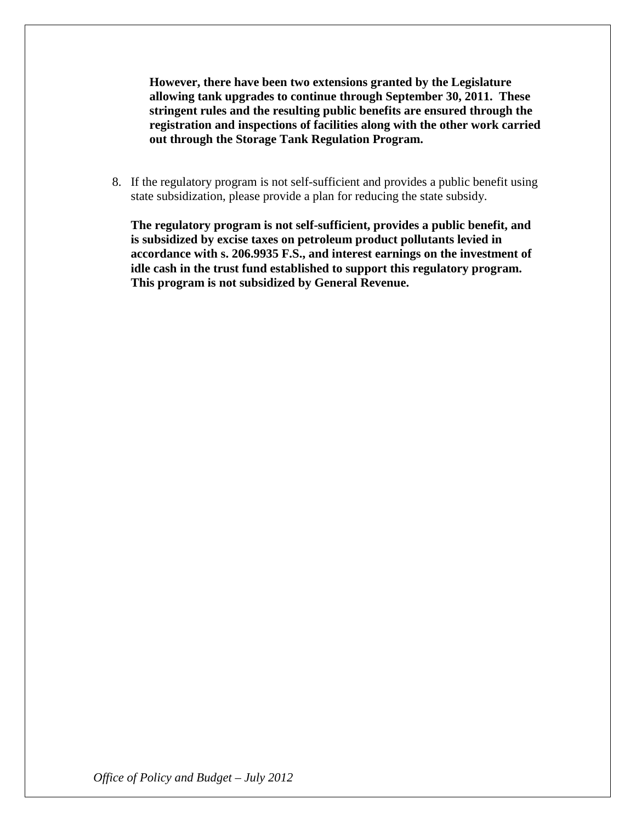**However, there have been two extensions granted by the Legislature allowing tank upgrades to continue through September 30, 2011. These stringent rules and the resulting public benefits are ensured through the registration and inspections of facilities along with the other work carried out through the Storage Tank Regulation Program.**

8. If the regulatory program is not self-sufficient and provides a public benefit using state subsidization, please provide a plan for reducing the state subsidy.

**The regulatory program is not self-sufficient, provides a public benefit, and is subsidized by excise taxes on petroleum product pollutants levied in accordance with s. 206.9935 F.S., and interest earnings on the investment of idle cash in the trust fund established to support this regulatory program. This program is not subsidized by General Revenue.**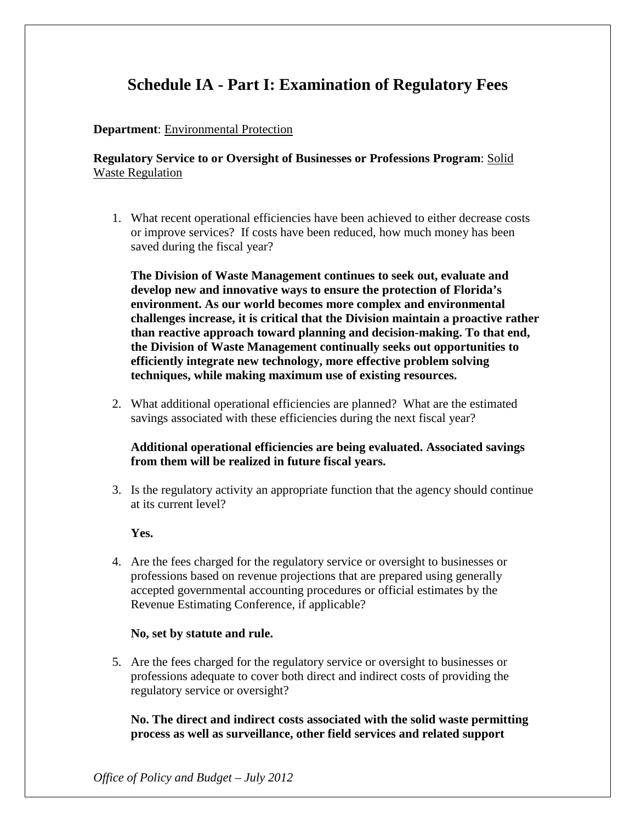# **Schedule IA - Part I: Examination of Regulatory Fees**

**Department**: Environmental Protection

**Regulatory Service to or Oversight of Businesses or Professions Program**: Solid Waste Regulation

1. What recent operational efficiencies have been achieved to either decrease costs or improve services? If costs have been reduced, how much money has been saved during the fiscal year?

**The Division of Waste Management continues to seek out, evaluate and develop new and innovative ways to ensure the protection of Florida's environment. As our world becomes more complex and environmental challenges increase, it is critical that the Division maintain a proactive rather than reactive approach toward planning and decision-making. To that end, the Division of Waste Management continually seeks out opportunities to efficiently integrate new technology, more effective problem solving techniques, while making maximum use of existing resources.**

2. What additional operational efficiencies are planned? What are the estimated savings associated with these efficiencies during the next fiscal year?

### **Additional operational efficiencies are being evaluated. Associated savings from them will be realized in future fiscal years.**

3. Is the regulatory activity an appropriate function that the agency should continue at its current level?

**Yes.**

4. Are the fees charged for the regulatory service or oversight to businesses or professions based on revenue projections that are prepared using generally accepted governmental accounting procedures or official estimates by the Revenue Estimating Conference, if applicable?

### **No, set by statute and rule.**

5. Are the fees charged for the regulatory service or oversight to businesses or professions adequate to cover both direct and indirect costs of providing the regulatory service or oversight?

**No. The direct and indirect costs associated with the solid waste permitting process as well as surveillance, other field services and related support**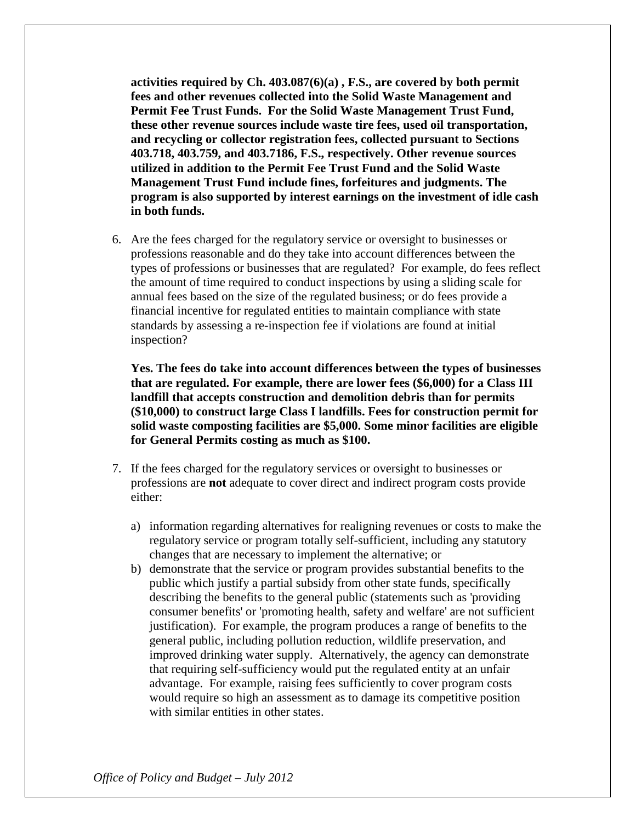**activities required by Ch. 403.087(6)(a) , F.S., are covered by both permit fees and other revenues collected into the Solid Waste Management and Permit Fee Trust Funds. For the Solid Waste Management Trust Fund, these other revenue sources include waste tire fees, used oil transportation, and recycling or collector registration fees, collected pursuant to Sections 403.718, 403.759, and 403.7186, F.S., respectively. Other revenue sources utilized in addition to the Permit Fee Trust Fund and the Solid Waste Management Trust Fund include fines, forfeitures and judgments. The program is also supported by interest earnings on the investment of idle cash in both funds.**

6. Are the fees charged for the regulatory service or oversight to businesses or professions reasonable and do they take into account differences between the types of professions or businesses that are regulated? For example, do fees reflect the amount of time required to conduct inspections by using a sliding scale for annual fees based on the size of the regulated business; or do fees provide a financial incentive for regulated entities to maintain compliance with state standards by assessing a re-inspection fee if violations are found at initial inspection?

**Yes. The fees do take into account differences between the types of businesses that are regulated. For example, there are lower fees (\$6,000) for a Class III landfill that accepts construction and demolition debris than for permits (\$10,000) to construct large Class I landfills. Fees for construction permit for solid waste composting facilities are \$5,000. Some minor facilities are eligible for General Permits costing as much as \$100.**

- 7. If the fees charged for the regulatory services or oversight to businesses or professions are **not** adequate to cover direct and indirect program costs provide either:
	- a) information regarding alternatives for realigning revenues or costs to make the regulatory service or program totally self-sufficient, including any statutory changes that are necessary to implement the alternative; or
	- b) demonstrate that the service or program provides substantial benefits to the public which justify a partial subsidy from other state funds, specifically describing the benefits to the general public (statements such as 'providing consumer benefits' or 'promoting health, safety and welfare' are not sufficient justification). For example, the program produces a range of benefits to the general public, including pollution reduction, wildlife preservation, and improved drinking water supply. Alternatively, the agency can demonstrate that requiring self-sufficiency would put the regulated entity at an unfair advantage. For example, raising fees sufficiently to cover program costs would require so high an assessment as to damage its competitive position with similar entities in other states.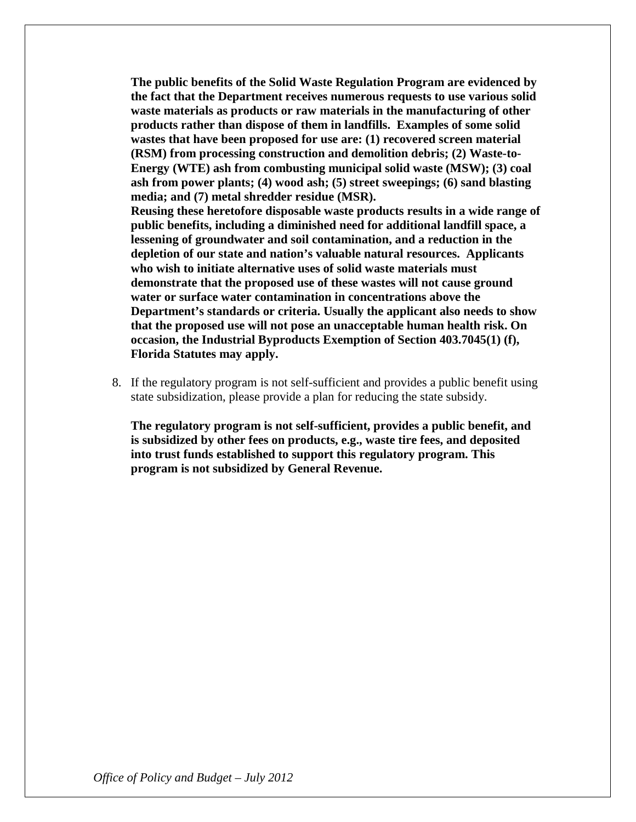**The public benefits of the Solid Waste Regulation Program are evidenced by the fact that the Department receives numerous requests to use various solid waste materials as products or raw materials in the manufacturing of other products rather than dispose of them in landfills. Examples of some solid wastes that have been proposed for use are: (1) recovered screen material (RSM) from processing construction and demolition debris; (2) Waste-to-Energy (WTE) ash from combusting municipal solid waste (MSW); (3) coal ash from power plants; (4) wood ash; (5) street sweepings; (6) sand blasting media; and (7) metal shredder residue (MSR).** 

**Reusing these heretofore disposable waste products results in a wide range of public benefits, including a diminished need for additional landfill space, a lessening of groundwater and soil contamination, and a reduction in the depletion of our state and nation's valuable natural resources. Applicants who wish to initiate alternative uses of solid waste materials must demonstrate that the proposed use of these wastes will not cause ground water or surface water contamination in concentrations above the Department's standards or criteria. Usually the applicant also needs to show that the proposed use will not pose an unacceptable human health risk. On occasion, the Industrial Byproducts Exemption of Section 403.7045(1) (f), Florida Statutes may apply.**

8. If the regulatory program is not self-sufficient and provides a public benefit using state subsidization, please provide a plan for reducing the state subsidy.

**The regulatory program is not self-sufficient, provides a public benefit, and is subsidized by other fees on products, e.g., waste tire fees, and deposited into trust funds established to support this regulatory program. This program is not subsidized by General Revenue.**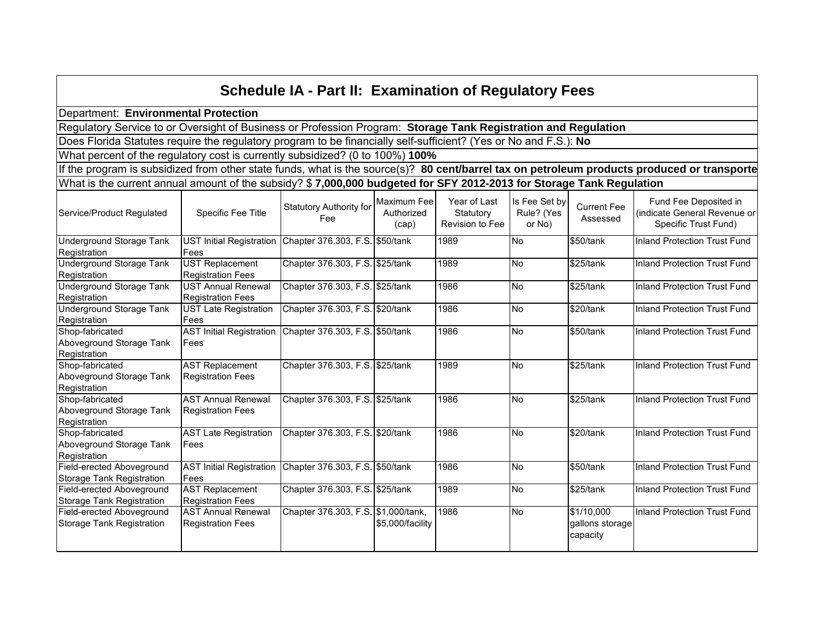|                                                                                                                                             |                                                                                                                                                                                                                                                                                                               | <b>Schedule IA - Part II: Examination of Regulatory Fees</b> |                  |      |           |                                           |                                     |  |  |  |  |
|---------------------------------------------------------------------------------------------------------------------------------------------|---------------------------------------------------------------------------------------------------------------------------------------------------------------------------------------------------------------------------------------------------------------------------------------------------------------|--------------------------------------------------------------|------------------|------|-----------|-------------------------------------------|-------------------------------------|--|--|--|--|
| Department: Environmental Protection                                                                                                        |                                                                                                                                                                                                                                                                                                               |                                                              |                  |      |           |                                           |                                     |  |  |  |  |
| Regulatory Service to or Oversight of Business or Profession Program: Storage Tank Registration and Regulation                              |                                                                                                                                                                                                                                                                                                               |                                                              |                  |      |           |                                           |                                     |  |  |  |  |
| Does Florida Statutes require the regulatory program to be financially self-sufficient? (Yes or No and F.S.): No                            |                                                                                                                                                                                                                                                                                                               |                                                              |                  |      |           |                                           |                                     |  |  |  |  |
| What percent of the regulatory cost is currently subsidized? (0 to 100%) 100%                                                               |                                                                                                                                                                                                                                                                                                               |                                                              |                  |      |           |                                           |                                     |  |  |  |  |
|                                                                                                                                             |                                                                                                                                                                                                                                                                                                               |                                                              |                  |      |           |                                           |                                     |  |  |  |  |
| If the program is subsidized from other state funds, what is the source(s)? 80 cent/barrel tax on petroleum products produced or transporte |                                                                                                                                                                                                                                                                                                               |                                                              |                  |      |           |                                           |                                     |  |  |  |  |
| What is the current annual amount of the subsidy? \$7,000,000 budgeted for SFY 2012-2013 for Storage Tank Regulation                        |                                                                                                                                                                                                                                                                                                               |                                                              |                  |      |           |                                           |                                     |  |  |  |  |
| Service/Product Regulated                                                                                                                   | Year of Last<br>Is Fee Set by<br>Fund Fee Deposited in<br>Maximum Fee<br><b>Statutory Authority for</b><br><b>Current Fee</b><br>Specific Fee Title<br>Rule? (Yes<br>(indicate General Revenue or<br>Authorized<br>Statutory<br>Fee<br>Assessed<br>Revision to Fee<br>or No)<br>Specific Trust Fund)<br>(cap) |                                                              |                  |      |           |                                           |                                     |  |  |  |  |
| Underground Storage Tank<br>Registration                                                                                                    | UST Initial Registration Chapter 376.303, F.S. \$50/tank<br>Fees                                                                                                                                                                                                                                              |                                                              |                  | 1989 | <b>No</b> | \$50/tank                                 | Inland Protection Trust Fund        |  |  |  |  |
| <b>Underground Storage Tank</b><br>Registration                                                                                             | <b>UST Replacement</b><br><b>Registration Fees</b>                                                                                                                                                                                                                                                            | Chapter 376.303, F.S. \$25/tank                              |                  | 1989 | <b>No</b> | \$25/tank                                 | <b>Inland Protection Trust Fund</b> |  |  |  |  |
| <b>Underground Storage Tank</b>                                                                                                             | <b>UST Annual Renewal</b>                                                                                                                                                                                                                                                                                     | Chapter 376.303, F.S. \$25/tank                              |                  | 1986 | <b>No</b> | \$25/tank                                 | <b>Inland Protection Trust Fund</b> |  |  |  |  |
| Registration                                                                                                                                | <b>Registration Fees</b>                                                                                                                                                                                                                                                                                      |                                                              |                  |      |           |                                           |                                     |  |  |  |  |
| <b>Underground Storage Tank</b>                                                                                                             | <b>UST Late Registration</b>                                                                                                                                                                                                                                                                                  | Chapter 376.303, F.S. \$20/tank                              |                  | 1986 | No        | \$20/tank                                 | Inland Protection Trust Fund        |  |  |  |  |
| Registration                                                                                                                                | Fees                                                                                                                                                                                                                                                                                                          |                                                              |                  |      |           |                                           |                                     |  |  |  |  |
| Shop-fabricated                                                                                                                             | <b>AST Initial Registration</b>                                                                                                                                                                                                                                                                               | Chapter 376.303, F.S. \$50/tank                              |                  | 1986 | <b>No</b> | \$50/tank                                 | Inland Protection Trust Fund        |  |  |  |  |
| Aboveground Storage Tank<br>Registration                                                                                                    | Fees                                                                                                                                                                                                                                                                                                          |                                                              |                  |      |           |                                           |                                     |  |  |  |  |
| Shop-fabricated                                                                                                                             | <b>AST Replacement</b>                                                                                                                                                                                                                                                                                        | Chapter 376.303, F.S. \$25/tank                              |                  | 1989 | No        | \$25/tank                                 | <b>Inland Protection Trust Fund</b> |  |  |  |  |
| Aboveground Storage Tank                                                                                                                    | <b>Registration Fees</b>                                                                                                                                                                                                                                                                                      |                                                              |                  |      |           |                                           |                                     |  |  |  |  |
| Registration                                                                                                                                |                                                                                                                                                                                                                                                                                                               |                                                              |                  |      |           |                                           |                                     |  |  |  |  |
| Shop-fabricated<br>Aboveground Storage Tank<br>Registration                                                                                 | <b>AST Annual Renewal</b><br><b>Registration Fees</b>                                                                                                                                                                                                                                                         | Chapter 376.303, F.S. \$25/tank                              |                  | 1986 | <b>No</b> | \$25/tank                                 | Inland Protection Trust Fund        |  |  |  |  |
| Shop-fabricated<br>Aboveground Storage Tank<br>Registration                                                                                 | <b>AST Late Registration</b><br>Fees                                                                                                                                                                                                                                                                          | Chapter 376.303, F.S. \$20/tank                              |                  | 1986 | <b>No</b> | \$20/tank                                 | Inland Protection Trust Fund        |  |  |  |  |
| Field-erected Aboveground                                                                                                                   | <b>AST Initial Registration</b>                                                                                                                                                                                                                                                                               | Chapter 376.303, F.S. \$50/tank                              |                  | 1986 | <b>No</b> | \$50/tank                                 | Inland Protection Trust Fund        |  |  |  |  |
| Storage Tank Registration                                                                                                                   | Fees                                                                                                                                                                                                                                                                                                          |                                                              |                  |      |           |                                           |                                     |  |  |  |  |
| Field-erected Aboveground                                                                                                                   | <b>AST Replacement</b>                                                                                                                                                                                                                                                                                        | Chapter 376.303, F.S. \$25/tank                              |                  | 1989 | <b>No</b> | \$25/tank                                 | Inland Protection Trust Fund        |  |  |  |  |
| Storage Tank Registration                                                                                                                   | <b>Registration Fees</b>                                                                                                                                                                                                                                                                                      |                                                              |                  |      |           |                                           |                                     |  |  |  |  |
| Field-erected Aboveground<br><b>Storage Tank Registration</b>                                                                               | <b>AST Annual Renewal</b><br><b>Registration Fees</b>                                                                                                                                                                                                                                                         | Chapter 376.303, F.S. \$1,000/tank,                          | \$5,000/facility | 1986 | <b>No</b> | \$1/10,000<br>gallons storage<br>capacity | Inland Protection Trust Fund        |  |  |  |  |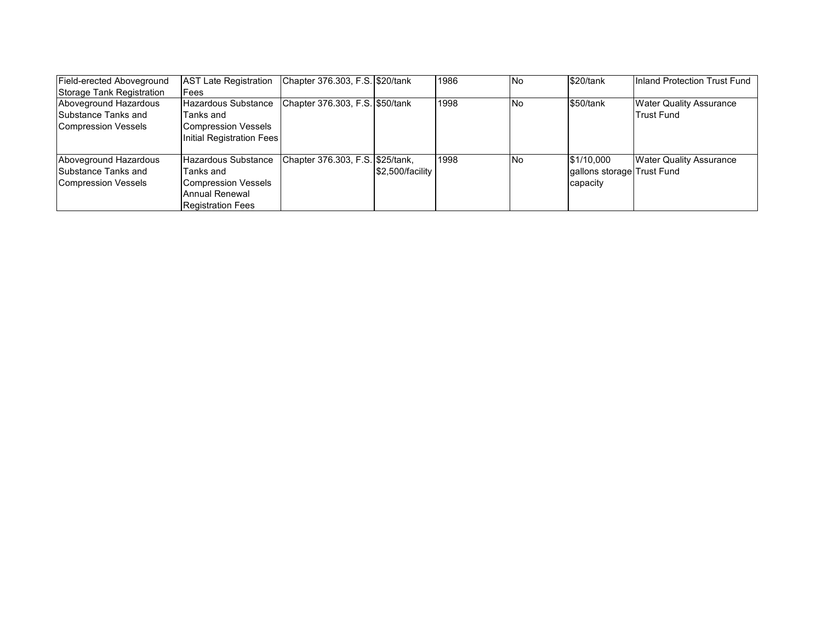| Field-erected Aboveground  | <b>AST Late Registration</b> | Chapter 376.303, F.S. \$20/tank  |                  | 1986 | <b>No</b> | \$20/tank                  | Inland Protection Trust Fund   |
|----------------------------|------------------------------|----------------------------------|------------------|------|-----------|----------------------------|--------------------------------|
| Storage Tank Registration  | Fees                         |                                  |                  |      |           |                            |                                |
| Aboveground Hazardous      | Hazardous Substance          | Chapter 376.303, F.S. \$50/tank  |                  | 1998 | INo.      | \$50/tank                  | <b>Water Quality Assurance</b> |
| Substance Tanks and        | Tanks and                    |                                  |                  |      |           |                            | <b>Trust Fund</b>              |
| Compression Vessels        | <b>Compression Vessels</b>   |                                  |                  |      |           |                            |                                |
|                            | Initial Registration Fees    |                                  |                  |      |           |                            |                                |
|                            |                              |                                  |                  |      |           |                            |                                |
| Aboveground Hazardous      | Hazardous Substance          | Chapter 376.303, F.S. \$25/tank, |                  | 1998 | INo.      | \$1/10.000                 | <b>Water Quality Assurance</b> |
| Substance Tanks and        | Tanks and                    |                                  | \$2.500/facility |      |           | gallons storage Trust Fund |                                |
| <b>Compression Vessels</b> | <b>Compression Vessels</b>   |                                  |                  |      |           | capacity                   |                                |
|                            | Annual Renewal               |                                  |                  |      |           |                            |                                |
|                            | <b>Registration Fees</b>     |                                  |                  |      |           |                            |                                |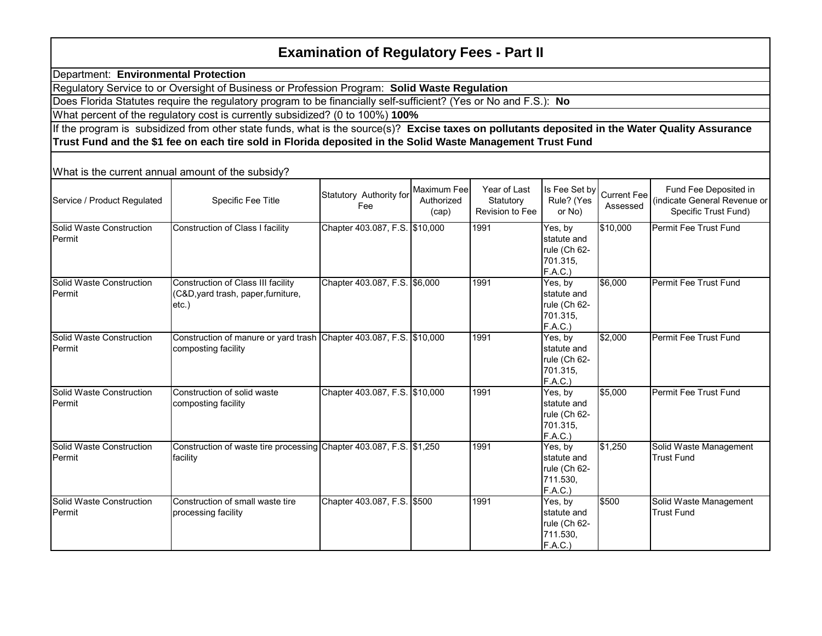## **Examination of Regulatory Fees - Part II**

Department: **Environmental Protection**

Regulatory Service to or Oversight of Business or Profession Program: **Solid Waste Regulation**

Does Florida Statutes require the regulatory program to be financially self-sufficient? (Yes or No and F.S.): **No**

What percent of the regulatory cost is currently subsidized? (0 to 100%) **100%**

If the program is subsidized from other state funds, what is the source(s)? **Excise taxes on pollutants deposited in the Water Quality Assurance Trust Fund and the \$1 fee on each tire sold in Florida deposited in the Solid Waste Management Trust Fund**

What is the current annual amount of the subsidy?

| Service / Product Regulated        | Specific Fee Title                                                                         | Statutory Authority for<br>Fee | Maximum Fee<br>Authorized<br>(cap) | Year of Last<br>Statutory<br>Revision to Fee | Is Fee Set by Current Fee<br>Rule? (Yes<br>or No)             | Assessed | Fund Fee Deposited in<br>(indicate General Revenue or<br>Specific Trust Fund) |
|------------------------------------|--------------------------------------------------------------------------------------------|--------------------------------|------------------------------------|----------------------------------------------|---------------------------------------------------------------|----------|-------------------------------------------------------------------------------|
| Solid Waste Construction<br>Permit | Construction of Class I facility                                                           | Chapter 403.087, F.S. \$10,000 |                                    | 1991                                         | Yes, by<br>statute and<br>rule (Ch 62-<br>701.315,<br>F.A.C.) | \$10,000 | Permit Fee Trust Fund                                                         |
| Solid Waste Construction<br>Permit | Construction of Class III facility<br>(C&D, yard trash, paper, furniture,<br>$etc.$ )      | Chapter 403.087, F.S. \$6,000  |                                    | 1991                                         | Yes, by<br>statute and<br>rule (Ch 62-<br>701.315.<br>F.A.C.) | \$6,000  | Permit Fee Trust Fund                                                         |
| Solid Waste Construction<br>Permit | Construction of manure or yard trash Chapter 403.087, F.S. \$10,000<br>composting facility |                                |                                    | 1991                                         | Yes, by<br>statute and<br>rule (Ch 62-<br>701.315,<br>F.A.C.) | \$2,000  | Permit Fee Trust Fund                                                         |
| Solid Waste Construction<br>Permit | Construction of solid waste<br>composting facility                                         | Chapter 403.087, F.S. \$10,000 |                                    | 1991                                         | Yes, by<br>statute and<br>rule (Ch 62-<br>701.315,<br>F.A.C.) | \$5,000  | Permit Fee Trust Fund                                                         |
| Solid Waste Construction<br>Permit | Construction of waste tire processing Chapter 403.087, F.S. \$1,250<br>facility            |                                |                                    | 1991                                         | Yes, by<br>statute and<br>rule (Ch 62-<br>711.530,<br>F.A.C.) | \$1,250  | Solid Waste Management<br><b>Trust Fund</b>                                   |
| Solid Waste Construction<br>Permit | Construction of small waste tire<br>processing facility                                    | Chapter 403.087, F.S. \$500    |                                    | 1991                                         | Yes, by<br>statute and<br>rule (Ch 62-<br>711.530,<br>F.A.C.) | \$500    | Solid Waste Management<br><b>Trust Fund</b>                                   |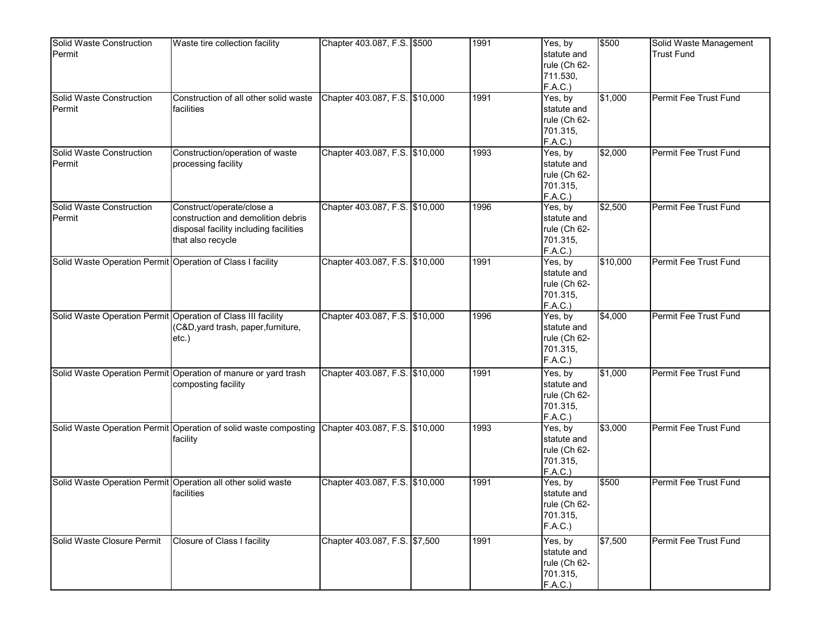| Solid Waste Construction<br>Permit                           | Waste tire collection facility                                                                                                 | Chapter 403.087, F.S. \$500    | 1991 | Yes, by<br>statute and<br>rule (Ch 62-<br>711.530,<br>F.A.C.) | \$500    | Solid Waste Management<br><b>Trust Fund</b> |
|--------------------------------------------------------------|--------------------------------------------------------------------------------------------------------------------------------|--------------------------------|------|---------------------------------------------------------------|----------|---------------------------------------------|
| Solid Waste Construction<br>Permit                           | Construction of all other solid waste<br>facilities                                                                            | Chapter 403.087, F.S. \$10,000 | 1991 | Yes, by<br>statute and<br>rule (Ch 62-<br>701.315,<br>F.A.C.) | \$1,000  | Permit Fee Trust Fund                       |
| Solid Waste Construction<br>Permit                           | Construction/operation of waste<br>processing facility                                                                         | Chapter 403.087, F.S. \$10,000 | 1993 | Yes, by<br>statute and<br>rule (Ch 62-<br>701.315,<br>F.A.C.) | \$2,000  | Permit Fee Trust Fund                       |
| Solid Waste Construction<br>Permit                           | Construct/operate/close a<br>construction and demolition debris<br>disposal facility including facilities<br>that also recycle | Chapter 403.087, F.S. \$10,000 | 1996 | Yes, by<br>statute and<br>rule (Ch 62-<br>701.315,<br>F.A.C.) | \$2,500  | Permit Fee Trust Fund                       |
| Solid Waste Operation Permit Operation of Class I facility   |                                                                                                                                | Chapter 403.087, F.S. \$10,000 | 1991 | Yes, by<br>statute and<br>rule (Ch 62-<br>701.315,<br>F.A.C.) | \$10,000 | Permit Fee Trust Fund                       |
| Solid Waste Operation Permit Operation of Class III facility | (C&D, yard trash, paper, furniture,<br>etc.)                                                                                   | Chapter 403.087, F.S. \$10,000 | 1996 | Yes, by<br>statute and<br>rule (Ch 62-<br>701.315,<br>F.A.C.) | \$4,000  | Permit Fee Trust Fund                       |
|                                                              | Solid Waste Operation Permit Operation of manure or yard trash<br>composting facility                                          | Chapter 403.087, F.S. \$10,000 | 1991 | Yes, by<br>statute and<br>rule (Ch 62-<br>701.315,<br>F.A.C.) | \$1,000  | Permit Fee Trust Fund                       |
|                                                              | Solid Waste Operation Permit Operation of solid waste composting<br>facility                                                   | Chapter 403.087, F.S. \$10,000 | 1993 | Yes, by<br>statute and<br>rule (Ch 62-<br>701.315,<br>F.A.C.) | \$3,000  | Permit Fee Trust Fund                       |
|                                                              | Solid Waste Operation Permit Operation all other solid waste<br>facilities                                                     | Chapter 403.087, F.S. \$10,000 | 1991 | Yes, by<br>statute and<br>rule (Ch 62-<br>701.315,<br>F.A.C.) | \$500    | Permit Fee Trust Fund                       |
| Solid Waste Closure Permit                                   | Closure of Class I facility                                                                                                    | Chapter 403.087, F.S. \$7,500  | 1991 | Yes, by<br>statute and<br>rule (Ch 62-<br>701.315,<br>F.A.C.) | \$7,500  | Permit Fee Trust Fund                       |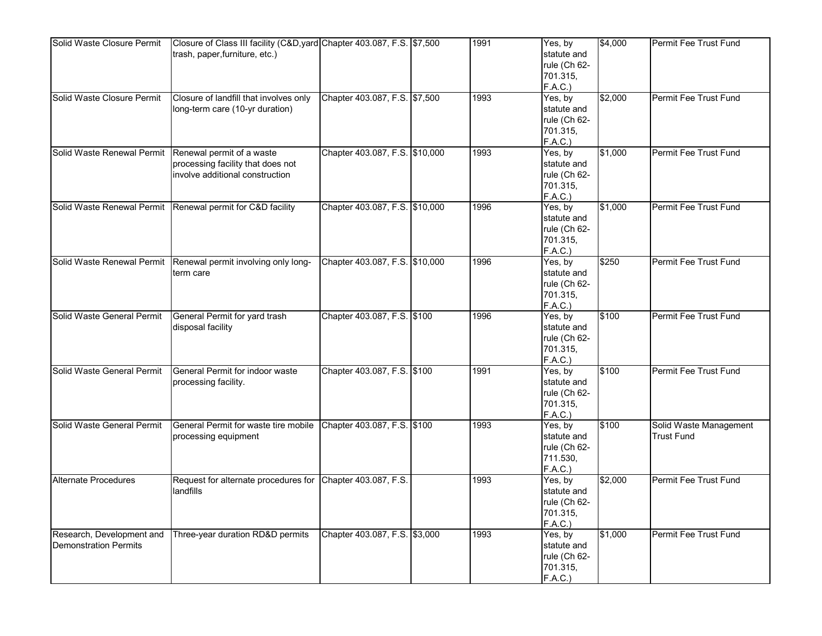| Solid Waste Closure Permit                                | Closure of Class III facility (C&D, yard Chapter 403.087, F.S. \$7,500<br>trash, paper, furniture, etc.) |                                | 1991 | $\overline{Yes}$ , by<br>statute and<br>rule (Ch 62-<br>701.315,<br>F.A.C.) | \$4,000 | Permit Fee Trust Fund                       |
|-----------------------------------------------------------|----------------------------------------------------------------------------------------------------------|--------------------------------|------|-----------------------------------------------------------------------------|---------|---------------------------------------------|
| Solid Waste Closure Permit                                | Closure of landfill that involves only<br>long-term care (10-yr duration)                                | Chapter 403.087, F.S. \$7,500  | 1993 | Yes, by<br>statute and<br>rule (Ch 62-<br>701.315,<br>F.A.C.)               | \$2,000 | Permit Fee Trust Fund                       |
| Solid Waste Renewal Permit                                | Renewal permit of a waste<br>processing facility that does not<br>involve additional construction        | Chapter 403.087, F.S. \$10,000 | 1993 | Yes, by<br>statute and<br>rule (Ch 62-<br>701.315,<br>F.A.C.)               | \$1,000 | Permit Fee Trust Fund                       |
| Solid Waste Renewal Permit                                | Renewal permit for C&D facility                                                                          | Chapter 403.087, F.S. \$10,000 | 1996 | Yes, by<br>statute and<br>rule (Ch 62-<br>701.315,<br>F.A.C.)               | \$1,000 | Permit Fee Trust Fund                       |
| Solid Waste Renewal Permit                                | Renewal permit involving only long-<br>term care                                                         | Chapter 403.087, F.S. \$10,000 | 1996 | Yes, by<br>statute and<br>rule (Ch 62-<br>701.315,<br>F.A.C.)               | \$250   | Permit Fee Trust Fund                       |
| Solid Waste General Permit                                | General Permit for yard trash<br>disposal facility                                                       | Chapter 403.087, F.S. \$100    | 1996 | Yes, by<br>statute and<br>rule (Ch 62-<br>701.315,<br>F.A.C.)               | \$100   | Permit Fee Trust Fund                       |
| Solid Waste General Permit                                | General Permit for indoor waste<br>processing facility.                                                  | Chapter 403.087, F.S. \$100    | 1991 | Yes, by<br>statute and<br>rule (Ch 62-<br>701.315,<br>F.A.C.)               | \$100   | Permit Fee Trust Fund                       |
| Solid Waste General Permit                                | General Permit for waste tire mobile<br>processing equipment                                             | Chapter 403.087, F.S. \$100    | 1993 | Yes, by<br>statute and<br>rule (Ch 62-<br>711.530,<br>F.A.C.)               | \$100   | Solid Waste Management<br><b>Trust Fund</b> |
| <b>Alternate Procedures</b>                               | Request for alternate procedures for<br>landfills                                                        | Chapter 403.087, F.S.          | 1993 | Yes, by<br>statute and<br>rule (Ch 62-<br>701.315,<br>F.A.C.)               | \$2,000 | Permit Fee Trust Fund                       |
| Research, Development and<br><b>Demonstration Permits</b> | Three-year duration RD&D permits                                                                         | Chapter 403.087, F.S. \$3,000  | 1993 | Yes, by<br>statute and<br>rule (Ch 62-<br>701.315,<br>F.A.C.)               | \$1,000 | Permit Fee Trust Fund                       |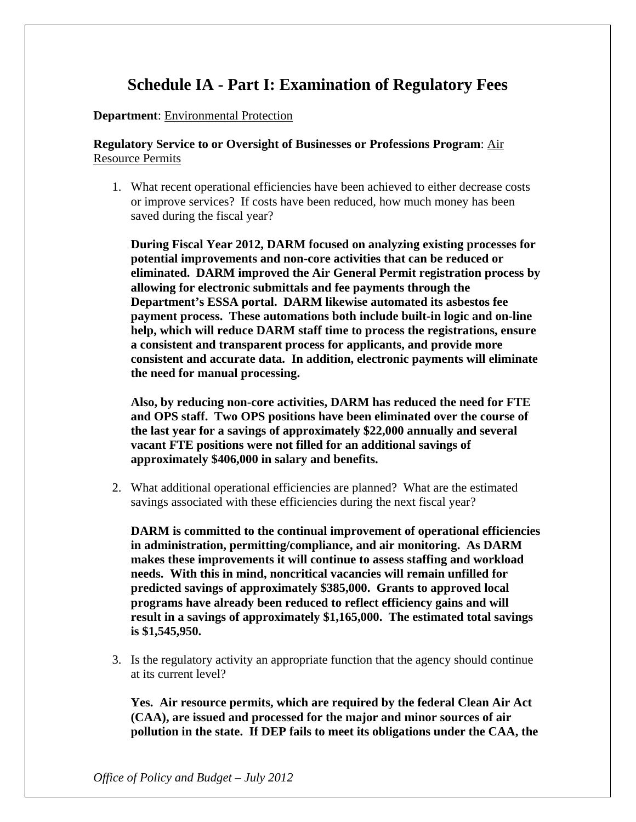# **Schedule IA - Part I: Examination of Regulatory Fees**

#### **Department**: Environmental Protection

**Regulatory Service to or Oversight of Businesses or Professions Program**: Air Resource Permits

1. What recent operational efficiencies have been achieved to either decrease costs or improve services? If costs have been reduced, how much money has been saved during the fiscal year?

**During Fiscal Year 2012, DARM focused on analyzing existing processes for potential improvements and non-core activities that can be reduced or eliminated. DARM improved the Air General Permit registration process by allowing for electronic submittals and fee payments through the Department's ESSA portal. DARM likewise automated its asbestos fee payment process. These automations both include built-in logic and on-line help, which will reduce DARM staff time to process the registrations, ensure a consistent and transparent process for applicants, and provide more consistent and accurate data. In addition, electronic payments will eliminate the need for manual processing.** 

**Also, by reducing non-core activities, DARM has reduced the need for FTE and OPS staff. Two OPS positions have been eliminated over the course of the last year for a savings of approximately \$22,000 annually and several vacant FTE positions were not filled for an additional savings of approximately \$406,000 in salary and benefits.**

2. What additional operational efficiencies are planned? What are the estimated savings associated with these efficiencies during the next fiscal year?

**DARM is committed to the continual improvement of operational efficiencies in administration, permitting/compliance, and air monitoring. As DARM makes these improvements it will continue to assess staffing and workload needs. With this in mind, noncritical vacancies will remain unfilled for predicted savings of approximately \$385,000. Grants to approved local programs have already been reduced to reflect efficiency gains and will result in a savings of approximately \$1,165,000. The estimated total savings is \$1,545,950.** 

3. Is the regulatory activity an appropriate function that the agency should continue at its current level?

**Yes. Air resource permits, which are required by the federal Clean Air Act (CAA), are issued and processed for the major and minor sources of air pollution in the state. If DEP fails to meet its obligations under the CAA, the**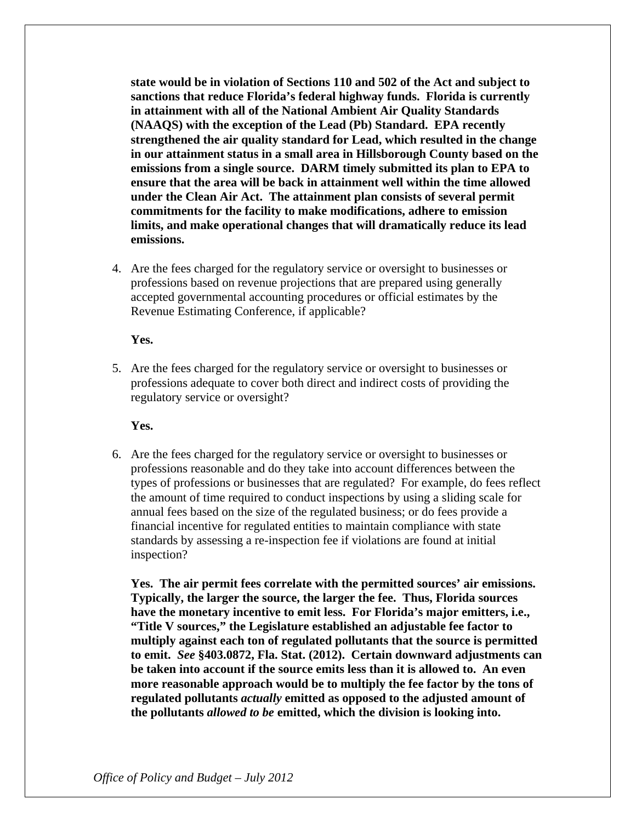**state would be in violation of Sections 110 and 502 of the Act and subject to sanctions that reduce Florida's federal highway funds. Florida is currently in attainment with all of the National Ambient Air Quality Standards (NAAQS) with the exception of the Lead (Pb) Standard. EPA recently strengthened the air quality standard for Lead, which resulted in the change in our attainment status in a small area in Hillsborough County based on the emissions from a single source. DARM timely submitted its plan to EPA to ensure that the area will be back in attainment well within the time allowed under the Clean Air Act. The attainment plan consists of several permit commitments for the facility to make modifications, adhere to emission limits, and make operational changes that will dramatically reduce its lead emissions.** 

4. Are the fees charged for the regulatory service or oversight to businesses or professions based on revenue projections that are prepared using generally accepted governmental accounting procedures or official estimates by the Revenue Estimating Conference, if applicable?

**Yes.** 

5. Are the fees charged for the regulatory service or oversight to businesses or professions adequate to cover both direct and indirect costs of providing the regulatory service or oversight?

**Yes.** 

6. Are the fees charged for the regulatory service or oversight to businesses or professions reasonable and do they take into account differences between the types of professions or businesses that are regulated? For example, do fees reflect the amount of time required to conduct inspections by using a sliding scale for annual fees based on the size of the regulated business; or do fees provide a financial incentive for regulated entities to maintain compliance with state standards by assessing a re-inspection fee if violations are found at initial inspection?

**Yes. The air permit fees correlate with the permitted sources' air emissions. Typically, the larger the source, the larger the fee. Thus, Florida sources have the monetary incentive to emit less. For Florida's major emitters, i.e., "Title V sources," the Legislature established an adjustable fee factor to multiply against each ton of regulated pollutants that the source is permitted to emit.** *See* **§403.0872, Fla. Stat. (2012). Certain downward adjustments can be taken into account if the source emits less than it is allowed to. An even more reasonable approach would be to multiply the fee factor by the tons of regulated pollutants** *actually* **emitted as opposed to the adjusted amount of the pollutants** *allowed to be* **emitted, which the division is looking into.**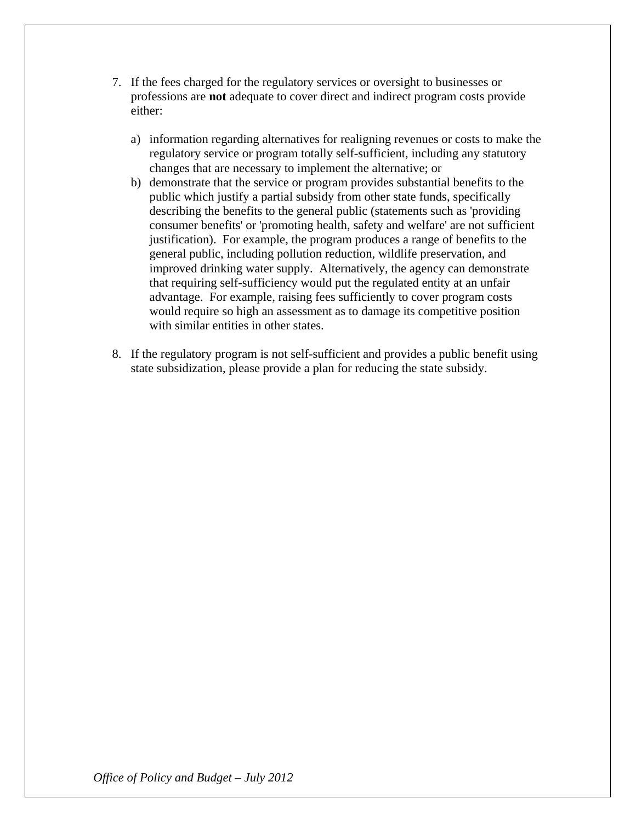- 7. If the fees charged for the regulatory services or oversight to businesses or professions are **not** adequate to cover direct and indirect program costs provide either:
	- a) information regarding alternatives for realigning revenues or costs to make the regulatory service or program totally self-sufficient, including any statutory changes that are necessary to implement the alternative; or
	- b) demonstrate that the service or program provides substantial benefits to the public which justify a partial subsidy from other state funds, specifically describing the benefits to the general public (statements such as 'providing consumer benefits' or 'promoting health, safety and welfare' are not sufficient justification). For example, the program produces a range of benefits to the general public, including pollution reduction, wildlife preservation, and improved drinking water supply. Alternatively, the agency can demonstrate that requiring self-sufficiency would put the regulated entity at an unfair advantage. For example, raising fees sufficiently to cover program costs would require so high an assessment as to damage its competitive position with similar entities in other states.
- 8. If the regulatory program is not self-sufficient and provides a public benefit using state subsidization, please provide a plan for reducing the state subsidy.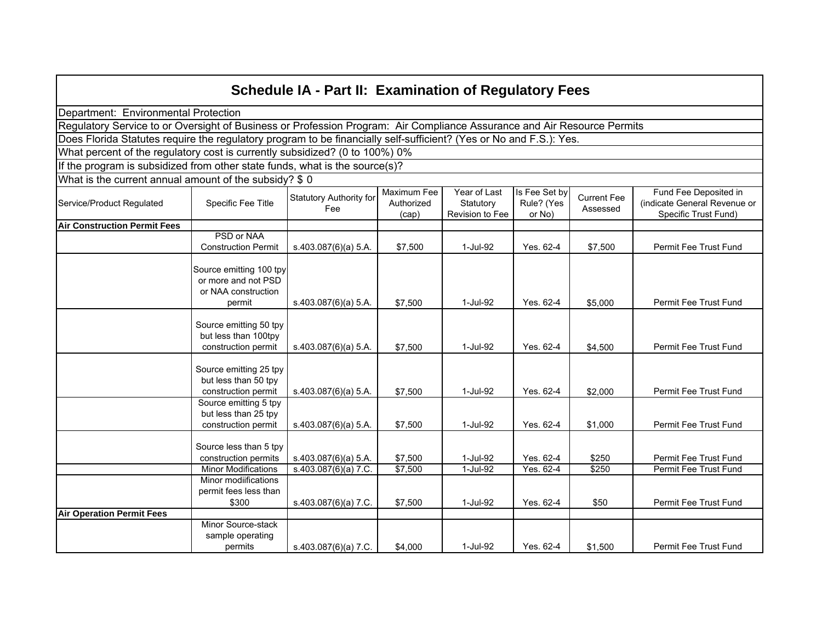|                                                                                                                                                     |                                                                                                                                                                                                                                                                                                                      | <b>Schedule IA - Part II: Examination of Regulatory Fees</b> |         |          |           |         |                              |  |  |  |
|-----------------------------------------------------------------------------------------------------------------------------------------------------|----------------------------------------------------------------------------------------------------------------------------------------------------------------------------------------------------------------------------------------------------------------------------------------------------------------------|--------------------------------------------------------------|---------|----------|-----------|---------|------------------------------|--|--|--|
| Department: Environmental Protection                                                                                                                |                                                                                                                                                                                                                                                                                                                      |                                                              |         |          |           |         |                              |  |  |  |
| Regulatory Service to or Oversight of Business or Profession Program: Air Compliance Assurance and Air Resource Permits                             |                                                                                                                                                                                                                                                                                                                      |                                                              |         |          |           |         |                              |  |  |  |
| Does Florida Statutes require the regulatory program to be financially self-sufficient? (Yes or No and F.S.): Yes.                                  |                                                                                                                                                                                                                                                                                                                      |                                                              |         |          |           |         |                              |  |  |  |
| What percent of the regulatory cost is currently subsidized? (0 to 100%) 0%                                                                         |                                                                                                                                                                                                                                                                                                                      |                                                              |         |          |           |         |                              |  |  |  |
| If the program is subsidized from other state funds, what is the source(s)?                                                                         |                                                                                                                                                                                                                                                                                                                      |                                                              |         |          |           |         |                              |  |  |  |
| What is the current annual amount of the subsidy? \$ 0                                                                                              |                                                                                                                                                                                                                                                                                                                      |                                                              |         |          |           |         |                              |  |  |  |
| Service/Product Regulated                                                                                                                           | <b>Maximum Fee</b><br>Year of Last<br>Is Fee Set by<br>Fund Fee Deposited in<br><b>Statutory Authority for</b><br><b>Current Fee</b><br>Rule? (Yes<br>(indicate General Revenue or<br>Specific Fee Title<br>Authorized<br>Statutory<br>Fee<br>Assessed<br>Revision to Fee<br>or No)<br>Specific Trust Fund)<br>(cap) |                                                              |         |          |           |         |                              |  |  |  |
| <b>Air Construction Permit Fees</b>                                                                                                                 |                                                                                                                                                                                                                                                                                                                      |                                                              |         |          |           |         |                              |  |  |  |
|                                                                                                                                                     | PSD or NAA<br><b>Construction Permit</b>                                                                                                                                                                                                                                                                             | s.403.087(6)(a) 5.A.                                         | \$7,500 | 1-Jul-92 | Yes. 62-4 | \$7,500 | Permit Fee Trust Fund        |  |  |  |
|                                                                                                                                                     | Source emitting 100 tpy<br>or more and not PSD<br>or NAA construction<br>permit<br>Source emitting 50 tpy                                                                                                                                                                                                            | s.403.087(6)(a) 5.A.                                         | \$7,500 | 1-Jul-92 | Yes. 62-4 | \$5,000 | <b>Permit Fee Trust Fund</b> |  |  |  |
|                                                                                                                                                     | but less than 100tpy<br>construction permit                                                                                                                                                                                                                                                                          | s.403.087(6)(a) 5.A.                                         | \$7,500 | 1-Jul-92 | Yes. 62-4 | \$4,500 | Permit Fee Trust Fund        |  |  |  |
|                                                                                                                                                     | Source emitting 25 tpy<br>but less than 50 tpy<br>construction permit<br>Source emitting 5 tpy                                                                                                                                                                                                                       | s.403.087(6)(a) 5.A.                                         | \$7,500 | 1-Jul-92 | Yes. 62-4 | \$2,000 | Permit Fee Trust Fund        |  |  |  |
|                                                                                                                                                     | but less than 25 tpy<br>construction permit                                                                                                                                                                                                                                                                          | s.403.087(6)(a) 5.A.                                         | \$7,500 | 1-Jul-92 | Yes. 62-4 | \$1,000 | Permit Fee Trust Fund        |  |  |  |
|                                                                                                                                                     | Source less than 5 tpy<br>construction permits                                                                                                                                                                                                                                                                       | s.403.087(6)(a) 5.A.                                         | \$7,500 | 1-Jul-92 | Yes. 62-4 | \$250   | Permit Fee Trust Fund        |  |  |  |
|                                                                                                                                                     | <b>Minor Modifications</b>                                                                                                                                                                                                                                                                                           | s.403.087(6)(a) 7.C.                                         | \$7,500 | 1-Jul-92 | Yes. 62-4 | \$250   | <b>Permit Fee Trust Fund</b> |  |  |  |
| Minor modiifications<br>permit fees less than<br>1-Jul-92<br>\$300<br>\$7,500<br>Yes. 62-4<br>\$50<br>Permit Fee Trust Fund<br>s.403.087(6)(a) 7.C. |                                                                                                                                                                                                                                                                                                                      |                                                              |         |          |           |         |                              |  |  |  |
| <b>Air Operation Permit Fees</b>                                                                                                                    |                                                                                                                                                                                                                                                                                                                      |                                                              |         |          |           |         |                              |  |  |  |
|                                                                                                                                                     | Minor Source-stack<br>sample operating<br>permits                                                                                                                                                                                                                                                                    | s.403.087(6)(a) 7.C.                                         | \$4,000 | 1-Jul-92 | Yes. 62-4 | \$1,500 | <b>Permit Fee Trust Fund</b> |  |  |  |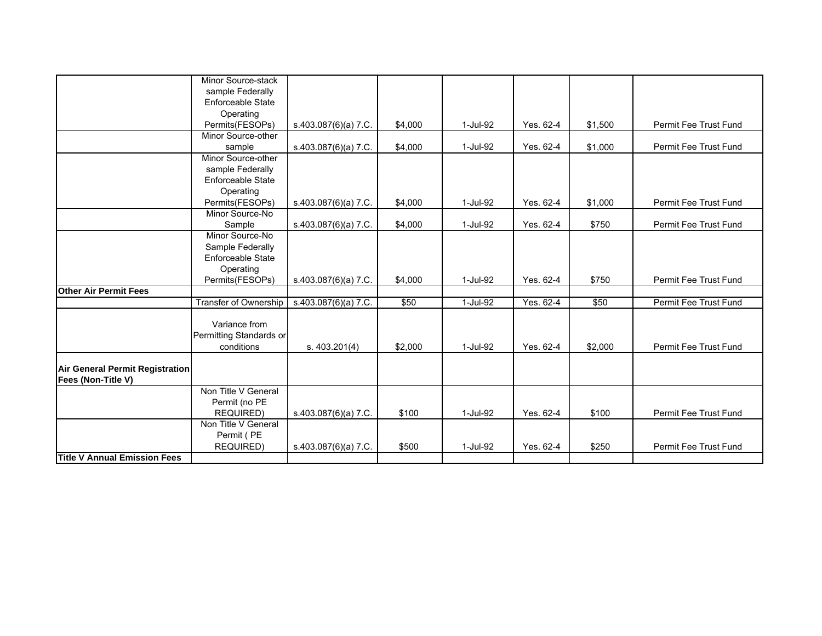|                                        | Minor Source-stack       |                      |         |          |           |         |                       |
|----------------------------------------|--------------------------|----------------------|---------|----------|-----------|---------|-----------------------|
|                                        | sample Federally         |                      |         |          |           |         |                       |
|                                        | <b>Enforceable State</b> |                      |         |          |           |         |                       |
|                                        | Operating                |                      |         |          |           |         |                       |
|                                        | Permits(FESOPs)          | s.403.087(6)(a) 7.C. | \$4,000 | 1-Jul-92 | Yes. 62-4 | \$1,500 | Permit Fee Trust Fund |
|                                        | Minor Source-other       |                      |         |          |           |         |                       |
|                                        | sample                   | s.403.087(6)(a) 7.C. | \$4,000 | 1-Jul-92 | Yes. 62-4 | \$1,000 | Permit Fee Trust Fund |
|                                        | Minor Source-other       |                      |         |          |           |         |                       |
|                                        | sample Federally         |                      |         |          |           |         |                       |
|                                        | Enforceable State        |                      |         |          |           |         |                       |
|                                        | Operating                |                      |         |          |           |         |                       |
|                                        | Permits(FESOPs)          | s.403.087(6)(a) 7.C. | \$4,000 | 1-Jul-92 | Yes. 62-4 | \$1,000 | Permit Fee Trust Fund |
|                                        | Minor Source-No          |                      |         |          |           |         |                       |
|                                        | Sample                   | s.403.087(6)(a) 7.C. | \$4,000 | 1-Jul-92 | Yes. 62-4 | \$750   | Permit Fee Trust Fund |
|                                        | Minor Source-No          |                      |         |          |           |         |                       |
|                                        | Sample Federally         |                      |         |          |           |         |                       |
|                                        | Enforceable State        |                      |         |          |           |         |                       |
|                                        | Operating                |                      |         |          |           |         |                       |
|                                        | Permits(FESOPs)          | s.403.087(6)(a) 7.C. | \$4,000 | 1-Jul-92 | Yes. 62-4 | \$750   | Permit Fee Trust Fund |
| <b>Other Air Permit Fees</b>           |                          |                      |         |          |           |         |                       |
|                                        | Transfer of Ownership    | s.403.087(6)(a) 7.C. | \$50    | 1-Jul-92 | Yes. 62-4 | \$50    | Permit Fee Trust Fund |
|                                        |                          |                      |         |          |           |         |                       |
|                                        | Variance from            |                      |         |          |           |         |                       |
|                                        | Permitting Standards or  |                      |         |          |           |         |                       |
|                                        | conditions               | s. 403.201(4)        | \$2,000 | 1-Jul-92 | Yes. 62-4 | \$2,000 | Permit Fee Trust Fund |
|                                        |                          |                      |         |          |           |         |                       |
| <b>Air General Permit Registration</b> |                          |                      |         |          |           |         |                       |
| Fees (Non-Title V)                     |                          |                      |         |          |           |         |                       |
|                                        | Non Title V General      |                      |         |          |           |         |                       |
|                                        | Permit (no PE            |                      |         |          |           |         |                       |
|                                        | <b>REQUIRED)</b>         | s.403.087(6)(a) 7.C. | \$100   | 1-Jul-92 | Yes. 62-4 | \$100   | Permit Fee Trust Fund |
|                                        | Non Title V General      |                      |         |          |           |         |                       |
|                                        | Permit (PE               |                      |         |          |           |         |                       |
|                                        | <b>REQUIRED)</b>         | s.403.087(6)(a) 7.C. | \$500   | 1-Jul-92 | Yes. 62-4 | \$250   | Permit Fee Trust Fund |
| <b>Title V Annual Emission Fees</b>    |                          |                      |         |          |           |         |                       |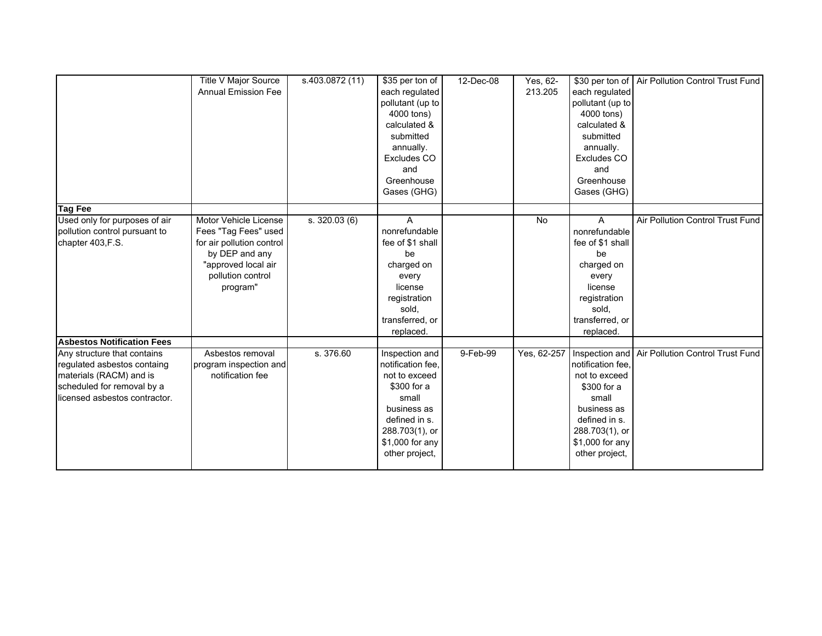|                                                                                                                                                      | Title V Major Source<br><b>Annual Emission Fee</b>                                                                                                   | s.403.0872 (11) | \$35 per ton of<br>each regulated<br>pollutant (up to<br>4000 tons)<br>calculated &<br>submitted<br>annually.<br>Excludes CO<br>and<br>Greenhouse<br>Gases (GHG)    | 12-Dec-08 | Yes, 62-<br>213.205 | each regulated<br>pollutant (up to<br>4000 tons)<br>calculated &<br>submitted<br>annually.<br>Excludes CO<br>and<br>Greenhouse<br>Gases (GHG)     | \$30 per ton of   Air Pollution Control Trust Fund |
|------------------------------------------------------------------------------------------------------------------------------------------------------|------------------------------------------------------------------------------------------------------------------------------------------------------|-----------------|---------------------------------------------------------------------------------------------------------------------------------------------------------------------|-----------|---------------------|---------------------------------------------------------------------------------------------------------------------------------------------------|----------------------------------------------------|
| <b>Tag Fee</b>                                                                                                                                       |                                                                                                                                                      |                 |                                                                                                                                                                     |           |                     |                                                                                                                                                   |                                                    |
| Used only for purposes of air<br>pollution control pursuant to<br>chapter 403, F.S.                                                                  | Motor Vehicle License<br>Fees "Tag Fees" used<br>for air pollution control<br>by DEP and any<br>"approved local air<br>pollution control<br>program" | s. 320.03(6)    | A<br>nonrefundable<br>fee of \$1 shall<br>be<br>charged on<br>every<br>license<br>registration<br>sold,<br>transferred, or<br>replaced.                             |           | <b>No</b>           | A<br>nonrefundable<br>fee of \$1 shall<br>be<br>charged on<br>every<br>license<br>registration<br>sold,<br>transferred, or<br>replaced.           | Air Pollution Control Trust Fund                   |
| <b>Asbestos Notification Fees</b>                                                                                                                    |                                                                                                                                                      |                 |                                                                                                                                                                     |           |                     |                                                                                                                                                   |                                                    |
| Any structure that contains<br>regulated asbestos containg<br>materials (RACM) and is<br>scheduled for removal by a<br>licensed asbestos contractor. | Asbestos removal<br>program inspection and<br>notification fee                                                                                       | s. 376.60       | Inspection and<br>notification fee.<br>not to exceed<br>\$300 for a<br>small<br>business as<br>defined in s.<br>288.703(1), or<br>\$1,000 for any<br>other project, | 9-Feb-99  | Yes, 62-257         | notification fee,<br>not to exceed<br>\$300 for a<br>small<br>business as<br>defined in s.<br>288.703(1), or<br>\$1,000 for any<br>other project, | Inspection and Air Pollution Control Trust Fund    |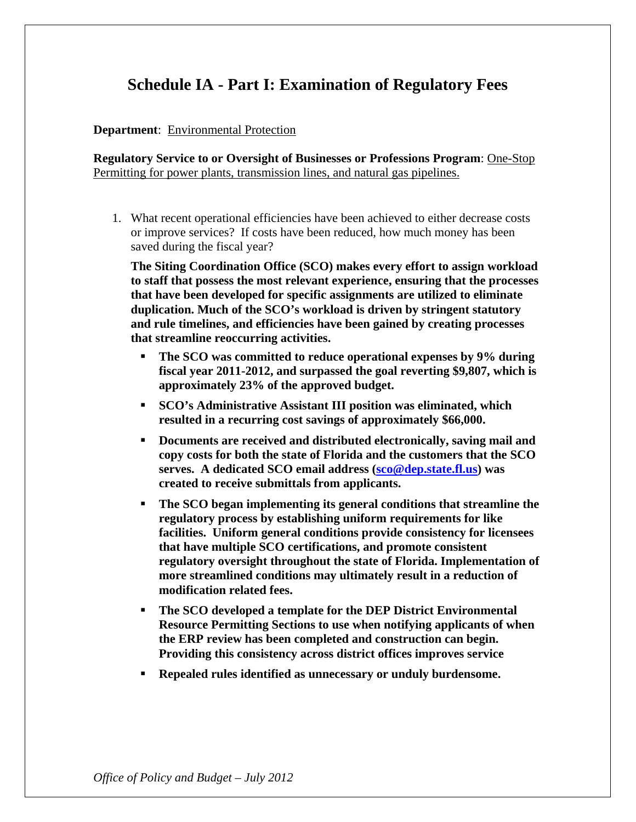## **Schedule IA - Part I: Examination of Regulatory Fees**

**Department**: Environmental Protection

**Regulatory Service to or Oversight of Businesses or Professions Program**: One-Stop Permitting for power plants, transmission lines, and natural gas pipelines.

1. What recent operational efficiencies have been achieved to either decrease costs or improve services? If costs have been reduced, how much money has been saved during the fiscal year?

**The Siting Coordination Office (SCO) makes every effort to assign workload to staff that possess the most relevant experience, ensuring that the processes that have been developed for specific assignments are utilized to eliminate duplication. Much of the SCO's workload is driven by stringent statutory and rule timelines, and efficiencies have been gained by creating processes that streamline reoccurring activities.** 

- **The SCO was committed to reduce operational expenses by 9% during fiscal year 2011-2012, and surpassed the goal reverting \$9,807, which is approximately 23% of the approved budget.**
- **SCO's Administrative Assistant III position was eliminated, which resulted in a recurring cost savings of approximately \$66,000.**
- **Documents are received and distributed electronically, saving mail and copy costs for both the state of Florida and the customers that the SCO serves. A dedicated SCO email address (sco@dep.state.fl.us) was created to receive submittals from applicants.**
- **The SCO began implementing its general conditions that streamline the regulatory process by establishing uniform requirements for like facilities. Uniform general conditions provide consistency for licensees that have multiple SCO certifications, and promote consistent regulatory oversight throughout the state of Florida. Implementation of more streamlined conditions may ultimately result in a reduction of modification related fees.**
- **The SCO developed a template for the DEP District Environmental Resource Permitting Sections to use when notifying applicants of when the ERP review has been completed and construction can begin. Providing this consistency across district offices improves service**
- **Repealed rules identified as unnecessary or unduly burdensome.**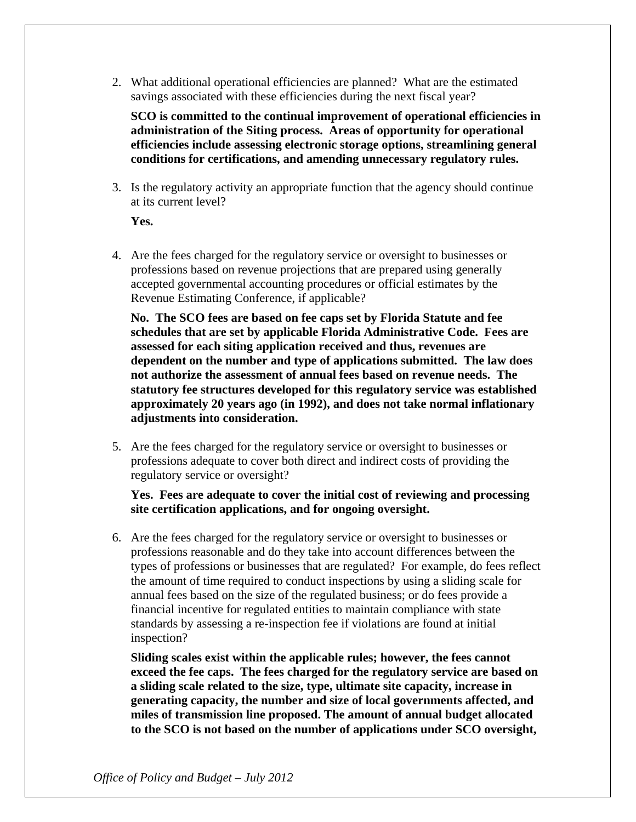2. What additional operational efficiencies are planned? What are the estimated savings associated with these efficiencies during the next fiscal year?

**SCO is committed to the continual improvement of operational efficiencies in administration of the Siting process. Areas of opportunity for operational efficiencies include assessing electronic storage options, streamlining general conditions for certifications, and amending unnecessary regulatory rules.** 

3. Is the regulatory activity an appropriate function that the agency should continue at its current level?

**Yes.** 

4. Are the fees charged for the regulatory service or oversight to businesses or professions based on revenue projections that are prepared using generally accepted governmental accounting procedures or official estimates by the Revenue Estimating Conference, if applicable?

**No. The SCO fees are based on fee caps set by Florida Statute and fee schedules that are set by applicable Florida Administrative Code. Fees are assessed for each siting application received and thus, revenues are dependent on the number and type of applications submitted. The law does not authorize the assessment of annual fees based on revenue needs. The statutory fee structures developed for this regulatory service was established approximately 20 years ago (in 1992), and does not take normal inflationary adjustments into consideration.** 

5. Are the fees charged for the regulatory service or oversight to businesses or professions adequate to cover both direct and indirect costs of providing the regulatory service or oversight?

**Yes. Fees are adequate to cover the initial cost of reviewing and processing site certification applications, and for ongoing oversight.** 

6. Are the fees charged for the regulatory service or oversight to businesses or professions reasonable and do they take into account differences between the types of professions or businesses that are regulated? For example, do fees reflect the amount of time required to conduct inspections by using a sliding scale for annual fees based on the size of the regulated business; or do fees provide a financial incentive for regulated entities to maintain compliance with state standards by assessing a re-inspection fee if violations are found at initial inspection?

**Sliding scales exist within the applicable rules; however, the fees cannot exceed the fee caps. The fees charged for the regulatory service are based on a sliding scale related to the size, type, ultimate site capacity, increase in generating capacity, the number and size of local governments affected, and miles of transmission line proposed. The amount of annual budget allocated to the SCO is not based on the number of applications under SCO oversight,**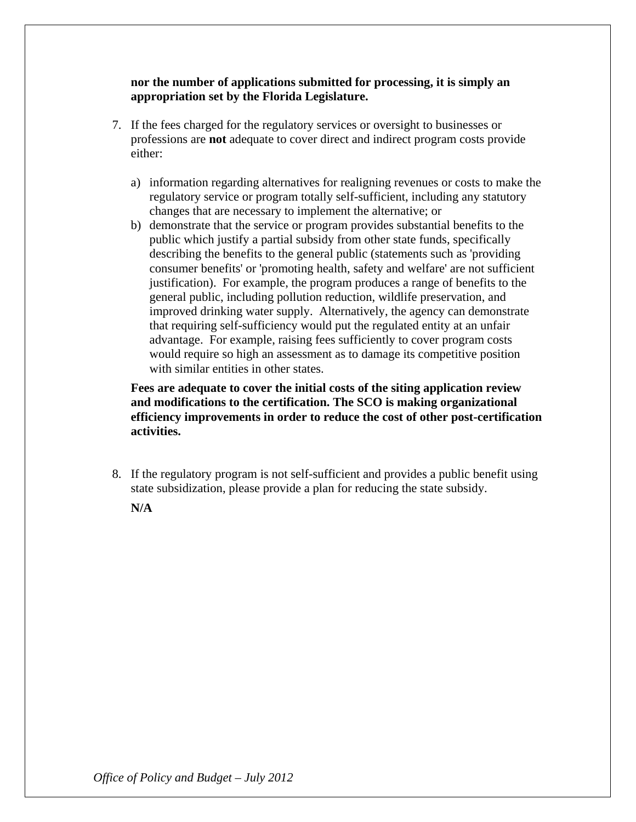### **nor the number of applications submitted for processing, it is simply an appropriation set by the Florida Legislature.**

- 7. If the fees charged for the regulatory services or oversight to businesses or professions are **not** adequate to cover direct and indirect program costs provide either:
	- a) information regarding alternatives for realigning revenues or costs to make the regulatory service or program totally self-sufficient, including any statutory changes that are necessary to implement the alternative; or
	- b) demonstrate that the service or program provides substantial benefits to the public which justify a partial subsidy from other state funds, specifically describing the benefits to the general public (statements such as 'providing consumer benefits' or 'promoting health, safety and welfare' are not sufficient justification). For example, the program produces a range of benefits to the general public, including pollution reduction, wildlife preservation, and improved drinking water supply. Alternatively, the agency can demonstrate that requiring self-sufficiency would put the regulated entity at an unfair advantage. For example, raising fees sufficiently to cover program costs would require so high an assessment as to damage its competitive position with similar entities in other states.

**Fees are adequate to cover the initial costs of the siting application review and modifications to the certification. The SCO is making organizational efficiency improvements in order to reduce the cost of other post-certification activities.** 

8. If the regulatory program is not self-sufficient and provides a public benefit using state subsidization, please provide a plan for reducing the state subsidy.

**N/A**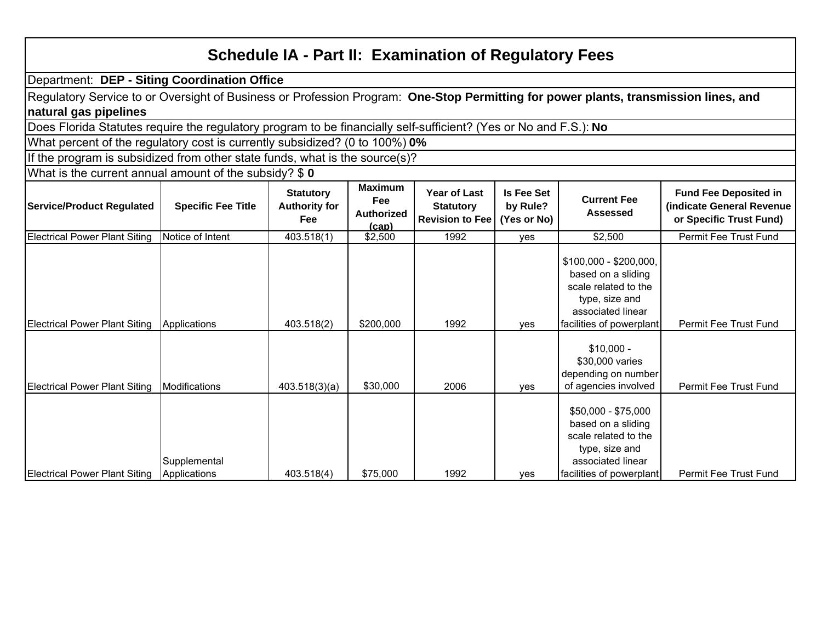# **Schedule IA - Part II: Examination of Regulatory Fees**

Department: **DEP - Siting Coordination Office**

Regulatory Service to or Oversight of Business or Profession Program: **One-Stop Permitting for power plants, transmission lines, and natural gas pipelines**

Does Florida Statutes require the regulatory program to be financially self-sufficient? (Yes or No and F.S.): **No**

What percent of the regulatory cost is currently subsidized? (0 to 100%) **0%**

If the program is subsidized from other state funds, what is the source(s)?

What is the current annual amount of the subsidy? \$ **0**

| Service/Product Regulated            | <b>Specific Fee Title</b>    | <b>Statutory</b><br><b>Authority for</b><br>Fee | <b>Maximum</b><br>Fee<br><b>Authorized</b><br>(cap) | <b>Year of Last</b><br><b>Statutory</b><br><b>Revision to Fee</b> | <b>Is Fee Set</b><br>by Rule?<br>(Yes or No) | <b>Current Fee</b><br><b>Assessed</b>                                                                                                   | <b>Fund Fee Deposited in</b><br>(indicate General Revenue<br>or Specific Trust Fund) |
|--------------------------------------|------------------------------|-------------------------------------------------|-----------------------------------------------------|-------------------------------------------------------------------|----------------------------------------------|-----------------------------------------------------------------------------------------------------------------------------------------|--------------------------------------------------------------------------------------|
| Electrical Power Plant Siting        | Notice of Intent             | 403.518(1)                                      | \$2,500                                             | 1992                                                              | ves                                          | \$2,500                                                                                                                                 | Permit Fee Trust Fund                                                                |
| Electrical Power Plant Siting        | Applications                 | 403.518(2)                                      | \$200,000                                           | 1992                                                              | ves                                          | $$100,000 - $200,000,$<br>based on a sliding<br>scale related to the<br>type, size and<br>associated linear<br>facilities of powerplant | Permit Fee Trust Fund                                                                |
| <b>Electrical Power Plant Siting</b> | Modifications                | 403.518(3)(a)                                   | \$30,000                                            | 2006                                                              | ves                                          | $$10,000 -$<br>\$30,000 varies<br>depending on number<br>of agencies involved                                                           | Permit Fee Trust Fund                                                                |
| <b>Electrical Power Plant Siting</b> | Supplemental<br>Applications | 403.518(4)                                      | \$75,000                                            | 1992                                                              | ves                                          | \$50,000 - \$75,000<br>based on a sliding<br>scale related to the<br>type, size and<br>associated linear<br>facilities of powerplant    | Permit Fee Trust Fund                                                                |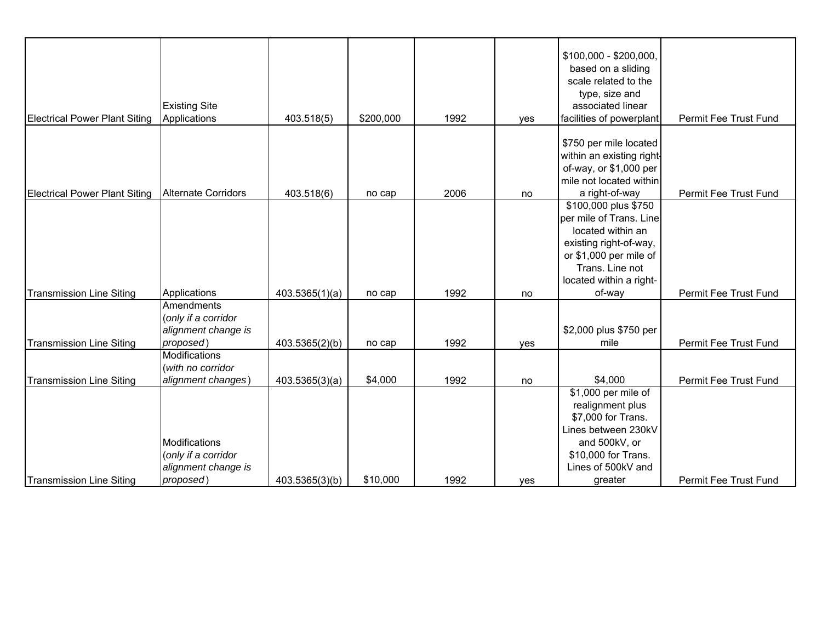| <b>Electrical Power Plant Siting</b> | <b>Existing Site</b><br>Applications                                     | 403.518(5)     | \$200,000 | 1992 | yes | $$100,000 - $200,000,$<br>based on a sliding<br>scale related to the<br>type, size and<br>associated linear<br>facilities of powerplant                                          | Permit Fee Trust Fund |
|--------------------------------------|--------------------------------------------------------------------------|----------------|-----------|------|-----|----------------------------------------------------------------------------------------------------------------------------------------------------------------------------------|-----------------------|
| <b>Electrical Power Plant Siting</b> | <b>Alternate Corridors</b>                                               | 403.518(6)     | no cap    | 2006 | no  | \$750 per mile located<br>within an existing right-<br>of-way, or \$1,000 per<br>mile not located within<br>a right-of-way                                                       | Permit Fee Trust Fund |
| <b>Transmission Line Siting</b>      | Applications                                                             | 403.5365(1)(a) | no cap    | 1992 | no  | \$100,000 plus \$750<br>per mile of Trans. Line<br>located within an<br>existing right-of-way,<br>or \$1,000 per mile of<br>Trans. Line not<br>located within a right-<br>of-way | Permit Fee Trust Fund |
| Transmission Line Siting             | Amendments<br>(only if a corridor<br>alignment change is<br>proposed)    | 403.5365(2)(b) | no cap    | 1992 | yes | \$2,000 plus \$750 per<br>mile                                                                                                                                                   | Permit Fee Trust Fund |
| <b>Transmission Line Siting</b>      | <b>Modifications</b><br>(with no corridor<br>alignment changes)          | 403.5365(3)(a) | \$4,000   | 1992 | no  | \$4,000                                                                                                                                                                          | Permit Fee Trust Fund |
| <b>Transmission Line Siting</b>      | Modifications<br>(only if a corridor<br>alignment change is<br>proposed) | 403.5365(3)(b) | \$10,000  | 1992 | yes | \$1,000 per mile of<br>realignment plus<br>\$7,000 for Trans.<br>Lines between 230kV<br>and 500kV, or<br>\$10,000 for Trans.<br>Lines of 500kV and<br>greater                    | Permit Fee Trust Fund |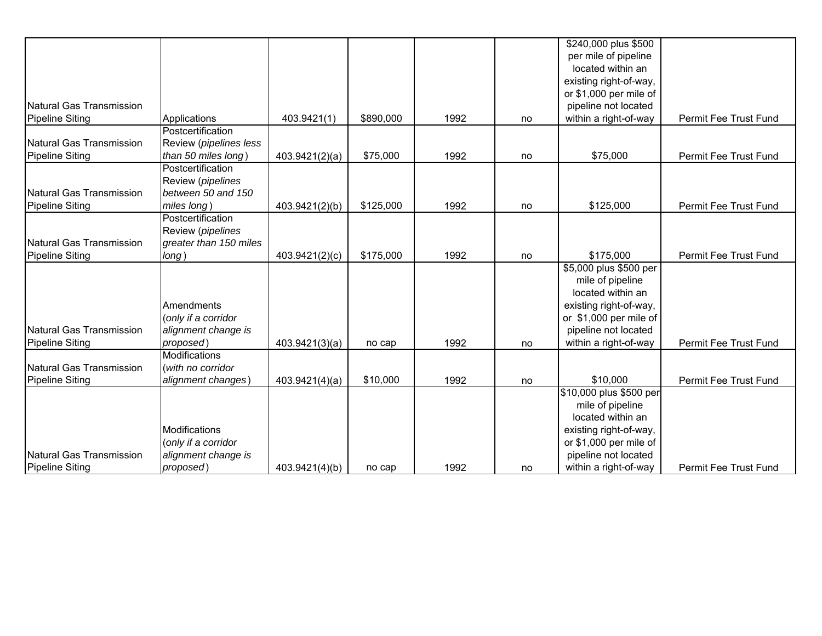|                          |                        |                |           |      |    | \$240,000 plus \$500    |                       |
|--------------------------|------------------------|----------------|-----------|------|----|-------------------------|-----------------------|
|                          |                        |                |           |      |    | per mile of pipeline    |                       |
|                          |                        |                |           |      |    | located within an       |                       |
|                          |                        |                |           |      |    | existing right-of-way,  |                       |
|                          |                        |                |           |      |    | or \$1,000 per mile of  |                       |
| Natural Gas Transmission |                        |                |           |      |    | pipeline not located    |                       |
| <b>Pipeline Siting</b>   | Applications           | 403.9421(1)    | \$890,000 | 1992 | no | within a right-of-way   | Permit Fee Trust Fund |
|                          | Postcertification      |                |           |      |    |                         |                       |
| Natural Gas Transmission | Review (pipelines less |                |           |      |    |                         |                       |
| <b>Pipeline Siting</b>   | than 50 miles long)    | 403.9421(2)(a) | \$75,000  | 1992 | no | \$75,000                | Permit Fee Trust Fund |
|                          | Postcertification      |                |           |      |    |                         |                       |
|                          | Review (pipelines      |                |           |      |    |                         |                       |
| Natural Gas Transmission | between 50 and 150     |                |           |      |    |                         |                       |
| <b>Pipeline Siting</b>   | miles long)            | 403.9421(2)(b) | \$125,000 | 1992 | no | \$125,000               | Permit Fee Trust Fund |
|                          | Postcertification      |                |           |      |    |                         |                       |
|                          | Review (pipelines      |                |           |      |    |                         |                       |
| Natural Gas Transmission | greater than 150 miles |                |           |      |    |                         |                       |
| <b>Pipeline Siting</b>   | long)                  | 403.9421(2)(c) | \$175,000 | 1992 | no | \$175,000               | Permit Fee Trust Fund |
|                          |                        |                |           |      |    | \$5,000 plus \$500 per  |                       |
|                          |                        |                |           |      |    | mile of pipeline        |                       |
|                          |                        |                |           |      |    | located within an       |                       |
|                          | Amendments             |                |           |      |    | existing right-of-way,  |                       |
|                          | (only if a corridor    |                |           |      |    | or \$1,000 per mile of  |                       |
| Natural Gas Transmission | alignment change is    |                |           |      |    | pipeline not located    |                       |
| <b>Pipeline Siting</b>   | proposed)              | 403.9421(3)(a) | no cap    | 1992 | no | within a right-of-way   | Permit Fee Trust Fund |
|                          | <b>Modifications</b>   |                |           |      |    |                         |                       |
| Natural Gas Transmission | (with no corridor      |                |           |      |    |                         |                       |
| <b>Pipeline Siting</b>   | alignment changes)     | 403.9421(4)(a) | \$10,000  | 1992 | no | \$10,000                | Permit Fee Trust Fund |
|                          |                        |                |           |      |    | \$10,000 plus \$500 per |                       |
|                          |                        |                |           |      |    | mile of pipeline        |                       |
|                          |                        |                |           |      |    | located within an       |                       |
|                          | Modifications          |                |           |      |    | existing right-of-way,  |                       |
|                          | (only if a corridor    |                |           |      |    | or \$1,000 per mile of  |                       |
| Natural Gas Transmission | alignment change is    |                |           |      |    | pipeline not located    |                       |
| <b>Pipeline Siting</b>   | proposed)              | 403.9421(4)(b) | no cap    | 1992 | no | within a right-of-way   | Permit Fee Trust Fund |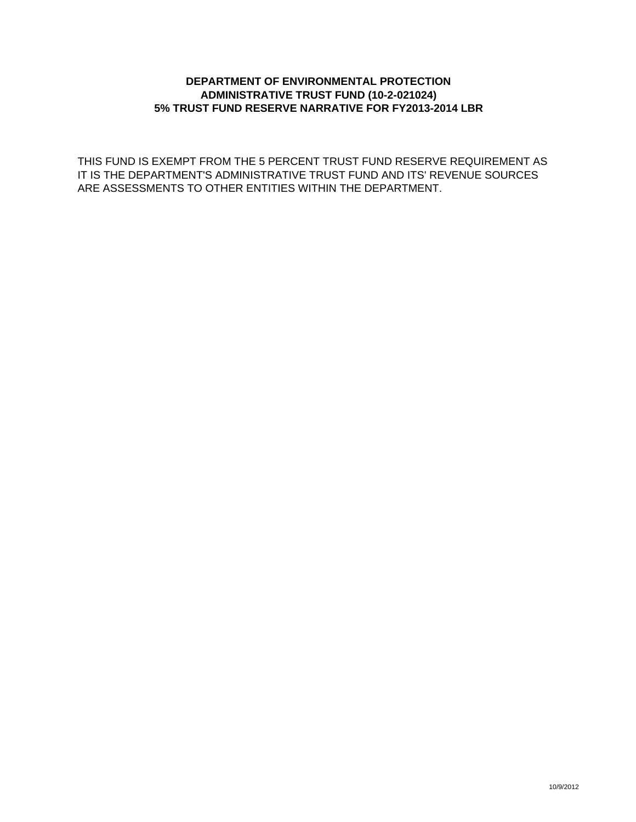#### **DEPARTMENT OF ENVIRONMENTAL PROTECTION ADMINISTRATIVE TRUST FUND (10-2-021024) 5% TRUST FUND RESERVE NARRATIVE FOR FY2013-2014 LBR**

THIS FUND IS EXEMPT FROM THE 5 PERCENT TRUST FUND RESERVE REQUIREMENT AS IT IS THE DEPARTMENT'S ADMINISTRATIVE TRUST FUND AND ITS' REVENUE SOURCES ARE ASSESSMENTS TO OTHER ENTITIES WITHIN THE DEPARTMENT.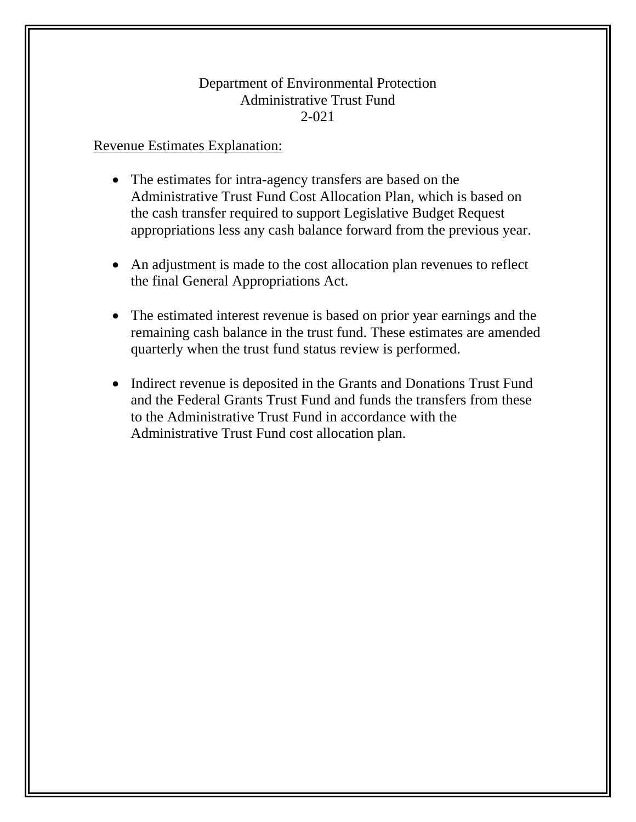### Department of Environmental Protection Administrative Trust Fund 2-021

### Revenue Estimates Explanation:

- The estimates for intra-agency transfers are based on the Administrative Trust Fund Cost Allocation Plan, which is based on the cash transfer required to support Legislative Budget Request appropriations less any cash balance forward from the previous year.
- An adjustment is made to the cost allocation plan revenues to reflect the final General Appropriations Act.
- The estimated interest revenue is based on prior year earnings and the remaining cash balance in the trust fund. These estimates are amended quarterly when the trust fund status review is performed.
- Indirect revenue is deposited in the Grants and Donations Trust Fund and the Federal Grants Trust Fund and funds the transfers from these to the Administrative Trust Fund in accordance with the Administrative Trust Fund cost allocation plan.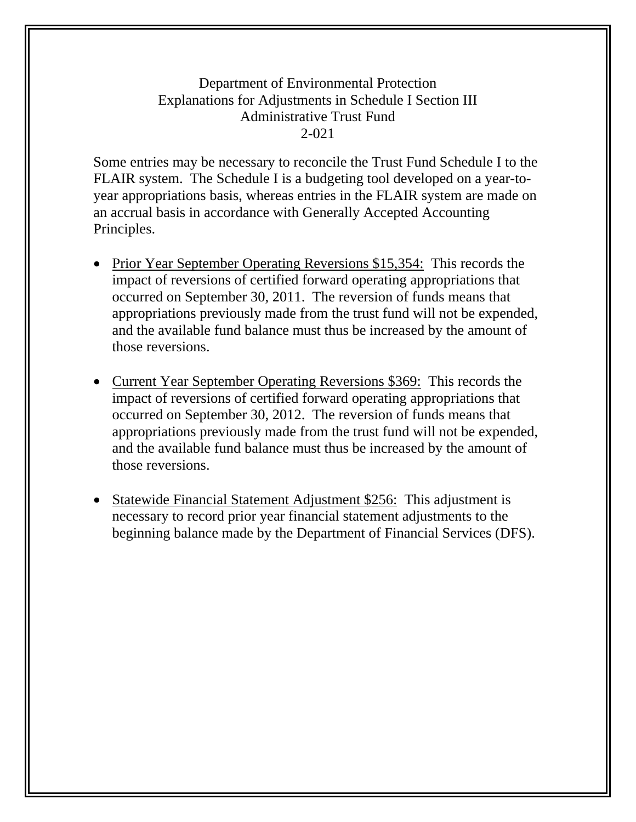### Department of Environmental Protection Explanations for Adjustments in Schedule I Section III Administrative Trust Fund 2-021

Some entries may be necessary to reconcile the Trust Fund Schedule I to the FLAIR system. The Schedule I is a budgeting tool developed on a year-toyear appropriations basis, whereas entries in the FLAIR system are made on an accrual basis in accordance with Generally Accepted Accounting Principles.

- Prior Year September Operating Reversions \$15,354: This records the impact of reversions of certified forward operating appropriations that occurred on September 30, 2011. The reversion of funds means that appropriations previously made from the trust fund will not be expended, and the available fund balance must thus be increased by the amount of those reversions.
- Current Year September Operating Reversions \$369: This records the impact of reversions of certified forward operating appropriations that occurred on September 30, 2012. The reversion of funds means that appropriations previously made from the trust fund will not be expended, and the available fund balance must thus be increased by the amount of those reversions.
- **Statewide Financial Statement Adjustment \$256:** This adjustment is necessary to record prior year financial statement adjustments to the beginning balance made by the Department of Financial Services (DFS).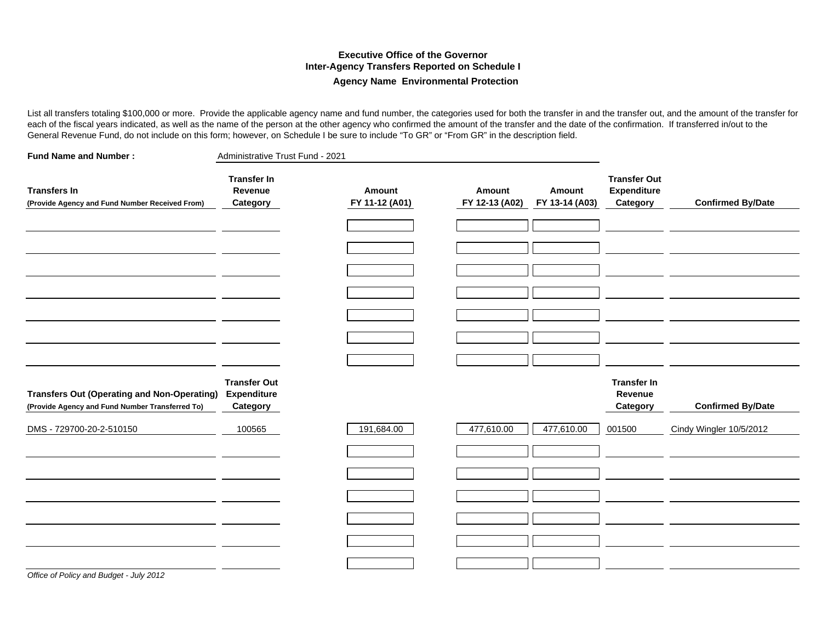#### **Executive Office of the GovernorInter-Agency Transfers Reported on Schedule I Agency Name Environmental Protection**

List all transfers totaling \$100,000 or more. Provide the applicable agency name and fund number, the categories used for both the transfer in and the transfer out, and the amount of the transfer for each of the fiscal years indicated, as well as the name of the person at the other agency who confirmed the amount of the transfer and the date of the confirmation. If transferred in/out to the General Revenue Fund, do not include on this form; however, on Schedule I be sure to include "To GR" or "From GR" in the description field.

| <b>Fund Name and Number:</b>                                                                          | Administrative Trust Fund - 2021                      |                          |                          |                          |                                                       |                          |
|-------------------------------------------------------------------------------------------------------|-------------------------------------------------------|--------------------------|--------------------------|--------------------------|-------------------------------------------------------|--------------------------|
| <b>Transfers In</b><br>(Provide Agency and Fund Number Received From)                                 | <b>Transfer In</b><br>Revenue<br>Category             | Amount<br>FY 11-12 (A01) | Amount<br>FY 12-13 (A02) | Amount<br>FY 13-14 (A03) | <b>Transfer Out</b><br><b>Expenditure</b><br>Category | <b>Confirmed By/Date</b> |
|                                                                                                       |                                                       |                          |                          |                          |                                                       |                          |
|                                                                                                       |                                                       |                          |                          |                          |                                                       |                          |
|                                                                                                       |                                                       |                          |                          |                          |                                                       |                          |
|                                                                                                       |                                                       |                          |                          |                          |                                                       |                          |
|                                                                                                       |                                                       |                          |                          |                          |                                                       |                          |
|                                                                                                       |                                                       |                          |                          |                          |                                                       |                          |
|                                                                                                       |                                                       |                          |                          |                          |                                                       |                          |
|                                                                                                       |                                                       |                          |                          |                          |                                                       |                          |
| <b>Transfers Out (Operating and Non-Operating)</b><br>(Provide Agency and Fund Number Transferred To) | <b>Transfer Out</b><br><b>Expenditure</b><br>Category |                          |                          |                          | <b>Transfer In</b><br>Revenue<br>Category             | <b>Confirmed By/Date</b> |
| DMS - 729700-20-2-510150                                                                              | 100565                                                | 191,684.00               | 477,610.00               | 477,610.00               | 001500                                                | Cindy Wingler 10/5/2012  |
|                                                                                                       |                                                       |                          |                          |                          |                                                       |                          |
|                                                                                                       |                                                       |                          |                          |                          |                                                       |                          |
|                                                                                                       |                                                       |                          |                          |                          |                                                       |                          |
|                                                                                                       |                                                       |                          |                          |                          |                                                       |                          |
|                                                                                                       |                                                       |                          |                          |                          |                                                       |                          |
|                                                                                                       |                                                       |                          |                          |                          |                                                       |                          |
| Office of Policy and Budget - July 2012                                                               |                                                       |                          |                          |                          |                                                       |                          |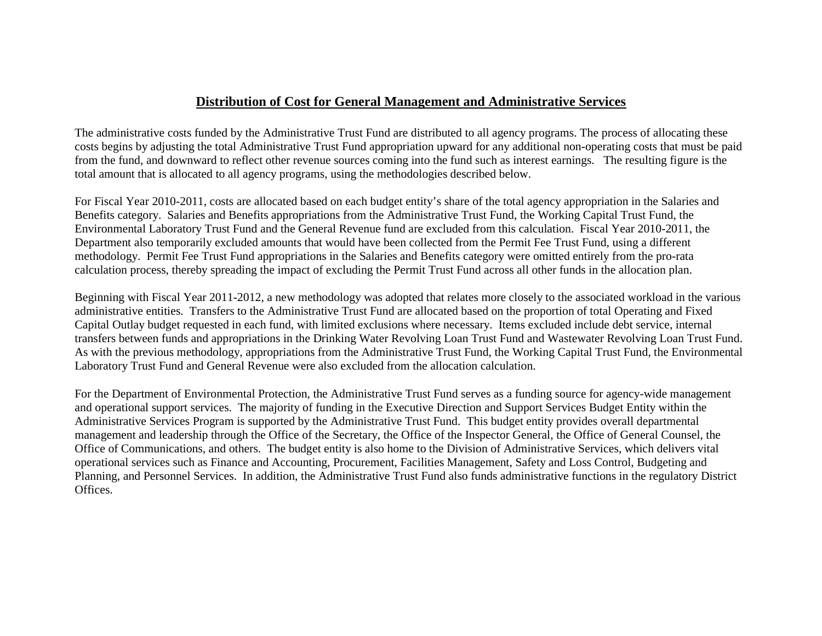### **Distribution of Cost for General Management and Administrative Services**

The administrative costs funded by the Administrative Trust Fund are distributed to all agency programs. The process of allocating these costs begins by adjusting the total Administrative Trust Fund appropriation upward for any additional non-operating costs that must be paid from the fund, and downward to reflect other revenue sources coming into the fund such as interest earnings. The resulting figure is the total amount that is allocated to all agency programs, using the methodologies described below.

For Fiscal Year 2010-2011, costs are allocated based on each budget entity's share of the total agency appropriation in the Salaries and Benefits category. Salaries and Benefits appropriations from the Administrative Trust Fund, the Working Capital Trust Fund, the Environmental Laboratory Trust Fund and the General Revenue fund are excluded from this calculation. Fiscal Year 2010-2011, the Department also temporarily excluded amounts that would have been collected from the Permit Fee Trust Fund, using a different methodology. Permit Fee Trust Fund appropriations in the Salaries and Benefits category were omitted entirely from the pro-rata calculation process, thereby spreading the impact of excluding the Permit Trust Fund across all other funds in the allocation plan.

Beginning with Fiscal Year 2011-2012, a new methodology was adopted that relates more closely to the associated workload in the various administrative entities. Transfers to the Administrative Trust Fund are allocated based on the proportion of total Operating and Fixed Capital Outlay budget requested in each fund, with limited exclusions where necessary. Items excluded include debt service, internal transfers between funds and appropriations in the Drinking Water Revolving Loan Trust Fund and Wastewater Revolving Loan Trust Fund. As with the previous methodology, appropriations from the Administrative Trust Fund, the Working Capital Trust Fund, the Environmental Laboratory Trust Fund and General Revenue were also excluded from the allocation calculation.

For the Department of Environmental Protection, the Administrative Trust Fund serves as a funding source for agency-wide management and operational support services. The majority of funding in the Executive Direction and Support Services Budget Entity within the Administrative Services Program is supported by the Administrative Trust Fund. This budget entity provides overall departmental management and leadership through the Office of the Secretary, the Office of the Inspector General, the Office of General Counsel, the Office of Communications, and others. The budget entity is also home to the Division of Administrative Services, which delivers vital operational services such as Finance and Accounting, Procurement, Facilities Management, Safety and Loss Control, Budgeting and Planning, and Personnel Services. In addition, the Administrative Trust Fund also funds administrative functions in the regulatory District Offices.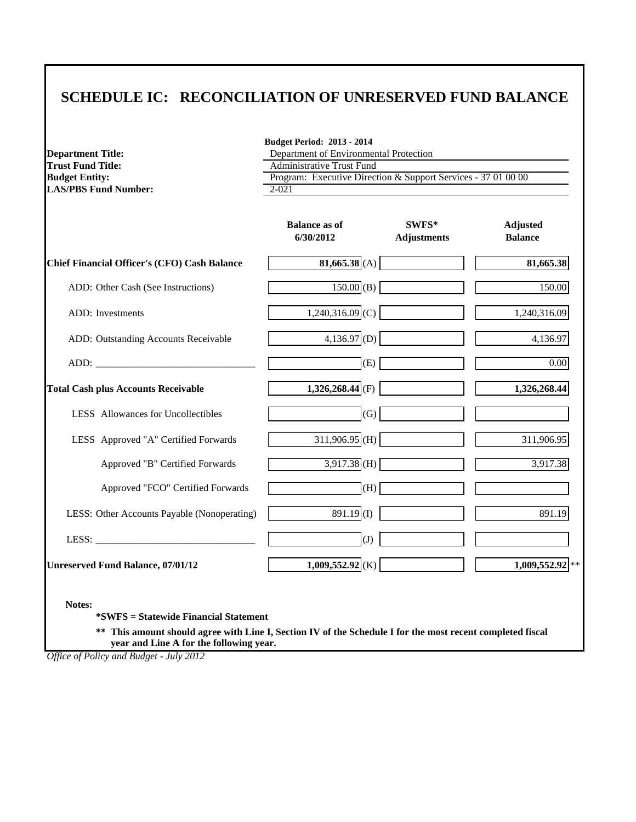## **SCHEDULE IC: RECONCILIATION OF UNRESERVED FUND BALANCE**

| <b>Department Title:</b>                            | <b>Budget Period: 2013 - 2014</b><br>Department of Environmental Protection<br><b>Administrative Trust Fund</b><br>Program: Executive Direction & Support Services - 37 01 00 00<br>$2 - 021$ |                             |                                   |  |  |  |
|-----------------------------------------------------|-----------------------------------------------------------------------------------------------------------------------------------------------------------------------------------------------|-----------------------------|-----------------------------------|--|--|--|
| <b>Trust Fund Title:</b>                            |                                                                                                                                                                                               |                             |                                   |  |  |  |
| <b>Budget Entity:</b>                               |                                                                                                                                                                                               |                             |                                   |  |  |  |
| <b>LAS/PBS Fund Number:</b>                         |                                                                                                                                                                                               |                             |                                   |  |  |  |
|                                                     |                                                                                                                                                                                               |                             |                                   |  |  |  |
|                                                     | <b>Balance as of</b><br>6/30/2012                                                                                                                                                             | SWFS*<br><b>Adjustments</b> | <b>Adjusted</b><br><b>Balance</b> |  |  |  |
| <b>Chief Financial Officer's (CFO) Cash Balance</b> | 81,665.38 (A)                                                                                                                                                                                 |                             | 81,665.38                         |  |  |  |
| ADD: Other Cash (See Instructions)                  | 150.00(B)                                                                                                                                                                                     |                             | 150.00                            |  |  |  |
| ADD: Investments                                    | $1,240,316.09$ (C)                                                                                                                                                                            |                             | 1,240,316.09                      |  |  |  |
| ADD: Outstanding Accounts Receivable                | 4,136.97 (D)                                                                                                                                                                                  |                             | 4,136.97                          |  |  |  |
| ADD:                                                | (E)                                                                                                                                                                                           |                             | 0.00                              |  |  |  |
| <b>Total Cash plus Accounts Receivable</b>          | $1,326,268.44$ <sub>(F)</sub>                                                                                                                                                                 |                             | 1,326,268.44                      |  |  |  |
| LESS Allowances for Uncollectibles                  | (G)                                                                                                                                                                                           |                             |                                   |  |  |  |
| LESS Approved "A" Certified Forwards                | $311,906.95$ <sub>(H)</sub>                                                                                                                                                                   |                             | 311,906.95                        |  |  |  |
| Approved "B" Certified Forwards                     | $3,917.38$ <sub>(H)</sub>                                                                                                                                                                     |                             | 3,917.38                          |  |  |  |
| Approved "FCO" Certified Forwards                   | (H)                                                                                                                                                                                           |                             |                                   |  |  |  |
| LESS: Other Accounts Payable (Nonoperating)         | $891.19$ (I)                                                                                                                                                                                  |                             | 891.19                            |  |  |  |
|                                                     | (J)                                                                                                                                                                                           |                             |                                   |  |  |  |
| <b>Unreserved Fund Balance, 07/01/12</b>            | $1,009,552.92$ <sub>(K)</sub>                                                                                                                                                                 |                             | $1,009,552.92$ **                 |  |  |  |

**\*SWFS = Statewide Financial Statement** 

**\*\* This amount should agree with Line I, Section IV of the Schedule I for the most recent completed fiscal year and Line A for the following year.**

*Office of Policy and Budget - July 2012*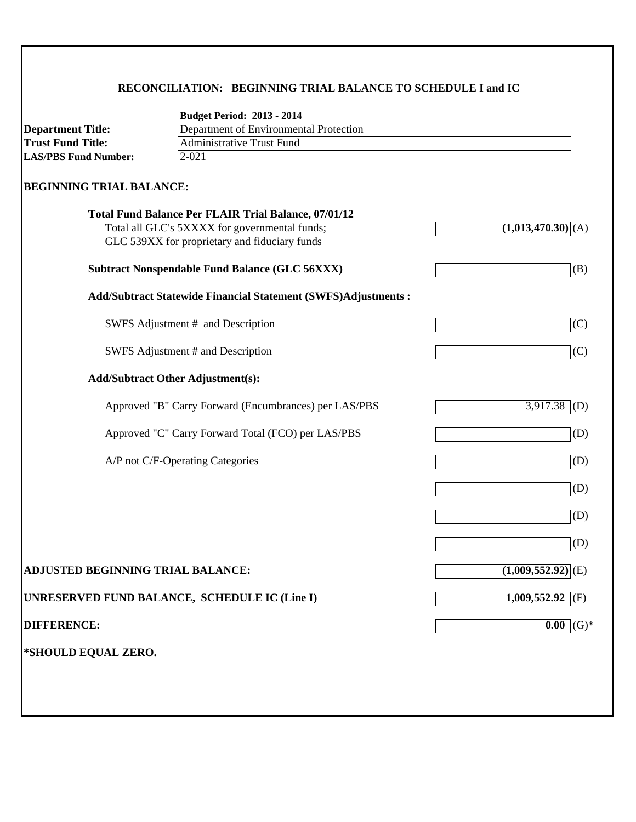## **RECONCILIATION: BEGINNING TRIAL BALANCE TO SCHEDULE I and IC**

|                                          | <b>Budget Period: 2013 - 2014</b>                                    |                                 |
|------------------------------------------|----------------------------------------------------------------------|---------------------------------|
| <b>Department Title:</b>                 | Department of Environmental Protection                               |                                 |
| <b>Trust Fund Title:</b>                 | <b>Administrative Trust Fund</b>                                     |                                 |
| <b>LAS/PBS Fund Number:</b>              | $2 - 021$                                                            |                                 |
| <b>BEGINNING TRIAL BALANCE:</b>          |                                                                      |                                 |
|                                          | <b>Total Fund Balance Per FLAIR Trial Balance, 07/01/12</b>          |                                 |
|                                          | Total all GLC's 5XXXX for governmental funds;                        | $\overline{(1,013,470.30)}$ (A) |
|                                          | GLC 539XX for proprietary and fiduciary funds                        |                                 |
|                                          | <b>Subtract Nonspendable Fund Balance (GLC 56XXX)</b>                | (B)                             |
|                                          | <b>Add/Subtract Statewide Financial Statement (SWFS)Adjustments:</b> |                                 |
|                                          | SWFS Adjustment # and Description                                    | (C)                             |
|                                          | SWFS Adjustment # and Description                                    | (C)                             |
|                                          | <b>Add/Subtract Other Adjustment(s):</b>                             |                                 |
|                                          | Approved "B" Carry Forward (Encumbrances) per LAS/PBS                | 3,917.38<br>(D)                 |
|                                          | Approved "C" Carry Forward Total (FCO) per LAS/PBS                   | (D)                             |
|                                          | A/P not C/F-Operating Categories                                     | (D)                             |
|                                          |                                                                      | (D)                             |
|                                          |                                                                      | (D)                             |
|                                          |                                                                      | (D)                             |
| <b>ADJUSTED BEGINNING TRIAL BALANCE:</b> |                                                                      | $(1,009,552.92)$ <sub>(E)</sub> |
|                                          | UNRESERVED FUND BALANCE, SCHEDULE IC (Line I)                        | 1,009,552.92<br>(F)             |
| <b>DIFFERENCE:</b>                       |                                                                      | $(G)$ *<br>0.00                 |
|                                          |                                                                      |                                 |
| *SHOULD EQUAL ZERO.                      |                                                                      |                                 |
|                                          |                                                                      |                                 |
|                                          |                                                                      |                                 |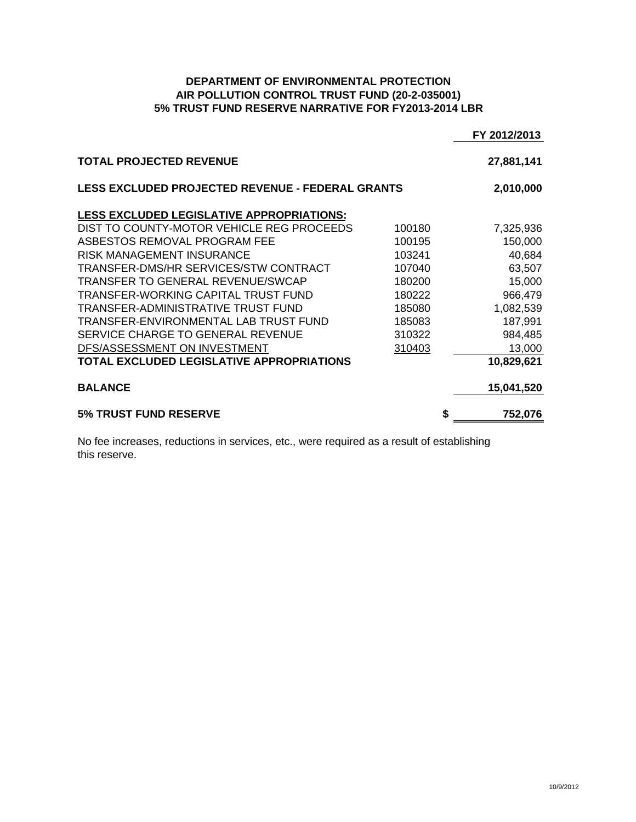### **DEPARTMENT OF ENVIRONMENTAL PROTECTION AIR POLLUTION CONTROL TRUST FUND (20-2-035001) 5% TRUST FUND RESERVE NARRATIVE FOR FY2013-2014 LBR**

|                                                  |        | FY 2012/2013 |
|--------------------------------------------------|--------|--------------|
| <b>TOTAL PROJECTED REVENUE</b>                   |        | 27,881,141   |
| LESS EXCLUDED PROJECTED REVENUE - FEDERAL GRANTS |        | 2,010,000    |
| <b>LESS EXCLUDED LEGISLATIVE APPROPRIATIONS:</b> |        |              |
| DIST TO COUNTY-MOTOR VEHICLE REG PROCEEDS        | 100180 | 7,325,936    |
| ASBESTOS REMOVAL PROGRAM FEE                     | 100195 | 150,000      |
| <b>RISK MANAGEMENT INSURANCE</b>                 | 103241 | 40,684       |
| TRANSFER-DMS/HR SERVICES/STW CONTRACT            | 107040 | 63,507       |
| <b>TRANSFER TO GENERAL REVENUE/SWCAP</b>         | 180200 | 15,000       |
| TRANSFER-WORKING CAPITAL TRUST FUND              | 180222 | 966,479      |
| TRANSFER-ADMINISTRATIVE TRUST FUND               | 185080 | 1,082,539    |
| TRANSFER-ENVIRONMENTAL LAB TRUST FUND            | 185083 | 187,991      |
| SERVICE CHARGE TO GENERAL REVENUE                | 310322 | 984,485      |
| DFS/ASSESSMENT ON INVESTMENT                     | 310403 | 13,000       |
| TOTAL EXCLUDED LEGISLATIVE APPROPRIATIONS        |        | 10,829,621   |
| <b>BALANCE</b>                                   |        | 15,041,520   |
| <b>5% TRUST FUND RESERVE</b>                     | S      | 752,076      |

No fee increases, reductions in services, etc., were required as a result of establishing this reserve.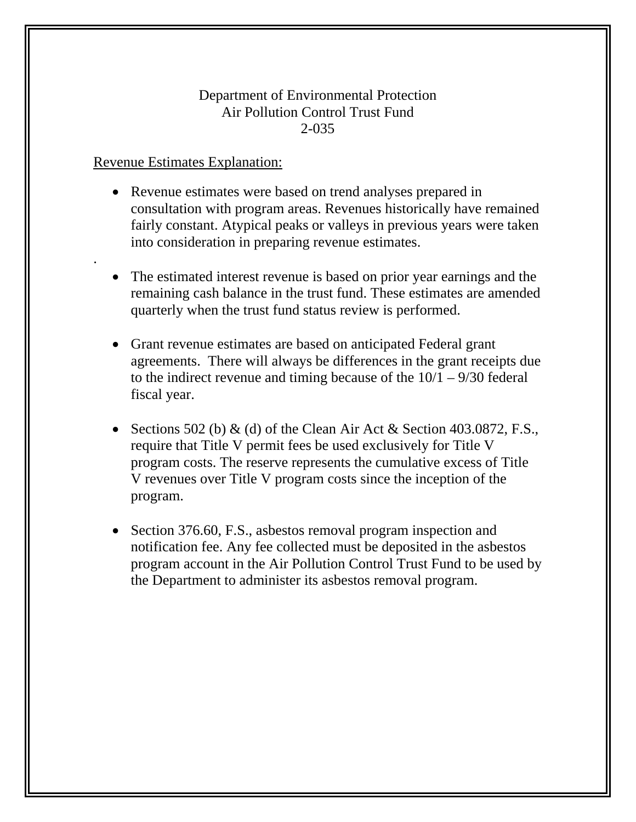## Department of Environmental Protection Air Pollution Control Trust Fund 2-035

## Revenue Estimates Explanation:

.

- Revenue estimates were based on trend analyses prepared in consultation with program areas. Revenues historically have remained fairly constant. Atypical peaks or valleys in previous years were taken into consideration in preparing revenue estimates.
- The estimated interest revenue is based on prior year earnings and the remaining cash balance in the trust fund. These estimates are amended quarterly when the trust fund status review is performed.
- Grant revenue estimates are based on anticipated Federal grant agreements. There will always be differences in the grant receipts due to the indirect revenue and timing because of the  $10/1 - 9/30$  federal fiscal year.
- Sections 502 (b) & (d) of the Clean Air Act & Section 403.0872, F.S., require that Title V permit fees be used exclusively for Title V program costs. The reserve represents the cumulative excess of Title V revenues over Title V program costs since the inception of the program.
- Section 376.60, F.S., asbestos removal program inspection and notification fee. Any fee collected must be deposited in the asbestos program account in the Air Pollution Control Trust Fund to be used by the Department to administer its asbestos removal program.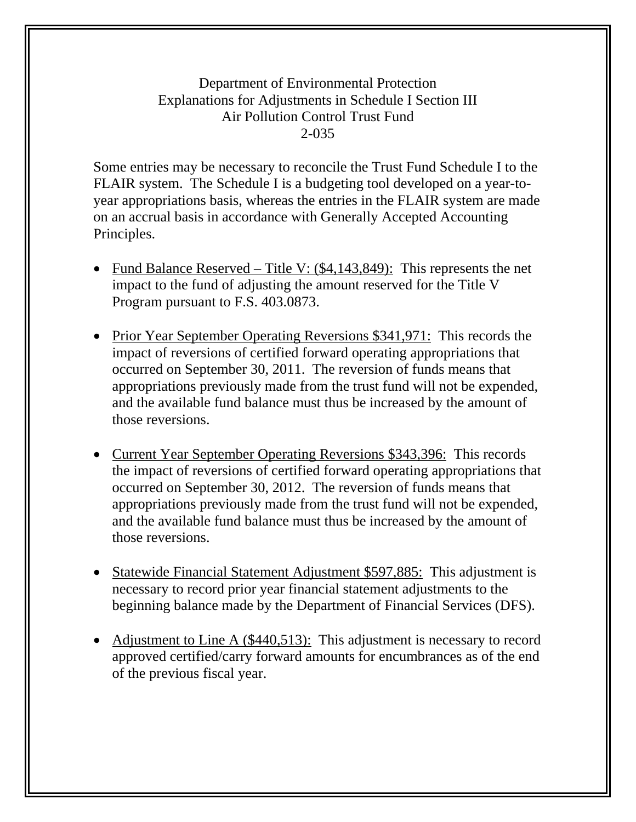# Department of Environmental Protection Explanations for Adjustments in Schedule I Section III Air Pollution Control Trust Fund 2-035

Some entries may be necessary to reconcile the Trust Fund Schedule I to the FLAIR system. The Schedule I is a budgeting tool developed on a year-toyear appropriations basis, whereas the entries in the FLAIR system are made on an accrual basis in accordance with Generally Accepted Accounting Principles.

- Fund Balance Reserved Title V:  $(\$4,143,849)$ : This represents the net impact to the fund of adjusting the amount reserved for the Title V Program pursuant to F.S. 403.0873.
- Prior Year September Operating Reversions \$341,971: This records the impact of reversions of certified forward operating appropriations that occurred on September 30, 2011. The reversion of funds means that appropriations previously made from the trust fund will not be expended, and the available fund balance must thus be increased by the amount of those reversions.
- Current Year September Operating Reversions \$343,396: This records the impact of reversions of certified forward operating appropriations that occurred on September 30, 2012. The reversion of funds means that appropriations previously made from the trust fund will not be expended, and the available fund balance must thus be increased by the amount of those reversions.
- Statewide Financial Statement Adjustment \$597,885: This adjustment is necessary to record prior year financial statement adjustments to the beginning balance made by the Department of Financial Services (DFS).
- Adjustment to Line A  $(\$440,513)$ : This adjustment is necessary to record approved certified/carry forward amounts for encumbrances as of the end of the previous fiscal year.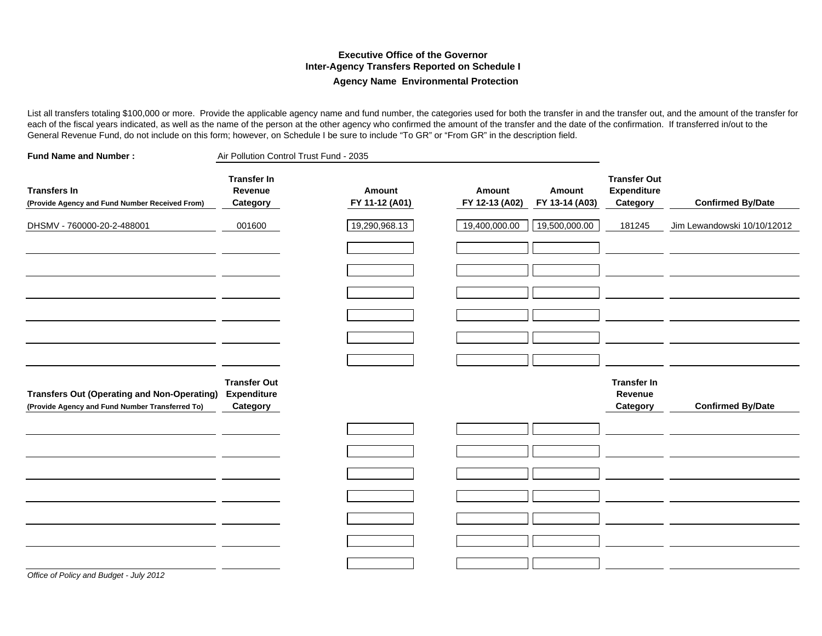#### **Executive Office of the GovernorInter-Agency Transfers Reported on Schedule I Agency Name Environmental Protection**

List all transfers totaling \$100,000 or more. Provide the applicable agency name and fund number, the categories used for both the transfer in and the transfer out, and the amount of the transfer for each of the fiscal years indicated, as well as the name of the person at the other agency who confirmed the amount of the transfer and the date of the confirmation. If transferred in/out to the General Revenue Fund, do not include on this form; however, on Schedule I be sure to include "To GR" or "From GR" in the description field.

| <b>Fund Name and Number:</b>                                                                          | Air Pollution Control Trust Fund - 2035        |                          |                          |                          |                                                       |                             |
|-------------------------------------------------------------------------------------------------------|------------------------------------------------|--------------------------|--------------------------|--------------------------|-------------------------------------------------------|-----------------------------|
| <b>Transfers In</b><br>(Provide Agency and Fund Number Received From)                                 | <b>Transfer In</b><br>Revenue<br>Category      | Amount<br>FY 11-12 (A01) | Amount<br>FY 12-13 (A02) | Amount<br>FY 13-14 (A03) | <b>Transfer Out</b><br><b>Expenditure</b><br>Category | <b>Confirmed By/Date</b>    |
| DHSMV - 760000-20-2-488001                                                                            | 001600                                         | 19,290,968.13            | 19,400,000.00            | 19,500,000.00            | 181245                                                | Jim Lewandowski 10/10/12012 |
|                                                                                                       |                                                |                          |                          |                          |                                                       |                             |
|                                                                                                       |                                                |                          |                          |                          |                                                       |                             |
|                                                                                                       |                                                |                          |                          |                          |                                                       |                             |
|                                                                                                       |                                                |                          |                          |                          |                                                       |                             |
| <b>Transfers Out (Operating and Non-Operating)</b><br>(Provide Agency and Fund Number Transferred To) | <b>Transfer Out</b><br>Expenditure<br>Category |                          |                          |                          | <b>Transfer In</b><br>Revenue<br>Category             | <b>Confirmed By/Date</b>    |
|                                                                                                       |                                                |                          |                          |                          |                                                       |                             |
|                                                                                                       |                                                |                          |                          |                          |                                                       |                             |
|                                                                                                       |                                                |                          |                          |                          |                                                       |                             |
|                                                                                                       |                                                |                          |                          |                          |                                                       |                             |
|                                                                                                       |                                                |                          |                          |                          |                                                       |                             |
| Office of Policy and Budget - July 2012                                                               |                                                |                          |                          |                          |                                                       |                             |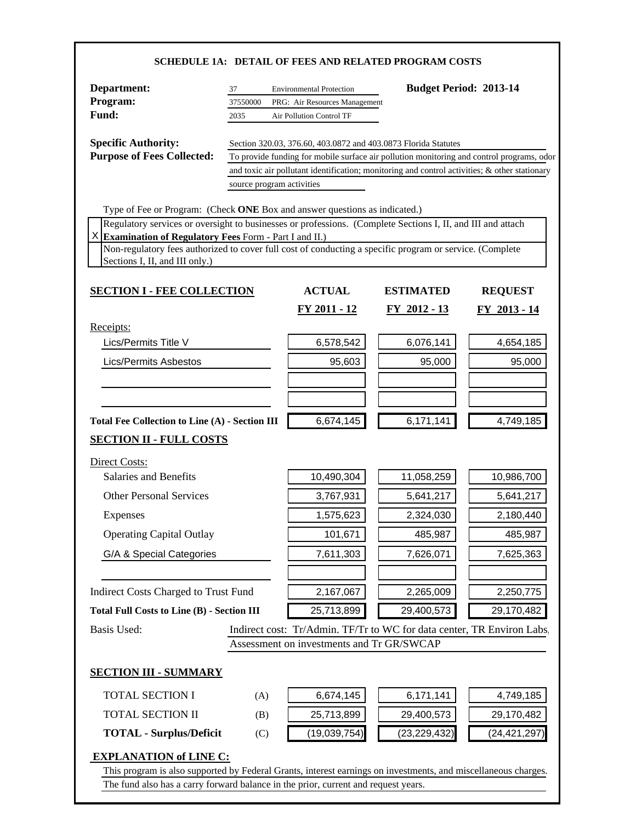#### **SCHEDULE 1A: DETAIL OF FEES AND RELATED PROGRAM COSTS**

| Department:                                                                                                                                | 37       | <b>Environmental Protection</b>                                                               | <b>Budget Period: 2013-14</b> |                |  |  |  |  |
|--------------------------------------------------------------------------------------------------------------------------------------------|----------|-----------------------------------------------------------------------------------------------|-------------------------------|----------------|--|--|--|--|
| Program:                                                                                                                                   | 37550000 | PRG: Air Resources Management                                                                 |                               |                |  |  |  |  |
| Fund:                                                                                                                                      | 2035     | Air Pollution Control TF                                                                      |                               |                |  |  |  |  |
| <b>Specific Authority:</b>                                                                                                                 |          | Section 320.03, 376.60, 403.0872 and 403.0873 Florida Statutes                                |                               |                |  |  |  |  |
| <b>Purpose of Fees Collected:</b>                                                                                                          |          | To provide funding for mobile surface air pollution monitoring and control programs, odor     |                               |                |  |  |  |  |
|                                                                                                                                            |          | and toxic air pollutant identification; monitoring and control activities; & other stationary |                               |                |  |  |  |  |
|                                                                                                                                            |          | source program activities                                                                     |                               |                |  |  |  |  |
| Type of Fee or Program: (Check ONE Box and answer questions as indicated.)                                                                 |          |                                                                                               |                               |                |  |  |  |  |
| Regulatory services or oversight to businesses or professions. (Complete Sections I, II, and III and attach                                |          |                                                                                               |                               |                |  |  |  |  |
| X Examination of Regulatory Fees Form - Part I and II.)                                                                                    |          |                                                                                               |                               |                |  |  |  |  |
| Non-regulatory fees authorized to cover full cost of conducting a specific program or service. (Complete<br>Sections I, II, and III only.) |          |                                                                                               |                               |                |  |  |  |  |
|                                                                                                                                            |          |                                                                                               |                               |                |  |  |  |  |
| <b>SECTION I - FEE COLLECTION</b>                                                                                                          |          | <b>ACTUAL</b>                                                                                 | <b>ESTIMATED</b>              | <b>REQUEST</b> |  |  |  |  |
|                                                                                                                                            |          | <u>FY 2011 - 12</u>                                                                           | FY 2012 - 13                  | FY 2013 - 14   |  |  |  |  |
| Receipts:                                                                                                                                  |          |                                                                                               |                               |                |  |  |  |  |
| Lics/Permits Title V                                                                                                                       |          | 6,578,542                                                                                     | 6,076,141                     | 4,654,185      |  |  |  |  |
| <b>Lics/Permits Asbestos</b>                                                                                                               |          | 95,603                                                                                        | 95,000                        | 95,000         |  |  |  |  |
|                                                                                                                                            |          |                                                                                               |                               |                |  |  |  |  |
|                                                                                                                                            |          |                                                                                               |                               |                |  |  |  |  |
|                                                                                                                                            |          |                                                                                               |                               |                |  |  |  |  |
| <b>Total Fee Collection to Line (A) - Section III</b>                                                                                      |          | 6,674,145                                                                                     | 6,171,141                     | 4,749,185      |  |  |  |  |
| <b>SECTION II - FULL COSTS</b>                                                                                                             |          |                                                                                               |                               |                |  |  |  |  |
| Direct Costs:                                                                                                                              |          |                                                                                               |                               |                |  |  |  |  |
| <b>Salaries and Benefits</b>                                                                                                               |          | 10,490,304                                                                                    | 11,058,259                    | 10,986,700     |  |  |  |  |
| <b>Other Personal Services</b>                                                                                                             |          | 3,767,931                                                                                     | 5,641,217                     | 5,641,217      |  |  |  |  |
| Expenses                                                                                                                                   |          | 1,575,623                                                                                     | 2,324,030                     | 2,180,440      |  |  |  |  |
| <b>Operating Capital Outlay</b>                                                                                                            |          | 101,671                                                                                       | 485,987                       | 485,987        |  |  |  |  |
| G/A & Special Categories                                                                                                                   |          | 7,611,303                                                                                     | 7,626,071                     | 7,625,363      |  |  |  |  |
|                                                                                                                                            |          |                                                                                               |                               |                |  |  |  |  |
| Indirect Costs Charged to Trust Fund                                                                                                       |          | 2,167,067                                                                                     | 2,265,009                     | 2,250,775      |  |  |  |  |
| <b>Total Full Costs to Line (B) - Section III</b>                                                                                          |          | 25,713,899                                                                                    | 29,400,573                    | 29,170,482     |  |  |  |  |
| <b>Basis Used:</b>                                                                                                                         |          | Indirect cost: Tr/Admin. TF/Tr to WC for data center, TR Environ Labs,                        |                               |                |  |  |  |  |
|                                                                                                                                            |          | Assessment on investments and Tr GR/SWCAP                                                     |                               |                |  |  |  |  |
| <b>SECTION III - SUMMARY</b>                                                                                                               |          |                                                                                               |                               |                |  |  |  |  |
| <b>TOTAL SECTION I</b>                                                                                                                     | (A)      | 6,674,145                                                                                     | 6,171,141                     | 4,749,185      |  |  |  |  |
| <b>TOTAL SECTION II</b>                                                                                                                    | (B)      | 25,713,899                                                                                    | 29,400,573                    | 29,170,482     |  |  |  |  |
| <b>TOTAL - Surplus/Deficit</b>                                                                                                             | (C)      | (19,039,754)                                                                                  | (23, 229, 432)                | (24, 421, 297) |  |  |  |  |
| <b>EXPLANATION of LINE C:</b>                                                                                                              |          |                                                                                               |                               |                |  |  |  |  |

This program is also supported by Federal Grants, interest earnings on investments, and miscellaneous charges. The fund also has a carry forward balance in the prior, current and request years.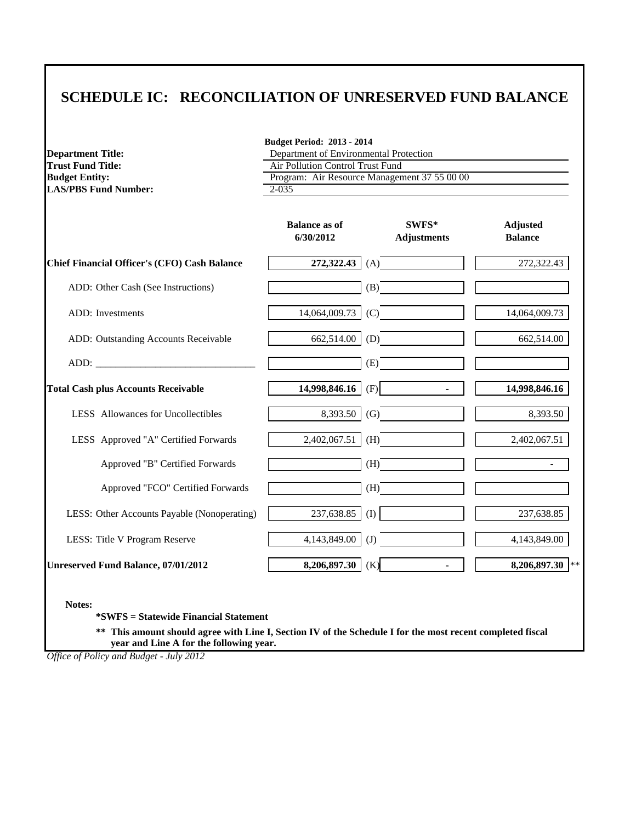# **SCHEDULE IC: RECONCILIATION OF UNRESERVED FUND BALANCE**

|                                                                                                                                                                                                                                | <b>Budget Period: 2013 - 2014</b>                                          |                                              |                                   |  |  |
|--------------------------------------------------------------------------------------------------------------------------------------------------------------------------------------------------------------------------------|----------------------------------------------------------------------------|----------------------------------------------|-----------------------------------|--|--|
| <b>Department Title:</b><br><b>Trust Fund Title:</b>                                                                                                                                                                           | Department of Environmental Protection<br>Air Pollution Control Trust Fund |                                              |                                   |  |  |
| <b>Budget Entity:</b>                                                                                                                                                                                                          |                                                                            | Program: Air Resource Management 37 55 00 00 |                                   |  |  |
| <b>LAS/PBS Fund Number:</b>                                                                                                                                                                                                    | $2 - 035$                                                                  |                                              |                                   |  |  |
|                                                                                                                                                                                                                                |                                                                            |                                              |                                   |  |  |
|                                                                                                                                                                                                                                | <b>Balance as of</b><br>6/30/2012                                          | SWFS*<br><b>Adjustments</b>                  | <b>Adjusted</b><br><b>Balance</b> |  |  |
| Chief Financial Officer's (CFO) Cash Balance                                                                                                                                                                                   | 272,322.43                                                                 | (A)                                          | 272,322.43                        |  |  |
| ADD: Other Cash (See Instructions)                                                                                                                                                                                             |                                                                            | (B)                                          |                                   |  |  |
| <b>ADD</b> : Investments                                                                                                                                                                                                       | 14,064,009.73                                                              | (C)                                          | 14,064,009.73                     |  |  |
| ADD: Outstanding Accounts Receivable                                                                                                                                                                                           | 662,514.00                                                                 | (D)                                          | 662,514.00                        |  |  |
| ADD: The contract of the contract of the contract of the contract of the contract of the contract of the contract of the contract of the contract of the contract of the contract of the contract of the contract of the contr |                                                                            | (E)                                          |                                   |  |  |
| <b>Total Cash plus Accounts Receivable</b>                                                                                                                                                                                     | 14,998,846.16                                                              | (F)<br>$\blacksquare$                        | 14,998,846.16                     |  |  |
| LESS Allowances for Uncollectibles                                                                                                                                                                                             | 8,393.50                                                                   | (G)                                          | 8,393.50                          |  |  |
| LESS Approved "A" Certified Forwards                                                                                                                                                                                           | 2,402,067.51                                                               | (H)                                          | 2,402,067.51                      |  |  |
| Approved "B" Certified Forwards                                                                                                                                                                                                |                                                                            | (H)                                          |                                   |  |  |
| Approved "FCO" Certified Forwards                                                                                                                                                                                              |                                                                            | (H)                                          |                                   |  |  |
| LESS: Other Accounts Payable (Nonoperating)                                                                                                                                                                                    | 237,638.85                                                                 | (I)                                          | 237,638.85                        |  |  |
| LESS: Title V Program Reserve                                                                                                                                                                                                  | 4,143,849.00                                                               | (J)                                          | 4,143,849.00                      |  |  |
| <b>Unreserved Fund Balance, 07/01/2012</b>                                                                                                                                                                                     | 8,206,897.30                                                               | (K)                                          | 8,206,897.30 **                   |  |  |

**Notes:**

**\*SWFS = Statewide Financial Statement** 

**\*\* This amount should agree with Line I, Section IV of the Schedule I for the most recent completed fiscal year and Line A for the following year.**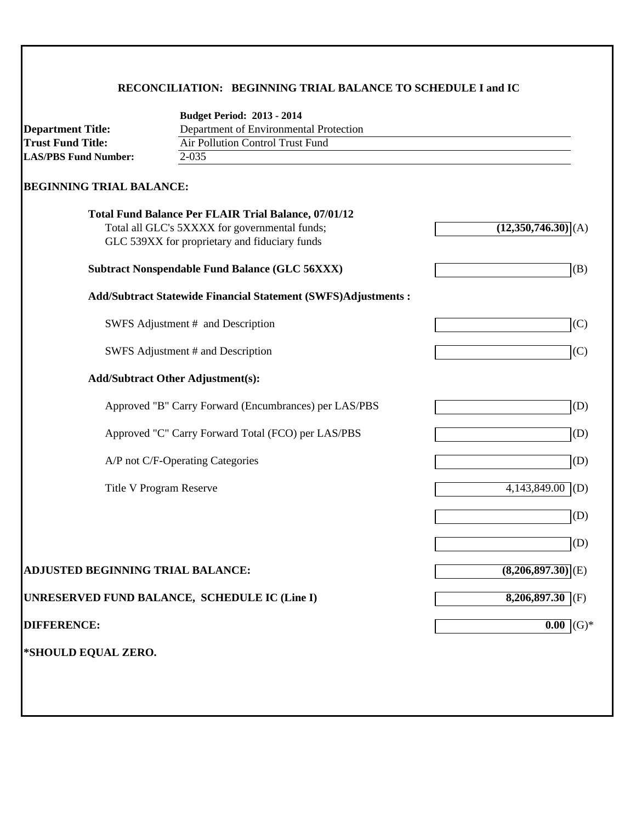# **RECONCILIATION: BEGINNING TRIAL BALANCE TO SCHEDULE I and IC**

|                                          | <b>Budget Period: 2013 - 2014</b>                                    |                                    |
|------------------------------------------|----------------------------------------------------------------------|------------------------------------|
| <b>Department Title:</b>                 | Department of Environmental Protection                               |                                    |
| <b>Trust Fund Title:</b>                 | <b>Air Pollution Control Trust Fund</b>                              |                                    |
| <b>LAS/PBS Fund Number:</b>              | $2 - 035$                                                            |                                    |
| <b>BEGINNING TRIAL BALANCE:</b>          |                                                                      |                                    |
|                                          | <b>Total Fund Balance Per FLAIR Trial Balance, 07/01/12</b>          |                                    |
|                                          | Total all GLC's 5XXXX for governmental funds;                        | $(12,350,746.30)$ (A)              |
|                                          | GLC 539XX for proprietary and fiduciary funds                        |                                    |
|                                          | <b>Subtract Nonspendable Fund Balance (GLC 56XXX)</b>                | (B)                                |
|                                          | <b>Add/Subtract Statewide Financial Statement (SWFS)Adjustments:</b> |                                    |
|                                          | SWFS Adjustment # and Description                                    | (C)                                |
|                                          | SWFS Adjustment # and Description                                    | (C)                                |
|                                          | <b>Add/Subtract Other Adjustment(s):</b>                             |                                    |
|                                          | Approved "B" Carry Forward (Encumbrances) per LAS/PBS                | (D)                                |
|                                          | Approved "C" Carry Forward Total (FCO) per LAS/PBS                   | (D)                                |
|                                          | A/P not C/F-Operating Categories                                     | (D)                                |
|                                          | Title V Program Reserve                                              | 4,143,849.00 (D)                   |
|                                          |                                                                      | (D)                                |
|                                          |                                                                      | (D)                                |
| <b>ADJUSTED BEGINNING TRIAL BALANCE:</b> |                                                                      | $(8,206,897.30)$ <sup>(E)</sup>    |
|                                          | UNRESERVED FUND BALANCE, SCHEDULE IC (Line I)                        | $8,206,897.30$ (F)                 |
| <b>DIFFERENCE:</b>                       |                                                                      | $\overline{0.00}$ (G) <sup>*</sup> |
| *SHOULD EQUAL ZERO.                      |                                                                      |                                    |
|                                          |                                                                      |                                    |
|                                          |                                                                      |                                    |
|                                          |                                                                      |                                    |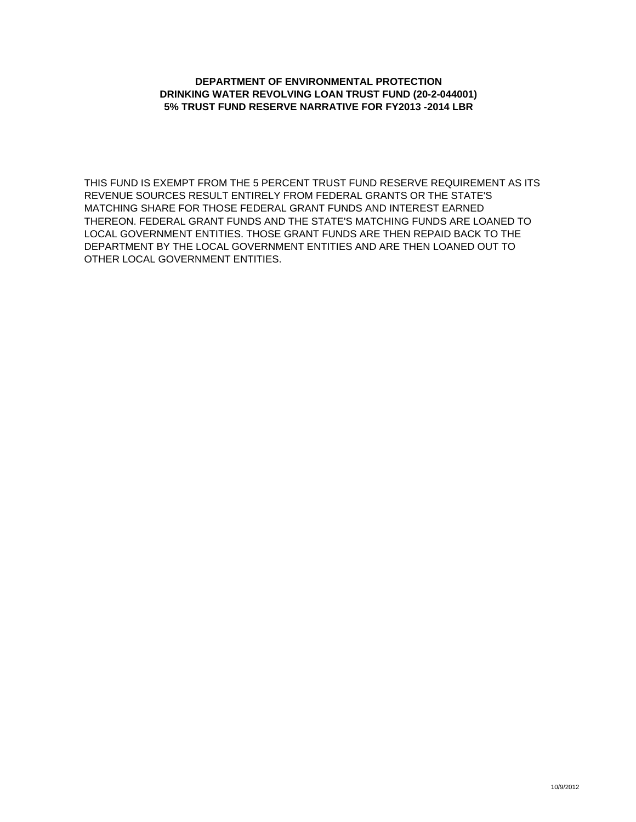### **DEPARTMENT OF ENVIRONMENTAL PROTECTION DRINKING WATER REVOLVING LOAN TRUST FUND (20-2-044001) 5% TRUST FUND RESERVE NARRATIVE FOR FY2013 -2014 LBR**

THIS FUND IS EXEMPT FROM THE 5 PERCENT TRUST FUND RESERVE REQUIREMENT AS ITS REVENUE SOURCES RESULT ENTIRELY FROM FEDERAL GRANTS OR THE STATE'S MATCHING SHARE FOR THOSE FEDERAL GRANT FUNDS AND INTEREST EARNED THEREON. FEDERAL GRANT FUNDS AND THE STATE'S MATCHING FUNDS ARE LOANED TO LOCAL GOVERNMENT ENTITIES. THOSE GRANT FUNDS ARE THEN REPAID BACK TO THE DEPARTMENT BY THE LOCAL GOVERNMENT ENTITIES AND ARE THEN LOANED OUT TO OTHER LOCAL GOVERNMENT ENTITIES.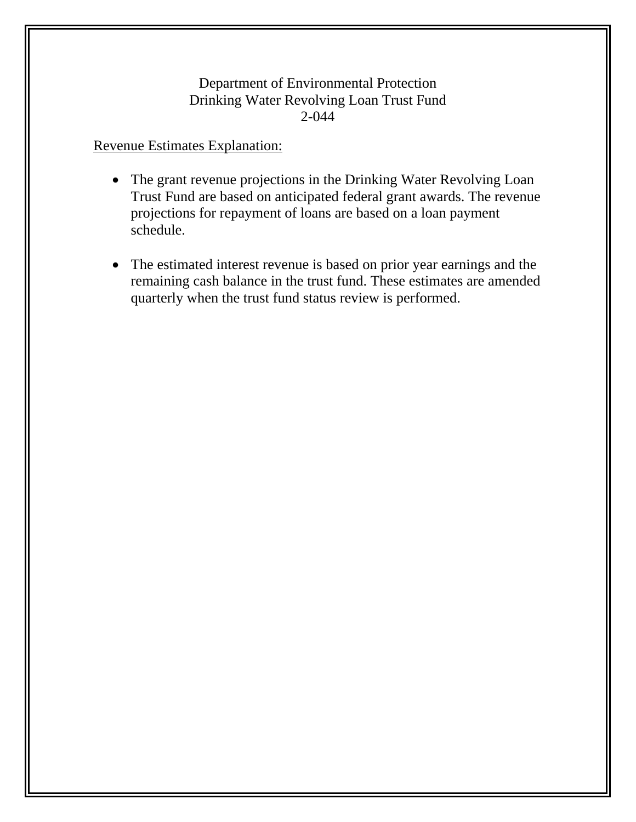# Department of Environmental Protection Drinking Water Revolving Loan Trust Fund 2-044

# Revenue Estimates Explanation:

- The grant revenue projections in the Drinking Water Revolving Loan Trust Fund are based on anticipated federal grant awards. The revenue projections for repayment of loans are based on a loan payment schedule.
- The estimated interest revenue is based on prior year earnings and the remaining cash balance in the trust fund. These estimates are amended quarterly when the trust fund status review is performed.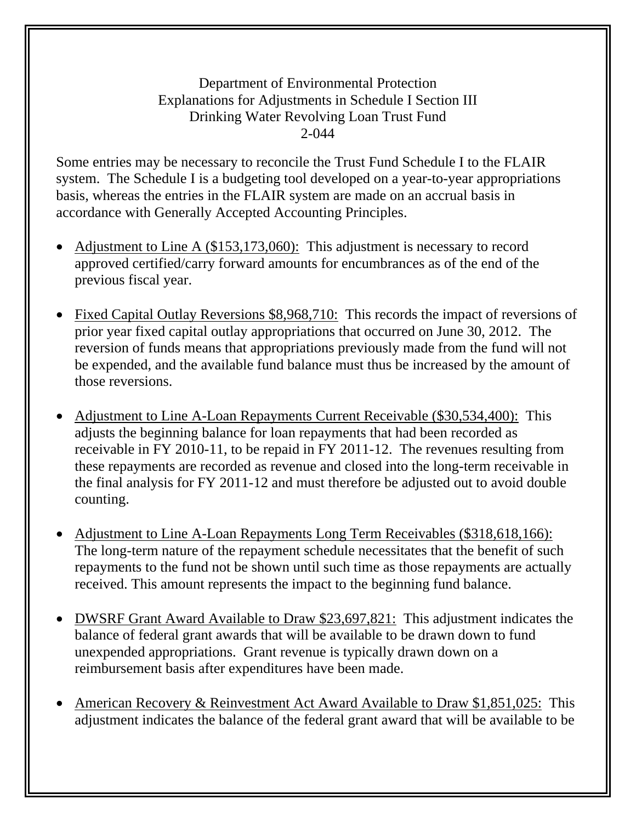# Department of Environmental Protection Explanations for Adjustments in Schedule I Section III Drinking Water Revolving Loan Trust Fund 2-044

Some entries may be necessary to reconcile the Trust Fund Schedule I to the FLAIR system. The Schedule I is a budgeting tool developed on a year-to-year appropriations basis, whereas the entries in the FLAIR system are made on an accrual basis in accordance with Generally Accepted Accounting Principles.

- Adjustment to Line A (\$153,173,060): This adjustment is necessary to record approved certified/carry forward amounts for encumbrances as of the end of the previous fiscal year.
- Fixed Capital Outlay Reversions \$8,968,710: This records the impact of reversions of prior year fixed capital outlay appropriations that occurred on June 30, 2012. The reversion of funds means that appropriations previously made from the fund will not be expended, and the available fund balance must thus be increased by the amount of those reversions.
- Adjustment to Line A-Loan Repayments Current Receivable (\$30,534,400): This adjusts the beginning balance for loan repayments that had been recorded as receivable in FY 2010-11, to be repaid in FY 2011-12. The revenues resulting from these repayments are recorded as revenue and closed into the long-term receivable in the final analysis for FY 2011-12 and must therefore be adjusted out to avoid double counting.
- Adjustment to Line A-Loan Repayments Long Term Receivables (\$318,618,166): The long-term nature of the repayment schedule necessitates that the benefit of such repayments to the fund not be shown until such time as those repayments are actually received. This amount represents the impact to the beginning fund balance.
- DWSRF Grant Award Available to Draw \$23,697,821: This adjustment indicates the balance of federal grant awards that will be available to be drawn down to fund unexpended appropriations. Grant revenue is typically drawn down on a reimbursement basis after expenditures have been made.
- American Recovery & Reinvestment Act Award Available to Draw \$1,851,025: This adjustment indicates the balance of the federal grant award that will be available to be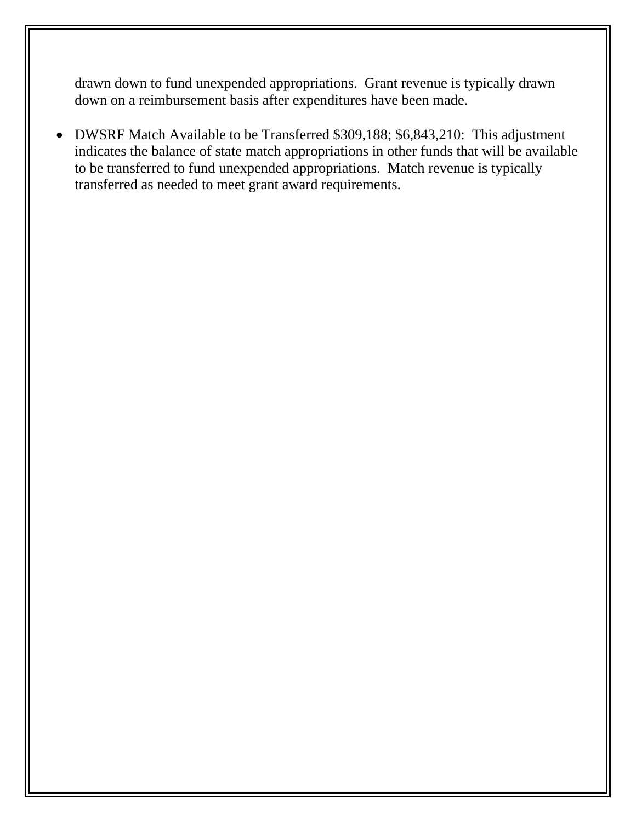drawn down to fund unexpended appropriations. Grant revenue is typically drawn down on a reimbursement basis after expenditures have been made.

• DWSRF Match Available to be Transferred \$309,188; \$6,843,210: This adjustment indicates the balance of state match appropriations in other funds that will be available to be transferred to fund unexpended appropriations. Match revenue is typically transferred as needed to meet grant award requirements.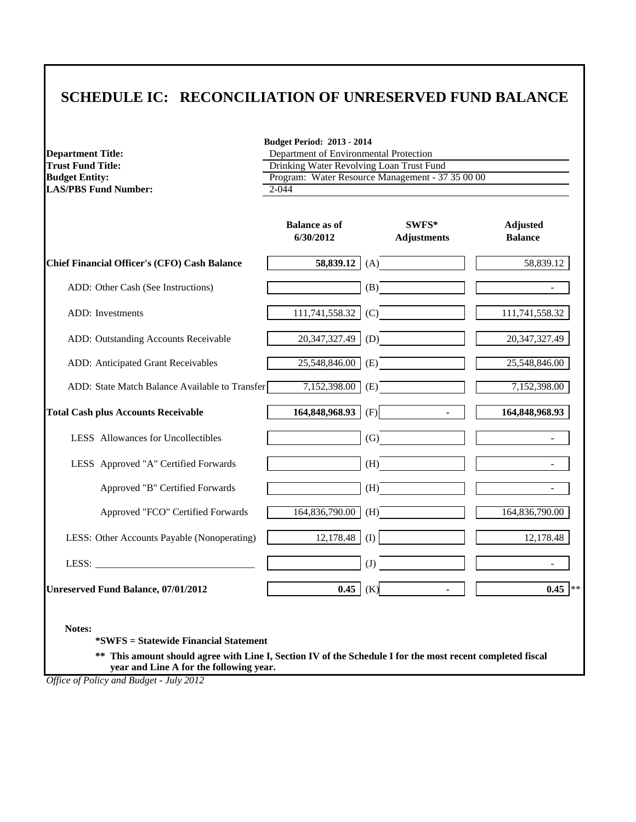# **SCHEDULE IC: RECONCILIATION OF UNRESERVED FUND BALANCE**

| <b>Department Title:</b><br><b>Trust Fund Title:</b><br><b>Budget Entity:</b><br><b>LAS/PBS Fund Number:</b> | <b>Budget Period: 2013 - 2014</b><br>Department of Environmental Protection<br>Drinking Water Revolving Loan Trust Fund<br>Program: Water Resource Management - 37 35 00 00<br>$2 - 044$ |                             |                                   |  |
|--------------------------------------------------------------------------------------------------------------|------------------------------------------------------------------------------------------------------------------------------------------------------------------------------------------|-----------------------------|-----------------------------------|--|
|                                                                                                              | <b>Balance as of</b><br>6/30/2012                                                                                                                                                        | SWFS*<br><b>Adjustments</b> | <b>Adjusted</b><br><b>Balance</b> |  |
| <b>Chief Financial Officer's (CFO) Cash Balance</b>                                                          | 58,839.12                                                                                                                                                                                | (A)                         | 58,839.12                         |  |
| ADD: Other Cash (See Instructions)                                                                           |                                                                                                                                                                                          | (B)                         |                                   |  |
| <b>ADD</b> : Investments                                                                                     | 111,741,558.32                                                                                                                                                                           | (C)                         | 111,741,558.32                    |  |
| ADD: Outstanding Accounts Receivable                                                                         | 20,347,327.49                                                                                                                                                                            | (D)                         | 20, 347, 327. 49                  |  |
| ADD: Anticipated Grant Receivables                                                                           | 25,548,846.00                                                                                                                                                                            | (E)                         | 25,548,846.00                     |  |
| ADD: State Match Balance Available to Transfer                                                               | 7,152,398.00                                                                                                                                                                             | (E)                         | 7,152,398.00                      |  |
| <b>Total Cash plus Accounts Receivable</b>                                                                   | 164,848,968.93                                                                                                                                                                           | (F)                         | 164,848,968.93                    |  |
| LESS Allowances for Uncollectibles                                                                           |                                                                                                                                                                                          | (G)                         |                                   |  |
| LESS Approved "A" Certified Forwards                                                                         |                                                                                                                                                                                          | (H)                         |                                   |  |
| Approved "B" Certified Forwards                                                                              |                                                                                                                                                                                          | (H)                         | $\overline{a}$                    |  |
| Approved "FCO" Certified Forwards                                                                            | 164,836,790.00                                                                                                                                                                           | (H)                         | 164,836,790.00                    |  |
| LESS: Other Accounts Payable (Nonoperating)                                                                  | 12,178.48                                                                                                                                                                                | (I)                         | 12,178.48                         |  |
| LESS:                                                                                                        |                                                                                                                                                                                          | (J)                         |                                   |  |
| Unreserved Fund Balance, 07/01/2012                                                                          | 0.45                                                                                                                                                                                     | (K)<br>$\blacksquare$       | $0.45$ **                         |  |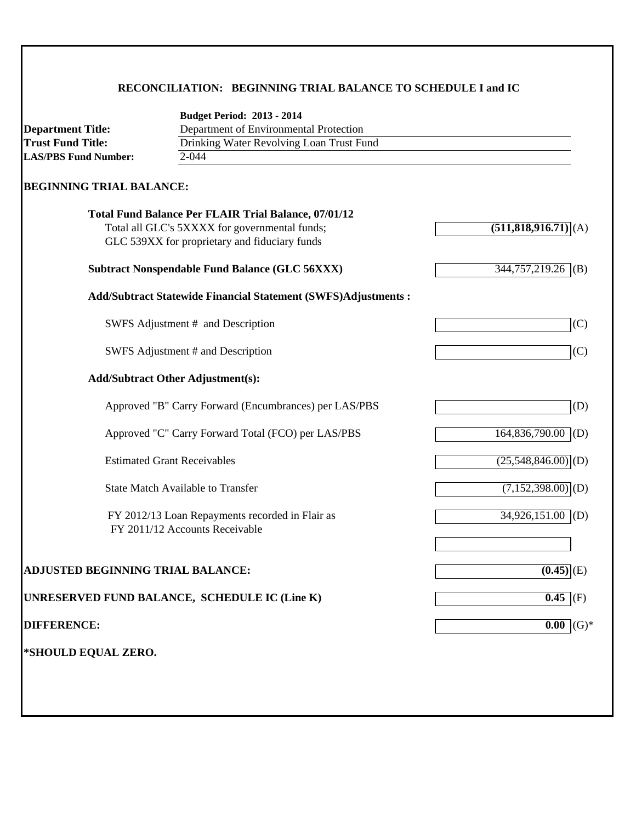## **RECONCILIATION: BEGINNING TRIAL BALANCE TO SCHEDULE I and IC**

|                                   | <b>Budget Period: 2013 - 2014</b>                                                              |                         |
|-----------------------------------|------------------------------------------------------------------------------------------------|-------------------------|
| <b>Department Title:</b>          | Department of Environmental Protection                                                         |                         |
| <b>Trust Fund Title:</b>          | Drinking Water Revolving Loan Trust Fund                                                       |                         |
| <b>LAS/PBS Fund Number:</b>       | $2 - 044$                                                                                      |                         |
| <b>BEGINNING TRIAL BALANCE:</b>   |                                                                                                |                         |
|                                   | <b>Total Fund Balance Per FLAIR Trial Balance, 07/01/12</b>                                    |                         |
|                                   | Total all GLC's 5XXXX for governmental funds;<br>GLC 539XX for proprietary and fiduciary funds | $(511,818,916.71)$ (A)  |
|                                   | <b>Subtract Nonspendable Fund Balance (GLC 56XXX)</b>                                          | $344,757,219.26$ (B)    |
|                                   | <b>Add/Subtract Statewide Financial Statement (SWFS)Adjustments:</b>                           |                         |
|                                   | SWFS Adjustment # and Description                                                              | (C)                     |
|                                   | SWFS Adjustment # and Description                                                              | (C)                     |
|                                   | <b>Add/Subtract Other Adjustment(s):</b>                                                       |                         |
|                                   | Approved "B" Carry Forward (Encumbrances) per LAS/PBS                                          | (D)                     |
|                                   | Approved "C" Carry Forward Total (FCO) per LAS/PBS                                             | $164,836,790.00$ (D)    |
|                                   | <b>Estimated Grant Receivables</b>                                                             | $(25,548,846.00)$ (D)   |
|                                   | <b>State Match Available to Transfer</b>                                                       | $(7,152,398.00)$ (D)    |
|                                   | FY 2012/13 Loan Repayments recorded in Flair as<br>FY 2011/12 Accounts Receivable              | 34,926,151.00<br>(D)    |
|                                   |                                                                                                |                         |
| ADJUSTED BEGINNING TRIAL BALANCE: |                                                                                                | $(0.45)$ <sup>(E)</sup> |
|                                   | UNRESERVED FUND BALANCE, SCHEDULE IC (Line K)                                                  | $0.45$ (F)              |
| <b>DIFFERENCE:</b>                |                                                                                                | 0.00<br>$(G)*$          |
| *SHOULD EQUAL ZERO.               |                                                                                                |                         |
|                                   |                                                                                                |                         |
|                                   |                                                                                                |                         |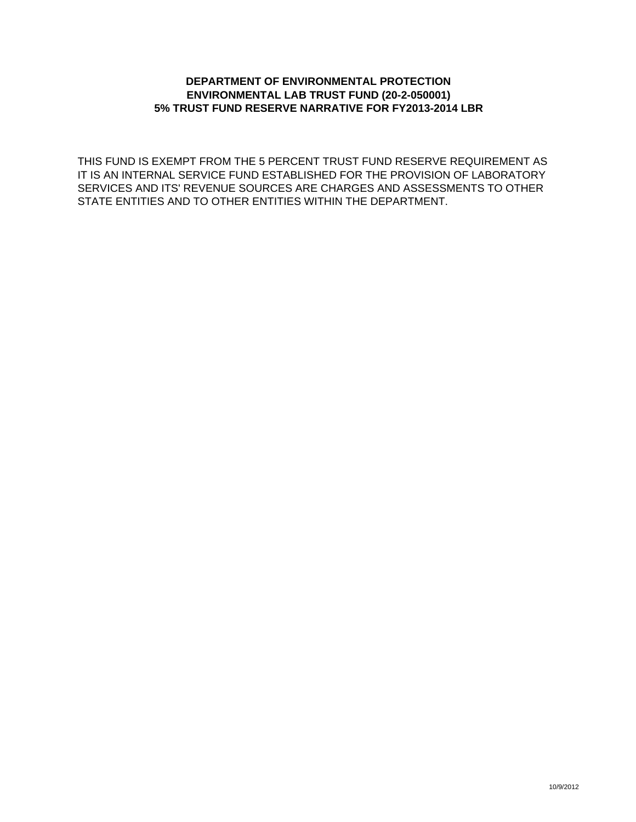### **DEPARTMENT OF ENVIRONMENTAL PROTECTION ENVIRONMENTAL LAB TRUST FUND (20-2-050001) 5% TRUST FUND RESERVE NARRATIVE FOR FY2013-2014 LBR**

THIS FUND IS EXEMPT FROM THE 5 PERCENT TRUST FUND RESERVE REQUIREMENT AS IT IS AN INTERNAL SERVICE FUND ESTABLISHED FOR THE PROVISION OF LABORATORY SERVICES AND ITS' REVENUE SOURCES ARE CHARGES AND ASSESSMENTS TO OTHER STATE ENTITIES AND TO OTHER ENTITIES WITHIN THE DEPARTMENT.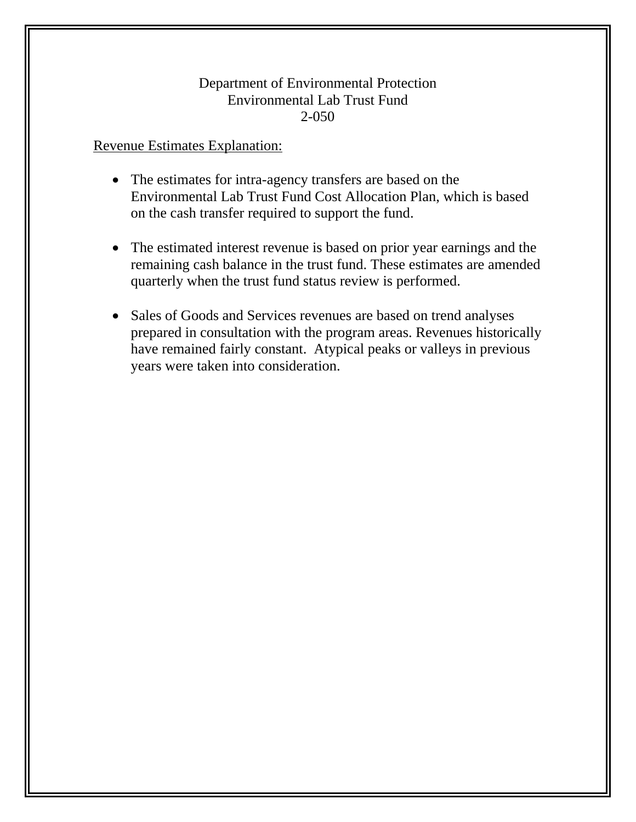### Department of Environmental Protection Environmental Lab Trust Fund 2-050

### Revenue Estimates Explanation:

- The estimates for intra-agency transfers are based on the Environmental Lab Trust Fund Cost Allocation Plan, which is based on the cash transfer required to support the fund.
- The estimated interest revenue is based on prior year earnings and the remaining cash balance in the trust fund. These estimates are amended quarterly when the trust fund status review is performed.
- Sales of Goods and Services revenues are based on trend analyses prepared in consultation with the program areas. Revenues historically have remained fairly constant. Atypical peaks or valleys in previous years were taken into consideration.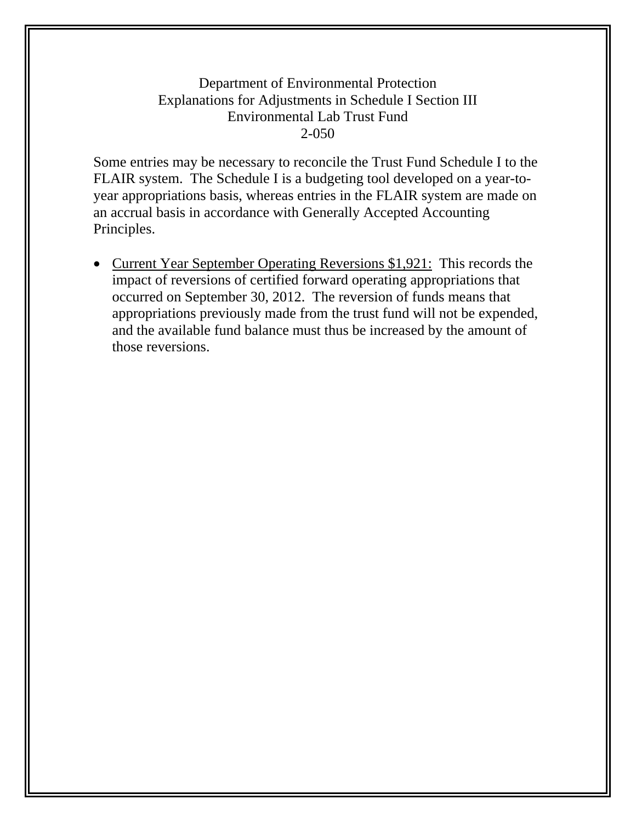## Department of Environmental Protection Explanations for Adjustments in Schedule I Section III Environmental Lab Trust Fund 2-050

Some entries may be necessary to reconcile the Trust Fund Schedule I to the FLAIR system. The Schedule I is a budgeting tool developed on a year-toyear appropriations basis, whereas entries in the FLAIR system are made on an accrual basis in accordance with Generally Accepted Accounting Principles.

• Current Year September Operating Reversions \$1,921: This records the impact of reversions of certified forward operating appropriations that occurred on September 30, 2012. The reversion of funds means that appropriations previously made from the trust fund will not be expended, and the available fund balance must thus be increased by the amount of those reversions.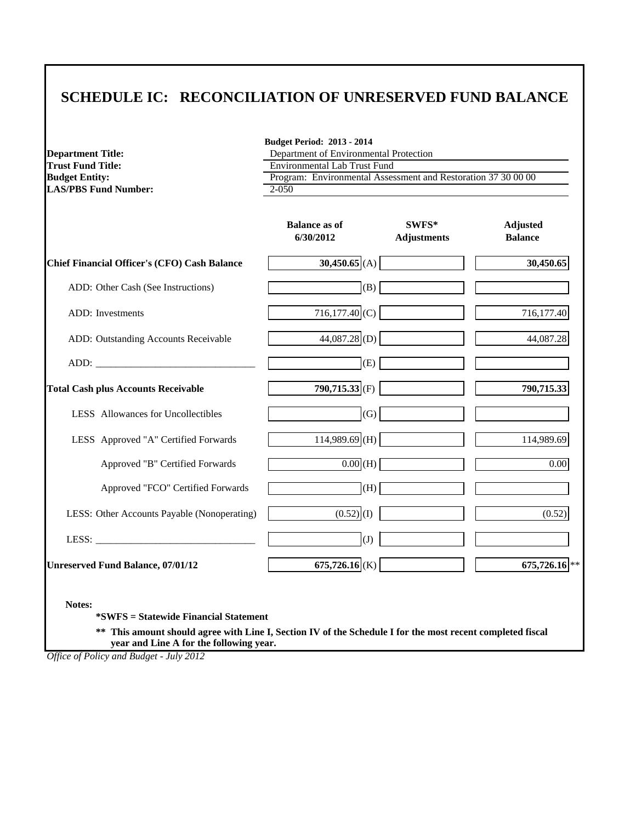# **SCHEDULE IC: RECONCILIATION OF UNRESERVED FUND BALANCE**

| <b>Department Title:</b>                            | <b>Budget Period: 2013 - 2014</b><br>Department of Environmental Protection |                             |                                   |  |  |
|-----------------------------------------------------|-----------------------------------------------------------------------------|-----------------------------|-----------------------------------|--|--|
| <b>Trust Fund Title:</b>                            | <b>Environmental Lab Trust Fund</b>                                         |                             |                                   |  |  |
| <b>Budget Entity:</b>                               | Program: Environmental Assessment and Restoration 37 30 00 00               |                             |                                   |  |  |
| <b>LAS/PBS Fund Number:</b>                         | 2-050                                                                       |                             |                                   |  |  |
|                                                     | <b>Balance as of</b><br>6/30/2012                                           | SWFS*<br><b>Adjustments</b> | <b>Adjusted</b><br><b>Balance</b> |  |  |
| <b>Chief Financial Officer's (CFO) Cash Balance</b> | $30,450.65$ (A)                                                             |                             | 30,450.65                         |  |  |
| ADD: Other Cash (See Instructions)                  | (B)                                                                         |                             |                                   |  |  |
| ADD: Investments                                    | $716,177.40$ <sub>(C)</sub>                                                 |                             | 716,177.40                        |  |  |
| ADD: Outstanding Accounts Receivable                | $44,087.28$ <sub>(D)</sub>                                                  |                             | 44,087.28                         |  |  |
|                                                     | (E)                                                                         |                             |                                   |  |  |
| <b>Total Cash plus Accounts Receivable</b>          | $790,715.33$ <sub>(F)</sub>                                                 |                             | 790,715.33                        |  |  |
| LESS Allowances for Uncollectibles                  | (G)                                                                         |                             |                                   |  |  |
| LESS Approved "A" Certified Forwards                | $114,989.69$ (H)                                                            |                             | 114,989.69                        |  |  |
| Approved "B" Certified Forwards                     | $0.00$ (H)                                                                  |                             | 0.00                              |  |  |
| Approved "FCO" Certified Forwards                   | (H)                                                                         |                             |                                   |  |  |
| LESS: Other Accounts Payable (Nonoperating)         | $(0.52)$ (I)                                                                |                             | (0.52)                            |  |  |
|                                                     | $(\mathrm{J})$                                                              |                             |                                   |  |  |
| <b>Unreserved Fund Balance, 07/01/12</b>            | 675,726.16 $(K)$                                                            |                             | 675,726.16 **                     |  |  |

**\*SWFS = Statewide Financial Statement** 

**\*\* This amount should agree with Line I, Section IV of the Schedule I for the most recent completed fiscal year and Line A for the following year.**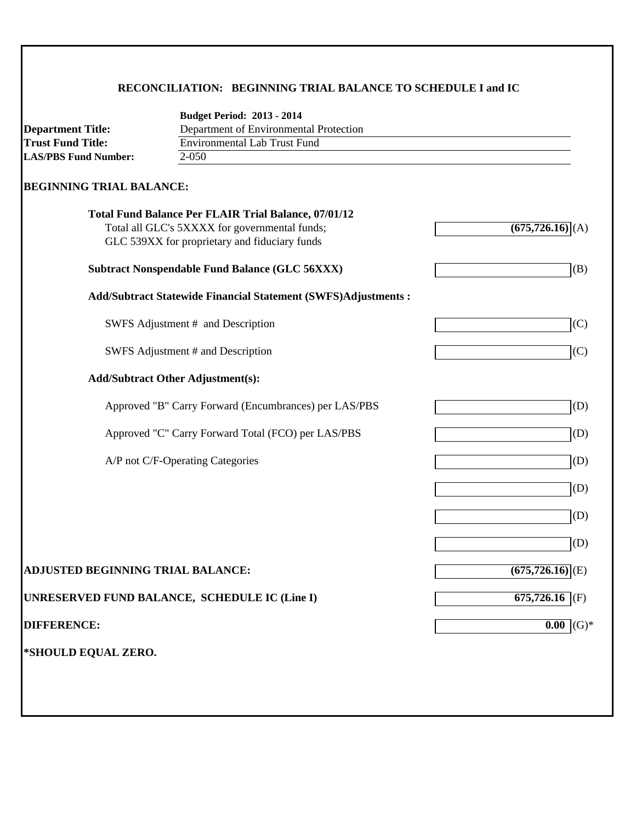### **RECONCILIATION: BEGINNING TRIAL BALANCE TO SCHEDULE I and IC**

|                                          | <b>Budget Period: 2013 - 2014</b>                                    |                                |
|------------------------------------------|----------------------------------------------------------------------|--------------------------------|
| <b>Department Title:</b>                 | Department of Environmental Protection                               |                                |
| <b>Trust Fund Title:</b>                 | <b>Environmental Lab Trust Fund</b>                                  |                                |
| <b>LAS/PBS Fund Number:</b>              | $2 - 050$                                                            |                                |
| <b>BEGINNING TRIAL BALANCE:</b>          |                                                                      |                                |
|                                          | <b>Total Fund Balance Per FLAIR Trial Balance, 07/01/12</b>          |                                |
|                                          | Total all GLC's 5XXXX for governmental funds;                        | $\overline{(675,726.16)}$ (A)  |
|                                          | GLC 539XX for proprietary and fiduciary funds                        |                                |
|                                          | <b>Subtract Nonspendable Fund Balance (GLC 56XXX)</b>                | (B)                            |
|                                          | <b>Add/Subtract Statewide Financial Statement (SWFS)Adjustments:</b> |                                |
|                                          | SWFS Adjustment # and Description                                    | (C)                            |
|                                          | SWFS Adjustment # and Description                                    | (C)                            |
|                                          | <b>Add/Subtract Other Adjustment(s):</b>                             |                                |
|                                          | Approved "B" Carry Forward (Encumbrances) per LAS/PBS                | (D)                            |
|                                          | Approved "C" Carry Forward Total (FCO) per LAS/PBS                   | (D)                            |
|                                          | A/P not C/F-Operating Categories                                     | (D)                            |
|                                          |                                                                      | (D)                            |
|                                          |                                                                      | (D)                            |
|                                          |                                                                      | (D)                            |
| <b>ADJUSTED BEGINNING TRIAL BALANCE:</b> |                                                                      | $(675, 726.16)$ <sub>(E)</sub> |
|                                          | UNRESERVED FUND BALANCE, SCHEDULE IC (Line I)                        | $675,726.16$ (F)               |
| <b>DIFFERENCE:</b>                       |                                                                      | $0.00$ (G)*                    |
| *SHOULD EQUAL ZERO.                      |                                                                      |                                |
|                                          |                                                                      |                                |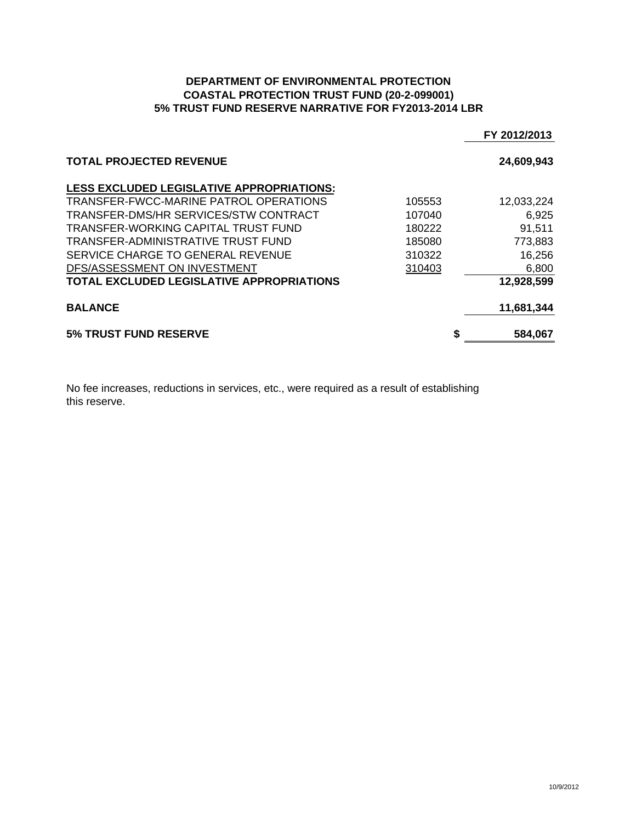### **DEPARTMENT OF ENVIRONMENTAL PROTECTION COASTAL PROTECTION TRUST FUND (20-2-099001) 5% TRUST FUND RESERVE NARRATIVE FOR FY2013-2014 LBR**

|                                                  |        | FY 2012/2013 |
|--------------------------------------------------|--------|--------------|
| <b>TOTAL PROJECTED REVENUE</b>                   |        | 24,609,943   |
| LESS EXCLUDED LEGISLATIVE APPROPRIATIONS:        |        |              |
| TRANSFER-FWCC-MARINE PATROL OPERATIONS           | 105553 | 12,033,224   |
| TRANSFER-DMS/HR SERVICES/STW CONTRACT            | 107040 | 6,925        |
| TRANSFER-WORKING CAPITAL TRUST FUND              | 180222 | 91,511       |
| TRANSFER-ADMINISTRATIVE TRUST FUND               | 185080 | 773,883      |
| SERVICE CHARGE TO GENERAL REVENUE                | 310322 | 16,256       |
| DFS/ASSESSMENT ON INVESTMENT                     | 310403 | 6,800        |
| <b>TOTAL EXCLUDED LEGISLATIVE APPROPRIATIONS</b> |        | 12,928,599   |
| <b>BALANCE</b>                                   |        | 11,681,344   |
| <b>5% TRUST FUND RESERVE</b>                     | \$     | 584,067      |

No fee increases, reductions in services, etc., were required as a result of establishing this reserve.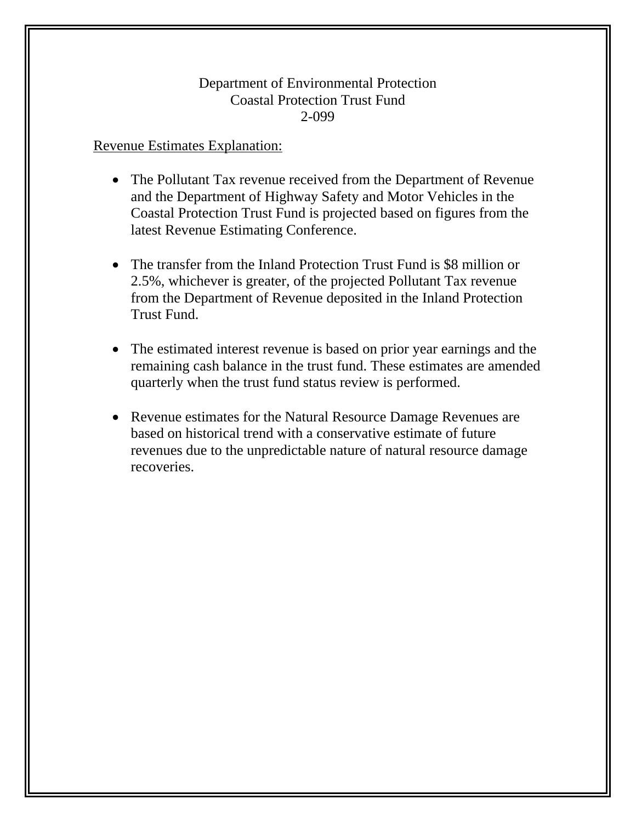### Department of Environmental Protection Coastal Protection Trust Fund 2-099

### Revenue Estimates Explanation:

- The Pollutant Tax revenue received from the Department of Revenue and the Department of Highway Safety and Motor Vehicles in the Coastal Protection Trust Fund is projected based on figures from the latest Revenue Estimating Conference.
- The transfer from the Inland Protection Trust Fund is \$8 million or 2.5%, whichever is greater, of the projected Pollutant Tax revenue from the Department of Revenue deposited in the Inland Protection Trust Fund.
- The estimated interest revenue is based on prior year earnings and the remaining cash balance in the trust fund. These estimates are amended quarterly when the trust fund status review is performed.
- Revenue estimates for the Natural Resource Damage Revenues are based on historical trend with a conservative estimate of future revenues due to the unpredictable nature of natural resource damage recoveries.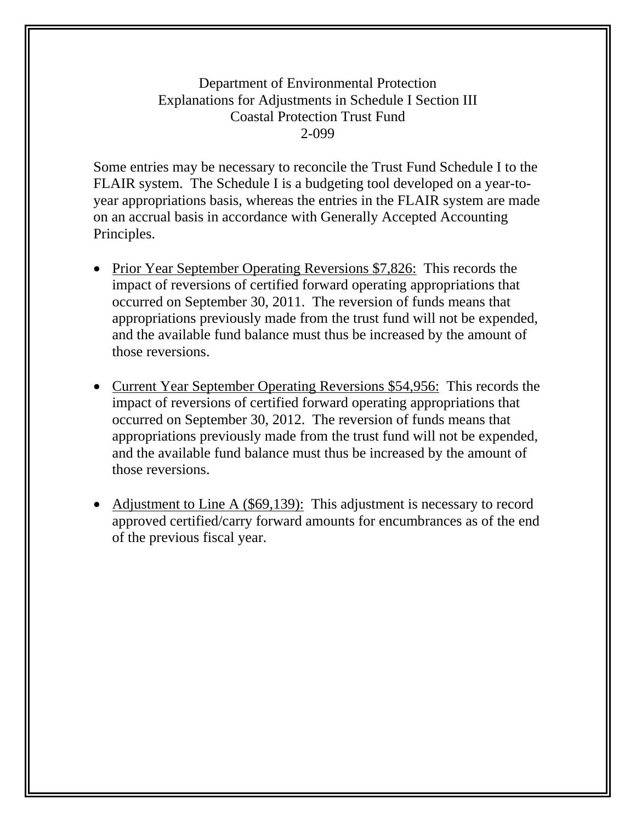## Department of Environmental Protection Explanations for Adjustments in Schedule I Section III Coastal Protection Trust Fund 2-099

Some entries may be necessary to reconcile the Trust Fund Schedule I to the FLAIR system. The Schedule I is a budgeting tool developed on a year-toyear appropriations basis, whereas the entries in the FLAIR system are made on an accrual basis in accordance with Generally Accepted Accounting Principles.

- Prior Year September Operating Reversions \$7,826: This records the impact of reversions of certified forward operating appropriations that occurred on September 30, 2011. The reversion of funds means that appropriations previously made from the trust fund will not be expended, and the available fund balance must thus be increased by the amount of those reversions.
- Current Year September Operating Reversions \$54,956: This records the impact of reversions of certified forward operating appropriations that occurred on September 30, 2012. The reversion of funds means that appropriations previously made from the trust fund will not be expended, and the available fund balance must thus be increased by the amount of those reversions.
- Adjustment to Line A (\$69,139): This adjustment is necessary to record approved certified/carry forward amounts for encumbrances as of the end of the previous fiscal year.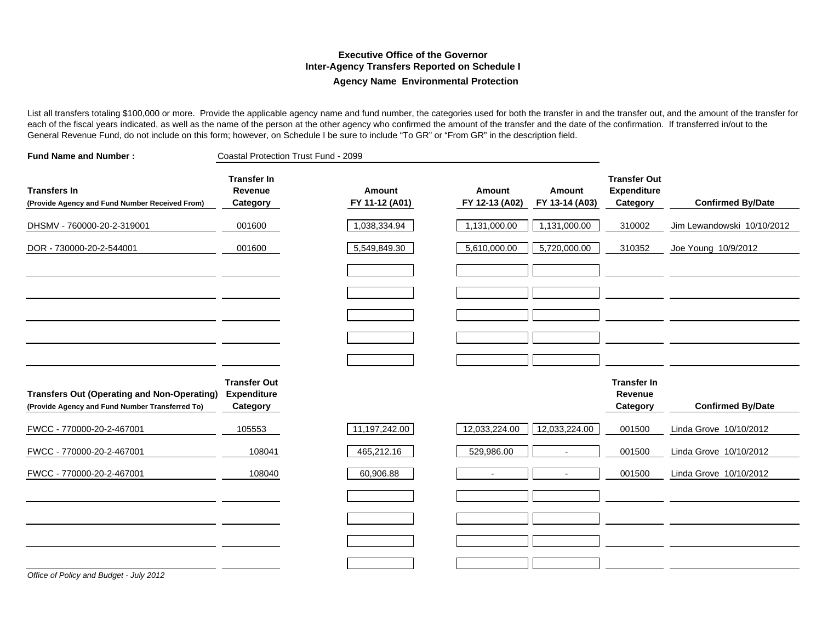#### **Executive Office of the GovernorInter-Agency Transfers Reported on Schedule I Agency Name Environmental Protection**

List all transfers totaling \$100,000 or more. Provide the applicable agency name and fund number, the categories used for both the transfer in and the transfer out, and the amount of the transfer for each of the fiscal years indicated, as well as the name of the person at the other agency who confirmed the amount of the transfer and the date of the confirmation. If transferred in/out to the General Revenue Fund, do not include on this form; however, on Schedule I be sure to include "To GR" or "From GR" in the description field.

| <b>Fund Name and Number:</b>                                                                          |                                                       | Coastal Protection Trust Fund - 2099 |                          |                          |                                                       |                            |
|-------------------------------------------------------------------------------------------------------|-------------------------------------------------------|--------------------------------------|--------------------------|--------------------------|-------------------------------------------------------|----------------------------|
| <b>Transfers In</b><br>(Provide Agency and Fund Number Received From)                                 | <b>Transfer In</b><br>Revenue<br>Category             | Amount<br>FY 11-12 (A01)             | Amount<br>FY 12-13 (A02) | Amount<br>FY 13-14 (A03) | <b>Transfer Out</b><br><b>Expenditure</b><br>Category | <b>Confirmed By/Date</b>   |
| DHSMV - 760000-20-2-319001                                                                            | 001600                                                | 1,038,334.94                         | 1,131,000.00             | 1,131,000.00             | 310002                                                | Jim Lewandowski 10/10/2012 |
| DOR - 730000-20-2-544001                                                                              | 001600                                                | 5,549,849.30                         | 5,610,000.00             | 5,720,000.00             | 310352                                                | Joe Young 10/9/2012        |
|                                                                                                       |                                                       |                                      |                          |                          |                                                       |                            |
|                                                                                                       |                                                       |                                      |                          |                          |                                                       |                            |
|                                                                                                       |                                                       |                                      |                          |                          |                                                       |                            |
|                                                                                                       |                                                       |                                      |                          |                          |                                                       |                            |
|                                                                                                       |                                                       |                                      |                          |                          |                                                       |                            |
| <b>Transfers Out (Operating and Non-Operating)</b><br>(Provide Agency and Fund Number Transferred To) | <b>Transfer Out</b><br><b>Expenditure</b><br>Category |                                      |                          |                          | <b>Transfer In</b><br>Revenue<br>Category             | <b>Confirmed By/Date</b>   |
| FWCC - 770000-20-2-467001                                                                             | 105553                                                | 11,197,242.00                        | 12,033,224.00            | 12,033,224.00            | 001500                                                | Linda Grove 10/10/2012     |
| FWCC - 770000-20-2-467001                                                                             | 108041                                                | 465,212.16                           | 529,986.00               | $\blacksquare$           | 001500                                                | Linda Grove 10/10/2012     |
| FWCC - 770000-20-2-467001                                                                             | 108040                                                | 60,906.88                            |                          |                          | 001500                                                | Linda Grove 10/10/2012     |
|                                                                                                       |                                                       |                                      |                          |                          |                                                       |                            |
|                                                                                                       |                                                       |                                      |                          |                          |                                                       |                            |
|                                                                                                       |                                                       |                                      |                          |                          |                                                       |                            |
|                                                                                                       |                                                       |                                      |                          |                          |                                                       |                            |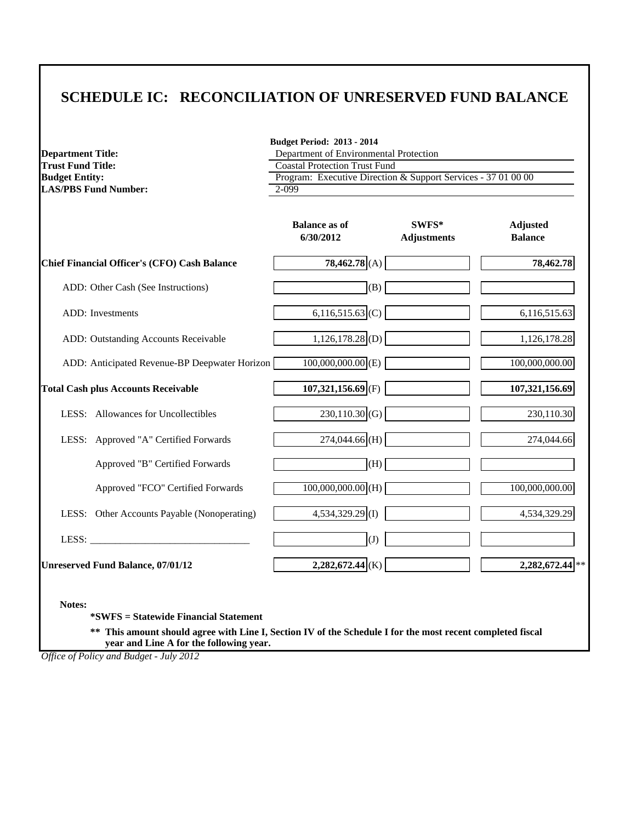# **SCHEDULE IC: RECONCILIATION OF UNRESERVED FUND BALANCE**

| <b>Department Title:</b><br><b>Trust Fund Title:</b> | Department of Environmental Protection<br><b>Coastal Protection Trust Fund</b> |                             |                                   |  |  |  |
|------------------------------------------------------|--------------------------------------------------------------------------------|-----------------------------|-----------------------------------|--|--|--|
| <b>Budget Entity:</b><br><b>LAS/PBS Fund Number:</b> | Program: Executive Direction & Support Services - 37 01 00 00<br>$2 - 099$     |                             |                                   |  |  |  |
|                                                      |                                                                                |                             |                                   |  |  |  |
|                                                      | <b>Balance as of</b><br>6/30/2012                                              | SWFS*<br><b>Adjustments</b> | <b>Adjusted</b><br><b>Balance</b> |  |  |  |
| <b>Chief Financial Officer's (CFO) Cash Balance</b>  | 78,462.78(A)                                                                   |                             | 78,462.78                         |  |  |  |
| ADD: Other Cash (See Instructions)                   | (B)                                                                            |                             |                                   |  |  |  |
| ADD: Investments                                     | $6,116,515.63$ (C)                                                             |                             | 6,116,515.63                      |  |  |  |
| ADD: Outstanding Accounts Receivable                 | $1,126,178.28$ (D)                                                             |                             | 1,126,178.28                      |  |  |  |
| ADD: Anticipated Revenue-BP Deepwater Horizon        | $100,000,000.00$ (E)                                                           |                             | 100,000,000.00                    |  |  |  |
| <b>Total Cash plus Accounts Receivable</b>           | $107,321,156.69$ <sub>(F)</sub>                                                |                             | 107,321,156.69                    |  |  |  |
| LESS: Allowances for Uncollectibles                  | $230,110.30$ (G)                                                               |                             | 230,110.30                        |  |  |  |
| LESS: Approved "A" Certified Forwards                | 274,044.66 (H)                                                                 |                             | 274,044.66                        |  |  |  |
| Approved "B" Certified Forwards                      | (H)                                                                            |                             |                                   |  |  |  |
| Approved "FCO" Certified Forwards                    | $100,000,000.00$ (H)                                                           |                             | 100,000,000.00                    |  |  |  |
| LESS: Other Accounts Payable (Nonoperating)          | 4,534,329.29 (I)                                                               |                             | 4,534,329.29                      |  |  |  |
| LESS: $\frac{1}{2}$                                  | (J)                                                                            |                             |                                   |  |  |  |
| <b>Unreserved Fund Balance, 07/01/12</b>             | $2,282,672.44$ <sub>(K)</sub>                                                  |                             | 2,282,672.44                      |  |  |  |
|                                                      |                                                                                |                             |                                   |  |  |  |
| Notes:<br>*SWFS = Statewide Financial Statement      |                                                                                |                             |                                   |  |  |  |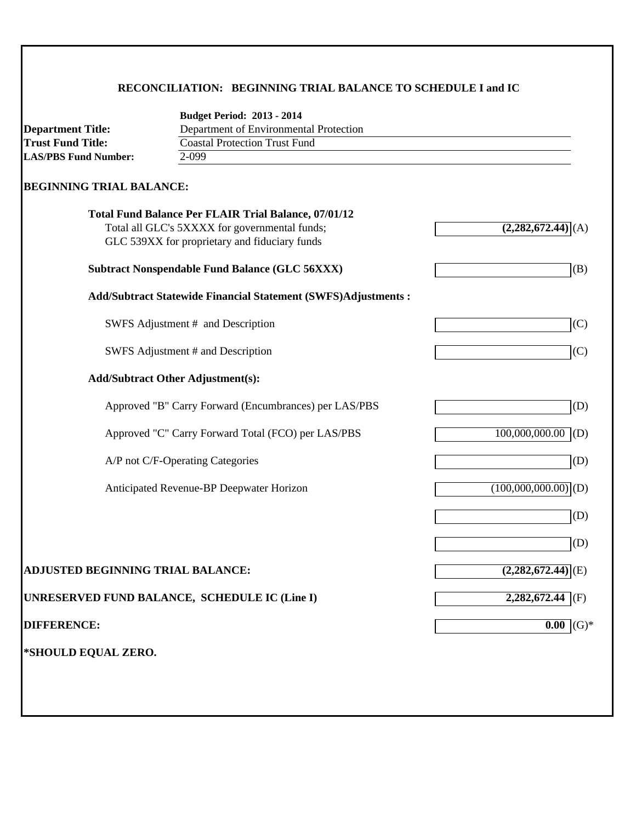## **RECONCILIATION: BEGINNING TRIAL BALANCE TO SCHEDULE I and IC**

| <b>Budget Period: 2013 - 2014</b>      |                                                                                                                                                                                                                                                                                                                                                                                                                                                                                                                                                                                                                                                                                                                                                                                                      |
|----------------------------------------|------------------------------------------------------------------------------------------------------------------------------------------------------------------------------------------------------------------------------------------------------------------------------------------------------------------------------------------------------------------------------------------------------------------------------------------------------------------------------------------------------------------------------------------------------------------------------------------------------------------------------------------------------------------------------------------------------------------------------------------------------------------------------------------------------|
| Department of Environmental Protection |                                                                                                                                                                                                                                                                                                                                                                                                                                                                                                                                                                                                                                                                                                                                                                                                      |
|                                        |                                                                                                                                                                                                                                                                                                                                                                                                                                                                                                                                                                                                                                                                                                                                                                                                      |
|                                        |                                                                                                                                                                                                                                                                                                                                                                                                                                                                                                                                                                                                                                                                                                                                                                                                      |
|                                        |                                                                                                                                                                                                                                                                                                                                                                                                                                                                                                                                                                                                                                                                                                                                                                                                      |
|                                        |                                                                                                                                                                                                                                                                                                                                                                                                                                                                                                                                                                                                                                                                                                                                                                                                      |
|                                        | $(2,282,672.44)$ (A)                                                                                                                                                                                                                                                                                                                                                                                                                                                                                                                                                                                                                                                                                                                                                                                 |
|                                        |                                                                                                                                                                                                                                                                                                                                                                                                                                                                                                                                                                                                                                                                                                                                                                                                      |
|                                        | (B)                                                                                                                                                                                                                                                                                                                                                                                                                                                                                                                                                                                                                                                                                                                                                                                                  |
|                                        |                                                                                                                                                                                                                                                                                                                                                                                                                                                                                                                                                                                                                                                                                                                                                                                                      |
|                                        | (C)                                                                                                                                                                                                                                                                                                                                                                                                                                                                                                                                                                                                                                                                                                                                                                                                  |
|                                        | (C)                                                                                                                                                                                                                                                                                                                                                                                                                                                                                                                                                                                                                                                                                                                                                                                                  |
|                                        |                                                                                                                                                                                                                                                                                                                                                                                                                                                                                                                                                                                                                                                                                                                                                                                                      |
|                                        | (D)                                                                                                                                                                                                                                                                                                                                                                                                                                                                                                                                                                                                                                                                                                                                                                                                  |
|                                        | 100,000,000.00<br>(D)                                                                                                                                                                                                                                                                                                                                                                                                                                                                                                                                                                                                                                                                                                                                                                                |
|                                        | (D)                                                                                                                                                                                                                                                                                                                                                                                                                                                                                                                                                                                                                                                                                                                                                                                                  |
|                                        | $(100,000,000,000)$ (D)                                                                                                                                                                                                                                                                                                                                                                                                                                                                                                                                                                                                                                                                                                                                                                              |
|                                        | (D)                                                                                                                                                                                                                                                                                                                                                                                                                                                                                                                                                                                                                                                                                                                                                                                                  |
|                                        | (D)                                                                                                                                                                                                                                                                                                                                                                                                                                                                                                                                                                                                                                                                                                                                                                                                  |
|                                        | $(2,282,672.44)$ <sup>(E)</sup>                                                                                                                                                                                                                                                                                                                                                                                                                                                                                                                                                                                                                                                                                                                                                                      |
|                                        | $2,282,672.44$ (F)                                                                                                                                                                                                                                                                                                                                                                                                                                                                                                                                                                                                                                                                                                                                                                                   |
|                                        | 0.00<br>$(G)*$                                                                                                                                                                                                                                                                                                                                                                                                                                                                                                                                                                                                                                                                                                                                                                                       |
|                                        |                                                                                                                                                                                                                                                                                                                                                                                                                                                                                                                                                                                                                                                                                                                                                                                                      |
|                                        |                                                                                                                                                                                                                                                                                                                                                                                                                                                                                                                                                                                                                                                                                                                                                                                                      |
|                                        | <b>Coastal Protection Trust Fund</b><br>2-099<br><b>BEGINNING TRIAL BALANCE:</b><br><b>Total Fund Balance Per FLAIR Trial Balance, 07/01/12</b><br>Total all GLC's 5XXXX for governmental funds;<br>GLC 539XX for proprietary and fiduciary funds<br><b>Subtract Nonspendable Fund Balance (GLC 56XXX)</b><br><b>Add/Subtract Statewide Financial Statement (SWFS)Adjustments:</b><br>SWFS Adjustment # and Description<br>SWFS Adjustment # and Description<br><b>Add/Subtract Other Adjustment(s):</b><br>Approved "B" Carry Forward (Encumbrances) per LAS/PBS<br>Approved "C" Carry Forward Total (FCO) per LAS/PBS<br>A/P not C/F-Operating Categories<br>Anticipated Revenue-BP Deepwater Horizon<br><b>ADJUSTED BEGINNING TRIAL BALANCE:</b><br>UNRESERVED FUND BALANCE, SCHEDULE IC (Line I) |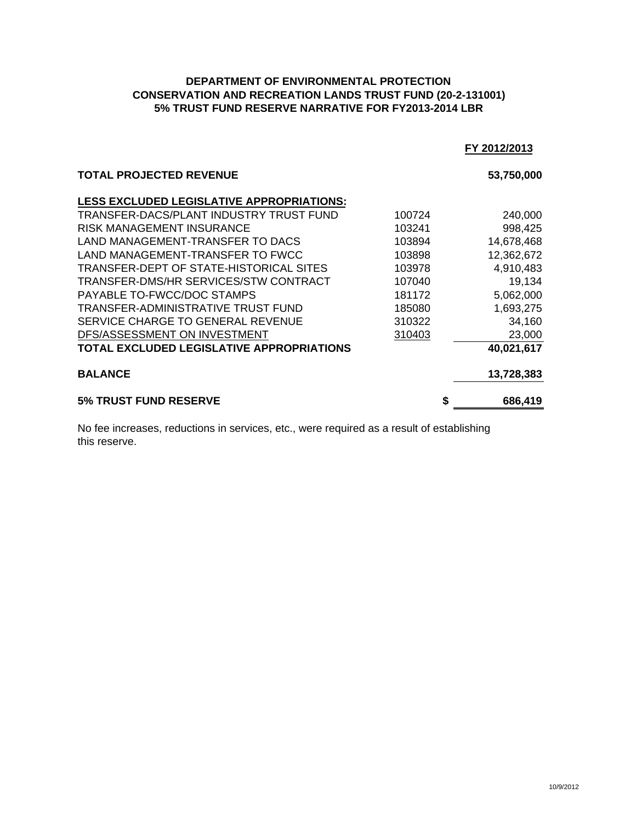### **DEPARTMENT OF ENVIRONMENTAL PROTECTION CONSERVATION AND RECREATION LANDS TRUST FUND (20-2-131001) 5% TRUST FUND RESERVE NARRATIVE FOR FY2013-2014 LBR**

|                                                  |        | FY 2012/2013 |
|--------------------------------------------------|--------|--------------|
| <b>TOTAL PROJECTED REVENUE</b>                   |        | 53,750,000   |
| <b>LESS EXCLUDED LEGISLATIVE APPROPRIATIONS:</b> |        |              |
| TRANSFER-DACS/PLANT INDUSTRY TRUST FUND          | 100724 | 240,000      |
| <b>RISK MANAGEMENT INSURANCE</b>                 | 103241 | 998,425      |
| LAND MANAGEMENT-TRANSFER TO DACS                 | 103894 | 14,678,468   |
| LAND MANAGEMENT-TRANSFER TO FWCC                 | 103898 | 12,362,672   |
| TRANSFER-DEPT OF STATE-HISTORICAL SITES          | 103978 | 4,910,483    |
| TRANSFER-DMS/HR SERVICES/STW CONTRACT            | 107040 | 19,134       |
| <b>PAYABLE TO-FWCC/DOC STAMPS</b>                | 181172 | 5,062,000    |
| TRANSFER-ADMINISTRATIVE TRUST FUND               | 185080 | 1,693,275    |
| SERVICE CHARGE TO GENERAL REVENUE                | 310322 | 34,160       |
| DFS/ASSESSMENT ON INVESTMENT                     | 310403 | 23,000       |
| TOTAL EXCLUDED LEGISLATIVE APPROPRIATIONS        |        | 40,021,617   |
| <b>BALANCE</b>                                   |        | 13,728,383   |
| <b>5% TRUST FUND RESERVE</b>                     |        | 686,419      |

No fee increases, reductions in services, etc., were required as a result of establishing this reserve.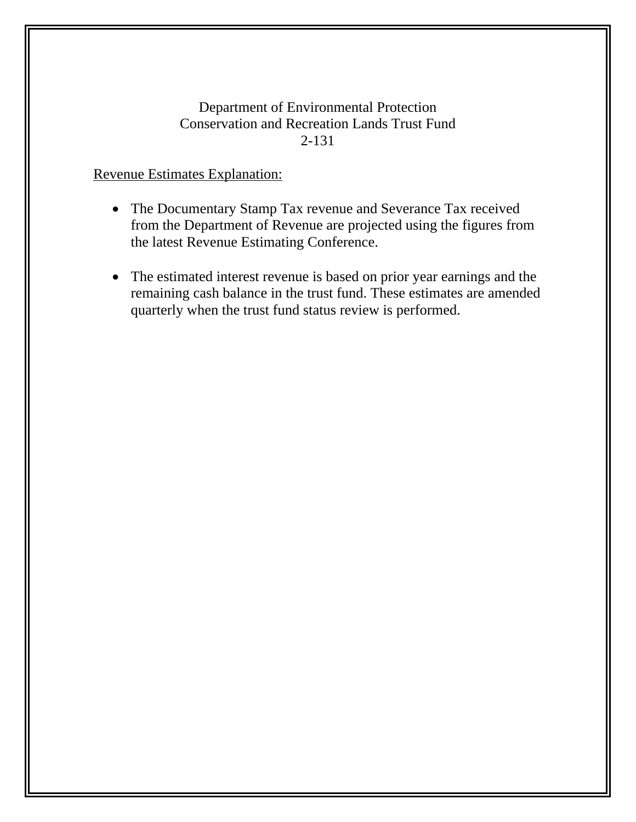## Department of Environmental Protection Conservation and Recreation Lands Trust Fund 2-131

# Revenue Estimates Explanation:

- The Documentary Stamp Tax revenue and Severance Tax received from the Department of Revenue are projected using the figures from the latest Revenue Estimating Conference.
- The estimated interest revenue is based on prior year earnings and the remaining cash balance in the trust fund. These estimates are amended quarterly when the trust fund status review is performed.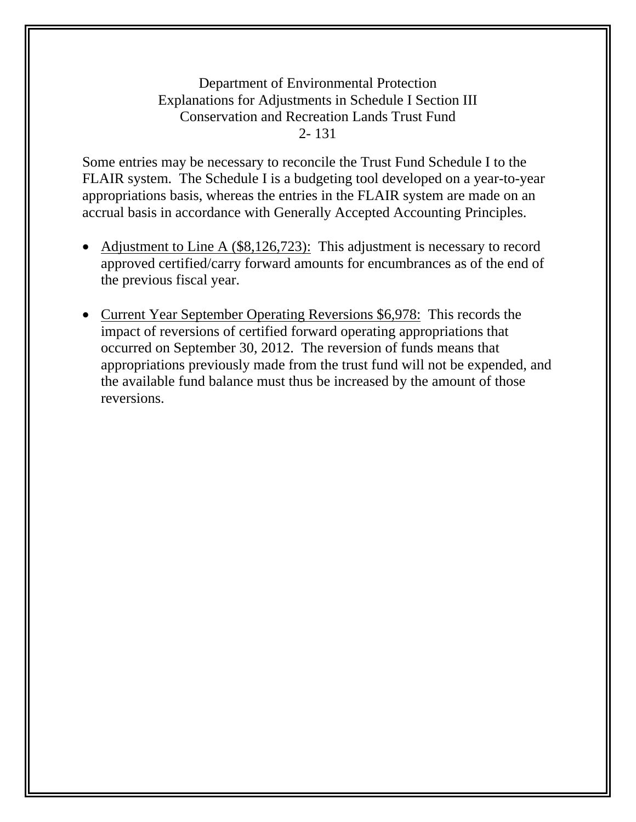## Department of Environmental Protection Explanations for Adjustments in Schedule I Section III Conservation and Recreation Lands Trust Fund 2- 131

Some entries may be necessary to reconcile the Trust Fund Schedule I to the FLAIR system. The Schedule I is a budgeting tool developed on a year-to-year appropriations basis, whereas the entries in the FLAIR system are made on an accrual basis in accordance with Generally Accepted Accounting Principles.

- Adjustment to Line A (\$8,126,723): This adjustment is necessary to record approved certified/carry forward amounts for encumbrances as of the end of the previous fiscal year.
- Current Year September Operating Reversions \$6,978: This records the impact of reversions of certified forward operating appropriations that occurred on September 30, 2012. The reversion of funds means that appropriations previously made from the trust fund will not be expended, and the available fund balance must thus be increased by the amount of those reversions.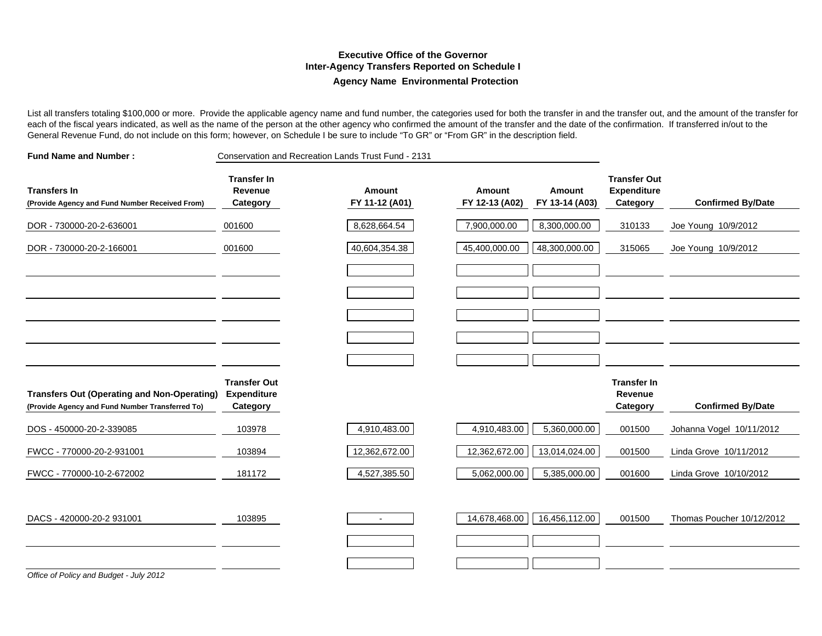#### **Executive Office of the GovernorInter-Agency Transfers Reported on Schedule I Agency Name Environmental Protection**

List all transfers totaling \$100,000 or more. Provide the applicable agency name and fund number, the categories used for both the transfer in and the transfer out, and the amount of the transfer for each of the fiscal years indicated, as well as the name of the person at the other agency who confirmed the amount of the transfer and the date of the confirmation. If transferred in/out to the General Revenue Fund, do not include on this form; however, on Schedule I be sure to include "To GR" or "From GR" in the description field.

| <b>Fund Name and Number:</b>                                                                          | Conservation and Recreation Lands Trust Fund - 2131   |                          |                                 |                          |                                                       |                           |  |
|-------------------------------------------------------------------------------------------------------|-------------------------------------------------------|--------------------------|---------------------------------|--------------------------|-------------------------------------------------------|---------------------------|--|
| <b>Transfers In</b><br>(Provide Agency and Fund Number Received From)                                 | <b>Transfer In</b><br>Revenue<br>Category             | Amount<br>FY 11-12 (A01) | <b>Amount</b><br>FY 12-13 (A02) | Amount<br>FY 13-14 (A03) | <b>Transfer Out</b><br><b>Expenditure</b><br>Category | <b>Confirmed By/Date</b>  |  |
| DOR - 730000-20-2-636001                                                                              | 001600                                                | 8,628,664.54             | 7,900,000.00                    | 8,300,000.00             | 310133                                                | Joe Young 10/9/2012       |  |
| DOR - 730000-20-2-166001                                                                              | 001600                                                | 40,604,354.38            | 45,400,000.00                   | 48,300,000.00            | 315065                                                | Joe Young 10/9/2012       |  |
|                                                                                                       |                                                       |                          |                                 |                          |                                                       |                           |  |
|                                                                                                       |                                                       |                          |                                 |                          |                                                       |                           |  |
|                                                                                                       |                                                       |                          |                                 |                          |                                                       |                           |  |
|                                                                                                       |                                                       |                          |                                 |                          |                                                       |                           |  |
|                                                                                                       |                                                       |                          |                                 |                          |                                                       |                           |  |
| <b>Transfers Out (Operating and Non-Operating)</b><br>(Provide Agency and Fund Number Transferred To) | <b>Transfer Out</b><br><b>Expenditure</b><br>Category |                          |                                 |                          | <b>Transfer In</b><br>Revenue<br>Category             | <b>Confirmed By/Date</b>  |  |
| DOS - 450000-20-2-339085                                                                              | 103978                                                | 4,910,483.00             | 4,910,483.00                    | 5,360,000.00             | 001500                                                | Johanna Vogel 10/11/2012  |  |
| FWCC - 770000-20-2-931001                                                                             | 103894                                                | 12,362,672.00            | 12,362,672.00                   | 13,014,024.00            | 001500                                                | Linda Grove 10/11/2012    |  |
| FWCC - 770000-10-2-672002                                                                             | 181172                                                | 4,527,385.50             | 5,062,000.00                    | 5,385,000.00             | 001600                                                | Linda Grove 10/10/2012    |  |
| DACS - 420000-20-2 931001                                                                             | 103895                                                | $\sim$                   | 14,678,468.00                   | 16,456,112.00            | 001500                                                | Thomas Poucher 10/12/2012 |  |
|                                                                                                       |                                                       |                          |                                 |                          |                                                       |                           |  |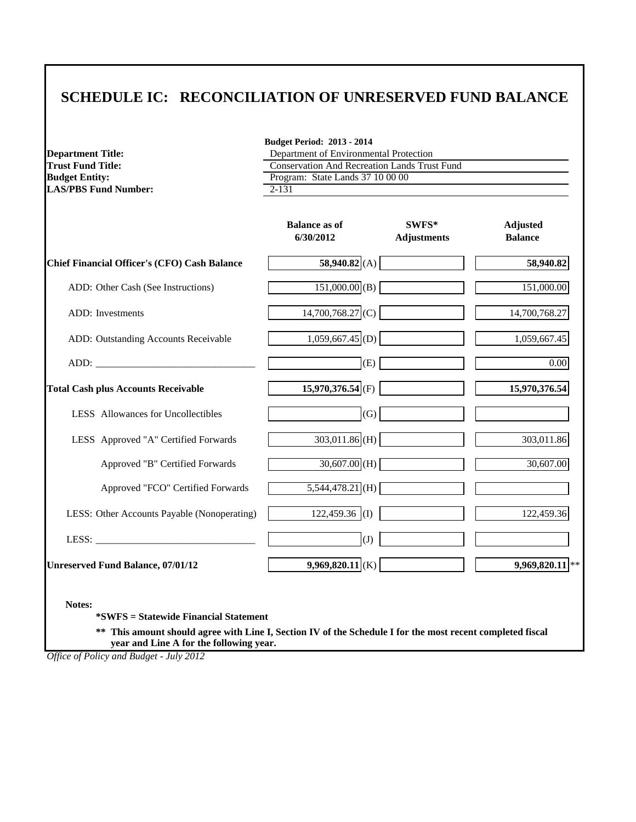# **SCHEDULE IC: RECONCILIATION OF UNRESERVED FUND BALANCE**

| <b>Department Title:</b>                            | <b>Budget Period: 2013 - 2014</b><br>Department of Environmental Protection |  |                                   |  |  |  |
|-----------------------------------------------------|-----------------------------------------------------------------------------|--|-----------------------------------|--|--|--|
| <b>Trust Fund Title:</b>                            | <b>Conservation And Recreation Lands Trust Fund</b>                         |  |                                   |  |  |  |
| <b>Budget Entity:</b>                               | Program: State Lands 37 10 00 00                                            |  |                                   |  |  |  |
| <b>LAS/PBS Fund Number:</b>                         | 2-131                                                                       |  |                                   |  |  |  |
|                                                     | <b>Balance as of</b><br>SWFS*<br>6/30/2012<br><b>Adjustments</b>            |  | <b>Adjusted</b><br><b>Balance</b> |  |  |  |
| <b>Chief Financial Officer's (CFO) Cash Balance</b> | 58,940.82 $(A)$                                                             |  | 58,940.82                         |  |  |  |
| ADD: Other Cash (See Instructions)                  | 151,000.00(B)                                                               |  | 151,000.00                        |  |  |  |
| ADD: Investments                                    | $14,700,768.27$ <sub>(C)</sub>                                              |  | 14,700,768.27                     |  |  |  |
| ADD: Outstanding Accounts Receivable                | $1,059,667.45$ <sub>(D)</sub>                                               |  | 1,059,667.45                      |  |  |  |
|                                                     | (E)                                                                         |  | $0.00\,$                          |  |  |  |
| <b>Total Cash plus Accounts Receivable</b>          | $15,970,376.54$ <sub>(F)</sub>                                              |  | 15,970,376.54                     |  |  |  |
| LESS Allowances for Uncollectibles                  | (G)                                                                         |  |                                   |  |  |  |
| LESS Approved "A" Certified Forwards                | $303,011.86$ <sub>(H)</sub>                                                 |  | 303,011.86                        |  |  |  |
| Approved "B" Certified Forwards                     | $30,607.00$ (H)                                                             |  | 30,607.00                         |  |  |  |
| Approved "FCO" Certified Forwards                   | $5,544,478.21$ (H)                                                          |  |                                   |  |  |  |
| LESS: Other Accounts Payable (Nonoperating)         | $122,459.36$ (I)                                                            |  | 122,459.36                        |  |  |  |
|                                                     | (J)                                                                         |  |                                   |  |  |  |
| <b>Unreserved Fund Balance, 07/01/12</b>            | $9,969,820.11$ (K)                                                          |  | $9,969,820.11$ **                 |  |  |  |

**\*SWFS = Statewide Financial Statement** 

**\*\* This amount should agree with Line I, Section IV of the Schedule I for the most recent completed fiscal year and Line A for the following year.**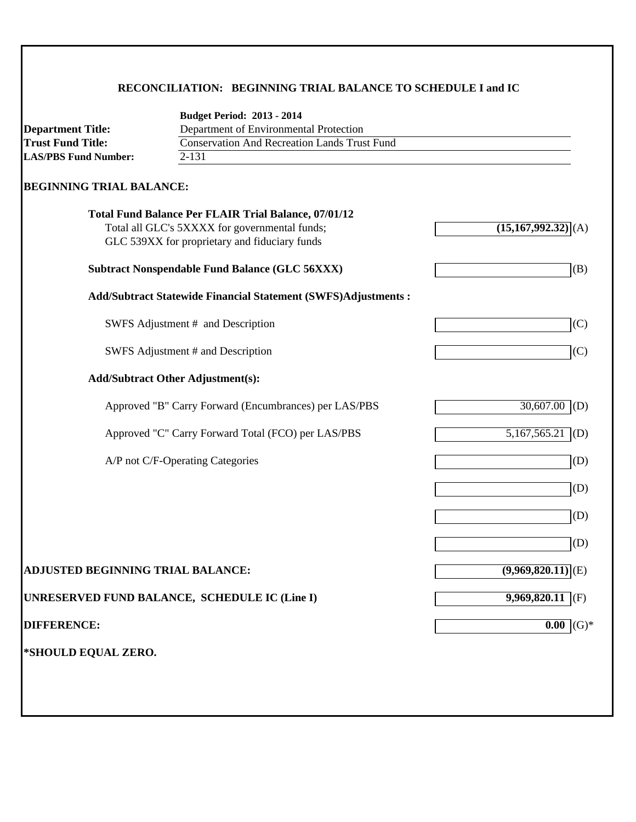### **RECONCILIATION: BEGINNING TRIAL BALANCE TO SCHEDULE I and IC**

|                                          | <b>Budget Period: 2013 - 2014</b>                                    |                                  |  |  |  |
|------------------------------------------|----------------------------------------------------------------------|----------------------------------|--|--|--|
| <b>Department Title:</b>                 | Department of Environmental Protection                               |                                  |  |  |  |
| <b>Trust Fund Title:</b>                 | <b>Conservation And Recreation Lands Trust Fund</b>                  |                                  |  |  |  |
| <b>LAS/PBS Fund Number:</b>              | $2 - 131$                                                            |                                  |  |  |  |
| <b>BEGINNING TRIAL BALANCE:</b>          |                                                                      |                                  |  |  |  |
|                                          | <b>Total Fund Balance Per FLAIR Trial Balance, 07/01/12</b>          |                                  |  |  |  |
|                                          | Total all GLC's 5XXXX for governmental funds;                        | $\overline{(15,167,992.32)}$ (A) |  |  |  |
|                                          | GLC 539XX for proprietary and fiduciary funds                        |                                  |  |  |  |
|                                          | <b>Subtract Nonspendable Fund Balance (GLC 56XXX)</b>                | (B)                              |  |  |  |
|                                          | <b>Add/Subtract Statewide Financial Statement (SWFS)Adjustments:</b> |                                  |  |  |  |
|                                          | SWFS Adjustment # and Description                                    | (C)                              |  |  |  |
|                                          | SWFS Adjustment # and Description                                    | (C)                              |  |  |  |
|                                          | <b>Add/Subtract Other Adjustment(s):</b>                             |                                  |  |  |  |
|                                          | Approved "B" Carry Forward (Encumbrances) per LAS/PBS                | 30,607.00<br>(D)                 |  |  |  |
|                                          | Approved "C" Carry Forward Total (FCO) per LAS/PBS                   | 5,167,565.21<br>(D)              |  |  |  |
|                                          | A/P not C/F-Operating Categories                                     | (D)                              |  |  |  |
|                                          |                                                                      | (D)                              |  |  |  |
|                                          |                                                                      | (D)                              |  |  |  |
|                                          |                                                                      | (D)                              |  |  |  |
| <b>ADJUSTED BEGINNING TRIAL BALANCE:</b> |                                                                      | $(9,969,820.11)$ <sup>(E)</sup>  |  |  |  |
|                                          | UNRESERVED FUND BALANCE, SCHEDULE IC (Line I)                        | $9,969,820.11$ (F)               |  |  |  |
| <b>DIFFERENCE:</b>                       |                                                                      | $\overline{0.00}$ (G)*           |  |  |  |
| *SHOULD EQUAL ZERO.                      |                                                                      |                                  |  |  |  |
|                                          |                                                                      |                                  |  |  |  |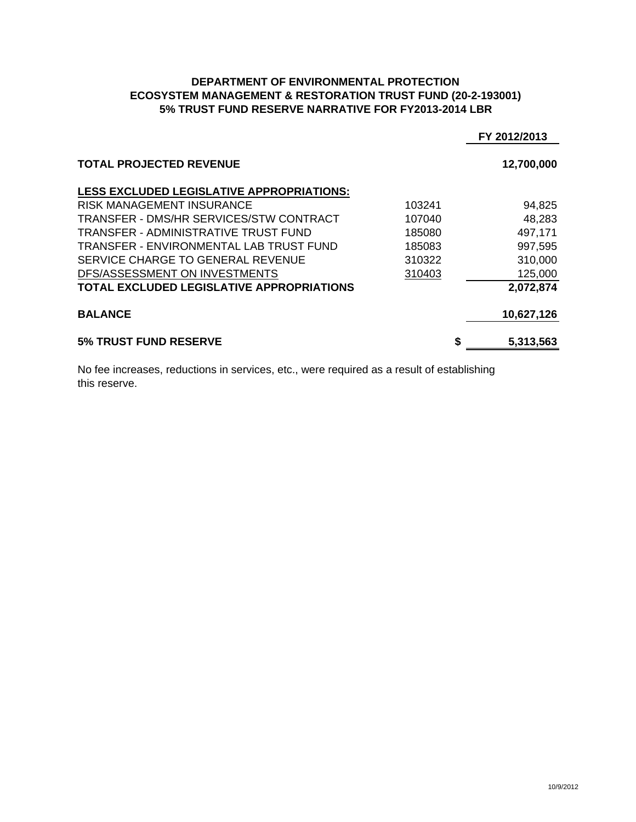### **DEPARTMENT OF ENVIRONMENTAL PROTECTION ECOSYSTEM MANAGEMENT & RESTORATION TRUST FUND (20-2-193001) 5% TRUST FUND RESERVE NARRATIVE FOR FY2013-2014 LBR**

|                                                  |        | FY 2012/2013 |
|--------------------------------------------------|--------|--------------|
| <b>TOTAL PROJECTED REVENUE</b>                   |        | 12,700,000   |
| <b>LESS EXCLUDED LEGISLATIVE APPROPRIATIONS:</b> |        |              |
| <b>RISK MANAGEMENT INSURANCE</b>                 | 103241 | 94,825       |
| TRANSFER - DMS/HR SERVICES/STW CONTRACT          | 107040 | 48,283       |
| <b>TRANSFER - ADMINISTRATIVE TRUST FUND</b>      | 185080 | 497,171      |
| TRANSFER - ENVIRONMENTAL LAB TRUST FUND          | 185083 | 997,595      |
| SERVICE CHARGE TO GENERAL REVENUE                | 310322 | 310,000      |
| DFS/ASSESSMENT ON INVESTMENTS                    | 310403 | 125,000      |
| TOTAL EXCLUDED LEGISLATIVE APPROPRIATIONS        |        | 2,072,874    |
| <b>BALANCE</b>                                   |        | 10,627,126   |
| <b>5% TRUST FUND RESERVE</b>                     | S      | 5,313,563    |

No fee increases, reductions in services, etc., were required as a result of establishing this reserve.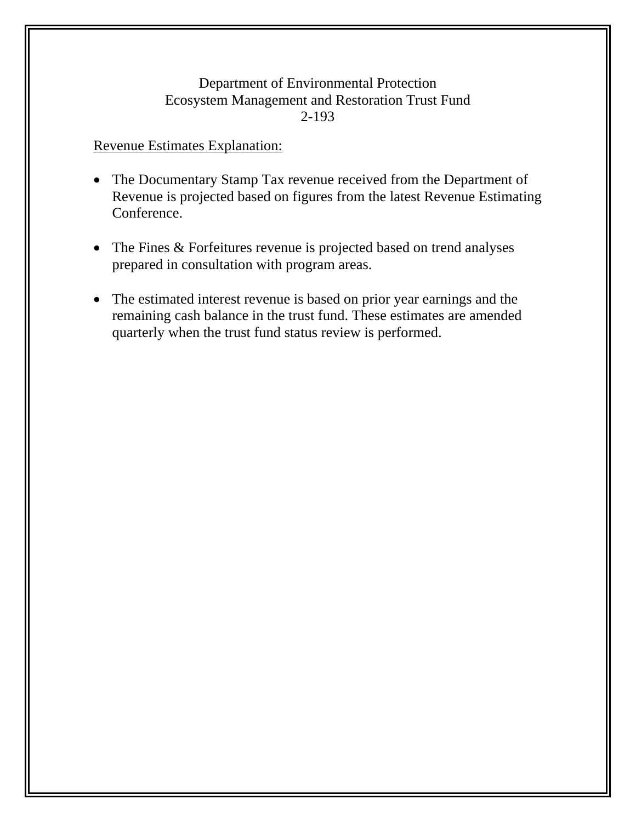# Department of Environmental Protection Ecosystem Management and Restoration Trust Fund 2-193

### Revenue Estimates Explanation:

- The Documentary Stamp Tax revenue received from the Department of Revenue is projected based on figures from the latest Revenue Estimating Conference.
- The Fines & Forfeitures revenue is projected based on trend analyses prepared in consultation with program areas.
- The estimated interest revenue is based on prior year earnings and the remaining cash balance in the trust fund. These estimates are amended quarterly when the trust fund status review is performed.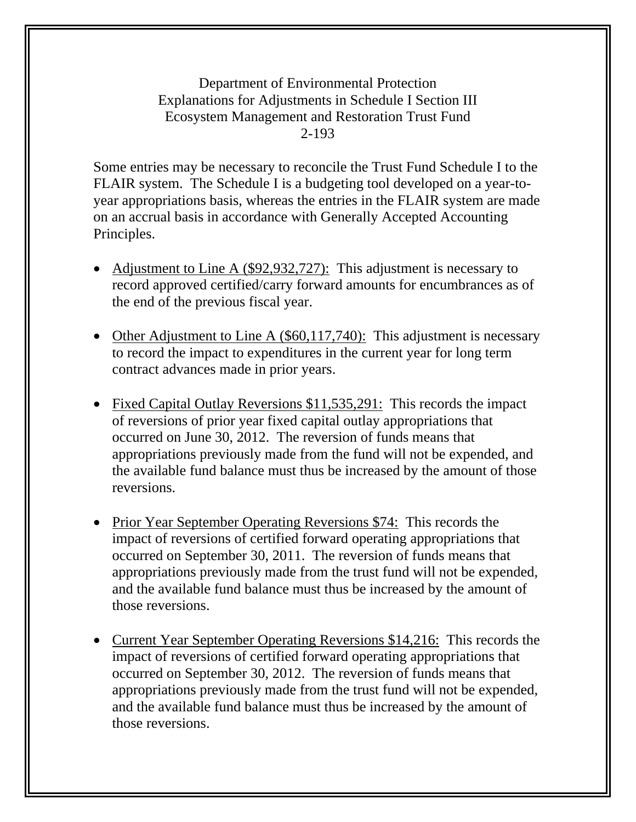Department of Environmental Protection Explanations for Adjustments in Schedule I Section III Ecosystem Management and Restoration Trust Fund 2-193

Some entries may be necessary to reconcile the Trust Fund Schedule I to the FLAIR system. The Schedule I is a budgeting tool developed on a year-toyear appropriations basis, whereas the entries in the FLAIR system are made on an accrual basis in accordance with Generally Accepted Accounting Principles.

- Adjustment to Line A (\$92,932,727): This adjustment is necessary to record approved certified/carry forward amounts for encumbrances as of the end of the previous fiscal year.
- Other Adjustment to Line A (\$60,117,740): This adjustment is necessary to record the impact to expenditures in the current year for long term contract advances made in prior years.
- Fixed Capital Outlay Reversions \$11,535,291: This records the impact of reversions of prior year fixed capital outlay appropriations that occurred on June 30, 2012. The reversion of funds means that appropriations previously made from the fund will not be expended, and the available fund balance must thus be increased by the amount of those reversions.
- Prior Year September Operating Reversions \$74: This records the impact of reversions of certified forward operating appropriations that occurred on September 30, 2011. The reversion of funds means that appropriations previously made from the trust fund will not be expended, and the available fund balance must thus be increased by the amount of those reversions.
- Current Year September Operating Reversions \$14,216: This records the impact of reversions of certified forward operating appropriations that occurred on September 30, 2012. The reversion of funds means that appropriations previously made from the trust fund will not be expended, and the available fund balance must thus be increased by the amount of those reversions.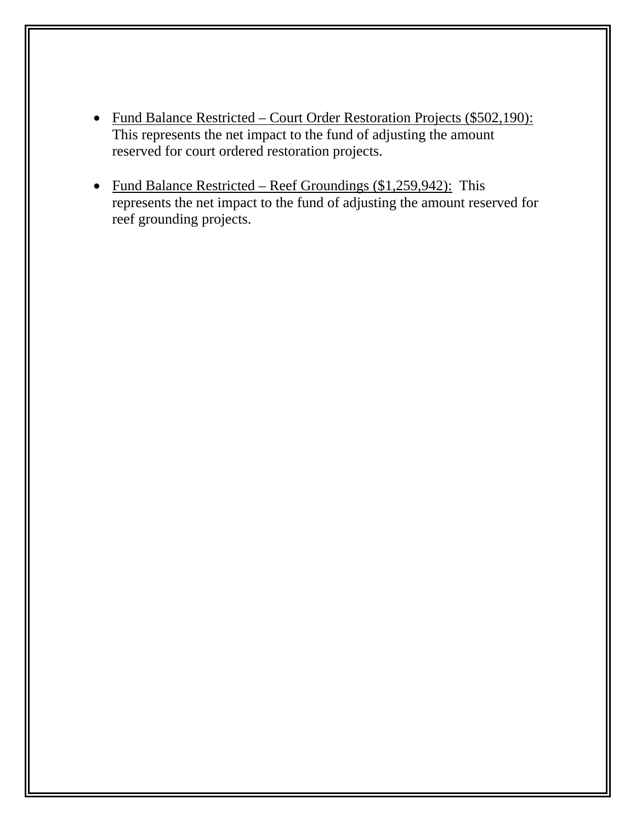- Fund Balance Restricted Court Order Restoration Projects (\$502,190): This represents the net impact to the fund of adjusting the amount reserved for court ordered restoration projects.
- Fund Balance Restricted Reef Groundings (\$1,259,942): This represents the net impact to the fund of adjusting the amount reserved for reef grounding projects.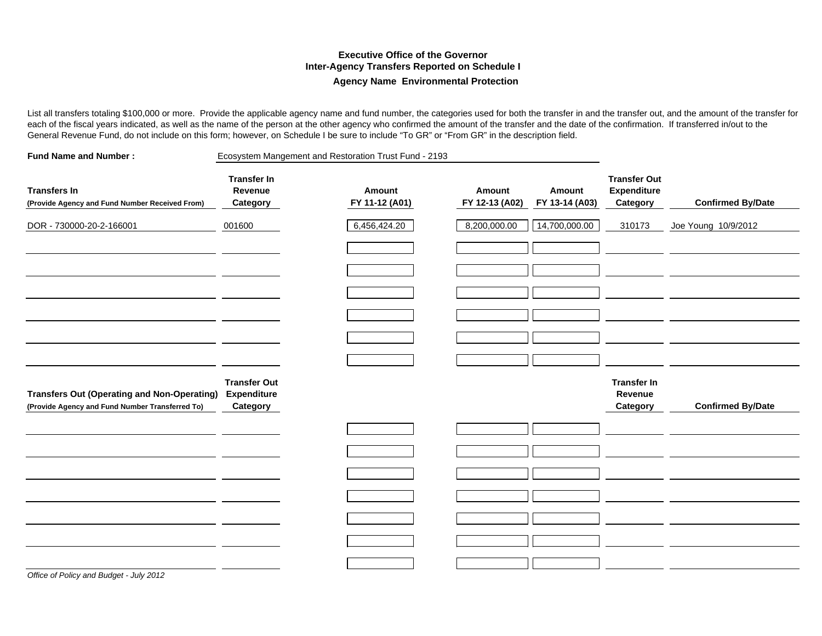#### **Executive Office of the GovernorInter-Agency Transfers Reported on Schedule I Agency Name Environmental Protection**

List all transfers totaling \$100,000 or more. Provide the applicable agency name and fund number, the categories used for both the transfer in and the transfer out, and the amount of the transfer for each of the fiscal years indicated, as well as the name of the person at the other agency who confirmed the amount of the transfer and the date of the confirmation. If transferred in/out to the General Revenue Fund, do not include on this form; however, on Schedule I be sure to include "To GR" or "From GR" in the description field.

| <b>Fund Name and Number:</b>                                                                          | Ecosystem Mangement and Restoration Trust Fund - 2193 |                          |                          |                          |                                                       |                          |
|-------------------------------------------------------------------------------------------------------|-------------------------------------------------------|--------------------------|--------------------------|--------------------------|-------------------------------------------------------|--------------------------|
| <b>Transfers In</b><br>(Provide Agency and Fund Number Received From)                                 | <b>Transfer In</b><br>Revenue<br>Category             | Amount<br>FY 11-12 (A01) | Amount<br>FY 12-13 (A02) | Amount<br>FY 13-14 (A03) | <b>Transfer Out</b><br><b>Expenditure</b><br>Category | <b>Confirmed By/Date</b> |
| DOR - 730000-20-2-166001                                                                              | 001600                                                | 6,456,424.20             | 8,200,000.00             | 14,700,000.00            | 310173                                                | Joe Young 10/9/2012      |
|                                                                                                       |                                                       |                          |                          |                          |                                                       |                          |
|                                                                                                       |                                                       |                          |                          |                          |                                                       |                          |
|                                                                                                       |                                                       |                          |                          |                          |                                                       |                          |
|                                                                                                       |                                                       |                          |                          |                          |                                                       |                          |
|                                                                                                       |                                                       |                          |                          |                          |                                                       |                          |
| <b>Transfers Out (Operating and Non-Operating)</b><br>(Provide Agency and Fund Number Transferred To) | <b>Transfer Out</b><br><b>Expenditure</b><br>Category |                          |                          |                          | <b>Transfer In</b><br>Revenue<br>Category             | <b>Confirmed By/Date</b> |
|                                                                                                       |                                                       |                          |                          |                          |                                                       |                          |
|                                                                                                       |                                                       |                          |                          |                          |                                                       |                          |
|                                                                                                       |                                                       |                          |                          |                          |                                                       |                          |
|                                                                                                       |                                                       |                          |                          |                          |                                                       |                          |
|                                                                                                       |                                                       |                          |                          |                          |                                                       |                          |
|                                                                                                       |                                                       |                          |                          |                          |                                                       |                          |
| Office of Policy and Budget - July 2012                                                               |                                                       |                          |                          |                          |                                                       |                          |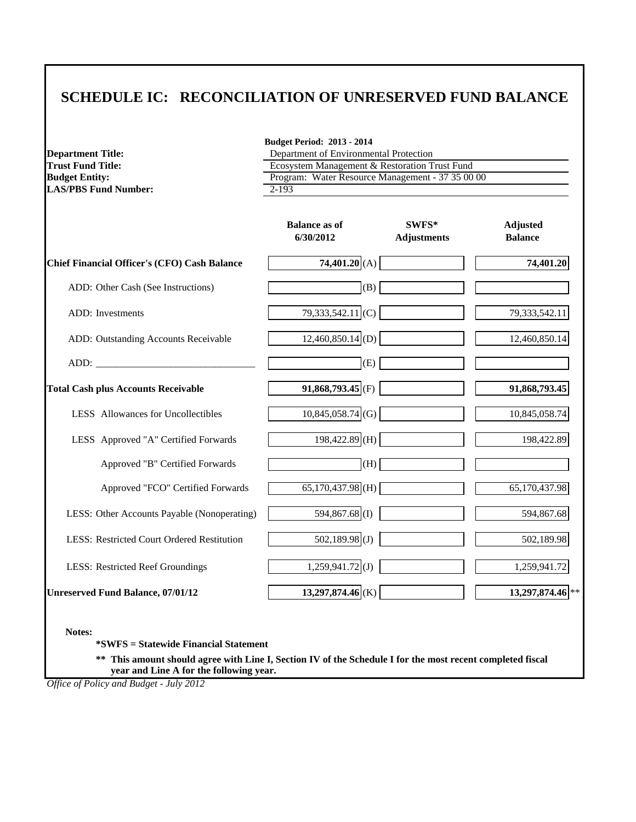| <b>Department Title:</b>                                                                                                                                                                                                       | <b>Budget Period: 2013 - 2014</b><br>Department of Environmental Protection<br>Ecosystem Management & Restoration Trust Fund |                             |                                   |  |  |
|--------------------------------------------------------------------------------------------------------------------------------------------------------------------------------------------------------------------------------|------------------------------------------------------------------------------------------------------------------------------|-----------------------------|-----------------------------------|--|--|
| <b>Trust Fund Title:</b>                                                                                                                                                                                                       |                                                                                                                              |                             |                                   |  |  |
| <b>Budget Entity:</b>                                                                                                                                                                                                          | Program: Water Resource Management - 37 35 00 00                                                                             |                             |                                   |  |  |
| <b>LAS/PBS Fund Number:</b>                                                                                                                                                                                                    | $2 - 193$                                                                                                                    |                             |                                   |  |  |
|                                                                                                                                                                                                                                | <b>Balance as of</b><br>6/30/2012                                                                                            | SWFS*<br><b>Adjustments</b> | <b>Adjusted</b><br><b>Balance</b> |  |  |
| Chief Financial Officer's (CFO) Cash Balance                                                                                                                                                                                   | 74,401.20 (A)                                                                                                                |                             | 74,401.20                         |  |  |
| ADD: Other Cash (See Instructions)                                                                                                                                                                                             | (B)                                                                                                                          |                             |                                   |  |  |
| <b>ADD</b> : Investments                                                                                                                                                                                                       | 79,333,542.11 (C)                                                                                                            |                             | 79,333,542.11                     |  |  |
| ADD: Outstanding Accounts Receivable                                                                                                                                                                                           | $12,460,850.14$ <sub>(D)</sub>                                                                                               |                             | 12,460,850.14                     |  |  |
| ADD: the contract of the contract of the contract of the contract of the contract of the contract of the contract of the contract of the contract of the contract of the contract of the contract of the contract of the contr | (E)                                                                                                                          |                             |                                   |  |  |
| <b>Total Cash plus Accounts Receivable</b>                                                                                                                                                                                     | $91,868,793.45$ <sub>(F)</sub>                                                                                               |                             | 91,868,793.45                     |  |  |
| LESS Allowances for Uncollectibles                                                                                                                                                                                             | $10,845,058.74$ (G)                                                                                                          |                             | 10,845,058.74                     |  |  |
| LESS Approved "A" Certified Forwards                                                                                                                                                                                           | 198,422.89 (H)                                                                                                               |                             | 198,422.89                        |  |  |
| Approved "B" Certified Forwards                                                                                                                                                                                                | (H)                                                                                                                          |                             |                                   |  |  |
| Approved "FCO" Certified Forwards                                                                                                                                                                                              | $65,170,437.98$ <sub>(H)</sub>                                                                                               |                             | 65,170,437.98                     |  |  |
| LESS: Other Accounts Payable (Nonoperating)                                                                                                                                                                                    | 594,867.68 (I)                                                                                                               |                             | 594,867.68                        |  |  |
| LESS: Restricted Court Ordered Restitution                                                                                                                                                                                     | 502,189.98 $(J)$                                                                                                             |                             | 502,189.98                        |  |  |
| LESS: Restricted Reef Groundings                                                                                                                                                                                               | $1,259,941.72$ <sub>(J)</sub>                                                                                                |                             | 1,259,941.72                      |  |  |
| <b>Unreserved Fund Balance, 07/01/12</b>                                                                                                                                                                                       | $13,297,874.46$ <sub>(K)</sub>                                                                                               |                             | 13,297,874.46                     |  |  |

**\*SWFS = Statewide Financial Statement** 

**\*\* This amount should agree with Line I, Section IV of the Schedule I for the most recent completed fiscal year and Line A for the following year.**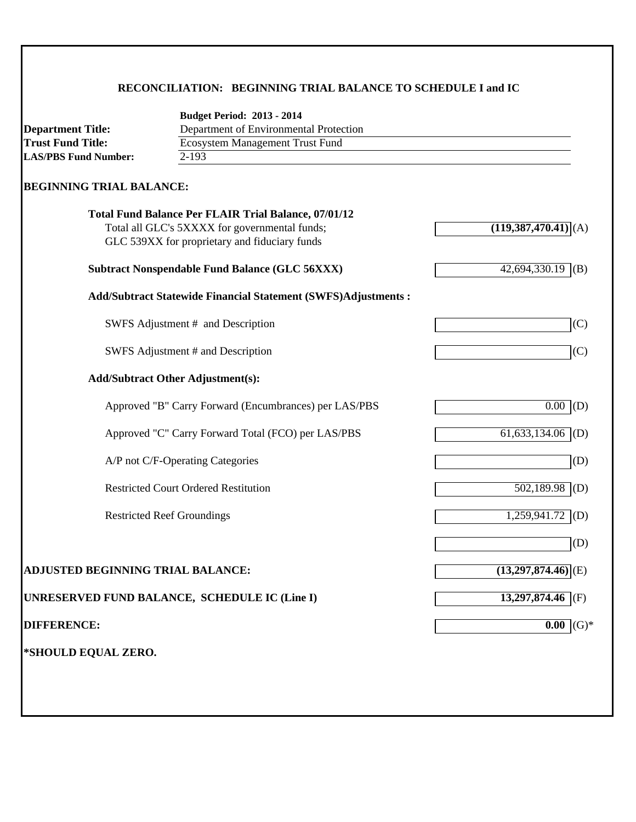#### **RECONCILIATION: BEGINNING TRIAL BALANCE TO SCHEDULE I and IC**

|                                          | <b>Budget Period: 2013 - 2014</b>                                    |                                  |
|------------------------------------------|----------------------------------------------------------------------|----------------------------------|
| <b>Department Title:</b>                 | Department of Environmental Protection                               |                                  |
| <b>Trust Fund Title:</b>                 | <b>Ecosystem Management Trust Fund</b>                               |                                  |
| <b>LAS/PBS Fund Number:</b>              | $2 - 193$                                                            |                                  |
| <b>BEGINNING TRIAL BALANCE:</b>          |                                                                      |                                  |
|                                          | <b>Total Fund Balance Per FLAIR Trial Balance, 07/01/12</b>          |                                  |
|                                          | Total all GLC's 5XXXX for governmental funds;                        | $(119,387,470.41)$ (A)           |
|                                          | GLC 539XX for proprietary and fiduciary funds                        |                                  |
|                                          | <b>Subtract Nonspendable Fund Balance (GLC 56XXX)</b>                | 42,694,330.19<br>(B)             |
|                                          | <b>Add/Subtract Statewide Financial Statement (SWFS)Adjustments:</b> |                                  |
|                                          | SWFS Adjustment # and Description                                    | (C)                              |
|                                          | SWFS Adjustment # and Description                                    | (C)                              |
|                                          | <b>Add/Subtract Other Adjustment(s):</b>                             |                                  |
|                                          | Approved "B" Carry Forward (Encumbrances) per LAS/PBS                | $0.00$ (D)                       |
|                                          | Approved "C" Carry Forward Total (FCO) per LAS/PBS                   | 61,633,134.06 (D)                |
|                                          | A/P not C/F-Operating Categories                                     | (D)                              |
|                                          | <b>Restricted Court Ordered Restitution</b>                          | $502,189.98$ (D)                 |
|                                          | <b>Restricted Reef Groundings</b>                                    | 1,259,941.72<br>(D)              |
|                                          |                                                                      | (D)                              |
| <b>ADJUSTED BEGINNING TRIAL BALANCE:</b> |                                                                      | $(13,297,874.46)$ <sub>(E)</sub> |
|                                          | UNRESERVED FUND BALANCE, SCHEDULE IC (Line I)                        | $13,297,874.46$ (F)              |
| <b>DIFFERENCE:</b>                       |                                                                      | $(G)$ *<br>0.00                  |
| *SHOULD EQUAL ZERO.                      |                                                                      |                                  |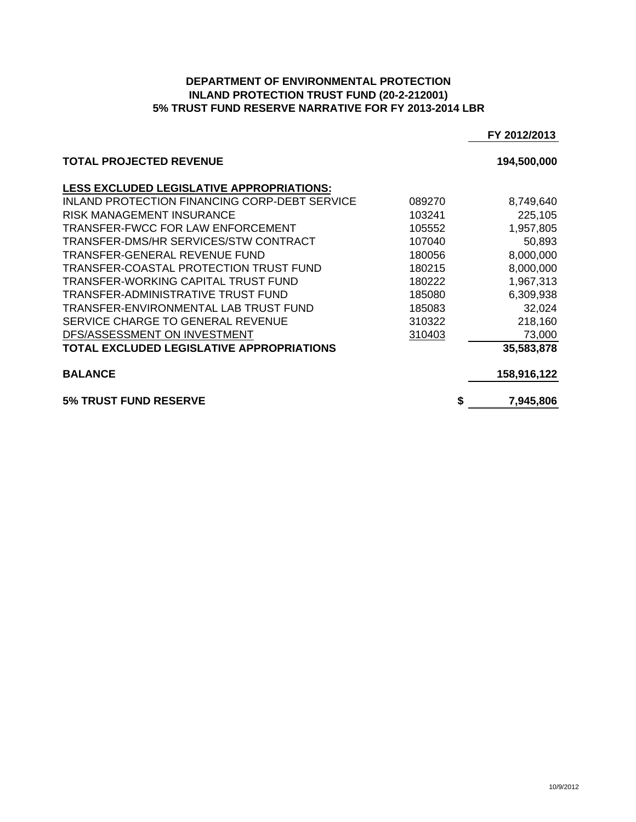#### **DEPARTMENT OF ENVIRONMENTAL PROTECTION INLAND PROTECTION TRUST FUND (20-2-212001) 5% TRUST FUND RESERVE NARRATIVE FOR FY 2013-2014 LBR**

|                                                  |        | FY 2012/2013    |
|--------------------------------------------------|--------|-----------------|
| <b>TOTAL PROJECTED REVENUE</b>                   |        | 194,500,000     |
| LESS EXCLUDED LEGISLATIVE APPROPRIATIONS:        |        |                 |
| INLAND PROTECTION FINANCING CORP-DEBT SERVICE    | 089270 | 8,749,640       |
| RISK MANAGEMENT INSURANCE                        | 103241 | 225,105         |
| TRANSFER-FWCC FOR LAW ENFORCEMENT                | 105552 | 1,957,805       |
| TRANSFER-DMS/HR SERVICES/STW CONTRACT            | 107040 | 50,893          |
| TRANSFER-GENERAL REVENUE FUND                    | 180056 | 8,000,000       |
| TRANSFER-COASTAL PROTECTION TRUST FUND           | 180215 | 8,000,000       |
| TRANSFER-WORKING CAPITAL TRUST FUND              | 180222 | 1,967,313       |
| TRANSFER-ADMINISTRATIVE TRUST FUND               | 185080 | 6,309,938       |
| TRANSFER-ENVIRONMENTAL LAB TRUST FUND            | 185083 | 32,024          |
| SERVICE CHARGE TO GENERAL REVENUE                | 310322 | 218,160         |
| DFS/ASSESSMENT ON INVESTMENT                     | 310403 | 73,000          |
| <b>TOTAL EXCLUDED LEGISLATIVE APPROPRIATIONS</b> |        | 35,583,878      |
| <b>BALANCE</b>                                   |        | 158,916,122     |
| <b>5% TRUST FUND RESERVE</b>                     |        | \$<br>7,945,806 |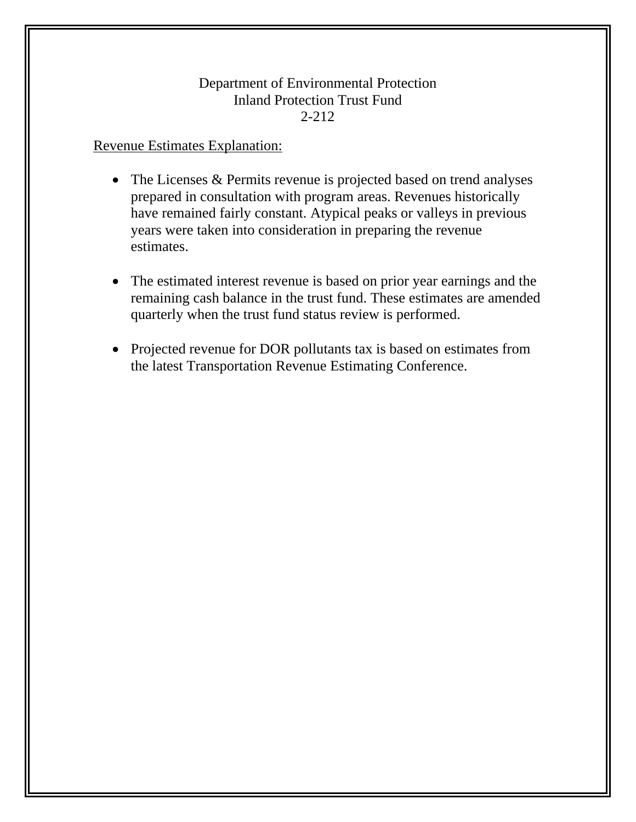#### Department of Environmental Protection Inland Protection Trust Fund 2-212

#### Revenue Estimates Explanation:

- The Licenses & Permits revenue is projected based on trend analyses prepared in consultation with program areas. Revenues historically have remained fairly constant. Atypical peaks or valleys in previous years were taken into consideration in preparing the revenue estimates.
- The estimated interest revenue is based on prior year earnings and the remaining cash balance in the trust fund. These estimates are amended quarterly when the trust fund status review is performed.
- Projected revenue for DOR pollutants tax is based on estimates from the latest Transportation Revenue Estimating Conference.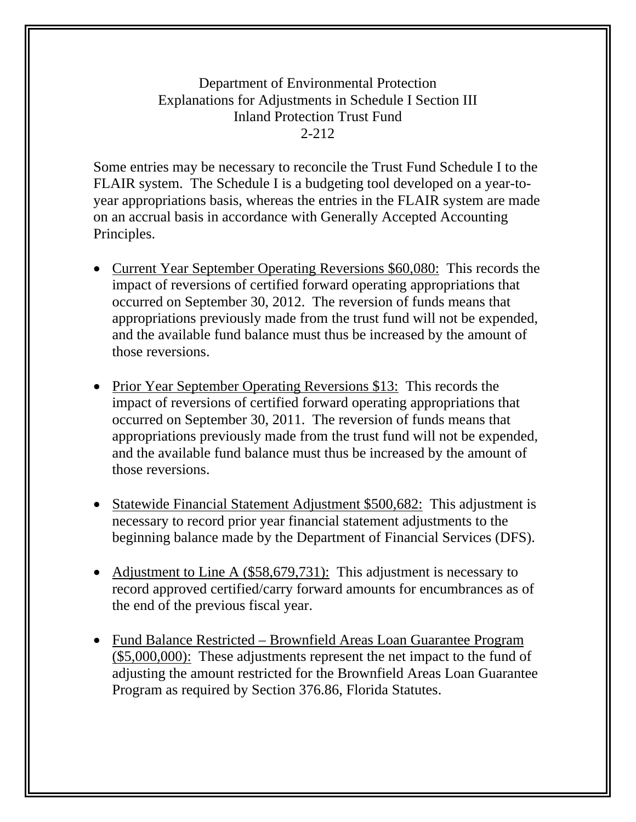Department of Environmental Protection Explanations for Adjustments in Schedule I Section III Inland Protection Trust Fund 2-212

Some entries may be necessary to reconcile the Trust Fund Schedule I to the FLAIR system. The Schedule I is a budgeting tool developed on a year-toyear appropriations basis, whereas the entries in the FLAIR system are made on an accrual basis in accordance with Generally Accepted Accounting Principles.

- Current Year September Operating Reversions \$60,080: This records the impact of reversions of certified forward operating appropriations that occurred on September 30, 2012. The reversion of funds means that appropriations previously made from the trust fund will not be expended, and the available fund balance must thus be increased by the amount of those reversions.
- Prior Year September Operating Reversions \$13: This records the impact of reversions of certified forward operating appropriations that occurred on September 30, 2011. The reversion of funds means that appropriations previously made from the trust fund will not be expended, and the available fund balance must thus be increased by the amount of those reversions.
- Statewide Financial Statement Adjustment \$500,682: This adjustment is necessary to record prior year financial statement adjustments to the beginning balance made by the Department of Financial Services (DFS).
- Adjustment to Line A (\$58,679,731): This adjustment is necessary to record approved certified/carry forward amounts for encumbrances as of the end of the previous fiscal year.
- Fund Balance Restricted Brownfield Areas Loan Guarantee Program (\$5,000,000): These adjustments represent the net impact to the fund of adjusting the amount restricted for the Brownfield Areas Loan Guarantee Program as required by Section 376.86, Florida Statutes.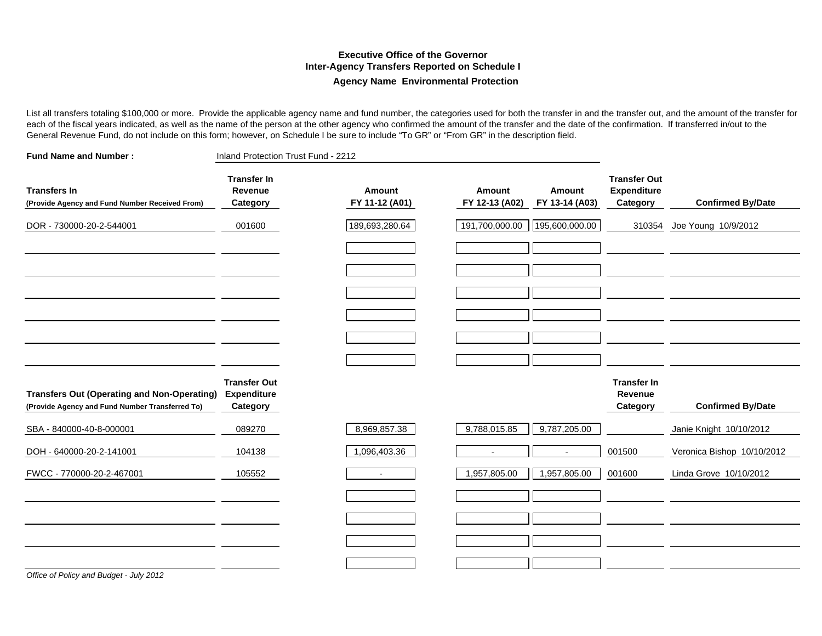#### **Executive Office of the GovernorInter-Agency Transfers Reported on Schedule I Agency Name Environmental Protection**

List all transfers totaling \$100,000 or more. Provide the applicable agency name and fund number, the categories used for both the transfer in and the transfer out, and the amount of the transfer for each of the fiscal years indicated, as well as the name of the person at the other agency who confirmed the amount of the transfer and the date of the confirmation. If transferred in/out to the General Revenue Fund, do not include on this form; however, on Schedule I be sure to include "To GR" or "From GR" in the description field.

| <b>Fund Name and Number:</b>                                                                          | Inland Protection Trust Fund - 2212            |                          |                          |                          |                                                       |                            |
|-------------------------------------------------------------------------------------------------------|------------------------------------------------|--------------------------|--------------------------|--------------------------|-------------------------------------------------------|----------------------------|
| <b>Transfers In</b><br>(Provide Agency and Fund Number Received From)                                 | <b>Transfer In</b><br>Revenue<br>Category      | Amount<br>FY 11-12 (A01) | Amount<br>FY 12-13 (A02) | Amount<br>FY 13-14 (A03) | <b>Transfer Out</b><br><b>Expenditure</b><br>Category | <b>Confirmed By/Date</b>   |
| DOR - 730000-20-2-544001                                                                              | 001600                                         | 189,693,280.64           | 191,700,000.00           | 195,600,000.00           | 310354                                                | Joe Young 10/9/2012        |
|                                                                                                       |                                                |                          |                          |                          |                                                       |                            |
|                                                                                                       |                                                |                          |                          |                          |                                                       |                            |
|                                                                                                       |                                                |                          |                          |                          |                                                       |                            |
|                                                                                                       |                                                |                          |                          |                          |                                                       |                            |
|                                                                                                       |                                                |                          |                          |                          |                                                       |                            |
| <b>Transfers Out (Operating and Non-Operating)</b><br>(Provide Agency and Fund Number Transferred To) | <b>Transfer Out</b><br>Expenditure<br>Category |                          |                          |                          | <b>Transfer In</b><br>Revenue<br>Category             | <b>Confirmed By/Date</b>   |
| SBA - 840000-40-8-000001                                                                              | 089270                                         | 8,969,857.38             | 9,788,015.85             | 9,787,205.00             |                                                       | Janie Knight 10/10/2012    |
| DOH - 640000-20-2-141001                                                                              | 104138                                         | 1,096,403.36             |                          | $\blacksquare$           | 001500                                                | Veronica Bishop 10/10/2012 |
| FWCC - 770000-20-2-467001                                                                             | 105552                                         | $\overline{\phantom{0}}$ | 1,957,805.00             | 1,957,805.00             | 001600                                                | Linda Grove 10/10/2012     |
|                                                                                                       |                                                |                          |                          |                          |                                                       |                            |
|                                                                                                       |                                                |                          |                          |                          |                                                       |                            |
|                                                                                                       |                                                |                          |                          |                          |                                                       |                            |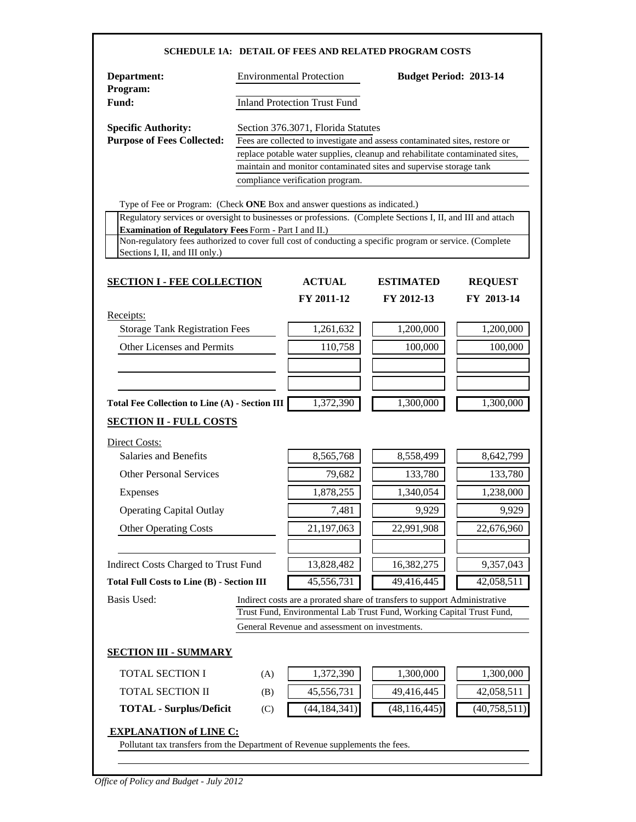| Department:                                                                                                                                                                                                                                          |                                                                                                                                                    | <b>Environmental Protection</b>                | <b>Budget Period: 2013-14</b>                                               |                                                                                                                                               |  |  |
|------------------------------------------------------------------------------------------------------------------------------------------------------------------------------------------------------------------------------------------------------|----------------------------------------------------------------------------------------------------------------------------------------------------|------------------------------------------------|-----------------------------------------------------------------------------|-----------------------------------------------------------------------------------------------------------------------------------------------|--|--|
| Program:                                                                                                                                                                                                                                             |                                                                                                                                                    |                                                |                                                                             |                                                                                                                                               |  |  |
| Fund:                                                                                                                                                                                                                                                |                                                                                                                                                    | <b>Inland Protection Trust Fund</b>            |                                                                             |                                                                                                                                               |  |  |
| <b>Specific Authority:</b>                                                                                                                                                                                                                           | Section 376.3071, Florida Statutes                                                                                                                 |                                                |                                                                             |                                                                                                                                               |  |  |
| <b>Purpose of Fees Collected:</b>                                                                                                                                                                                                                    |                                                                                                                                                    |                                                | Fees are collected to investigate and assess contaminated sites, restore or |                                                                                                                                               |  |  |
|                                                                                                                                                                                                                                                      | replace potable water supplies, cleanup and rehabilitate contaminated sites,<br>maintain and monitor contaminated sites and supervise storage tank |                                                |                                                                             |                                                                                                                                               |  |  |
|                                                                                                                                                                                                                                                      |                                                                                                                                                    | compliance verification program.               |                                                                             |                                                                                                                                               |  |  |
|                                                                                                                                                                                                                                                      |                                                                                                                                                    |                                                |                                                                             |                                                                                                                                               |  |  |
| Type of Fee or Program: (Check ONE Box and answer questions as indicated.)                                                                                                                                                                           |                                                                                                                                                    |                                                |                                                                             |                                                                                                                                               |  |  |
| Regulatory services or oversight to businesses or professions. (Complete Sections I, II, and III and attach<br><b>Examination of Regulatory Fees Form - Part I and II.)</b>                                                                          |                                                                                                                                                    |                                                |                                                                             |                                                                                                                                               |  |  |
| Non-regulatory fees authorized to cover full cost of conducting a specific program or service. (Complete                                                                                                                                             |                                                                                                                                                    |                                                |                                                                             |                                                                                                                                               |  |  |
| Sections I, II, and III only.)                                                                                                                                                                                                                       |                                                                                                                                                    |                                                |                                                                             |                                                                                                                                               |  |  |
|                                                                                                                                                                                                                                                      |                                                                                                                                                    |                                                |                                                                             |                                                                                                                                               |  |  |
| <b>SECTION I - FEE COLLECTION</b>                                                                                                                                                                                                                    |                                                                                                                                                    | <b>ACTUAL</b>                                  | <b>ESTIMATED</b>                                                            | <b>REQUEST</b>                                                                                                                                |  |  |
|                                                                                                                                                                                                                                                      |                                                                                                                                                    | FY 2011-12                                     | FY 2012-13                                                                  | FY 2013-14                                                                                                                                    |  |  |
| Receipts:                                                                                                                                                                                                                                            |                                                                                                                                                    |                                                |                                                                             |                                                                                                                                               |  |  |
| <b>Storage Tank Registration Fees</b>                                                                                                                                                                                                                |                                                                                                                                                    | 1,261,632                                      | 1,200,000                                                                   | 1,200,000                                                                                                                                     |  |  |
| Other Licenses and Permits                                                                                                                                                                                                                           |                                                                                                                                                    | 110,758                                        | 100,000                                                                     | 100,000                                                                                                                                       |  |  |
|                                                                                                                                                                                                                                                      |                                                                                                                                                    |                                                |                                                                             |                                                                                                                                               |  |  |
|                                                                                                                                                                                                                                                      |                                                                                                                                                    |                                                |                                                                             |                                                                                                                                               |  |  |
|                                                                                                                                                                                                                                                      |                                                                                                                                                    |                                                |                                                                             |                                                                                                                                               |  |  |
|                                                                                                                                                                                                                                                      |                                                                                                                                                    |                                                |                                                                             |                                                                                                                                               |  |  |
|                                                                                                                                                                                                                                                      |                                                                                                                                                    | 1,372,390                                      | 1,300,000                                                                   |                                                                                                                                               |  |  |
|                                                                                                                                                                                                                                                      |                                                                                                                                                    |                                                |                                                                             |                                                                                                                                               |  |  |
|                                                                                                                                                                                                                                                      |                                                                                                                                                    |                                                |                                                                             |                                                                                                                                               |  |  |
| Salaries and Benefits                                                                                                                                                                                                                                |                                                                                                                                                    | 8,565,768                                      | 8,558,499                                                                   |                                                                                                                                               |  |  |
| <b>Other Personal Services</b>                                                                                                                                                                                                                       |                                                                                                                                                    | 79,682                                         | 133,780                                                                     |                                                                                                                                               |  |  |
| Expenses                                                                                                                                                                                                                                             |                                                                                                                                                    | 1,878,255                                      | 1,340,054                                                                   |                                                                                                                                               |  |  |
| <b>Operating Capital Outlay</b>                                                                                                                                                                                                                      |                                                                                                                                                    | 7,481                                          | 9,929                                                                       |                                                                                                                                               |  |  |
| <b>Other Operating Costs</b>                                                                                                                                                                                                                         |                                                                                                                                                    | 21,197,063                                     | 22,991,908                                                                  |                                                                                                                                               |  |  |
|                                                                                                                                                                                                                                                      |                                                                                                                                                    |                                                |                                                                             |                                                                                                                                               |  |  |
|                                                                                                                                                                                                                                                      |                                                                                                                                                    | 13,828,482                                     | 16,382,275                                                                  |                                                                                                                                               |  |  |
|                                                                                                                                                                                                                                                      |                                                                                                                                                    | 45,556,731                                     | 49,416,445                                                                  |                                                                                                                                               |  |  |
|                                                                                                                                                                                                                                                      |                                                                                                                                                    |                                                | Indirect costs are a prorated share of transfers to support Administrative  |                                                                                                                                               |  |  |
|                                                                                                                                                                                                                                                      |                                                                                                                                                    |                                                | Trust Fund, Environmental Lab Trust Fund, Working Capital Trust Fund,       |                                                                                                                                               |  |  |
|                                                                                                                                                                                                                                                      |                                                                                                                                                    | General Revenue and assessment on investments. |                                                                             |                                                                                                                                               |  |  |
|                                                                                                                                                                                                                                                      |                                                                                                                                                    |                                                |                                                                             |                                                                                                                                               |  |  |
| Total Fee Collection to Line (A) - Section III<br><b>SECTION II - FULL COSTS</b><br>Direct Costs:<br>Indirect Costs Charged to Trust Fund<br><b>Total Full Costs to Line (B) - Section III</b><br><b>Basis Used:</b><br><b>SECTION III - SUMMARY</b> |                                                                                                                                                    |                                                |                                                                             |                                                                                                                                               |  |  |
| <b>TOTAL SECTION I</b>                                                                                                                                                                                                                               | (A)                                                                                                                                                | 1,372,390                                      | 1,300,000                                                                   |                                                                                                                                               |  |  |
| TOTAL SECTION II<br><b>TOTAL - Surplus/Deficit</b>                                                                                                                                                                                                   | (B)<br>(C)                                                                                                                                         | 45,556,731<br>(44, 184, 341)                   | 49,416,445<br>(48, 116, 445)                                                | 1,300,000<br>8,642,799<br>133,780<br>1,238,000<br>9,929<br>22,676,960<br>9,357,043<br>42,058,511<br>1,300,000<br>42,058,511<br>(40, 758, 511) |  |  |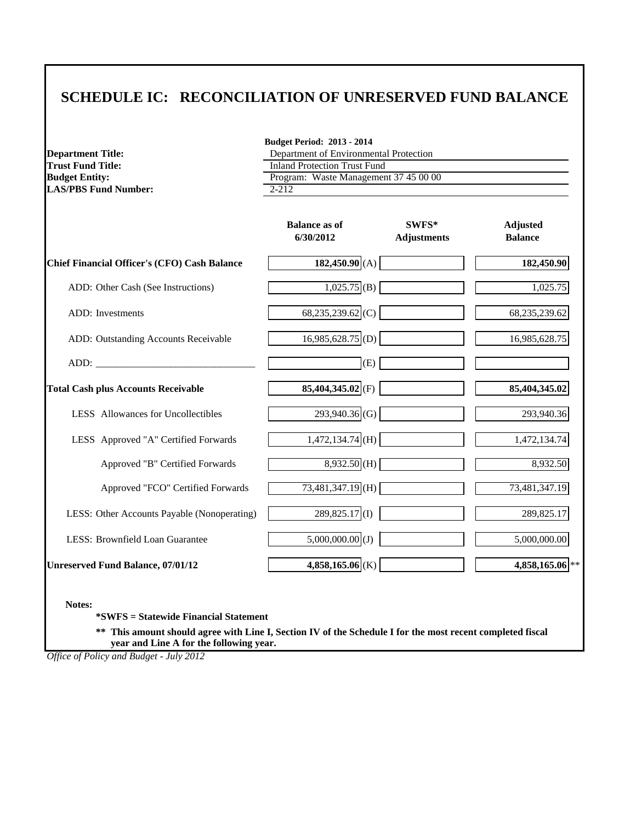|                                                      | <b>Budget Period: 2013 - 2014</b><br>Department of Environmental Protection |                    |                 |  |  |
|------------------------------------------------------|-----------------------------------------------------------------------------|--------------------|-----------------|--|--|
| <b>Department Title:</b><br><b>Trust Fund Title:</b> | <b>Inland Protection Trust Fund</b>                                         |                    |                 |  |  |
| <b>Budget Entity:</b>                                | Program: Waste Management 37 45 00 00                                       |                    |                 |  |  |
| <b>LAS/PBS Fund Number:</b>                          | $2 - 212$                                                                   |                    |                 |  |  |
|                                                      |                                                                             |                    |                 |  |  |
|                                                      | <b>Balance as of</b>                                                        | SWFS*              | <b>Adjusted</b> |  |  |
|                                                      | 6/30/2012                                                                   | <b>Adjustments</b> | <b>Balance</b>  |  |  |
| <b>Chief Financial Officer's (CFO) Cash Balance</b>  | 182,450.90(A)                                                               |                    | 182,450.90      |  |  |
| ADD: Other Cash (See Instructions)                   | $1,025.75$ (B)                                                              |                    | 1,025.75        |  |  |
| <b>ADD</b> : Investments                             | 68,235,239.62 (C)                                                           |                    | 68,235,239.62   |  |  |
| ADD: Outstanding Accounts Receivable                 | $16,985,628.75$ <sub>(D)</sub>                                              |                    | 16,985,628.75   |  |  |
|                                                      | (E)                                                                         |                    |                 |  |  |
| <b>Total Cash plus Accounts Receivable</b>           | 85,404,345.02 (F)                                                           |                    | 85,404,345.02   |  |  |
| LESS Allowances for Uncollectibles                   | 293,940.36 (G)                                                              |                    | 293,940.36      |  |  |
| LESS Approved "A" Certified Forwards                 | $1,472,134.74$ (H)                                                          |                    | 1,472,134.74    |  |  |
| Approved "B" Certified Forwards                      | $8,932.50$ (H)                                                              |                    | 8,932.50        |  |  |
| Approved "FCO" Certified Forwards                    | 73,481,347.19 (H)                                                           |                    | 73,481,347.19   |  |  |
| LESS: Other Accounts Payable (Nonoperating)          | $289,825.17$ (I)                                                            |                    | 289,825.17      |  |  |
| LESS: Brownfield Loan Guarantee                      | $5,000,000.00$ (J)                                                          |                    | 5,000,000.00    |  |  |
| <b>Unreserved Fund Balance, 07/01/12</b>             | $4,858,165.06$ (K)                                                          |                    | 4,858,165.06 ** |  |  |

**Notes:**

**\*SWFS = Statewide Financial Statement** 

**\*\* This amount should agree with Line I, Section IV of the Schedule I for the most recent completed fiscal year and Line A for the following year.**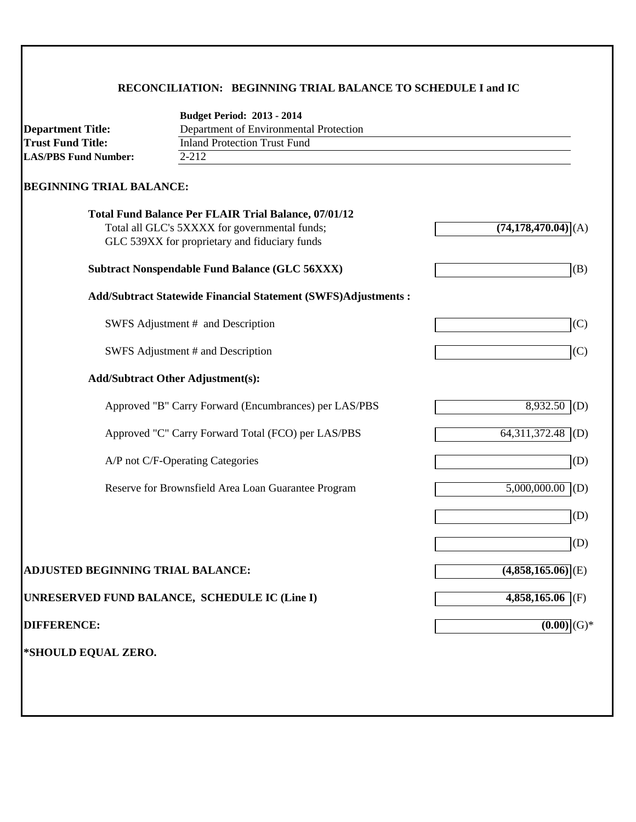# **RECONCILIATION: BEGINNING TRIAL BALANCE TO SCHEDULE I and IC**

|                                          | <b>Budget Period: 2013 - 2014</b>                                    |                                     |
|------------------------------------------|----------------------------------------------------------------------|-------------------------------------|
| <b>Department Title:</b>                 | Department of Environmental Protection                               |                                     |
| <b>Trust Fund Title:</b>                 | <b>Inland Protection Trust Fund</b>                                  |                                     |
| <b>LAS/PBS Fund Number:</b>              | $2 - 212$                                                            |                                     |
| <b>BEGINNING TRIAL BALANCE:</b>          |                                                                      |                                     |
|                                          | <b>Total Fund Balance Per FLAIR Trial Balance, 07/01/12</b>          |                                     |
|                                          | Total all GLC's 5XXXX for governmental funds;                        | $(74,178,470.04)$ (A)               |
|                                          | GLC 539XX for proprietary and fiduciary funds                        |                                     |
|                                          | <b>Subtract Nonspendable Fund Balance (GLC 56XXX)</b>                | (B)                                 |
|                                          | <b>Add/Subtract Statewide Financial Statement (SWFS)Adjustments:</b> |                                     |
|                                          | SWFS Adjustment # and Description                                    | (C)                                 |
|                                          | SWFS Adjustment # and Description                                    | (C)                                 |
|                                          | <b>Add/Subtract Other Adjustment(s):</b>                             |                                     |
|                                          | Approved "B" Carry Forward (Encumbrances) per LAS/PBS                | 8,932.50<br>(D)                     |
|                                          | Approved "C" Carry Forward Total (FCO) per LAS/PBS                   | 64,311,372.48 (D)                   |
|                                          | A/P not C/F-Operating Categories                                     | (D)                                 |
|                                          | Reserve for Brownsfield Area Loan Guarantee Program                  | (D)<br>5,000,000.00                 |
|                                          |                                                                      | (D)                                 |
|                                          |                                                                      | (D)                                 |
| <b>ADJUSTED BEGINNING TRIAL BALANCE:</b> |                                                                      | $(4,858,165.06)$ <sub>(E)</sub>     |
|                                          | UNRESERVED FUND BALANCE, SCHEDULE IC (Line I)                        | $4,858,165.06$ (F)                  |
| <b>DIFFERENCE:</b>                       |                                                                      | $(0.00)$ <sub>(G)<sup>*</sup></sub> |
|                                          |                                                                      |                                     |
| *SHOULD EQUAL ZERO.                      |                                                                      |                                     |
|                                          |                                                                      |                                     |
|                                          |                                                                      |                                     |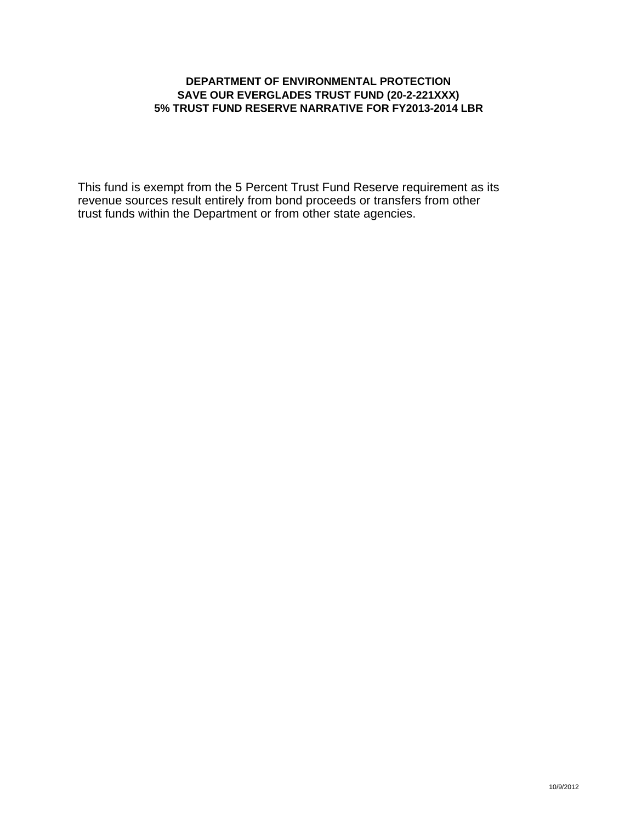#### **DEPARTMENT OF ENVIRONMENTAL PROTECTION SAVE OUR EVERGLADES TRUST FUND (20-2-221XXX) 5% TRUST FUND RESERVE NARRATIVE FOR FY2013-2014 LBR**

This fund is exempt from the 5 Percent Trust Fund Reserve requirement as its revenue sources result entirely from bond proceeds or transfers from other trust funds within the Department or from other state agencies.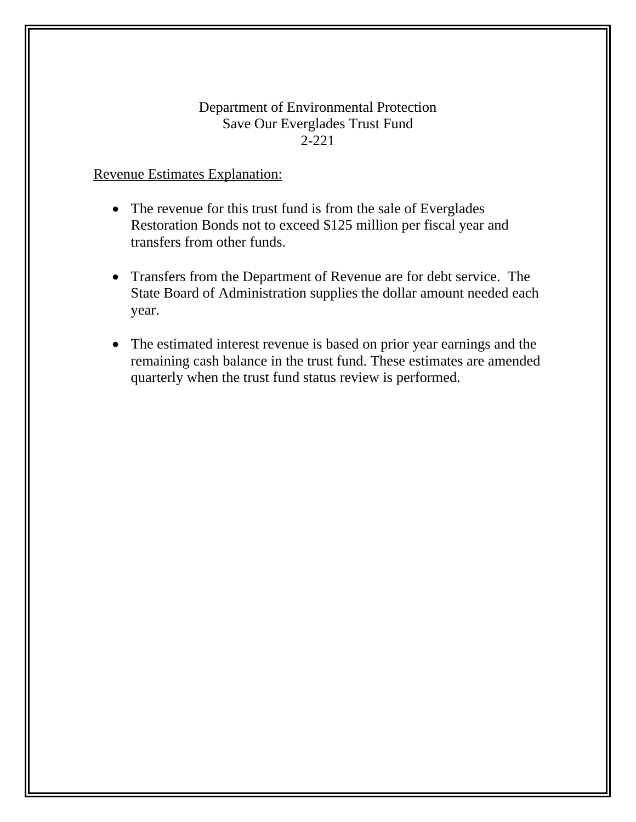#### Department of Environmental Protection Save Our Everglades Trust Fund 2-221

### Revenue Estimates Explanation:

- The revenue for this trust fund is from the sale of Everglades Restoration Bonds not to exceed \$125 million per fiscal year and transfers from other funds.
- Transfers from the Department of Revenue are for debt service. The State Board of Administration supplies the dollar amount needed each year.
- The estimated interest revenue is based on prior year earnings and the remaining cash balance in the trust fund. These estimates are amended quarterly when the trust fund status review is performed.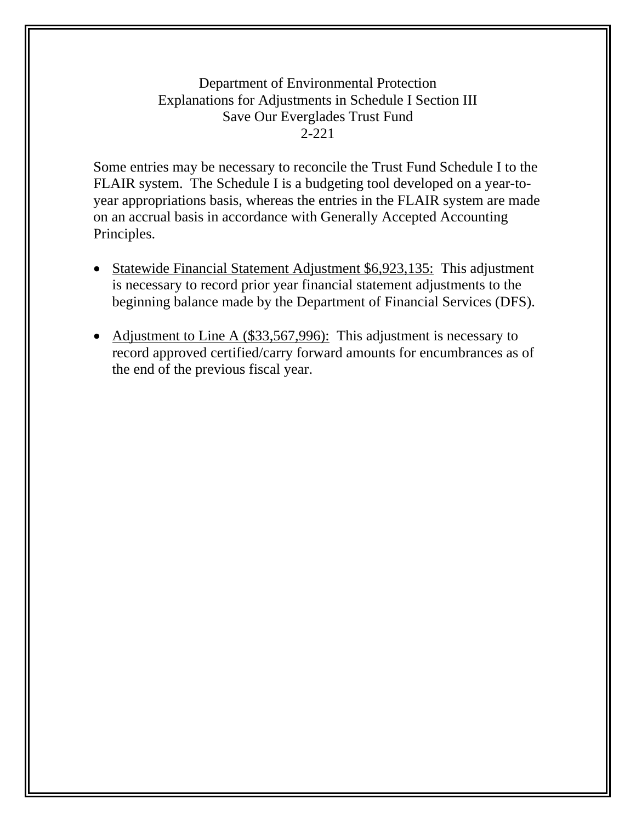# Department of Environmental Protection Explanations for Adjustments in Schedule I Section III Save Our Everglades Trust Fund 2-221

Some entries may be necessary to reconcile the Trust Fund Schedule I to the FLAIR system. The Schedule I is a budgeting tool developed on a year-toyear appropriations basis, whereas the entries in the FLAIR system are made on an accrual basis in accordance with Generally Accepted Accounting Principles.

- Statewide Financial Statement Adjustment \$6,923,135: This adjustment is necessary to record prior year financial statement adjustments to the beginning balance made by the Department of Financial Services (DFS).
- Adjustment to Line A (\$33,567,996): This adjustment is necessary to record approved certified/carry forward amounts for encumbrances as of the end of the previous fiscal year.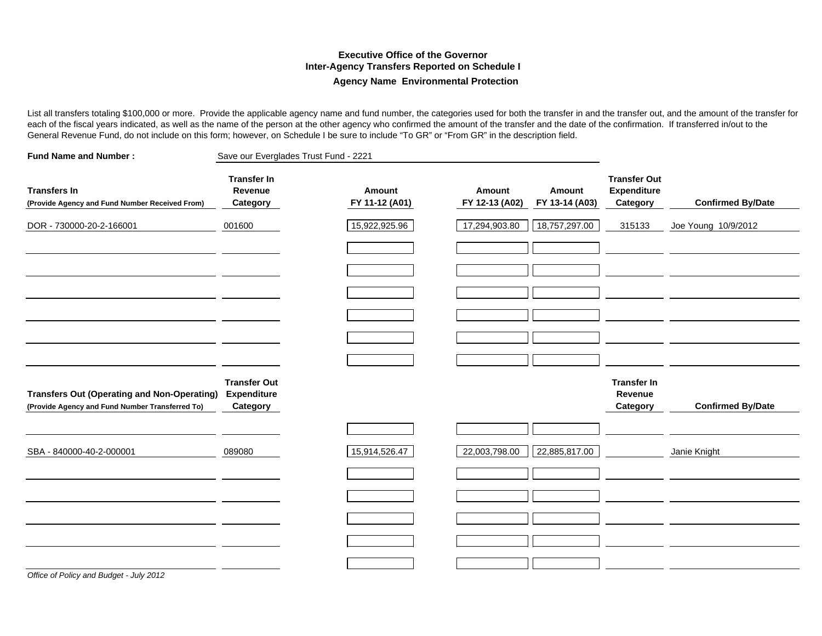#### **Executive Office of the GovernorInter-Agency Transfers Reported on Schedule I Agency Name Environmental Protection**

List all transfers totaling \$100,000 or more. Provide the applicable agency name and fund number, the categories used for both the transfer in and the transfer out, and the amount of the transfer for each of the fiscal years indicated, as well as the name of the person at the other agency who confirmed the amount of the transfer and the date of the confirmation. If transferred in/out to the General Revenue Fund, do not include on this form; however, on Schedule I be sure to include "To GR" or "From GR" in the description field.

| <b>Fund Name and Number:</b>                                                                          | Save our Everglades Trust Fund - 2221                 |                          |                          |                          |                                                |                          |
|-------------------------------------------------------------------------------------------------------|-------------------------------------------------------|--------------------------|--------------------------|--------------------------|------------------------------------------------|--------------------------|
| <b>Transfers In</b><br>(Provide Agency and Fund Number Received From)                                 | <b>Transfer In</b><br>Revenue<br>Category             | Amount<br>FY 11-12 (A01) | Amount<br>FY 12-13 (A02) | Amount<br>FY 13-14 (A03) | <b>Transfer Out</b><br>Expenditure<br>Category | <b>Confirmed By/Date</b> |
| DOR - 730000-20-2-166001                                                                              | 001600                                                | 15,922,925.96            | 17,294,903.80            | 18,757,297.00            | 315133                                         | Joe Young 10/9/2012      |
|                                                                                                       |                                                       |                          |                          |                          |                                                |                          |
|                                                                                                       |                                                       |                          |                          |                          |                                                |                          |
|                                                                                                       |                                                       |                          |                          |                          |                                                |                          |
|                                                                                                       |                                                       |                          |                          |                          |                                                |                          |
| <b>Transfers Out (Operating and Non-Operating)</b><br>(Provide Agency and Fund Number Transferred To) | <b>Transfer Out</b><br><b>Expenditure</b><br>Category |                          |                          |                          | <b>Transfer In</b><br>Revenue<br>Category      | <b>Confirmed By/Date</b> |
|                                                                                                       |                                                       |                          |                          |                          |                                                |                          |
| SBA - 840000-40-2-000001                                                                              | 089080                                                | 15,914,526.47            | 22,003,798.00            | 22,885,817.00            |                                                | Janie Knight             |
|                                                                                                       |                                                       |                          |                          |                          |                                                |                          |
|                                                                                                       |                                                       |                          |                          |                          |                                                |                          |
|                                                                                                       |                                                       |                          |                          |                          |                                                |                          |
|                                                                                                       |                                                       |                          |                          |                          |                                                |                          |
| Office of Policy and Budget - July 2012                                                               |                                                       |                          |                          |                          |                                                |                          |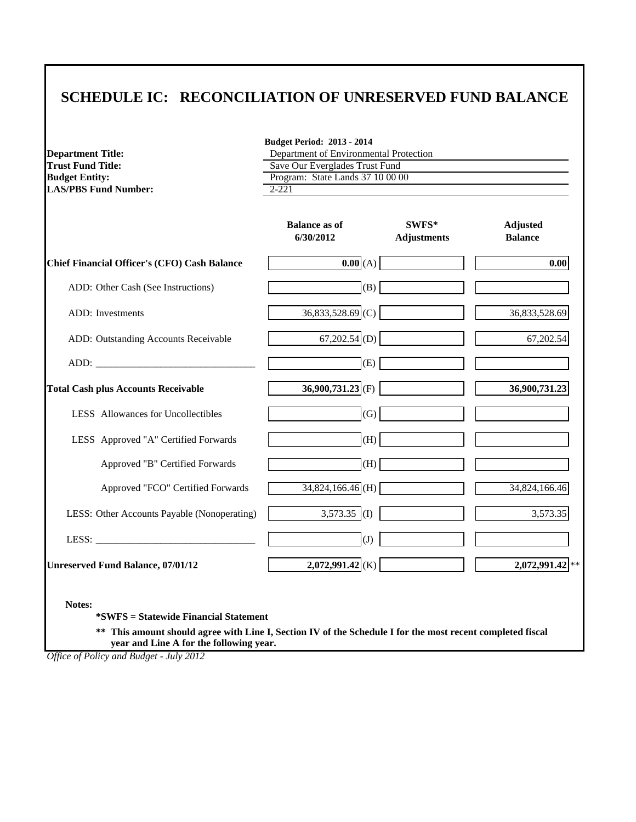| <b>Department Title:</b>                            | <b>Budget Period: 2013 - 2014</b><br>Department of Environmental Protection |                             |                                   |  |  |
|-----------------------------------------------------|-----------------------------------------------------------------------------|-----------------------------|-----------------------------------|--|--|
| <b>Trust Fund Title:</b>                            | Save Our Everglades Trust Fund<br>Program: State Lands 37 10 00 00          |                             |                                   |  |  |
| <b>Budget Entity:</b>                               |                                                                             |                             |                                   |  |  |
| <b>LAS/PBS Fund Number:</b>                         | $2 - 221$                                                                   |                             |                                   |  |  |
|                                                     |                                                                             |                             |                                   |  |  |
|                                                     | <b>Balance as of</b><br>6/30/2012                                           | SWFS*<br><b>Adjustments</b> | <b>Adjusted</b><br><b>Balance</b> |  |  |
| <b>Chief Financial Officer's (CFO) Cash Balance</b> | 0.00(A)                                                                     |                             | 0.00                              |  |  |
| ADD: Other Cash (See Instructions)                  | (B)                                                                         |                             |                                   |  |  |
| ADD: Investments                                    | 36,833,528.69 (C)                                                           |                             | 36,833,528.69                     |  |  |
| ADD: Outstanding Accounts Receivable                | $67,202.54$ (D)                                                             |                             | 67,202.54                         |  |  |
|                                                     | (E)                                                                         |                             |                                   |  |  |
| <b>Total Cash plus Accounts Receivable</b>          | $36,900,731.23$ <sub>(F)</sub>                                              |                             | 36,900,731.23                     |  |  |
| LESS Allowances for Uncollectibles                  | (G)                                                                         |                             |                                   |  |  |
| LESS Approved "A" Certified Forwards                | (H)                                                                         |                             |                                   |  |  |
| Approved "B" Certified Forwards                     | (H)                                                                         |                             |                                   |  |  |
| Approved "FCO" Certified Forwards                   | $34,824,166.46$ (H)                                                         |                             | 34,824,166.46                     |  |  |
| LESS: Other Accounts Payable (Nonoperating)         | $3,573.35$ (I)                                                              |                             | 3,573.35                          |  |  |
|                                                     | $(\mathrm{J})$                                                              |                             |                                   |  |  |
| <b>Unreserved Fund Balance, 07/01/12</b>            | $2,072,991.42$ <sub>(K)</sub>                                               |                             | $2,072,991.42$ **                 |  |  |

**\*SWFS = Statewide Financial Statement** 

**\*\* This amount should agree with Line I, Section IV of the Schedule I for the most recent completed fiscal year and Line A for the following year.**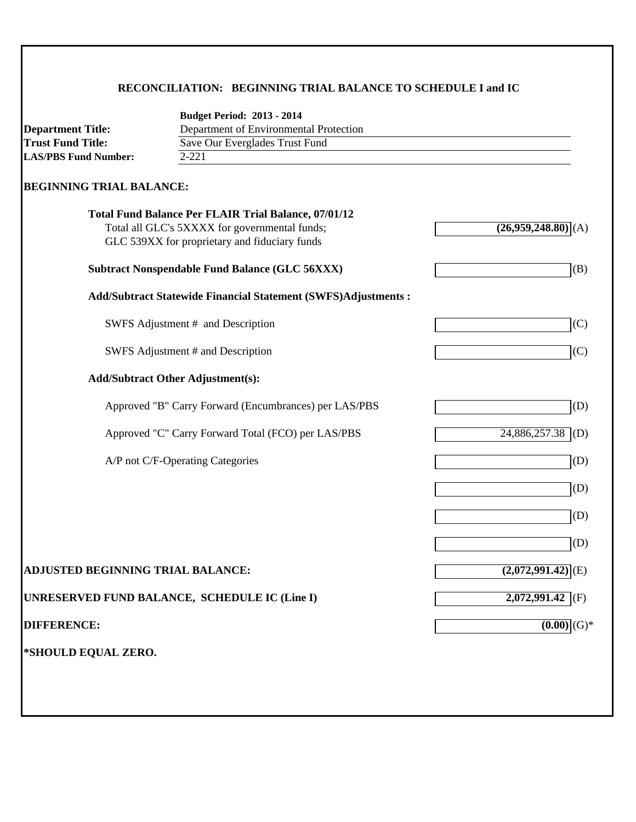#### **RECONCILIATION: BEGINNING TRIAL BALANCE TO SCHEDULE I and IC**

|                                          | <b>Budget Period: 2013 - 2014</b>                                    |                                 |
|------------------------------------------|----------------------------------------------------------------------|---------------------------------|
| <b>Department Title:</b>                 | Department of Environmental Protection                               |                                 |
| <b>Trust Fund Title:</b>                 | Save Our Everglades Trust Fund                                       |                                 |
| <b>LAS/PBS Fund Number:</b>              | $2 - 221$                                                            |                                 |
| <b>BEGINNING TRIAL BALANCE:</b>          |                                                                      |                                 |
|                                          | <b>Total Fund Balance Per FLAIR Trial Balance, 07/01/12</b>          |                                 |
|                                          | Total all GLC's 5XXXX for governmental funds;                        | $(26,959,248.80)$ (A)           |
|                                          | GLC 539XX for proprietary and fiduciary funds                        |                                 |
|                                          | <b>Subtract Nonspendable Fund Balance (GLC 56XXX)</b>                | (B)                             |
|                                          | <b>Add/Subtract Statewide Financial Statement (SWFS)Adjustments:</b> |                                 |
|                                          | SWFS Adjustment # and Description                                    | (C)                             |
|                                          | SWFS Adjustment # and Description                                    | (C)                             |
|                                          | <b>Add/Subtract Other Adjustment(s):</b>                             |                                 |
|                                          | Approved "B" Carry Forward (Encumbrances) per LAS/PBS                | (D)                             |
|                                          | Approved "C" Carry Forward Total (FCO) per LAS/PBS                   | 24,886,257.38 (D)               |
|                                          | A/P not C/F-Operating Categories                                     | (D)                             |
|                                          |                                                                      | (D)                             |
|                                          |                                                                      | (D)                             |
|                                          |                                                                      | (D)                             |
| <b>ADJUSTED BEGINNING TRIAL BALANCE:</b> |                                                                      | $(2,072,991.42)$ <sub>(E)</sub> |
|                                          | UNRESERVED FUND BALANCE, SCHEDULE IC (Line I)                        | $2,072,991.42$ (F)              |
| <b>DIFFERENCE:</b>                       |                                                                      | $(0.\overline{00)}(G)^*$        |
| *SHOULD EQUAL ZERO.                      |                                                                      |                                 |
|                                          |                                                                      |                                 |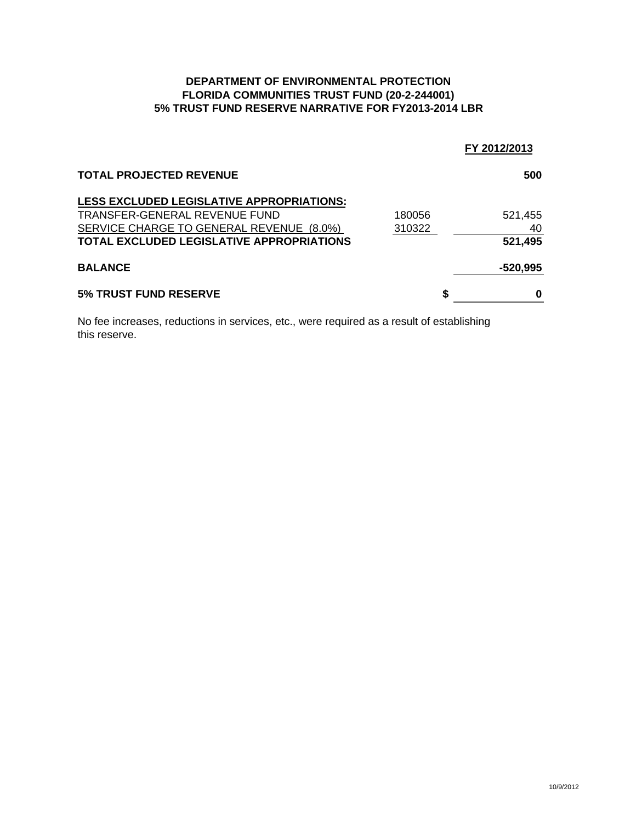#### **DEPARTMENT OF ENVIRONMENTAL PROTECTION FLORIDA COMMUNITIES TRUST FUND (20-2-244001) 5% TRUST FUND RESERVE NARRATIVE FOR FY2013-2014 LBR**

|                                                  |        | FY 2012/2013 |
|--------------------------------------------------|--------|--------------|
| <b>TOTAL PROJECTED REVENUE</b>                   |        | 500          |
| <b>LESS EXCLUDED LEGISLATIVE APPROPRIATIONS:</b> |        |              |
| TRANSFER-GENERAL REVENUE FUND                    | 180056 | 521,455      |
| SERVICE CHARGE TO GENERAL REVENUE (8.0%)         | 310322 | 40           |
| TOTAL EXCLUDED LEGISLATIVE APPROPRIATIONS        |        | 521,495      |
| <b>BALANCE</b>                                   |        | $-520,995$   |
| <b>5% TRUST FUND RESERVE</b>                     |        | ŋ            |

No fee increases, reductions in services, etc., were required as a result of establishing this reserve.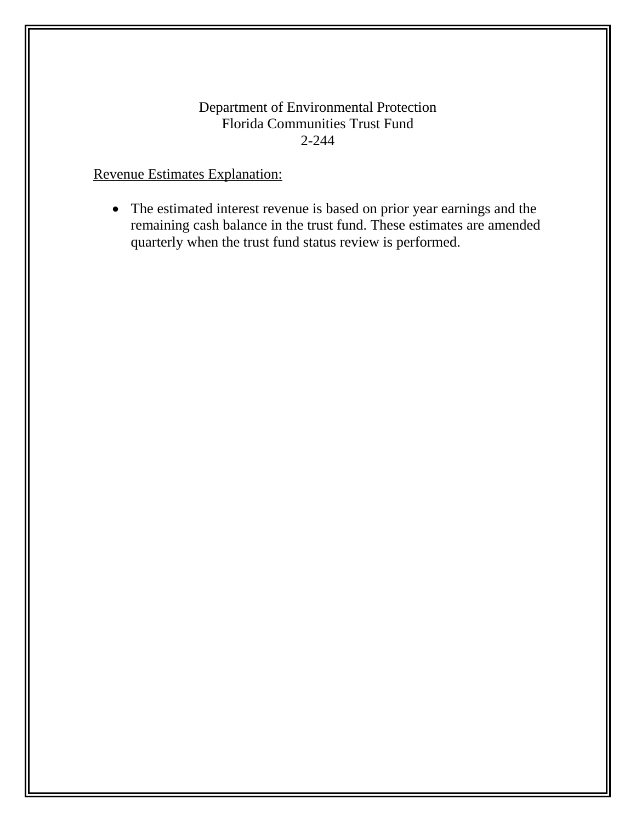# Department of Environmental Protection Florida Communities Trust Fund 2-244

# Revenue Estimates Explanation:

 The estimated interest revenue is based on prior year earnings and the remaining cash balance in the trust fund. These estimates are amended quarterly when the trust fund status review is performed.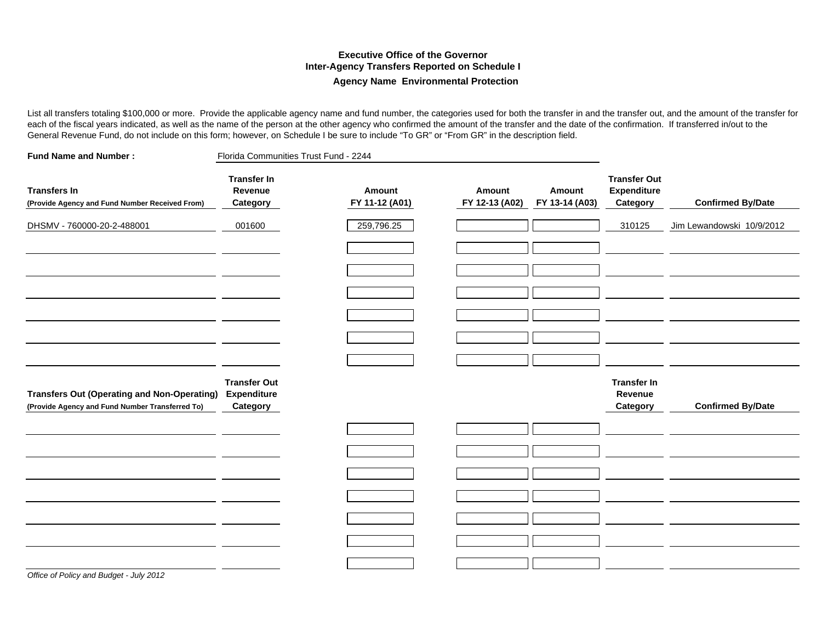#### **Executive Office of the GovernorInter-Agency Transfers Reported on Schedule I Agency Name Environmental Protection**

List all transfers totaling \$100,000 or more. Provide the applicable agency name and fund number, the categories used for both the transfer in and the transfer out, and the amount of the transfer for each of the fiscal years indicated, as well as the name of the person at the other agency who confirmed the amount of the transfer and the date of the confirmation. If transferred in/out to the General Revenue Fund, do not include on this form; however, on Schedule I be sure to include "To GR" or "From GR" in the description field.

| <b>Fund Name and Number:</b>                                                                               | Florida Communities Trust Fund - 2244     |                          |                          |                          |                                                       |                           |
|------------------------------------------------------------------------------------------------------------|-------------------------------------------|--------------------------|--------------------------|--------------------------|-------------------------------------------------------|---------------------------|
| <b>Transfers In</b><br>(Provide Agency and Fund Number Received From)                                      | <b>Transfer In</b><br>Revenue<br>Category | Amount<br>FY 11-12 (A01) | Amount<br>FY 12-13 (A02) | Amount<br>FY 13-14 (A03) | <b>Transfer Out</b><br><b>Expenditure</b><br>Category | <b>Confirmed By/Date</b>  |
| DHSMV - 760000-20-2-488001                                                                                 | 001600                                    | 259,796.25               |                          |                          | 310125                                                | Jim Lewandowski 10/9/2012 |
|                                                                                                            |                                           |                          |                          |                          |                                                       |                           |
|                                                                                                            |                                           |                          |                          |                          |                                                       |                           |
|                                                                                                            |                                           |                          |                          |                          |                                                       |                           |
|                                                                                                            |                                           |                          |                          |                          |                                                       |                           |
|                                                                                                            |                                           |                          |                          |                          |                                                       |                           |
|                                                                                                            |                                           |                          |                          |                          |                                                       |                           |
| Transfers Out (Operating and Non-Operating) Expenditure<br>(Provide Agency and Fund Number Transferred To) | <b>Transfer Out</b><br>Category           |                          |                          |                          | <b>Transfer In</b><br>Revenue<br>Category             | <b>Confirmed By/Date</b>  |
|                                                                                                            |                                           |                          |                          |                          |                                                       |                           |
|                                                                                                            |                                           |                          |                          |                          |                                                       |                           |
|                                                                                                            |                                           |                          |                          |                          |                                                       |                           |
|                                                                                                            |                                           |                          |                          |                          |                                                       |                           |
|                                                                                                            |                                           |                          |                          |                          |                                                       |                           |
|                                                                                                            |                                           |                          |                          |                          |                                                       |                           |
|                                                                                                            |                                           |                          |                          |                          |                                                       |                           |
| Office of Policy and Budget - July 2012                                                                    |                                           |                          |                          |                          |                                                       |                           |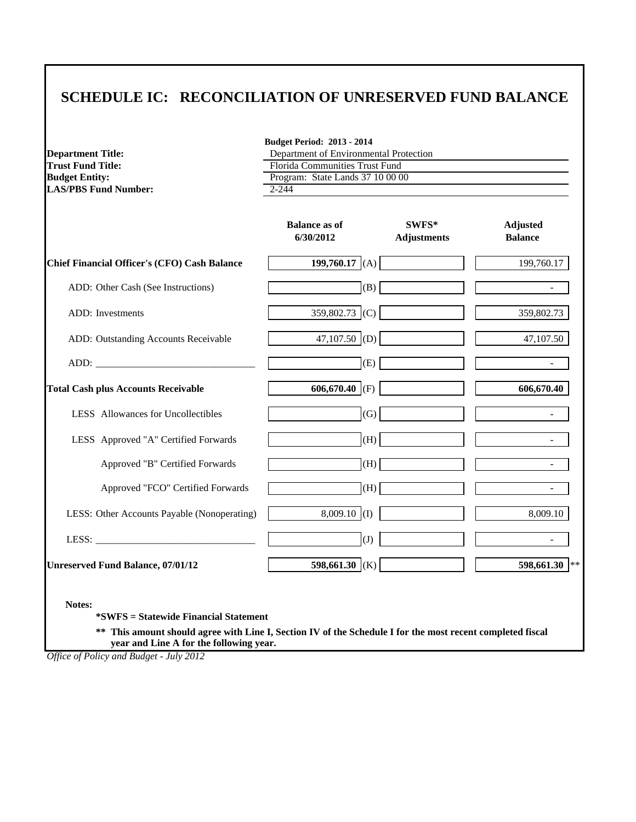| <b>Department Title:</b>                            | <b>Budget Period: 2013 - 2014</b><br>Department of Environmental Protection |                             |                                   |  |  |
|-----------------------------------------------------|-----------------------------------------------------------------------------|-----------------------------|-----------------------------------|--|--|
| <b>Trust Fund Title:</b>                            | <b>Florida Communities Trust Fund</b>                                       |                             |                                   |  |  |
| <b>Budget Entity:</b>                               | Program: State Lands 37 10 00 00                                            |                             |                                   |  |  |
| <b>LAS/PBS Fund Number:</b>                         | $2 - 244$                                                                   |                             |                                   |  |  |
|                                                     | <b>Balance as of</b><br>6/30/2012                                           | SWFS*<br><b>Adjustments</b> | <b>Adjusted</b><br><b>Balance</b> |  |  |
| <b>Chief Financial Officer's (CFO) Cash Balance</b> | 199,760.17 (A)                                                              |                             | 199,760.17                        |  |  |
| ADD: Other Cash (See Instructions)                  | (B)                                                                         |                             |                                   |  |  |
| <b>ADD</b> : Investments                            | $359,802.73$ (C)                                                            |                             | 359,802.73                        |  |  |
| ADD: Outstanding Accounts Receivable                | 47,107.50 (D)                                                               |                             | 47,107.50                         |  |  |
|                                                     | (E)                                                                         |                             |                                   |  |  |
| <b>Total Cash plus Accounts Receivable</b>          | 606,670.40 (F)                                                              |                             | 606,670.40                        |  |  |
| LESS Allowances for Uncollectibles                  | (G)                                                                         |                             |                                   |  |  |
| LESS Approved "A" Certified Forwards                | (H)                                                                         |                             |                                   |  |  |
| Approved "B" Certified Forwards                     | (H)                                                                         |                             |                                   |  |  |
| Approved "FCO" Certified Forwards                   | (H)                                                                         |                             |                                   |  |  |
| LESS: Other Accounts Payable (Nonoperating)         | $8,009.10$ (I)                                                              |                             | 8,009.10                          |  |  |
|                                                     | (J)                                                                         |                             |                                   |  |  |
| <b>Unreserved Fund Balance, 07/01/12</b>            | 598,661.30 (K)                                                              |                             | 598,661.30<br>$\ast$ $\ast$       |  |  |

**\*SWFS = Statewide Financial Statement** 

**\*\* This amount should agree with Line I, Section IV of the Schedule I for the most recent completed fiscal year and Line A for the following year.**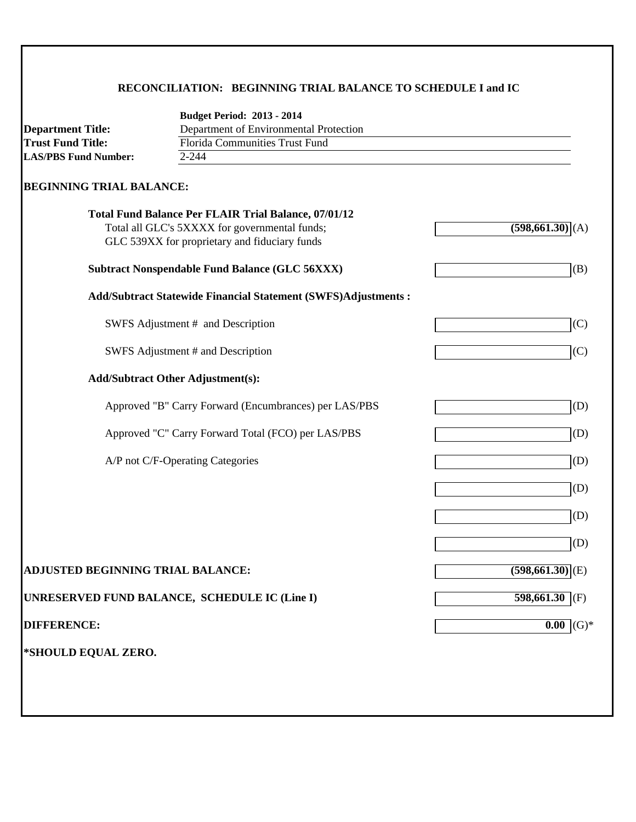#### **RECONCILIATION: BEGINNING TRIAL BALANCE TO SCHEDULE I and IC**

|                                          | <b>Budget Period: 2013 - 2014</b>                                    |                               |  |  |  |
|------------------------------------------|----------------------------------------------------------------------|-------------------------------|--|--|--|
| <b>Department Title:</b>                 | Department of Environmental Protection                               |                               |  |  |  |
| <b>Trust Fund Title:</b>                 | <b>Florida Communities Trust Fund</b>                                |                               |  |  |  |
| <b>LAS/PBS Fund Number:</b>              | $2 - 244$                                                            |                               |  |  |  |
| <b>BEGINNING TRIAL BALANCE:</b>          |                                                                      |                               |  |  |  |
|                                          | <b>Total Fund Balance Per FLAIR Trial Balance, 07/01/12</b>          |                               |  |  |  |
|                                          | Total all GLC's 5XXXX for governmental funds;                        | $(598,661.30)$ (A)            |  |  |  |
|                                          | GLC 539XX for proprietary and fiduciary funds                        |                               |  |  |  |
|                                          | <b>Subtract Nonspendable Fund Balance (GLC 56XXX)</b>                | (B)                           |  |  |  |
|                                          | <b>Add/Subtract Statewide Financial Statement (SWFS)Adjustments:</b> |                               |  |  |  |
|                                          | SWFS Adjustment # and Description                                    | (C)                           |  |  |  |
|                                          | SWFS Adjustment # and Description                                    | (C)                           |  |  |  |
|                                          | <b>Add/Subtract Other Adjustment(s):</b>                             |                               |  |  |  |
|                                          | Approved "B" Carry Forward (Encumbrances) per LAS/PBS                | (D)                           |  |  |  |
|                                          | Approved "C" Carry Forward Total (FCO) per LAS/PBS                   | (D)                           |  |  |  |
|                                          | A/P not C/F-Operating Categories                                     | (D)                           |  |  |  |
|                                          |                                                                      | (D)                           |  |  |  |
|                                          |                                                                      | (D)                           |  |  |  |
|                                          |                                                                      | (D)                           |  |  |  |
| <b>ADJUSTED BEGINNING TRIAL BALANCE:</b> |                                                                      | $(598,661.30)$ <sub>(E)</sub> |  |  |  |
|                                          | UNRESERVED FUND BALANCE, SCHEDULE IC (Line I)                        | $598,661.30$ (F)              |  |  |  |
| <b>DIFFERENCE:</b>                       |                                                                      | $(G)$ *<br>0.00               |  |  |  |
| *SHOULD EQUAL ZERO.                      |                                                                      |                               |  |  |  |
|                                          |                                                                      |                               |  |  |  |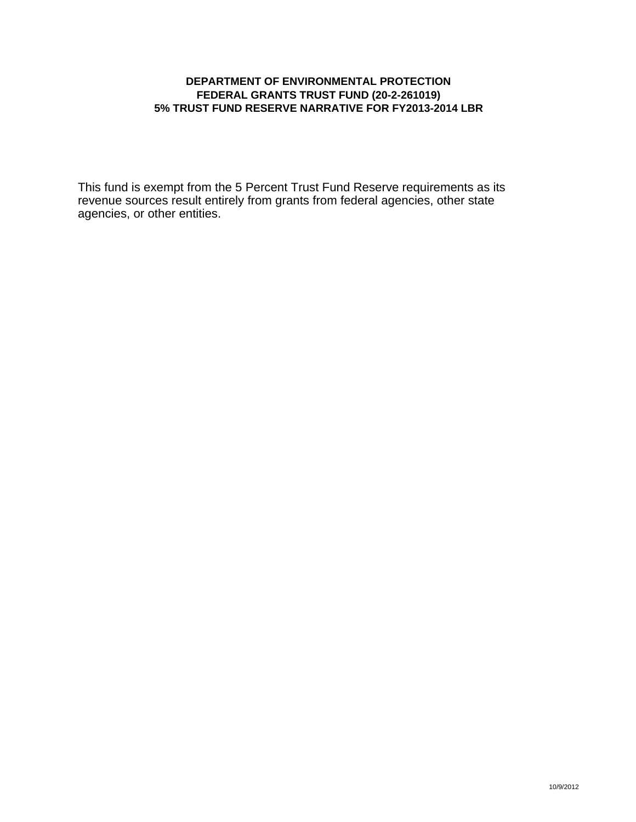#### **DEPARTMENT OF ENVIRONMENTAL PROTECTION FEDERAL GRANTS TRUST FUND (20-2-261019) 5% TRUST FUND RESERVE NARRATIVE FOR FY2013-2014 LBR**

This fund is exempt from the 5 Percent Trust Fund Reserve requirements as its revenue sources result entirely from grants from federal agencies, other state agencies, or other entities.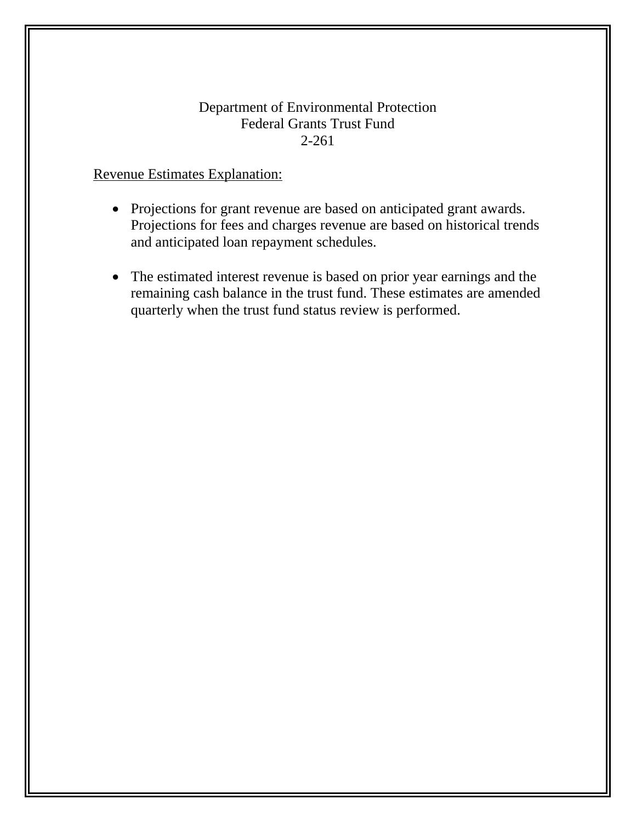#### Department of Environmental Protection Federal Grants Trust Fund 2-261

# Revenue Estimates Explanation:

- Projections for grant revenue are based on anticipated grant awards. Projections for fees and charges revenue are based on historical trends and anticipated loan repayment schedules.
- The estimated interest revenue is based on prior year earnings and the remaining cash balance in the trust fund. These estimates are amended quarterly when the trust fund status review is performed.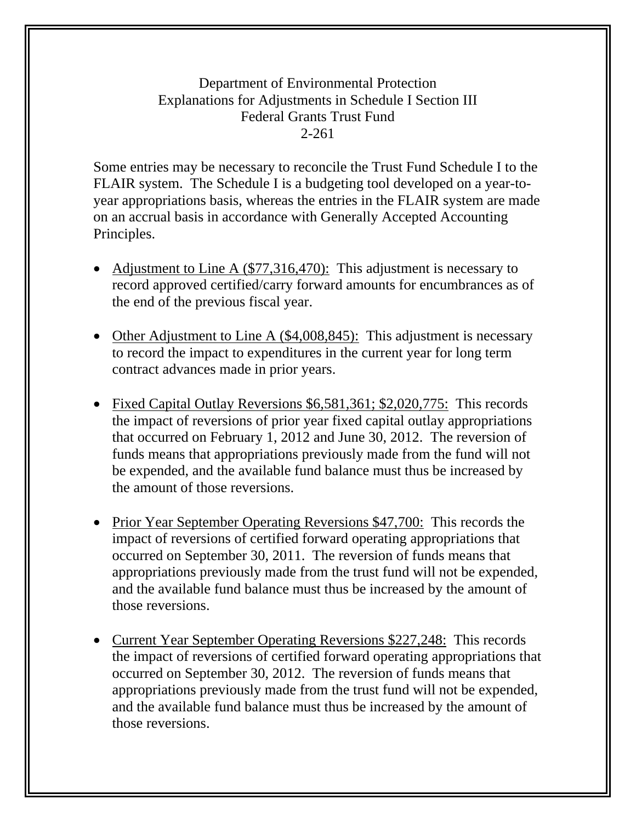# Department of Environmental Protection Explanations for Adjustments in Schedule I Section III Federal Grants Trust Fund 2-261

Some entries may be necessary to reconcile the Trust Fund Schedule I to the FLAIR system. The Schedule I is a budgeting tool developed on a year-toyear appropriations basis, whereas the entries in the FLAIR system are made on an accrual basis in accordance with Generally Accepted Accounting Principles.

- Adjustment to Line A (\$77,316,470): This adjustment is necessary to record approved certified/carry forward amounts for encumbrances as of the end of the previous fiscal year.
- Other Adjustment to Line A (\$4,008,845): This adjustment is necessary to record the impact to expenditures in the current year for long term contract advances made in prior years.
- Fixed Capital Outlay Reversions \$6,581,361; \$2,020,775: This records the impact of reversions of prior year fixed capital outlay appropriations that occurred on February 1, 2012 and June 30, 2012. The reversion of funds means that appropriations previously made from the fund will not be expended, and the available fund balance must thus be increased by the amount of those reversions.
- Prior Year September Operating Reversions \$47,700: This records the impact of reversions of certified forward operating appropriations that occurred on September 30, 2011. The reversion of funds means that appropriations previously made from the trust fund will not be expended, and the available fund balance must thus be increased by the amount of those reversions.
- Current Year September Operating Reversions \$227,248: This records the impact of reversions of certified forward operating appropriations that occurred on September 30, 2012. The reversion of funds means that appropriations previously made from the trust fund will not be expended, and the available fund balance must thus be increased by the amount of those reversions.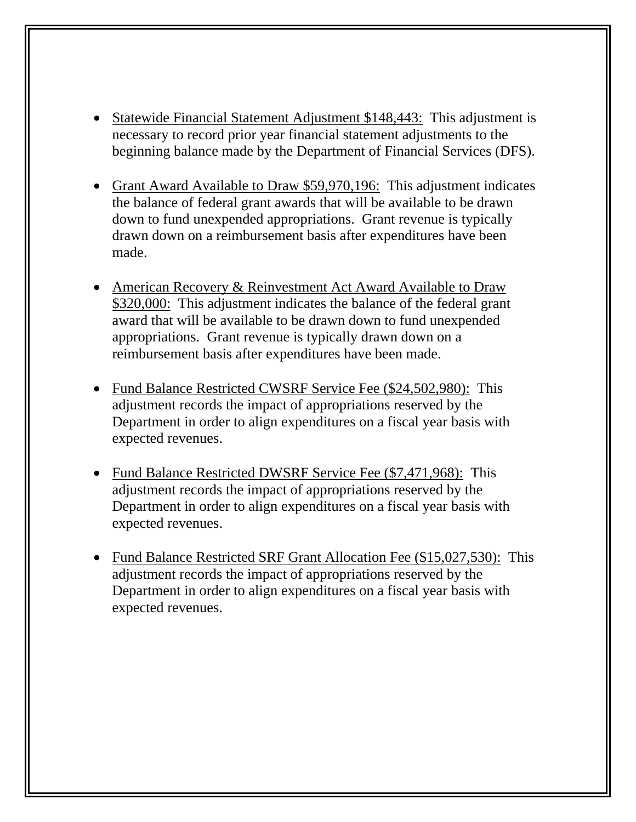- Statewide Financial Statement Adjustment \$148,443: This adjustment is necessary to record prior year financial statement adjustments to the beginning balance made by the Department of Financial Services (DFS).
- Grant Award Available to Draw \$59,970,196: This adjustment indicates the balance of federal grant awards that will be available to be drawn down to fund unexpended appropriations. Grant revenue is typically drawn down on a reimbursement basis after expenditures have been made.
- American Recovery & Reinvestment Act Award Available to Draw \$320,000: This adjustment indicates the balance of the federal grant award that will be available to be drawn down to fund unexpended appropriations. Grant revenue is typically drawn down on a reimbursement basis after expenditures have been made.
- Fund Balance Restricted CWSRF Service Fee (\$24,502,980): This adjustment records the impact of appropriations reserved by the Department in order to align expenditures on a fiscal year basis with expected revenues.
- Fund Balance Restricted DWSRF Service Fee (\$7,471,968): This adjustment records the impact of appropriations reserved by the Department in order to align expenditures on a fiscal year basis with expected revenues.
- Fund Balance Restricted SRF Grant Allocation Fee (\$15,027,530): This adjustment records the impact of appropriations reserved by the Department in order to align expenditures on a fiscal year basis with expected revenues.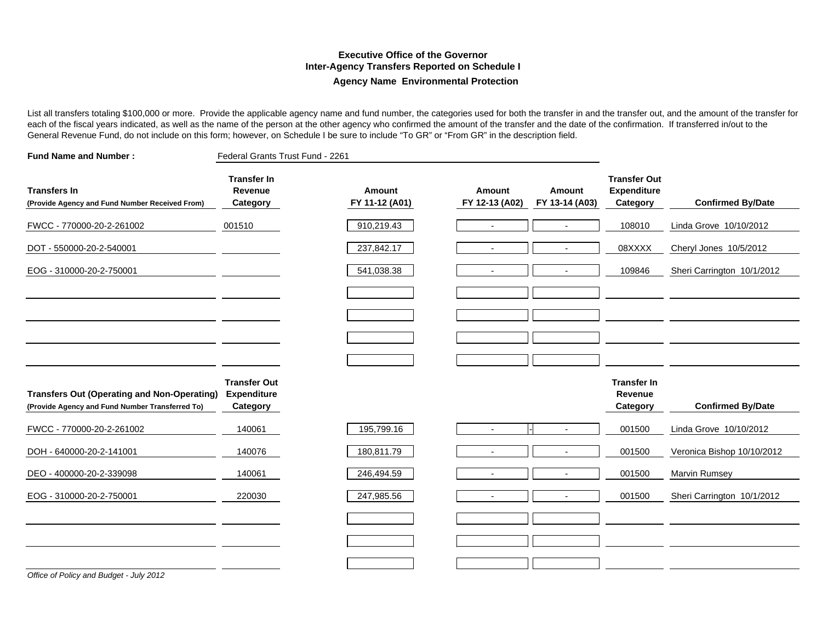#### **Executive Office of the GovernorInter-Agency Transfers Reported on Schedule I Agency Name Environmental Protection**

List all transfers totaling \$100,000 or more. Provide the applicable agency name and fund number, the categories used for both the transfer in and the transfer out, and the amount of the transfer for each of the fiscal years indicated, as well as the name of the person at the other agency who confirmed the amount of the transfer and the date of the confirmation. If transferred in/out to the General Revenue Fund, do not include on this form; however, on Schedule I be sure to include "To GR" or "From GR" in the description field.

| <b>Fund Name and Number:</b>                                                                          | Federal Grants Trust Fund - 2261                      |                          |                          |                          |                                                       |                            |
|-------------------------------------------------------------------------------------------------------|-------------------------------------------------------|--------------------------|--------------------------|--------------------------|-------------------------------------------------------|----------------------------|
| <b>Transfers In</b><br>(Provide Agency and Fund Number Received From)                                 | <b>Transfer In</b><br>Revenue<br>Category             | Amount<br>FY 11-12 (A01) | Amount<br>FY 12-13 (A02) | Amount<br>FY 13-14 (A03) | <b>Transfer Out</b><br><b>Expenditure</b><br>Category | <b>Confirmed By/Date</b>   |
| FWCC - 770000-20-2-261002                                                                             | 001510                                                | 910,219.43               | $\sim$                   | $\overline{\phantom{a}}$ | 108010                                                | Linda Grove 10/10/2012     |
| DOT - 550000-20-2-540001                                                                              |                                                       | 237,842.17               | $\overline{\phantom{a}}$ | $\overline{\phantom{a}}$ | 08XXXX                                                | Cheryl Jones 10/5/2012     |
| EOG - 310000-20-2-750001                                                                              |                                                       | 541,038.38               | $\overline{\phantom{a}}$ | $\blacksquare$           | 109846                                                | Sheri Carrington 10/1/2012 |
|                                                                                                       |                                                       |                          |                          |                          |                                                       |                            |
|                                                                                                       |                                                       |                          |                          |                          |                                                       |                            |
|                                                                                                       |                                                       |                          |                          |                          |                                                       |                            |
|                                                                                                       |                                                       |                          |                          |                          |                                                       |                            |
| <b>Transfers Out (Operating and Non-Operating)</b><br>(Provide Agency and Fund Number Transferred To) | <b>Transfer Out</b><br><b>Expenditure</b><br>Category |                          |                          |                          | <b>Transfer In</b><br>Revenue<br>Category             | <b>Confirmed By/Date</b>   |
| FWCC - 770000-20-2-261002                                                                             | 140061                                                | 195,799.16               | $\blacksquare$           | $\blacksquare$           | 001500                                                | Linda Grove 10/10/2012     |
| DOH - 640000-20-2-141001                                                                              | 140076                                                | 180,811.79               | $\overline{\phantom{a}}$ | $\blacksquare$           | 001500                                                | Veronica Bishop 10/10/2012 |
| DEO - 400000-20-2-339098                                                                              | 140061                                                | 246,494.59               | $\overline{\phantom{a}}$ | $\blacksquare$           | 001500                                                | Marvin Rumsey              |
| EOG - 310000-20-2-750001                                                                              | 220030                                                | 247,985.56               | $\overline{\phantom{a}}$ | $\blacksquare$           | 001500                                                | Sheri Carrington 10/1/2012 |
|                                                                                                       |                                                       |                          |                          |                          |                                                       |                            |
|                                                                                                       |                                                       |                          |                          |                          |                                                       |                            |
|                                                                                                       |                                                       |                          |                          |                          |                                                       |                            |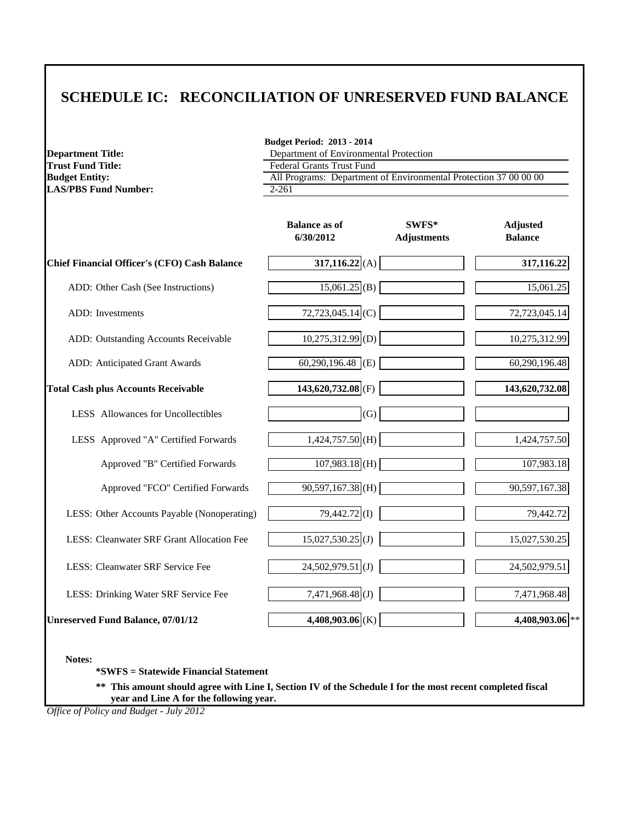**Budget Period: 2013 - 2014**

| <b>Department Title:</b>                                                                  | Department of Environmental Protection |                    |                 |  |  |
|-------------------------------------------------------------------------------------------|----------------------------------------|--------------------|-----------------|--|--|
| <b>Trust Fund Title:</b>                                                                  | <b>Federal Grants Trust Fund</b>       |                    |                 |  |  |
| All Programs: Department of Environmental Protection 37 00 00 00<br><b>Budget Entity:</b> |                                        |                    |                 |  |  |
| <b>LAS/PBS Fund Number:</b>                                                               | 2-261                                  |                    |                 |  |  |
|                                                                                           |                                        |                    |                 |  |  |
|                                                                                           |                                        |                    |                 |  |  |
|                                                                                           | <b>Balance as of</b>                   | SWFS*              | <b>Adjusted</b> |  |  |
|                                                                                           | 6/30/2012                              | <b>Adjustments</b> | <b>Balance</b>  |  |  |
| <b>Chief Financial Officer's (CFO) Cash Balance</b>                                       | $317,116.22$ <sub>(A)</sub>            |                    | 317,116.22      |  |  |
| ADD: Other Cash (See Instructions)                                                        | $15,061.25$ (B)                        |                    | 15,061.25       |  |  |
| <b>ADD</b> : Investments                                                                  | $72,723,045.14$ <sub>(C)</sub>         |                    | 72,723,045.14   |  |  |
| ADD: Outstanding Accounts Receivable                                                      | $10,275,312.99$ (D)                    |                    | 10,275,312.99   |  |  |
| ADD: Anticipated Grant Awards                                                             | $60,290,196.48$ (E)                    |                    | 60,290,196.48   |  |  |
| <b>Total Cash plus Accounts Receivable</b>                                                | $143,620,732.08$ <sub>(F)</sub>        |                    | 143,620,732.08  |  |  |
| LESS Allowances for Uncollectibles                                                        | (G)                                    |                    |                 |  |  |
| LESS Approved "A" Certified Forwards                                                      | $1,424,757.50$ (H)                     |                    | 1,424,757.50    |  |  |
| Approved "B" Certified Forwards                                                           | $107,983.18$ (H)                       |                    | 107,983.18      |  |  |
| Approved "FCO" Certified Forwards                                                         | $90,597,167.38$ (H)                    |                    | 90,597,167.38   |  |  |
| LESS: Other Accounts Payable (Nonoperating)                                               | 79,442.72 <sub>(I)</sub>               |                    | 79,442.72       |  |  |
| LESS: Cleanwater SRF Grant Allocation Fee                                                 | $15,027,530.25$ <sub>(J)</sub>         |                    | 15,027,530.25   |  |  |
| LESS: Cleanwater SRF Service Fee                                                          | 24,502,979.51 (J)                      |                    | 24,502,979.51   |  |  |
| LESS: Drinking Water SRF Service Fee                                                      | $7,471,968.48$ (J)                     |                    | 7,471,968.48    |  |  |
| <b>Unreserved Fund Balance, 07/01/12</b>                                                  | $4,408,903.06$ <sub>(K)</sub>          |                    | 4,408,903.06    |  |  |

**Notes:**

**\*SWFS = Statewide Financial Statement** 

**\*\* This amount should agree with Line I, Section IV of the Schedule I for the most recent completed fiscal year and Line A for the following year.**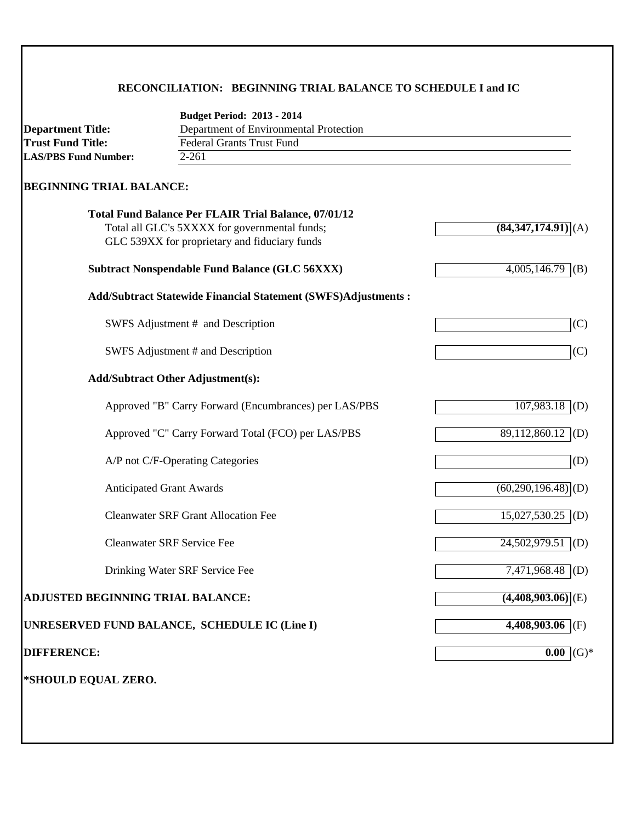### **RECONCILIATION: BEGINNING TRIAL BALANCE TO SCHEDULE I and IC**

|                                   | <b>Budget Period: 2013 - 2014</b>                              |                                  |
|-----------------------------------|----------------------------------------------------------------|----------------------------------|
| <b>Department Title:</b>          | Department of Environmental Protection                         |                                  |
| <b>Trust Fund Title:</b>          | <b>Federal Grants Trust Fund</b>                               |                                  |
| <b>LAS/PBS Fund Number:</b>       | $2 - 261$                                                      |                                  |
| <b>BEGINNING TRIAL BALANCE:</b>   |                                                                |                                  |
|                                   | <b>Total Fund Balance Per FLAIR Trial Balance, 07/01/12</b>    |                                  |
|                                   | Total all GLC's 5XXXX for governmental funds;                  | (84,347,174.91)(A)               |
|                                   | GLC 539XX for proprietary and fiduciary funds                  |                                  |
|                                   | <b>Subtract Nonspendable Fund Balance (GLC 56XXX)</b>          | 4,005,146.79<br>(B)              |
|                                   | Add/Subtract Statewide Financial Statement (SWFS)Adjustments : |                                  |
|                                   | SWFS Adjustment # and Description                              | (C)                              |
|                                   | SWFS Adjustment # and Description                              | (C)                              |
|                                   | <b>Add/Subtract Other Adjustment(s):</b>                       |                                  |
|                                   | Approved "B" Carry Forward (Encumbrances) per LAS/PBS          | $107,983.18$ (D)                 |
|                                   | Approved "C" Carry Forward Total (FCO) per LAS/PBS             | 89,112,860.12 (D)                |
|                                   | A/P not C/F-Operating Categories                               | (D)                              |
|                                   | <b>Anticipated Grant Awards</b>                                | $(60,290,196.48)$ <sup>(D)</sup> |
|                                   | <b>Cleanwater SRF Grant Allocation Fee</b>                     | $15,027,530.25$ (D)              |
|                                   | <b>Cleanwater SRF Service Fee</b>                              | 24,502,979.51 (D)                |
|                                   | Drinking Water SRF Service Fee                                 | 7,471,968.48 (D)                 |
| ADJUSTED BEGINNING TRIAL BALANCE: |                                                                | $(4,408,903.06)$ <sup>(E)</sup>  |
|                                   | UNRESERVED FUND BALANCE, SCHEDULE IC (Line I)                  | $4,408,903.06$ (F)               |
| <b>DIFFERENCE:</b>                |                                                                | $0.00$ (G)*                      |
| *SHOULD EQUAL ZERO.               |                                                                |                                  |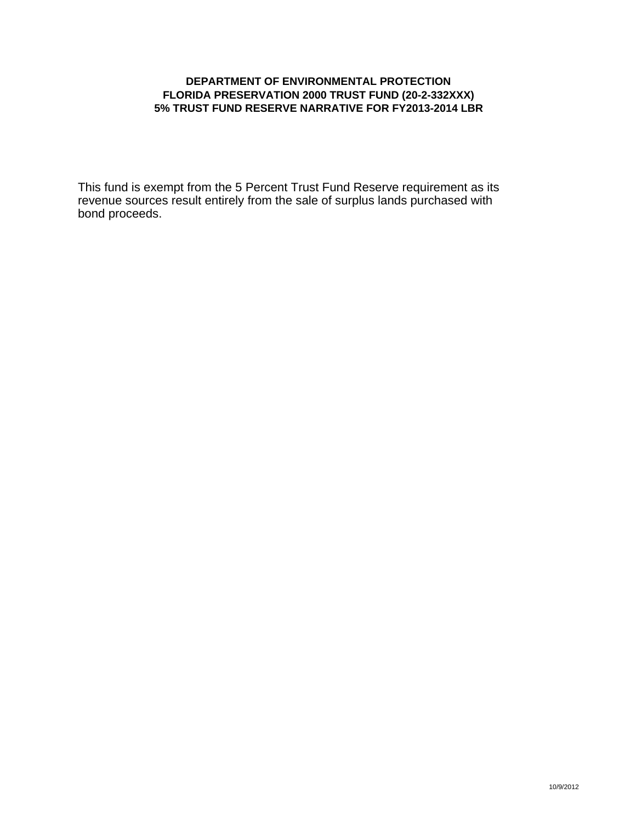#### **DEPARTMENT OF ENVIRONMENTAL PROTECTION FLORIDA PRESERVATION 2000 TRUST FUND (20-2-332XXX) 5% TRUST FUND RESERVE NARRATIVE FOR FY2013-2014 LBR**

This fund is exempt from the 5 Percent Trust Fund Reserve requirement as its revenue sources result entirely from the sale of surplus lands purchased with bond proceeds.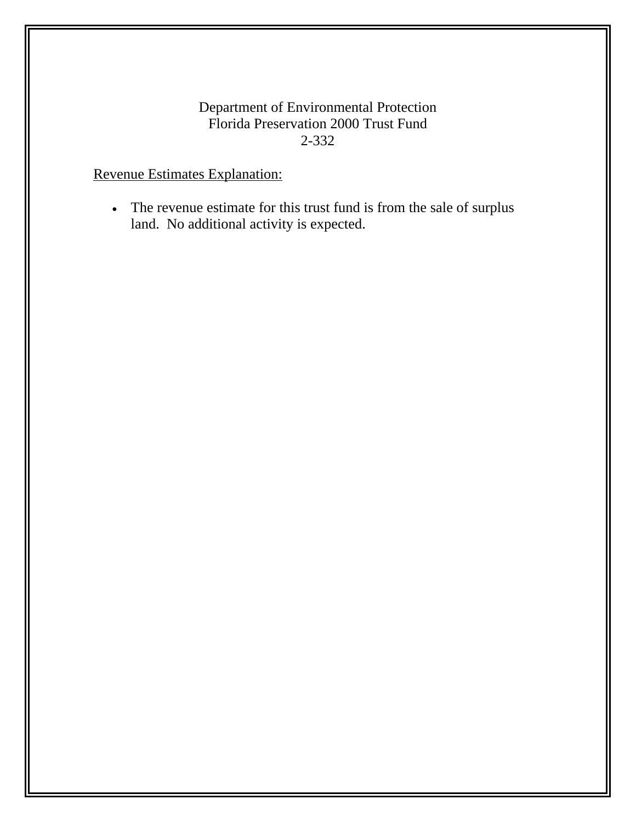#### Department of Environmental Protection Florida Preservation 2000 Trust Fund 2-332

Revenue Estimates Explanation:

 The revenue estimate for this trust fund is from the sale of surplus land. No additional activity is expected.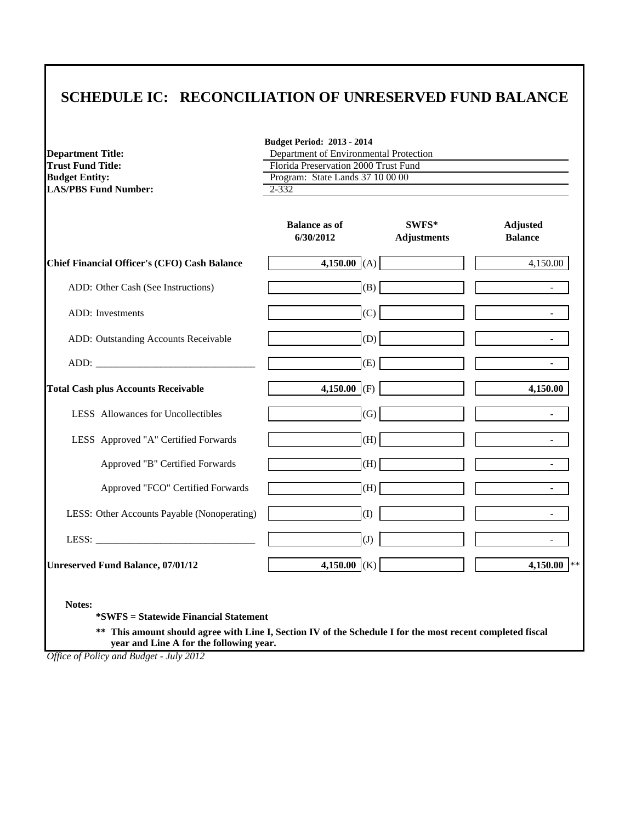| <b>Department Title:</b>                            | <b>Budget Period: 2013 - 2014</b><br>Department of Environmental Protection |                                |                                   |  |  |
|-----------------------------------------------------|-----------------------------------------------------------------------------|--------------------------------|-----------------------------------|--|--|
| <b>Trust Fund Title:</b>                            | Florida Preservation 2000 Trust Fund                                        |                                |                                   |  |  |
| <b>Budget Entity:</b>                               | Program: State Lands 37 10 00 00                                            |                                |                                   |  |  |
| <b>LAS/PBS Fund Number:</b>                         | 2-332                                                                       |                                |                                   |  |  |
|                                                     | <b>Balance as of</b><br>6/30/2012                                           | $SWFS^*$<br><b>Adjustments</b> | <b>Adjusted</b><br><b>Balance</b> |  |  |
| <b>Chief Financial Officer's (CFO) Cash Balance</b> | 4,150.00 (A)                                                                |                                | 4,150.00                          |  |  |
| ADD: Other Cash (See Instructions)                  | (B)                                                                         |                                | $\sim$                            |  |  |
| ADD: Investments                                    | (C)                                                                         |                                |                                   |  |  |
| ADD: Outstanding Accounts Receivable                | (D)                                                                         |                                |                                   |  |  |
|                                                     | (E)                                                                         |                                |                                   |  |  |
| <b>Total Cash plus Accounts Receivable</b>          | 4,150.00 (F)                                                                |                                | 4,150.00                          |  |  |
| LESS Allowances for Uncollectibles                  | (G)                                                                         |                                |                                   |  |  |
| LESS Approved "A" Certified Forwards                | (H)                                                                         |                                |                                   |  |  |
| Approved "B" Certified Forwards                     | (H)                                                                         |                                |                                   |  |  |
| Approved "FCO" Certified Forwards                   | (H)                                                                         |                                |                                   |  |  |
| LESS: Other Accounts Payable (Nonoperating)         | (I)                                                                         |                                |                                   |  |  |
|                                                     | (J)                                                                         |                                |                                   |  |  |
| <b>Unreserved Fund Balance, 07/01/12</b>            | 4,150.00 (K)                                                                |                                | 4,150.00 $ **$                    |  |  |

**\*\* This amount should agree with Line I, Section IV of the Schedule I for the most recent completed fiscal year and Line A for the following year.**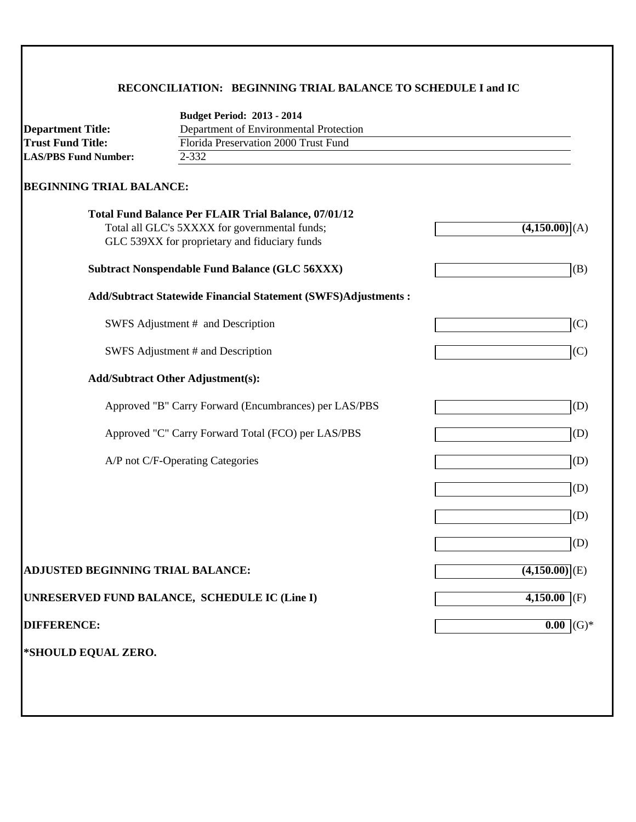#### **RECONCILIATION: BEGINNING TRIAL BALANCE TO SCHEDULE I and IC**

|                                          | <b>Budget Period: 2013 - 2014</b>                                    |                  |  |
|------------------------------------------|----------------------------------------------------------------------|------------------|--|
| <b>Department Title:</b>                 | Department of Environmental Protection                               |                  |  |
| <b>Trust Fund Title:</b>                 | Florida Preservation 2000 Trust Fund                                 |                  |  |
| <b>LAS/PBS Fund Number:</b>              | $2 - 332$                                                            |                  |  |
| <b>BEGINNING TRIAL BALANCE:</b>          |                                                                      |                  |  |
|                                          | <b>Total Fund Balance Per FLAIR Trial Balance, 07/01/12</b>          |                  |  |
|                                          | Total all GLC's 5XXXX for governmental funds;                        | $(4,150.00)$ (A) |  |
|                                          | GLC 539XX for proprietary and fiduciary funds                        |                  |  |
|                                          | <b>Subtract Nonspendable Fund Balance (GLC 56XXX)</b>                | (B)              |  |
|                                          | <b>Add/Subtract Statewide Financial Statement (SWFS)Adjustments:</b> |                  |  |
|                                          | SWFS Adjustment # and Description                                    | (C)              |  |
|                                          | SWFS Adjustment # and Description                                    | (C)              |  |
|                                          | <b>Add/Subtract Other Adjustment(s):</b>                             |                  |  |
|                                          | Approved "B" Carry Forward (Encumbrances) per LAS/PBS                | (D)              |  |
|                                          | Approved "C" Carry Forward Total (FCO) per LAS/PBS                   | (D)              |  |
|                                          | A/P not C/F-Operating Categories                                     | (D)              |  |
|                                          |                                                                      | (D)              |  |
|                                          |                                                                      | (D)              |  |
|                                          |                                                                      | (D)              |  |
| <b>ADJUSTED BEGINNING TRIAL BALANCE:</b> |                                                                      | $(4,150.00)$ (E) |  |
|                                          | UNRESERVED FUND BALANCE, SCHEDULE IC (Line I)                        | $4,150.00$ (F)   |  |
| <b>DIFFERENCE:</b>                       |                                                                      | $(G)*$<br>0.00   |  |
| *SHOULD EQUAL ZERO.                      |                                                                      |                  |  |
|                                          |                                                                      |                  |  |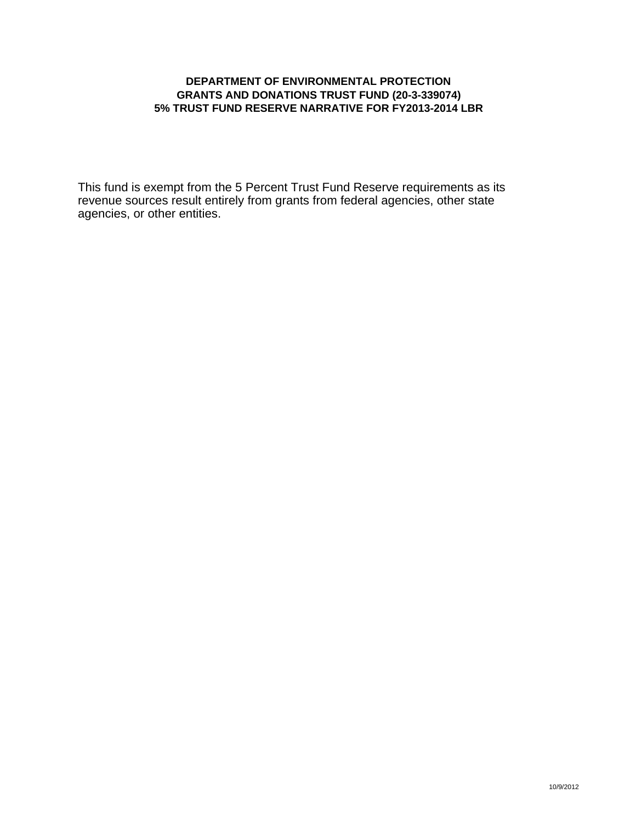#### **DEPARTMENT OF ENVIRONMENTAL PROTECTION GRANTS AND DONATIONS TRUST FUND (20-3-339074) 5% TRUST FUND RESERVE NARRATIVE FOR FY2013-2014 LBR**

This fund is exempt from the 5 Percent Trust Fund Reserve requirements as its revenue sources result entirely from grants from federal agencies, other state agencies, or other entities.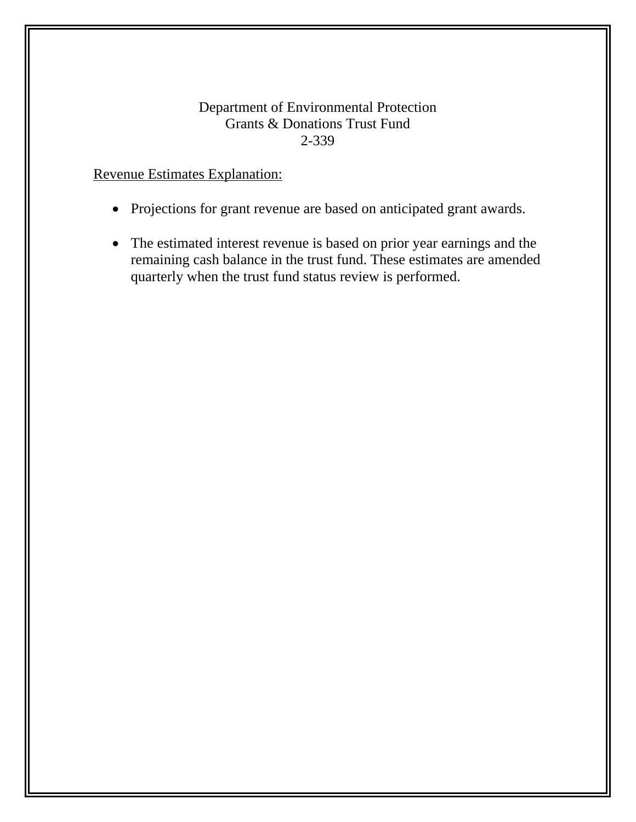#### Department of Environmental Protection Grants & Donations Trust Fund 2-339

# Revenue Estimates Explanation:

- Projections for grant revenue are based on anticipated grant awards.
- The estimated interest revenue is based on prior year earnings and the remaining cash balance in the trust fund. These estimates are amended quarterly when the trust fund status review is performed.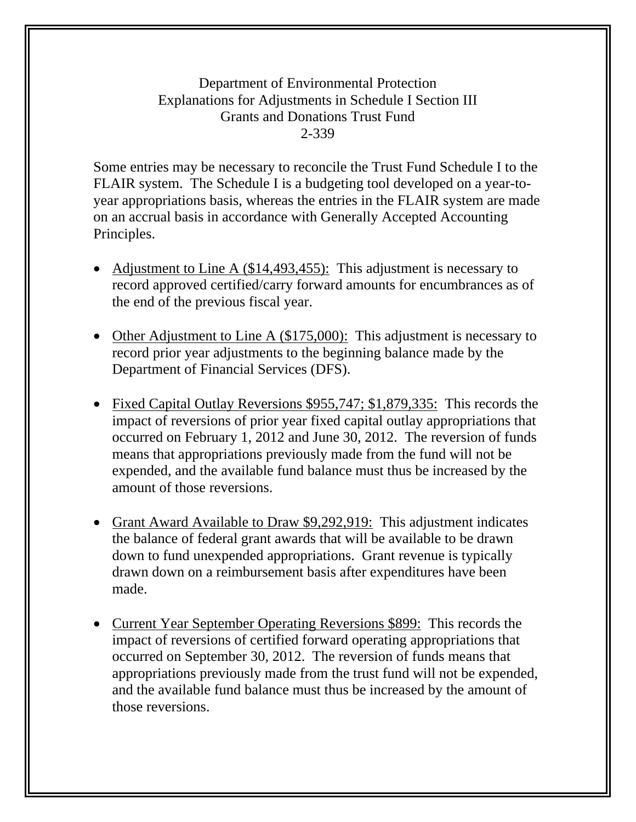# Department of Environmental Protection Explanations for Adjustments in Schedule I Section III Grants and Donations Trust Fund 2-339

Some entries may be necessary to reconcile the Trust Fund Schedule I to the FLAIR system. The Schedule I is a budgeting tool developed on a year-toyear appropriations basis, whereas the entries in the FLAIR system are made on an accrual basis in accordance with Generally Accepted Accounting Principles.

- Adjustment to Line A (\$14,493,455): This adjustment is necessary to record approved certified/carry forward amounts for encumbrances as of the end of the previous fiscal year.
- Other Adjustment to Line A (\$175,000): This adjustment is necessary to record prior year adjustments to the beginning balance made by the Department of Financial Services (DFS).
- Fixed Capital Outlay Reversions \$955,747; \$1,879,335: This records the impact of reversions of prior year fixed capital outlay appropriations that occurred on February 1, 2012 and June 30, 2012. The reversion of funds means that appropriations previously made from the fund will not be expended, and the available fund balance must thus be increased by the amount of those reversions.
- Grant Award Available to Draw \$9,292,919: This adjustment indicates the balance of federal grant awards that will be available to be drawn down to fund unexpended appropriations. Grant revenue is typically drawn down on a reimbursement basis after expenditures have been made.
- Current Year September Operating Reversions \$899: This records the impact of reversions of certified forward operating appropriations that occurred on September 30, 2012. The reversion of funds means that appropriations previously made from the trust fund will not be expended, and the available fund balance must thus be increased by the amount of those reversions.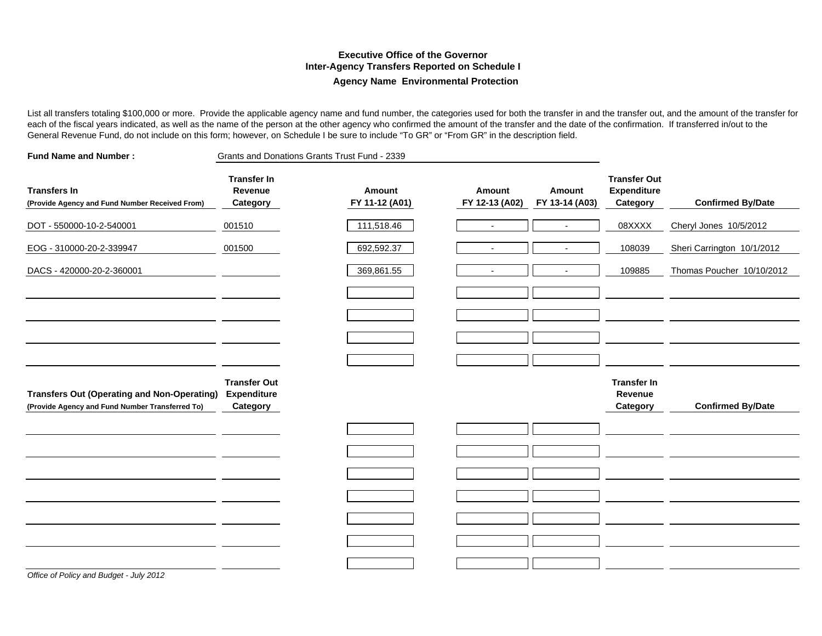#### **Executive Office of the GovernorInter-Agency Transfers Reported on Schedule I Agency Name Environmental Protection**

List all transfers totaling \$100,000 or more. Provide the applicable agency name and fund number, the categories used for both the transfer in and the transfer out, and the amount of the transfer for each of the fiscal years indicated, as well as the name of the person at the other agency who confirmed the amount of the transfer and the date of the confirmation. If transferred in/out to the General Revenue Fund, do not include on this form; however, on Schedule I be sure to include "To GR" or "From GR" in the description field.

| <b>Fund Name and Number:</b>                                                                          |                                                | Grants and Donations Grants Trust Fund - 2339 |                          |                          |                                                       |                            |
|-------------------------------------------------------------------------------------------------------|------------------------------------------------|-----------------------------------------------|--------------------------|--------------------------|-------------------------------------------------------|----------------------------|
| <b>Transfers In</b><br>(Provide Agency and Fund Number Received From)                                 | <b>Transfer In</b><br>Revenue<br>Category      | Amount<br>FY 11-12 (A01)                      | Amount<br>FY 12-13 (A02) | Amount<br>FY 13-14 (A03) | <b>Transfer Out</b><br><b>Expenditure</b><br>Category | <b>Confirmed By/Date</b>   |
| DOT - 550000-10-2-540001                                                                              | 001510                                         | 111,518.46                                    | $\overline{\phantom{a}}$ | $\overline{\phantom{a}}$ | 08XXXX                                                | Cheryl Jones 10/5/2012     |
| EOG - 310000-20-2-339947                                                                              | 001500                                         | 692,592.37                                    |                          | $\blacksquare$           | 108039                                                | Sheri Carrington 10/1/2012 |
| DACS - 420000-20-2-360001                                                                             |                                                | 369,861.55                                    |                          | $\overline{a}$           | 109885                                                | Thomas Poucher 10/10/2012  |
|                                                                                                       |                                                |                                               |                          |                          |                                                       |                            |
|                                                                                                       |                                                |                                               |                          |                          |                                                       |                            |
|                                                                                                       |                                                |                                               |                          |                          |                                                       |                            |
|                                                                                                       |                                                |                                               |                          |                          |                                                       |                            |
| <b>Transfers Out (Operating and Non-Operating)</b><br>(Provide Agency and Fund Number Transferred To) | <b>Transfer Out</b><br>Expenditure<br>Category |                                               |                          |                          | <b>Transfer In</b><br>Revenue<br>Category             | <b>Confirmed By/Date</b>   |
|                                                                                                       |                                                |                                               |                          |                          |                                                       |                            |
|                                                                                                       |                                                |                                               |                          |                          |                                                       |                            |
|                                                                                                       |                                                |                                               |                          |                          |                                                       |                            |
|                                                                                                       |                                                |                                               |                          |                          |                                                       |                            |
|                                                                                                       |                                                |                                               |                          |                          |                                                       |                            |
|                                                                                                       |                                                |                                               |                          |                          |                                                       |                            |
|                                                                                                       |                                                |                                               |                          |                          |                                                       |                            |
| Office of Policy and Budget - July 2012                                                               |                                                |                                               |                          |                          |                                                       |                            |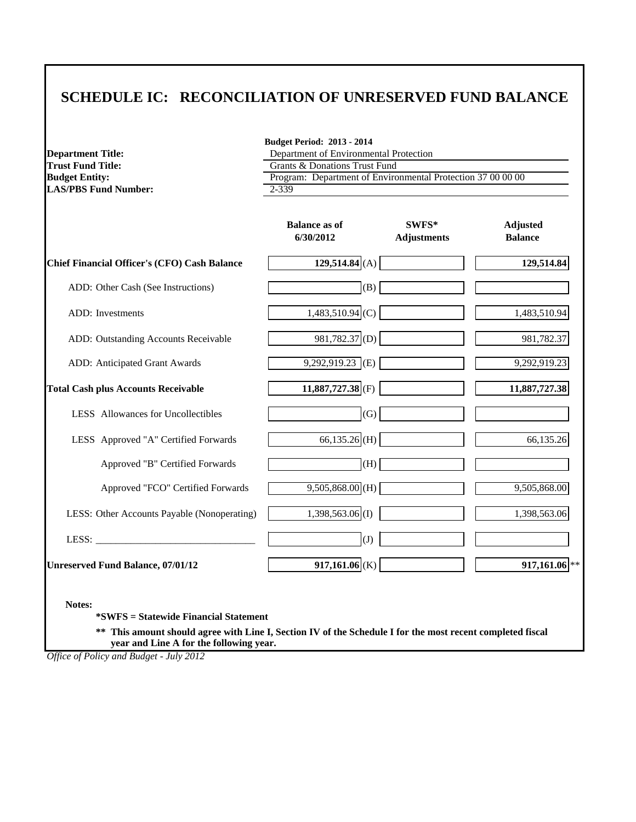| <b>Department Title:</b>                            | <b>Budget Period: 2013 - 2014</b><br>Department of Environmental Protection |                             |                                   |  |
|-----------------------------------------------------|-----------------------------------------------------------------------------|-----------------------------|-----------------------------------|--|
| <b>Trust Fund Title:</b>                            | <b>Grants &amp; Donations Trust Fund</b>                                    |                             |                                   |  |
| <b>Budget Entity:</b>                               | Program: Department of Environmental Protection 37 00 00 00                 |                             |                                   |  |
| <b>LAS/PBS Fund Number:</b>                         | 2-339                                                                       |                             |                                   |  |
|                                                     |                                                                             |                             |                                   |  |
|                                                     | <b>Balance as of</b><br>6/30/2012                                           | SWFS*<br><b>Adjustments</b> | <b>Adjusted</b><br><b>Balance</b> |  |
| <b>Chief Financial Officer's (CFO) Cash Balance</b> | $129,514.84$ <sub>(A)</sub>                                                 |                             | 129,514.84                        |  |
| ADD: Other Cash (See Instructions)                  | (B)                                                                         |                             |                                   |  |
| ADD: Investments                                    | $1,483,510.94$ (C)                                                          |                             | 1,483,510.94                      |  |
| ADD: Outstanding Accounts Receivable                | $981,782.37$ <sub>(D)</sub>                                                 |                             | 981,782.37                        |  |
| ADD: Anticipated Grant Awards                       | $9,292,919.23$ (E)                                                          |                             | 9,292,919.23                      |  |
| <b>Total Cash plus Accounts Receivable</b>          | $11,887,727.38$ <sub>(F)</sub>                                              |                             | 11,887,727.38                     |  |
| LESS Allowances for Uncollectibles                  | (G)                                                                         |                             |                                   |  |
| LESS Approved "A" Certified Forwards                | $66,135.26$ (H)                                                             |                             | 66,135.26                         |  |
| Approved "B" Certified Forwards                     | (H)                                                                         |                             |                                   |  |
| Approved "FCO" Certified Forwards                   | 9,505,868.00 (H)                                                            |                             | 9,505,868.00                      |  |
| LESS: Other Accounts Payable (Nonoperating)         | $1,398,563.06$ <sub>(I)</sub>                                               |                             | 1,398,563.06                      |  |
| LESS:                                               | (J)                                                                         |                             |                                   |  |
| <b>Unreserved Fund Balance, 07/01/12</b>            | $917,161.06$ (K)                                                            |                             | 917,161.06 **                     |  |

**Notes:**

**\*SWFS = Statewide Financial Statement** 

**\*\* This amount should agree with Line I, Section IV of the Schedule I for the most recent completed fiscal year and Line A for the following year.**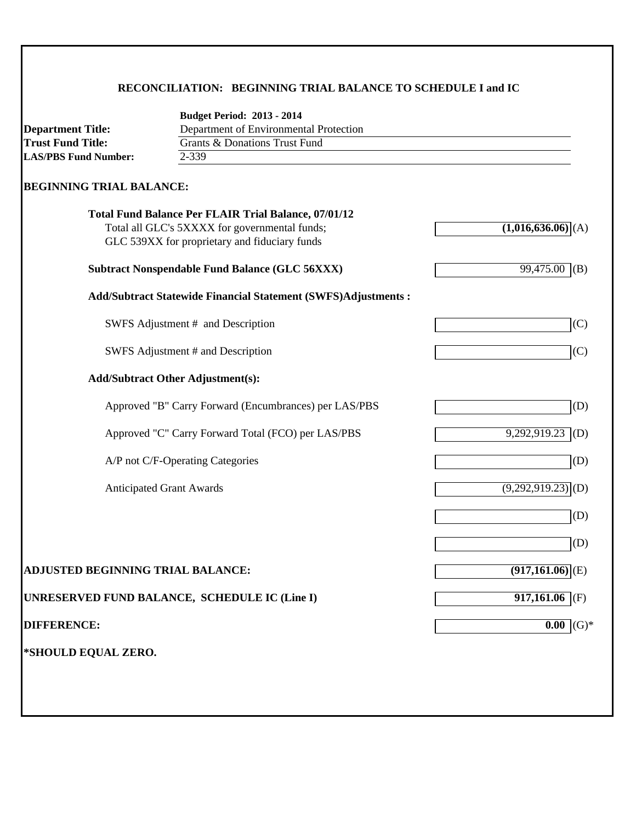### **RECONCILIATION: BEGINNING TRIAL BALANCE TO SCHEDULE I and IC**

|                                          | <b>Budget Period: 2013 - 2014</b>                                    |                                 |
|------------------------------------------|----------------------------------------------------------------------|---------------------------------|
| <b>Department Title:</b>                 | Department of Environmental Protection                               |                                 |
| <b>Trust Fund Title:</b>                 | <b>Grants &amp; Donations Trust Fund</b>                             |                                 |
| <b>LAS/PBS Fund Number:</b>              | 2-339                                                                |                                 |
| <b>BEGINNING TRIAL BALANCE:</b>          |                                                                      |                                 |
|                                          | <b>Total Fund Balance Per FLAIR Trial Balance, 07/01/12</b>          |                                 |
|                                          | Total all GLC's 5XXXX for governmental funds;                        | $(1,016,636.06)$ (A)            |
|                                          | GLC 539XX for proprietary and fiduciary funds                        |                                 |
|                                          | <b>Subtract Nonspendable Fund Balance (GLC 56XXX)</b>                | $\overline{99,47}5.00$ (B)      |
|                                          | <b>Add/Subtract Statewide Financial Statement (SWFS)Adjustments:</b> |                                 |
|                                          | SWFS Adjustment # and Description                                    | (C)                             |
|                                          | SWFS Adjustment # and Description                                    | (C)                             |
|                                          | <b>Add/Subtract Other Adjustment(s):</b>                             |                                 |
|                                          | Approved "B" Carry Forward (Encumbrances) per LAS/PBS                | (D)                             |
|                                          | Approved "C" Carry Forward Total (FCO) per LAS/PBS                   | $9,292,919.23$ (D)              |
|                                          | A/P not C/F-Operating Categories                                     | (D)                             |
|                                          | <b>Anticipated Grant Awards</b>                                      | $(9,292,919.23)$ <sub>(D)</sub> |
|                                          |                                                                      | (D)                             |
|                                          |                                                                      | (D)                             |
| <b>ADJUSTED BEGINNING TRIAL BALANCE:</b> |                                                                      | $(917,161.06)$ <sub>(E)</sub>   |
|                                          | UNRESERVED FUND BALANCE, SCHEDULE IC (Line I)                        | $917,161.06$ (F)                |
| <b>DIFFERENCE:</b>                       |                                                                      | 0.00<br>$(G)*$                  |
| *SHOULD EQUAL ZERO.                      |                                                                      |                                 |
|                                          |                                                                      |                                 |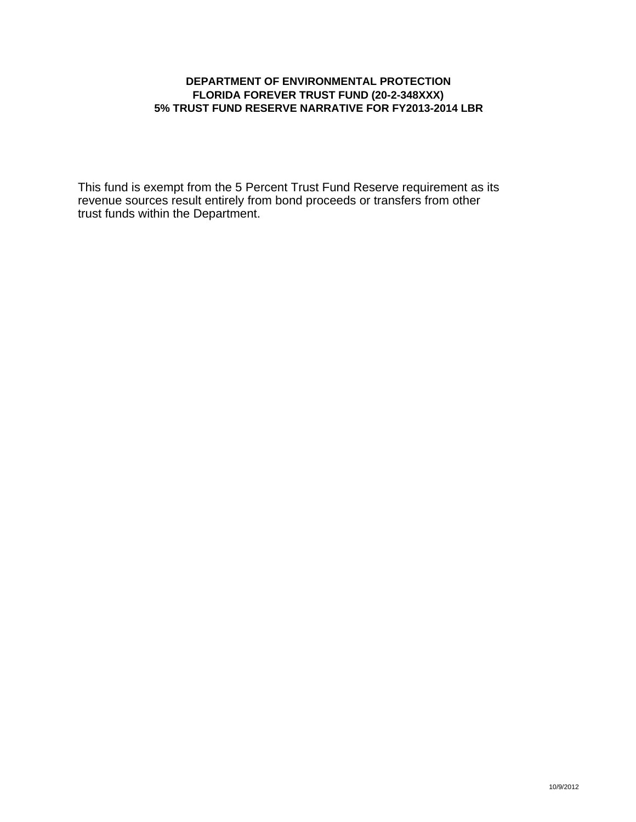### **DEPARTMENT OF ENVIRONMENTAL PROTECTION FLORIDA FOREVER TRUST FUND (20-2-348XXX) 5% TRUST FUND RESERVE NARRATIVE FOR FY2013-2014 LBR**

This fund is exempt from the 5 Percent Trust Fund Reserve requirement as its revenue sources result entirely from bond proceeds or transfers from other trust funds within the Department.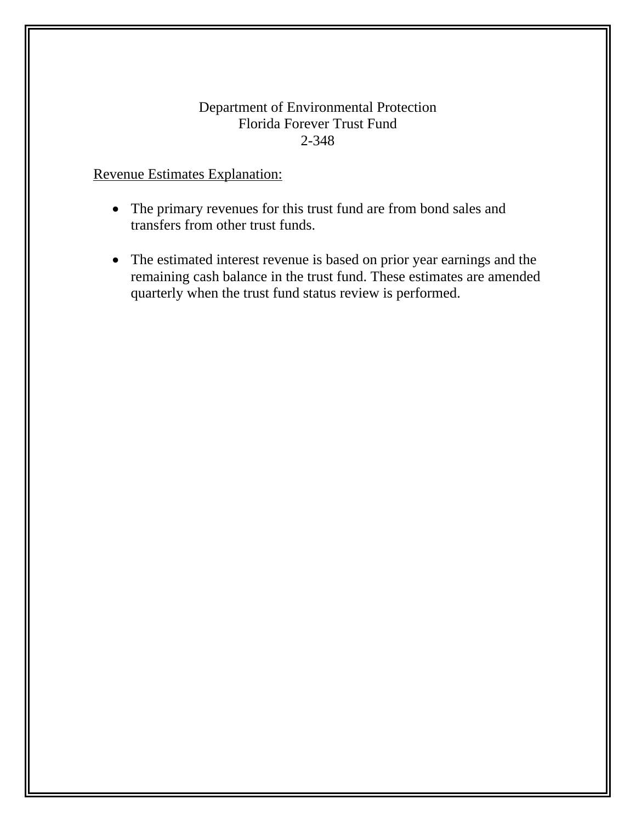### Department of Environmental Protection Florida Forever Trust Fund 2-348

# Revenue Estimates Explanation:

- The primary revenues for this trust fund are from bond sales and transfers from other trust funds.
- The estimated interest revenue is based on prior year earnings and the remaining cash balance in the trust fund. These estimates are amended quarterly when the trust fund status review is performed.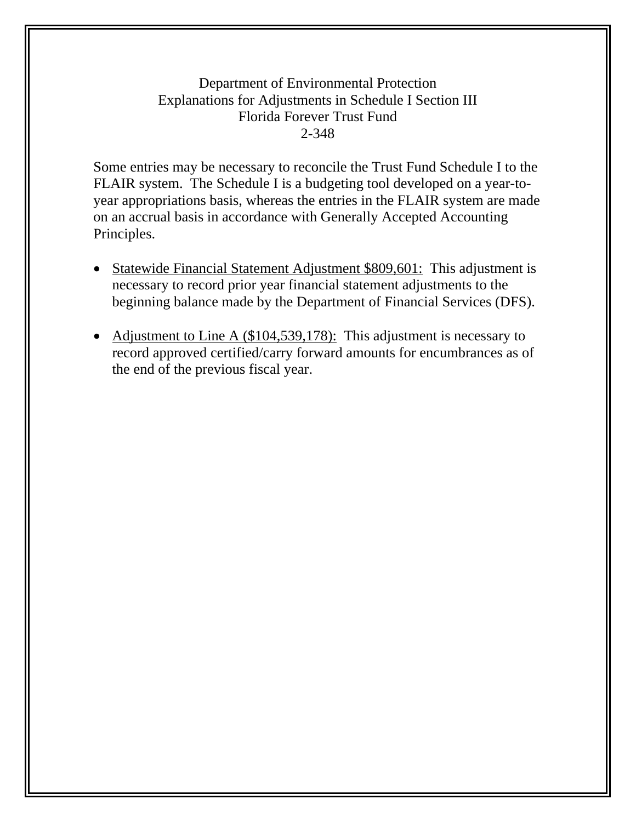## Department of Environmental Protection Explanations for Adjustments in Schedule I Section III Florida Forever Trust Fund 2-348

Some entries may be necessary to reconcile the Trust Fund Schedule I to the FLAIR system. The Schedule I is a budgeting tool developed on a year-toyear appropriations basis, whereas the entries in the FLAIR system are made on an accrual basis in accordance with Generally Accepted Accounting Principles.

- Statewide Financial Statement Adjustment \$809,601: This adjustment is necessary to record prior year financial statement adjustments to the beginning balance made by the Department of Financial Services (DFS).
- Adjustment to Line A (\$104,539,178): This adjustment is necessary to record approved certified/carry forward amounts for encumbrances as of the end of the previous fiscal year.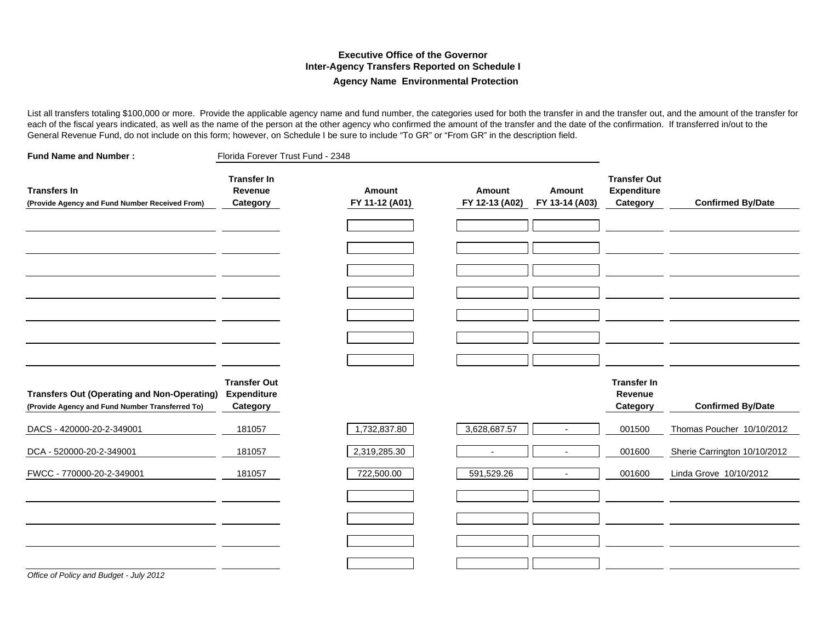#### **Executive Office of the GovernorInter-Agency Transfers Reported on Schedule I Agency Name Environmental Protection**

List all transfers totaling \$100,000 or more. Provide the applicable agency name and fund number, the categories used for both the transfer in and the transfer out, and the amount of the transfer for each of the fiscal years indicated, as well as the name of the person at the other agency who confirmed the amount of the transfer and the date of the confirmation. If transferred in/out to the General Revenue Fund, do not include on this form; however, on Schedule I be sure to include "To GR" or "From GR" in the description field.

| <b>Fund Name and Number:</b>                                                                          | Florida Forever Trust Fund - 2348                     |                          |                                 |                          |                                                |                              |
|-------------------------------------------------------------------------------------------------------|-------------------------------------------------------|--------------------------|---------------------------------|--------------------------|------------------------------------------------|------------------------------|
| <b>Transfers In</b><br>(Provide Agency and Fund Number Received From)                                 | <b>Transfer In</b><br>Revenue<br>Category             | Amount<br>FY 11-12 (A01) | <b>Amount</b><br>FY 12-13 (A02) | Amount<br>FY 13-14 (A03) | <b>Transfer Out</b><br>Expenditure<br>Category | <b>Confirmed By/Date</b>     |
|                                                                                                       |                                                       |                          |                                 |                          |                                                |                              |
|                                                                                                       |                                                       |                          |                                 |                          |                                                |                              |
|                                                                                                       |                                                       |                          |                                 |                          |                                                |                              |
|                                                                                                       |                                                       |                          |                                 |                          |                                                |                              |
|                                                                                                       |                                                       |                          |                                 |                          |                                                |                              |
|                                                                                                       |                                                       |                          |                                 |                          |                                                |                              |
| <b>Transfers Out (Operating and Non-Operating)</b><br>(Provide Agency and Fund Number Transferred To) | <b>Transfer Out</b><br><b>Expenditure</b><br>Category |                          |                                 |                          | <b>Transfer In</b><br>Revenue<br>Category      | <b>Confirmed By/Date</b>     |
| DACS - 420000-20-2-349001                                                                             | 181057                                                | 1,732,837.80             | 3,628,687.57                    | $\blacksquare$           | 001500                                         | Thomas Poucher 10/10/2012    |
| DCA - 520000-20-2-349001                                                                              | 181057                                                | 2,319,285.30             |                                 | $\overline{a}$           | 001600                                         | Sherie Carrington 10/10/2012 |
| FWCC - 770000-20-2-349001                                                                             | 181057                                                | 722,500.00               | 591,529.26                      |                          | 001600                                         | Linda Grove 10/10/2012       |
|                                                                                                       |                                                       |                          |                                 |                          |                                                |                              |
|                                                                                                       |                                                       |                          |                                 |                          |                                                |                              |
|                                                                                                       |                                                       |                          |                                 |                          |                                                |                              |
|                                                                                                       |                                                       |                          |                                 |                          |                                                |                              |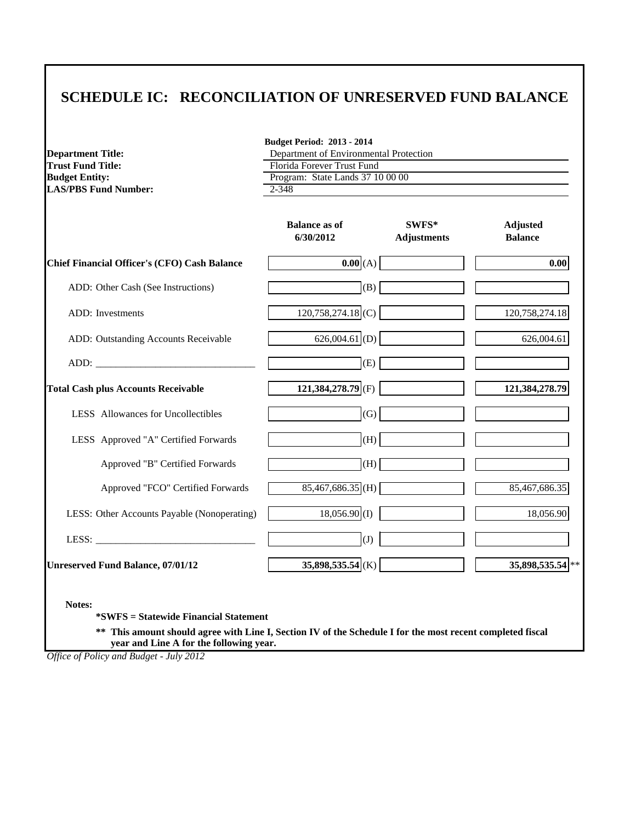## **SCHEDULE IC: RECONCILIATION OF UNRESERVED FUND BALANCE**

| <b>Department Title:</b>                            | <b>Budget Period: 2013 - 2014</b><br>Department of Environmental Protection<br>Florida Forever Trust Fund |                             |                                   |  |  |
|-----------------------------------------------------|-----------------------------------------------------------------------------------------------------------|-----------------------------|-----------------------------------|--|--|
| <b>Trust Fund Title:</b>                            |                                                                                                           |                             |                                   |  |  |
| <b>Budget Entity:</b>                               | Program: State Lands 37 10 00 00                                                                          |                             |                                   |  |  |
| <b>LAS/PBS Fund Number:</b>                         | $2 - 348$                                                                                                 |                             |                                   |  |  |
|                                                     |                                                                                                           |                             |                                   |  |  |
|                                                     | <b>Balance as of</b><br>6/30/2012                                                                         | SWFS*<br><b>Adjustments</b> | <b>Adjusted</b><br><b>Balance</b> |  |  |
| <b>Chief Financial Officer's (CFO) Cash Balance</b> | 0.00(A)                                                                                                   |                             | 0.00                              |  |  |
| ADD: Other Cash (See Instructions)                  | (B)                                                                                                       |                             |                                   |  |  |
| ADD: Investments                                    | 120,758,274.18 (C)                                                                                        |                             | 120,758,274.18                    |  |  |
| ADD: Outstanding Accounts Receivable                | 626,004.61 (D)                                                                                            |                             | 626,004.61                        |  |  |
|                                                     | (E)                                                                                                       |                             |                                   |  |  |
| <b>Total Cash plus Accounts Receivable</b>          | 121,384,278.79 (F)                                                                                        |                             | 121,384,278.79                    |  |  |
| LESS Allowances for Uncollectibles                  | (G)                                                                                                       |                             |                                   |  |  |
| LESS Approved "A" Certified Forwards                | (H)                                                                                                       |                             |                                   |  |  |
| Approved "B" Certified Forwards                     | (H)                                                                                                       |                             |                                   |  |  |
| Approved "FCO" Certified Forwards                   | $85,467,686.35$ (H)                                                                                       |                             | 85,467,686.35                     |  |  |
| LESS: Other Accounts Payable (Nonoperating)         | $18,056.90$ (I)                                                                                           |                             | 18,056.90                         |  |  |
|                                                     | (J)                                                                                                       |                             |                                   |  |  |
| <b>Unreserved Fund Balance, 07/01/12</b>            | 35,898,535.54 (K)                                                                                         |                             | 35,898,535.54 **                  |  |  |

**\*SWFS = Statewide Financial Statement** 

**\*\* This amount should agree with Line I, Section IV of the Schedule I for the most recent completed fiscal year and Line A for the following year.**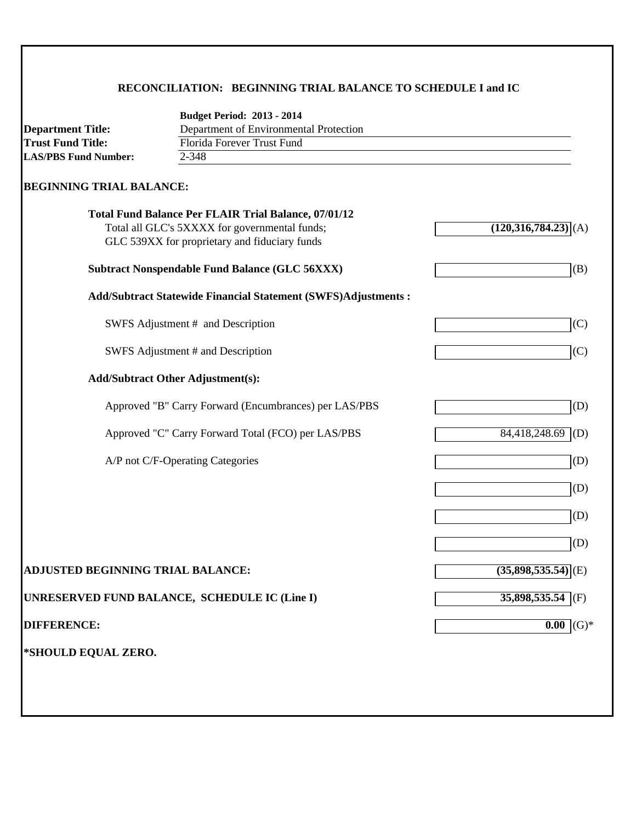### **RECONCILIATION: BEGINNING TRIAL BALANCE TO SCHEDULE I and IC**

|                                          | <b>Budget Period: 2013 - 2014</b>                                    |                                  |
|------------------------------------------|----------------------------------------------------------------------|----------------------------------|
| <b>Department Title:</b>                 | Department of Environmental Protection                               |                                  |
| <b>Trust Fund Title:</b>                 | Florida Forever Trust Fund                                           |                                  |
| <b>LAS/PBS Fund Number:</b>              | $2 - 348$                                                            |                                  |
| <b>BEGINNING TRIAL BALANCE:</b>          |                                                                      |                                  |
|                                          | <b>Total Fund Balance Per FLAIR Trial Balance, 07/01/12</b>          |                                  |
|                                          | Total all GLC's 5XXXX for governmental funds;                        | $(120,316,784.23)$ (A)           |
|                                          | GLC 539XX for proprietary and fiduciary funds                        |                                  |
|                                          | <b>Subtract Nonspendable Fund Balance (GLC 56XXX)</b>                | (B)                              |
|                                          | <b>Add/Subtract Statewide Financial Statement (SWFS)Adjustments:</b> |                                  |
|                                          | SWFS Adjustment # and Description                                    | (C)                              |
|                                          | SWFS Adjustment # and Description                                    | (C)                              |
|                                          | <b>Add/Subtract Other Adjustment(s):</b>                             |                                  |
|                                          | Approved "B" Carry Forward (Encumbrances) per LAS/PBS                | (D)                              |
|                                          | Approved "C" Carry Forward Total (FCO) per LAS/PBS                   | 84,418,248.69<br>(D)             |
|                                          | A/P not C/F-Operating Categories                                     | (D)                              |
|                                          |                                                                      | (D)                              |
|                                          |                                                                      | (D)                              |
|                                          |                                                                      | (D)                              |
| <b>ADJUSTED BEGINNING TRIAL BALANCE:</b> |                                                                      | $(35,898,535.54)$ <sub>(E)</sub> |
|                                          | UNRESERVED FUND BALANCE, SCHEDULE IC (Line I)                        | 35,898,535.54<br>(F)             |
| <b>DIFFERENCE:</b>                       |                                                                      | $(G)$ *<br>0.00                  |
| *SHOULD EQUAL ZERO.                      |                                                                      |                                  |
|                                          |                                                                      |                                  |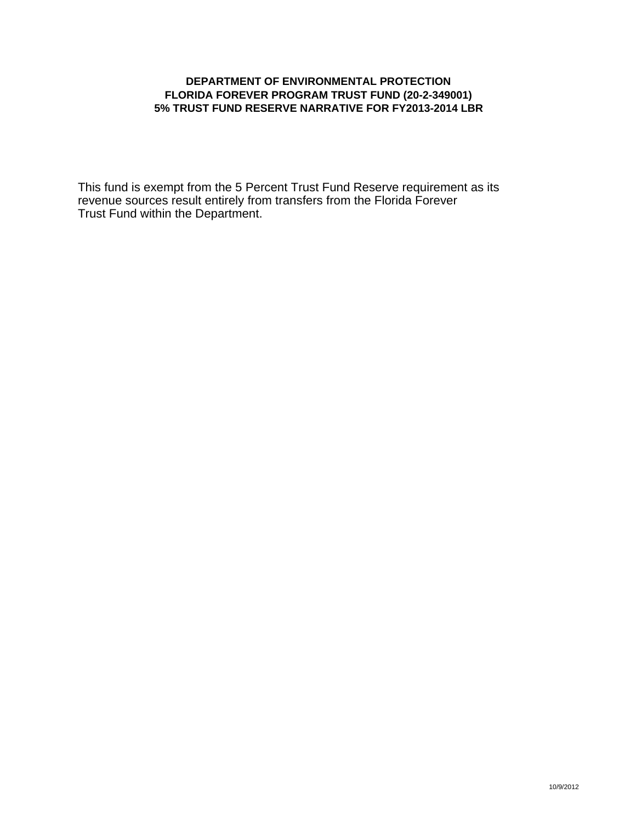### **DEPARTMENT OF ENVIRONMENTAL PROTECTION FLORIDA FOREVER PROGRAM TRUST FUND (20-2-349001) 5% TRUST FUND RESERVE NARRATIVE FOR FY2013-2014 LBR**

This fund is exempt from the 5 Percent Trust Fund Reserve requirement as its revenue sources result entirely from transfers from the Florida Forever Trust Fund within the Department.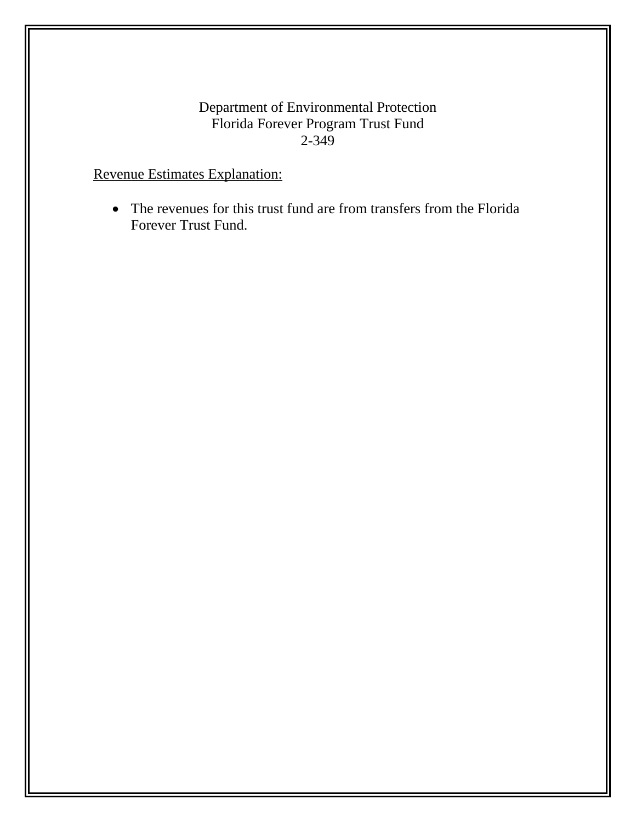## Department of Environmental Protection Florida Forever Program Trust Fund 2-349

# Revenue Estimates Explanation:

• The revenues for this trust fund are from transfers from the Florida Forever Trust Fund.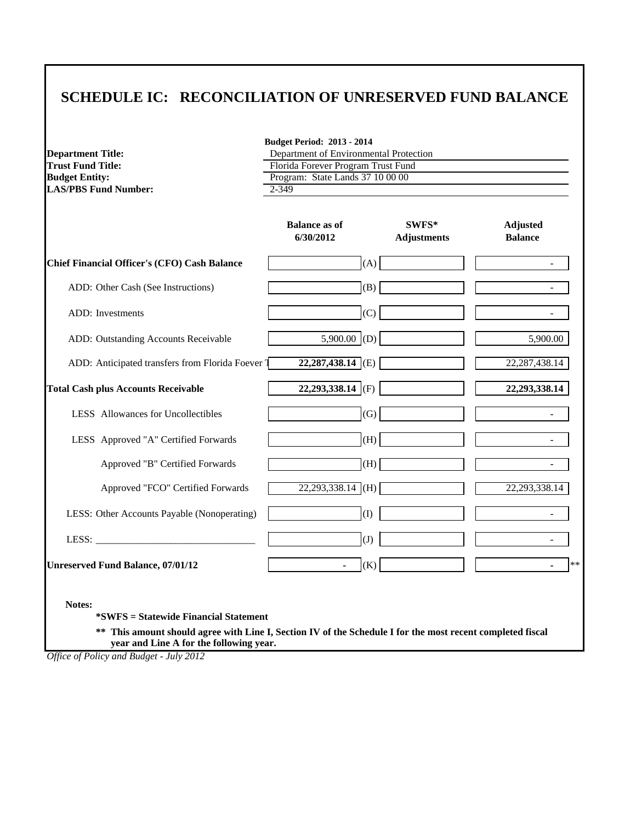# **SCHEDULE IC: RECONCILIATION OF UNRESERVED FUND BALANCE**

| Florida Forever Program Trust Fund<br>Program: State Lands 37 10 00 00<br>$2 - 349$<br><b>Balance as of</b><br>6/30/2012 | SWFS*<br><b>Adjustments</b>                    | <b>Adjusted</b>                                                                                            |
|--------------------------------------------------------------------------------------------------------------------------|------------------------------------------------|------------------------------------------------------------------------------------------------------------|
|                                                                                                                          |                                                |                                                                                                            |
|                                                                                                                          |                                                |                                                                                                            |
|                                                                                                                          |                                                |                                                                                                            |
|                                                                                                                          |                                                | <b>Balance</b>                                                                                             |
|                                                                                                                          |                                                |                                                                                                            |
| (B)                                                                                                                      |                                                |                                                                                                            |
| (C)                                                                                                                      |                                                |                                                                                                            |
| $5,900.00$ (D)                                                                                                           |                                                | 5,900.00                                                                                                   |
| $22,287,438.14$ (E)                                                                                                      |                                                | 22, 287, 438. 14                                                                                           |
| 22,293,338.14 (F)                                                                                                        |                                                | 22,293,338.14                                                                                              |
| (G)                                                                                                                      |                                                |                                                                                                            |
| (H)                                                                                                                      |                                                |                                                                                                            |
| (H)                                                                                                                      |                                                |                                                                                                            |
| $22,293,338.14$ (H)                                                                                                      |                                                | 22, 293, 338. 14                                                                                           |
| (I)                                                                                                                      |                                                |                                                                                                            |
| (J)                                                                                                                      |                                                |                                                                                                            |
| (K)                                                                                                                      |                                                | $\ast\ast$                                                                                                 |
|                                                                                                                          |                                                |                                                                                                            |
|                                                                                                                          |                                                |                                                                                                            |
|                                                                                                                          |                                                |                                                                                                            |
|                                                                                                                          | (A)<br>year and Line A for the following year. | ** This amount should agree with Line I, Section IV of the Schedule I for the most recent completed fiscal |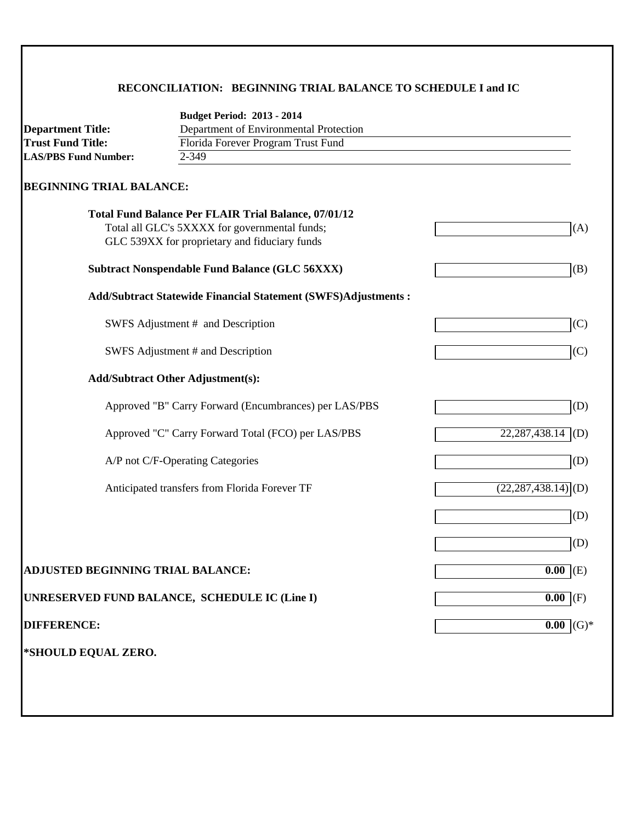### **RECONCILIATION: BEGINNING TRIAL BALANCE TO SCHEDULE I and IC**

|                                           | <b>Budget Period: 2013 - 2014</b>                                    |                         |
|-------------------------------------------|----------------------------------------------------------------------|-------------------------|
| <b>Department Title:</b>                  | Department of Environmental Protection                               |                         |
| <b>Trust Fund Title:</b>                  | Florida Forever Program Trust Fund                                   |                         |
| <b>LAS/PBS Fund Number:</b>               | 2-349                                                                |                         |
| <b>BEGINNING TRIAL BALANCE:</b>           |                                                                      |                         |
|                                           | <b>Total Fund Balance Per FLAIR Trial Balance, 07/01/12</b>          |                         |
|                                           | Total all GLC's 5XXXX for governmental funds;                        | (A)                     |
|                                           | GLC 539XX for proprietary and fiduciary funds                        |                         |
|                                           | <b>Subtract Nonspendable Fund Balance (GLC 56XXX)</b>                | (B)                     |
|                                           | <b>Add/Subtract Statewide Financial Statement (SWFS)Adjustments:</b> |                         |
|                                           | SWFS Adjustment # and Description                                    | (C)                     |
|                                           | SWFS Adjustment # and Description                                    | (C)                     |
|                                           | <b>Add/Subtract Other Adjustment(s):</b>                             |                         |
|                                           | Approved "B" Carry Forward (Encumbrances) per LAS/PBS                | (D)                     |
|                                           | Approved "C" Carry Forward Total (FCO) per LAS/PBS                   | $22,287,438.14$ (D)     |
|                                           | A/P not C/F-Operating Categories                                     | (D)                     |
|                                           | Anticipated transfers from Florida Forever TF                        | $(22, 287, 438.14)$ (D) |
|                                           |                                                                      | (D)                     |
|                                           |                                                                      | (D)                     |
| <b>ADJUSTED BEGINNING TRIAL BALANCE:</b>  |                                                                      | $0.00$ (E)              |
|                                           | UNRESERVED FUND BALANCE, SCHEDULE IC (Line I)                        | $\overline{0.00}$ (F)   |
|                                           |                                                                      | $\overline{0.00}$ (G)*  |
|                                           |                                                                      |                         |
|                                           |                                                                      |                         |
| <b>DIFFERENCE:</b><br>*SHOULD EQUAL ZERO. |                                                                      |                         |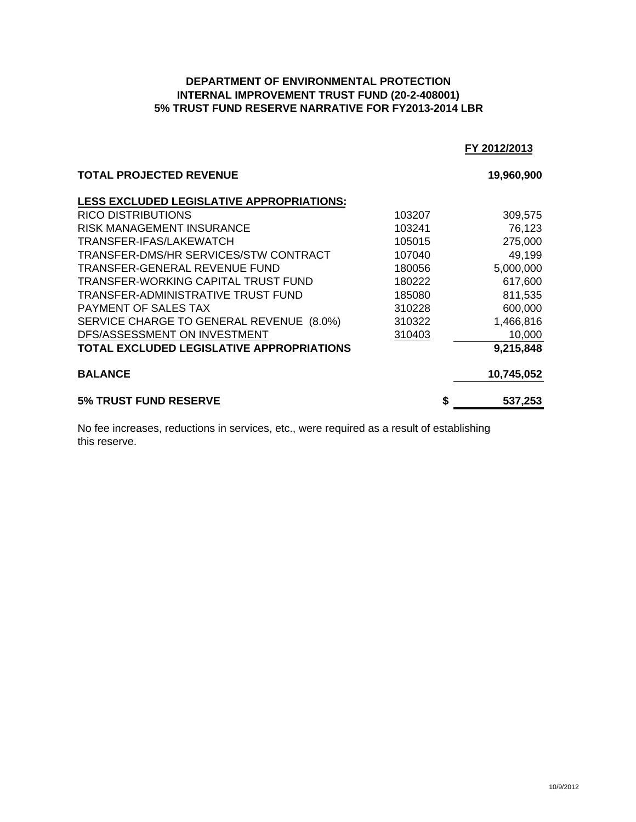### **DEPARTMENT OF ENVIRONMENTAL PROTECTION INTERNAL IMPROVEMENT TRUST FUND (20-2-408001) 5% TRUST FUND RESERVE NARRATIVE FOR FY2013-2014 LBR**

|                                                  |        | FY 2012/2013 |
|--------------------------------------------------|--------|--------------|
| <b>TOTAL PROJECTED REVENUE</b>                   |        | 19,960,900   |
| <b>LESS EXCLUDED LEGISLATIVE APPROPRIATIONS:</b> |        |              |
| RICO DISTRIBUTIONS                               | 103207 | 309,575      |
| <b>RISK MANAGEMENT INSURANCE</b>                 | 103241 | 76,123       |
| TRANSFER-IFAS/LAKEWATCH                          | 105015 | 275,000      |
| TRANSFER-DMS/HR SERVICES/STW CONTRACT            | 107040 | 49,199       |
| TRANSFER-GENERAL REVENUE FUND                    | 180056 | 5,000,000    |
| TRANSFER-WORKING CAPITAL TRUST FUND              | 180222 | 617,600      |
| TRANSFER-ADMINISTRATIVE TRUST FUND               | 185080 | 811,535      |
| <b>PAYMENT OF SALES TAX</b>                      | 310228 | 600,000      |
| SERVICE CHARGE TO GENERAL REVENUE (8.0%)         | 310322 | 1,466,816    |
| DFS/ASSESSMENT ON INVESTMENT                     | 310403 | 10,000       |
| TOTAL EXCLUDED LEGISLATIVE APPROPRIATIONS        |        | 9,215,848    |
| <b>BALANCE</b>                                   |        | 10,745,052   |
| <b>5% TRUST FUND RESERVE</b>                     |        | 537,253      |

No fee increases, reductions in services, etc., were required as a result of establishing this reserve.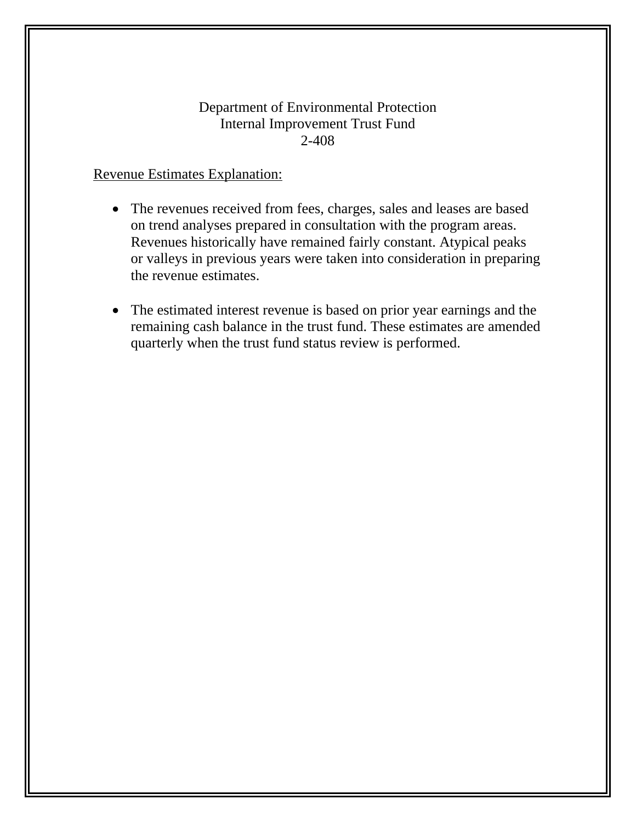### Department of Environmental Protection Internal Improvement Trust Fund 2-408

### Revenue Estimates Explanation:

- The revenues received from fees, charges, sales and leases are based on trend analyses prepared in consultation with the program areas. Revenues historically have remained fairly constant. Atypical peaks or valleys in previous years were taken into consideration in preparing the revenue estimates.
- The estimated interest revenue is based on prior year earnings and the remaining cash balance in the trust fund. These estimates are amended quarterly when the trust fund status review is performed.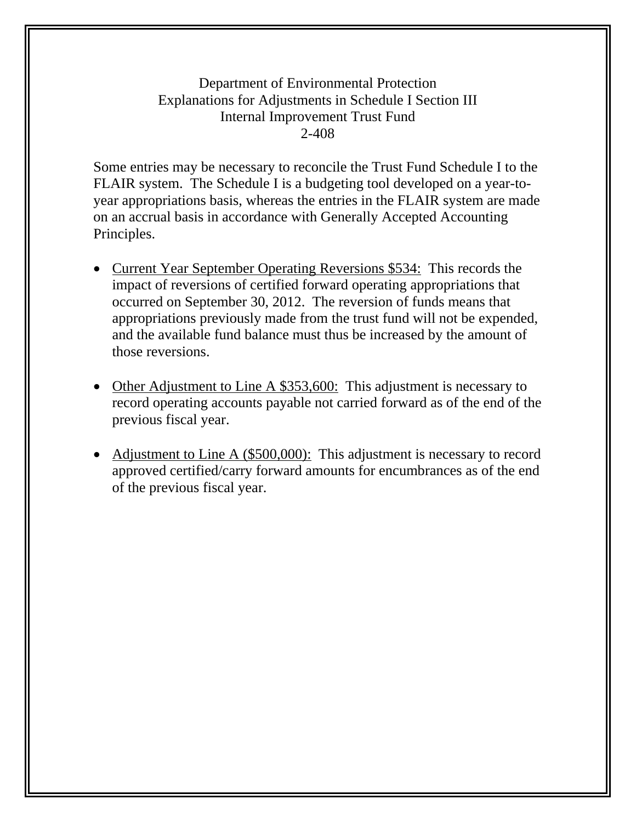Department of Environmental Protection Explanations for Adjustments in Schedule I Section III Internal Improvement Trust Fund 2-408

Some entries may be necessary to reconcile the Trust Fund Schedule I to the FLAIR system. The Schedule I is a budgeting tool developed on a year-toyear appropriations basis, whereas the entries in the FLAIR system are made on an accrual basis in accordance with Generally Accepted Accounting Principles.

- Current Year September Operating Reversions \$534: This records the impact of reversions of certified forward operating appropriations that occurred on September 30, 2012. The reversion of funds means that appropriations previously made from the trust fund will not be expended, and the available fund balance must thus be increased by the amount of those reversions.
- Other Adjustment to Line A \$353,600: This adjustment is necessary to record operating accounts payable not carried forward as of the end of the previous fiscal year.
- Adjustment to Line A (\$500,000): This adjustment is necessary to record approved certified/carry forward amounts for encumbrances as of the end of the previous fiscal year.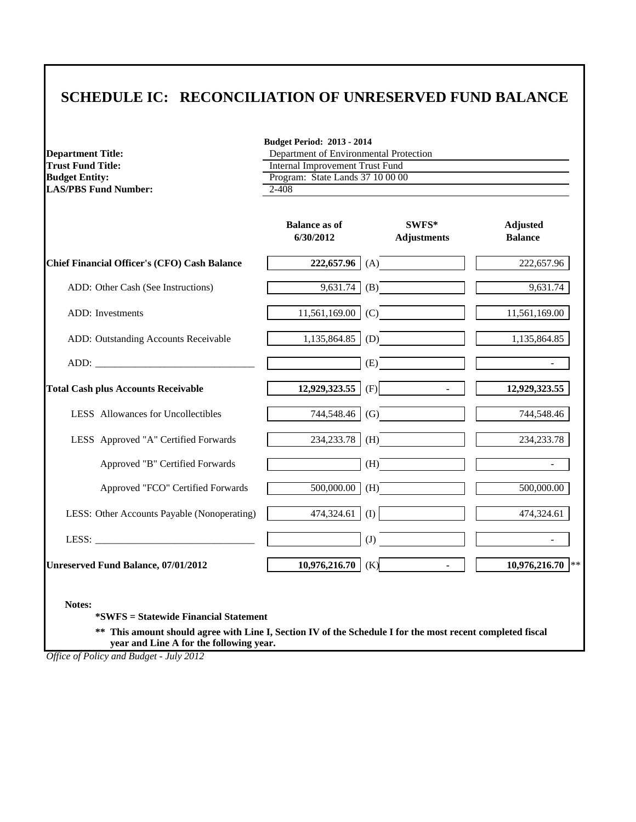# **SCHEDULE IC: RECONCILIATION OF UNRESERVED FUND BALANCE**

| <b>Department Title:</b>                            | <b>Budget Period: 2013 - 2014</b><br>Department of Environmental Protection |                             |                                   |  |  |  |
|-----------------------------------------------------|-----------------------------------------------------------------------------|-----------------------------|-----------------------------------|--|--|--|
| <b>Trust Fund Title:</b>                            | <b>Internal Improvement Trust Fund</b>                                      |                             |                                   |  |  |  |
| <b>Budget Entity:</b>                               | Program: State Lands 37 10 00 00                                            |                             |                                   |  |  |  |
| <b>LAS/PBS Fund Number:</b>                         | 2-408                                                                       |                             |                                   |  |  |  |
|                                                     | <b>Balance as of</b><br>6/30/2012                                           | SWFS*<br><b>Adjustments</b> | <b>Adjusted</b><br><b>Balance</b> |  |  |  |
| <b>Chief Financial Officer's (CFO) Cash Balance</b> | 222,657.96                                                                  | (A)                         | 222,657.96                        |  |  |  |
| ADD: Other Cash (See Instructions)                  | 9,631.74                                                                    | (B)                         | 9,631.74                          |  |  |  |
| ADD: Investments                                    | 11,561,169.00                                                               | (C)                         | 11,561,169.00                     |  |  |  |
| ADD: Outstanding Accounts Receivable                | 1,135,864.85                                                                | (D)                         | 1,135,864.85                      |  |  |  |
|                                                     |                                                                             | (E)                         |                                   |  |  |  |
| <b>Total Cash plus Accounts Receivable</b>          | 12,929,323.55                                                               | (F)<br>$\mathbf{r}$         | 12,929,323.55                     |  |  |  |
| LESS Allowances for Uncollectibles                  | 744,548.46                                                                  | $\rm(G)$                    | 744,548.46                        |  |  |  |
| LESS Approved "A" Certified Forwards                | 234, 233. 78                                                                | (H)                         | 234, 233. 78                      |  |  |  |
| Approved "B" Certified Forwards                     |                                                                             | (H)                         |                                   |  |  |  |
| Approved "FCO" Certified Forwards                   | 500,000.00                                                                  | (H)                         | 500,000.00                        |  |  |  |
| LESS: Other Accounts Payable (Nonoperating)         | 474,324.61                                                                  | (I)                         | 474,324.61                        |  |  |  |
| LESS:                                               |                                                                             | (J)                         |                                   |  |  |  |
| <b>Unreserved Fund Balance, 07/01/2012</b>          | 10,976,216.70                                                               | $\mathbf{a}$ .<br>(K)       | $10,976,216.70$ **                |  |  |  |

**\*\* This amount should agree with Line I, Section IV of the Schedule I for the most recent completed fiscal year and Line A for the following year.**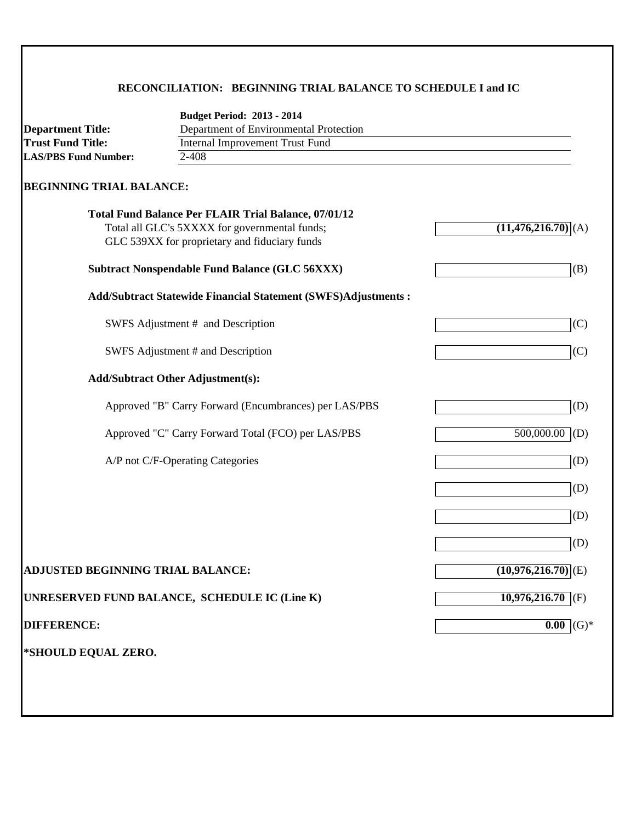### **RECONCILIATION: BEGINNING TRIAL BALANCE TO SCHEDULE I and IC**

|                                          | <b>Budget Period: 2013 - 2014</b>                                    |                                  |
|------------------------------------------|----------------------------------------------------------------------|----------------------------------|
| <b>Department Title:</b>                 | Department of Environmental Protection                               |                                  |
| <b>Trust Fund Title:</b>                 | <b>Internal Improvement Trust Fund</b>                               |                                  |
| <b>LAS/PBS Fund Number:</b>              | 2-408                                                                |                                  |
| <b>BEGINNING TRIAL BALANCE:</b>          |                                                                      |                                  |
|                                          | <b>Total Fund Balance Per FLAIR Trial Balance, 07/01/12</b>          |                                  |
|                                          | Total all GLC's 5XXXX for governmental funds;                        | $\overline{(11,476,216.70)}$ (A) |
|                                          | GLC 539XX for proprietary and fiduciary funds                        |                                  |
|                                          | <b>Subtract Nonspendable Fund Balance (GLC 56XXX)</b>                | (B)                              |
|                                          | <b>Add/Subtract Statewide Financial Statement (SWFS)Adjustments:</b> |                                  |
|                                          | SWFS Adjustment # and Description                                    | (C)                              |
|                                          | SWFS Adjustment # and Description                                    | (C)                              |
|                                          | <b>Add/Subtract Other Adjustment(s):</b>                             |                                  |
|                                          | Approved "B" Carry Forward (Encumbrances) per LAS/PBS                | (D)                              |
|                                          | Approved "C" Carry Forward Total (FCO) per LAS/PBS                   | $500,000.00$ (D)                 |
|                                          | A/P not C/F-Operating Categories                                     | (D)                              |
|                                          |                                                                      | (D)                              |
|                                          |                                                                      | (D)                              |
|                                          |                                                                      | (D)                              |
| <b>ADJUSTED BEGINNING TRIAL BALANCE:</b> |                                                                      | $(10,976,216.70)$ <sub>(E)</sub> |
|                                          | UNRESERVED FUND BALANCE, SCHEDULE IC (Line K)                        | $\overline{10,976,216.70}$ (F)   |
| <b>DIFFERENCE:</b>                       |                                                                      | 0.00<br>$(G)*$                   |
| *SHOULD EQUAL ZERO.                      |                                                                      |                                  |
|                                          |                                                                      |                                  |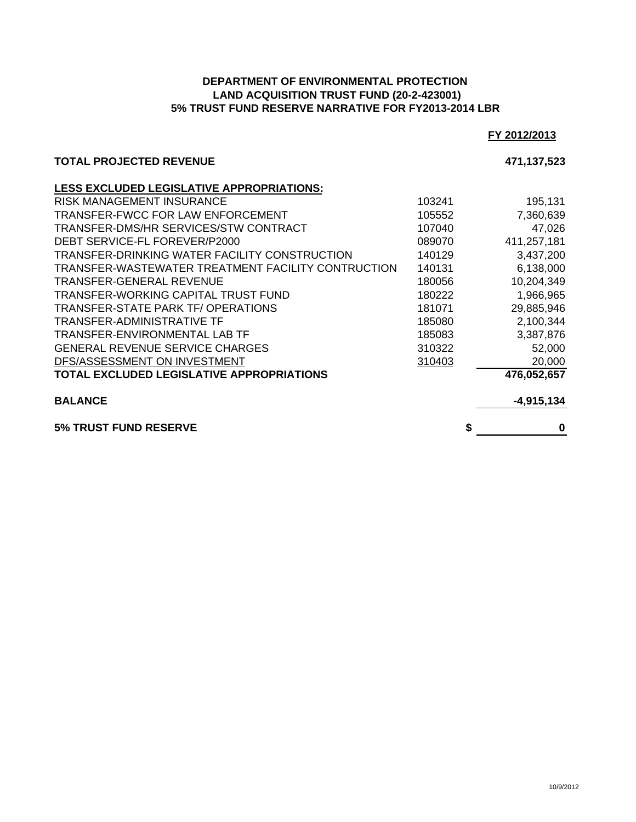### **DEPARTMENT OF ENVIRONMENTAL PROTECTION LAND ACQUISITION TRUST FUND (20-2-423001) 5% TRUST FUND RESERVE NARRATIVE FOR FY2013-2014 LBR**

#### **FY 2012/2013**

| <b>TOTAL PROJECTED REVENUE</b>                     |        | 471,137,523  |
|----------------------------------------------------|--------|--------------|
| LESS EXCLUDED LEGISLATIVE APPROPRIATIONS:          |        |              |
| <b>RISK MANAGEMENT INSURANCE</b>                   | 103241 | 195,131      |
| TRANSFER-FWCC FOR LAW ENFORCEMENT                  | 105552 | 7,360,639    |
| TRANSFER-DMS/HR SERVICES/STW CONTRACT              | 107040 | 47,026       |
| DEBT SERVICE-FL FOREVER/P2000                      | 089070 | 411,257,181  |
| TRANSFER-DRINKING WATER FACILITY CONSTRUCTION      | 140129 | 3,437,200    |
| TRANSFER-WASTEWATER TREATMENT FACILITY CONTRUCTION | 140131 | 6,138,000    |
| <b>TRANSFER-GENERAL REVENUE</b>                    | 180056 | 10,204,349   |
| TRANSFER-WORKING CAPITAL TRUST FUND                | 180222 | 1,966,965    |
| TRANSFER-STATE PARK TF/ OPERATIONS                 | 181071 | 29,885,946   |
| TRANSFER-ADMINISTRATIVE TF                         | 185080 | 2,100,344    |
| TRANSFER-ENVIRONMENTAL LAB TF                      | 185083 | 3,387,876    |
| <b>GENERAL REVENUE SERVICE CHARGES</b>             | 310322 | 52,000       |
| DFS/ASSESSMENT ON INVESTMENT                       | 310403 | 20,000       |
| <b>TOTAL EXCLUDED LEGISLATIVE APPROPRIATIONS</b>   |        | 476,052,657  |
| <b>BALANCE</b>                                     |        | $-4,915,134$ |
| <b>5% TRUST FUND RESERVE</b>                       |        | \$<br>0      |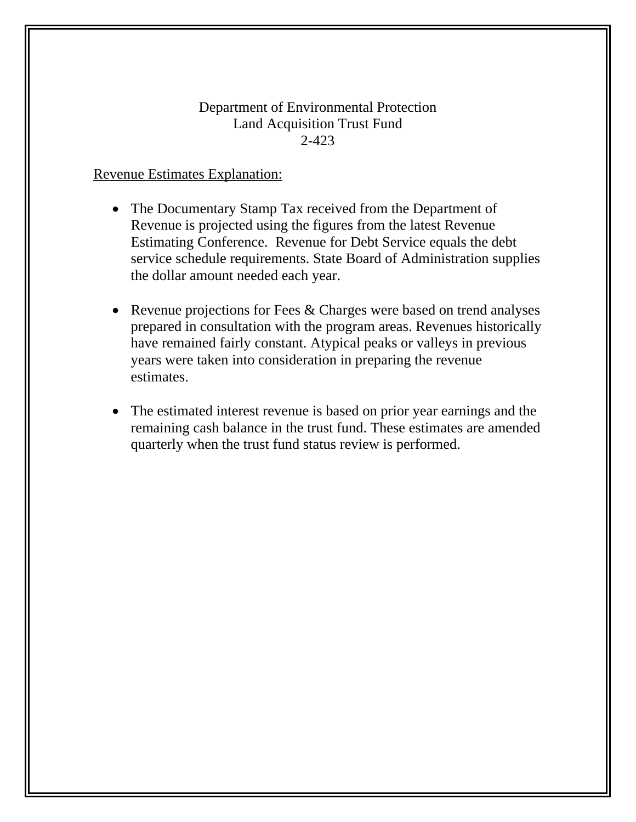### Department of Environmental Protection Land Acquisition Trust Fund 2-423

### Revenue Estimates Explanation:

- The Documentary Stamp Tax received from the Department of Revenue is projected using the figures from the latest Revenue Estimating Conference. Revenue for Debt Service equals the debt service schedule requirements. State Board of Administration supplies the dollar amount needed each year.
- Revenue projections for Fees & Charges were based on trend analyses prepared in consultation with the program areas. Revenues historically have remained fairly constant. Atypical peaks or valleys in previous years were taken into consideration in preparing the revenue estimates.
- The estimated interest revenue is based on prior year earnings and the remaining cash balance in the trust fund. These estimates are amended quarterly when the trust fund status review is performed.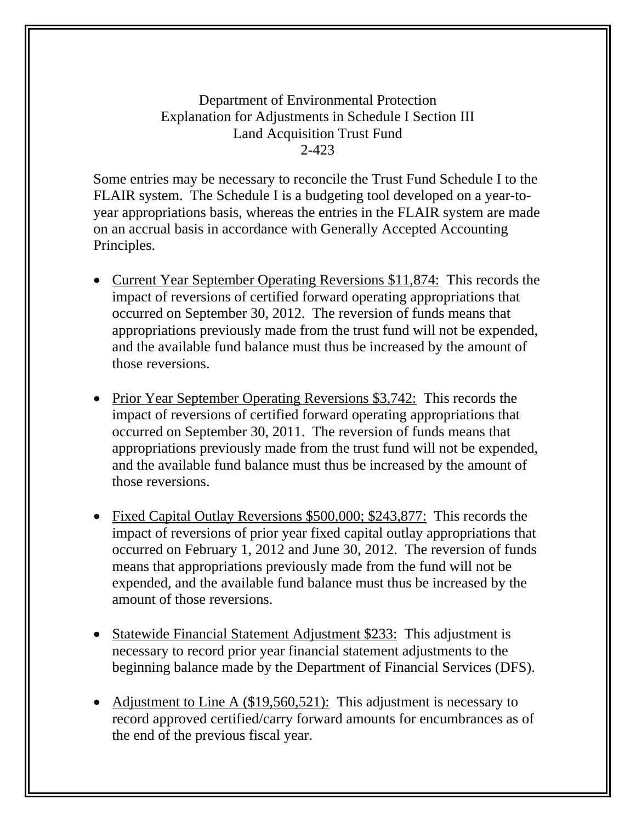### Department of Environmental Protection Explanation for Adjustments in Schedule I Section III Land Acquisition Trust Fund 2-423

Some entries may be necessary to reconcile the Trust Fund Schedule I to the FLAIR system. The Schedule I is a budgeting tool developed on a year-toyear appropriations basis, whereas the entries in the FLAIR system are made on an accrual basis in accordance with Generally Accepted Accounting Principles.

- Current Year September Operating Reversions \$11,874: This records the impact of reversions of certified forward operating appropriations that occurred on September 30, 2012. The reversion of funds means that appropriations previously made from the trust fund will not be expended, and the available fund balance must thus be increased by the amount of those reversions.
- Prior Year September Operating Reversions \$3,742: This records the impact of reversions of certified forward operating appropriations that occurred on September 30, 2011. The reversion of funds means that appropriations previously made from the trust fund will not be expended, and the available fund balance must thus be increased by the amount of those reversions.
- Fixed Capital Outlay Reversions \$500,000; \$243,877: This records the impact of reversions of prior year fixed capital outlay appropriations that occurred on February 1, 2012 and June 30, 2012. The reversion of funds means that appropriations previously made from the fund will not be expended, and the available fund balance must thus be increased by the amount of those reversions.
- Statewide Financial Statement Adjustment \$233: This adjustment is necessary to record prior year financial statement adjustments to the beginning balance made by the Department of Financial Services (DFS).
- Adjustment to Line A (\$19,560,521): This adjustment is necessary to record approved certified/carry forward amounts for encumbrances as of the end of the previous fiscal year.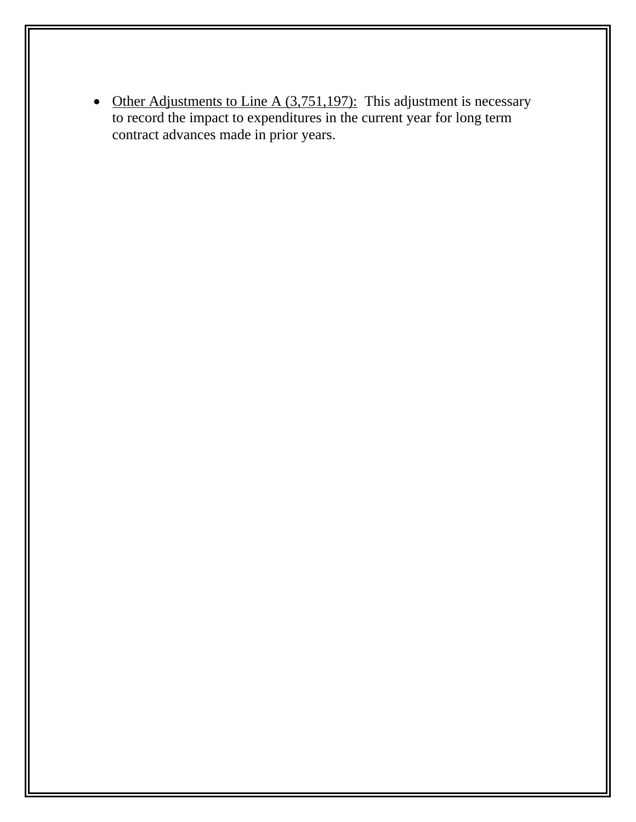• Other Adjustments to Line A  $(3,751,197)$ : This adjustment is necessary to record the impact to expenditures in the current year for long term contract advances made in prior years.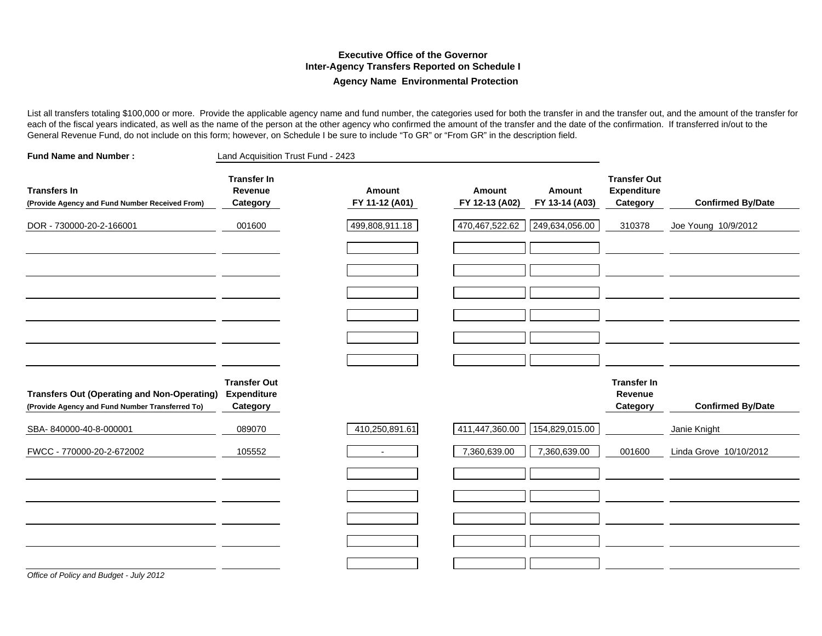#### **Executive Office of the GovernorInter-Agency Transfers Reported on Schedule I Agency Name Environmental Protection**

List all transfers totaling \$100,000 or more. Provide the applicable agency name and fund number, the categories used for both the transfer in and the transfer out, and the amount of the transfer for each of the fiscal years indicated, as well as the name of the person at the other agency who confirmed the amount of the transfer and the date of the confirmation. If transferred in/out to the General Revenue Fund, do not include on this form; however, on Schedule I be sure to include "To GR" or "From GR" in the description field.

| <b>Fund Name and Number:</b>                                                                          | Land Acquisition Trust Fund - 2423                    |                          |                          |                          |                                                       |                          |
|-------------------------------------------------------------------------------------------------------|-------------------------------------------------------|--------------------------|--------------------------|--------------------------|-------------------------------------------------------|--------------------------|
| <b>Transfers In</b><br>(Provide Agency and Fund Number Received From)                                 | <b>Transfer In</b><br>Revenue<br>Category             | Amount<br>FY 11-12 (A01) | Amount<br>FY 12-13 (A02) | Amount<br>FY 13-14 (A03) | <b>Transfer Out</b><br><b>Expenditure</b><br>Category | <b>Confirmed By/Date</b> |
| DOR - 730000-20-2-166001                                                                              | 001600                                                | 499,808,911.18           | 470,467,522.62           | 249,634,056.00           | 310378                                                | Joe Young 10/9/2012      |
|                                                                                                       |                                                       |                          |                          |                          |                                                       |                          |
|                                                                                                       |                                                       |                          |                          |                          |                                                       |                          |
|                                                                                                       |                                                       |                          |                          |                          |                                                       |                          |
| <b>Transfers Out (Operating and Non-Operating)</b><br>(Provide Agency and Fund Number Transferred To) | <b>Transfer Out</b><br><b>Expenditure</b><br>Category |                          |                          |                          | <b>Transfer In</b><br>Revenue<br>Category             | <b>Confirmed By/Date</b> |
| SBA-840000-40-8-000001                                                                                | 089070                                                | 410,250,891.61           | 411,447,360.00           | 154,829,015.00           |                                                       | Janie Knight             |
| FWCC - 770000-20-2-672002                                                                             | 105552                                                | $\overline{a}$           | 7,360,639.00             | 7,360,639.00             | 001600                                                | Linda Grove 10/10/2012   |
|                                                                                                       |                                                       |                          |                          |                          |                                                       |                          |
|                                                                                                       |                                                       |                          |                          |                          |                                                       |                          |
|                                                                                                       |                                                       |                          |                          |                          |                                                       |                          |
|                                                                                                       |                                                       |                          |                          |                          |                                                       |                          |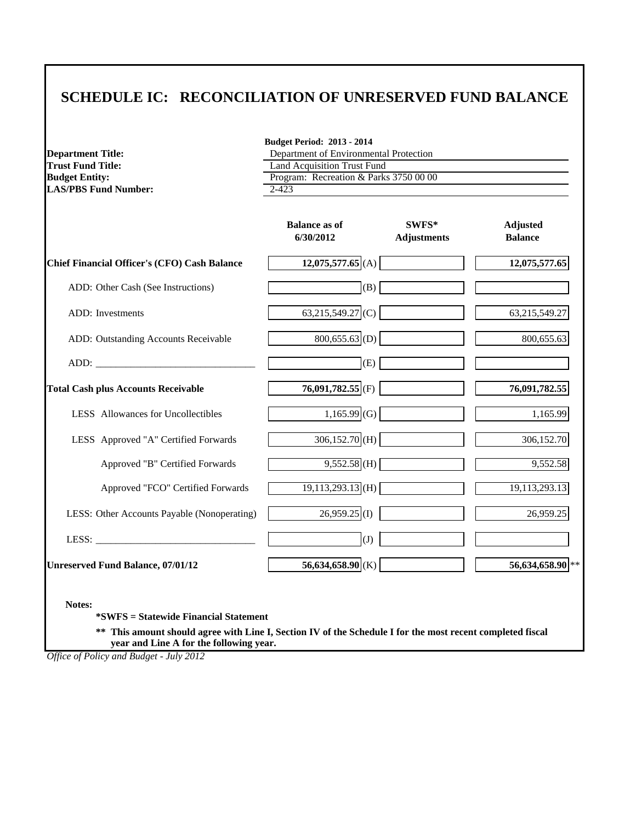## **SCHEDULE IC: RECONCILIATION OF UNRESERVED FUND BALANCE**

|                                                                                                                                                                                                                                | <b>Budget Period: 2013 - 2014</b>                                            |                             |                                   |  |  |
|--------------------------------------------------------------------------------------------------------------------------------------------------------------------------------------------------------------------------------|------------------------------------------------------------------------------|-----------------------------|-----------------------------------|--|--|
| <b>Department Title:</b><br><b>Trust Fund Title:</b>                                                                                                                                                                           | Department of Environmental Protection<br><b>Land Acquisition Trust Fund</b> |                             |                                   |  |  |
| <b>Budget Entity:</b>                                                                                                                                                                                                          | Program: Recreation & Parks 3750 00 00                                       |                             |                                   |  |  |
| <b>LAS/PBS Fund Number:</b>                                                                                                                                                                                                    | $2 - 423$                                                                    |                             |                                   |  |  |
|                                                                                                                                                                                                                                |                                                                              |                             |                                   |  |  |
|                                                                                                                                                                                                                                | <b>Balance as of</b><br>6/30/2012                                            | SWFS*<br><b>Adjustments</b> | <b>Adjusted</b><br><b>Balance</b> |  |  |
| <b>Chief Financial Officer's (CFO) Cash Balance</b>                                                                                                                                                                            | $12,075,577.65$ (A)                                                          |                             | 12,075,577.65                     |  |  |
| ADD: Other Cash (See Instructions)                                                                                                                                                                                             | (B)                                                                          |                             |                                   |  |  |
| ADD: Investments                                                                                                                                                                                                               | 63,215,549.27 (C)                                                            |                             | 63,215,549.27                     |  |  |
| ADD: Outstanding Accounts Receivable                                                                                                                                                                                           | $800,655.63$ (D)                                                             |                             | 800,655.63                        |  |  |
| ADD: The contract of the contract of the contract of the contract of the contract of the contract of the contract of the contract of the contract of the contract of the contract of the contract of the contract of the contr | (E)                                                                          |                             |                                   |  |  |
| <b>Total Cash plus Accounts Receivable</b>                                                                                                                                                                                     | $76,091,782.55$ <sub>(F)</sub>                                               |                             | 76,091,782.55                     |  |  |
| LESS Allowances for Uncollectibles                                                                                                                                                                                             | $1,165.99$ (G)                                                               |                             | 1,165.99                          |  |  |
| LESS Approved "A" Certified Forwards                                                                                                                                                                                           | $306,152.70$ (H)                                                             |                             | 306,152.70                        |  |  |
| Approved "B" Certified Forwards                                                                                                                                                                                                | $9,552.58$ (H)                                                               |                             | 9,552.58                          |  |  |
| Approved "FCO" Certified Forwards                                                                                                                                                                                              | $19,113,293.13$ (H)                                                          |                             | 19,113,293.13                     |  |  |
| LESS: Other Accounts Payable (Nonoperating)                                                                                                                                                                                    | $26,959.25$ <sub>(I)</sub>                                                   |                             | 26,959.25                         |  |  |
|                                                                                                                                                                                                                                | (J)                                                                          |                             |                                   |  |  |
| <b>Unreserved Fund Balance, 07/01/12</b>                                                                                                                                                                                       | $56,634,658.90$ <sub>(K)</sub>                                               |                             | 56,634,658.90 **                  |  |  |

**Notes:**

**\*SWFS = Statewide Financial Statement** 

**\*\* This amount should agree with Line I, Section IV of the Schedule I for the most recent completed fiscal year and Line A for the following year.**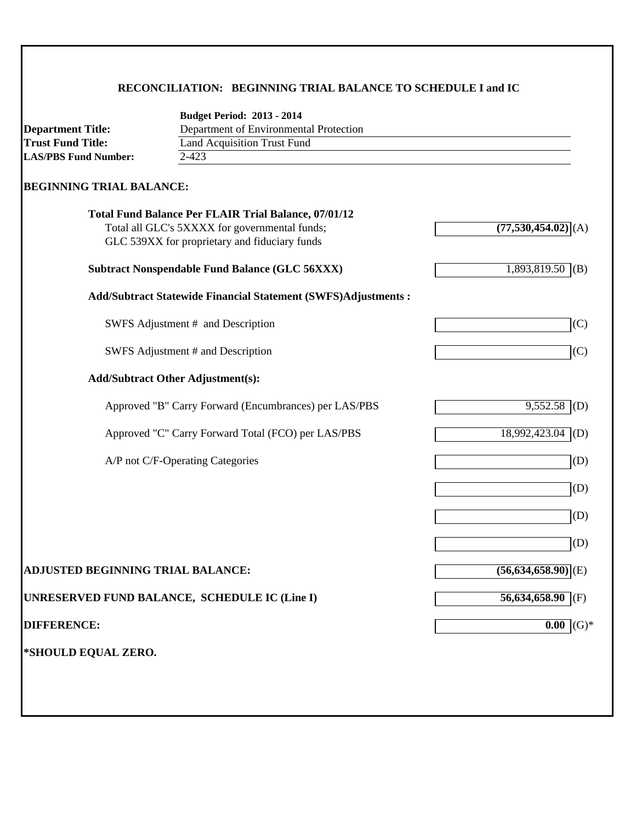### **RECONCILIATION: BEGINNING TRIAL BALANCE TO SCHEDULE I and IC**

|                                   | <b>Budget Period: 2013 - 2014</b>                                    |                                  |
|-----------------------------------|----------------------------------------------------------------------|----------------------------------|
| <b>Department Title:</b>          | Department of Environmental Protection                               |                                  |
| <b>Trust Fund Title:</b>          | <b>Land Acquisition Trust Fund</b>                                   |                                  |
| <b>LAS/PBS Fund Number:</b>       | $2 - 423$                                                            |                                  |
| <b>BEGINNING TRIAL BALANCE:</b>   |                                                                      |                                  |
|                                   | <b>Total Fund Balance Per FLAIR Trial Balance, 07/01/12</b>          |                                  |
|                                   | Total all GLC's 5XXXX for governmental funds;                        | $(77,530,454.02)$ (A)            |
|                                   | GLC 539XX for proprietary and fiduciary funds                        |                                  |
|                                   | <b>Subtract Nonspendable Fund Balance (GLC 56XXX)</b>                | $1,893,819.50$ (B)               |
|                                   | <b>Add/Subtract Statewide Financial Statement (SWFS)Adjustments:</b> |                                  |
|                                   | SWFS Adjustment # and Description                                    | (C)                              |
|                                   | SWFS Adjustment # and Description                                    | (C)                              |
|                                   | <b>Add/Subtract Other Adjustment(s):</b>                             |                                  |
|                                   | Approved "B" Carry Forward (Encumbrances) per LAS/PBS                | 9,552.58<br>(D)                  |
|                                   | Approved "C" Carry Forward Total (FCO) per LAS/PBS                   | $18,992,423.04$ (D)              |
|                                   | A/P not C/F-Operating Categories                                     | (D)                              |
|                                   |                                                                      | (D)                              |
|                                   |                                                                      | (D)                              |
|                                   |                                                                      | (D)                              |
| ADJUSTED BEGINNING TRIAL BALANCE: |                                                                      | $(56,634,658.90)$ <sub>(E)</sub> |
|                                   | UNRESERVED FUND BALANCE, SCHEDULE IC (Line I)                        | $56,634,658.90$ (F)              |
| <b>DIFFERENCE:</b>                |                                                                      | $(G)$ *<br>0.00                  |
|                                   |                                                                      |                                  |
| *SHOULD EQUAL ZERO.               |                                                                      |                                  |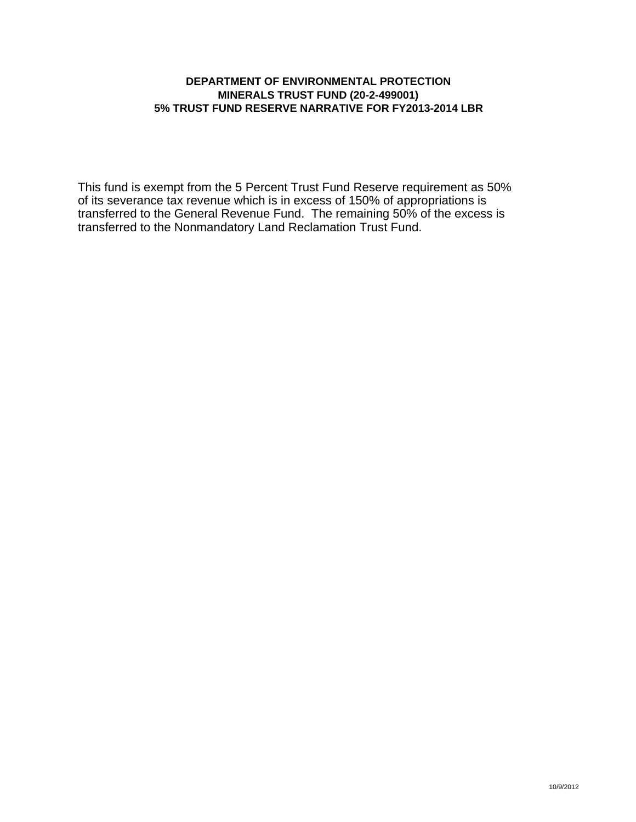### **DEPARTMENT OF ENVIRONMENTAL PROTECTION MINERALS TRUST FUND (20-2-499001) 5% TRUST FUND RESERVE NARRATIVE FOR FY2013-2014 LBR**

This fund is exempt from the 5 Percent Trust Fund Reserve requirement as 50% of its severance tax revenue which is in excess of 150% of appropriations is transferred to the General Revenue Fund. The remaining 50% of the excess is transferred to the Nonmandatory Land Reclamation Trust Fund.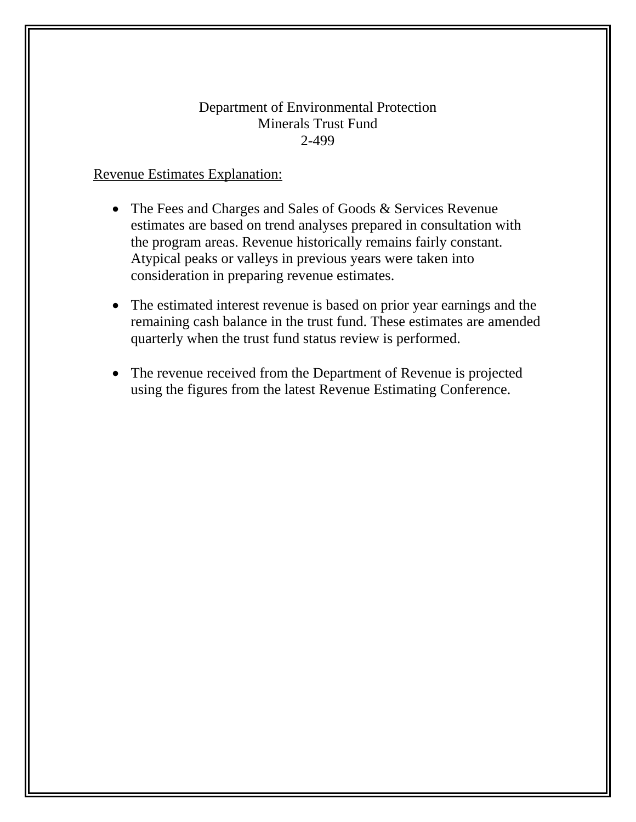### Department of Environmental Protection Minerals Trust Fund 2-499

### Revenue Estimates Explanation:

- The Fees and Charges and Sales of Goods & Services Revenue estimates are based on trend analyses prepared in consultation with the program areas. Revenue historically remains fairly constant. Atypical peaks or valleys in previous years were taken into consideration in preparing revenue estimates.
- The estimated interest revenue is based on prior year earnings and the remaining cash balance in the trust fund. These estimates are amended quarterly when the trust fund status review is performed.
- The revenue received from the Department of Revenue is projected using the figures from the latest Revenue Estimating Conference.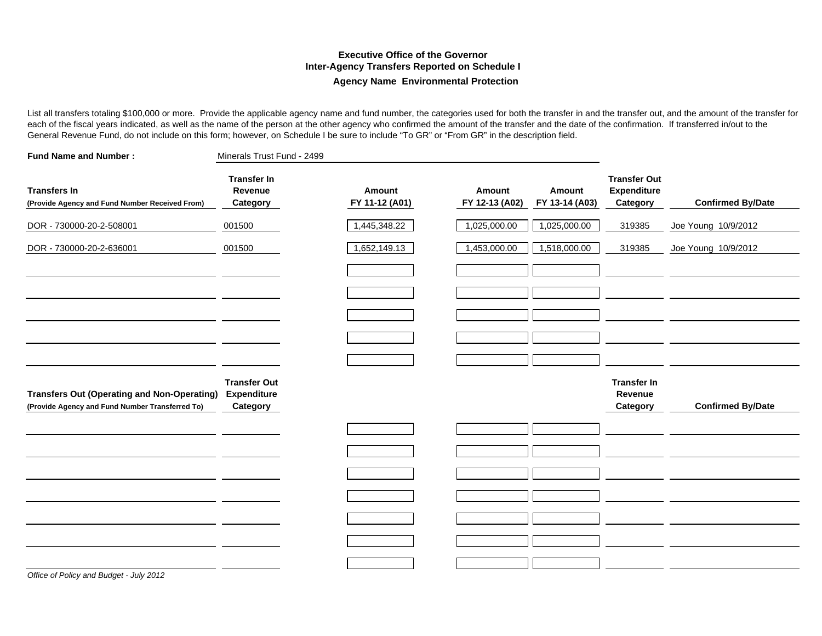#### **Executive Office of the GovernorInter-Agency Transfers Reported on Schedule I Agency Name Environmental Protection**

List all transfers totaling \$100,000 or more. Provide the applicable agency name and fund number, the categories used for both the transfer in and the transfer out, and the amount of the transfer for each of the fiscal years indicated, as well as the name of the person at the other agency who confirmed the amount of the transfer and the date of the confirmation. If transferred in/out to the General Revenue Fund, do not include on this form; however, on Schedule I be sure to include "To GR" or "From GR" in the description field.

| <b>Fund Name and Number:</b>                                                                          | Minerals Trust Fund - 2499                            |                          |                          |                          |                                                |                          |
|-------------------------------------------------------------------------------------------------------|-------------------------------------------------------|--------------------------|--------------------------|--------------------------|------------------------------------------------|--------------------------|
| <b>Transfers In</b><br>(Provide Agency and Fund Number Received From)                                 | <b>Transfer In</b><br>Revenue<br>Category             | Amount<br>FY 11-12 (A01) | Amount<br>FY 12-13 (A02) | Amount<br>FY 13-14 (A03) | <b>Transfer Out</b><br>Expenditure<br>Category | <b>Confirmed By/Date</b> |
| DOR - 730000-20-2-508001                                                                              | 001500                                                | 1,445,348.22             | 1,025,000.00             | 1,025,000.00             | 319385                                         | Joe Young 10/9/2012      |
| DOR - 730000-20-2-636001                                                                              | 001500                                                | 1,652,149.13             | 1,453,000.00             | 1,518,000.00             | 319385                                         | Joe Young 10/9/2012      |
|                                                                                                       |                                                       |                          |                          |                          |                                                |                          |
|                                                                                                       |                                                       |                          |                          |                          |                                                |                          |
|                                                                                                       |                                                       |                          |                          |                          |                                                |                          |
|                                                                                                       |                                                       |                          |                          |                          |                                                |                          |
| <b>Transfers Out (Operating and Non-Operating)</b><br>(Provide Agency and Fund Number Transferred To) | <b>Transfer Out</b><br><b>Expenditure</b><br>Category |                          |                          |                          | <b>Transfer In</b><br>Revenue<br>Category      | <b>Confirmed By/Date</b> |
|                                                                                                       |                                                       |                          |                          |                          |                                                |                          |
|                                                                                                       |                                                       |                          |                          |                          |                                                |                          |
|                                                                                                       |                                                       |                          |                          |                          |                                                |                          |
|                                                                                                       |                                                       |                          |                          |                          |                                                |                          |
|                                                                                                       |                                                       |                          |                          |                          |                                                |                          |
|                                                                                                       |                                                       |                          |                          |                          |                                                |                          |
| Office of Policy and Budget - July 2012                                                               |                                                       |                          |                          |                          |                                                |                          |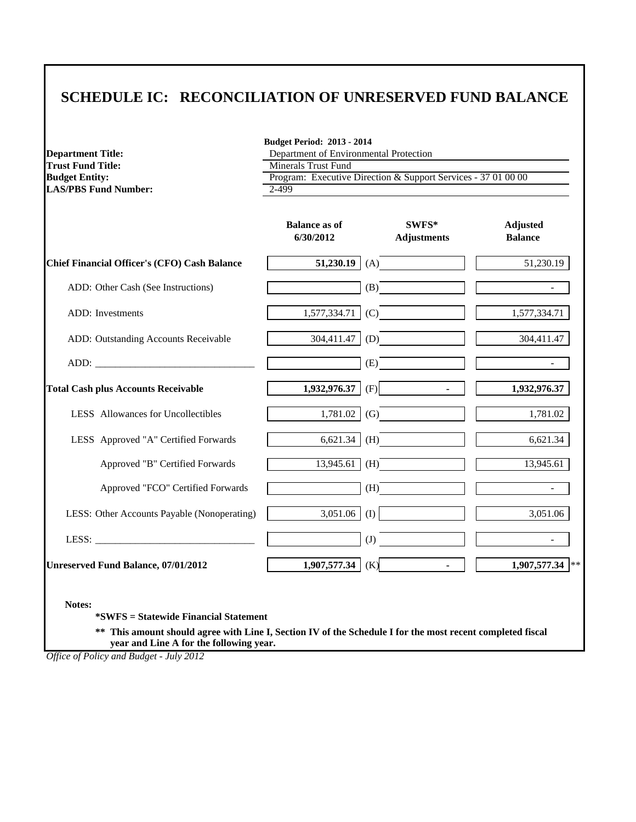# **SCHEDULE IC: RECONCILIATION OF UNRESERVED FUND BALANCE**

| <b>Department Title:</b>                          |                                                                                             | <b>Budget Period: 2013 - 2014</b><br>Department of Environmental Protection |                                   |  |  |
|---------------------------------------------------|---------------------------------------------------------------------------------------------|-----------------------------------------------------------------------------|-----------------------------------|--|--|
| <b>Trust Fund Title:</b><br><b>Budget Entity:</b> | <b>Minerals Trust Fund</b><br>Program: Executive Direction & Support Services - 37 01 00 00 |                                                                             |                                   |  |  |
| <b>LAS/PBS Fund Number:</b>                       | 2-499                                                                                       |                                                                             |                                   |  |  |
|                                                   | <b>Balance as of</b><br>6/30/2012                                                           | SWFS*<br><b>Adjustments</b>                                                 | <b>Adjusted</b><br><b>Balance</b> |  |  |
| Chief Financial Officer's (CFO) Cash Balance      | 51,230.19                                                                                   | (A)                                                                         | 51,230.19                         |  |  |
| ADD: Other Cash (See Instructions)                |                                                                                             | (B)                                                                         |                                   |  |  |
| ADD: Investments                                  | 1,577,334.71                                                                                | (C)                                                                         | 1,577,334.71                      |  |  |
| ADD: Outstanding Accounts Receivable              | 304,411.47                                                                                  | (D)                                                                         | 304,411.47                        |  |  |
|                                                   |                                                                                             | (E)                                                                         |                                   |  |  |
| <b>Total Cash plus Accounts Receivable</b>        | 1,932,976.37                                                                                | (F)<br>$\mathbf{r}$                                                         | 1,932,976.37                      |  |  |
| LESS Allowances for Uncollectibles                | 1,781.02                                                                                    | (G)                                                                         | 1,781.02                          |  |  |
| LESS Approved "A" Certified Forwards              | 6,621.34                                                                                    | (H)                                                                         | 6,621.34                          |  |  |
| Approved "B" Certified Forwards                   | 13,945.61                                                                                   | (H)                                                                         | 13,945.61                         |  |  |
| Approved "FCO" Certified Forwards                 |                                                                                             | (H)                                                                         |                                   |  |  |
| LESS: Other Accounts Payable (Nonoperating)       | 3,051.06                                                                                    | (I)                                                                         | 3,051.06                          |  |  |
|                                                   |                                                                                             | (J)                                                                         |                                   |  |  |
| Unreserved Fund Balance, 07/01/2012               | 1,907,577.34                                                                                | (K)<br>$\sim$                                                               | 1,907,577.34 **                   |  |  |

**\*\* This amount should agree with Line I, Section IV of the Schedule I for the most recent completed fiscal year and Line A for the following year.**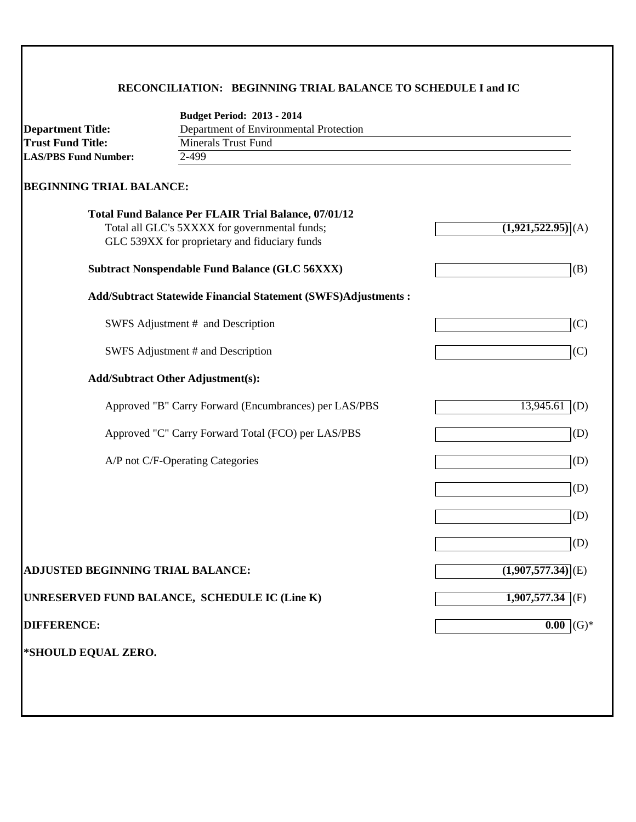### **RECONCILIATION: BEGINNING TRIAL BALANCE TO SCHEDULE I and IC**

|                                          | <b>Budget Period: 2013 - 2014</b>                                    |                                 |
|------------------------------------------|----------------------------------------------------------------------|---------------------------------|
| <b>Department Title:</b>                 | Department of Environmental Protection                               |                                 |
| <b>Trust Fund Title:</b>                 | <b>Minerals Trust Fund</b>                                           |                                 |
| <b>LAS/PBS Fund Number:</b>              | 2-499                                                                |                                 |
| <b>BEGINNING TRIAL BALANCE:</b>          |                                                                      |                                 |
|                                          | <b>Total Fund Balance Per FLAIR Trial Balance, 07/01/12</b>          |                                 |
|                                          | Total all GLC's 5XXXX for governmental funds;                        | $(1,921,522.95)$ (A)            |
|                                          | GLC 539XX for proprietary and fiduciary funds                        |                                 |
|                                          | <b>Subtract Nonspendable Fund Balance (GLC 56XXX)</b>                | (B)                             |
|                                          | <b>Add/Subtract Statewide Financial Statement (SWFS)Adjustments:</b> |                                 |
|                                          | SWFS Adjustment # and Description                                    | (C)                             |
|                                          | SWFS Adjustment # and Description                                    | (C)                             |
|                                          | <b>Add/Subtract Other Adjustment(s):</b>                             |                                 |
|                                          | Approved "B" Carry Forward (Encumbrances) per LAS/PBS                | 13,945.61<br>(D)                |
|                                          | Approved "C" Carry Forward Total (FCO) per LAS/PBS                   | (D)                             |
|                                          | A/P not C/F-Operating Categories                                     | (D)                             |
|                                          |                                                                      | (D)                             |
|                                          |                                                                      | (D)                             |
|                                          |                                                                      | (D)                             |
| <b>ADJUSTED BEGINNING TRIAL BALANCE:</b> |                                                                      | $(1,907,577.34)$ <sup>(E)</sup> |
|                                          | UNRESERVED FUND BALANCE, SCHEDULE IC (Line K)                        | 1,907,577.34<br>(F)             |
| <b>DIFFERENCE:</b>                       |                                                                      | 0.00<br>$(G)$ *                 |
|                                          |                                                                      |                                 |
| *SHOULD EQUAL ZERO.                      |                                                                      |                                 |
|                                          |                                                                      |                                 |
|                                          |                                                                      |                                 |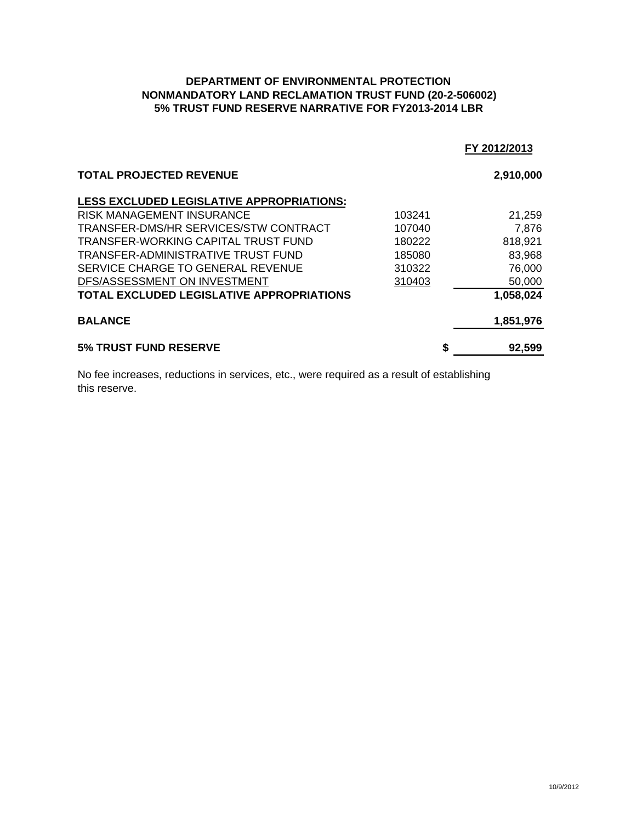### **DEPARTMENT OF ENVIRONMENTAL PROTECTION NONMANDATORY LAND RECLAMATION TRUST FUND (20-2-506002) 5% TRUST FUND RESERVE NARRATIVE FOR FY2013-2014 LBR**

|                                                  |        | FY 2012/2013 |
|--------------------------------------------------|--------|--------------|
| <b>TOTAL PROJECTED REVENUE</b>                   |        | 2,910,000    |
| <b>LESS EXCLUDED LEGISLATIVE APPROPRIATIONS:</b> |        |              |
| <b>RISK MANAGEMENT INSURANCE</b>                 | 103241 | 21,259       |
| TRANSFER-DMS/HR SERVICES/STW CONTRACT            | 107040 | 7,876        |
| TRANSFER-WORKING CAPITAL TRUST FUND              | 180222 | 818,921      |
| TRANSFER-ADMINISTRATIVE TRUST FUND               | 185080 | 83,968       |
| SERVICE CHARGE TO GENERAL REVENUE                | 310322 | 76,000       |
| DFS/ASSESSMENT ON INVESTMENT                     | 310403 | 50,000       |
| <b>TOTAL EXCLUDED LEGISLATIVE APPROPRIATIONS</b> |        | 1,058,024    |
| <b>BALANCE</b>                                   |        | 1,851,976    |
| <b>5% TRUST FUND RESERVE</b>                     |        | \$<br>92,599 |

No fee increases, reductions in services, etc., were required as a result of establishing this reserve.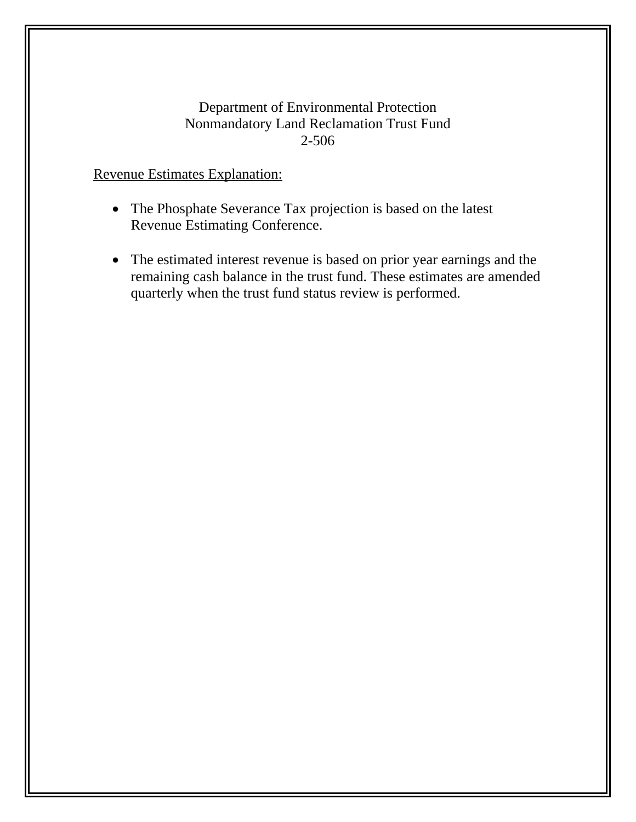### Department of Environmental Protection Nonmandatory Land Reclamation Trust Fund 2-506

# Revenue Estimates Explanation:

- The Phosphate Severance Tax projection is based on the latest Revenue Estimating Conference.
- The estimated interest revenue is based on prior year earnings and the remaining cash balance in the trust fund. These estimates are amended quarterly when the trust fund status review is performed.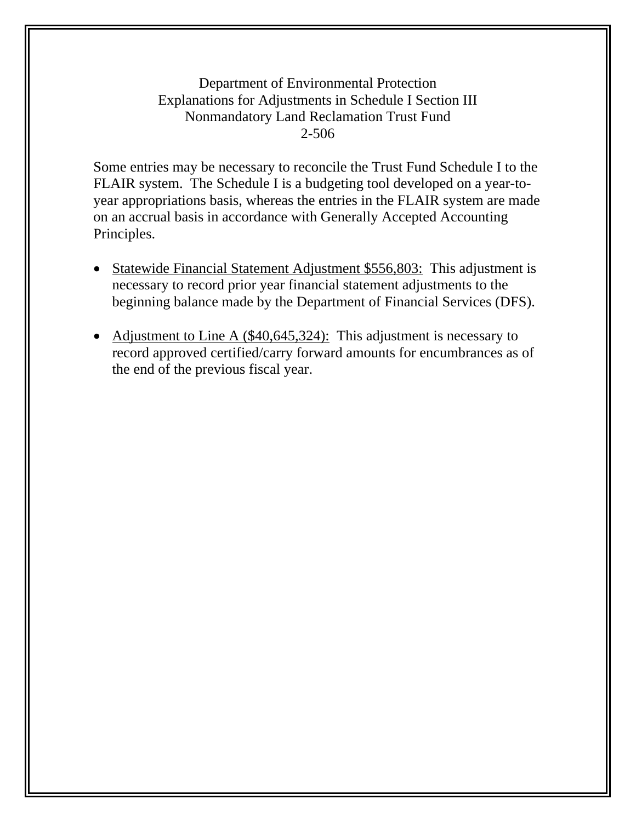## Department of Environmental Protection Explanations for Adjustments in Schedule I Section III Nonmandatory Land Reclamation Trust Fund 2-506

Some entries may be necessary to reconcile the Trust Fund Schedule I to the FLAIR system. The Schedule I is a budgeting tool developed on a year-toyear appropriations basis, whereas the entries in the FLAIR system are made on an accrual basis in accordance with Generally Accepted Accounting Principles.

- Statewide Financial Statement Adjustment \$556,803: This adjustment is necessary to record prior year financial statement adjustments to the beginning balance made by the Department of Financial Services (DFS).
- Adjustment to Line A  $(\$40, 645, 324)$ : This adjustment is necessary to record approved certified/carry forward amounts for encumbrances as of the end of the previous fiscal year.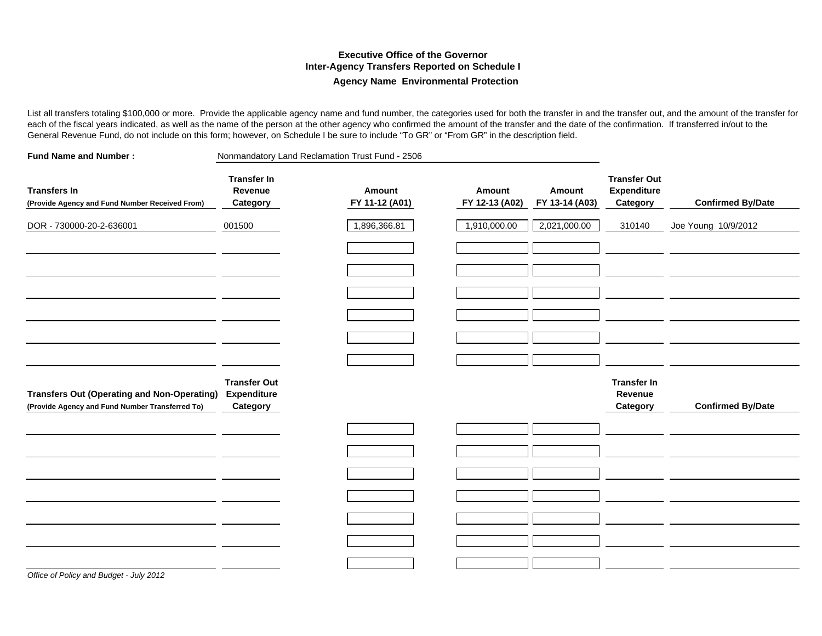#### **Executive Office of the GovernorInter-Agency Transfers Reported on Schedule I Agency Name Environmental Protection**

List all transfers totaling \$100,000 or more. Provide the applicable agency name and fund number, the categories used for both the transfer in and the transfer out, and the amount of the transfer for each of the fiscal years indicated, as well as the name of the person at the other agency who confirmed the amount of the transfer and the date of the confirmation. If transferred in/out to the General Revenue Fund, do not include on this form; however, on Schedule I be sure to include "To GR" or "From GR" in the description field.

| <b>Fund Name and Number:</b>                                                                          |                                                       | Nonmandatory Land Reclamation Trust Fund - 2506 |                          |                          |                                                       |                          |
|-------------------------------------------------------------------------------------------------------|-------------------------------------------------------|-------------------------------------------------|--------------------------|--------------------------|-------------------------------------------------------|--------------------------|
| <b>Transfers In</b><br>(Provide Agency and Fund Number Received From)                                 | <b>Transfer In</b><br>Revenue<br>Category             | Amount<br>FY 11-12 (A01)                        | Amount<br>FY 12-13 (A02) | Amount<br>FY 13-14 (A03) | <b>Transfer Out</b><br><b>Expenditure</b><br>Category | <b>Confirmed By/Date</b> |
| DOR - 730000-20-2-636001                                                                              | 001500                                                | 1,896,366.81                                    | 1,910,000.00             | 2,021,000.00             | 310140                                                | Joe Young 10/9/2012      |
|                                                                                                       |                                                       |                                                 |                          |                          |                                                       |                          |
|                                                                                                       |                                                       |                                                 |                          |                          |                                                       |                          |
|                                                                                                       |                                                       |                                                 |                          |                          |                                                       |                          |
|                                                                                                       |                                                       |                                                 |                          |                          |                                                       |                          |
| <b>Transfers Out (Operating and Non-Operating)</b><br>(Provide Agency and Fund Number Transferred To) | <b>Transfer Out</b><br><b>Expenditure</b><br>Category |                                                 |                          |                          | <b>Transfer In</b><br>Revenue<br>Category             | <b>Confirmed By/Date</b> |
|                                                                                                       |                                                       |                                                 |                          |                          |                                                       |                          |
|                                                                                                       |                                                       |                                                 |                          |                          |                                                       |                          |
|                                                                                                       |                                                       |                                                 |                          |                          |                                                       |                          |
|                                                                                                       |                                                       |                                                 |                          |                          |                                                       |                          |
|                                                                                                       |                                                       |                                                 |                          |                          |                                                       |                          |
| Office of Policy and Budget - July 2012                                                               |                                                       |                                                 |                          |                          |                                                       |                          |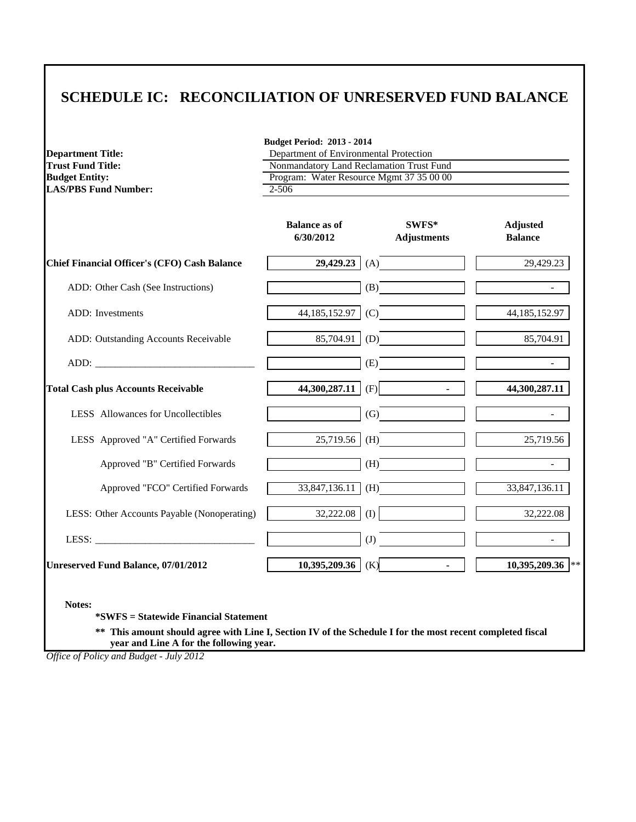# **SCHEDULE IC: RECONCILIATION OF UNRESERVED FUND BALANCE**

| Nonmandatory Land Reclamation Trust Fund<br>Program: Water Resource Mgmt 37 35 00 00<br>SWFS*<br><b>Adjustments</b><br>$29,429.23$ (A)<br>(B)<br>44,185,152.97<br>(C)<br>85,704.91<br>(D) | <b>Adjusted</b><br><b>Balance</b><br>29,429.23<br>44, 185, 152. 97<br>85,704.91 |
|-------------------------------------------------------------------------------------------------------------------------------------------------------------------------------------------|---------------------------------------------------------------------------------|
|                                                                                                                                                                                           |                                                                                 |
|                                                                                                                                                                                           |                                                                                 |
|                                                                                                                                                                                           |                                                                                 |
|                                                                                                                                                                                           |                                                                                 |
|                                                                                                                                                                                           |                                                                                 |
|                                                                                                                                                                                           |                                                                                 |
|                                                                                                                                                                                           |                                                                                 |
|                                                                                                                                                                                           |                                                                                 |
| (E)                                                                                                                                                                                       | $\overline{a}$                                                                  |
| (F)<br>44,300,287.11                                                                                                                                                                      | 44,300,287.11<br>$\blacksquare$                                                 |
| (G)                                                                                                                                                                                       |                                                                                 |
| 25,719.56<br>(H)                                                                                                                                                                          | 25,719.56                                                                       |
| (H)                                                                                                                                                                                       |                                                                                 |
| (H)<br>33,847,136.11                                                                                                                                                                      | 33,847,136.11                                                                   |
| (I)                                                                                                                                                                                       | 32,222.08                                                                       |
| $\rm (J)$                                                                                                                                                                                 |                                                                                 |
|                                                                                                                                                                                           | $10,395,209.36$ **<br>$\mathcal{L}^{\text{max}}$                                |
|                                                                                                                                                                                           | 32,222.08<br>$10,395,209.36$ (K)                                                |

**\*\* This amount should agree with Line I, Section IV of the Schedule I for the most recent completed fiscal year and Line A for the following year.**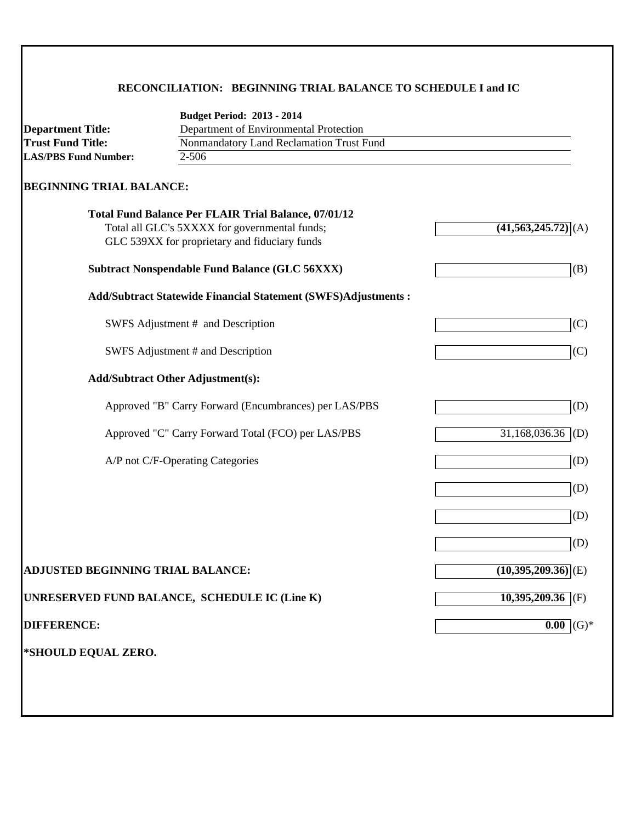### **RECONCILIATION: BEGINNING TRIAL BALANCE TO SCHEDULE I and IC**

| <b>Department Title:</b>                 | <b>Budget Period: 2013 - 2014</b>                                    |                                  |
|------------------------------------------|----------------------------------------------------------------------|----------------------------------|
|                                          | Department of Environmental Protection                               |                                  |
| <b>Trust Fund Title:</b>                 | Nonmandatory Land Reclamation Trust Fund                             |                                  |
| <b>LAS/PBS Fund Number:</b>              | 2-506                                                                |                                  |
| <b>BEGINNING TRIAL BALANCE:</b>          |                                                                      |                                  |
|                                          | <b>Total Fund Balance Per FLAIR Trial Balance, 07/01/12</b>          |                                  |
|                                          | Total all GLC's 5XXXX for governmental funds;                        | $(41,563,245.72)$ <sup>(A)</sup> |
|                                          | GLC 539XX for proprietary and fiduciary funds                        |                                  |
|                                          | <b>Subtract Nonspendable Fund Balance (GLC 56XXX)</b>                | (B)                              |
|                                          | <b>Add/Subtract Statewide Financial Statement (SWFS)Adjustments:</b> |                                  |
|                                          | SWFS Adjustment # and Description                                    | (C)                              |
|                                          | SWFS Adjustment # and Description                                    | (C)                              |
|                                          | <b>Add/Subtract Other Adjustment(s):</b>                             |                                  |
|                                          | Approved "B" Carry Forward (Encumbrances) per LAS/PBS                | (D)                              |
|                                          | Approved "C" Carry Forward Total (FCO) per LAS/PBS                   | $31,168,036.36$ (D)              |
|                                          | A/P not C/F-Operating Categories                                     | (D)                              |
|                                          |                                                                      | (D)                              |
|                                          |                                                                      | (D)                              |
|                                          |                                                                      | (D)                              |
| <b>ADJUSTED BEGINNING TRIAL BALANCE:</b> |                                                                      | $(10,395,209.36)$ <sub>(E)</sub> |
|                                          | UNRESERVED FUND BALANCE, SCHEDULE IC (Line K)                        | $10,395,209.36$ (F)              |
| <b>DIFFERENCE:</b>                       |                                                                      | $0.00$ (G)*                      |
| *SHOULD EQUAL ZERO.                      |                                                                      |                                  |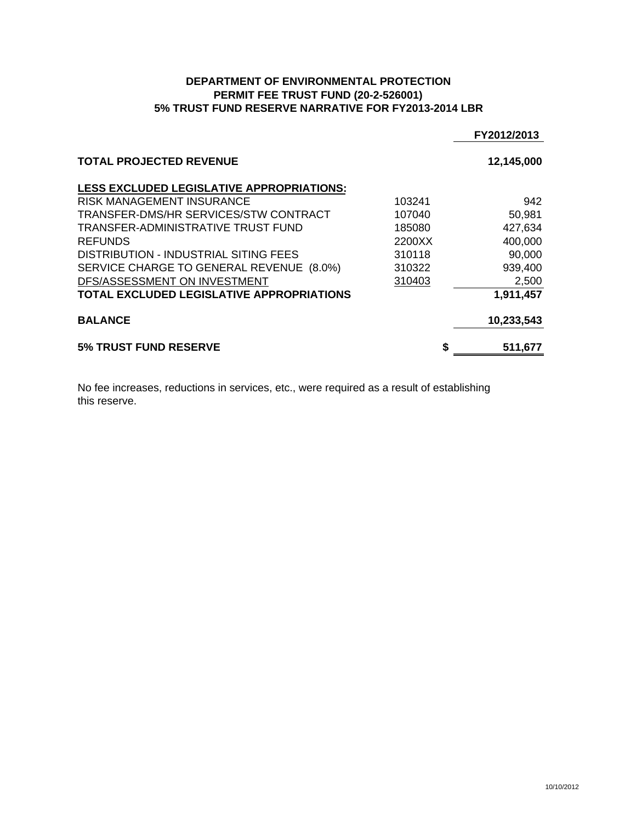### **DEPARTMENT OF ENVIRONMENTAL PROTECTION PERMIT FEE TRUST FUND (20-2-526001) 5% TRUST FUND RESERVE NARRATIVE FOR FY2013-2014 LBR**

|                                                  |        | FY2012/2013 |
|--------------------------------------------------|--------|-------------|
| <b>TOTAL PROJECTED REVENUE</b>                   |        | 12,145,000  |
| <b>LESS EXCLUDED LEGISLATIVE APPROPRIATIONS:</b> |        |             |
| <b>RISK MANAGEMENT INSURANCE</b>                 | 103241 | 942         |
| TRANSFER-DMS/HR SERVICES/STW CONTRACT            | 107040 | 50,981      |
| TRANSFER-ADMINISTRATIVE TRUST FUND               | 185080 | 427,634     |
| <b>REFUNDS</b>                                   | 2200XX | 400,000     |
| DISTRIBUTION - INDUSTRIAL SITING FEES            | 310118 | 90,000      |
| SERVICE CHARGE TO GENERAL REVENUE (8.0%)         | 310322 | 939,400     |
| DFS/ASSESSMENT ON INVESTMENT                     | 310403 | 2,500       |
| TOTAL EXCLUDED LEGISLATIVE APPROPRIATIONS        |        | 1,911,457   |
| <b>BALANCE</b>                                   |        | 10,233,543  |
| <b>5% TRUST FUND RESERVE</b>                     | S      | 511,677     |

No fee increases, reductions in services, etc., were required as a result of establishing this reserve.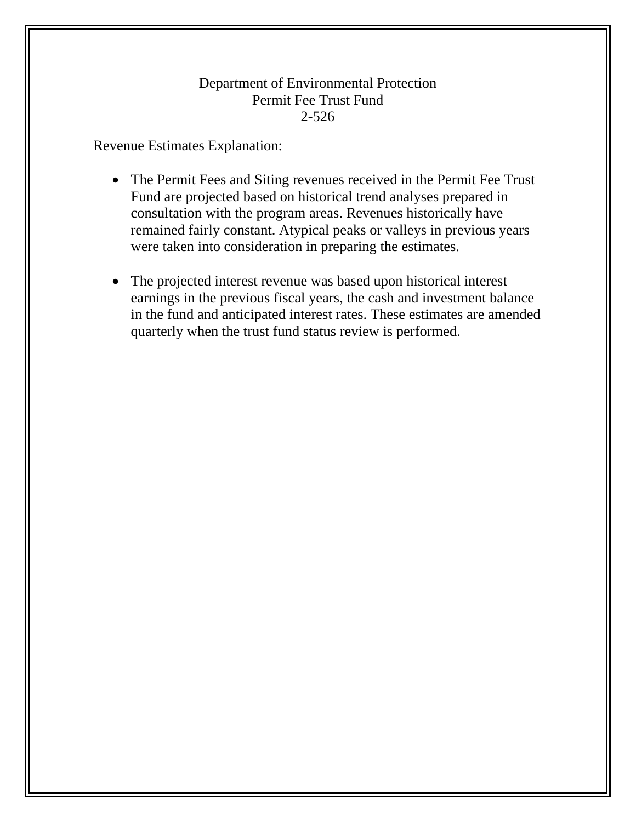### Department of Environmental Protection Permit Fee Trust Fund 2-526

### Revenue Estimates Explanation:

- The Permit Fees and Siting revenues received in the Permit Fee Trust Fund are projected based on historical trend analyses prepared in consultation with the program areas. Revenues historically have remained fairly constant. Atypical peaks or valleys in previous years were taken into consideration in preparing the estimates.
- The projected interest revenue was based upon historical interest earnings in the previous fiscal years, the cash and investment balance in the fund and anticipated interest rates. These estimates are amended quarterly when the trust fund status review is performed.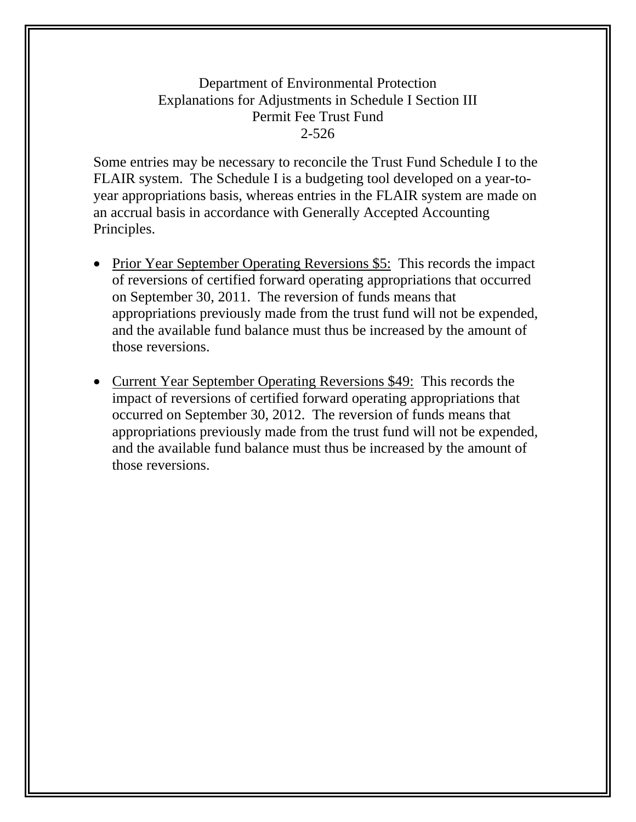### Department of Environmental Protection Explanations for Adjustments in Schedule I Section III Permit Fee Trust Fund 2-526

Some entries may be necessary to reconcile the Trust Fund Schedule I to the FLAIR system. The Schedule I is a budgeting tool developed on a year-toyear appropriations basis, whereas entries in the FLAIR system are made on an accrual basis in accordance with Generally Accepted Accounting Principles.

- Prior Year September Operating Reversions \$5: This records the impact of reversions of certified forward operating appropriations that occurred on September 30, 2011. The reversion of funds means that appropriations previously made from the trust fund will not be expended, and the available fund balance must thus be increased by the amount of those reversions.
- Current Year September Operating Reversions \$49: This records the impact of reversions of certified forward operating appropriations that occurred on September 30, 2012. The reversion of funds means that appropriations previously made from the trust fund will not be expended, and the available fund balance must thus be increased by the amount of those reversions.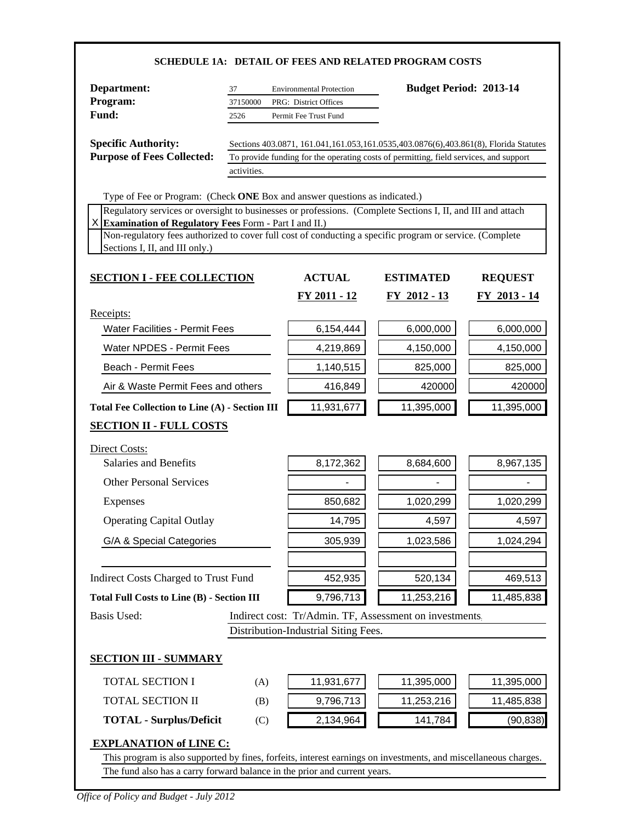| Department:<br>37                                                                                                                                                   |             | <b>Environmental Protection</b>                                                          | <b>Budget Period: 2013-14</b> |        |                                                                         |
|---------------------------------------------------------------------------------------------------------------------------------------------------------------------|-------------|------------------------------------------------------------------------------------------|-------------------------------|--------|-------------------------------------------------------------------------|
| Program:                                                                                                                                                            | 37150000    | PRG: District Offices                                                                    |                               |        |                                                                         |
| Fund:                                                                                                                                                               | 2526        | Permit Fee Trust Fund                                                                    |                               |        |                                                                         |
| <b>Specific Authority:</b>                                                                                                                                          |             | Sections 403.0871, 161.041, 161.053, 161.0535, 403.0876(6), 403.861(8), Florida Statutes |                               |        |                                                                         |
| <b>Purpose of Fees Collected:</b>                                                                                                                                   |             | To provide funding for the operating costs of permitting, field services, and support    |                               |        |                                                                         |
|                                                                                                                                                                     | activities. |                                                                                          |                               |        |                                                                         |
| Type of Fee or Program: (Check ONE Box and answer questions as indicated.)                                                                                          |             |                                                                                          |                               |        |                                                                         |
| Regulatory services or oversight to businesses or professions. (Complete Sections I, II, and III and attach                                                         |             |                                                                                          |                               |        |                                                                         |
| X Examination of Regulatory Fees Form - Part I and II.)<br>Non-regulatory fees authorized to cover full cost of conducting a specific program or service. (Complete |             |                                                                                          |                               |        |                                                                         |
| Sections I, II, and III only.)                                                                                                                                      |             |                                                                                          |                               |        |                                                                         |
| <b>SECTION I - FEE COLLECTION</b>                                                                                                                                   |             | <b>ACTUAL</b>                                                                            | <b>ESTIMATED</b>              |        | <b>REQUEST</b>                                                          |
|                                                                                                                                                                     |             | <u>FY 2011 - 12</u>                                                                      | <u>FY 2012 - 13</u>           |        | <u>FY 2013 - 14</u>                                                     |
| Receipts:                                                                                                                                                           |             |                                                                                          |                               |        |                                                                         |
| <b>Water Facilities - Permit Fees</b>                                                                                                                               |             | 6,154,444                                                                                | 6,000,000                     |        | 6,000,000                                                               |
| Water NPDES - Permit Fees                                                                                                                                           |             | 4,219,869                                                                                | 4,150,000                     |        | 4,150,000                                                               |
| Beach - Permit Fees                                                                                                                                                 |             | 1,140,515                                                                                | 825,000                       |        | 825,000                                                                 |
| Air & Waste Permit Fees and others                                                                                                                                  |             | 416,849                                                                                  |                               | 420000 | 420000                                                                  |
| <b>Total Fee Collection to Line (A) - Section III</b>                                                                                                               |             | 11,931,677                                                                               | 11,395,000                    |        | 11,395,000                                                              |
| <b>SECTION II - FULL COSTS</b>                                                                                                                                      |             |                                                                                          |                               |        |                                                                         |
| Direct Costs:                                                                                                                                                       |             |                                                                                          |                               |        |                                                                         |
| <b>Salaries and Benefits</b>                                                                                                                                        |             | 8,172,362                                                                                | 8,684,600                     |        | 8,967,135                                                               |
| <b>Other Personal Services</b>                                                                                                                                      |             |                                                                                          |                               |        |                                                                         |
| <b>Expenses</b>                                                                                                                                                     |             | 850,682                                                                                  | 1,020,299                     |        | 1,020,299                                                               |
|                                                                                                                                                                     |             |                                                                                          |                               |        |                                                                         |
| <b>Operating Capital Outlay</b>                                                                                                                                     |             | 14,795                                                                                   |                               | 4,597  |                                                                         |
| G/A & Special Categories                                                                                                                                            |             | 305,939                                                                                  | 1,023,586                     |        |                                                                         |
|                                                                                                                                                                     |             |                                                                                          |                               |        |                                                                         |
| <b>Indirect Costs Charged to Trust Fund</b>                                                                                                                         |             | 452,935                                                                                  | 520,134                       |        |                                                                         |
| <b>Total Full Costs to Line (B) - Section III</b>                                                                                                                   |             | 9,796,713                                                                                | 11,253,216                    |        |                                                                         |
| <b>Basis Used:</b>                                                                                                                                                  |             | Indirect cost: Tr/Admin. TF, Assessment on investments,                                  |                               |        |                                                                         |
|                                                                                                                                                                     |             | Distribution-Industrial Siting Fees.                                                     |                               |        |                                                                         |
| <b>SECTION III - SUMMARY</b>                                                                                                                                        |             |                                                                                          |                               |        |                                                                         |
|                                                                                                                                                                     |             |                                                                                          |                               |        |                                                                         |
| <b>TOTAL SECTION I</b><br>TOTAL SECTION II                                                                                                                          | (A)<br>(B)  | 11,931,677<br>9,796,713                                                                  | 11,395,000<br>11,253,216      |        | 4,597<br>1,024,294<br>469,513<br>11,485,838<br>11,395,000<br>11,485,838 |

# *Office of Policy and Budget - July 2012*

The fund also has a carry forward balance in the prior and current years.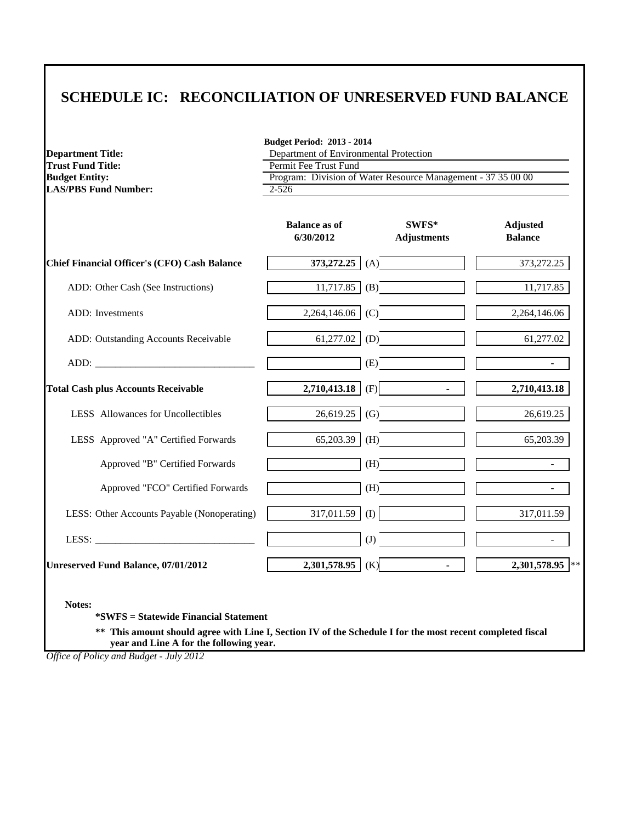### **SCHEDULE IC: RECONCILIATION OF UNRESERVED FUND BALANCE**

| <b>Department Title:</b><br><b>Trust Fund Title:</b> | <b>Budget Period: 2013 - 2014</b><br>Department of Environmental Protection<br>Permit Fee Trust Fund |                             |                                   |  |
|------------------------------------------------------|------------------------------------------------------------------------------------------------------|-----------------------------|-----------------------------------|--|
| <b>Budget Entity:</b><br><b>LAS/PBS Fund Number:</b> | Program: Division of Water Resource Management - 37 35 00 00<br>$2 - 526$                            |                             |                                   |  |
|                                                      | <b>Balance as of</b><br>6/30/2012                                                                    | SWFS*<br><b>Adjustments</b> | <b>Adjusted</b><br><b>Balance</b> |  |
| Chief Financial Officer's (CFO) Cash Balance         | 373,272.25 (A)                                                                                       |                             | 373, 272. 25                      |  |
| ADD: Other Cash (See Instructions)                   |                                                                                                      | $11,717.85$ (B)             | 11,717.85                         |  |
| ADD: Investments                                     | 2,264,146.06                                                                                         | (C)                         | 2,264,146.06                      |  |
| ADD: Outstanding Accounts Receivable                 | 61,277.02                                                                                            | (D)                         | 61,277.02                         |  |
| ADD:                                                 |                                                                                                      | (E)                         |                                   |  |
| <b>Total Cash plus Accounts Receivable</b>           | 2,710,413.18<br>(F)                                                                                  | $\blacksquare$              | 2,710,413.18                      |  |
| LESS Allowances for Uncollectibles                   | 26,619.25<br>(G)                                                                                     |                             | 26,619.25                         |  |
| LESS Approved "A" Certified Forwards                 | 65,203.39<br>(H)                                                                                     |                             | 65,203.39                         |  |
| Approved "B" Certified Forwards                      | (H)                                                                                                  |                             | $\overline{a}$                    |  |
| Approved "FCO" Certified Forwards                    | (H)                                                                                                  |                             |                                   |  |
| LESS: Other Accounts Payable (Nonoperating)          | (I)<br>317,011.59                                                                                    |                             | 317,011.59                        |  |
|                                                      | (J)                                                                                                  |                             |                                   |  |
| <b>Unreserved Fund Balance, 07/01/2012</b>           | 2,301,578.95<br>(K)                                                                                  | ä.                          | 2,301,578.95 **                   |  |

**\*\* This amount should agree with Line I, Section IV of the Schedule I for the most recent completed fiscal year and Line A for the following year.**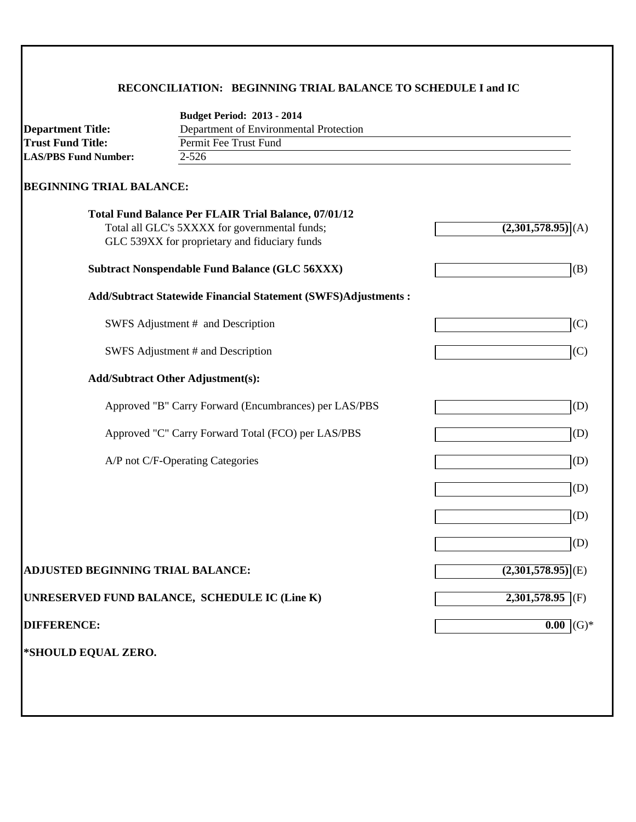### **RECONCILIATION: BEGINNING TRIAL BALANCE TO SCHEDULE I and IC**

| <b>Department Title:</b>                 | <b>Budget Period: 2013 - 2014</b><br>Department of Environmental Protection |                                 |  |  |  |
|------------------------------------------|-----------------------------------------------------------------------------|---------------------------------|--|--|--|
| <b>Trust Fund Title:</b>                 | Permit Fee Trust Fund                                                       |                                 |  |  |  |
| <b>LAS/PBS Fund Number:</b>              | $2 - 526$                                                                   |                                 |  |  |  |
| <b>BEGINNING TRIAL BALANCE:</b>          |                                                                             |                                 |  |  |  |
|                                          | <b>Total Fund Balance Per FLAIR Trial Balance, 07/01/12</b>                 |                                 |  |  |  |
|                                          | Total all GLC's 5XXXX for governmental funds;                               | (2,301,578.95)                  |  |  |  |
|                                          | GLC 539XX for proprietary and fiduciary funds                               |                                 |  |  |  |
|                                          | <b>Subtract Nonspendable Fund Balance (GLC 56XXX)</b>                       | (B)                             |  |  |  |
|                                          | <b>Add/Subtract Statewide Financial Statement (SWFS)Adjustments:</b>        |                                 |  |  |  |
|                                          | SWFS Adjustment # and Description                                           | (C)                             |  |  |  |
|                                          | SWFS Adjustment # and Description                                           | (C)                             |  |  |  |
|                                          | <b>Add/Subtract Other Adjustment(s):</b>                                    |                                 |  |  |  |
|                                          | Approved "B" Carry Forward (Encumbrances) per LAS/PBS                       | (D)                             |  |  |  |
|                                          | Approved "C" Carry Forward Total (FCO) per LAS/PBS                          | (D)                             |  |  |  |
|                                          | A/P not C/F-Operating Categories                                            | (D)                             |  |  |  |
|                                          |                                                                             | (D)                             |  |  |  |
|                                          |                                                                             | (D)                             |  |  |  |
|                                          |                                                                             | (D)                             |  |  |  |
| <b>ADJUSTED BEGINNING TRIAL BALANCE:</b> |                                                                             | $(2,301,578.95)$ <sub>(E)</sub> |  |  |  |
|                                          | UNRESERVED FUND BALANCE, SCHEDULE IC (Line K)                               | $2,301,578.95$ (F)              |  |  |  |
| <b>DIFFERENCE:</b>                       |                                                                             | $0.00$ (G)*                     |  |  |  |
| *SHOULD EQUAL ZERO.                      |                                                                             |                                 |  |  |  |
|                                          |                                                                             |                                 |  |  |  |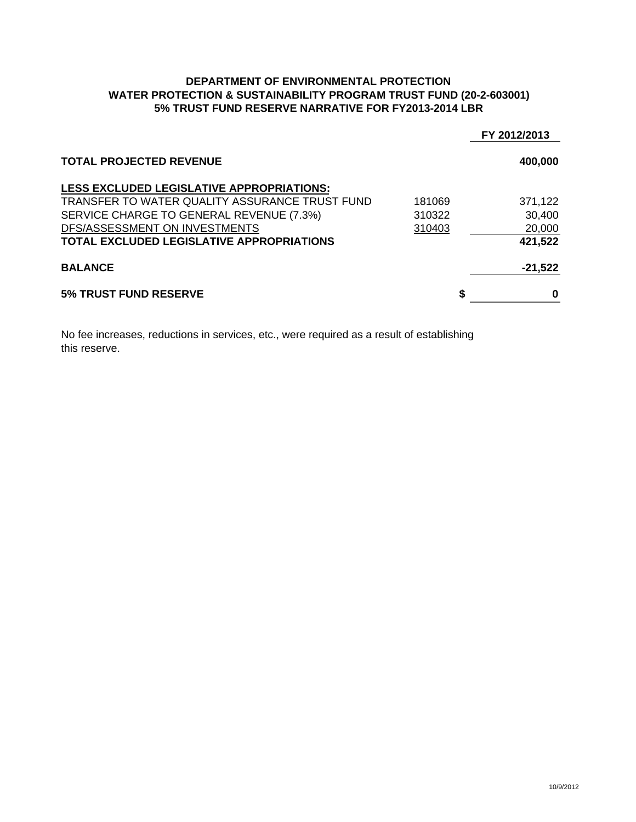#### **DEPARTMENT OF ENVIRONMENTAL PROTECTION WATER PROTECTION & SUSTAINABILITY PROGRAM TRUST FUND (20-2-603001) 5% TRUST FUND RESERVE NARRATIVE FOR FY2013-2014 LBR**

|                                                |        | FY 2012/2013 |
|------------------------------------------------|--------|--------------|
| <b>TOTAL PROJECTED REVENUE</b>                 |        | 400,000      |
| LESS EXCLUDED LEGISLATIVE APPROPRIATIONS:      |        |              |
| TRANSFER TO WATER QUALITY ASSURANCE TRUST FUND | 181069 | 371,122      |
| SERVICE CHARGE TO GENERAL REVENUE (7.3%)       | 310322 | 30,400       |
| DFS/ASSESSMENT ON INVESTMENTS                  | 310403 | 20,000       |
| TOTAL EXCLUDED LEGISLATIVE APPROPRIATIONS      |        | 421,522      |
| <b>BALANCE</b>                                 |        | $-21,522$    |
| <b>5% TRUST FUND RESERVE</b>                   | \$     |              |

No fee increases, reductions in services, etc., were required as a result of establishing this reserve.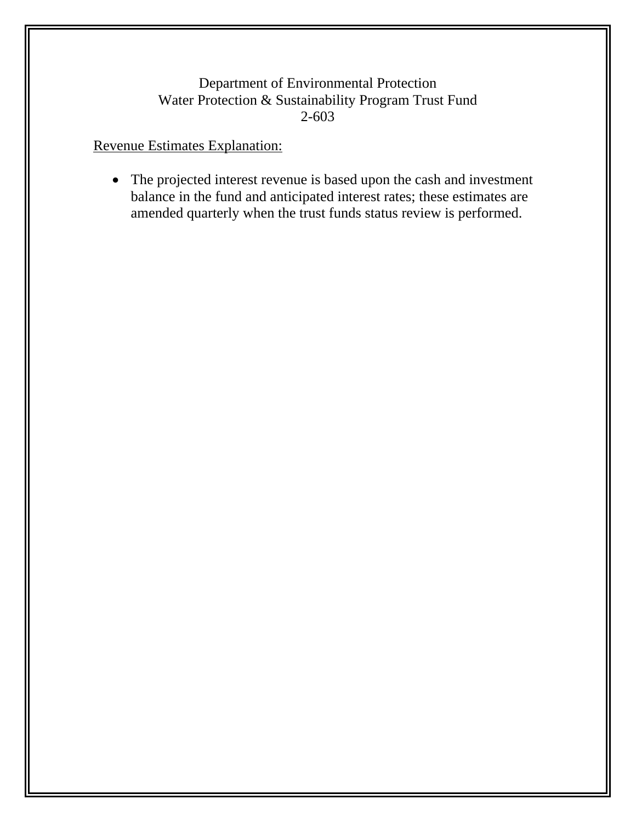### Department of Environmental Protection Water Protection & Sustainability Program Trust Fund 2-603

Revenue Estimates Explanation:

• The projected interest revenue is based upon the cash and investment balance in the fund and anticipated interest rates; these estimates are amended quarterly when the trust funds status review is performed.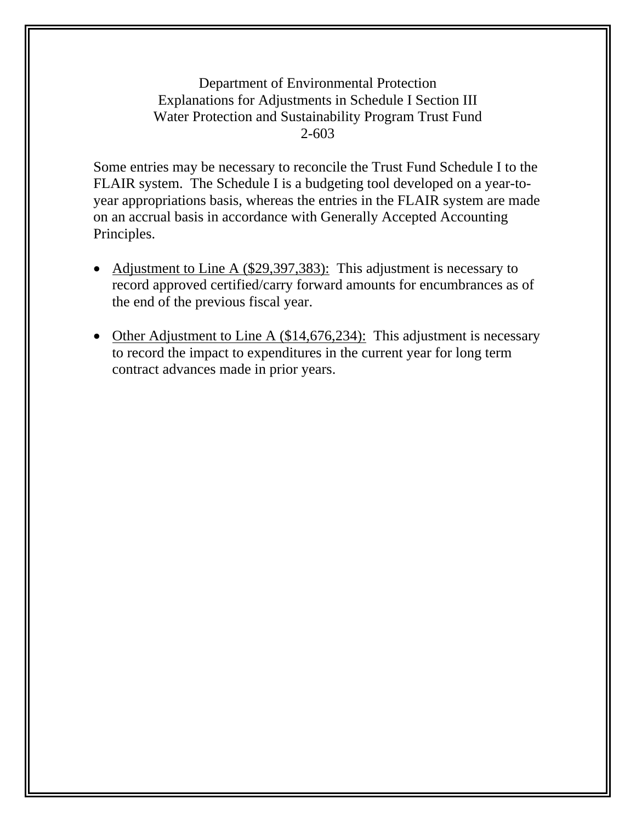Department of Environmental Protection Explanations for Adjustments in Schedule I Section III Water Protection and Sustainability Program Trust Fund 2-603

Some entries may be necessary to reconcile the Trust Fund Schedule I to the FLAIR system. The Schedule I is a budgeting tool developed on a year-toyear appropriations basis, whereas the entries in the FLAIR system are made on an accrual basis in accordance with Generally Accepted Accounting Principles.

- Adjustment to Line A (\$29,397,383): This adjustment is necessary to record approved certified/carry forward amounts for encumbrances as of the end of the previous fiscal year.
- Other Adjustment to Line A (\$14,676,234): This adjustment is necessary to record the impact to expenditures in the current year for long term contract advances made in prior years.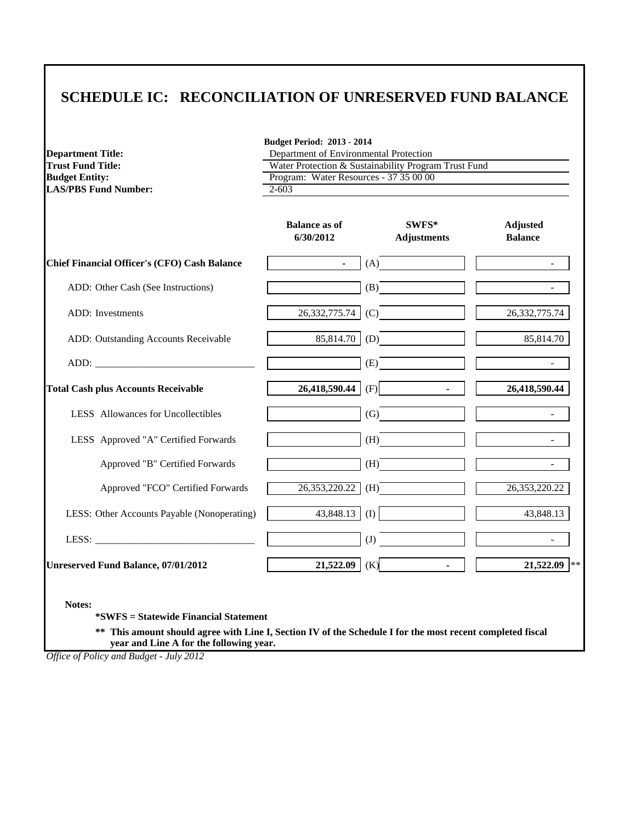# **SCHEDULE IC: RECONCILIATION OF UNRESERVED FUND BALANCE**

| <b>Department Title:</b><br><b>Trust Fund Title:</b> | <b>Budget Period: 2013 - 2014</b><br>Department of Environmental Protection<br>Water Protection & Sustainability Program Trust Fund |                             |                                   |  |  |
|------------------------------------------------------|-------------------------------------------------------------------------------------------------------------------------------------|-----------------------------|-----------------------------------|--|--|
| <b>Budget Entity:</b><br><b>LAS/PBS Fund Number:</b> | Program: Water Resources - 37 35 00 00<br>$2 - 603$                                                                                 |                             |                                   |  |  |
|                                                      | <b>Balance as of</b><br>6/30/2012                                                                                                   | SWFS*<br><b>Adjustments</b> | <b>Adjusted</b><br><b>Balance</b> |  |  |
| Chief Financial Officer's (CFO) Cash Balance         | $\mathbf{r}$                                                                                                                        | (A)                         |                                   |  |  |
| ADD: Other Cash (See Instructions)                   |                                                                                                                                     | (B)                         |                                   |  |  |
| ADD: Investments                                     | 26,332,775.74                                                                                                                       | (C)                         | 26, 332, 775. 74                  |  |  |
| ADD: Outstanding Accounts Receivable                 | 85,814.70                                                                                                                           | (D)                         | 85,814.70                         |  |  |
|                                                      |                                                                                                                                     | (E)                         |                                   |  |  |
| <b>Total Cash plus Accounts Receivable</b>           | 26,418,590.44                                                                                                                       | (F)                         | 26,418,590.44                     |  |  |
| LESS Allowances for Uncollectibles                   |                                                                                                                                     | (G)                         | $\overline{a}$                    |  |  |
| LESS Approved "A" Certified Forwards                 |                                                                                                                                     | (H)                         |                                   |  |  |
| Approved "B" Certified Forwards                      |                                                                                                                                     | (H)                         |                                   |  |  |
| Approved "FCO" Certified Forwards                    | 26,353,220.22                                                                                                                       | (H)                         | 26, 353, 220. 22                  |  |  |
| LESS: Other Accounts Payable (Nonoperating)          | 43,848.13                                                                                                                           | (I)                         | 43,848.13                         |  |  |
| LESS: $\qquad \qquad$                                |                                                                                                                                     | (J)                         |                                   |  |  |
| <b>Unreserved Fund Balance, 07/01/2012</b>           | 21,522.09                                                                                                                           | (K)<br>$\sim$               | 21,522.09 **                      |  |  |

 **year and Line A for the following year.**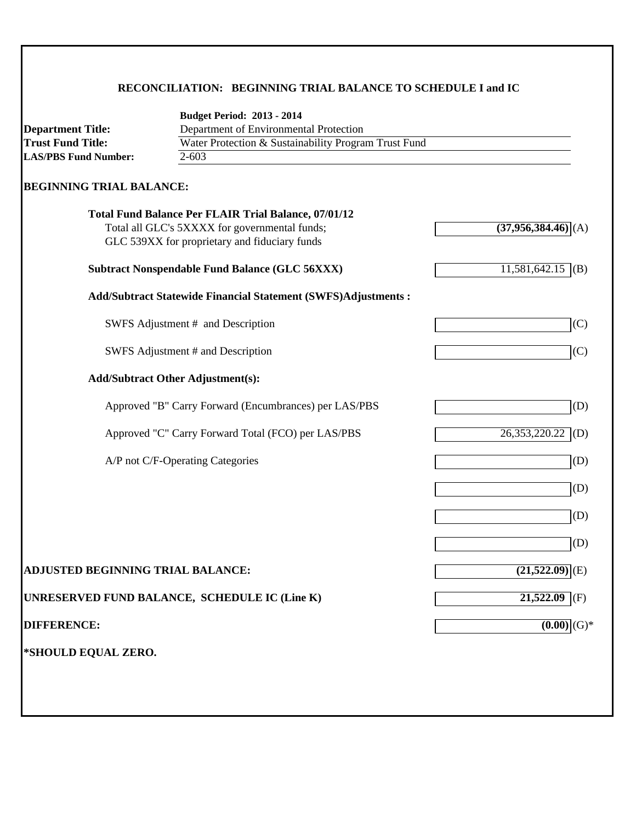### **RECONCILIATION: BEGINNING TRIAL BALANCE TO SCHEDULE I and IC**

|                                          | <b>Budget Period: 2013 - 2014</b>                                    |                            |  |  |  |  |  |
|------------------------------------------|----------------------------------------------------------------------|----------------------------|--|--|--|--|--|
| <b>Department Title:</b>                 | Department of Environmental Protection                               |                            |  |  |  |  |  |
| <b>Trust Fund Title:</b>                 | Water Protection & Sustainability Program Trust Fund                 |                            |  |  |  |  |  |
| <b>LAS/PBS Fund Number:</b>              | 2-603                                                                |                            |  |  |  |  |  |
| <b>BEGINNING TRIAL BALANCE:</b>          |                                                                      |                            |  |  |  |  |  |
|                                          | <b>Total Fund Balance Per FLAIR Trial Balance, 07/01/12</b>          |                            |  |  |  |  |  |
|                                          | Total all GLC's 5XXXX for governmental funds;                        | $(37,956,384.46)$ (A)      |  |  |  |  |  |
|                                          | GLC 539XX for proprietary and fiduciary funds                        |                            |  |  |  |  |  |
|                                          | <b>Subtract Nonspendable Fund Balance (GLC 56XXX)</b>                | 11,581,642.15<br>(B)       |  |  |  |  |  |
|                                          | <b>Add/Subtract Statewide Financial Statement (SWFS)Adjustments:</b> |                            |  |  |  |  |  |
|                                          | SWFS Adjustment # and Description                                    | (C)                        |  |  |  |  |  |
|                                          | SWFS Adjustment # and Description                                    | (C)                        |  |  |  |  |  |
|                                          | <b>Add/Subtract Other Adjustment(s):</b>                             |                            |  |  |  |  |  |
|                                          | Approved "B" Carry Forward (Encumbrances) per LAS/PBS                | (D)                        |  |  |  |  |  |
|                                          | Approved "C" Carry Forward Total (FCO) per LAS/PBS                   | 26,353,220.22<br>(D)       |  |  |  |  |  |
|                                          | A/P not C/F-Operating Categories                                     | (D)                        |  |  |  |  |  |
|                                          |                                                                      | (D)                        |  |  |  |  |  |
|                                          |                                                                      | (D)                        |  |  |  |  |  |
|                                          |                                                                      | (D)                        |  |  |  |  |  |
| <b>ADJUSTED BEGINNING TRIAL BALANCE:</b> |                                                                      | $(21,522.09)$ (E)          |  |  |  |  |  |
|                                          | UNRESERVED FUND BALANCE, SCHEDULE IC (Line K)                        | $21,522.09$ (F)            |  |  |  |  |  |
| <b>DIFFERENCE:</b>                       |                                                                      | $\overline{(0.00)}$ $(G)*$ |  |  |  |  |  |
| *SHOULD EQUAL ZERO.                      |                                                                      |                            |  |  |  |  |  |
|                                          |                                                                      |                            |  |  |  |  |  |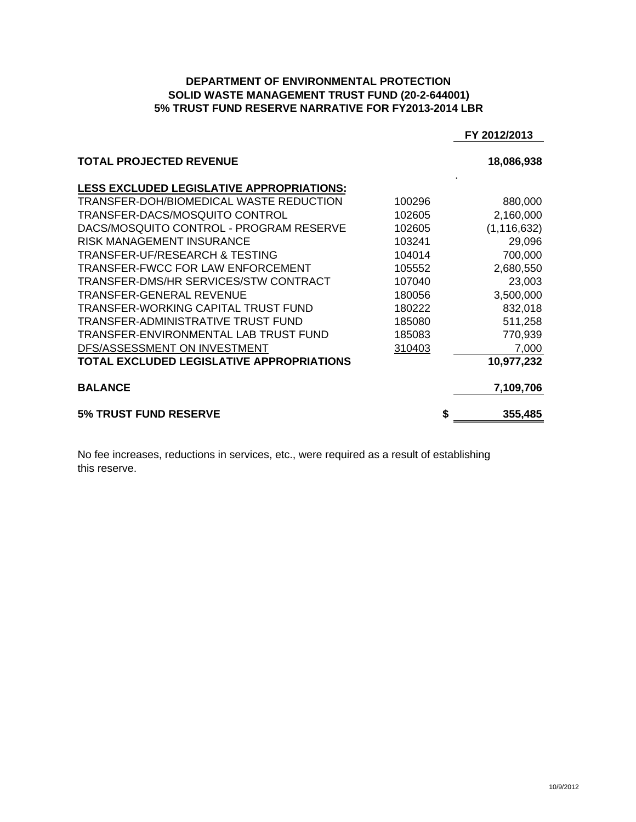#### **DEPARTMENT OF ENVIRONMENTAL PROTECTION SOLID WASTE MANAGEMENT TRUST FUND (20-2-644001) 5% TRUST FUND RESERVE NARRATIVE FOR FY2013-2014 LBR**

|                                                  |        | FY 2012/2013  |
|--------------------------------------------------|--------|---------------|
| <b>TOTAL PROJECTED REVENUE</b>                   |        | 18,086,938    |
| <b>LESS EXCLUDED LEGISLATIVE APPROPRIATIONS:</b> |        |               |
| TRANSFER-DOH/BIOMEDICAL WASTE REDUCTION          | 100296 | 880,000       |
| TRANSFER-DACS/MOSQUITO CONTROL                   | 102605 | 2,160,000     |
| DACS/MOSQUITO CONTROL - PROGRAM RESERVE          | 102605 | (1, 116, 632) |
| RISK MANAGEMENT INSURANCE                        | 103241 | 29,096        |
| TRANSFER-UF/RESEARCH & TESTING                   | 104014 | 700,000       |
| TRANSFER-FWCC FOR LAW ENFORCEMENT                | 105552 | 2,680,550     |
| TRANSFER-DMS/HR SERVICES/STW CONTRACT            | 107040 | 23,003        |
| TRANSFER-GENERAL REVENUE                         | 180056 | 3,500,000     |
| TRANSFER-WORKING CAPITAL TRUST FUND              | 180222 | 832,018       |
| TRANSFER-ADMINISTRATIVE TRUST FUND               | 185080 | 511,258       |
| TRANSFER-ENVIRONMENTAL LAB TRUST FUND            | 185083 | 770,939       |
| DFS/ASSESSMENT ON INVESTMENT                     | 310403 | 7,000         |
| TOTAL EXCLUDED LEGISLATIVE APPROPRIATIONS        |        | 10,977,232    |
| <b>BALANCE</b>                                   |        | 7,109,706     |
| <b>5% TRUST FUND RESERVE</b>                     |        | 355,485       |

No fee increases, reductions in services, etc., were required as a result of establishing this reserve.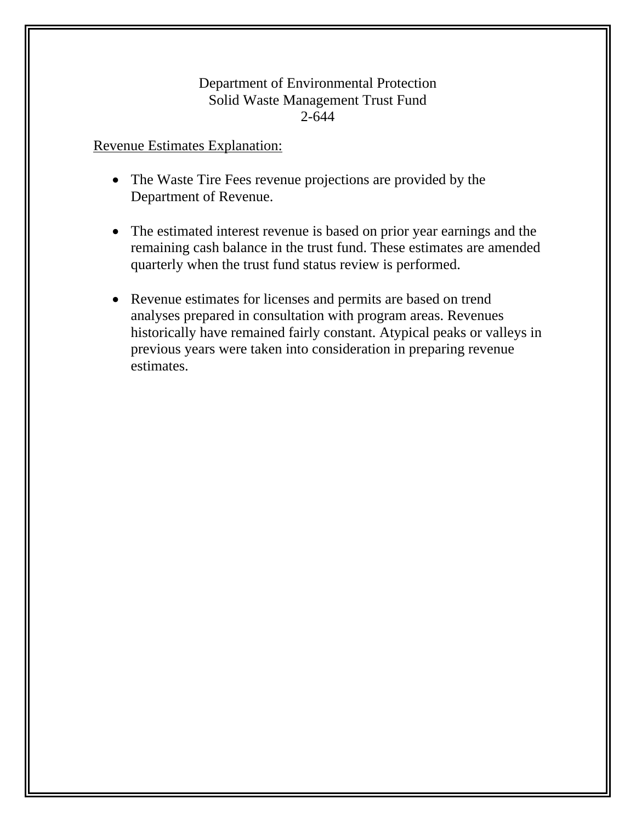#### Department of Environmental Protection Solid Waste Management Trust Fund 2-644

#### Revenue Estimates Explanation:

- The Waste Tire Fees revenue projections are provided by the Department of Revenue.
- The estimated interest revenue is based on prior year earnings and the remaining cash balance in the trust fund. These estimates are amended quarterly when the trust fund status review is performed.
- Revenue estimates for licenses and permits are based on trend analyses prepared in consultation with program areas. Revenues historically have remained fairly constant. Atypical peaks or valleys in previous years were taken into consideration in preparing revenue estimates.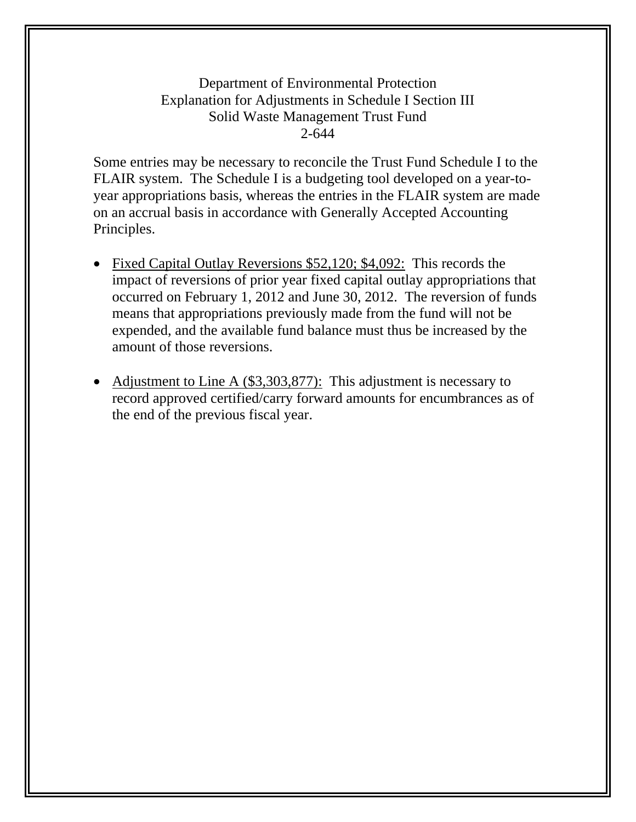### Department of Environmental Protection Explanation for Adjustments in Schedule I Section III Solid Waste Management Trust Fund 2-644

Some entries may be necessary to reconcile the Trust Fund Schedule I to the FLAIR system. The Schedule I is a budgeting tool developed on a year-toyear appropriations basis, whereas the entries in the FLAIR system are made on an accrual basis in accordance with Generally Accepted Accounting Principles.

- Fixed Capital Outlay Reversions \$52,120; \$4,092: This records the impact of reversions of prior year fixed capital outlay appropriations that occurred on February 1, 2012 and June 30, 2012. The reversion of funds means that appropriations previously made from the fund will not be expended, and the available fund balance must thus be increased by the amount of those reversions.
- Adjustment to Line A (\$3,303,877): This adjustment is necessary to record approved certified/carry forward amounts for encumbrances as of the end of the previous fiscal year.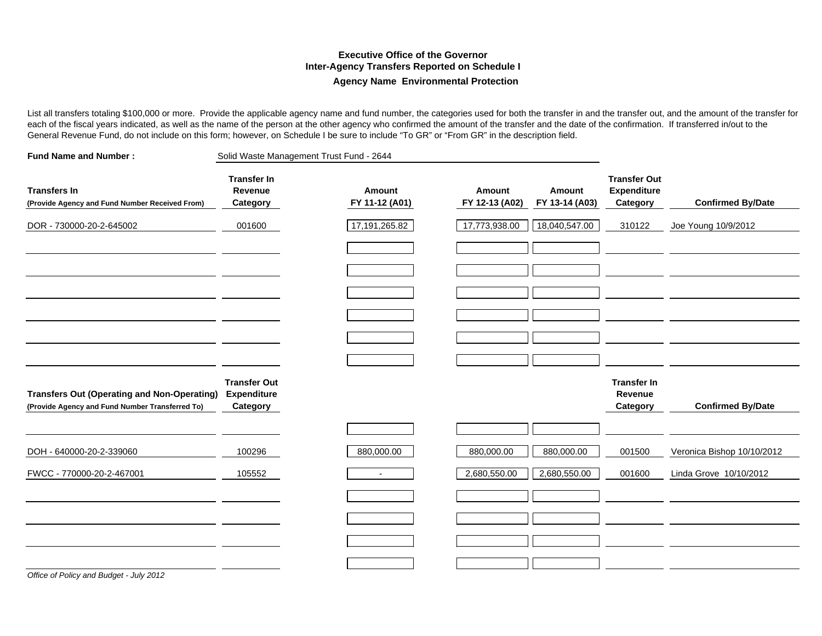#### **Executive Office of the GovernorInter-Agency Transfers Reported on Schedule I Agency Name Environmental Protection**

List all transfers totaling \$100,000 or more. Provide the applicable agency name and fund number, the categories used for both the transfer in and the transfer out, and the amount of the transfer for each of the fiscal years indicated, as well as the name of the person at the other agency who confirmed the amount of the transfer and the date of the confirmation. If transferred in/out to the General Revenue Fund, do not include on this form; however, on Schedule I be sure to include "To GR" or "From GR" in the description field.

| <b>Fund Name and Number:</b>                                                                          |                                                       | Solid Waste Management Trust Fund - 2644 |                          |                          |                                                       |                            |
|-------------------------------------------------------------------------------------------------------|-------------------------------------------------------|------------------------------------------|--------------------------|--------------------------|-------------------------------------------------------|----------------------------|
| <b>Transfers In</b><br>(Provide Agency and Fund Number Received From)                                 | <b>Transfer In</b><br>Revenue<br>Category             | Amount<br>FY 11-12 (A01)                 | Amount<br>FY 12-13 (A02) | Amount<br>FY 13-14 (A03) | <b>Transfer Out</b><br><b>Expenditure</b><br>Category | <b>Confirmed By/Date</b>   |
| DOR - 730000-20-2-645002                                                                              | 001600                                                | 17,191,265.82                            | 17,773,938.00            | 18,040,547.00            | 310122                                                | Joe Young 10/9/2012        |
|                                                                                                       |                                                       |                                          |                          |                          |                                                       |                            |
|                                                                                                       |                                                       |                                          |                          |                          |                                                       |                            |
|                                                                                                       |                                                       |                                          |                          |                          |                                                       |                            |
|                                                                                                       |                                                       |                                          |                          |                          |                                                       |                            |
| <b>Transfers Out (Operating and Non-Operating)</b><br>(Provide Agency and Fund Number Transferred To) | <b>Transfer Out</b><br><b>Expenditure</b><br>Category |                                          |                          |                          | <b>Transfer In</b><br>Revenue<br>Category             | <b>Confirmed By/Date</b>   |
|                                                                                                       |                                                       |                                          |                          |                          |                                                       |                            |
| DOH - 640000-20-2-339060                                                                              | 100296                                                | 880,000.00                               | 880,000.00               | 880,000.00               | 001500                                                | Veronica Bishop 10/10/2012 |
| FWCC - 770000-20-2-467001                                                                             | 105552                                                | $\overline{\phantom{a}}$                 | 2,680,550.00             | 2,680,550.00             | 001600                                                | Linda Grove 10/10/2012     |
|                                                                                                       |                                                       |                                          |                          |                          |                                                       |                            |
|                                                                                                       |                                                       |                                          |                          |                          |                                                       |                            |
|                                                                                                       |                                                       |                                          |                          |                          |                                                       |                            |
|                                                                                                       |                                                       |                                          |                          |                          |                                                       |                            |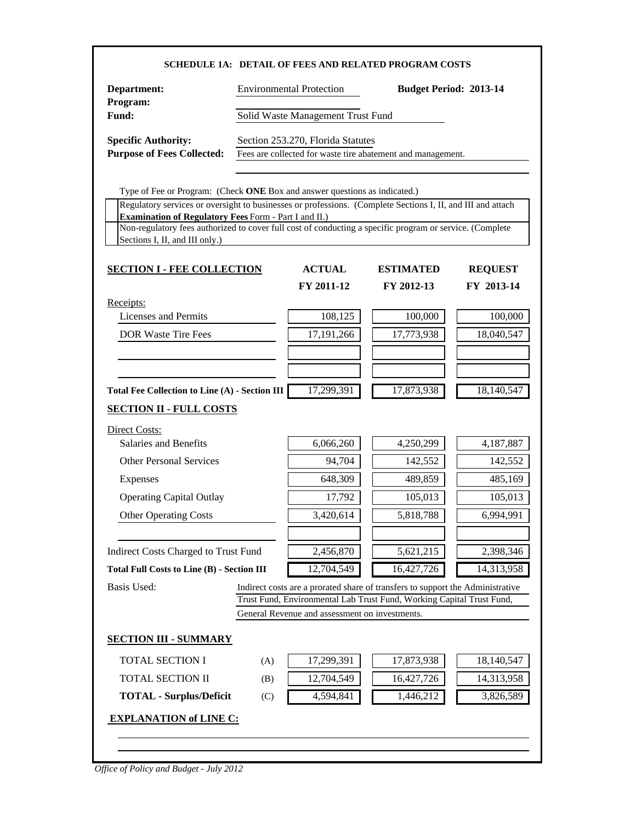| Department:                                                                                                                                                         |                                                                                                  | <b>Environmental Protection</b>                | <b>Budget Period: 2013-14</b>                                                  |                                                                                                                             |  |  |  |
|---------------------------------------------------------------------------------------------------------------------------------------------------------------------|--------------------------------------------------------------------------------------------------|------------------------------------------------|--------------------------------------------------------------------------------|-----------------------------------------------------------------------------------------------------------------------------|--|--|--|
| Program:<br>Fund:                                                                                                                                                   |                                                                                                  |                                                |                                                                                |                                                                                                                             |  |  |  |
|                                                                                                                                                                     | Solid Waste Management Trust Fund                                                                |                                                |                                                                                |                                                                                                                             |  |  |  |
| <b>Specific Authority:</b><br><b>Purpose of Fees Collected:</b>                                                                                                     | Section 253.270, Florida Statutes<br>Fees are collected for waste tire abatement and management. |                                                |                                                                                |                                                                                                                             |  |  |  |
|                                                                                                                                                                     |                                                                                                  |                                                |                                                                                |                                                                                                                             |  |  |  |
| Type of Fee or Program: (Check ONE Box and answer questions as indicated.)                                                                                          |                                                                                                  |                                                |                                                                                |                                                                                                                             |  |  |  |
| Regulatory services or oversight to businesses or professions. (Complete Sections I, II, and III and attach                                                         |                                                                                                  |                                                |                                                                                |                                                                                                                             |  |  |  |
| Examination of Regulatory Fees Form - Part I and II.)<br>Non-regulatory fees authorized to cover full cost of conducting a specific program or service. (Complete   |                                                                                                  |                                                |                                                                                |                                                                                                                             |  |  |  |
| Sections I, II, and III only.)                                                                                                                                      |                                                                                                  |                                                |                                                                                |                                                                                                                             |  |  |  |
|                                                                                                                                                                     |                                                                                                  | <b>ACTUAL</b>                                  | <b>ESTIMATED</b>                                                               |                                                                                                                             |  |  |  |
| <b>SECTION I - FEE COLLECTION</b>                                                                                                                                   |                                                                                                  | FY 2011-12                                     | FY 2012-13                                                                     | <b>REQUEST</b><br>FY 2013-14                                                                                                |  |  |  |
| Receipts:                                                                                                                                                           |                                                                                                  |                                                |                                                                                |                                                                                                                             |  |  |  |
| Licenses and Permits                                                                                                                                                |                                                                                                  | 108,125                                        | 100,000                                                                        | 100,000                                                                                                                     |  |  |  |
| DOR Waste Tire Fees                                                                                                                                                 |                                                                                                  | 17,191,266                                     | 17,773,938                                                                     | 18,040,547                                                                                                                  |  |  |  |
|                                                                                                                                                                     |                                                                                                  |                                                |                                                                                |                                                                                                                             |  |  |  |
|                                                                                                                                                                     |                                                                                                  |                                                |                                                                                |                                                                                                                             |  |  |  |
| Total Fee Collection to Line (A) - Section III                                                                                                                      |                                                                                                  | 17,299,391                                     | 17,873,938                                                                     | 18,140,547                                                                                                                  |  |  |  |
|                                                                                                                                                                     |                                                                                                  |                                                |                                                                                |                                                                                                                             |  |  |  |
|                                                                                                                                                                     |                                                                                                  |                                                |                                                                                |                                                                                                                             |  |  |  |
|                                                                                                                                                                     |                                                                                                  |                                                |                                                                                |                                                                                                                             |  |  |  |
| <b>SECTION II - FULL COSTS</b><br>Direct Costs:<br><b>Salaries and Benefits</b>                                                                                     |                                                                                                  | 6,066,260                                      | 4,250,299                                                                      |                                                                                                                             |  |  |  |
| <b>Other Personal Services</b>                                                                                                                                      |                                                                                                  | 94,704                                         | 142,552                                                                        |                                                                                                                             |  |  |  |
| Expenses                                                                                                                                                            |                                                                                                  | 648,309                                        | 489,859                                                                        |                                                                                                                             |  |  |  |
| <b>Operating Capital Outlay</b>                                                                                                                                     |                                                                                                  | 17,792                                         | 105,013                                                                        |                                                                                                                             |  |  |  |
| Other Operating Costs                                                                                                                                               |                                                                                                  | 3,420,614                                      | 5,818,788                                                                      |                                                                                                                             |  |  |  |
|                                                                                                                                                                     |                                                                                                  |                                                |                                                                                |                                                                                                                             |  |  |  |
|                                                                                                                                                                     |                                                                                                  | 2,456,870                                      | 5,621,215                                                                      |                                                                                                                             |  |  |  |
|                                                                                                                                                                     |                                                                                                  | 12,704,549                                     | 16,427,726                                                                     |                                                                                                                             |  |  |  |
|                                                                                                                                                                     |                                                                                                  |                                                | Indirect costs are a prorated share of transfers to support the Administrative |                                                                                                                             |  |  |  |
|                                                                                                                                                                     |                                                                                                  |                                                | Trust Fund, Environmental Lab Trust Fund, Working Capital Trust Fund,          |                                                                                                                             |  |  |  |
|                                                                                                                                                                     |                                                                                                  | General Revenue and assessment on investments. |                                                                                |                                                                                                                             |  |  |  |
|                                                                                                                                                                     |                                                                                                  |                                                |                                                                                |                                                                                                                             |  |  |  |
| <b>TOTAL SECTION I</b>                                                                                                                                              | (A)                                                                                              | 17,299,391                                     | 17,873,938                                                                     |                                                                                                                             |  |  |  |
| Indirect Costs Charged to Trust Fund<br><b>Total Full Costs to Line (B) - Section III</b><br>Basis Used:<br><b>SECTION III - SUMMARY</b><br><b>TOTAL SECTION II</b> | (B)                                                                                              | 12,704,549                                     | 16,427,726                                                                     |                                                                                                                             |  |  |  |
| <b>TOTAL - Surplus/Deficit</b>                                                                                                                                      | (C)                                                                                              | 4,594,841                                      | 1,446,212                                                                      | 4,187,887<br>142,552<br>485,169<br>105,013<br>6,994,991<br>2,398,346<br>14,313,958<br>18,140,547<br>14,313,958<br>3,826,589 |  |  |  |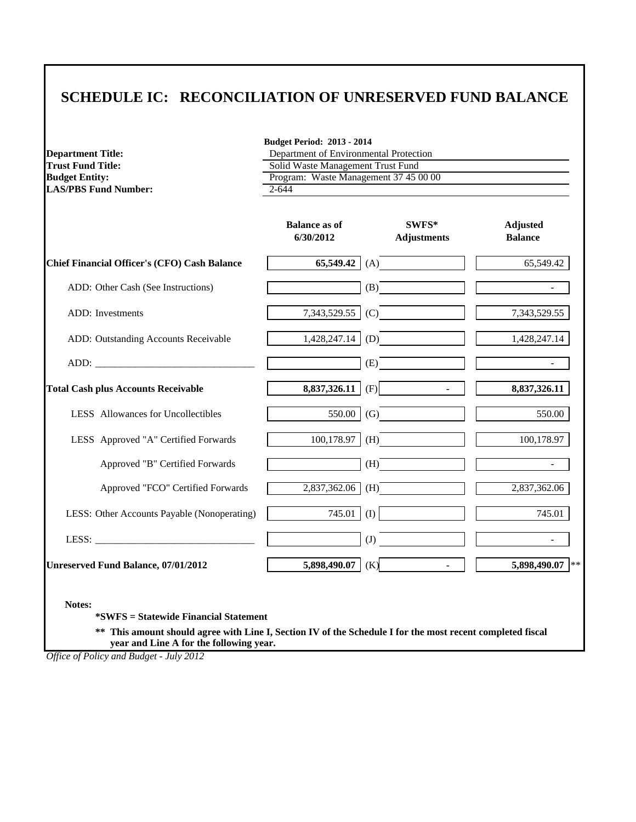# **SCHEDULE IC: RECONCILIATION OF UNRESERVED FUND BALANCE**

| <b>Department Title:</b><br><b>Trust Fund Title:</b> | <b>Budget Period: 2013 - 2014</b><br>Department of Environmental Protection<br>Solid Waste Management Trust Fund |                                  |                                   |  |  |
|------------------------------------------------------|------------------------------------------------------------------------------------------------------------------|----------------------------------|-----------------------------------|--|--|
| <b>Budget Entity:</b><br><b>LAS/PBS Fund Number:</b> | Program: Waste Management 37 45 00 00<br>2-644                                                                   |                                  |                                   |  |  |
|                                                      | <b>Balance as of</b><br>6/30/2012                                                                                | $SWFS*$<br><b>Adjustments</b>    | <b>Adjusted</b><br><b>Balance</b> |  |  |
| Chief Financial Officer's (CFO) Cash Balance         |                                                                                                                  | $65,549.42$ (A)                  | 65,549.42                         |  |  |
| ADD: Other Cash (See Instructions)                   |                                                                                                                  | (B)                              |                                   |  |  |
| ADD: Investments                                     | $7,343,529.55$ (C)                                                                                               |                                  | 7,343,529.55                      |  |  |
| ADD: Outstanding Accounts Receivable                 | 1,428,247.14                                                                                                     | (D)                              | 1,428,247.14                      |  |  |
| ADD:                                                 |                                                                                                                  | (E)                              |                                   |  |  |
| <b>Total Cash plus Accounts Receivable</b>           | 8,837,326.11                                                                                                     | (F)                              | 8,837,326.11                      |  |  |
| LESS Allowances for Uncollectibles                   | 550.00                                                                                                           | (G)                              | 550.00                            |  |  |
| LESS Approved "A" Certified Forwards                 | 100,178.97                                                                                                       | (H)                              | 100,178.97                        |  |  |
| Approved "B" Certified Forwards                      |                                                                                                                  | (H)                              |                                   |  |  |
| Approved "FCO" Certified Forwards                    | 2,837,362.06                                                                                                     | (H)                              | 2,837,362.06                      |  |  |
| LESS: Other Accounts Payable (Nonoperating)          | 745.01                                                                                                           | (I)                              | 745.01                            |  |  |
|                                                      |                                                                                                                  | (J)                              |                                   |  |  |
| Unreserved Fund Balance, 07/01/2012                  | 5,898,490.07                                                                                                     | $\mathbb{Z}^{\mathbb{Z}}$<br>(K) | 5,898,490.07 **                   |  |  |

**\*\* This amount should agree with Line I, Section IV of the Schedule I for the most recent completed fiscal year and Line A for the following year.**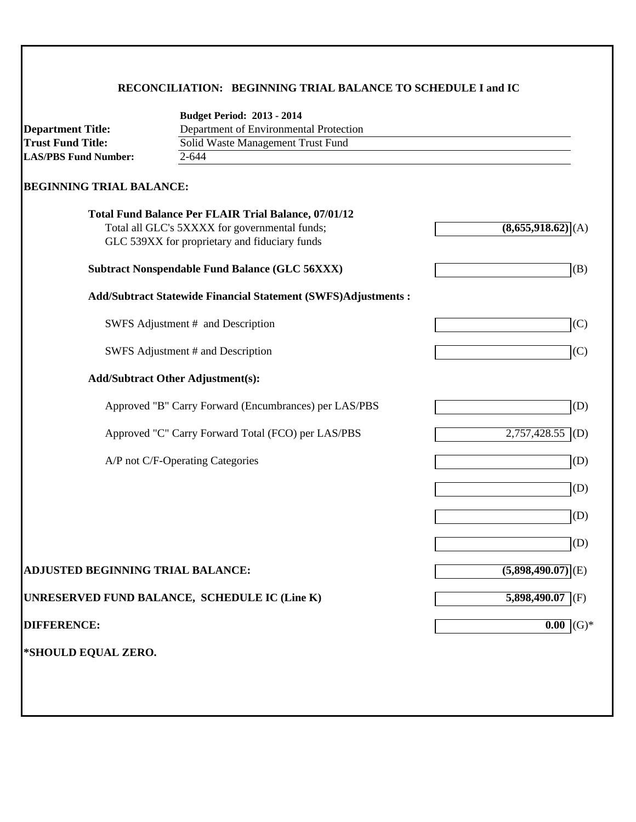### **RECONCILIATION: BEGINNING TRIAL BALANCE TO SCHEDULE I and IC**

|                                          | <b>Budget Period: 2013 - 2014</b>                                    |                                 |  |  |  |  |
|------------------------------------------|----------------------------------------------------------------------|---------------------------------|--|--|--|--|
| <b>Department Title:</b>                 | Department of Environmental Protection                               |                                 |  |  |  |  |
| <b>Trust Fund Title:</b>                 | Solid Waste Management Trust Fund                                    |                                 |  |  |  |  |
| <b>LAS/PBS Fund Number:</b>              | 2-644                                                                |                                 |  |  |  |  |
| <b>BEGINNING TRIAL BALANCE:</b>          |                                                                      |                                 |  |  |  |  |
|                                          | <b>Total Fund Balance Per FLAIR Trial Balance, 07/01/12</b>          |                                 |  |  |  |  |
|                                          | Total all GLC's 5XXXX for governmental funds;                        | $(8,655,918.62)$ <sup>(A)</sup> |  |  |  |  |
|                                          | GLC 539XX for proprietary and fiduciary funds                        |                                 |  |  |  |  |
|                                          | <b>Subtract Nonspendable Fund Balance (GLC 56XXX)</b>                | (B)                             |  |  |  |  |
|                                          | <b>Add/Subtract Statewide Financial Statement (SWFS)Adjustments:</b> |                                 |  |  |  |  |
|                                          | SWFS Adjustment # and Description                                    | (C)                             |  |  |  |  |
|                                          | SWFS Adjustment # and Description                                    | (C)                             |  |  |  |  |
|                                          | <b>Add/Subtract Other Adjustment(s):</b>                             |                                 |  |  |  |  |
|                                          | Approved "B" Carry Forward (Encumbrances) per LAS/PBS                | (D)                             |  |  |  |  |
|                                          | Approved "C" Carry Forward Total (FCO) per LAS/PBS                   | $2,757,428.55$ (D)              |  |  |  |  |
|                                          | A/P not C/F-Operating Categories                                     | (D)                             |  |  |  |  |
|                                          |                                                                      | (D)                             |  |  |  |  |
|                                          |                                                                      | (D)                             |  |  |  |  |
|                                          |                                                                      | (D)                             |  |  |  |  |
| <b>ADJUSTED BEGINNING TRIAL BALANCE:</b> |                                                                      | $(5,898,490.07)$ <sup>(E)</sup> |  |  |  |  |
|                                          | UNRESERVED FUND BALANCE, SCHEDULE IC (Line K)                        | $5,898,490.07$ (F)              |  |  |  |  |
| <b>DIFFERENCE:</b>                       |                                                                      | $0.00$ (G)*                     |  |  |  |  |
| *SHOULD EQUAL ZERO.                      |                                                                      |                                 |  |  |  |  |
|                                          |                                                                      |                                 |  |  |  |  |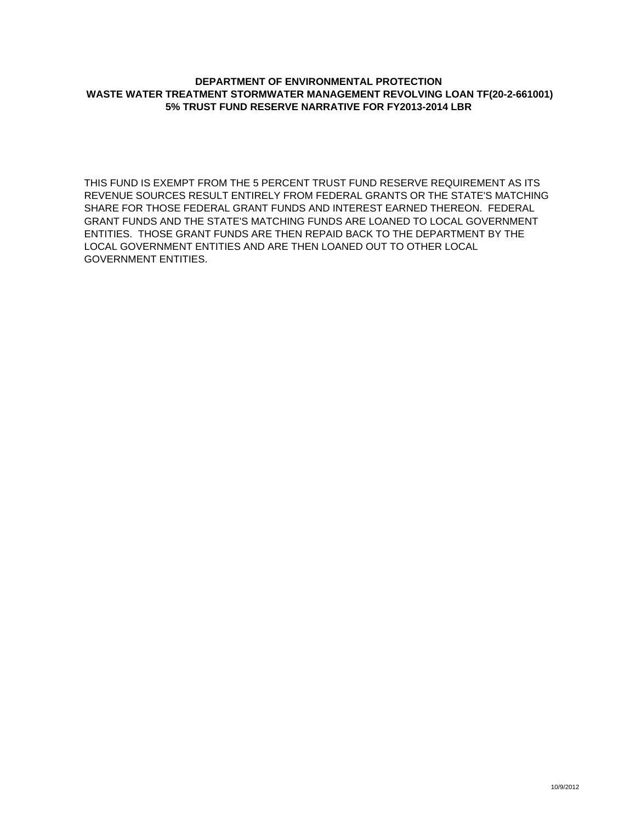#### **DEPARTMENT OF ENVIRONMENTAL PROTECTION WASTE WATER TREATMENT STORMWATER MANAGEMENT REVOLVING LOAN TF(20-2-661001) 5% TRUST FUND RESERVE NARRATIVE FOR FY2013-2014 LBR**

THIS FUND IS EXEMPT FROM THE 5 PERCENT TRUST FUND RESERVE REQUIREMENT AS ITS REVENUE SOURCES RESULT ENTIRELY FROM FEDERAL GRANTS OR THE STATE'S MATCHING SHARE FOR THOSE FEDERAL GRANT FUNDS AND INTEREST EARNED THEREON. FEDERAL GRANT FUNDS AND THE STATE'S MATCHING FUNDS ARE LOANED TO LOCAL GOVERNMENT ENTITIES. THOSE GRANT FUNDS ARE THEN REPAID BACK TO THE DEPARTMENT BY THE LOCAL GOVERNMENT ENTITIES AND ARE THEN LOANED OUT TO OTHER LOCAL GOVERNMENT ENTITIES.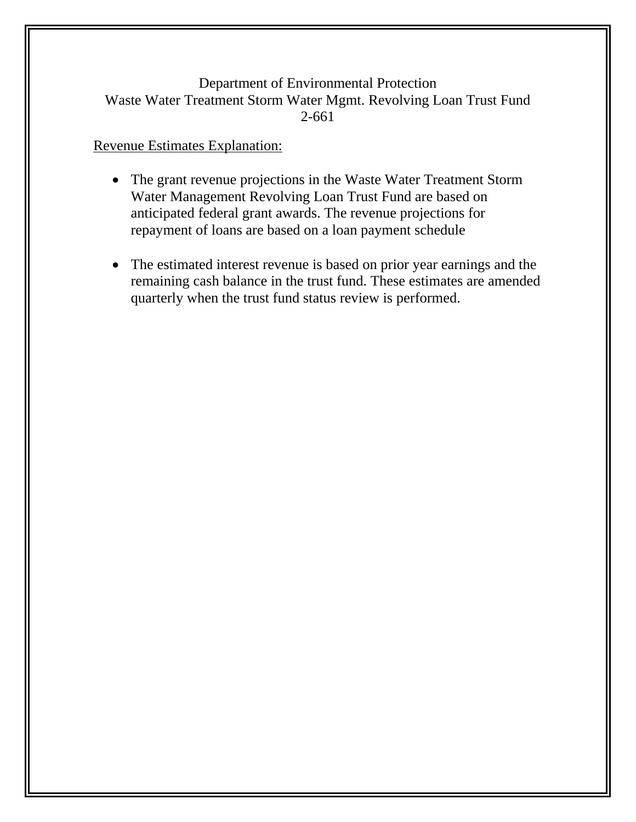### Department of Environmental Protection Waste Water Treatment Storm Water Mgmt. Revolving Loan Trust Fund 2-661

#### Revenue Estimates Explanation:

- The grant revenue projections in the Waste Water Treatment Storm Water Management Revolving Loan Trust Fund are based on anticipated federal grant awards. The revenue projections for repayment of loans are based on a loan payment schedule
- The estimated interest revenue is based on prior year earnings and the remaining cash balance in the trust fund. These estimates are amended quarterly when the trust fund status review is performed.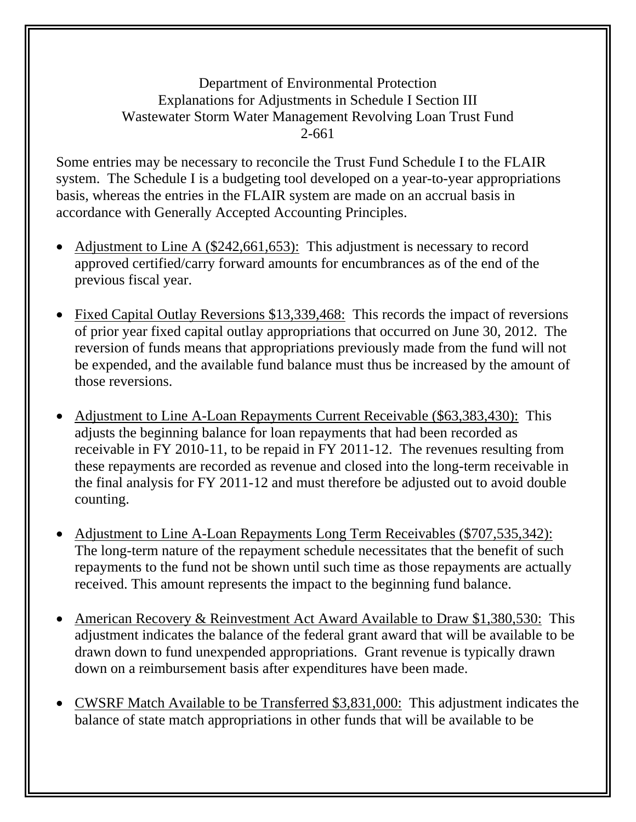Department of Environmental Protection Explanations for Adjustments in Schedule I Section III Wastewater Storm Water Management Revolving Loan Trust Fund 2-661

Some entries may be necessary to reconcile the Trust Fund Schedule I to the FLAIR system. The Schedule I is a budgeting tool developed on a year-to-year appropriations basis, whereas the entries in the FLAIR system are made on an accrual basis in accordance with Generally Accepted Accounting Principles.

- Adjustment to Line A (\$242,661,653): This adjustment is necessary to record approved certified/carry forward amounts for encumbrances as of the end of the previous fiscal year.
- Fixed Capital Outlay Reversions \$13,339,468: This records the impact of reversions of prior year fixed capital outlay appropriations that occurred on June 30, 2012. The reversion of funds means that appropriations previously made from the fund will not be expended, and the available fund balance must thus be increased by the amount of those reversions.
- Adjustment to Line A-Loan Repayments Current Receivable (\$63,383,430): This adjusts the beginning balance for loan repayments that had been recorded as receivable in FY 2010-11, to be repaid in FY 2011-12. The revenues resulting from these repayments are recorded as revenue and closed into the long-term receivable in the final analysis for FY 2011-12 and must therefore be adjusted out to avoid double counting.
- Adjustment to Line A-Loan Repayments Long Term Receivables (\$707,535,342): The long-term nature of the repayment schedule necessitates that the benefit of such repayments to the fund not be shown until such time as those repayments are actually received. This amount represents the impact to the beginning fund balance.
- American Recovery & Reinvestment Act Award Available to Draw \$1,380,530: This adjustment indicates the balance of the federal grant award that will be available to be drawn down to fund unexpended appropriations. Grant revenue is typically drawn down on a reimbursement basis after expenditures have been made.
- CWSRF Match Available to be Transferred \$3,831,000: This adjustment indicates the balance of state match appropriations in other funds that will be available to be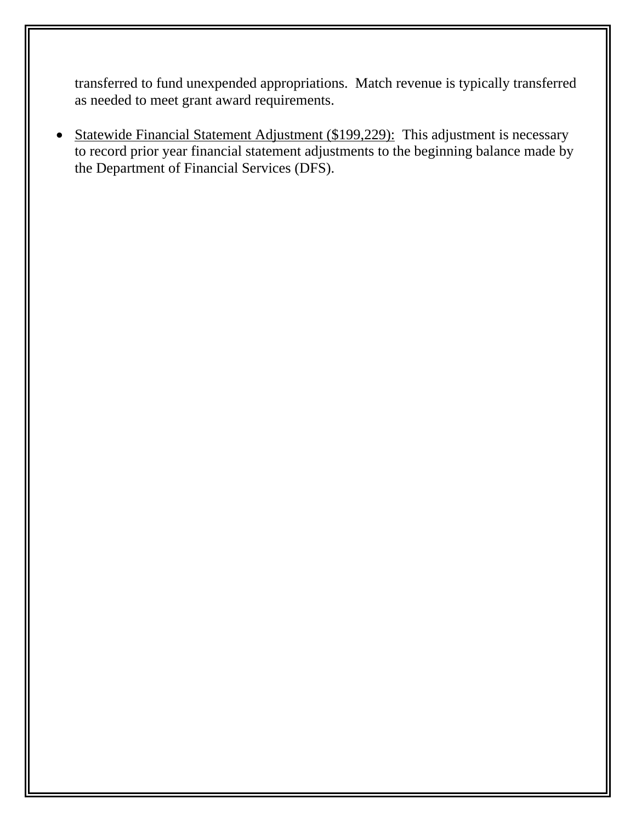transferred to fund unexpended appropriations. Match revenue is typically transferred as needed to meet grant award requirements.

• Statewide Financial Statement Adjustment (\$199,229): This adjustment is necessary to record prior year financial statement adjustments to the beginning balance made by the Department of Financial Services (DFS).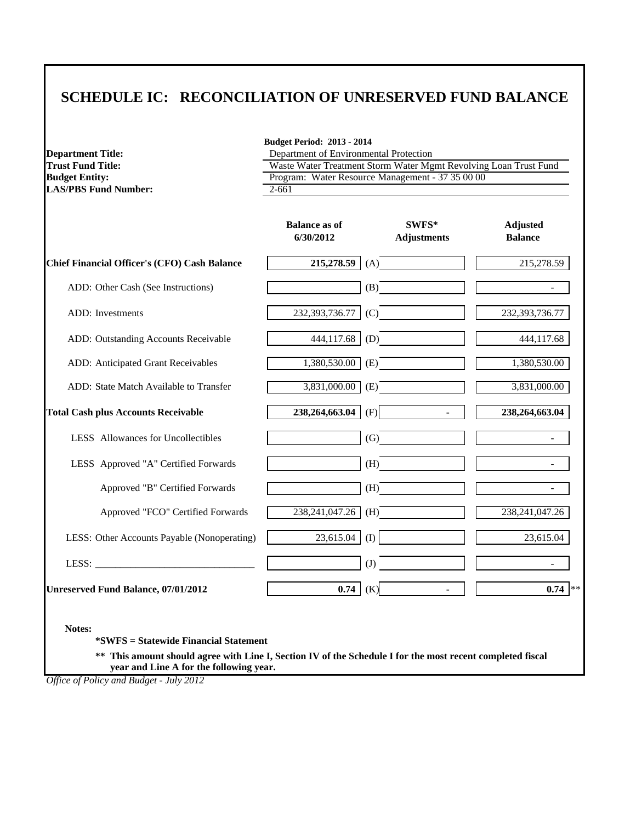# **SCHEDULE IC: RECONCILIATION OF UNRESERVED FUND BALANCE**

| <b>Department Title:</b><br><b>Trust Fund Title:</b><br><b>Budget Entity:</b><br><b>LAS/PBS Fund Number:</b> | <b>Budget Period: 2013 - 2014</b><br>Department of Environmental Protection<br>Waste Water Treatment Storm Water Mgmt Revolving Loan Trust Fund<br>Program: Water Resource Management - 37 35 00 00<br>2-661 |                             |                                   |  |  |
|--------------------------------------------------------------------------------------------------------------|--------------------------------------------------------------------------------------------------------------------------------------------------------------------------------------------------------------|-----------------------------|-----------------------------------|--|--|
|                                                                                                              | <b>Balance as of</b><br>6/30/2012                                                                                                                                                                            | SWFS*<br><b>Adjustments</b> | <b>Adjusted</b><br><b>Balance</b> |  |  |
| <b>Chief Financial Officer's (CFO) Cash Balance</b>                                                          | 215,278.59                                                                                                                                                                                                   | (A)                         | 215,278.59                        |  |  |
| ADD: Other Cash (See Instructions)                                                                           |                                                                                                                                                                                                              | (B)                         |                                   |  |  |
| <b>ADD</b> : Investments                                                                                     | 232,393,736.77                                                                                                                                                                                               | (C)                         | 232,393,736.77                    |  |  |
| ADD: Outstanding Accounts Receivable                                                                         | 444,117.68                                                                                                                                                                                                   | (D)                         | 444,117.68                        |  |  |
| ADD: Anticipated Grant Receivables                                                                           | 1,380,530.00                                                                                                                                                                                                 | (E)                         | 1,380,530.00                      |  |  |
| ADD: State Match Available to Transfer                                                                       | 3,831,000.00                                                                                                                                                                                                 | (E)                         | 3,831,000.00                      |  |  |
| <b>Total Cash plus Accounts Receivable</b>                                                                   | 238,264,663.04                                                                                                                                                                                               | (F)                         | 238,264,663.04                    |  |  |
| <b>LESS</b> Allowances for Uncollectibles                                                                    |                                                                                                                                                                                                              | (G)                         |                                   |  |  |
| LESS Approved "A" Certified Forwards                                                                         |                                                                                                                                                                                                              | (H)                         |                                   |  |  |
| Approved "B" Certified Forwards                                                                              |                                                                                                                                                                                                              | (H)                         |                                   |  |  |
| Approved "FCO" Certified Forwards                                                                            | 238, 241, 047. 26                                                                                                                                                                                            | (H)                         | 238, 241, 047. 26                 |  |  |
| LESS: Other Accounts Payable (Nonoperating)                                                                  | 23,615.04                                                                                                                                                                                                    | (I)                         | 23,615.04                         |  |  |
| LESS: $\qquad \qquad$                                                                                        |                                                                                                                                                                                                              | (J)                         |                                   |  |  |
| <b>Unreserved Fund Balance, 07/01/2012</b>                                                                   | 0.74                                                                                                                                                                                                         | (K)<br>$\blacksquare$       | $0.74$ **                         |  |  |

 **year and Line A for the following year.** *Office of Policy and Budget - July 2012*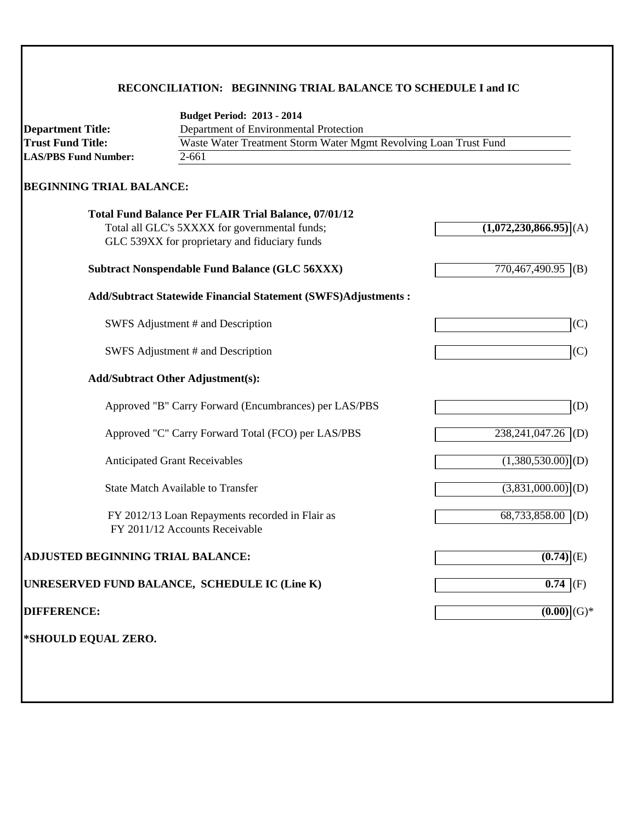### **RECONCILIATION: BEGINNING TRIAL BALANCE TO SCHEDULE I and IC**

|                                                                                              | <b>Budget Period: 2013 - 2014</b>                                                              |                                 |  |  |  |
|----------------------------------------------------------------------------------------------|------------------------------------------------------------------------------------------------|---------------------------------|--|--|--|
| <b>Department Title:</b>                                                                     | Department of Environmental Protection                                                         |                                 |  |  |  |
| Waste Water Treatment Storm Water Mgmt Revolving Loan Trust Fund<br><b>Trust Fund Title:</b> |                                                                                                |                                 |  |  |  |
| <b>LAS/PBS Fund Number:</b>                                                                  | 2-661                                                                                          |                                 |  |  |  |
| <b>BEGINNING TRIAL BALANCE:</b>                                                              |                                                                                                |                                 |  |  |  |
|                                                                                              | <b>Total Fund Balance Per FLAIR Trial Balance, 07/01/12</b>                                    |                                 |  |  |  |
|                                                                                              | Total all GLC's 5XXXX for governmental funds;<br>GLC 539XX for proprietary and fiduciary funds | $(1,072,230,866.95)$ (A)        |  |  |  |
|                                                                                              | <b>Subtract Nonspendable Fund Balance (GLC 56XXX)</b>                                          | 770,467,490.95<br>(B)           |  |  |  |
|                                                                                              | <b>Add/Subtract Statewide Financial Statement (SWFS)Adjustments:</b>                           |                                 |  |  |  |
|                                                                                              | SWFS Adjustment # and Description                                                              | (C)                             |  |  |  |
|                                                                                              | SWFS Adjustment # and Description                                                              | (C)                             |  |  |  |
|                                                                                              | <b>Add/Subtract Other Adjustment(s):</b>                                                       |                                 |  |  |  |
|                                                                                              | Approved "B" Carry Forward (Encumbrances) per LAS/PBS                                          | (D)                             |  |  |  |
|                                                                                              | Approved "C" Carry Forward Total (FCO) per LAS/PBS                                             | 238,241,047.26 (D)              |  |  |  |
|                                                                                              | <b>Anticipated Grant Receivables</b>                                                           | $(1,380,530.00)$ (D)            |  |  |  |
|                                                                                              | <b>State Match Available to Transfer</b>                                                       | $(3,831,000.00)$ <sub>(D)</sub> |  |  |  |
|                                                                                              | FY 2012/13 Loan Repayments recorded in Flair as<br>FY 2011/12 Accounts Receivable              | 68,733,858.00 (D)               |  |  |  |
| <b>ADJUSTED BEGINNING TRIAL BALANCE:</b>                                                     |                                                                                                | (0.74)<br>(E)                   |  |  |  |
|                                                                                              | UNRESERVED FUND BALANCE, SCHEDULE IC (Line K)                                                  | $\overline{0.74}$ (F)           |  |  |  |
| <b>DIFFERENCE:</b>                                                                           |                                                                                                | $\overline{(0.00)}$ $(G)*$      |  |  |  |
| *SHOULD EQUAL ZERO.                                                                          |                                                                                                |                                 |  |  |  |
|                                                                                              |                                                                                                |                                 |  |  |  |
|                                                                                              |                                                                                                |                                 |  |  |  |
|                                                                                              |                                                                                                |                                 |  |  |  |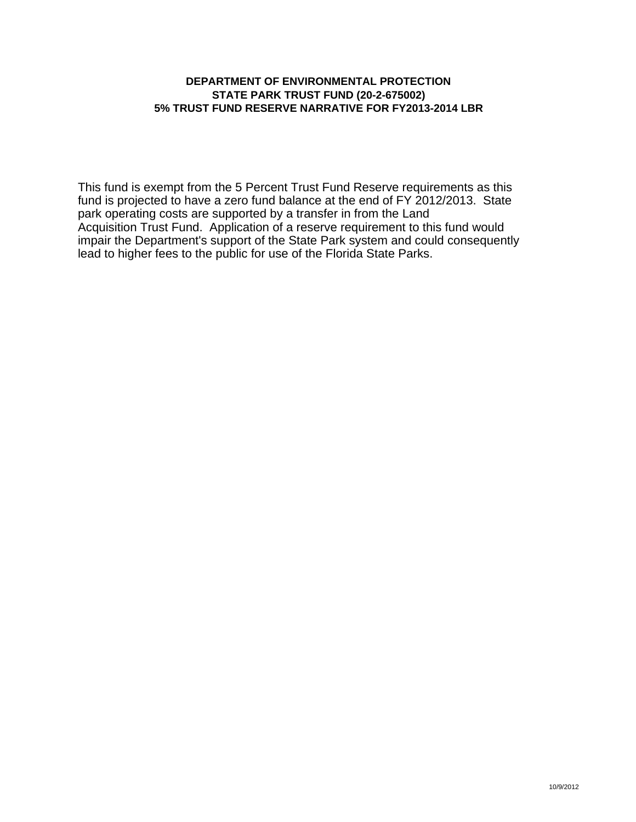#### **DEPARTMENT OF ENVIRONMENTAL PROTECTION STATE PARK TRUST FUND (20-2-675002) 5% TRUST FUND RESERVE NARRATIVE FOR FY2013-2014 LBR**

This fund is exempt from the 5 Percent Trust Fund Reserve requirements as this fund is projected to have a zero fund balance at the end of FY 2012/2013. State park operating costs are supported by a transfer in from the Land Acquisition Trust Fund. Application of a reserve requirement to this fund would impair the Department's support of the State Park system and could consequently lead to higher fees to the public for use of the Florida State Parks.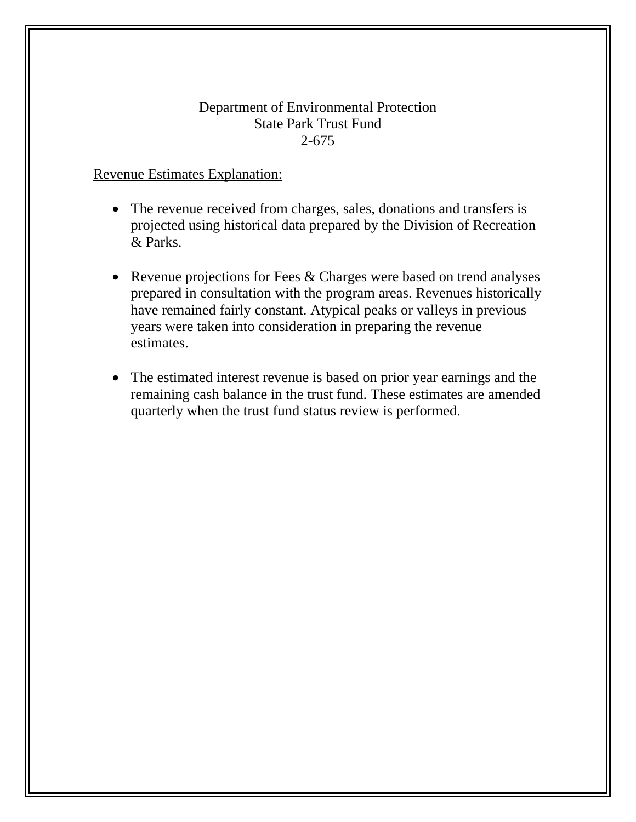#### Department of Environmental Protection State Park Trust Fund 2-675

#### Revenue Estimates Explanation:

- The revenue received from charges, sales, donations and transfers is projected using historical data prepared by the Division of Recreation & Parks.
- Revenue projections for Fees & Charges were based on trend analyses prepared in consultation with the program areas. Revenues historically have remained fairly constant. Atypical peaks or valleys in previous years were taken into consideration in preparing the revenue estimates.
- The estimated interest revenue is based on prior year earnings and the remaining cash balance in the trust fund. These estimates are amended quarterly when the trust fund status review is performed.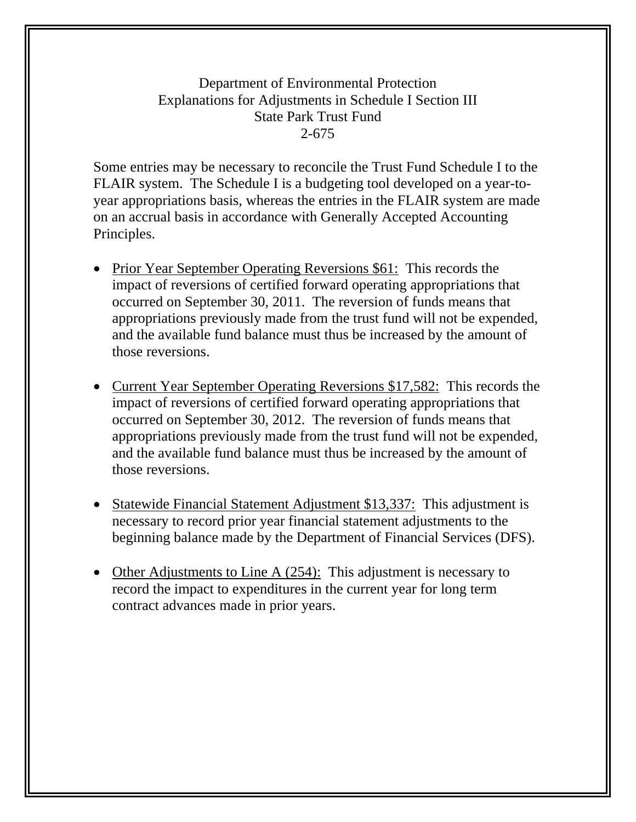### Department of Environmental Protection Explanations for Adjustments in Schedule I Section III State Park Trust Fund 2-675

Some entries may be necessary to reconcile the Trust Fund Schedule I to the FLAIR system. The Schedule I is a budgeting tool developed on a year-toyear appropriations basis, whereas the entries in the FLAIR system are made on an accrual basis in accordance with Generally Accepted Accounting Principles.

- Prior Year September Operating Reversions \$61: This records the impact of reversions of certified forward operating appropriations that occurred on September 30, 2011. The reversion of funds means that appropriations previously made from the trust fund will not be expended, and the available fund balance must thus be increased by the amount of those reversions.
- Current Year September Operating Reversions \$17,582: This records the impact of reversions of certified forward operating appropriations that occurred on September 30, 2012. The reversion of funds means that appropriations previously made from the trust fund will not be expended, and the available fund balance must thus be increased by the amount of those reversions.
- Statewide Financial Statement Adjustment \$13,337: This adjustment is necessary to record prior year financial statement adjustments to the beginning balance made by the Department of Financial Services (DFS).
- Other Adjustments to Line A  $(254)$ : This adjustment is necessary to record the impact to expenditures in the current year for long term contract advances made in prior years.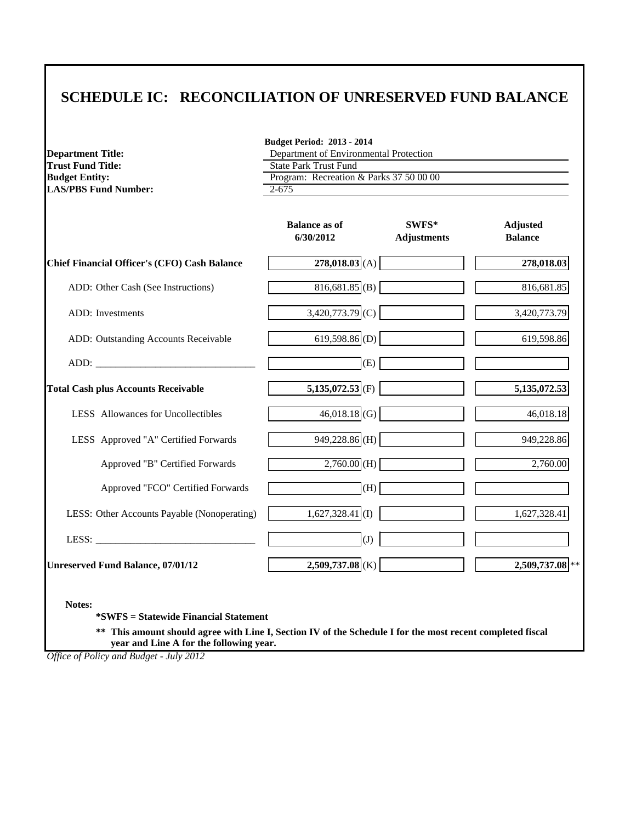### **SCHEDULE IC: RECONCILIATION OF UNRESERVED FUND BALANCE**

|                                                      | <b>Budget Period: 2013 - 2014</b><br>Department of Environmental Protection<br><b>State Park Trust Fund</b> |                    |                   |  |
|------------------------------------------------------|-------------------------------------------------------------------------------------------------------------|--------------------|-------------------|--|
| <b>Department Title:</b><br><b>Trust Fund Title:</b> |                                                                                                             |                    |                   |  |
| <b>Budget Entity:</b>                                | Program: Recreation & Parks 37 50 00 00                                                                     |                    |                   |  |
| <b>LAS/PBS Fund Number:</b>                          | $2 - 675$                                                                                                   |                    |                   |  |
|                                                      | <b>Balance as of</b>                                                                                        | SWFS*              | <b>Adjusted</b>   |  |
|                                                      | 6/30/2012                                                                                                   | <b>Adjustments</b> | <b>Balance</b>    |  |
| <b>Chief Financial Officer's (CFO) Cash Balance</b>  | $278,018.03$ (A)                                                                                            |                    | 278,018.03        |  |
| ADD: Other Cash (See Instructions)                   | $816,681.85$ (B)                                                                                            |                    | 816,681.85        |  |
| ADD: Investments                                     | 3,420,773.79 (C)                                                                                            |                    | 3,420,773.79      |  |
| ADD: Outstanding Accounts Receivable                 | 619,598.86 (D)                                                                                              |                    | 619,598.86        |  |
|                                                      | (E)                                                                                                         |                    |                   |  |
| <b>Total Cash plus Accounts Receivable</b>           | 5,135,072.53 (F)                                                                                            |                    | 5,135,072.53      |  |
| LESS Allowances for Uncollectibles                   | $46,018.18$ (G)                                                                                             |                    | 46,018.18         |  |
| LESS Approved "A" Certified Forwards                 | $949,228.86$ (H)                                                                                            |                    | 949,228.86        |  |
| Approved "B" Certified Forwards                      | $2,760.00$ (H)                                                                                              |                    | 2,760.00          |  |
| Approved "FCO" Certified Forwards                    | (H)                                                                                                         |                    |                   |  |
| LESS: Other Accounts Payable (Nonoperating)          | $1,627,328.41$ (I)                                                                                          |                    | 1,627,328.41      |  |
|                                                      | (J)                                                                                                         |                    |                   |  |
| <b>Unreserved Fund Balance, 07/01/12</b>             | $2,509,737.08$ <sub>(K)</sub>                                                                               |                    | $2,509,737.08$ ** |  |

**Notes:**

**\*SWFS = Statewide Financial Statement** 

**\*\* This amount should agree with Line I, Section IV of the Schedule I for the most recent completed fiscal year and Line A for the following year.**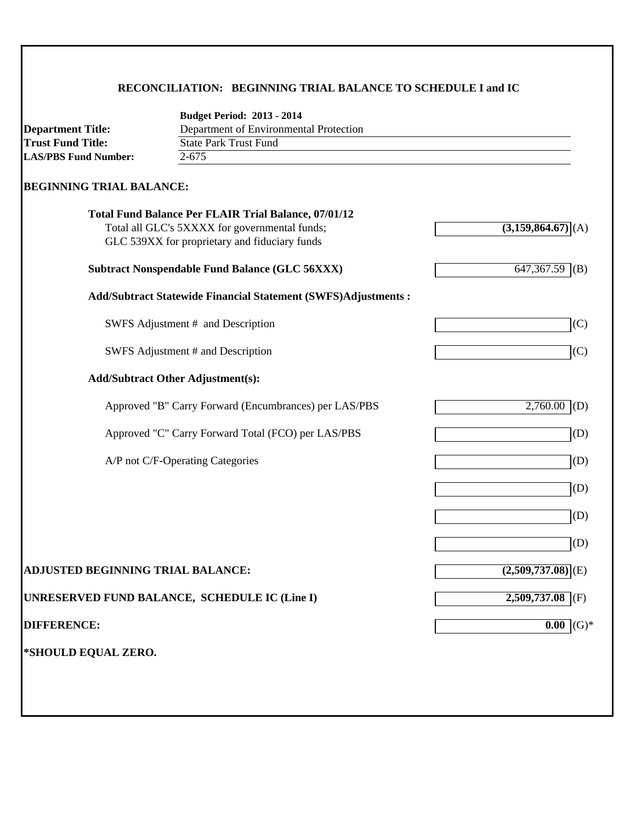### **RECONCILIATION: BEGINNING TRIAL BALANCE TO SCHEDULE I and IC**

| <b>Department Title:</b>                              | <b>Budget Period: 2013 - 2014</b><br>Department of Environmental Protection |                                 |  |  |  |
|-------------------------------------------------------|-----------------------------------------------------------------------------|---------------------------------|--|--|--|
| <b>Trust Fund Title:</b>                              | <b>State Park Trust Fund</b>                                                |                                 |  |  |  |
| <b>LAS/PBS Fund Number:</b>                           | $2 - 675$                                                                   |                                 |  |  |  |
| <b>BEGINNING TRIAL BALANCE:</b>                       |                                                                             |                                 |  |  |  |
|                                                       | <b>Total Fund Balance Per FLAIR Trial Balance, 07/01/12</b>                 |                                 |  |  |  |
|                                                       | Total all GLC's 5XXXX for governmental funds;                               | $(3,159,864.67)$ (A)            |  |  |  |
|                                                       | GLC 539XX for proprietary and fiduciary funds                               |                                 |  |  |  |
| <b>Subtract Nonspendable Fund Balance (GLC 56XXX)</b> |                                                                             | 647, 367. 59<br>(B)             |  |  |  |
|                                                       | Add/Subtract Statewide Financial Statement (SWFS)Adjustments :              |                                 |  |  |  |
|                                                       | SWFS Adjustment # and Description                                           | (C)                             |  |  |  |
|                                                       | SWFS Adjustment # and Description                                           | (C)                             |  |  |  |
|                                                       | <b>Add/Subtract Other Adjustment(s):</b>                                    |                                 |  |  |  |
|                                                       | Approved "B" Carry Forward (Encumbrances) per LAS/PBS                       | 2,760.00<br>(D)                 |  |  |  |
|                                                       | Approved "C" Carry Forward Total (FCO) per LAS/PBS                          | (D)                             |  |  |  |
|                                                       | A/P not C/F-Operating Categories                                            | (D)                             |  |  |  |
|                                                       |                                                                             | (D)                             |  |  |  |
|                                                       |                                                                             | (D)                             |  |  |  |
|                                                       |                                                                             | (D)                             |  |  |  |
| <b>ADJUSTED BEGINNING TRIAL BALANCE:</b>              |                                                                             | $(2,509,737.08)$ <sup>(E)</sup> |  |  |  |
|                                                       | UNRESERVED FUND BALANCE, SCHEDULE IC (Line I)                               | $2,509,737.08$ (F)              |  |  |  |
| <b>DIFFERENCE:</b>                                    |                                                                             | 0.00<br>$(G)*$                  |  |  |  |
| *SHOULD EQUAL ZERO.                                   |                                                                             |                                 |  |  |  |
|                                                       |                                                                             |                                 |  |  |  |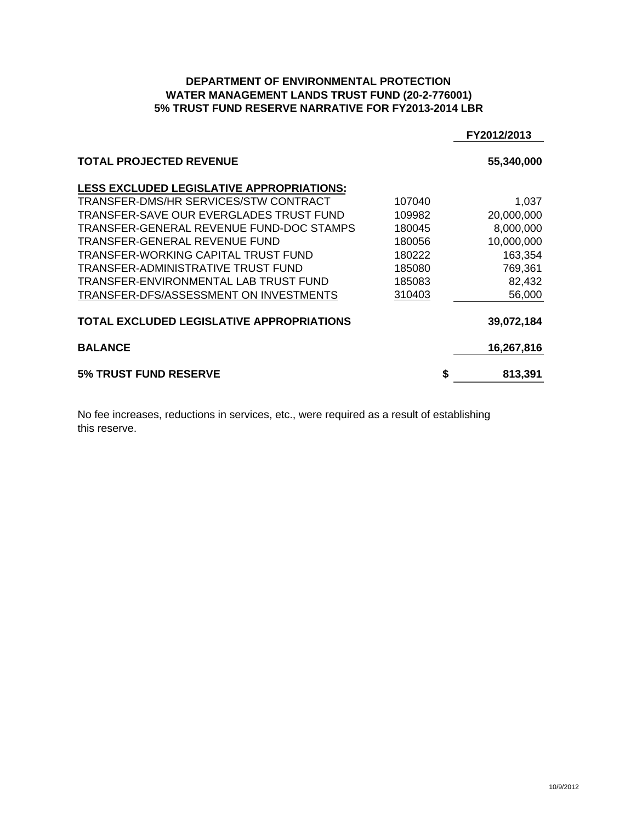#### **DEPARTMENT OF ENVIRONMENTAL PROTECTION WATER MANAGEMENT LANDS TRUST FUND (20-2-776001) 5% TRUST FUND RESERVE NARRATIVE FOR FY2013-2014 LBR**

|                                                  |        | FY2012/2013  |
|--------------------------------------------------|--------|--------------|
| <b>TOTAL PROJECTED REVENUE</b>                   |        | 55,340,000   |
| <b>LESS EXCLUDED LEGISLATIVE APPROPRIATIONS:</b> |        |              |
| TRANSFER-DMS/HR SERVICES/STW CONTRACT            | 107040 | 1,037        |
| TRANSFER-SAVE OUR EVERGLADES TRUST FUND          | 109982 | 20,000,000   |
| TRANSFER-GENERAL REVENUE FUND-DOC STAMPS         | 180045 | 8,000,000    |
| TRANSFER-GENERAL REVENUE FUND                    | 180056 | 10,000,000   |
| TRANSFER-WORKING CAPITAL TRUST FUND              | 180222 | 163,354      |
| TRANSFER-ADMINISTRATIVE TRUST FUND               | 185080 | 769,361      |
| TRANSFER-ENVIRONMENTAL LAB TRUST FUND            | 185083 | 82,432       |
| TRANSFER-DFS/ASSESSMENT ON INVESTMENTS           | 310403 | 56,000       |
| TOTAL EXCLUDED LEGISLATIVE APPROPRIATIONS        |        | 39,072,184   |
| <b>BALANCE</b>                                   |        | 16,267,816   |
| <b>5% TRUST FUND RESERVE</b>                     |        | S<br>813,391 |

No fee increases, reductions in services, etc., were required as a result of establishing this reserve.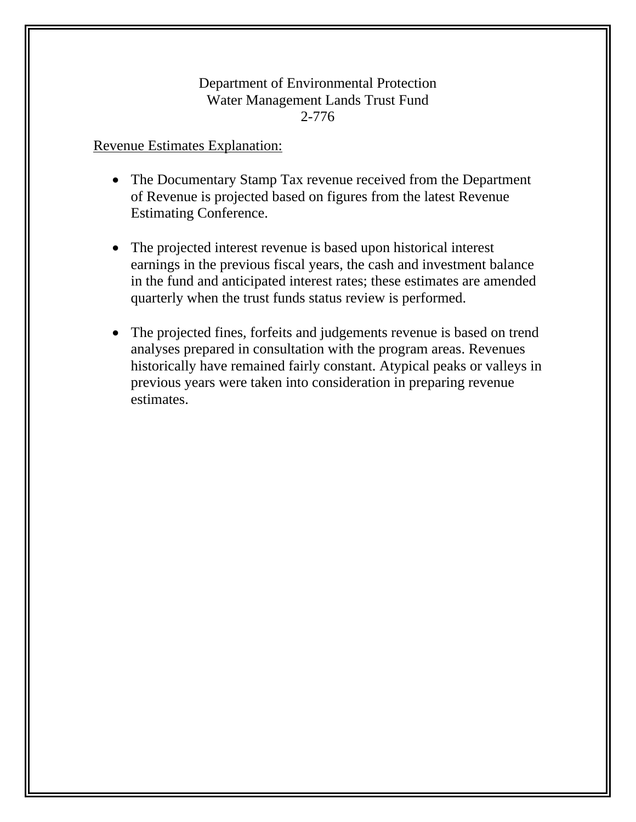#### Department of Environmental Protection Water Management Lands Trust Fund 2-776

#### Revenue Estimates Explanation:

- The Documentary Stamp Tax revenue received from the Department of Revenue is projected based on figures from the latest Revenue Estimating Conference.
- The projected interest revenue is based upon historical interest earnings in the previous fiscal years, the cash and investment balance in the fund and anticipated interest rates; these estimates are amended quarterly when the trust funds status review is performed.
- The projected fines, forfeits and judgements revenue is based on trend analyses prepared in consultation with the program areas. Revenues historically have remained fairly constant. Atypical peaks or valleys in previous years were taken into consideration in preparing revenue estimates.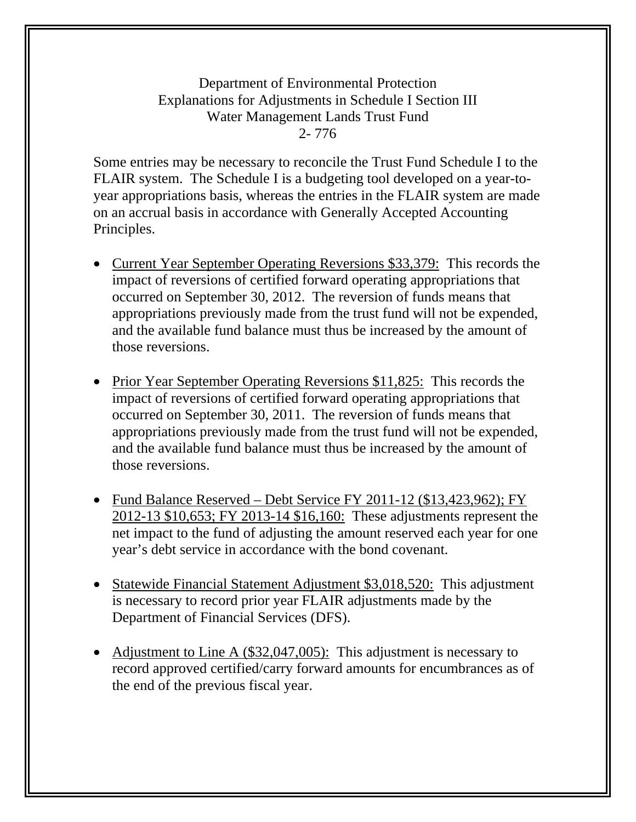Department of Environmental Protection Explanations for Adjustments in Schedule I Section III Water Management Lands Trust Fund 2- 776

Some entries may be necessary to reconcile the Trust Fund Schedule I to the FLAIR system. The Schedule I is a budgeting tool developed on a year-toyear appropriations basis, whereas the entries in the FLAIR system are made on an accrual basis in accordance with Generally Accepted Accounting Principles.

- Current Year September Operating Reversions \$33,379: This records the impact of reversions of certified forward operating appropriations that occurred on September 30, 2012. The reversion of funds means that appropriations previously made from the trust fund will not be expended, and the available fund balance must thus be increased by the amount of those reversions.
- Prior Year September Operating Reversions \$11,825: This records the impact of reversions of certified forward operating appropriations that occurred on September 30, 2011. The reversion of funds means that appropriations previously made from the trust fund will not be expended, and the available fund balance must thus be increased by the amount of those reversions.
- Fund Balance Reserved Debt Service FY 2011-12 (\$13,423,962); FY 2012-13 \$10,653; FY 2013-14 \$16,160: These adjustments represent the net impact to the fund of adjusting the amount reserved each year for one year's debt service in accordance with the bond covenant.
- Statewide Financial Statement Adjustment \$3,018,520: This adjustment is necessary to record prior year FLAIR adjustments made by the Department of Financial Services (DFS).
- Adjustment to Line A (\$32,047,005): This adjustment is necessary to record approved certified/carry forward amounts for encumbrances as of the end of the previous fiscal year.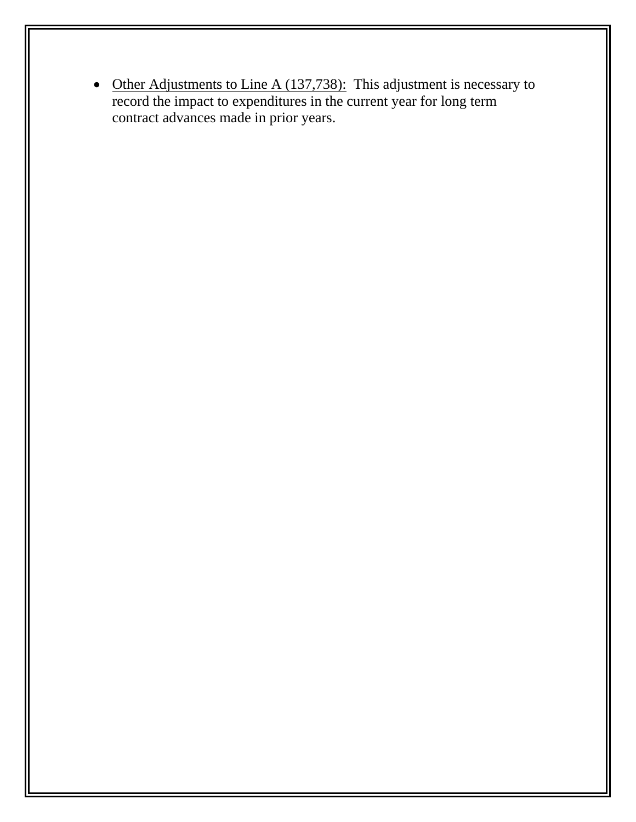• Other Adjustments to Line A (137,738): This adjustment is necessary to record the impact to expenditures in the current year for long term contract advances made in prior years.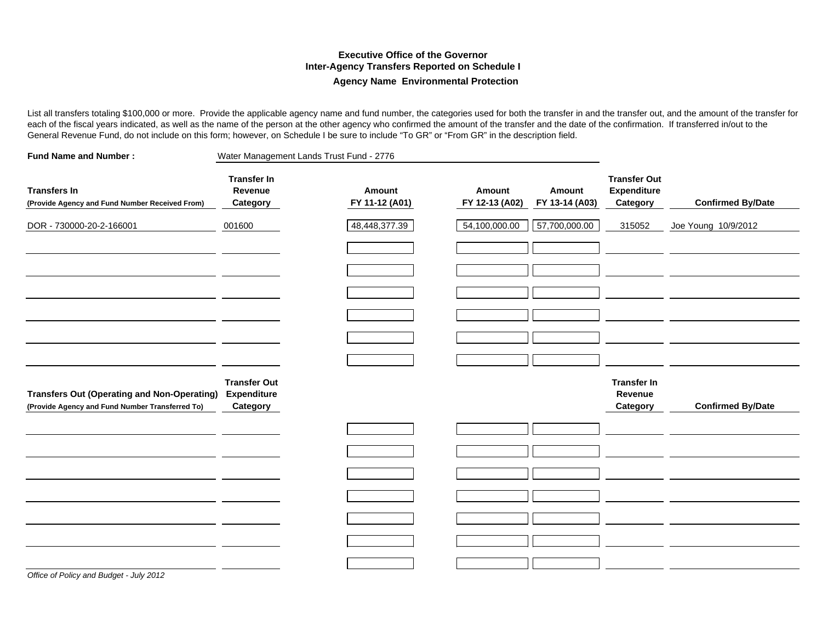#### **Executive Office of the GovernorInter-Agency Transfers Reported on Schedule I Agency Name Environmental Protection**

List all transfers totaling \$100,000 or more. Provide the applicable agency name and fund number, the categories used for both the transfer in and the transfer out, and the amount of the transfer for each of the fiscal years indicated, as well as the name of the person at the other agency who confirmed the amount of the transfer and the date of the confirmation. If transferred in/out to the General Revenue Fund, do not include on this form; however, on Schedule I be sure to include "To GR" or "From GR" in the description field.

| <b>Fund Name and Number:</b>                                                                          | Water Management Lands Trust Fund - 2776       |                          |                          |                          |                                                       |                          |
|-------------------------------------------------------------------------------------------------------|------------------------------------------------|--------------------------|--------------------------|--------------------------|-------------------------------------------------------|--------------------------|
| <b>Transfers In</b><br>(Provide Agency and Fund Number Received From)                                 | <b>Transfer In</b><br>Revenue<br>Category      | Amount<br>FY 11-12 (A01) | Amount<br>FY 12-13 (A02) | Amount<br>FY 13-14 (A03) | <b>Transfer Out</b><br><b>Expenditure</b><br>Category | <b>Confirmed By/Date</b> |
| DOR - 730000-20-2-166001                                                                              | 001600                                         | 48,448,377.39            | 54,100,000.00            | 57,700,000.00            | 315052                                                | Joe Young 10/9/2012      |
|                                                                                                       |                                                |                          |                          |                          |                                                       |                          |
|                                                                                                       |                                                |                          |                          |                          |                                                       |                          |
|                                                                                                       |                                                |                          |                          |                          |                                                       |                          |
|                                                                                                       |                                                |                          |                          |                          |                                                       |                          |
| <b>Transfers Out (Operating and Non-Operating)</b><br>(Provide Agency and Fund Number Transferred To) | <b>Transfer Out</b><br>Expenditure<br>Category |                          |                          |                          | <b>Transfer In</b><br>Revenue<br>Category             | <b>Confirmed By/Date</b> |
|                                                                                                       |                                                |                          |                          |                          |                                                       |                          |
|                                                                                                       |                                                |                          |                          |                          |                                                       |                          |
|                                                                                                       |                                                |                          |                          |                          |                                                       |                          |
|                                                                                                       |                                                |                          |                          |                          |                                                       |                          |
|                                                                                                       |                                                |                          |                          |                          |                                                       |                          |
| Office of Policy and Budget - July 2012                                                               |                                                |                          |                          |                          |                                                       |                          |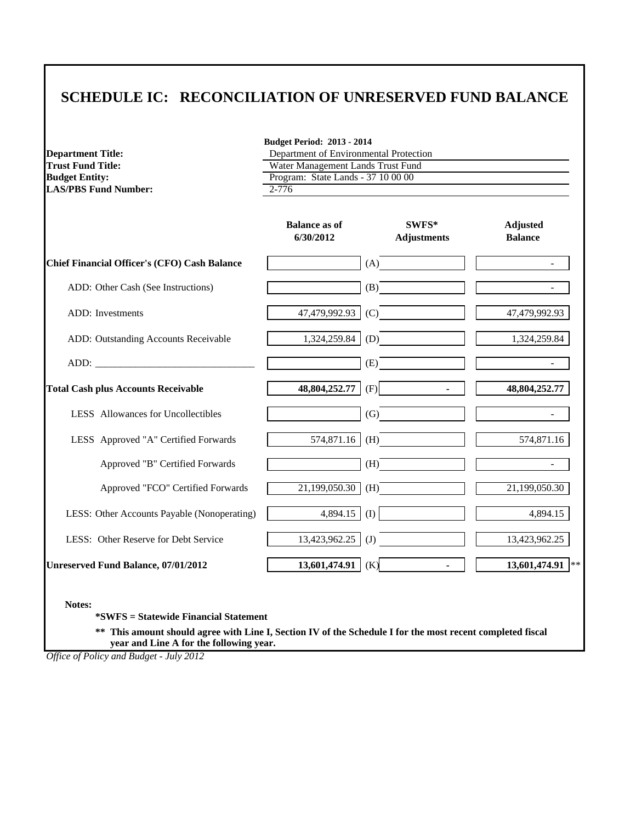### **SCHEDULE IC: RECONCILIATION OF UNRESERVED FUND BALANCE**

| <b>Department Title:</b>                            | <b>Budget Period: 2013 - 2014</b><br>Department of Environmental Protection<br>Water Management Lands Trust Fund |                             |                                   |  |
|-----------------------------------------------------|------------------------------------------------------------------------------------------------------------------|-----------------------------|-----------------------------------|--|
| <b>Trust Fund Title:</b>                            |                                                                                                                  |                             |                                   |  |
| <b>Budget Entity:</b>                               | Program: State Lands - 37 10 00 00                                                                               |                             |                                   |  |
| <b>LAS/PBS Fund Number:</b>                         | $2 - 776$                                                                                                        |                             |                                   |  |
|                                                     |                                                                                                                  |                             |                                   |  |
|                                                     | <b>Balance as of</b><br>6/30/2012                                                                                | SWFS*<br><b>Adjustments</b> | <b>Adjusted</b><br><b>Balance</b> |  |
| <b>Chief Financial Officer's (CFO) Cash Balance</b> | (A)                                                                                                              |                             |                                   |  |
| ADD: Other Cash (See Instructions)                  | (B)                                                                                                              |                             |                                   |  |
| ADD: Investments                                    | 47,479,992.93<br>(C)                                                                                             |                             | 47,479,992.93                     |  |
| ADD: Outstanding Accounts Receivable                | 1,324,259.84<br>(D)                                                                                              |                             | 1,324,259.84                      |  |
| ADD:                                                | (E)                                                                                                              |                             |                                   |  |
| <b>Total Cash plus Accounts Receivable</b>          | 48,804,252.77<br>(F)                                                                                             |                             | 48,804,252.77                     |  |
| LESS Allowances for Uncollectibles                  | (G)                                                                                                              |                             |                                   |  |
| LESS Approved "A" Certified Forwards                | 574,871.16<br>(H)                                                                                                |                             | 574,871.16                        |  |
| Approved "B" Certified Forwards                     | (H)                                                                                                              |                             |                                   |  |
| Approved "FCO" Certified Forwards                   | 21,199,050.30<br>(H)                                                                                             |                             | 21,199,050.30                     |  |
| LESS: Other Accounts Payable (Nonoperating)         | 4,894.15<br>(I)                                                                                                  |                             | 4,894.15                          |  |
| LESS: Other Reserve for Debt Service                | 13,423,962.25<br>(J)                                                                                             |                             | 13,423,962.25                     |  |
| Unreserved Fund Balance, 07/01/2012                 | 13,601,474.91<br>(K)                                                                                             | $\blacksquare$              | 13,601,474.91<br>$ **$            |  |

**Notes:**

**\*SWFS = Statewide Financial Statement** 

**\*\* This amount should agree with Line I, Section IV of the Schedule I for the most recent completed fiscal year and Line A for the following year.**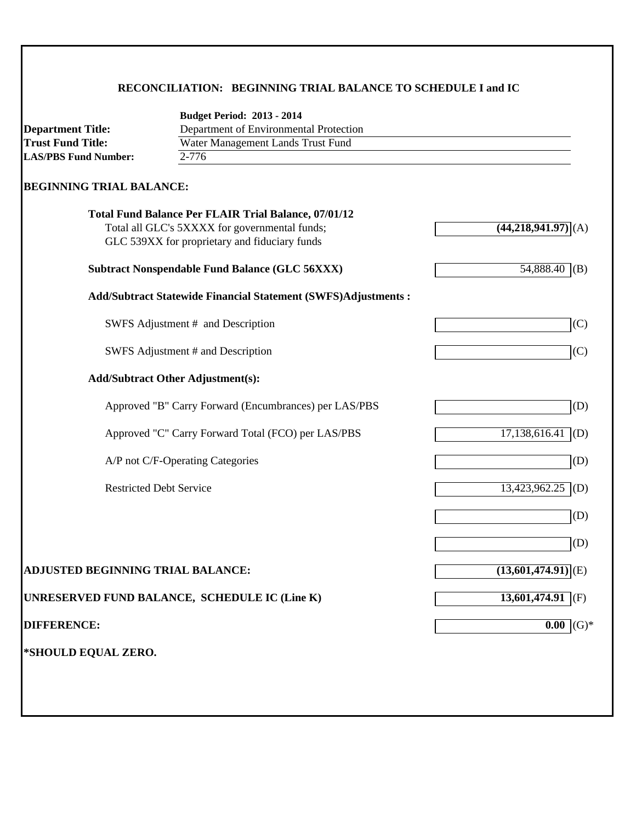### **RECONCILIATION: BEGINNING TRIAL BALANCE TO SCHEDULE I and IC**

|                                                       | <b>Budget Period: 2013 - 2014</b>                                                                                       |                                  |  |  |  |
|-------------------------------------------------------|-------------------------------------------------------------------------------------------------------------------------|----------------------------------|--|--|--|
| <b>Department Title:</b>                              | Department of Environmental Protection<br>Water Management Lands Trust Fund<br>$2 - 776$<br><b>LAS/PBS Fund Number:</b> |                                  |  |  |  |
| <b>Trust Fund Title:</b>                              |                                                                                                                         |                                  |  |  |  |
|                                                       |                                                                                                                         |                                  |  |  |  |
| <b>BEGINNING TRIAL BALANCE:</b>                       |                                                                                                                         |                                  |  |  |  |
|                                                       | <b>Total Fund Balance Per FLAIR Trial Balance, 07/01/12</b>                                                             |                                  |  |  |  |
|                                                       | Total all GLC's 5XXXX for governmental funds;                                                                           | $(44,218,941.97)$ (A)            |  |  |  |
|                                                       | GLC 539XX for proprietary and fiduciary funds                                                                           |                                  |  |  |  |
| <b>Subtract Nonspendable Fund Balance (GLC 56XXX)</b> |                                                                                                                         | $54,888.40$ (B)                  |  |  |  |
|                                                       | <b>Add/Subtract Statewide Financial Statement (SWFS)Adjustments:</b>                                                    |                                  |  |  |  |
|                                                       | SWFS Adjustment # and Description                                                                                       | (C)                              |  |  |  |
|                                                       | SWFS Adjustment # and Description                                                                                       | (C)                              |  |  |  |
|                                                       | <b>Add/Subtract Other Adjustment(s):</b>                                                                                |                                  |  |  |  |
|                                                       | Approved "B" Carry Forward (Encumbrances) per LAS/PBS                                                                   | (D)                              |  |  |  |
|                                                       | Approved "C" Carry Forward Total (FCO) per LAS/PBS                                                                      | $17,138,616.41$ (D)              |  |  |  |
|                                                       | A/P not C/F-Operating Categories                                                                                        | (D)                              |  |  |  |
|                                                       | <b>Restricted Debt Service</b>                                                                                          | $13,423,962.25$ (D)              |  |  |  |
|                                                       |                                                                                                                         | (D)                              |  |  |  |
|                                                       |                                                                                                                         | (D)                              |  |  |  |
| ADJUSTED BEGINNING TRIAL BALANCE:                     |                                                                                                                         | $\overline{(13,601,474.91)}$ (E) |  |  |  |
|                                                       | UNRESERVED FUND BALANCE, SCHEDULE IC (Line K)                                                                           | $13,601,474.91$ (F)              |  |  |  |
| <b>DIFFERENCE:</b>                                    |                                                                                                                         | 0.00<br>$(G)*$                   |  |  |  |
| *SHOULD EQUAL ZERO.                                   |                                                                                                                         |                                  |  |  |  |
|                                                       |                                                                                                                         |                                  |  |  |  |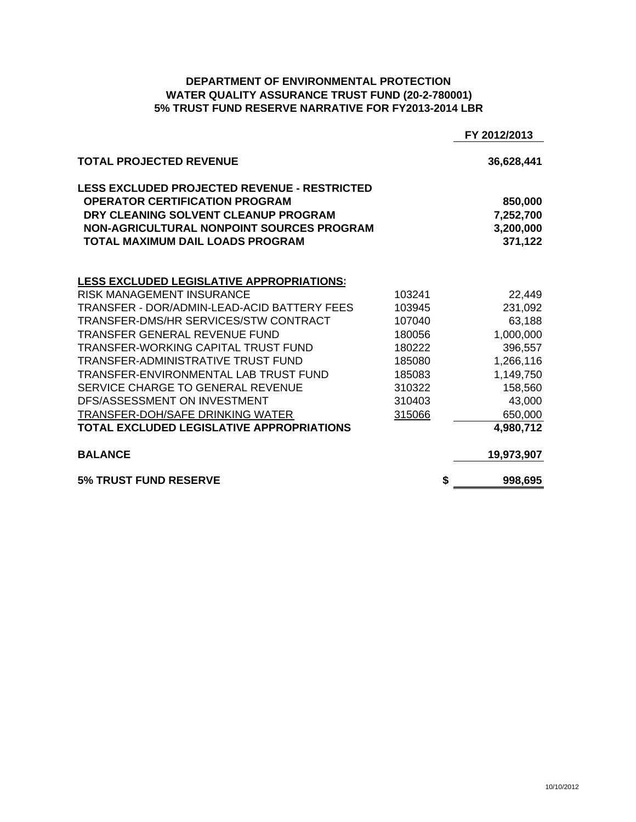#### **DEPARTMENT OF ENVIRONMENTAL PROTECTION WATER QUALITY ASSURANCE TRUST FUND (20-2-780001) 5% TRUST FUND RESERVE NARRATIVE FOR FY2013-2014 LBR**

|                                                                                                                                                                                                                              |        | FY 2012/2013                                 |
|------------------------------------------------------------------------------------------------------------------------------------------------------------------------------------------------------------------------------|--------|----------------------------------------------|
| <b>TOTAL PROJECTED REVENUE</b>                                                                                                                                                                                               |        | 36,628,441                                   |
| <b>LESS EXCLUDED PROJECTED REVENUE - RESTRICTED</b><br><b>OPERATOR CERTIFICATION PROGRAM</b><br>DRY CLEANING SOLVENT CLEANUP PROGRAM<br>NON-AGRICULTURAL NONPOINT SOURCES PROGRAM<br><b>TOTAL MAXIMUM DAIL LOADS PROGRAM</b> |        | 850,000<br>7,252,700<br>3,200,000<br>371,122 |
| <b>LESS EXCLUDED LEGISLATIVE APPROPRIATIONS:</b>                                                                                                                                                                             |        |                                              |
| RISK MANAGEMENT INSURANCE                                                                                                                                                                                                    | 103241 | 22,449                                       |
| TRANSFER - DOR/ADMIN-LEAD-ACID BATTERY FEES                                                                                                                                                                                  | 103945 | 231,092                                      |
| TRANSFER-DMS/HR SERVICES/STW CONTRACT                                                                                                                                                                                        | 107040 | 63,188                                       |
| <b>TRANSFER GENERAL REVENUE FUND</b>                                                                                                                                                                                         | 180056 | 1,000,000                                    |
| TRANSFER-WORKING CAPITAL TRUST FUND                                                                                                                                                                                          | 180222 | 396,557                                      |
| TRANSFER-ADMINISTRATIVE TRUST FUND                                                                                                                                                                                           | 185080 | 1,266,116                                    |
| TRANSFER-ENVIRONMENTAL LAB TRUST FUND                                                                                                                                                                                        | 185083 | 1,149,750                                    |
| SERVICE CHARGE TO GENERAL REVENUE                                                                                                                                                                                            | 310322 | 158,560                                      |
| DFS/ASSESSMENT ON INVESTMENT                                                                                                                                                                                                 | 310403 | 43,000                                       |
| TRANSFER-DOH/SAFE DRINKING WATER                                                                                                                                                                                             | 315066 | 650,000                                      |
| <b>TOTAL EXCLUDED LEGISLATIVE APPROPRIATIONS</b>                                                                                                                                                                             |        | 4,980,712                                    |
| <b>BALANCE</b>                                                                                                                                                                                                               |        | 19,973,907                                   |
| <b>5% TRUST FUND RESERVE</b>                                                                                                                                                                                                 |        | \$<br>998,695                                |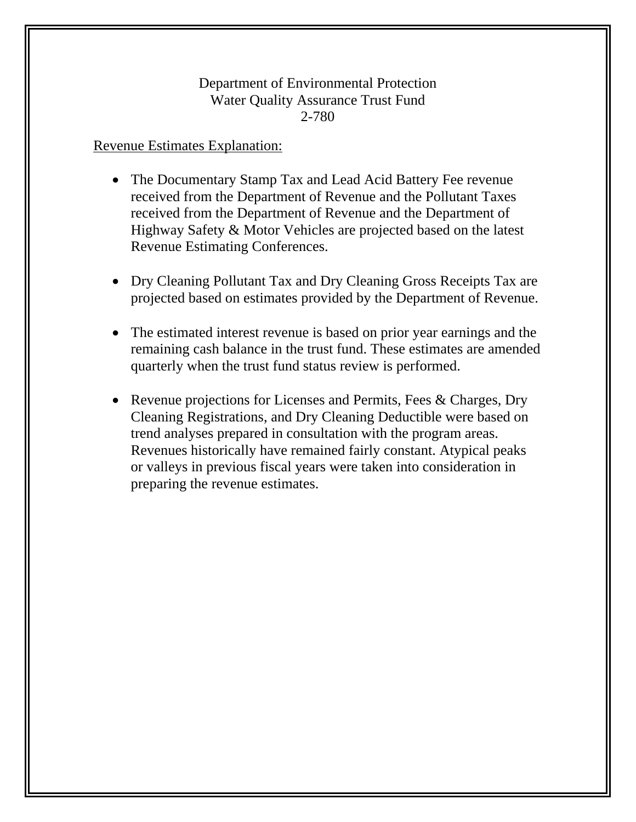#### Department of Environmental Protection Water Quality Assurance Trust Fund 2-780

#### Revenue Estimates Explanation:

- The Documentary Stamp Tax and Lead Acid Battery Fee revenue received from the Department of Revenue and the Pollutant Taxes received from the Department of Revenue and the Department of Highway Safety & Motor Vehicles are projected based on the latest Revenue Estimating Conferences.
- Dry Cleaning Pollutant Tax and Dry Cleaning Gross Receipts Tax are projected based on estimates provided by the Department of Revenue.
- The estimated interest revenue is based on prior year earnings and the remaining cash balance in the trust fund. These estimates are amended quarterly when the trust fund status review is performed.
- Revenue projections for Licenses and Permits, Fees & Charges, Dry Cleaning Registrations, and Dry Cleaning Deductible were based on trend analyses prepared in consultation with the program areas. Revenues historically have remained fairly constant. Atypical peaks or valleys in previous fiscal years were taken into consideration in preparing the revenue estimates.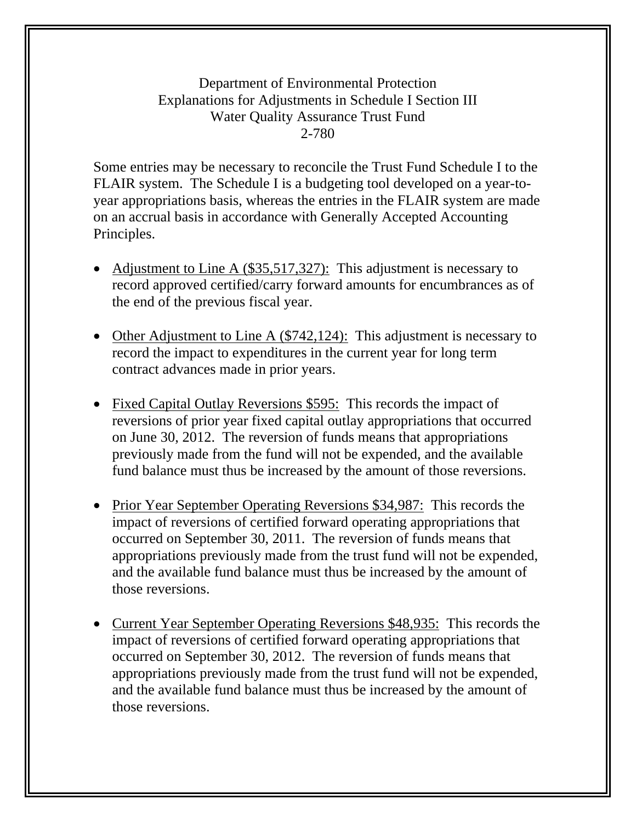Department of Environmental Protection Explanations for Adjustments in Schedule I Section III Water Quality Assurance Trust Fund 2-780

Some entries may be necessary to reconcile the Trust Fund Schedule I to the FLAIR system. The Schedule I is a budgeting tool developed on a year-toyear appropriations basis, whereas the entries in the FLAIR system are made on an accrual basis in accordance with Generally Accepted Accounting Principles.

- Adjustment to Line A (\$35,517,327): This adjustment is necessary to record approved certified/carry forward amounts for encumbrances as of the end of the previous fiscal year.
- Other Adjustment to Line A (\$742,124): This adjustment is necessary to record the impact to expenditures in the current year for long term contract advances made in prior years.
- Fixed Capital Outlay Reversions \$595: This records the impact of reversions of prior year fixed capital outlay appropriations that occurred on June 30, 2012. The reversion of funds means that appropriations previously made from the fund will not be expended, and the available fund balance must thus be increased by the amount of those reversions.
- Prior Year September Operating Reversions \$34,987: This records the impact of reversions of certified forward operating appropriations that occurred on September 30, 2011. The reversion of funds means that appropriations previously made from the trust fund will not be expended, and the available fund balance must thus be increased by the amount of those reversions.
- Current Year September Operating Reversions \$48,935: This records the impact of reversions of certified forward operating appropriations that occurred on September 30, 2012. The reversion of funds means that appropriations previously made from the trust fund will not be expended, and the available fund balance must thus be increased by the amount of those reversions.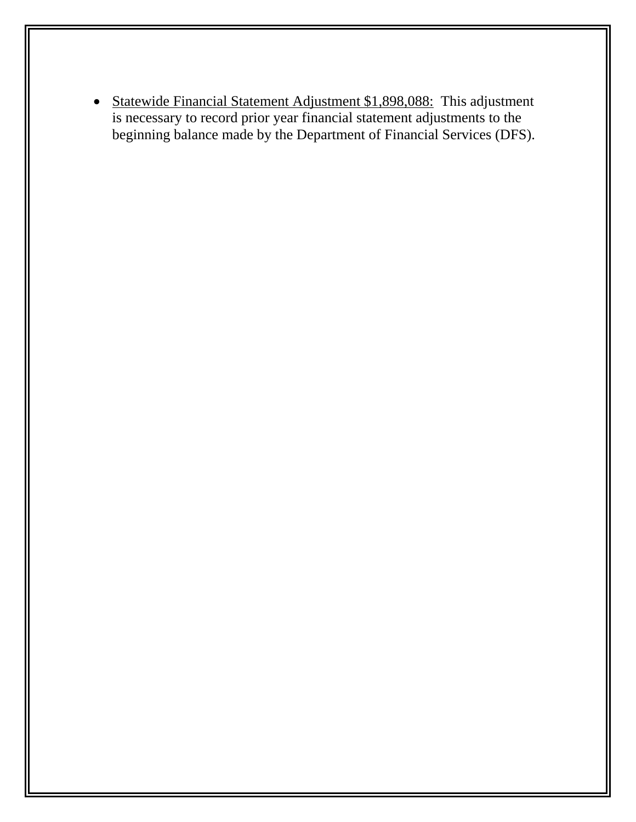• Statewide Financial Statement Adjustment \$1,898,088: This adjustment is necessary to record prior year financial statement adjustments to the beginning balance made by the Department of Financial Services (DFS).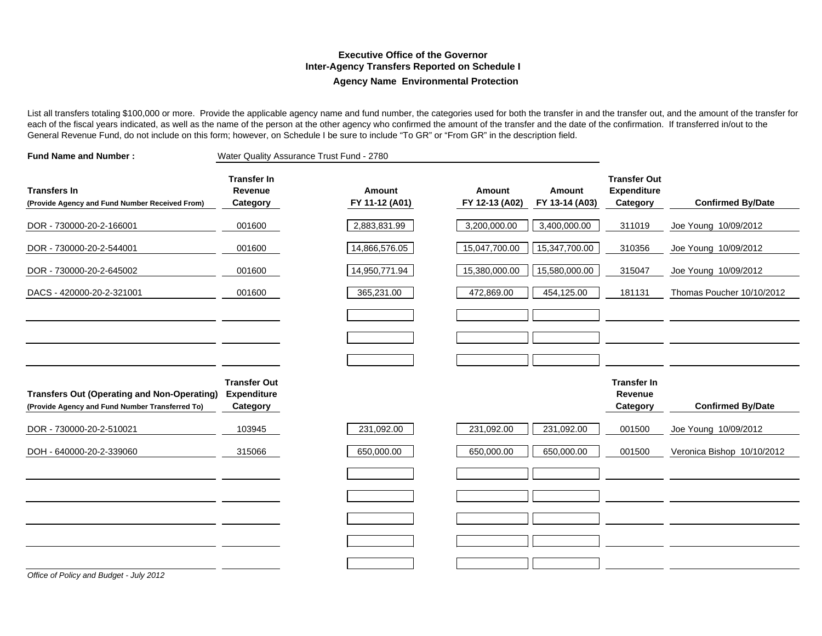#### **Executive Office of the GovernorInter-Agency Transfers Reported on Schedule I Agency Name Environmental Protection**

List all transfers totaling \$100,000 or more. Provide the applicable agency name and fund number, the categories used for both the transfer in and the transfer out, and the amount of the transfer for each of the fiscal years indicated, as well as the name of the person at the other agency who confirmed the amount of the transfer and the date of the confirmation. If transferred in/out to the General Revenue Fund, do not include on this form; however, on Schedule I be sure to include "To GR" or "From GR" in the description field.

| <b>Fund Name and Number:</b>                                                                          |                                                       | Water Quality Assurance Trust Fund - 2780 |                                 |                          |                                                       |                            |
|-------------------------------------------------------------------------------------------------------|-------------------------------------------------------|-------------------------------------------|---------------------------------|--------------------------|-------------------------------------------------------|----------------------------|
| <b>Transfers In</b><br>(Provide Agency and Fund Number Received From)                                 | <b>Transfer In</b><br>Revenue<br>Category             | Amount<br>FY 11-12 (A01)                  | <b>Amount</b><br>FY 12-13 (A02) | Amount<br>FY 13-14 (A03) | <b>Transfer Out</b><br><b>Expenditure</b><br>Category | <b>Confirmed By/Date</b>   |
| DOR - 730000-20-2-166001                                                                              | 001600                                                | 2,883,831.99                              | 3,200,000.00                    | 3,400,000.00             | 311019                                                | Joe Young 10/09/2012       |
| DOR - 730000-20-2-544001                                                                              | 001600                                                | 14,866,576.05                             | 15,047,700.00                   | 15,347,700.00            | 310356                                                | Joe Young 10/09/2012       |
| DOR - 730000-20-2-645002                                                                              | 001600                                                | 14,950,771.94                             | 15,380,000.00                   | 15,580,000.00            | 315047                                                | Joe Young 10/09/2012       |
| DACS - 420000-20-2-321001                                                                             | 001600                                                | 365,231.00                                | 472,869.00                      | 454,125.00               | 181131                                                | Thomas Poucher 10/10/2012  |
|                                                                                                       |                                                       |                                           |                                 |                          |                                                       |                            |
|                                                                                                       |                                                       |                                           |                                 |                          |                                                       |                            |
|                                                                                                       |                                                       |                                           |                                 |                          |                                                       |                            |
| <b>Transfers Out (Operating and Non-Operating)</b><br>(Provide Agency and Fund Number Transferred To) | <b>Transfer Out</b><br><b>Expenditure</b><br>Category |                                           |                                 |                          | <b>Transfer In</b><br>Revenue<br>Category             | <b>Confirmed By/Date</b>   |
| DOR - 730000-20-2-510021                                                                              | 103945                                                | 231,092.00                                | 231,092.00                      | 231,092.00               | 001500                                                | Joe Young 10/09/2012       |
| DOH - 640000-20-2-339060                                                                              | 315066                                                | 650,000.00                                | 650,000.00                      | 650,000.00               | 001500                                                | Veronica Bishop 10/10/2012 |
|                                                                                                       |                                                       |                                           |                                 |                          |                                                       |                            |
|                                                                                                       |                                                       |                                           |                                 |                          |                                                       |                            |
|                                                                                                       |                                                       |                                           |                                 |                          |                                                       |                            |
|                                                                                                       |                                                       |                                           |                                 |                          |                                                       |                            |
|                                                                                                       |                                                       |                                           |                                 |                          |                                                       |                            |

*Office of Policy and Budget - July 2012*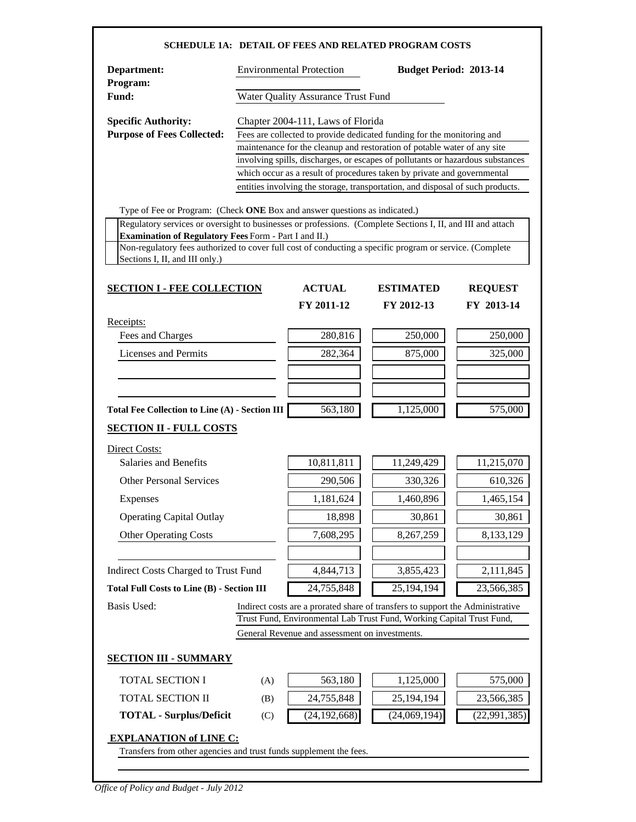|                                                                                                                                                                                                                                                                           |                                                                       |                                                | <b>SCHEDULE 1A: DETAIL OF FEES AND RELATED PROGRAM COSTS</b>                   |                |  |
|---------------------------------------------------------------------------------------------------------------------------------------------------------------------------------------------------------------------------------------------------------------------------|-----------------------------------------------------------------------|------------------------------------------------|--------------------------------------------------------------------------------|----------------|--|
| Department:<br>Program:                                                                                                                                                                                                                                                   | <b>Environmental Protection</b><br>Water Quality Assurance Trust Fund |                                                | <b>Budget Period: 2013-14</b>                                                  |                |  |
| Fund:                                                                                                                                                                                                                                                                     |                                                                       |                                                |                                                                                |                |  |
| <b>Specific Authority:</b>                                                                                                                                                                                                                                                | Chapter 2004-111, Laws of Florida                                     |                                                |                                                                                |                |  |
| <b>Purpose of Fees Collected:</b><br>Fees are collected to provide dedicated funding for the monitoring and<br>maintenance for the cleanup and restoration of potable water of any site<br>involving spills, discharges, or escapes of pollutants or hazardous substances |                                                                       |                                                |                                                                                |                |  |
|                                                                                                                                                                                                                                                                           |                                                                       |                                                |                                                                                |                |  |
|                                                                                                                                                                                                                                                                           |                                                                       |                                                | which occur as a result of procedures taken by private and governmental        |                |  |
|                                                                                                                                                                                                                                                                           |                                                                       |                                                | entities involving the storage, transportation, and disposal of such products. |                |  |
| Type of Fee or Program: (Check ONE Box and answer questions as indicated.)                                                                                                                                                                                                |                                                                       |                                                |                                                                                |                |  |
| Regulatory services or oversight to businesses or professions. (Complete Sections I, II, and III and attach                                                                                                                                                               |                                                                       |                                                |                                                                                |                |  |
| <b>Examination of Regulatory Fees Form - Part I and II.)</b><br>Non-regulatory fees authorized to cover full cost of conducting a specific program or service. (Complete                                                                                                  |                                                                       |                                                |                                                                                |                |  |
| Sections I, II, and III only.)                                                                                                                                                                                                                                            |                                                                       |                                                |                                                                                |                |  |
|                                                                                                                                                                                                                                                                           |                                                                       |                                                |                                                                                |                |  |
| <b>SECTION I - FEE COLLECTION</b>                                                                                                                                                                                                                                         |                                                                       | <b>ACTUAL</b>                                  | <b>ESTIMATED</b>                                                               | <b>REQUEST</b> |  |
|                                                                                                                                                                                                                                                                           |                                                                       | FY 2011-12                                     | FY 2012-13                                                                     | FY 2013-14     |  |
| Receipts:<br>Fees and Charges                                                                                                                                                                                                                                             |                                                                       | 280,816                                        | 250,000                                                                        | 250,000        |  |
| Licenses and Permits                                                                                                                                                                                                                                                      |                                                                       | 282,364                                        |                                                                                |                |  |
|                                                                                                                                                                                                                                                                           |                                                                       |                                                | 875,000                                                                        | 325,000        |  |
|                                                                                                                                                                                                                                                                           |                                                                       |                                                |                                                                                |                |  |
|                                                                                                                                                                                                                                                                           |                                                                       |                                                |                                                                                |                |  |
| Total Fee Collection to Line (A) - Section III                                                                                                                                                                                                                            |                                                                       | 563,180                                        | 1,125,000                                                                      | 575,000        |  |
| <b>SECTION II - FULL COSTS</b>                                                                                                                                                                                                                                            |                                                                       |                                                |                                                                                |                |  |
| Direct Costs:                                                                                                                                                                                                                                                             |                                                                       |                                                |                                                                                |                |  |
| Salaries and Benefits                                                                                                                                                                                                                                                     |                                                                       | 10,811,811                                     | 11,249,429                                                                     | 11,215,070     |  |
| <b>Other Personal Services</b>                                                                                                                                                                                                                                            |                                                                       | 290,506                                        | 330,326                                                                        | 610,326        |  |
| Expenses                                                                                                                                                                                                                                                                  |                                                                       | 1,181,624                                      | 1,460,896                                                                      | 1,465,154      |  |
| <b>Operating Capital Outlay</b>                                                                                                                                                                                                                                           |                                                                       | 18,898                                         | 30,861                                                                         | 30,861         |  |
| <b>Other Operating Costs</b>                                                                                                                                                                                                                                              |                                                                       | 7,608,295                                      | 8,267,259                                                                      | 8,133,129      |  |
|                                                                                                                                                                                                                                                                           |                                                                       |                                                |                                                                                |                |  |
| Indirect Costs Charged to Trust Fund                                                                                                                                                                                                                                      |                                                                       | 4,844,713                                      | 3,855,423                                                                      | 2,111,845      |  |
| <b>Total Full Costs to Line (B) - Section III</b>                                                                                                                                                                                                                         |                                                                       | 24,755,848                                     | 25,194,194                                                                     | 23,566,385     |  |
| Basis Used:                                                                                                                                                                                                                                                               |                                                                       |                                                | Indirect costs are a prorated share of transfers to support the Administrative |                |  |
|                                                                                                                                                                                                                                                                           |                                                                       |                                                | Trust Fund, Environmental Lab Trust Fund, Working Capital Trust Fund,          |                |  |
|                                                                                                                                                                                                                                                                           |                                                                       | General Revenue and assessment on investments. |                                                                                |                |  |
| <b>SECTION III - SUMMARY</b>                                                                                                                                                                                                                                              |                                                                       |                                                |                                                                                |                |  |
| <b>TOTAL SECTION I</b>                                                                                                                                                                                                                                                    | (A)                                                                   | 563,180                                        | 1,125,000                                                                      | 575,000        |  |
| TOTAL SECTION II                                                                                                                                                                                                                                                          | (B)                                                                   | 24,755,848                                     | 25,194,194                                                                     | 23,566,385     |  |
| <b>TOTAL - Surplus/Deficit</b>                                                                                                                                                                                                                                            | (C)                                                                   | (24, 192, 668)                                 | (24,069,194)                                                                   | (22, 991, 385) |  |
| <b>EXPLANATION of LINE C:</b><br>Transfers from other agencies and trust funds supplement the fees.                                                                                                                                                                       |                                                                       |                                                |                                                                                |                |  |
|                                                                                                                                                                                                                                                                           |                                                                       |                                                |                                                                                |                |  |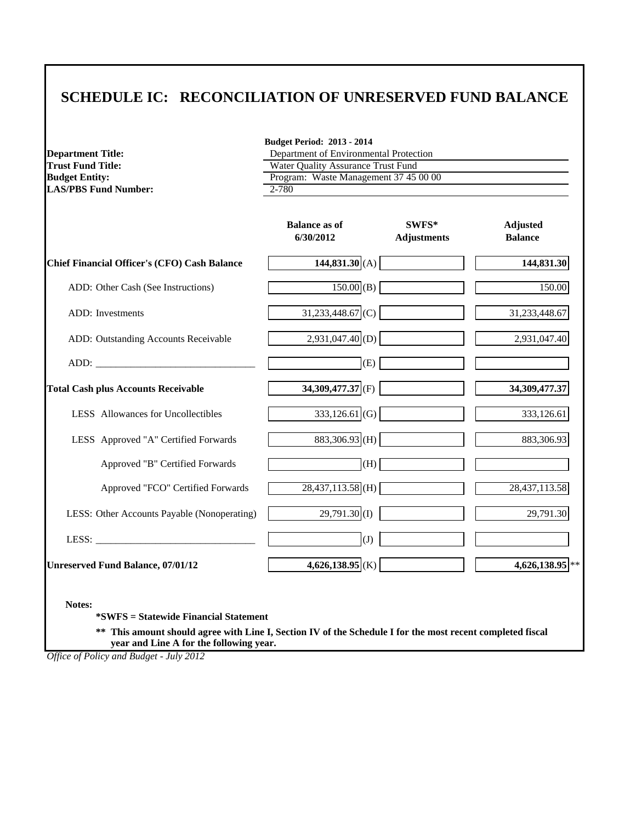# **SCHEDULE IC: RECONCILIATION OF UNRESERVED FUND BALANCE**

| <b>Department Title:</b>                     | <b>Budget Period: 2013 - 2014</b>                                                  |                               |                                   |  |  |
|----------------------------------------------|------------------------------------------------------------------------------------|-------------------------------|-----------------------------------|--|--|
| <b>Trust Fund Title:</b>                     | Department of Environmental Protection                                             |                               |                                   |  |  |
| <b>Budget Entity:</b>                        | <b>Water Quality Assurance Trust Fund</b><br>Program: Waste Management 37 45 00 00 |                               |                                   |  |  |
| <b>LAS/PBS Fund Number:</b>                  | 2-780                                                                              |                               |                                   |  |  |
|                                              |                                                                                    |                               |                                   |  |  |
|                                              | <b>Balance as of</b><br>6/30/2012                                                  | $SWFS*$<br><b>Adjustments</b> | <b>Adjusted</b><br><b>Balance</b> |  |  |
| Chief Financial Officer's (CFO) Cash Balance | 144,831.30(A)                                                                      |                               | 144,831.30                        |  |  |
| ADD: Other Cash (See Instructions)           | 150.00(B)                                                                          |                               | 150.00                            |  |  |
| ADD: Investments                             | 31,233,448.67 (C)                                                                  |                               | 31,233,448.67                     |  |  |
| ADD: Outstanding Accounts Receivable         | 2,931,047.40 (D)                                                                   |                               | 2,931,047.40                      |  |  |
| ADD:                                         | (E)                                                                                |                               |                                   |  |  |
| <b>Total Cash plus Accounts Receivable</b>   | 34,309,477.37 (F)                                                                  |                               | 34,309,477.37                     |  |  |
| LESS Allowances for Uncollectibles           | $333,126.61$ (G)                                                                   |                               | 333,126.61                        |  |  |
| LESS Approved "A" Certified Forwards         | 883,306.93 (H)                                                                     |                               | 883,306.93                        |  |  |
| Approved "B" Certified Forwards              | (H)                                                                                |                               |                                   |  |  |
| Approved "FCO" Certified Forwards            | $28,437,113.58$ (H)                                                                |                               | 28,437,113.58                     |  |  |
| LESS: Other Accounts Payable (Nonoperating)  | $29,791.30$ (I)                                                                    |                               | 29,791.30                         |  |  |
|                                              | (J)                                                                                |                               |                                   |  |  |
| <b>Unreserved Fund Balance, 07/01/12</b>     | $4,626,138.95$ <sub>(K)</sub>                                                      |                               | $4,626,138.95$ **                 |  |  |

**Notes:**

**\*SWFS = Statewide Financial Statement** 

**\*\* This amount should agree with Line I, Section IV of the Schedule I for the most recent completed fiscal year and Line A for the following year.**

*Office of Policy and Budget - July 2012*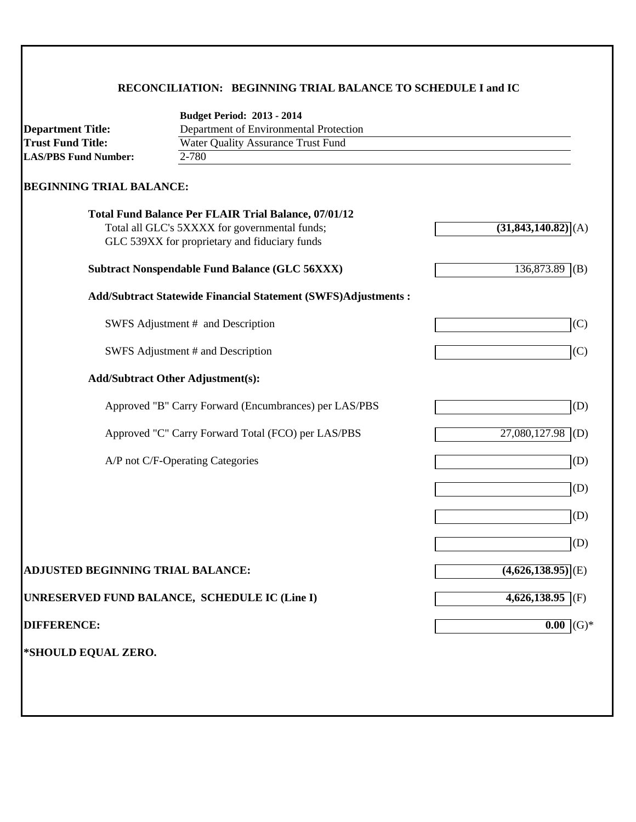# **RECONCILIATION: BEGINNING TRIAL BALANCE TO SCHEDULE I and IC**

|                                               | <b>Budget Period: 2013 - 2014</b>                                    |                                 |  |  |
|-----------------------------------------------|----------------------------------------------------------------------|---------------------------------|--|--|
| <b>Department Title:</b>                      | Department of Environmental Protection                               |                                 |  |  |
| <b>Trust Fund Title:</b>                      | <b>Water Quality Assurance Trust Fund</b>                            |                                 |  |  |
| <b>LAS/PBS Fund Number:</b>                   | $2 - 780$                                                            |                                 |  |  |
| <b>BEGINNING TRIAL BALANCE:</b>               |                                                                      |                                 |  |  |
|                                               | <b>Total Fund Balance Per FLAIR Trial Balance, 07/01/12</b>          |                                 |  |  |
|                                               | Total all GLC's 5XXXX for governmental funds;                        | $(31,843,140.82)$ (A)           |  |  |
|                                               | GLC 539XX for proprietary and fiduciary funds                        |                                 |  |  |
|                                               | <b>Subtract Nonspendable Fund Balance (GLC 56XXX)</b>                | 136,873.89<br>(B)               |  |  |
|                                               | <b>Add/Subtract Statewide Financial Statement (SWFS)Adjustments:</b> |                                 |  |  |
|                                               | SWFS Adjustment # and Description                                    | (C)                             |  |  |
|                                               | SWFS Adjustment # and Description                                    | (C)                             |  |  |
|                                               | <b>Add/Subtract Other Adjustment(s):</b>                             |                                 |  |  |
|                                               | Approved "B" Carry Forward (Encumbrances) per LAS/PBS                | (D)                             |  |  |
|                                               | Approved "C" Carry Forward Total (FCO) per LAS/PBS                   | 27,080,127.98<br>(D)            |  |  |
|                                               | A/P not C/F-Operating Categories                                     | (D)                             |  |  |
|                                               |                                                                      | (D)                             |  |  |
|                                               |                                                                      | (D)                             |  |  |
|                                               |                                                                      | (D)                             |  |  |
| ADJUSTED BEGINNING TRIAL BALANCE:             |                                                                      | $(4,626,138.95)$ <sub>(E)</sub> |  |  |
| UNRESERVED FUND BALANCE, SCHEDULE IC (Line I) |                                                                      | $4,626,138.95$ (F)              |  |  |
| <b>DIFFERENCE:</b>                            |                                                                      | 0.00<br>$(G)*$                  |  |  |
| *SHOULD EQUAL ZERO.                           |                                                                      |                                 |  |  |
|                                               |                                                                      |                                 |  |  |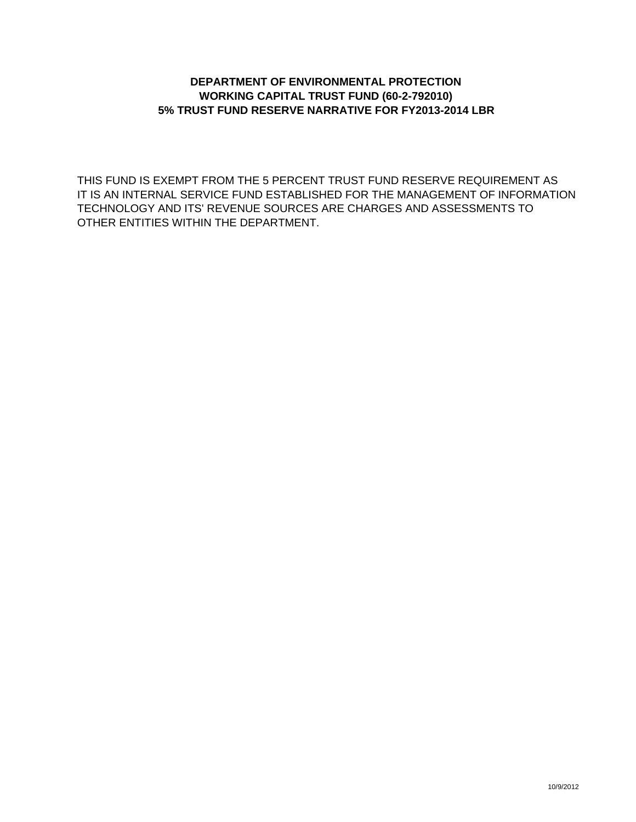### **DEPARTMENT OF ENVIRONMENTAL PROTECTION WORKING CAPITAL TRUST FUND (60-2-792010) 5% TRUST FUND RESERVE NARRATIVE FOR FY2013-2014 LBR**

THIS FUND IS EXEMPT FROM THE 5 PERCENT TRUST FUND RESERVE REQUIREMENT AS IT IS AN INTERNAL SERVICE FUND ESTABLISHED FOR THE MANAGEMENT OF INFORMATION TECHNOLOGY AND ITS' REVENUE SOURCES ARE CHARGES AND ASSESSMENTS TO OTHER ENTITIES WITHIN THE DEPARTMENT.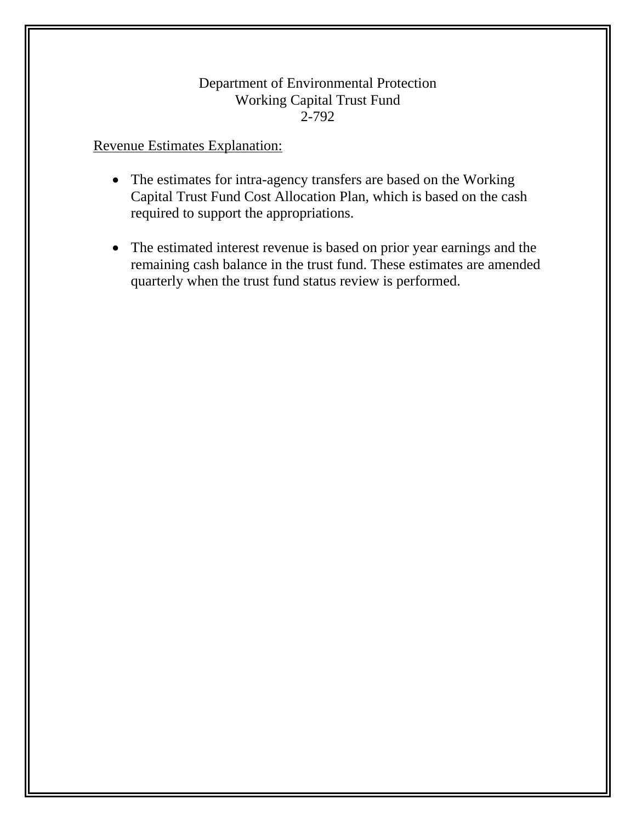## Department of Environmental Protection Working Capital Trust Fund 2-792

Revenue Estimates Explanation:

- The estimates for intra-agency transfers are based on the Working Capital Trust Fund Cost Allocation Plan, which is based on the cash required to support the appropriations.
- The estimated interest revenue is based on prior year earnings and the remaining cash balance in the trust fund. These estimates are amended quarterly when the trust fund status review is performed.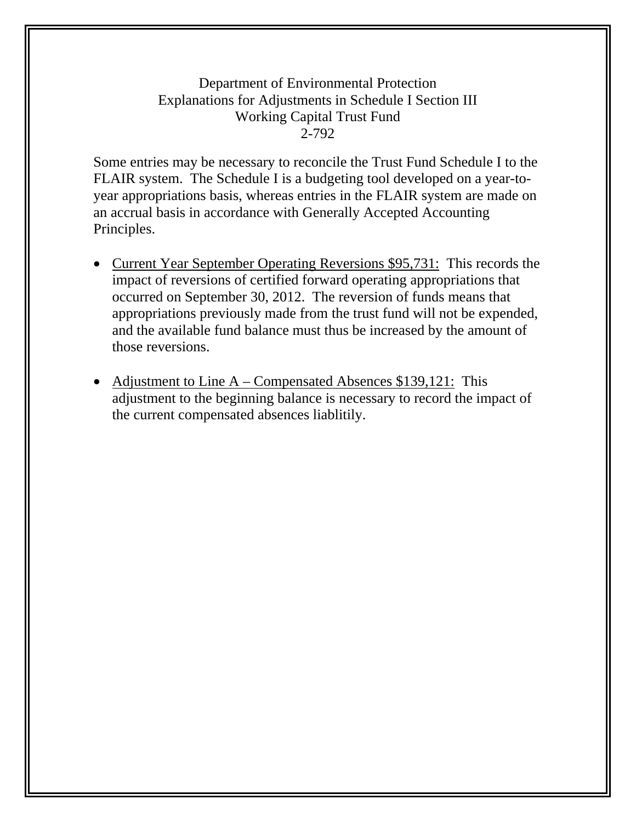Department of Environmental Protection Explanations for Adjustments in Schedule I Section III Working Capital Trust Fund 2-792

Some entries may be necessary to reconcile the Trust Fund Schedule I to the FLAIR system. The Schedule I is a budgeting tool developed on a year-toyear appropriations basis, whereas entries in the FLAIR system are made on an accrual basis in accordance with Generally Accepted Accounting Principles.

- Current Year September Operating Reversions \$95,731: This records the impact of reversions of certified forward operating appropriations that occurred on September 30, 2012. The reversion of funds means that appropriations previously made from the trust fund will not be expended, and the available fund balance must thus be increased by the amount of those reversions.
- Adjustment to Line A Compensated Absences \$139,121: This adjustment to the beginning balance is necessary to record the impact of the current compensated absences liablitily.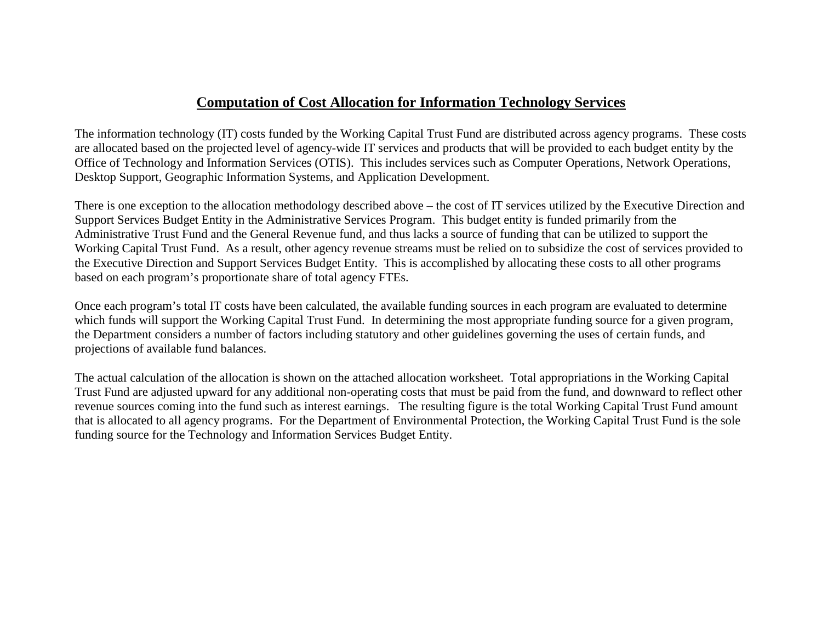# **Computation of Cost Allocation for Information Technology Services**

The information technology (IT) costs funded by the Working Capital Trust Fund are distributed across agency programs. These costs are allocated based on the projected level of agency-wide IT services and products that will be provided to each budget entity by the Office of Technology and Information Services (OTIS). This includes services such as Computer Operations, Network Operations, Desktop Support, Geographic Information Systems, and Application Development.

There is one exception to the allocation methodology described above – the cost of IT services utilized by the Executive Direction and Support Services Budget Entity in the Administrative Services Program. This budget entity is funded primarily from the Administrative Trust Fund and the General Revenue fund, and thus lacks a source of funding that can be utilized to support the Working Capital Trust Fund. As a result, other agency revenue streams must be relied on to subsidize the cost of services provided to the Executive Direction and Support Services Budget Entity. This is accomplished by allocating these costs to all other programs based on each program's proportionate share of total agency FTEs.

Once each program's total IT costs have been calculated, the available funding sources in each program are evaluated to determine which funds will support the Working Capital Trust Fund. In determining the most appropriate funding source for a given program, the Department considers a number of factors including statutory and other guidelines governing the uses of certain funds, and projections of available fund balances.

The actual calculation of the allocation is shown on the attached allocation worksheet. Total appropriations in the Working Capital Trust Fund are adjusted upward for any additional non-operating costs that must be paid from the fund, and downward to reflect other revenue sources coming into the fund such as interest earnings. The resulting figure is the total Working Capital Trust Fund amount that is allocated to all agency programs. For the Department of Environmental Protection, the Working Capital Trust Fund is the sole funding source for the Technology and Information Services Budget Entity.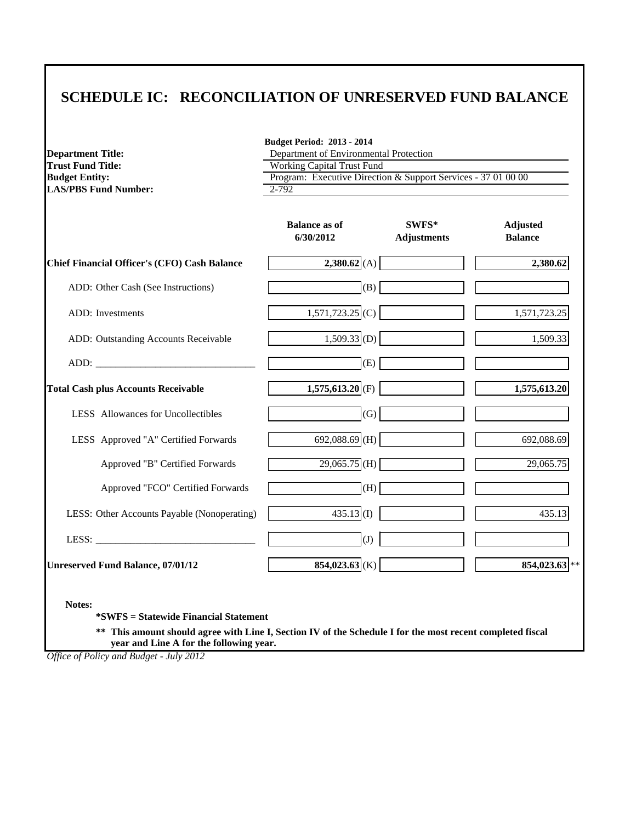# **SCHEDULE IC: RECONCILIATION OF UNRESERVED FUND BALANCE**

| <b>Department Title:</b>                            | <b>Budget Period: 2013 - 2014</b><br>Department of Environmental Protection |                             |                                   |  |
|-----------------------------------------------------|-----------------------------------------------------------------------------|-----------------------------|-----------------------------------|--|
| <b>Trust Fund Title:</b>                            | <b>Working Capital Trust Fund</b>                                           |                             |                                   |  |
| <b>Budget Entity:</b>                               | Program: Executive Direction & Support Services - 37 01 00 00               |                             |                                   |  |
| <b>LAS/PBS Fund Number:</b>                         | 2-792                                                                       |                             |                                   |  |
|                                                     | <b>Balance as of</b><br>6/30/2012                                           | SWFS*<br><b>Adjustments</b> | <b>Adjusted</b><br><b>Balance</b> |  |
| <b>Chief Financial Officer's (CFO) Cash Balance</b> | $2,380.62$ (A)                                                              |                             | 2,380.62                          |  |
| ADD: Other Cash (See Instructions)                  | (B)                                                                         |                             |                                   |  |
| ADD: Investments                                    | $1,571,723.25$ <sub>(C)</sub>                                               |                             | 1,571,723.25                      |  |
| ADD: Outstanding Accounts Receivable                | $1,509.33$ (D)                                                              |                             | 1,509.33                          |  |
|                                                     | (E)                                                                         |                             |                                   |  |
| <b>Total Cash plus Accounts Receivable</b>          | $1,575,613.20$ <sub>(F)</sub>                                               |                             | 1,575,613.20                      |  |
| LESS Allowances for Uncollectibles                  | (G)                                                                         |                             |                                   |  |
| LESS Approved "A" Certified Forwards                | 692,088.69 (H)                                                              |                             | 692,088.69                        |  |
| Approved "B" Certified Forwards                     | $29,065.75$ (H)                                                             |                             | 29,065.75                         |  |
| Approved "FCO" Certified Forwards                   | (H)                                                                         |                             |                                   |  |
| LESS: Other Accounts Payable (Nonoperating)         | $435.13$ (I)                                                                |                             | 435.13                            |  |
|                                                     | (J)                                                                         |                             |                                   |  |
| <b>Unreserved Fund Balance, 07/01/12</b>            | 854,023.63 (K)                                                              |                             | 854,023.63                        |  |

**\*SWFS = Statewide Financial Statement** 

**\*\* This amount should agree with Line I, Section IV of the Schedule I for the most recent completed fiscal year and Line A for the following year.**

*Office of Policy and Budget - July 2012*